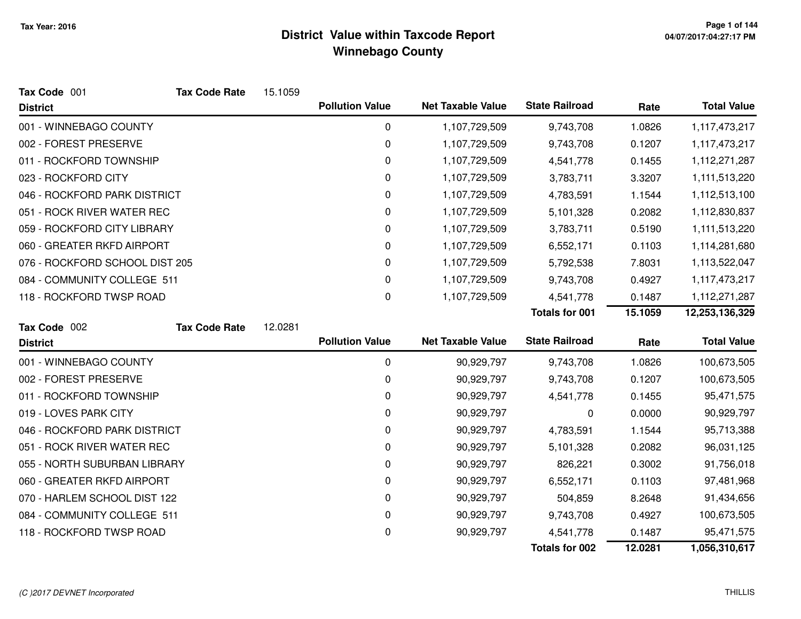| Tax Code 001                   | <b>Tax Code Rate</b> | 15.1059 |                        |                          |                       |         |                    |
|--------------------------------|----------------------|---------|------------------------|--------------------------|-----------------------|---------|--------------------|
| <b>District</b>                |                      |         | <b>Pollution Value</b> | <b>Net Taxable Value</b> | <b>State Railroad</b> | Rate    | <b>Total Value</b> |
| 001 - WINNEBAGO COUNTY         |                      |         | 0                      | 1,107,729,509            | 9,743,708             | 1.0826  | 1,117,473,217      |
| 002 - FOREST PRESERVE          |                      |         | 0                      | 1,107,729,509            | 9,743,708             | 0.1207  | 1,117,473,217      |
| 011 - ROCKFORD TOWNSHIP        |                      |         | 0                      | 1,107,729,509            | 4,541,778             | 0.1455  | 1,112,271,287      |
| 023 - ROCKFORD CITY            |                      |         | 0                      | 1,107,729,509            | 3,783,711             | 3.3207  | 1,111,513,220      |
| 046 - ROCKFORD PARK DISTRICT   |                      |         | 0                      | 1,107,729,509            | 4,783,591             | 1.1544  | 1,112,513,100      |
| 051 - ROCK RIVER WATER REC     |                      |         | 0                      | 1,107,729,509            | 5,101,328             | 0.2082  | 1,112,830,837      |
| 059 - ROCKFORD CITY LIBRARY    |                      |         | 0                      | 1,107,729,509            | 3,783,711             | 0.5190  | 1,111,513,220      |
| 060 - GREATER RKFD AIRPORT     |                      |         | 0                      | 1,107,729,509            | 6,552,171             | 0.1103  | 1,114,281,680      |
| 076 - ROCKFORD SCHOOL DIST 205 |                      |         | 0                      | 1,107,729,509            | 5,792,538             | 7.8031  | 1,113,522,047      |
| 084 - COMMUNITY COLLEGE 511    |                      |         | 0                      | 1,107,729,509            | 9,743,708             | 0.4927  | 1,117,473,217      |
| 118 - ROCKFORD TWSP ROAD       |                      |         | 0                      | 1,107,729,509            | 4,541,778             | 0.1487  | 1,112,271,287      |
|                                |                      |         |                        |                          | Totals for 001        | 15.1059 | 12,253,136,329     |
| Tax Code 002                   | <b>Tax Code Rate</b> | 12.0281 |                        |                          |                       |         |                    |
| <b>District</b>                |                      |         | <b>Pollution Value</b> | <b>Net Taxable Value</b> | <b>State Railroad</b> | Rate    | <b>Total Value</b> |
| 001 - WINNEBAGO COUNTY         |                      |         | 0                      | 90,929,797               | 9,743,708             | 1.0826  | 100,673,505        |
| 002 - FOREST PRESERVE          |                      |         | 0                      | 90,929,797               | 9,743,708             | 0.1207  | 100,673,505        |
| 011 - ROCKFORD TOWNSHIP        |                      |         | 0                      | 90,929,797               | 4,541,778             | 0.1455  | 95,471,575         |
| 019 - LOVES PARK CITY          |                      |         | 0                      | 90,929,797               | 0                     | 0.0000  | 90,929,797         |
| 046 - ROCKFORD PARK DISTRICT   |                      |         | 0                      | 90,929,797               | 4,783,591             | 1.1544  | 95,713,388         |
| 051 - ROCK RIVER WATER REC     |                      |         | 0                      | 90,929,797               | 5,101,328             | 0.2082  | 96,031,125         |
| 055 - NORTH SUBURBAN LIBRARY   |                      |         | 0                      | 90,929,797               | 826,221               | 0.3002  | 91,756,018         |
| 060 - GREATER RKFD AIRPORT     |                      |         | 0                      | 90,929,797               | 6,552,171             | 0.1103  | 97,481,968         |
| 070 - HARLEM SCHOOL DIST 122   |                      |         | 0                      | 90,929,797               | 504,859               | 8.2648  | 91,434,656         |
| 084 - COMMUNITY COLLEGE 511    |                      |         | 0                      | 90,929,797               | 9,743,708             | 0.4927  | 100,673,505        |
| 118 - ROCKFORD TWSP ROAD       |                      |         | 0                      | 90,929,797               | 4,541,778             | 0.1487  | 95,471,575         |
|                                |                      |         |                        |                          | <b>Totals for 002</b> | 12.0281 | 1,056,310,617      |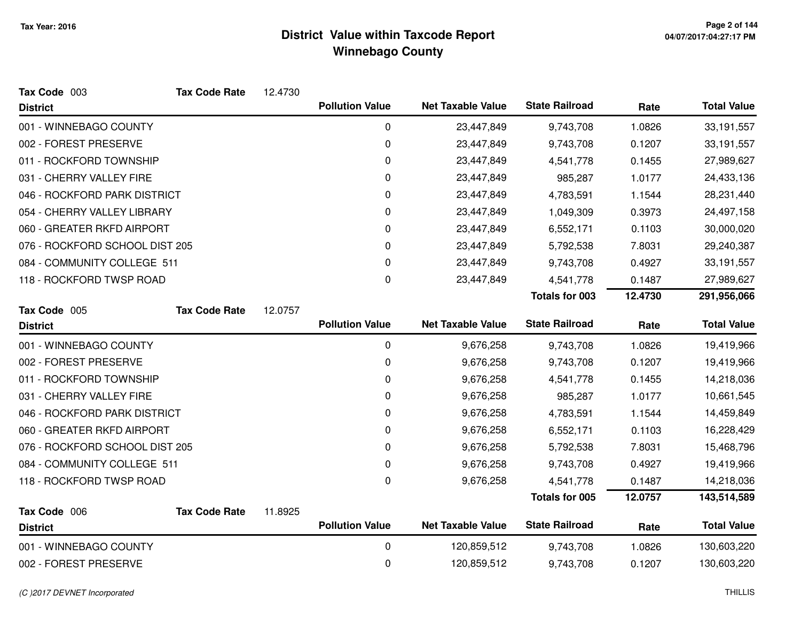| Tax Code 003                   | <b>Tax Code Rate</b> | 12.4730 |                        |                          |                       |         |                    |
|--------------------------------|----------------------|---------|------------------------|--------------------------|-----------------------|---------|--------------------|
| <b>District</b>                |                      |         | <b>Pollution Value</b> | <b>Net Taxable Value</b> | <b>State Railroad</b> | Rate    | <b>Total Value</b> |
| 001 - WINNEBAGO COUNTY         |                      |         | 0                      | 23,447,849               | 9,743,708             | 1.0826  | 33, 191, 557       |
| 002 - FOREST PRESERVE          |                      |         | $\pmb{0}$              | 23,447,849               | 9,743,708             | 0.1207  | 33,191,557         |
| 011 - ROCKFORD TOWNSHIP        |                      |         | 0                      | 23,447,849               | 4,541,778             | 0.1455  | 27,989,627         |
| 031 - CHERRY VALLEY FIRE       |                      |         | 0                      | 23,447,849               | 985,287               | 1.0177  | 24,433,136         |
| 046 - ROCKFORD PARK DISTRICT   |                      |         | 0                      | 23,447,849               | 4,783,591             | 1.1544  | 28,231,440         |
| 054 - CHERRY VALLEY LIBRARY    |                      |         | 0                      | 23,447,849               | 1,049,309             | 0.3973  | 24,497,158         |
| 060 - GREATER RKFD AIRPORT     |                      |         | 0                      | 23,447,849               | 6,552,171             | 0.1103  | 30,000,020         |
| 076 - ROCKFORD SCHOOL DIST 205 |                      |         | 0                      | 23,447,849               | 5,792,538             | 7.8031  | 29,240,387         |
| 084 - COMMUNITY COLLEGE 511    |                      |         | 0                      | 23,447,849               | 9,743,708             | 0.4927  | 33,191,557         |
| 118 - ROCKFORD TWSP ROAD       |                      |         | 0                      | 23,447,849               | 4,541,778             | 0.1487  | 27,989,627         |
|                                |                      |         |                        |                          | <b>Totals for 003</b> | 12.4730 | 291,956,066        |
| Tax Code 005                   | <b>Tax Code Rate</b> | 12.0757 |                        |                          |                       |         |                    |
| <b>District</b>                |                      |         | <b>Pollution Value</b> | <b>Net Taxable Value</b> | <b>State Railroad</b> | Rate    | <b>Total Value</b> |
| 001 - WINNEBAGO COUNTY         |                      |         | $\mathbf 0$            | 9,676,258                | 9,743,708             | 1.0826  | 19,419,966         |
| 002 - FOREST PRESERVE          |                      |         | 0                      | 9,676,258                | 9,743,708             | 0.1207  | 19,419,966         |
| 011 - ROCKFORD TOWNSHIP        |                      |         | 0                      | 9,676,258                | 4,541,778             | 0.1455  | 14,218,036         |
| 031 - CHERRY VALLEY FIRE       |                      |         | 0                      | 9,676,258                | 985,287               | 1.0177  | 10,661,545         |
| 046 - ROCKFORD PARK DISTRICT   |                      |         | $\pmb{0}$              | 9,676,258                | 4,783,591             | 1.1544  | 14,459,849         |
| 060 - GREATER RKFD AIRPORT     |                      |         | 0                      | 9,676,258                | 6,552,171             | 0.1103  | 16,228,429         |
| 076 - ROCKFORD SCHOOL DIST 205 |                      |         | 0                      | 9,676,258                | 5,792,538             | 7.8031  | 15,468,796         |
| 084 - COMMUNITY COLLEGE 511    |                      |         | 0                      | 9,676,258                | 9,743,708             | 0.4927  | 19,419,966         |
| 118 - ROCKFORD TWSP ROAD       |                      |         | $\Omega$               | 9,676,258                | 4,541,778             | 0.1487  | 14,218,036         |
|                                |                      |         |                        |                          | Totals for 005        | 12.0757 | 143,514,589        |
| Tax Code 006                   | <b>Tax Code Rate</b> | 11.8925 | <b>Pollution Value</b> | <b>Net Taxable Value</b> | <b>State Railroad</b> |         | <b>Total Value</b> |
| <b>District</b>                |                      |         |                        |                          |                       | Rate    |                    |
| 001 - WINNEBAGO COUNTY         |                      |         | $\mathbf 0$            | 120,859,512              | 9,743,708             | 1.0826  | 130,603,220        |
| 002 - FOREST PRESERVE          |                      |         | 0                      | 120,859,512              | 9,743,708             | 0.1207  | 130,603,220        |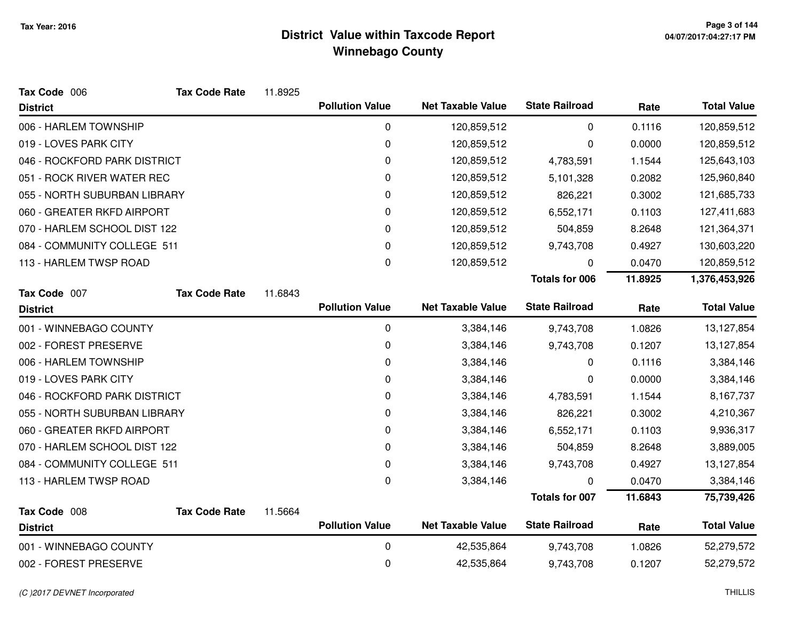| Tax Code 006                 | <b>Tax Code Rate</b> | 11.8925 |                        |                          |                       |         |                    |
|------------------------------|----------------------|---------|------------------------|--------------------------|-----------------------|---------|--------------------|
| <b>District</b>              |                      |         | <b>Pollution Value</b> | <b>Net Taxable Value</b> | <b>State Railroad</b> | Rate    | <b>Total Value</b> |
| 006 - HARLEM TOWNSHIP        |                      |         | 0                      | 120,859,512              | 0                     | 0.1116  | 120,859,512        |
| 019 - LOVES PARK CITY        |                      |         | 0                      | 120,859,512              | 0                     | 0.0000  | 120,859,512        |
| 046 - ROCKFORD PARK DISTRICT |                      |         | 0                      | 120,859,512              | 4,783,591             | 1.1544  | 125,643,103        |
| 051 - ROCK RIVER WATER REC   |                      |         | 0                      | 120,859,512              | 5,101,328             | 0.2082  | 125,960,840        |
| 055 - NORTH SUBURBAN LIBRARY |                      |         | $\pmb{0}$              | 120,859,512              | 826,221               | 0.3002  | 121,685,733        |
| 060 - GREATER RKFD AIRPORT   |                      |         | 0                      | 120,859,512              | 6,552,171             | 0.1103  | 127,411,683        |
| 070 - HARLEM SCHOOL DIST 122 |                      |         | 0                      | 120,859,512              | 504,859               | 8.2648  | 121,364,371        |
| 084 - COMMUNITY COLLEGE 511  |                      |         | 0                      | 120,859,512              | 9,743,708             | 0.4927  | 130,603,220        |
| 113 - HARLEM TWSP ROAD       |                      |         | $\pmb{0}$              | 120,859,512              | 0                     | 0.0470  | 120,859,512        |
|                              |                      |         |                        |                          | <b>Totals for 006</b> | 11.8925 | 1,376,453,926      |
| Tax Code 007                 | <b>Tax Code Rate</b> | 11.6843 |                        |                          |                       |         |                    |
| <b>District</b>              |                      |         | <b>Pollution Value</b> | <b>Net Taxable Value</b> | <b>State Railroad</b> | Rate    | <b>Total Value</b> |
| 001 - WINNEBAGO COUNTY       |                      |         | 0                      | 3,384,146                | 9,743,708             | 1.0826  | 13,127,854         |
| 002 - FOREST PRESERVE        |                      |         | 0                      | 3,384,146                | 9,743,708             | 0.1207  | 13,127,854         |
| 006 - HARLEM TOWNSHIP        |                      |         | 0                      | 3,384,146                | 0                     | 0.1116  | 3,384,146          |
| 019 - LOVES PARK CITY        |                      |         | 0                      | 3,384,146                | 0                     | 0.0000  | 3,384,146          |
| 046 - ROCKFORD PARK DISTRICT |                      |         | 0                      | 3,384,146                | 4,783,591             | 1.1544  | 8,167,737          |
| 055 - NORTH SUBURBAN LIBRARY |                      |         | 0                      | 3,384,146                | 826,221               | 0.3002  | 4,210,367          |
| 060 - GREATER RKFD AIRPORT   |                      |         | 0                      | 3,384,146                | 6,552,171             | 0.1103  | 9,936,317          |
| 070 - HARLEM SCHOOL DIST 122 |                      |         | 0                      | 3,384,146                | 504,859               | 8.2648  | 3,889,005          |
| 084 - COMMUNITY COLLEGE 511  |                      |         | 0                      | 3,384,146                | 9,743,708             | 0.4927  | 13,127,854         |
| 113 - HARLEM TWSP ROAD       |                      |         | 0                      | 3,384,146                | 0                     | 0.0470  | 3,384,146          |
|                              |                      |         |                        |                          | <b>Totals for 007</b> | 11.6843 | 75,739,426         |
| Tax Code 008                 | <b>Tax Code Rate</b> | 11.5664 |                        |                          |                       |         |                    |
| <b>District</b>              |                      |         | <b>Pollution Value</b> | <b>Net Taxable Value</b> | <b>State Railroad</b> | Rate    | <b>Total Value</b> |
| 001 - WINNEBAGO COUNTY       |                      |         | 0                      | 42,535,864               | 9,743,708             | 1.0826  | 52,279,572         |
| 002 - FOREST PRESERVE        |                      |         | 0                      | 42,535,864               | 9,743,708             | 0.1207  | 52,279,572         |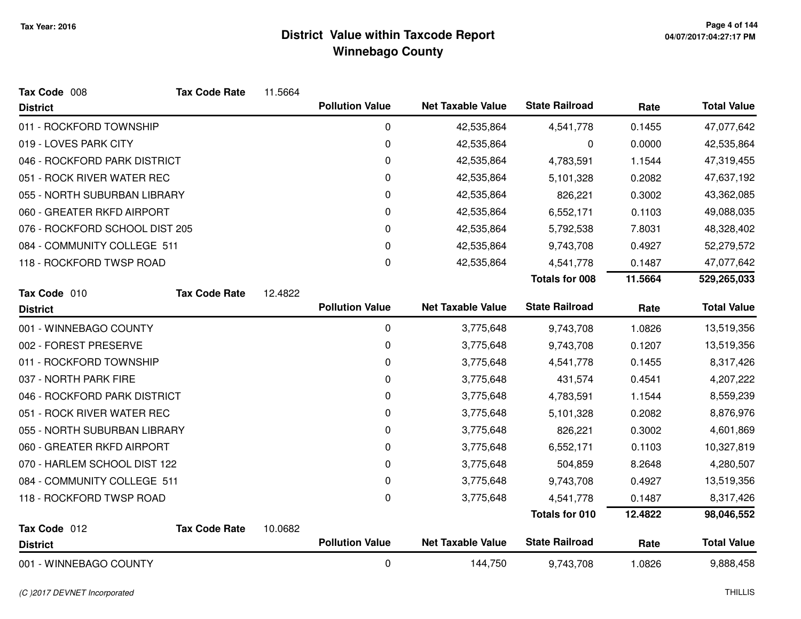| Tax Code 008                   | <b>Tax Code Rate</b> | 11.5664 |                        |                          |                       |         |                    |
|--------------------------------|----------------------|---------|------------------------|--------------------------|-----------------------|---------|--------------------|
| <b>District</b>                |                      |         | <b>Pollution Value</b> | <b>Net Taxable Value</b> | <b>State Railroad</b> | Rate    | <b>Total Value</b> |
| 011 - ROCKFORD TOWNSHIP        |                      |         | 0                      | 42,535,864               | 4,541,778             | 0.1455  | 47,077,642         |
| 019 - LOVES PARK CITY          |                      |         | $\pmb{0}$              | 42,535,864               | 0                     | 0.0000  | 42,535,864         |
| 046 - ROCKFORD PARK DISTRICT   |                      |         | $\pmb{0}$              | 42,535,864               | 4,783,591             | 1.1544  | 47,319,455         |
| 051 - ROCK RIVER WATER REC     |                      |         | 0                      | 42,535,864               | 5,101,328             | 0.2082  | 47,637,192         |
| 055 - NORTH SUBURBAN LIBRARY   |                      |         | 0                      | 42,535,864               | 826,221               | 0.3002  | 43,362,085         |
| 060 - GREATER RKFD AIRPORT     |                      |         | $\Omega$               | 42,535,864               | 6,552,171             | 0.1103  | 49,088,035         |
| 076 - ROCKFORD SCHOOL DIST 205 |                      |         | $\pmb{0}$              | 42,535,864               | 5,792,538             | 7.8031  | 48,328,402         |
| 084 - COMMUNITY COLLEGE 511    |                      |         | 0                      | 42,535,864               | 9,743,708             | 0.4927  | 52,279,572         |
| 118 - ROCKFORD TWSP ROAD       |                      |         | 0                      | 42,535,864               | 4,541,778             | 0.1487  | 47,077,642         |
|                                |                      |         |                        |                          | <b>Totals for 008</b> | 11.5664 | 529,265,033        |
| Tax Code 010                   | <b>Tax Code Rate</b> | 12.4822 |                        |                          |                       |         |                    |
| <b>District</b>                |                      |         | <b>Pollution Value</b> | <b>Net Taxable Value</b> | <b>State Railroad</b> | Rate    | <b>Total Value</b> |
| 001 - WINNEBAGO COUNTY         |                      |         | $\mathbf 0$            | 3,775,648                | 9,743,708             | 1.0826  | 13,519,356         |
| 002 - FOREST PRESERVE          |                      |         | $\pmb{0}$              | 3,775,648                | 9,743,708             | 0.1207  | 13,519,356         |
| 011 - ROCKFORD TOWNSHIP        |                      |         | 0                      | 3,775,648                | 4,541,778             | 0.1455  | 8,317,426          |
| 037 - NORTH PARK FIRE          |                      |         | 0                      | 3,775,648                | 431,574               | 0.4541  | 4,207,222          |
| 046 - ROCKFORD PARK DISTRICT   |                      |         | 0                      | 3,775,648                | 4,783,591             | 1.1544  | 8,559,239          |
| 051 - ROCK RIVER WATER REC     |                      |         | $\pmb{0}$              | 3,775,648                | 5,101,328             | 0.2082  | 8,876,976          |
| 055 - NORTH SUBURBAN LIBRARY   |                      |         | 0                      | 3,775,648                | 826,221               | 0.3002  | 4,601,869          |
| 060 - GREATER RKFD AIRPORT     |                      |         | 0                      | 3,775,648                | 6,552,171             | 0.1103  | 10,327,819         |
| 070 - HARLEM SCHOOL DIST 122   |                      |         | 0                      | 3,775,648                | 504,859               | 8.2648  | 4,280,507          |
| 084 - COMMUNITY COLLEGE 511    |                      |         | 0                      | 3,775,648                | 9,743,708             | 0.4927  | 13,519,356         |
| 118 - ROCKFORD TWSP ROAD       |                      |         | 0                      | 3,775,648                | 4,541,778             | 0.1487  | 8,317,426          |
|                                |                      |         |                        |                          | <b>Totals for 010</b> | 12.4822 | 98,046,552         |
| Tax Code 012                   | <b>Tax Code Rate</b> | 10.0682 |                        |                          |                       |         |                    |
| <b>District</b>                |                      |         | <b>Pollution Value</b> | <b>Net Taxable Value</b> | <b>State Railroad</b> | Rate    | <b>Total Value</b> |
| 001 - WINNEBAGO COUNTY         |                      |         | $\mathbf 0$            | 144,750                  | 9,743,708             | 1.0826  | 9,888,458          |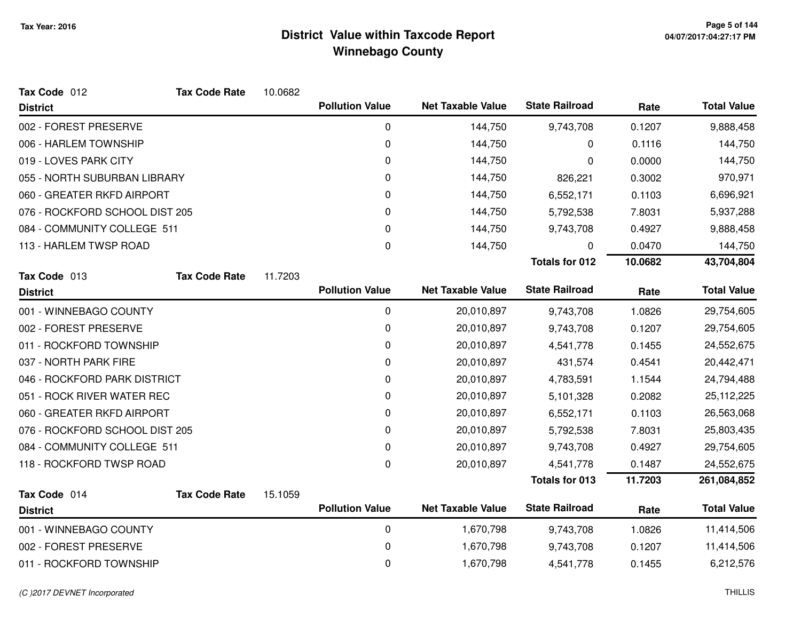| Tax Code 012                   | <b>Tax Code Rate</b> | 10.0682 |                        |                          |                       |            |                    |
|--------------------------------|----------------------|---------|------------------------|--------------------------|-----------------------|------------|--------------------|
| <b>District</b>                |                      |         | <b>Pollution Value</b> | <b>Net Taxable Value</b> | <b>State Railroad</b> | Rate       | <b>Total Value</b> |
| 002 - FOREST PRESERVE          |                      |         | 0                      | 144,750                  | 9,743,708             | 0.1207     | 9,888,458          |
| 006 - HARLEM TOWNSHIP          |                      |         | 0                      | 144,750                  | 0                     | 0.1116     | 144,750            |
| 019 - LOVES PARK CITY          |                      |         | 0                      | 144,750                  | 0                     | 0.0000     | 144,750            |
| 055 - NORTH SUBURBAN LIBRARY   |                      |         | 0                      | 144,750                  | 826,221               | 0.3002     | 970,971            |
| 060 - GREATER RKFD AIRPORT     |                      |         | 0                      | 144,750                  | 6,552,171             | 0.1103     | 6,696,921          |
| 076 - ROCKFORD SCHOOL DIST 205 |                      |         | 0                      | 144,750                  | 5,792,538             | 7.8031     | 5,937,288          |
| 084 - COMMUNITY COLLEGE 511    |                      |         | 0                      | 144,750                  | 9,743,708             | 0.4927     | 9,888,458          |
| 113 - HARLEM TWSP ROAD         |                      |         | 0                      | 144,750                  | 0                     | 0.0470     | 144,750            |
|                                |                      |         |                        |                          | <b>Totals for 012</b> | 10.0682    | 43,704,804         |
| Tax Code 013                   | <b>Tax Code Rate</b> | 11.7203 |                        |                          |                       |            |                    |
| <b>District</b>                |                      |         | <b>Pollution Value</b> | <b>Net Taxable Value</b> | <b>State Railroad</b> | Rate       | <b>Total Value</b> |
| 001 - WINNEBAGO COUNTY         |                      |         | $\mathbf 0$            | 20,010,897               | 9,743,708             | 1.0826     | 29,754,605         |
| 002 - FOREST PRESERVE          |                      |         | 0                      | 20,010,897               | 9,743,708             | 0.1207     | 29,754,605         |
| 011 - ROCKFORD TOWNSHIP        |                      |         | 0                      | 20,010,897               | 4,541,778             | 0.1455     | 24,552,675         |
| 037 - NORTH PARK FIRE          |                      |         | 0                      | 20,010,897               | 431,574               | 0.4541     | 20,442,471         |
| 046 - ROCKFORD PARK DISTRICT   |                      |         | 0                      | 20,010,897               | 4,783,591             | 1.1544     | 24,794,488         |
| 051 - ROCK RIVER WATER REC     |                      |         | 0                      | 20,010,897               | 5,101,328             | 0.2082     | 25, 112, 225       |
| 060 - GREATER RKFD AIRPORT     |                      |         | 0                      | 20,010,897               | 6,552,171             | 0.1103     | 26,563,068         |
| 076 - ROCKFORD SCHOOL DIST 205 |                      |         | 0                      | 20,010,897               | 5,792,538             | 7.8031     | 25,803,435         |
| 084 - COMMUNITY COLLEGE 511    |                      |         | 0                      | 20,010,897               | 9,743,708             | 0.4927     | 29,754,605         |
| 118 - ROCKFORD TWSP ROAD       |                      |         | 0                      | 20,010,897               | 4,541,778             | 0.1487     | 24,552,675         |
|                                |                      |         |                        |                          | <b>Totals for 013</b> | 11.7203    | 261,084,852        |
| Tax Code 014                   | <b>Tax Code Rate</b> | 15.1059 |                        |                          |                       |            |                    |
| <b>District</b>                |                      |         | <b>Pollution Value</b> | <b>Net Taxable Value</b> | <b>State Railroad</b> | Rate       | <b>Total Value</b> |
| 001 - WINNEBAGO COUNTY         |                      |         | $\pmb{0}$              | 1,670,798                | 9,743,708             | 1.0826     | 11,414,506         |
| 002 - FOREST PRESERVE          |                      | 0       | 1,670,798              | 9,743,708                | 0.1207                | 11,414,506 |                    |
| 011 - ROCKFORD TOWNSHIP        |                      |         | 0                      | 1,670,798                | 4,541,778             | 0.1455     | 6,212,576          |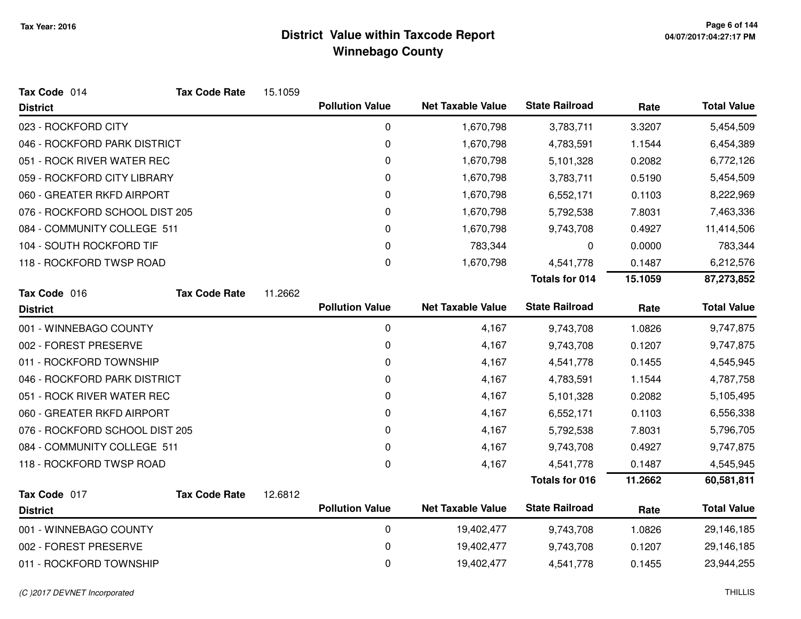| Tax Code 014                   | <b>Tax Code Rate</b> | 15.1059 |                        |                          |                       |         |                    |
|--------------------------------|----------------------|---------|------------------------|--------------------------|-----------------------|---------|--------------------|
| <b>District</b>                |                      |         | <b>Pollution Value</b> | <b>Net Taxable Value</b> | <b>State Railroad</b> | Rate    | <b>Total Value</b> |
| 023 - ROCKFORD CITY            |                      |         | 0                      | 1,670,798                | 3,783,711             | 3.3207  | 5,454,509          |
| 046 - ROCKFORD PARK DISTRICT   |                      |         | 0                      | 1,670,798                | 4,783,591             | 1.1544  | 6,454,389          |
| 051 - ROCK RIVER WATER REC     |                      |         | 0                      | 1,670,798                | 5,101,328             | 0.2082  | 6,772,126          |
| 059 - ROCKFORD CITY LIBRARY    |                      |         | 0                      | 1,670,798                | 3,783,711             | 0.5190  | 5,454,509          |
| 060 - GREATER RKFD AIRPORT     |                      |         | 0                      | 1,670,798                | 6,552,171             | 0.1103  | 8,222,969          |
| 076 - ROCKFORD SCHOOL DIST 205 |                      |         | 0                      | 1,670,798                | 5,792,538             | 7.8031  | 7,463,336          |
| 084 - COMMUNITY COLLEGE 511    |                      |         | 0                      | 1,670,798                | 9,743,708             | 0.4927  | 11,414,506         |
| 104 - SOUTH ROCKFORD TIF       |                      |         | 0                      | 783,344                  | 0                     | 0.0000  | 783,344            |
| 118 - ROCKFORD TWSP ROAD       |                      |         | 0                      | 1,670,798                | 4,541,778             | 0.1487  | 6,212,576          |
|                                |                      |         |                        |                          | <b>Totals for 014</b> | 15.1059 | 87,273,852         |
| Tax Code 016                   | <b>Tax Code Rate</b> | 11.2662 |                        |                          |                       |         |                    |
| <b>District</b>                |                      |         | <b>Pollution Value</b> | <b>Net Taxable Value</b> | <b>State Railroad</b> | Rate    | <b>Total Value</b> |
| 001 - WINNEBAGO COUNTY         |                      |         | 0                      | 4,167                    | 9,743,708             | 1.0826  | 9,747,875          |
| 002 - FOREST PRESERVE          |                      |         | 0                      | 4,167                    | 9,743,708             | 0.1207  | 9,747,875          |
| 011 - ROCKFORD TOWNSHIP        |                      |         | 0                      | 4,167                    | 4,541,778             | 0.1455  | 4,545,945          |
| 046 - ROCKFORD PARK DISTRICT   |                      |         | 0                      | 4,167                    | 4,783,591             | 1.1544  | 4,787,758          |
| 051 - ROCK RIVER WATER REC     |                      |         | 0                      | 4,167                    | 5,101,328             | 0.2082  | 5,105,495          |
| 060 - GREATER RKFD AIRPORT     |                      |         | 0                      | 4,167                    | 6,552,171             | 0.1103  | 6,556,338          |
| 076 - ROCKFORD SCHOOL DIST 205 |                      |         | 0                      | 4,167                    | 5,792,538             | 7.8031  | 5,796,705          |
| 084 - COMMUNITY COLLEGE 511    |                      |         | 0                      | 4,167                    | 9,743,708             | 0.4927  | 9,747,875          |
| 118 - ROCKFORD TWSP ROAD       |                      |         | $\mathbf 0$            | 4,167                    | 4,541,778             | 0.1487  | 4,545,945          |
|                                |                      |         |                        |                          | Totals for 016        | 11.2662 | 60,581,811         |
| Tax Code 017                   | <b>Tax Code Rate</b> | 12.6812 |                        |                          |                       |         |                    |
| <b>District</b>                |                      |         | <b>Pollution Value</b> | <b>Net Taxable Value</b> | <b>State Railroad</b> | Rate    | <b>Total Value</b> |
| 001 - WINNEBAGO COUNTY         |                      |         | 0                      | 19,402,477               | 9,743,708             | 1.0826  | 29,146,185         |
| 002 - FOREST PRESERVE          |                      |         | $\mathbf 0$            | 19,402,477               | 9,743,708             | 0.1207  | 29,146,185         |
| 011 - ROCKFORD TOWNSHIP        |                      |         | 0                      | 19,402,477               | 4,541,778             | 0.1455  | 23,944,255         |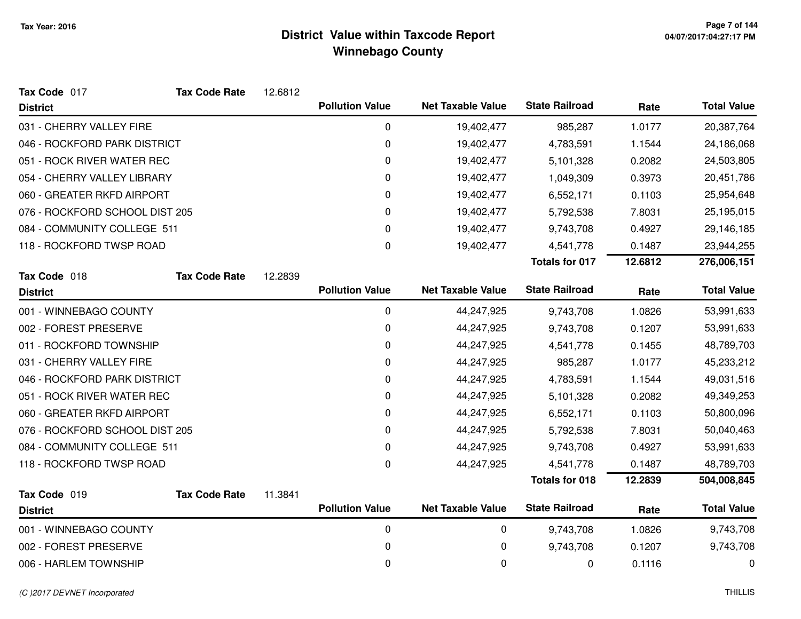| Tax Code 017                   | <b>Tax Code Rate</b> | 12.6812 |                        |                          |                       |           |                    |
|--------------------------------|----------------------|---------|------------------------|--------------------------|-----------------------|-----------|--------------------|
| <b>District</b>                |                      |         | <b>Pollution Value</b> | <b>Net Taxable Value</b> | <b>State Railroad</b> | Rate      | <b>Total Value</b> |
| 031 - CHERRY VALLEY FIRE       |                      |         | $\mathbf 0$            | 19,402,477               | 985,287               | 1.0177    | 20,387,764         |
| 046 - ROCKFORD PARK DISTRICT   |                      |         | 0                      | 19,402,477               | 4,783,591             | 1.1544    | 24,186,068         |
| 051 - ROCK RIVER WATER REC     |                      |         | 0                      | 19,402,477               | 5,101,328             | 0.2082    | 24,503,805         |
| 054 - CHERRY VALLEY LIBRARY    |                      |         | 0                      | 19,402,477               | 1,049,309             | 0.3973    | 20,451,786         |
| 060 - GREATER RKFD AIRPORT     |                      |         | 0                      | 19,402,477               | 6,552,171             | 0.1103    | 25,954,648         |
| 076 - ROCKFORD SCHOOL DIST 205 |                      |         | 0                      | 19,402,477               | 5,792,538             | 7.8031    | 25,195,015         |
| 084 - COMMUNITY COLLEGE 511    |                      |         | 0                      | 19,402,477               | 9,743,708             | 0.4927    | 29,146,185         |
| 118 - ROCKFORD TWSP ROAD       |                      |         | 0                      | 19,402,477               | 4,541,778             | 0.1487    | 23,944,255         |
|                                |                      |         |                        |                          | <b>Totals for 017</b> | 12.6812   | 276,006,151        |
| Tax Code 018                   | <b>Tax Code Rate</b> | 12.2839 |                        |                          |                       |           |                    |
| <b>District</b>                |                      |         | <b>Pollution Value</b> | <b>Net Taxable Value</b> | <b>State Railroad</b> | Rate      | <b>Total Value</b> |
| 001 - WINNEBAGO COUNTY         |                      |         | 0                      | 44,247,925               | 9,743,708             | 1.0826    | 53,991,633         |
| 002 - FOREST PRESERVE          |                      |         | 0                      | 44,247,925               | 9,743,708             | 0.1207    | 53,991,633         |
| 011 - ROCKFORD TOWNSHIP        |                      |         | 0                      | 44,247,925               | 4,541,778             | 0.1455    | 48,789,703         |
| 031 - CHERRY VALLEY FIRE       |                      |         | 0                      | 44,247,925               | 985,287               | 1.0177    | 45,233,212         |
| 046 - ROCKFORD PARK DISTRICT   |                      |         | 0                      | 44,247,925               | 4,783,591             | 1.1544    | 49,031,516         |
| 051 - ROCK RIVER WATER REC     |                      |         | 0                      | 44,247,925               | 5,101,328             | 0.2082    | 49,349,253         |
| 060 - GREATER RKFD AIRPORT     |                      |         | 0                      | 44,247,925               | 6,552,171             | 0.1103    | 50,800,096         |
| 076 - ROCKFORD SCHOOL DIST 205 |                      |         | 0                      | 44,247,925               | 5,792,538             | 7.8031    | 50,040,463         |
| 084 - COMMUNITY COLLEGE 511    |                      |         | 0                      | 44,247,925               | 9,743,708             | 0.4927    | 53,991,633         |
| 118 - ROCKFORD TWSP ROAD       |                      |         | 0                      | 44,247,925               | 4,541,778             | 0.1487    | 48,789,703         |
|                                |                      |         |                        |                          | <b>Totals for 018</b> | 12.2839   | 504,008,845        |
| Tax Code 019                   | <b>Tax Code Rate</b> | 11.3841 |                        |                          |                       |           |                    |
| <b>District</b>                |                      |         | <b>Pollution Value</b> | <b>Net Taxable Value</b> | <b>State Railroad</b> | Rate      | <b>Total Value</b> |
| 001 - WINNEBAGO COUNTY         |                      |         | $\pmb{0}$              | 0                        | 9,743,708             | 1.0826    | 9,743,708          |
| 002 - FOREST PRESERVE          |                      | 0       | 0                      | 9,743,708                | 0.1207                | 9,743,708 |                    |
| 006 - HARLEM TOWNSHIP          |                      |         | 0                      | 0                        | 0                     | 0.1116    | 0                  |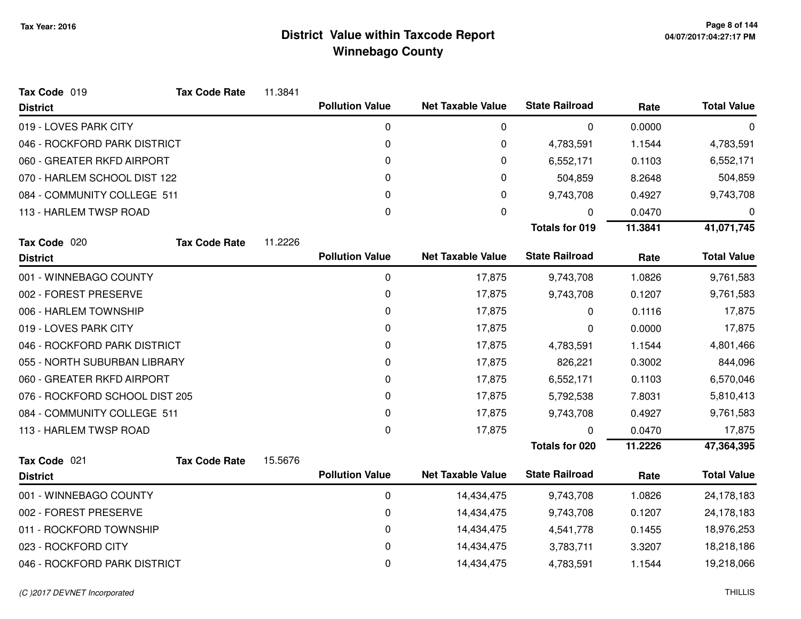| Tax Code 019                   | <b>Tax Code Rate</b> | 11.3841 |                        |                          |                       |         |                    |
|--------------------------------|----------------------|---------|------------------------|--------------------------|-----------------------|---------|--------------------|
| <b>District</b>                |                      |         | <b>Pollution Value</b> | <b>Net Taxable Value</b> | <b>State Railroad</b> | Rate    | <b>Total Value</b> |
| 019 - LOVES PARK CITY          |                      |         | 0                      | 0                        | 0                     | 0.0000  | 0                  |
| 046 - ROCKFORD PARK DISTRICT   |                      |         | 0                      | 0                        | 4,783,591             | 1.1544  | 4,783,591          |
| 060 - GREATER RKFD AIRPORT     |                      |         | 0                      | 0                        | 6,552,171             | 0.1103  | 6,552,171          |
| 070 - HARLEM SCHOOL DIST 122   |                      |         | 0                      | 0                        | 504,859               | 8.2648  | 504,859            |
| 084 - COMMUNITY COLLEGE 511    |                      |         | 0                      | 0                        | 9,743,708             | 0.4927  | 9,743,708          |
| 113 - HARLEM TWSP ROAD         |                      |         | 0                      | 0                        | 0                     | 0.0470  | 0                  |
|                                |                      |         |                        |                          | <b>Totals for 019</b> | 11.3841 | 41,071,745         |
| Tax Code 020                   | <b>Tax Code Rate</b> | 11.2226 |                        |                          |                       |         |                    |
| <b>District</b>                |                      |         | <b>Pollution Value</b> | <b>Net Taxable Value</b> | <b>State Railroad</b> | Rate    | <b>Total Value</b> |
| 001 - WINNEBAGO COUNTY         |                      |         | 0                      | 17,875                   | 9,743,708             | 1.0826  | 9,761,583          |
| 002 - FOREST PRESERVE          |                      |         | 0                      | 17,875                   | 9,743,708             | 0.1207  | 9,761,583          |
| 006 - HARLEM TOWNSHIP          |                      |         | 0                      | 17,875                   | 0                     | 0.1116  | 17,875             |
| 019 - LOVES PARK CITY          |                      |         | 0                      | 17,875                   | 0                     | 0.0000  | 17,875             |
| 046 - ROCKFORD PARK DISTRICT   |                      |         | 0                      | 17,875                   | 4,783,591             | 1.1544  | 4,801,466          |
| 055 - NORTH SUBURBAN LIBRARY   |                      |         | 0                      | 17,875                   | 826,221               | 0.3002  | 844,096            |
| 060 - GREATER RKFD AIRPORT     |                      |         | 0                      | 17,875                   | 6,552,171             | 0.1103  | 6,570,046          |
| 076 - ROCKFORD SCHOOL DIST 205 |                      |         | 0                      | 17,875                   | 5,792,538             | 7.8031  | 5,810,413          |
| 084 - COMMUNITY COLLEGE 511    |                      |         | 0                      | 17,875                   | 9,743,708             | 0.4927  | 9,761,583          |
| 113 - HARLEM TWSP ROAD         |                      |         | $\mathbf 0$            | 17,875                   | 0                     | 0.0470  | 17,875             |
|                                |                      |         |                        |                          | <b>Totals for 020</b> | 11.2226 | 47,364,395         |
| Tax Code 021                   | <b>Tax Code Rate</b> | 15.5676 |                        |                          |                       |         |                    |
| <b>District</b>                |                      |         | <b>Pollution Value</b> | <b>Net Taxable Value</b> | <b>State Railroad</b> | Rate    | <b>Total Value</b> |
| 001 - WINNEBAGO COUNTY         |                      |         | 0                      | 14,434,475               | 9,743,708             | 1.0826  | 24,178,183         |
| 002 - FOREST PRESERVE          |                      |         | 0                      | 14,434,475               | 9,743,708             | 0.1207  | 24,178,183         |
| 011 - ROCKFORD TOWNSHIP        |                      |         | 0                      | 14,434,475               | 4,541,778             | 0.1455  | 18,976,253         |
| 023 - ROCKFORD CITY            |                      |         | 0                      | 14,434,475               | 3,783,711             | 3.3207  | 18,218,186         |
| 046 - ROCKFORD PARK DISTRICT   |                      |         | 0                      | 14,434,475               | 4,783,591             | 1.1544  | 19,218,066         |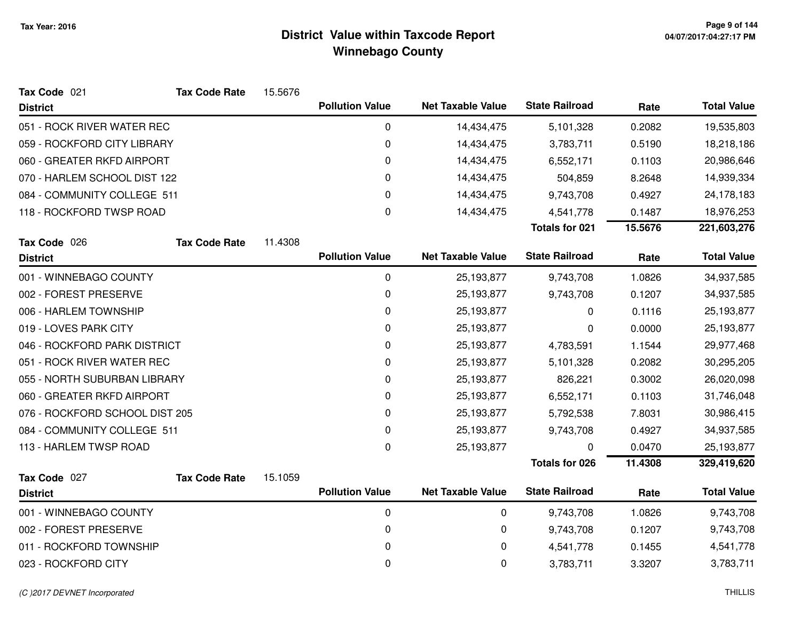| Tax Code 021                   | <b>Tax Code Rate</b> | 15.5676 |                        |                          |                       |         |                    |
|--------------------------------|----------------------|---------|------------------------|--------------------------|-----------------------|---------|--------------------|
| <b>District</b>                |                      |         | <b>Pollution Value</b> | <b>Net Taxable Value</b> | <b>State Railroad</b> | Rate    | <b>Total Value</b> |
| 051 - ROCK RIVER WATER REC     |                      |         | 0                      | 14,434,475               | 5,101,328             | 0.2082  | 19,535,803         |
| 059 - ROCKFORD CITY LIBRARY    |                      |         | 0                      | 14,434,475               | 3,783,711             | 0.5190  | 18,218,186         |
| 060 - GREATER RKFD AIRPORT     |                      |         | 0                      | 14,434,475               | 6,552,171             | 0.1103  | 20,986,646         |
| 070 - HARLEM SCHOOL DIST 122   |                      |         | 0                      | 14,434,475               | 504,859               | 8.2648  | 14,939,334         |
| 084 - COMMUNITY COLLEGE 511    |                      |         | 0                      | 14,434,475               | 9,743,708             | 0.4927  | 24,178,183         |
| 118 - ROCKFORD TWSP ROAD       |                      |         | 0                      | 14,434,475               | 4,541,778             | 0.1487  | 18,976,253         |
|                                |                      |         |                        |                          | <b>Totals for 021</b> | 15.5676 | 221,603,276        |
| Tax Code 026                   | <b>Tax Code Rate</b> | 11.4308 |                        |                          |                       |         |                    |
| <b>District</b>                |                      |         | <b>Pollution Value</b> | <b>Net Taxable Value</b> | <b>State Railroad</b> | Rate    | <b>Total Value</b> |
| 001 - WINNEBAGO COUNTY         |                      |         | 0                      | 25,193,877               | 9,743,708             | 1.0826  | 34,937,585         |
| 002 - FOREST PRESERVE          |                      |         | 0                      | 25,193,877               | 9,743,708             | 0.1207  | 34,937,585         |
| 006 - HARLEM TOWNSHIP          |                      |         | 0                      | 25,193,877               | 0                     | 0.1116  | 25,193,877         |
| 019 - LOVES PARK CITY          |                      |         | 0                      | 25,193,877               | 0                     | 0.0000  | 25,193,877         |
| 046 - ROCKFORD PARK DISTRICT   |                      |         | $\mathbf 0$            | 25,193,877               | 4,783,591             | 1.1544  | 29,977,468         |
| 051 - ROCK RIVER WATER REC     |                      |         | 0                      | 25,193,877               | 5,101,328             | 0.2082  | 30,295,205         |
| 055 - NORTH SUBURBAN LIBRARY   |                      |         | 0                      | 25,193,877               | 826,221               | 0.3002  | 26,020,098         |
| 060 - GREATER RKFD AIRPORT     |                      |         | 0                      | 25,193,877               | 6,552,171             | 0.1103  | 31,746,048         |
| 076 - ROCKFORD SCHOOL DIST 205 |                      |         | 0                      | 25,193,877               | 5,792,538             | 7.8031  | 30,986,415         |
| 084 - COMMUNITY COLLEGE 511    |                      |         | 0                      | 25,193,877               | 9,743,708             | 0.4927  | 34,937,585         |
| 113 - HARLEM TWSP ROAD         |                      |         | 0                      | 25,193,877               |                       | 0.0470  | 25,193,877         |
|                                |                      |         |                        |                          | <b>Totals for 026</b> | 11.4308 | 329,419,620        |
| Tax Code 027                   | <b>Tax Code Rate</b> | 15.1059 |                        |                          |                       |         |                    |
| <b>District</b>                |                      |         | <b>Pollution Value</b> | <b>Net Taxable Value</b> | <b>State Railroad</b> | Rate    | <b>Total Value</b> |
| 001 - WINNEBAGO COUNTY         |                      |         | $\pmb{0}$              | 0                        | 9,743,708             | 1.0826  | 9,743,708          |
| 002 - FOREST PRESERVE          |                      |         | 0                      | 0                        | 9,743,708             | 0.1207  | 9,743,708          |
| 011 - ROCKFORD TOWNSHIP        |                      |         | 0                      | 0                        | 4,541,778             | 0.1455  | 4,541,778          |
| 023 - ROCKFORD CITY            |                      |         | 0                      | 0                        | 3,783,711             | 3.3207  | 3,783,711          |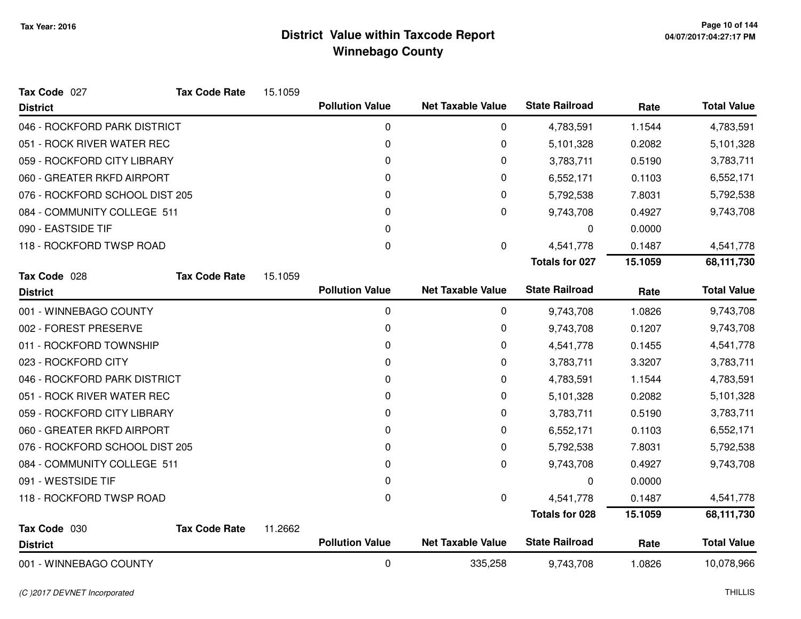| Tax Code 027                   | <b>Tax Code Rate</b> | 15.1059 |                        |                          |                       |         |                    |
|--------------------------------|----------------------|---------|------------------------|--------------------------|-----------------------|---------|--------------------|
| <b>District</b>                |                      |         | <b>Pollution Value</b> | <b>Net Taxable Value</b> | <b>State Railroad</b> | Rate    | <b>Total Value</b> |
| 046 - ROCKFORD PARK DISTRICT   |                      |         | 0                      | 0                        | 4,783,591             | 1.1544  | 4,783,591          |
| 051 - ROCK RIVER WATER REC     |                      |         | 0                      | 0                        | 5,101,328             | 0.2082  | 5,101,328          |
| 059 - ROCKFORD CITY LIBRARY    |                      |         | 0                      | 0                        | 3,783,711             | 0.5190  | 3,783,711          |
| 060 - GREATER RKFD AIRPORT     |                      |         | 0                      | 0                        | 6,552,171             | 0.1103  | 6,552,171          |
| 076 - ROCKFORD SCHOOL DIST 205 |                      |         | 0                      | 0                        | 5,792,538             | 7.8031  | 5,792,538          |
| 084 - COMMUNITY COLLEGE 511    |                      |         | 0                      | 0                        | 9,743,708             | 0.4927  | 9,743,708          |
| 090 - EASTSIDE TIF             |                      |         | 0                      |                          | 0                     | 0.0000  |                    |
| 118 - ROCKFORD TWSP ROAD       |                      |         | 0                      | 0                        | 4,541,778             | 0.1487  | 4,541,778          |
|                                |                      |         |                        |                          | <b>Totals for 027</b> | 15.1059 | 68,111,730         |
| Tax Code 028                   | <b>Tax Code Rate</b> | 15.1059 |                        |                          |                       |         |                    |
| <b>District</b>                |                      |         | <b>Pollution Value</b> | <b>Net Taxable Value</b> | <b>State Railroad</b> | Rate    | <b>Total Value</b> |
| 001 - WINNEBAGO COUNTY         |                      |         | 0                      | 0                        | 9,743,708             | 1.0826  | 9,743,708          |
| 002 - FOREST PRESERVE          |                      |         | 0                      | 0                        | 9,743,708             | 0.1207  | 9,743,708          |
| 011 - ROCKFORD TOWNSHIP        |                      |         | 0                      | 0                        | 4,541,778             | 0.1455  | 4,541,778          |
| 023 - ROCKFORD CITY            |                      |         | 0                      | 0                        | 3,783,711             | 3.3207  | 3,783,711          |
| 046 - ROCKFORD PARK DISTRICT   |                      |         | 0                      | 0                        | 4,783,591             | 1.1544  | 4,783,591          |
| 051 - ROCK RIVER WATER REC     |                      |         | 0                      | 0                        | 5,101,328             | 0.2082  | 5,101,328          |
| 059 - ROCKFORD CITY LIBRARY    |                      |         | 0                      | 0                        | 3,783,711             | 0.5190  | 3,783,711          |
| 060 - GREATER RKFD AIRPORT     |                      |         | 0                      | 0                        | 6,552,171             | 0.1103  | 6,552,171          |
| 076 - ROCKFORD SCHOOL DIST 205 |                      |         | 0                      | 0                        | 5,792,538             | 7.8031  | 5,792,538          |
| 084 - COMMUNITY COLLEGE 511    |                      |         | 0                      | 0                        | 9,743,708             | 0.4927  | 9,743,708          |
| 091 - WESTSIDE TIF             |                      |         | 0                      |                          | 0                     | 0.0000  |                    |
| 118 - ROCKFORD TWSP ROAD       |                      |         | 0                      | 0                        | 4,541,778             | 0.1487  | 4,541,778          |
|                                |                      |         |                        |                          | <b>Totals for 028</b> | 15.1059 | 68,111,730         |
| Tax Code 030                   | <b>Tax Code Rate</b> | 11.2662 |                        |                          |                       |         |                    |
| <b>District</b>                |                      |         | <b>Pollution Value</b> | <b>Net Taxable Value</b> | <b>State Railroad</b> | Rate    | <b>Total Value</b> |
| 001 - WINNEBAGO COUNTY         |                      |         | 0                      | 335,258                  | 9,743,708             | 1.0826  | 10,078,966         |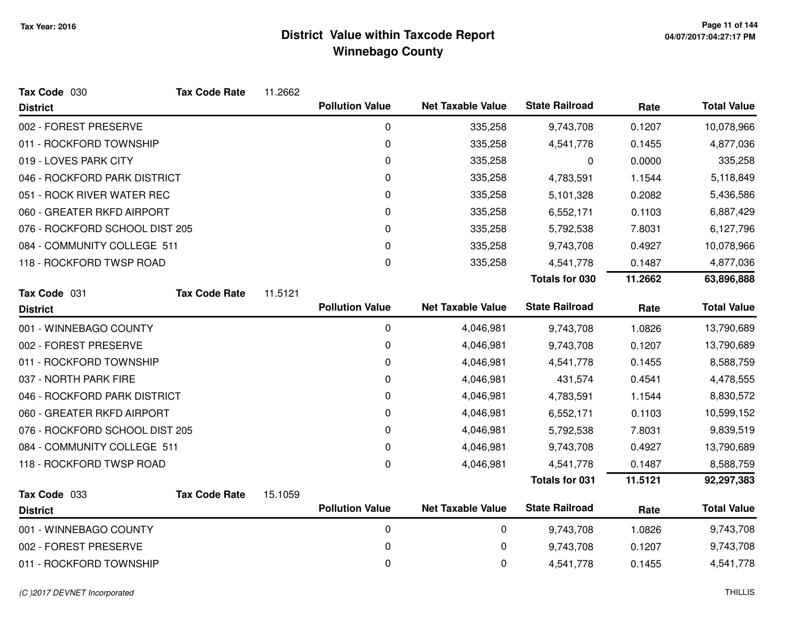| Tax Code 030                   | <b>Tax Code Rate</b> | 11.2662 |                        |                          |                       |         |                    |
|--------------------------------|----------------------|---------|------------------------|--------------------------|-----------------------|---------|--------------------|
| <b>District</b>                |                      |         | <b>Pollution Value</b> | <b>Net Taxable Value</b> | <b>State Railroad</b> | Rate    | <b>Total Value</b> |
| 002 - FOREST PRESERVE          |                      |         | 0                      | 335,258                  | 9,743,708             | 0.1207  | 10,078,966         |
| 011 - ROCKFORD TOWNSHIP        |                      |         | 0                      | 335,258                  | 4,541,778             | 0.1455  | 4,877,036          |
| 019 - LOVES PARK CITY          |                      |         | 0                      | 335,258                  | 0                     | 0.0000  | 335,258            |
| 046 - ROCKFORD PARK DISTRICT   |                      |         | 0                      | 335,258                  | 4,783,591             | 1.1544  | 5,118,849          |
| 051 - ROCK RIVER WATER REC     |                      |         | 0                      | 335,258                  | 5,101,328             | 0.2082  | 5,436,586          |
| 060 - GREATER RKFD AIRPORT     |                      |         | 0                      | 335,258                  | 6,552,171             | 0.1103  | 6,887,429          |
| 076 - ROCKFORD SCHOOL DIST 205 |                      |         | 0                      | 335,258                  | 5,792,538             | 7.8031  | 6,127,796          |
| 084 - COMMUNITY COLLEGE 511    |                      |         | 0                      | 335,258                  | 9,743,708             | 0.4927  | 10,078,966         |
| 118 - ROCKFORD TWSP ROAD       |                      |         | 0                      | 335,258                  | 4,541,778             | 0.1487  | 4,877,036          |
|                                |                      |         |                        |                          | <b>Totals for 030</b> | 11.2662 | 63,896,888         |
| Tax Code 031                   | <b>Tax Code Rate</b> | 11.5121 |                        |                          |                       |         |                    |
| <b>District</b>                |                      |         | <b>Pollution Value</b> | <b>Net Taxable Value</b> | <b>State Railroad</b> | Rate    | <b>Total Value</b> |
| 001 - WINNEBAGO COUNTY         |                      |         | 0                      | 4,046,981                | 9,743,708             | 1.0826  | 13,790,689         |
| 002 - FOREST PRESERVE          |                      |         | 0                      | 4,046,981                | 9,743,708             | 0.1207  | 13,790,689         |
| 011 - ROCKFORD TOWNSHIP        |                      |         | 0                      | 4,046,981                | 4,541,778             | 0.1455  | 8,588,759          |
| 037 - NORTH PARK FIRE          |                      |         | 0                      | 4,046,981                | 431,574               | 0.4541  | 4,478,555          |
| 046 - ROCKFORD PARK DISTRICT   |                      |         | 0                      | 4,046,981                | 4,783,591             | 1.1544  | 8,830,572          |
| 060 - GREATER RKFD AIRPORT     |                      |         | 0                      | 4,046,981                | 6,552,171             | 0.1103  | 10,599,152         |
| 076 - ROCKFORD SCHOOL DIST 205 |                      |         | 0                      | 4,046,981                | 5,792,538             | 7.8031  | 9,839,519          |
| 084 - COMMUNITY COLLEGE 511    |                      |         | 0                      | 4,046,981                | 9,743,708             | 0.4927  | 13,790,689         |
| 118 - ROCKFORD TWSP ROAD       |                      |         | $\pmb{0}$              | 4,046,981                | 4,541,778             | 0.1487  | 8,588,759          |
|                                |                      |         |                        |                          | <b>Totals for 031</b> | 11.5121 | 92,297,383         |
| Tax Code 033                   | <b>Tax Code Rate</b> | 15.1059 |                        |                          |                       |         |                    |
| <b>District</b>                |                      |         | <b>Pollution Value</b> | <b>Net Taxable Value</b> | <b>State Railroad</b> | Rate    | <b>Total Value</b> |
| 001 - WINNEBAGO COUNTY         |                      |         | 0                      | 0                        | 9,743,708             | 1.0826  | 9,743,708          |
| 002 - FOREST PRESERVE          |                      |         | 0                      | 0                        | 9,743,708             | 0.1207  | 9,743,708          |
| 011 - ROCKFORD TOWNSHIP        |                      |         | 0                      | 0                        | 4,541,778             | 0.1455  | 4,541,778          |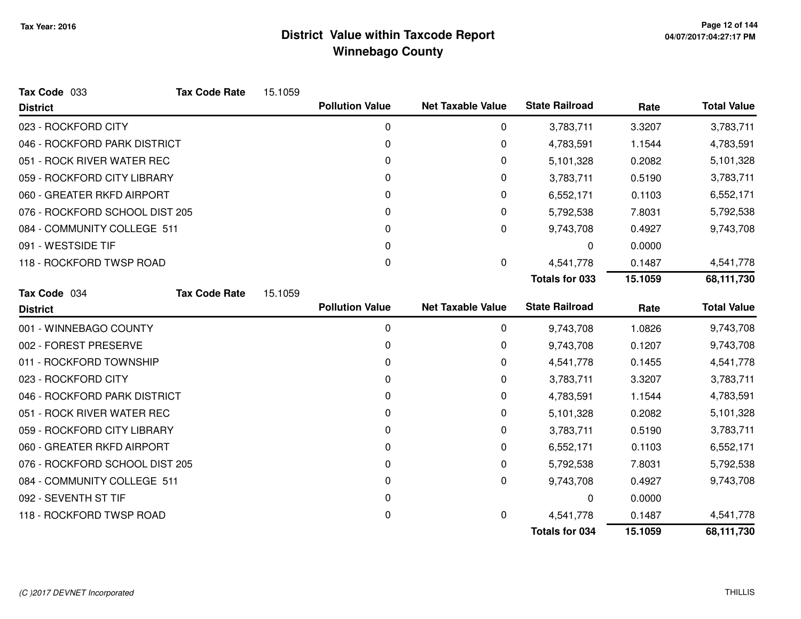| Tax Code 033                   | <b>Tax Code Rate</b> | 15.1059 |                        |                          |                       |         |                    |
|--------------------------------|----------------------|---------|------------------------|--------------------------|-----------------------|---------|--------------------|
| <b>District</b>                |                      |         | <b>Pollution Value</b> | <b>Net Taxable Value</b> | <b>State Railroad</b> | Rate    | <b>Total Value</b> |
| 023 - ROCKFORD CITY            |                      |         | 0                      | 0                        | 3,783,711             | 3.3207  | 3,783,711          |
| 046 - ROCKFORD PARK DISTRICT   |                      |         | 0                      | 0                        | 4,783,591             | 1.1544  | 4,783,591          |
| 051 - ROCK RIVER WATER REC     |                      |         | 0                      | 0                        | 5,101,328             | 0.2082  | 5,101,328          |
| 059 - ROCKFORD CITY LIBRARY    |                      |         | 0                      | 0                        | 3,783,711             | 0.5190  | 3,783,711          |
| 060 - GREATER RKFD AIRPORT     |                      |         | 0                      | 0                        | 6,552,171             | 0.1103  | 6,552,171          |
| 076 - ROCKFORD SCHOOL DIST 205 |                      |         | 0                      | 0                        | 5,792,538             | 7.8031  | 5,792,538          |
| 084 - COMMUNITY COLLEGE 511    |                      |         | 0                      | 0                        | 9,743,708             | 0.4927  | 9,743,708          |
| 091 - WESTSIDE TIF             |                      |         | 0                      |                          | 0                     | 0.0000  |                    |
| 118 - ROCKFORD TWSP ROAD       |                      |         | 0                      | 0                        | 4,541,778             | 0.1487  | 4,541,778          |
|                                |                      |         |                        |                          | <b>Totals for 033</b> | 15.1059 | 68,111,730         |
| Tax Code 034                   | <b>Tax Code Rate</b> | 15.1059 |                        |                          |                       |         |                    |
| <b>District</b>                |                      |         | <b>Pollution Value</b> | <b>Net Taxable Value</b> | <b>State Railroad</b> | Rate    | <b>Total Value</b> |
| 001 - WINNEBAGO COUNTY         |                      |         | 0                      | 0                        | 9,743,708             | 1.0826  | 9,743,708          |
| 002 - FOREST PRESERVE          |                      |         | 0                      | 0                        | 9,743,708             | 0.1207  | 9,743,708          |
| 011 - ROCKFORD TOWNSHIP        |                      |         | 0                      | 0                        | 4,541,778             | 0.1455  | 4,541,778          |
| 023 - ROCKFORD CITY            |                      |         | 0                      | 0                        | 3,783,711             | 3.3207  | 3,783,711          |
| 046 - ROCKFORD PARK DISTRICT   |                      |         | 0                      | 0                        | 4,783,591             | 1.1544  | 4,783,591          |
| 051 - ROCK RIVER WATER REC     |                      |         | 0                      | 0                        | 5,101,328             | 0.2082  | 5,101,328          |
| 059 - ROCKFORD CITY LIBRARY    |                      |         | 0                      | 0                        | 3,783,711             | 0.5190  | 3,783,711          |
| 060 - GREATER RKFD AIRPORT     |                      |         | 0                      | 0                        | 6,552,171             | 0.1103  | 6,552,171          |
| 076 - ROCKFORD SCHOOL DIST 205 |                      |         | 0                      | 0                        | 5,792,538             | 7.8031  | 5,792,538          |
| 084 - COMMUNITY COLLEGE 511    |                      |         | 0                      | 0                        | 9,743,708             | 0.4927  | 9,743,708          |
| 092 - SEVENTH ST TIF           |                      |         | 0                      |                          | 0                     | 0.0000  |                    |
| 118 - ROCKFORD TWSP ROAD       |                      |         | 0                      | 0                        | 4,541,778             | 0.1487  | 4,541,778          |
|                                |                      |         |                        |                          | <b>Totals for 034</b> | 15.1059 | 68,111,730         |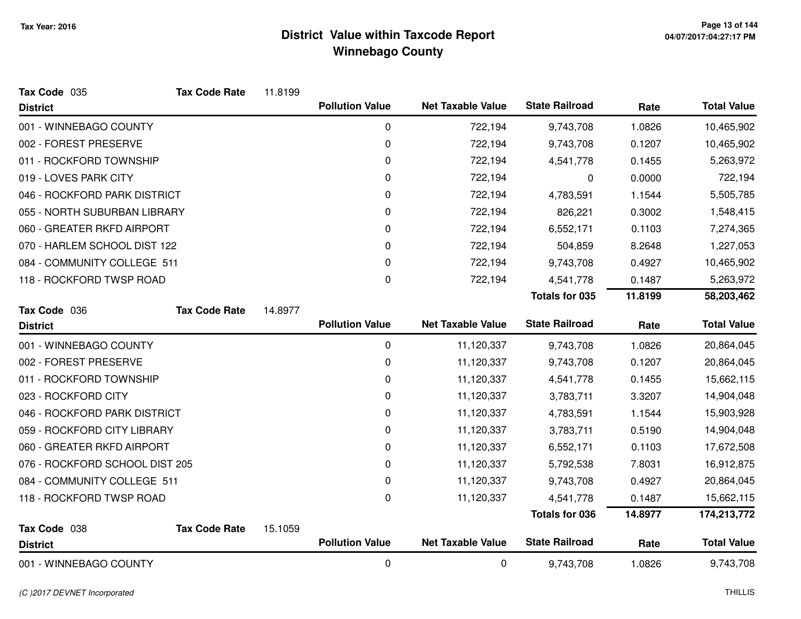| Tax Code 035                   | <b>Tax Code Rate</b> | 11.8199 |                        |                          |                       |         |                    |
|--------------------------------|----------------------|---------|------------------------|--------------------------|-----------------------|---------|--------------------|
| <b>District</b>                |                      |         | <b>Pollution Value</b> | <b>Net Taxable Value</b> | <b>State Railroad</b> | Rate    | <b>Total Value</b> |
| 001 - WINNEBAGO COUNTY         |                      |         | 0                      | 722,194                  | 9,743,708             | 1.0826  | 10,465,902         |
| 002 - FOREST PRESERVE          |                      |         | 0                      | 722,194                  | 9,743,708             | 0.1207  | 10,465,902         |
| 011 - ROCKFORD TOWNSHIP        |                      |         | 0                      | 722,194                  | 4,541,778             | 0.1455  | 5,263,972          |
| 019 - LOVES PARK CITY          |                      |         | 0                      | 722,194                  | 0                     | 0.0000  | 722,194            |
| 046 - ROCKFORD PARK DISTRICT   |                      |         | 0                      | 722,194                  | 4,783,591             | 1.1544  | 5,505,785          |
| 055 - NORTH SUBURBAN LIBRARY   |                      |         | 0                      | 722,194                  | 826,221               | 0.3002  | 1,548,415          |
| 060 - GREATER RKFD AIRPORT     |                      |         | 0                      | 722,194                  | 6,552,171             | 0.1103  | 7,274,365          |
| 070 - HARLEM SCHOOL DIST 122   |                      |         | 0                      | 722,194                  | 504,859               | 8.2648  | 1,227,053          |
| 084 - COMMUNITY COLLEGE 511    |                      |         | 0                      | 722,194                  | 9,743,708             | 0.4927  | 10,465,902         |
| 118 - ROCKFORD TWSP ROAD       |                      |         | $\mathbf 0$            | 722,194                  | 4,541,778             | 0.1487  | 5,263,972          |
|                                |                      |         |                        |                          | <b>Totals for 035</b> | 11.8199 | 58,203,462         |
| Tax Code 036                   | <b>Tax Code Rate</b> | 14.8977 |                        |                          |                       |         |                    |
| <b>District</b>                |                      |         | <b>Pollution Value</b> | <b>Net Taxable Value</b> | <b>State Railroad</b> | Rate    | <b>Total Value</b> |
| 001 - WINNEBAGO COUNTY         |                      |         | 0                      | 11,120,337               | 9,743,708             | 1.0826  | 20,864,045         |
| 002 - FOREST PRESERVE          |                      |         | 0                      | 11,120,337               | 9,743,708             | 0.1207  | 20,864,045         |
| 011 - ROCKFORD TOWNSHIP        |                      |         | 0                      | 11,120,337               | 4,541,778             | 0.1455  | 15,662,115         |
| 023 - ROCKFORD CITY            |                      |         | 0                      | 11,120,337               | 3,783,711             | 3.3207  | 14,904,048         |
| 046 - ROCKFORD PARK DISTRICT   |                      |         | 0                      | 11,120,337               | 4,783,591             | 1.1544  | 15,903,928         |
| 059 - ROCKFORD CITY LIBRARY    |                      |         | 0                      | 11,120,337               | 3,783,711             | 0.5190  | 14,904,048         |
| 060 - GREATER RKFD AIRPORT     |                      |         | 0                      | 11,120,337               | 6,552,171             | 0.1103  | 17,672,508         |
| 076 - ROCKFORD SCHOOL DIST 205 |                      |         | 0                      | 11,120,337               | 5,792,538             | 7.8031  | 16,912,875         |
| 084 - COMMUNITY COLLEGE 511    |                      |         | 0                      | 11,120,337               | 9,743,708             | 0.4927  | 20,864,045         |
| 118 - ROCKFORD TWSP ROAD       |                      |         | 0                      | 11,120,337               | 4,541,778             | 0.1487  | 15,662,115         |
|                                |                      |         |                        |                          | <b>Totals for 036</b> | 14.8977 | 174,213,772        |
| Tax Code 038                   | <b>Tax Code Rate</b> | 15.1059 |                        |                          |                       |         |                    |
| <b>District</b>                |                      |         | <b>Pollution Value</b> | <b>Net Taxable Value</b> | <b>State Railroad</b> | Rate    | <b>Total Value</b> |
| 001 - WINNEBAGO COUNTY         |                      |         | $\pmb{0}$              | 0                        | 9,743,708             | 1.0826  | 9,743,708          |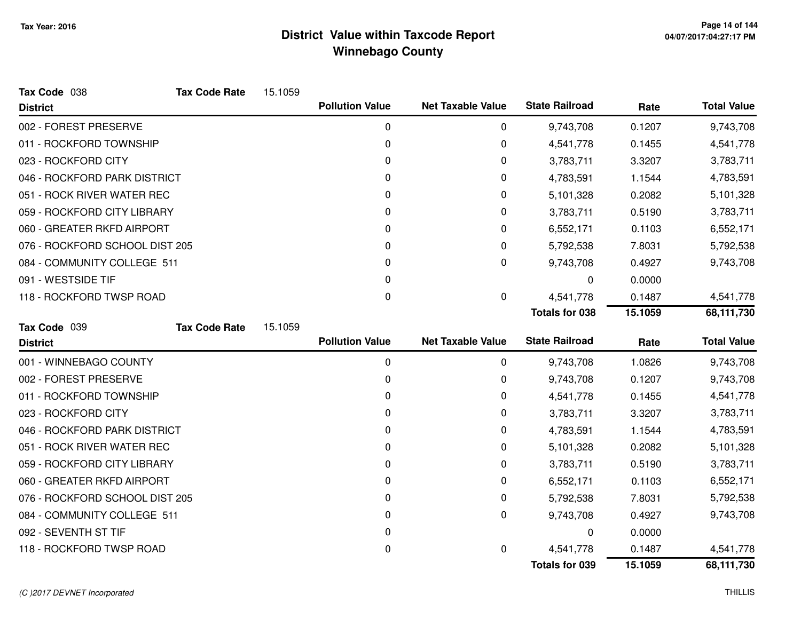| Tax Code 038                   | <b>Tax Code Rate</b> | 15.1059 |                        |                          |                       |         |                    |
|--------------------------------|----------------------|---------|------------------------|--------------------------|-----------------------|---------|--------------------|
| <b>District</b>                |                      |         | <b>Pollution Value</b> | <b>Net Taxable Value</b> | <b>State Railroad</b> | Rate    | <b>Total Value</b> |
| 002 - FOREST PRESERVE          |                      |         | 0                      | 0                        | 9,743,708             | 0.1207  | 9,743,708          |
| 011 - ROCKFORD TOWNSHIP        |                      |         | 0                      | 0                        | 4,541,778             | 0.1455  | 4,541,778          |
| 023 - ROCKFORD CITY            |                      |         | 0                      | 0                        | 3,783,711             | 3.3207  | 3,783,711          |
| 046 - ROCKFORD PARK DISTRICT   |                      |         | 0                      | 0                        | 4,783,591             | 1.1544  | 4,783,591          |
| 051 - ROCK RIVER WATER REC     |                      |         | 0                      | 0                        | 5,101,328             | 0.2082  | 5,101,328          |
| 059 - ROCKFORD CITY LIBRARY    |                      |         | 0                      | 0                        | 3,783,711             | 0.5190  | 3,783,711          |
| 060 - GREATER RKFD AIRPORT     |                      |         | 0                      | 0                        | 6,552,171             | 0.1103  | 6,552,171          |
| 076 - ROCKFORD SCHOOL DIST 205 |                      |         | 0                      | 0                        | 5,792,538             | 7.8031  | 5,792,538          |
| 084 - COMMUNITY COLLEGE 511    |                      |         | 0                      | 0                        | 9,743,708             | 0.4927  | 9,743,708          |
| 091 - WESTSIDE TIF             |                      |         | 0                      |                          | 0                     | 0.0000  |                    |
| 118 - ROCKFORD TWSP ROAD       |                      |         | 0                      | 0                        | 4,541,778             | 0.1487  | 4,541,778          |
|                                |                      |         |                        |                          | <b>Totals for 038</b> | 15.1059 | 68,111,730         |
| Tax Code 039                   | <b>Tax Code Rate</b> | 15.1059 |                        |                          |                       |         |                    |
| <b>District</b>                |                      |         | <b>Pollution Value</b> | <b>Net Taxable Value</b> | <b>State Railroad</b> | Rate    | <b>Total Value</b> |
| 001 - WINNEBAGO COUNTY         |                      |         | 0                      | 0                        | 9,743,708             | 1.0826  | 9,743,708          |
| 002 - FOREST PRESERVE          |                      |         | 0                      | 0                        | 9,743,708             | 0.1207  | 9,743,708          |
| 011 - ROCKFORD TOWNSHIP        |                      |         | 0                      | 0                        | 4,541,778             | 0.1455  | 4,541,778          |
| 023 - ROCKFORD CITY            |                      |         |                        |                          |                       |         |                    |
|                                |                      |         | 0                      | 0                        | 3,783,711             | 3.3207  | 3,783,711          |
| 046 - ROCKFORD PARK DISTRICT   |                      |         | 0                      | 0                        | 4,783,591             | 1.1544  | 4,783,591          |
| 051 - ROCK RIVER WATER REC     |                      |         | 0                      | 0                        | 5,101,328             | 0.2082  | 5,101,328          |
| 059 - ROCKFORD CITY LIBRARY    |                      |         | 0                      | 0                        | 3,783,711             | 0.5190  | 3,783,711          |
| 060 - GREATER RKFD AIRPORT     |                      |         | 0                      | 0                        | 6,552,171             | 0.1103  | 6,552,171          |
| 076 - ROCKFORD SCHOOL DIST 205 |                      |         | 0                      | 0                        | 5,792,538             | 7.8031  | 5,792,538          |
| 084 - COMMUNITY COLLEGE 511    |                      |         | 0                      | 0                        | 9,743,708             | 0.4927  | 9,743,708          |
| 092 - SEVENTH ST TIF           |                      |         | 0                      |                          | 0                     | 0.0000  |                    |
| 118 - ROCKFORD TWSP ROAD       |                      |         | 0                      | 0                        | 4,541,778             | 0.1487  | 4,541,778          |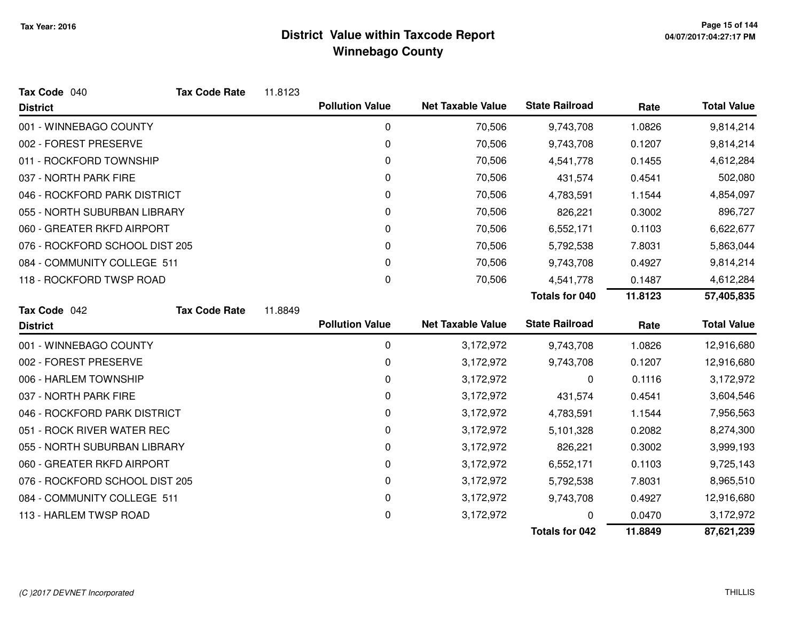| Tax Code 040                   | <b>Tax Code Rate</b> | 11.8123 |                        |                          |                       |         |                         |
|--------------------------------|----------------------|---------|------------------------|--------------------------|-----------------------|---------|-------------------------|
| <b>District</b>                |                      |         | <b>Pollution Value</b> | <b>Net Taxable Value</b> | <b>State Railroad</b> | Rate    | <b>Total Value</b>      |
| 001 - WINNEBAGO COUNTY         |                      |         | 0                      | 70,506                   | 9,743,708             | 1.0826  | 9,814,214               |
| 002 - FOREST PRESERVE          |                      |         | 0                      | 70,506                   | 9,743,708             | 0.1207  | 9,814,214               |
| 011 - ROCKFORD TOWNSHIP        |                      |         | 0                      | 70,506                   | 4,541,778             | 0.1455  | 4,612,284               |
| 037 - NORTH PARK FIRE          |                      |         | 0                      | 70,506                   | 431,574               | 0.4541  | 502,080                 |
| 046 - ROCKFORD PARK DISTRICT   |                      |         | 0                      | 70,506                   | 4,783,591             | 1.1544  | 4,854,097               |
| 055 - NORTH SUBURBAN LIBRARY   |                      |         | 0                      | 70,506                   | 826,221               | 0.3002  | 896,727                 |
| 060 - GREATER RKFD AIRPORT     |                      |         | 0                      | 70,506                   | 6,552,171             | 0.1103  | 6,622,677               |
| 076 - ROCKFORD SCHOOL DIST 205 |                      |         | 0                      | 70,506                   | 5,792,538             | 7.8031  | 5,863,044               |
| 084 - COMMUNITY COLLEGE 511    |                      |         | 0                      | 70,506                   | 9,743,708             | 0.4927  | 9,814,214               |
| 118 - ROCKFORD TWSP ROAD       |                      |         | 0                      | 70,506                   | 4,541,778             | 0.1487  | 4,612,284               |
|                                |                      |         |                        |                          | Totals for 040        | 11.8123 | 57,405,835              |
| Tax Code 042                   | <b>Tax Code Rate</b> | 11.8849 |                        |                          |                       |         |                         |
| <b>District</b>                |                      |         | <b>Pollution Value</b> | <b>Net Taxable Value</b> | <b>State Railroad</b> | Rate    | <b>Total Value</b>      |
| 001 - WINNEBAGO COUNTY         |                      |         | 0                      | 3,172,972                | 9,743,708             | 1.0826  | 12,916,680              |
| 002 - FOREST PRESERVE          |                      |         | 0                      | 3,172,972                | 9,743,708             | 0.1207  | 12,916,680              |
| 006 - HARLEM TOWNSHIP          |                      |         | 0                      | 3,172,972                | 0                     | 0.1116  | 3,172,972               |
| 037 - NORTH PARK FIRE          |                      |         | 0                      | 3,172,972                | 431,574               | 0.4541  | 3,604,546               |
| 046 - ROCKFORD PARK DISTRICT   |                      |         | 0                      | 3,172,972                | 4,783,591             | 1.1544  | 7,956,563               |
| 051 - ROCK RIVER WATER REC     |                      |         | 0                      | 3,172,972                | 5,101,328             | 0.2082  | 8,274,300               |
| 055 - NORTH SUBURBAN LIBRARY   |                      |         | 0                      | 3,172,972                | 826,221               | 0.3002  | 3,999,193               |
| 060 - GREATER RKFD AIRPORT     |                      |         | 0                      | 3,172,972                | 6,552,171             | 0.1103  | 9,725,143               |
| 076 - ROCKFORD SCHOOL DIST 205 |                      |         |                        |                          |                       |         |                         |
|                                |                      |         | 0                      | 3,172,972                | 5,792,538             | 7.8031  |                         |
| 084 - COMMUNITY COLLEGE 511    |                      |         | 0                      | 3,172,972                | 9,743,708             | 0.4927  | 8,965,510<br>12,916,680 |
| 113 - HARLEM TWSP ROAD         |                      |         | 0                      | 3,172,972                | 0                     | 0.0470  | 3,172,972               |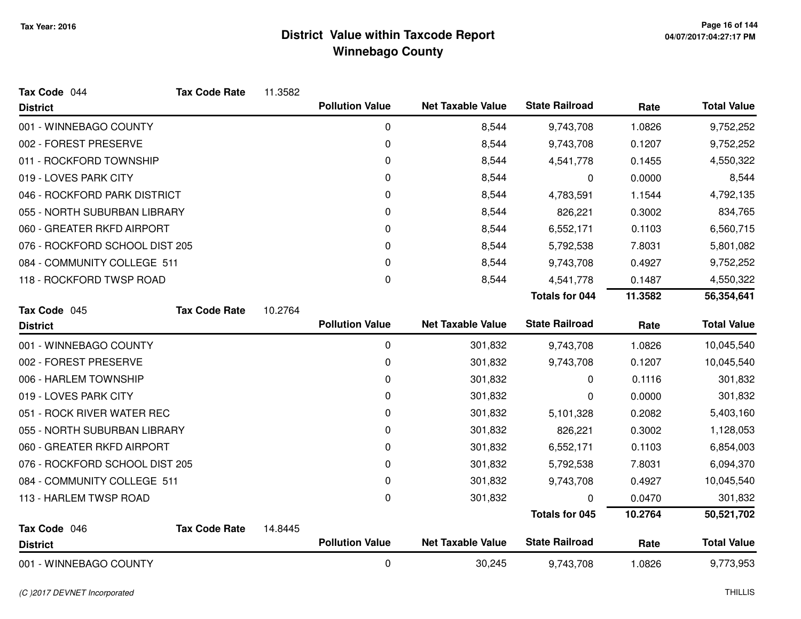| Tax Code 044                   | <b>Tax Code Rate</b> | 11.3582 |                        |                          |                       |         |                    |
|--------------------------------|----------------------|---------|------------------------|--------------------------|-----------------------|---------|--------------------|
| <b>District</b>                |                      |         | <b>Pollution Value</b> | <b>Net Taxable Value</b> | <b>State Railroad</b> | Rate    | <b>Total Value</b> |
| 001 - WINNEBAGO COUNTY         |                      |         | 0                      | 8,544                    | 9,743,708             | 1.0826  | 9,752,252          |
| 002 - FOREST PRESERVE          |                      |         | 0                      | 8,544                    | 9,743,708             | 0.1207  | 9,752,252          |
| 011 - ROCKFORD TOWNSHIP        |                      |         | 0                      | 8,544                    | 4,541,778             | 0.1455  | 4,550,322          |
| 019 - LOVES PARK CITY          |                      |         | 0                      | 8,544                    | 0                     | 0.0000  | 8,544              |
| 046 - ROCKFORD PARK DISTRICT   |                      |         | 0                      | 8,544                    | 4,783,591             | 1.1544  | 4,792,135          |
| 055 - NORTH SUBURBAN LIBRARY   |                      |         | 0                      | 8,544                    | 826,221               | 0.3002  | 834,765            |
| 060 - GREATER RKFD AIRPORT     |                      |         | 0                      | 8,544                    | 6,552,171             | 0.1103  | 6,560,715          |
| 076 - ROCKFORD SCHOOL DIST 205 |                      |         | 0                      | 8,544                    | 5,792,538             | 7.8031  | 5,801,082          |
| 084 - COMMUNITY COLLEGE 511    |                      |         | 0                      | 8,544                    | 9,743,708             | 0.4927  | 9,752,252          |
| 118 - ROCKFORD TWSP ROAD       |                      |         | 0                      | 8,544                    | 4,541,778             | 0.1487  | 4,550,322          |
|                                |                      |         |                        |                          | <b>Totals for 044</b> | 11.3582 | 56,354,641         |
| Tax Code 045                   | <b>Tax Code Rate</b> | 10.2764 |                        |                          |                       |         |                    |
| <b>District</b>                |                      |         | <b>Pollution Value</b> | <b>Net Taxable Value</b> | <b>State Railroad</b> | Rate    | <b>Total Value</b> |
| 001 - WINNEBAGO COUNTY         |                      |         | 0                      | 301,832                  | 9,743,708             | 1.0826  | 10,045,540         |
| 002 - FOREST PRESERVE          |                      |         | 0                      | 301,832                  | 9,743,708             | 0.1207  | 10,045,540         |
| 006 - HARLEM TOWNSHIP          |                      |         | 0                      | 301,832                  | 0                     | 0.1116  | 301,832            |
| 019 - LOVES PARK CITY          |                      |         | 0                      | 301,832                  | 0                     | 0.0000  | 301,832            |
| 051 - ROCK RIVER WATER REC     |                      |         | 0                      | 301,832                  | 5,101,328             | 0.2082  | 5,403,160          |
| 055 - NORTH SUBURBAN LIBRARY   |                      |         | 0                      | 301,832                  | 826,221               | 0.3002  | 1,128,053          |
| 060 - GREATER RKFD AIRPORT     |                      |         | 0                      | 301,832                  | 6,552,171             | 0.1103  | 6,854,003          |
| 076 - ROCKFORD SCHOOL DIST 205 |                      |         | 0                      | 301,832                  | 5,792,538             | 7.8031  | 6,094,370          |
| 084 - COMMUNITY COLLEGE 511    |                      |         | 0                      | 301,832                  | 9,743,708             | 0.4927  | 10,045,540         |
| 113 - HARLEM TWSP ROAD         |                      |         | 0                      | 301,832                  | 0                     | 0.0470  | 301,832            |
|                                |                      |         |                        |                          | <b>Totals for 045</b> | 10.2764 | 50,521,702         |
| Tax Code 046                   | <b>Tax Code Rate</b> | 14.8445 |                        |                          |                       |         |                    |
| <b>District</b>                |                      |         | <b>Pollution Value</b> | <b>Net Taxable Value</b> | <b>State Railroad</b> | Rate    | <b>Total Value</b> |
| 001 - WINNEBAGO COUNTY         |                      |         | 0                      | 30,245                   | 9,743,708             | 1.0826  | 9,773,953          |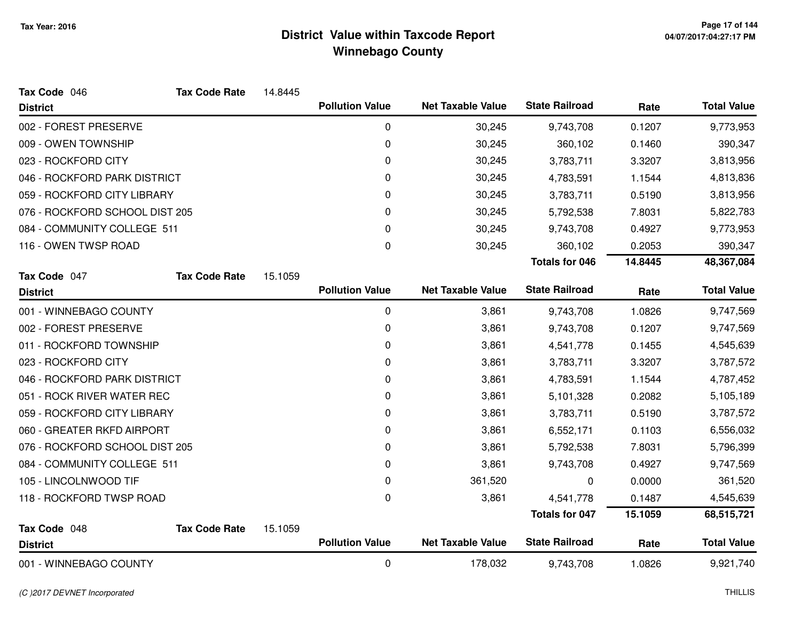| Tax Code 046                   | <b>Tax Code Rate</b> | 14.8445 |                        |                          |                       |         |                    |
|--------------------------------|----------------------|---------|------------------------|--------------------------|-----------------------|---------|--------------------|
| <b>District</b>                |                      |         | <b>Pollution Value</b> | <b>Net Taxable Value</b> | <b>State Railroad</b> | Rate    | <b>Total Value</b> |
| 002 - FOREST PRESERVE          |                      |         | 0                      | 30,245                   | 9,743,708             | 0.1207  | 9,773,953          |
| 009 - OWEN TOWNSHIP            |                      |         | 0                      | 30,245                   | 360,102               | 0.1460  | 390,347            |
| 023 - ROCKFORD CITY            |                      |         | 0                      | 30,245                   | 3,783,711             | 3.3207  | 3,813,956          |
| 046 - ROCKFORD PARK DISTRICT   |                      |         | 0                      | 30,245                   | 4,783,591             | 1.1544  | 4,813,836          |
| 059 - ROCKFORD CITY LIBRARY    |                      |         | 0                      | 30,245                   | 3,783,711             | 0.5190  | 3,813,956          |
| 076 - ROCKFORD SCHOOL DIST 205 |                      |         | 0                      | 30,245                   | 5,792,538             | 7.8031  | 5,822,783          |
| 084 - COMMUNITY COLLEGE 511    |                      |         | 0                      | 30,245                   | 9,743,708             | 0.4927  | 9,773,953          |
| 116 - OWEN TWSP ROAD           |                      |         | $\mathbf 0$            | 30,245                   | 360,102               | 0.2053  | 390,347            |
|                                |                      |         |                        |                          | <b>Totals for 046</b> | 14.8445 | 48,367,084         |
| Tax Code 047                   | <b>Tax Code Rate</b> | 15.1059 |                        |                          |                       |         |                    |
| <b>District</b>                |                      |         | <b>Pollution Value</b> | <b>Net Taxable Value</b> | <b>State Railroad</b> | Rate    | <b>Total Value</b> |
| 001 - WINNEBAGO COUNTY         |                      |         | 0                      | 3,861                    | 9,743,708             | 1.0826  | 9,747,569          |
| 002 - FOREST PRESERVE          |                      |         | 0                      | 3,861                    | 9,743,708             | 0.1207  | 9,747,569          |
| 011 - ROCKFORD TOWNSHIP        |                      |         | 0                      | 3,861                    | 4,541,778             | 0.1455  | 4,545,639          |
| 023 - ROCKFORD CITY            |                      |         | 0                      | 3,861                    | 3,783,711             | 3.3207  | 3,787,572          |
| 046 - ROCKFORD PARK DISTRICT   |                      |         | 0                      | 3,861                    | 4,783,591             | 1.1544  | 4,787,452          |
| 051 - ROCK RIVER WATER REC     |                      |         | 0                      | 3,861                    | 5,101,328             | 0.2082  | 5,105,189          |
| 059 - ROCKFORD CITY LIBRARY    |                      |         | 0                      | 3,861                    | 3,783,711             | 0.5190  | 3,787,572          |
| 060 - GREATER RKFD AIRPORT     |                      |         | 0                      | 3,861                    | 6,552,171             | 0.1103  | 6,556,032          |
| 076 - ROCKFORD SCHOOL DIST 205 |                      |         | 0                      | 3,861                    | 5,792,538             | 7.8031  | 5,796,399          |
| 084 - COMMUNITY COLLEGE 511    |                      |         | 0                      | 3,861                    | 9,743,708             | 0.4927  | 9,747,569          |
| 105 - LINCOLNWOOD TIF          |                      |         | 0                      | 361,520                  | 0                     | 0.0000  | 361,520            |
| 118 - ROCKFORD TWSP ROAD       |                      |         | 0                      | 3,861                    | 4,541,778             | 0.1487  | 4,545,639          |
|                                |                      |         |                        |                          | <b>Totals for 047</b> | 15.1059 | 68,515,721         |
| Tax Code 048                   | <b>Tax Code Rate</b> | 15.1059 |                        |                          |                       |         |                    |
| <b>District</b>                |                      |         | <b>Pollution Value</b> | <b>Net Taxable Value</b> | <b>State Railroad</b> | Rate    | <b>Total Value</b> |
| 001 - WINNEBAGO COUNTY         |                      |         | 0                      | 178,032                  | 9,743,708             | 1.0826  | 9,921,740          |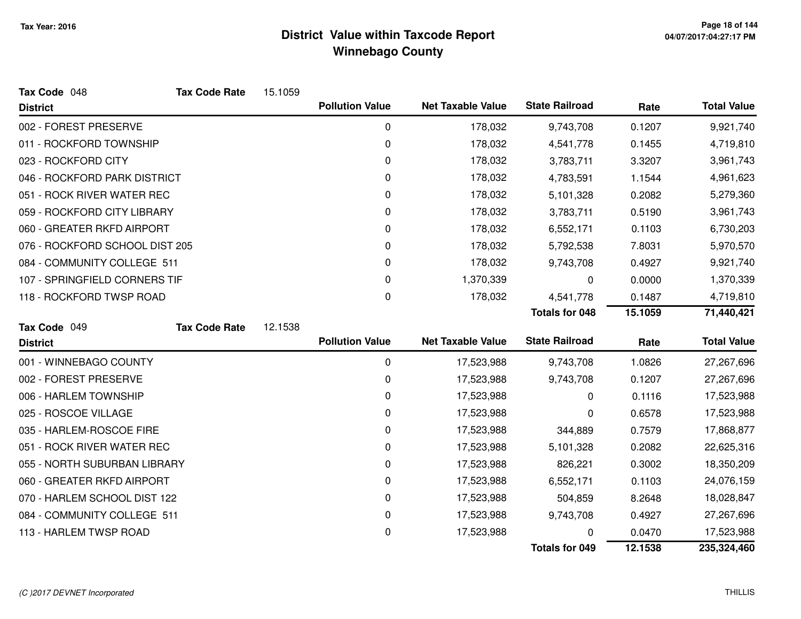| Tax Code 048                   | <b>Tax Code Rate</b> | 15.1059 |                        |                          |                       |         |                    |
|--------------------------------|----------------------|---------|------------------------|--------------------------|-----------------------|---------|--------------------|
| <b>District</b>                |                      |         | <b>Pollution Value</b> | <b>Net Taxable Value</b> | <b>State Railroad</b> | Rate    | <b>Total Value</b> |
| 002 - FOREST PRESERVE          |                      |         | 0                      | 178,032                  | 9,743,708             | 0.1207  | 9,921,740          |
| 011 - ROCKFORD TOWNSHIP        |                      |         | 0                      | 178,032                  | 4,541,778             | 0.1455  | 4,719,810          |
| 023 - ROCKFORD CITY            |                      |         | 0                      | 178,032                  | 3,783,711             | 3.3207  | 3,961,743          |
| 046 - ROCKFORD PARK DISTRICT   |                      |         | 0                      | 178,032                  | 4,783,591             | 1.1544  | 4,961,623          |
| 051 - ROCK RIVER WATER REC     |                      |         | 0                      | 178,032                  | 5,101,328             | 0.2082  | 5,279,360          |
| 059 - ROCKFORD CITY LIBRARY    |                      |         | 0                      | 178,032                  | 3,783,711             | 0.5190  | 3,961,743          |
| 060 - GREATER RKFD AIRPORT     |                      |         | 0                      | 178,032                  | 6,552,171             | 0.1103  | 6,730,203          |
| 076 - ROCKFORD SCHOOL DIST 205 |                      |         | 0                      | 178,032                  | 5,792,538             | 7.8031  | 5,970,570          |
| 084 - COMMUNITY COLLEGE 511    |                      |         | 0                      | 178,032                  | 9,743,708             | 0.4927  | 9,921,740          |
| 107 - SPRINGFIELD CORNERS TIF  |                      |         | 0                      | 1,370,339                | 0                     | 0.0000  | 1,370,339          |
| 118 - ROCKFORD TWSP ROAD       |                      |         | 0                      | 178,032                  | 4,541,778             | 0.1487  | 4,719,810          |
|                                |                      |         |                        |                          | <b>Totals for 048</b> | 15.1059 | 71,440,421         |
| Tax Code 049                   | <b>Tax Code Rate</b> | 12.1538 |                        |                          |                       |         |                    |
| <b>District</b>                |                      |         | <b>Pollution Value</b> | <b>Net Taxable Value</b> | <b>State Railroad</b> | Rate    | <b>Total Value</b> |
| 001 - WINNEBAGO COUNTY         |                      |         | 0                      | 17,523,988               | 9,743,708             | 1.0826  | 27,267,696         |
| 002 - FOREST PRESERVE          |                      |         | 0                      | 17,523,988               | 9,743,708             | 0.1207  | 27,267,696         |
| 006 - HARLEM TOWNSHIP          |                      |         | 0                      | 17,523,988               | 0                     | 0.1116  | 17,523,988         |
| 025 - ROSCOE VILLAGE           |                      |         | 0                      | 17,523,988               | 0                     | 0.6578  | 17,523,988         |
| 035 - HARLEM-ROSCOE FIRE       |                      |         | 0                      | 17,523,988               | 344,889               | 0.7579  | 17,868,877         |
| 051 - ROCK RIVER WATER REC     |                      |         | 0                      | 17,523,988               | 5,101,328             | 0.2082  | 22,625,316         |
| 055 - NORTH SUBURBAN LIBRARY   |                      |         | 0                      | 17,523,988               | 826,221               | 0.3002  | 18,350,209         |
| 060 - GREATER RKFD AIRPORT     |                      |         | 0                      | 17,523,988               | 6,552,171             | 0.1103  | 24,076,159         |
| 070 - HARLEM SCHOOL DIST 122   |                      |         | 0                      | 17,523,988               | 504,859               | 8.2648  | 18,028,847         |
| 084 - COMMUNITY COLLEGE 511    |                      |         | 0                      | 17,523,988               | 9,743,708             | 0.4927  | 27,267,696         |
| 113 - HARLEM TWSP ROAD         |                      |         | 0                      | 17,523,988               | n                     | 0.0470  | 17,523,988         |
|                                |                      |         |                        |                          | <b>Totals for 049</b> | 12.1538 | 235,324,460        |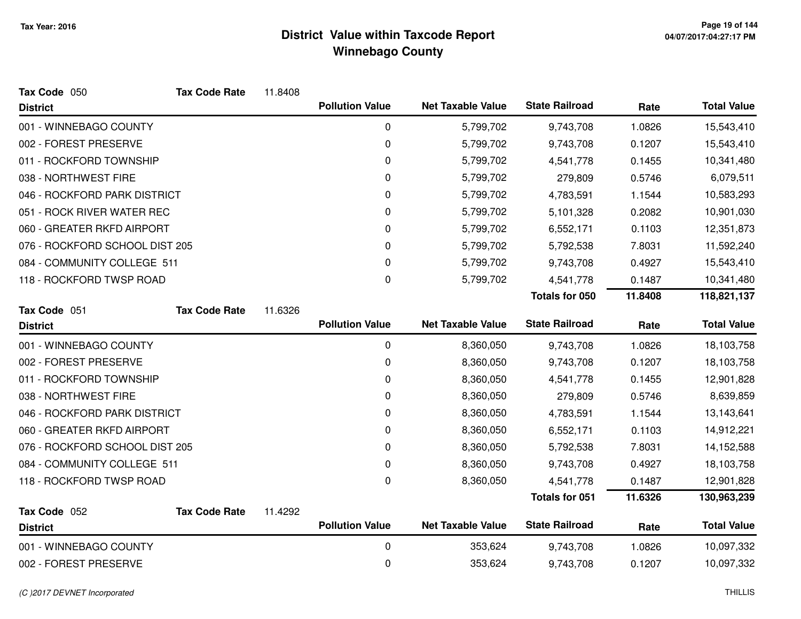| Tax Code 050                                              | <b>Tax Code Rate</b> | 11.8408 |                        |                          |                       |                |                    |
|-----------------------------------------------------------|----------------------|---------|------------------------|--------------------------|-----------------------|----------------|--------------------|
| <b>District</b>                                           |                      |         | <b>Pollution Value</b> | <b>Net Taxable Value</b> | <b>State Railroad</b> | Rate           | <b>Total Value</b> |
| 001 - WINNEBAGO COUNTY                                    |                      |         | 0                      | 5,799,702                | 9,743,708             | 1.0826         | 15,543,410         |
| 002 - FOREST PRESERVE                                     |                      |         | $\pmb{0}$              | 5,799,702                | 9,743,708             | 0.1207         | 15,543,410         |
| 011 - ROCKFORD TOWNSHIP                                   |                      |         | 0                      | 5,799,702                | 4,541,778             | 0.1455         | 10,341,480         |
| 038 - NORTHWEST FIRE                                      |                      |         | 0                      | 5,799,702                | 279,809               | 0.5746         | 6,079,511          |
| 046 - ROCKFORD PARK DISTRICT                              |                      |         | 0                      | 5,799,702                | 4,783,591             | 1.1544         | 10,583,293         |
| 051 - ROCK RIVER WATER REC                                |                      |         | 0                      | 5,799,702                | 5,101,328             | 0.2082         | 10,901,030         |
| 060 - GREATER RKFD AIRPORT                                |                      |         | 0                      | 5,799,702                | 6,552,171             | 0.1103         | 12,351,873         |
| 076 - ROCKFORD SCHOOL DIST 205                            |                      |         | 0                      | 5,799,702                | 5,792,538             | 7.8031         | 11,592,240         |
| 084 - COMMUNITY COLLEGE 511                               |                      |         | 0                      | 5,799,702                | 9,743,708             | 0.4927         | 15,543,410         |
| 118 - ROCKFORD TWSP ROAD                                  |                      |         | 0                      | 5,799,702                | 4,541,778             | 0.1487         | 10,341,480         |
|                                                           |                      |         |                        |                          | <b>Totals for 050</b> | 11.8408        | 118,821,137        |
| Tax Code 051                                              | <b>Tax Code Rate</b> | 11.6326 |                        |                          |                       |                |                    |
| <b>District</b>                                           |                      |         | <b>Pollution Value</b> | <b>Net Taxable Value</b> | <b>State Railroad</b> | Rate           | <b>Total Value</b> |
| 001 - WINNEBAGO COUNTY                                    |                      |         | $\mathbf 0$            | 8,360,050                | 9,743,708             | 1.0826         | 18,103,758         |
| 002 - FOREST PRESERVE                                     |                      |         | 0                      | 8,360,050                | 9,743,708             | 0.1207         | 18,103,758         |
| 011 - ROCKFORD TOWNSHIP                                   |                      |         | 0                      | 8,360,050                | 4,541,778             | 0.1455         | 12,901,828         |
| 038 - NORTHWEST FIRE                                      |                      |         | 0                      | 8,360,050                | 279,809               | 0.5746         | 8,639,859          |
| 046 - ROCKFORD PARK DISTRICT                              |                      |         | $\pmb{0}$              | 8,360,050                | 4,783,591             | 1.1544         | 13,143,641         |
| 060 - GREATER RKFD AIRPORT                                |                      |         | 0                      | 8,360,050                | 6,552,171             | 0.1103         | 14,912,221         |
| 076 - ROCKFORD SCHOOL DIST 205                            |                      |         | 0                      | 8,360,050                | 5,792,538             | 7.8031         | 14,152,588         |
| 084 - COMMUNITY COLLEGE 511                               |                      |         | $\pmb{0}$              | 8,360,050                | 9,743,708             | 0.4927         | 18,103,758         |
| 118 - ROCKFORD TWSP ROAD                                  |                      |         | $\Omega$               | 8,360,050                | 4,541,778             | 0.1487         | 12,901,828         |
|                                                           |                      |         |                        |                          | <b>Totals for 051</b> | 11.6326        | 130,963,239        |
|                                                           |                      |         | <b>Pollution Value</b> | <b>Net Taxable Value</b> | <b>State Railroad</b> |                | <b>Total Value</b> |
|                                                           |                      |         |                        |                          |                       |                | 10,097,332         |
| 002 - FOREST PRESERVE                                     |                      |         | 0                      | 353,624                  | 9,743,708             | 0.1207         | 10,097,332         |
| Tax Code 052<br><b>District</b><br>001 - WINNEBAGO COUNTY | <b>Tax Code Rate</b> | 11.4292 | 0                      | 353,624                  | 9,743,708             | Rate<br>1.0826 |                    |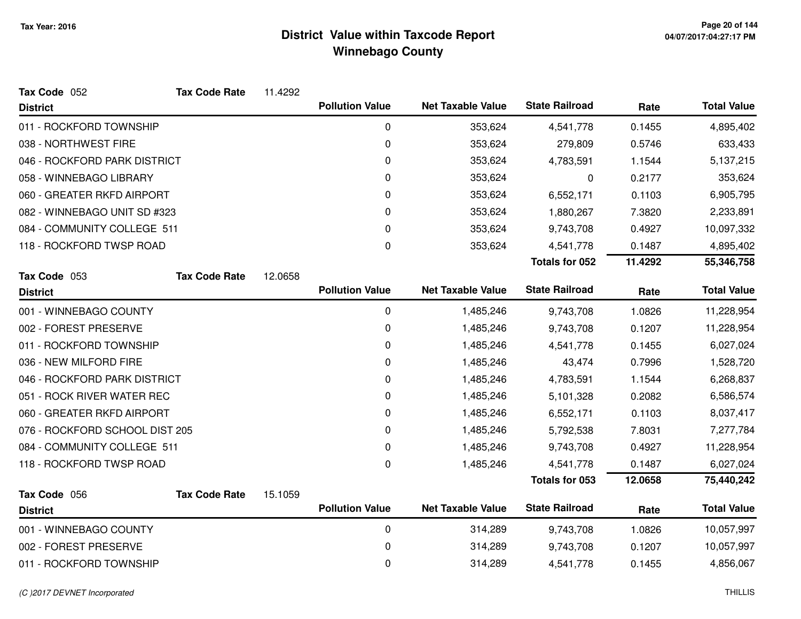| Tax Code 052                   | <b>Tax Code Rate</b> | 11.4292 |                        |                          |                       |         |                    |
|--------------------------------|----------------------|---------|------------------------|--------------------------|-----------------------|---------|--------------------|
| <b>District</b>                |                      |         | <b>Pollution Value</b> | <b>Net Taxable Value</b> | <b>State Railroad</b> | Rate    | <b>Total Value</b> |
| 011 - ROCKFORD TOWNSHIP        |                      |         | 0                      | 353,624                  | 4,541,778             | 0.1455  | 4,895,402          |
| 038 - NORTHWEST FIRE           |                      |         | 0                      | 353,624                  | 279,809               | 0.5746  | 633,433            |
| 046 - ROCKFORD PARK DISTRICT   |                      |         | 0                      | 353,624                  | 4,783,591             | 1.1544  | 5,137,215          |
| 058 - WINNEBAGO LIBRARY        |                      |         | 0                      | 353,624                  | 0                     | 0.2177  | 353,624            |
| 060 - GREATER RKFD AIRPORT     |                      |         | 0                      | 353,624                  | 6,552,171             | 0.1103  | 6,905,795          |
| 082 - WINNEBAGO UNIT SD #323   |                      |         | 0                      | 353,624                  | 1,880,267             | 7.3820  | 2,233,891          |
| 084 - COMMUNITY COLLEGE 511    |                      |         | 0                      | 353,624                  | 9,743,708             | 0.4927  | 10,097,332         |
| 118 - ROCKFORD TWSP ROAD       |                      |         | 0                      | 353,624                  | 4,541,778             | 0.1487  | 4,895,402          |
|                                |                      |         |                        |                          | <b>Totals for 052</b> | 11.4292 | 55,346,758         |
| Tax Code 053                   | <b>Tax Code Rate</b> | 12.0658 |                        |                          |                       |         |                    |
| <b>District</b>                |                      |         | <b>Pollution Value</b> | <b>Net Taxable Value</b> | <b>State Railroad</b> | Rate    | <b>Total Value</b> |
| 001 - WINNEBAGO COUNTY         |                      |         | $\mathbf 0$            | 1,485,246                | 9,743,708             | 1.0826  | 11,228,954         |
| 002 - FOREST PRESERVE          |                      |         | 0                      | 1,485,246                | 9,743,708             | 0.1207  | 11,228,954         |
| 011 - ROCKFORD TOWNSHIP        |                      |         | 0                      | 1,485,246                | 4,541,778             | 0.1455  | 6,027,024          |
| 036 - NEW MILFORD FIRE         |                      |         | 0                      | 1,485,246                | 43,474                | 0.7996  | 1,528,720          |
| 046 - ROCKFORD PARK DISTRICT   |                      |         | 0                      | 1,485,246                | 4,783,591             | 1.1544  | 6,268,837          |
| 051 - ROCK RIVER WATER REC     |                      |         | 0                      | 1,485,246                | 5,101,328             | 0.2082  | 6,586,574          |
| 060 - GREATER RKFD AIRPORT     |                      |         | 0                      | 1,485,246                | 6,552,171             | 0.1103  | 8,037,417          |
| 076 - ROCKFORD SCHOOL DIST 205 |                      |         | 0                      | 1,485,246                | 5,792,538             | 7.8031  | 7,277,784          |
| 084 - COMMUNITY COLLEGE 511    |                      |         | 0                      | 1,485,246                | 9,743,708             | 0.4927  | 11,228,954         |
| 118 - ROCKFORD TWSP ROAD       |                      |         | 0                      | 1,485,246                | 4,541,778             | 0.1487  | 6,027,024          |
|                                |                      |         |                        |                          | Totals for 053        | 12.0658 | 75,440,242         |
| Tax Code 056                   | <b>Tax Code Rate</b> | 15.1059 |                        |                          |                       |         |                    |
| <b>District</b>                |                      |         | <b>Pollution Value</b> | <b>Net Taxable Value</b> | <b>State Railroad</b> | Rate    | <b>Total Value</b> |
| 001 - WINNEBAGO COUNTY         |                      |         | $\pmb{0}$              | 314,289                  | 9,743,708             | 1.0826  | 10,057,997         |
| 002 - FOREST PRESERVE          |                      |         | 0                      | 314,289                  | 9,743,708             | 0.1207  | 10,057,997         |
| 011 - ROCKFORD TOWNSHIP        |                      |         | 0                      | 314,289                  | 4,541,778             | 0.1455  | 4,856,067          |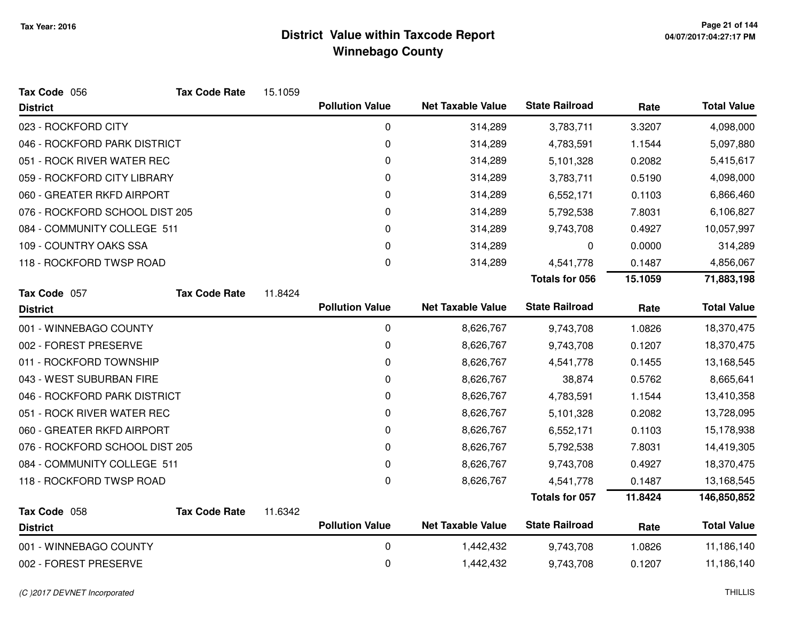| Tax Code 056                   | <b>Tax Code Rate</b> | 15.1059 |                        |                          |                       |         |                    |
|--------------------------------|----------------------|---------|------------------------|--------------------------|-----------------------|---------|--------------------|
| <b>District</b>                |                      |         | <b>Pollution Value</b> | <b>Net Taxable Value</b> | <b>State Railroad</b> | Rate    | <b>Total Value</b> |
| 023 - ROCKFORD CITY            |                      |         | 0                      | 314,289                  | 3,783,711             | 3.3207  | 4,098,000          |
| 046 - ROCKFORD PARK DISTRICT   |                      |         | 0                      | 314,289                  | 4,783,591             | 1.1544  | 5,097,880          |
| 051 - ROCK RIVER WATER REC     |                      |         | 0                      | 314,289                  | 5,101,328             | 0.2082  | 5,415,617          |
| 059 - ROCKFORD CITY LIBRARY    |                      |         | 0                      | 314,289                  | 3,783,711             | 0.5190  | 4,098,000          |
| 060 - GREATER RKFD AIRPORT     |                      |         | 0                      | 314,289                  | 6,552,171             | 0.1103  | 6,866,460          |
| 076 - ROCKFORD SCHOOL DIST 205 |                      |         | 0                      | 314,289                  | 5,792,538             | 7.8031  | 6,106,827          |
| 084 - COMMUNITY COLLEGE 511    |                      |         | 0                      | 314,289                  | 9,743,708             | 0.4927  | 10,057,997         |
| 109 - COUNTRY OAKS SSA         |                      |         | 0                      | 314,289                  | 0                     | 0.0000  | 314,289            |
| 118 - ROCKFORD TWSP ROAD       |                      |         | $\mathbf{0}$           | 314,289                  | 4,541,778             | 0.1487  | 4,856,067          |
|                                |                      |         |                        |                          | <b>Totals for 056</b> | 15.1059 | 71,883,198         |
| Tax Code 057                   | <b>Tax Code Rate</b> | 11.8424 |                        |                          |                       |         |                    |
| <b>District</b>                |                      |         | <b>Pollution Value</b> | <b>Net Taxable Value</b> | <b>State Railroad</b> | Rate    | <b>Total Value</b> |
| 001 - WINNEBAGO COUNTY         |                      |         | 0                      | 8,626,767                | 9,743,708             | 1.0826  | 18,370,475         |
| 002 - FOREST PRESERVE          |                      |         | 0                      | 8,626,767                | 9,743,708             | 0.1207  | 18,370,475         |
| 011 - ROCKFORD TOWNSHIP        |                      |         | 0                      | 8,626,767                | 4,541,778             | 0.1455  | 13,168,545         |
| 043 - WEST SUBURBAN FIRE       |                      |         | 0                      | 8,626,767                | 38,874                | 0.5762  | 8,665,641          |
| 046 - ROCKFORD PARK DISTRICT   |                      |         | 0                      | 8,626,767                | 4,783,591             | 1.1544  | 13,410,358         |
| 051 - ROCK RIVER WATER REC     |                      |         | 0                      | 8,626,767                | 5,101,328             | 0.2082  | 13,728,095         |
| 060 - GREATER RKFD AIRPORT     |                      |         | 0                      | 8,626,767                | 6,552,171             | 0.1103  | 15,178,938         |
| 076 - ROCKFORD SCHOOL DIST 205 |                      |         | 0                      | 8,626,767                | 5,792,538             | 7.8031  | 14,419,305         |
| 084 - COMMUNITY COLLEGE 511    |                      |         | 0                      | 8,626,767                | 9,743,708             | 0.4927  | 18,370,475         |
| 118 - ROCKFORD TWSP ROAD       |                      |         | 0                      | 8,626,767                | 4,541,778             | 0.1487  | 13,168,545         |
|                                |                      |         |                        |                          | <b>Totals for 057</b> | 11.8424 | 146,850,852        |
| Tax Code 058                   | <b>Tax Code Rate</b> | 11.6342 |                        |                          |                       |         |                    |
| <b>District</b>                |                      |         | <b>Pollution Value</b> | <b>Net Taxable Value</b> | <b>State Railroad</b> | Rate    | <b>Total Value</b> |
| 001 - WINNEBAGO COUNTY         |                      |         | 0                      | 1,442,432                | 9,743,708             | 1.0826  | 11,186,140         |
| 002 - FOREST PRESERVE          |                      |         | 0                      | 1,442,432                | 9,743,708             | 0.1207  | 11,186,140         |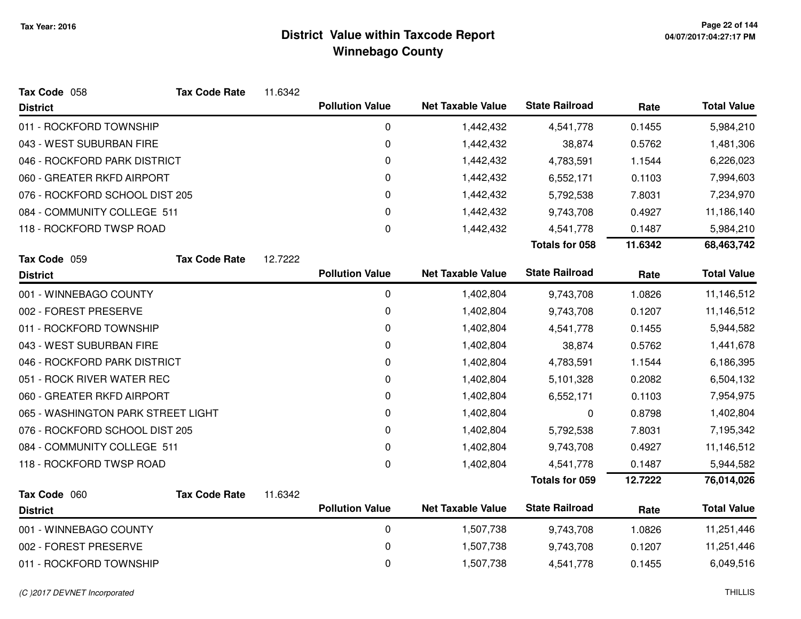| Tax Code 058                       | <b>Tax Code Rate</b> | 11.6342 |                        |                          |                       |         |                    |
|------------------------------------|----------------------|---------|------------------------|--------------------------|-----------------------|---------|--------------------|
| <b>District</b>                    |                      |         | <b>Pollution Value</b> | <b>Net Taxable Value</b> | <b>State Railroad</b> | Rate    | <b>Total Value</b> |
| 011 - ROCKFORD TOWNSHIP            |                      |         | 0                      | 1,442,432                | 4,541,778             | 0.1455  | 5,984,210          |
| 043 - WEST SUBURBAN FIRE           |                      |         | $\mathbf 0$            | 1,442,432                | 38,874                | 0.5762  | 1,481,306          |
| 046 - ROCKFORD PARK DISTRICT       |                      |         | 0                      | 1,442,432                | 4,783,591             | 1.1544  | 6,226,023          |
| 060 - GREATER RKFD AIRPORT         |                      |         | $\mathbf 0$            | 1,442,432                | 6,552,171             | 0.1103  | 7,994,603          |
| 076 - ROCKFORD SCHOOL DIST 205     |                      |         | 0                      | 1,442,432                | 5,792,538             | 7.8031  | 7,234,970          |
| 084 - COMMUNITY COLLEGE 511        |                      |         | 0                      | 1,442,432                | 9,743,708             | 0.4927  | 11,186,140         |
| 118 - ROCKFORD TWSP ROAD           |                      |         | $\mathbf 0$            | 1,442,432                | 4,541,778             | 0.1487  | 5,984,210          |
|                                    |                      |         |                        |                          | <b>Totals for 058</b> | 11.6342 | 68,463,742         |
| Tax Code 059                       | <b>Tax Code Rate</b> | 12.7222 |                        |                          |                       |         |                    |
| <b>District</b>                    |                      |         | <b>Pollution Value</b> | <b>Net Taxable Value</b> | <b>State Railroad</b> | Rate    | <b>Total Value</b> |
| 001 - WINNEBAGO COUNTY             |                      |         | $\pmb{0}$              | 1,402,804                | 9,743,708             | 1.0826  | 11,146,512         |
| 002 - FOREST PRESERVE              |                      |         | 0                      | 1,402,804                | 9,743,708             | 0.1207  | 11,146,512         |
| 011 - ROCKFORD TOWNSHIP            |                      |         | 0                      | 1,402,804                | 4,541,778             | 0.1455  | 5,944,582          |
| 043 - WEST SUBURBAN FIRE           |                      |         | 0                      | 1,402,804                | 38,874                | 0.5762  | 1,441,678          |
| 046 - ROCKFORD PARK DISTRICT       |                      |         | 0                      | 1,402,804                | 4,783,591             | 1.1544  | 6,186,395          |
| 051 - ROCK RIVER WATER REC         |                      |         | $\mathbf 0$            | 1,402,804                | 5,101,328             | 0.2082  | 6,504,132          |
| 060 - GREATER RKFD AIRPORT         |                      |         | 0                      | 1,402,804                | 6,552,171             | 0.1103  | 7,954,975          |
| 065 - WASHINGTON PARK STREET LIGHT |                      |         | $\mathbf 0$            | 1,402,804                | 0                     | 0.8798  | 1,402,804          |
| 076 - ROCKFORD SCHOOL DIST 205     |                      |         | 0                      | 1,402,804                | 5,792,538             | 7.8031  | 7,195,342          |
| 084 - COMMUNITY COLLEGE 511        |                      |         | $\Omega$               | 1,402,804                | 9,743,708             | 0.4927  | 11,146,512         |
| 118 - ROCKFORD TWSP ROAD           |                      |         | $\mathbf 0$            | 1,402,804                | 4,541,778             | 0.1487  | 5,944,582          |
|                                    |                      |         |                        |                          | Totals for 059        | 12.7222 | 76,014,026         |
| Tax Code 060                       | <b>Tax Code Rate</b> | 11.6342 |                        |                          |                       |         |                    |
| <b>District</b>                    |                      |         | <b>Pollution Value</b> | <b>Net Taxable Value</b> | <b>State Railroad</b> | Rate    | <b>Total Value</b> |
| 001 - WINNEBAGO COUNTY             |                      |         | $\pmb{0}$              | 1,507,738                | 9,743,708             | 1.0826  | 11,251,446         |
| 002 - FOREST PRESERVE              |                      |         | 0                      | 1,507,738                | 9,743,708             | 0.1207  | 11,251,446         |
| 011 - ROCKFORD TOWNSHIP            |                      |         | $\mathbf 0$            | 1,507,738                | 4,541,778             | 0.1455  | 6,049,516          |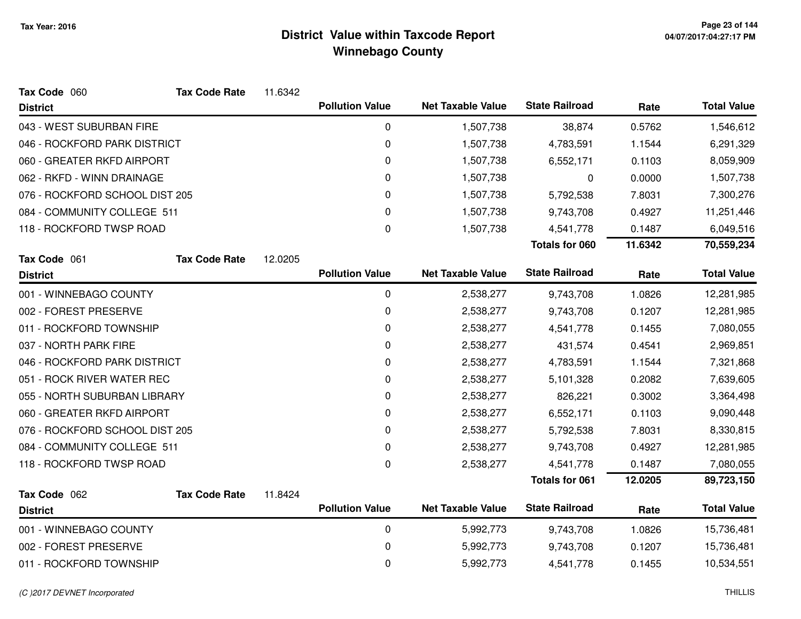| Tax Code 060                   | <b>Tax Code Rate</b> | 11.6342 |                        |                          |                       |         |                    |
|--------------------------------|----------------------|---------|------------------------|--------------------------|-----------------------|---------|--------------------|
| <b>District</b>                |                      |         | <b>Pollution Value</b> | <b>Net Taxable Value</b> | <b>State Railroad</b> | Rate    | <b>Total Value</b> |
| 043 - WEST SUBURBAN FIRE       |                      |         | 0                      | 1,507,738                | 38,874                | 0.5762  | 1,546,612          |
| 046 - ROCKFORD PARK DISTRICT   |                      |         | $\mathbf 0$            | 1,507,738                | 4,783,591             | 1.1544  | 6,291,329          |
| 060 - GREATER RKFD AIRPORT     |                      |         | $\mathbf 0$            | 1,507,738                | 6,552,171             | 0.1103  | 8,059,909          |
| 062 - RKFD - WINN DRAINAGE     |                      |         | 0                      | 1,507,738                | 0                     | 0.0000  | 1,507,738          |
| 076 - ROCKFORD SCHOOL DIST 205 |                      |         | $\mathbf 0$            | 1,507,738                | 5,792,538             | 7.8031  | 7,300,276          |
| 084 - COMMUNITY COLLEGE 511    |                      |         | 0                      | 1,507,738                | 9,743,708             | 0.4927  | 11,251,446         |
| 118 - ROCKFORD TWSP ROAD       |                      |         | $\mathbf 0$            | 1,507,738                | 4,541,778             | 0.1487  | 6,049,516          |
|                                |                      |         |                        |                          | <b>Totals for 060</b> | 11.6342 | 70,559,234         |
| Tax Code 061                   | <b>Tax Code Rate</b> | 12.0205 |                        |                          |                       |         |                    |
| <b>District</b>                |                      |         | <b>Pollution Value</b> | <b>Net Taxable Value</b> | <b>State Railroad</b> | Rate    | <b>Total Value</b> |
| 001 - WINNEBAGO COUNTY         |                      |         | $\mathbf 0$            | 2,538,277                | 9,743,708             | 1.0826  | 12,281,985         |
| 002 - FOREST PRESERVE          |                      |         | 0                      | 2,538,277                | 9,743,708             | 0.1207  | 12,281,985         |
| 011 - ROCKFORD TOWNSHIP        |                      |         | 0                      | 2,538,277                | 4,541,778             | 0.1455  | 7,080,055          |
| 037 - NORTH PARK FIRE          |                      |         | $\mathbf 0$            | 2,538,277                | 431,574               | 0.4541  | 2,969,851          |
| 046 - ROCKFORD PARK DISTRICT   |                      |         | 0                      | 2,538,277                | 4,783,591             | 1.1544  | 7,321,868          |
| 051 - ROCK RIVER WATER REC     |                      |         | 0                      | 2,538,277                | 5,101,328             | 0.2082  | 7,639,605          |
| 055 - NORTH SUBURBAN LIBRARY   |                      |         | $\mathbf 0$            | 2,538,277                | 826,221               | 0.3002  | 3,364,498          |
| 060 - GREATER RKFD AIRPORT     |                      |         | 0                      | 2,538,277                | 6,552,171             | 0.1103  | 9,090,448          |
| 076 - ROCKFORD SCHOOL DIST 205 |                      |         | 0                      | 2,538,277                | 5,792,538             | 7.8031  | 8,330,815          |
| 084 - COMMUNITY COLLEGE 511    |                      |         | 0                      | 2,538,277                | 9,743,708             | 0.4927  | 12,281,985         |
| 118 - ROCKFORD TWSP ROAD       |                      |         | $\boldsymbol{0}$       | 2,538,277                | 4,541,778             | 0.1487  | 7,080,055          |
|                                |                      |         |                        |                          | <b>Totals for 061</b> | 12.0205 | 89,723,150         |
| Tax Code 062                   | <b>Tax Code Rate</b> | 11.8424 |                        |                          |                       |         |                    |
| <b>District</b>                |                      |         | <b>Pollution Value</b> | <b>Net Taxable Value</b> | <b>State Railroad</b> | Rate    | <b>Total Value</b> |
| 001 - WINNEBAGO COUNTY         |                      |         | $\mathbf 0$            | 5,992,773                | 9,743,708             | 1.0826  | 15,736,481         |
| 002 - FOREST PRESERVE          |                      |         | 0                      | 5,992,773                | 9,743,708             | 0.1207  | 15,736,481         |
| 011 - ROCKFORD TOWNSHIP        |                      |         | $\mathbf 0$            | 5,992,773                | 4,541,778             | 0.1455  | 10,534,551         |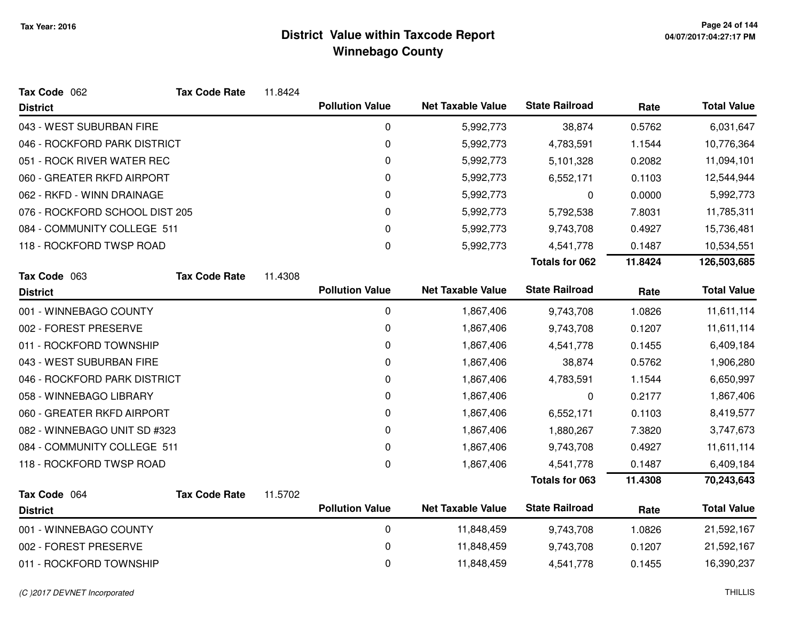| Tax Code 062                   | <b>Tax Code Rate</b> | 11.8424 |                        |                          |                       |         |                    |
|--------------------------------|----------------------|---------|------------------------|--------------------------|-----------------------|---------|--------------------|
| <b>District</b>                |                      |         | <b>Pollution Value</b> | <b>Net Taxable Value</b> | <b>State Railroad</b> | Rate    | <b>Total Value</b> |
| 043 - WEST SUBURBAN FIRE       |                      |         | 0                      | 5,992,773                | 38,874                | 0.5762  | 6,031,647          |
| 046 - ROCKFORD PARK DISTRICT   |                      |         | 0                      | 5,992,773                | 4,783,591             | 1.1544  | 10,776,364         |
| 051 - ROCK RIVER WATER REC     |                      |         | 0                      | 5,992,773                | 5,101,328             | 0.2082  | 11,094,101         |
| 060 - GREATER RKFD AIRPORT     |                      |         | 0                      | 5,992,773                | 6,552,171             | 0.1103  | 12,544,944         |
| 062 - RKFD - WINN DRAINAGE     |                      |         | 0                      | 5,992,773                | 0                     | 0.0000  | 5,992,773          |
| 076 - ROCKFORD SCHOOL DIST 205 |                      |         | 0                      | 5,992,773                | 5,792,538             | 7.8031  | 11,785,311         |
| 084 - COMMUNITY COLLEGE 511    |                      |         | 0                      | 5,992,773                | 9,743,708             | 0.4927  | 15,736,481         |
| 118 - ROCKFORD TWSP ROAD       |                      |         | 0                      | 5,992,773                | 4,541,778             | 0.1487  | 10,534,551         |
|                                |                      |         |                        |                          | <b>Totals for 062</b> | 11.8424 | 126,503,685        |
| Tax Code 063                   | <b>Tax Code Rate</b> | 11.4308 |                        |                          |                       |         |                    |
| <b>District</b>                |                      |         | <b>Pollution Value</b> | <b>Net Taxable Value</b> | <b>State Railroad</b> | Rate    | <b>Total Value</b> |
| 001 - WINNEBAGO COUNTY         |                      |         | $\mathbf 0$            | 1,867,406                | 9,743,708             | 1.0826  | 11,611,114         |
| 002 - FOREST PRESERVE          |                      |         | 0                      | 1,867,406                | 9,743,708             | 0.1207  | 11,611,114         |
| 011 - ROCKFORD TOWNSHIP        |                      |         | 0                      | 1,867,406                | 4,541,778             | 0.1455  | 6,409,184          |
| 043 - WEST SUBURBAN FIRE       |                      |         | 0                      | 1,867,406                | 38,874                | 0.5762  | 1,906,280          |
| 046 - ROCKFORD PARK DISTRICT   |                      |         | 0                      | 1,867,406                | 4,783,591             | 1.1544  | 6,650,997          |
| 058 - WINNEBAGO LIBRARY        |                      |         | 0                      | 1,867,406                | 0                     | 0.2177  | 1,867,406          |
| 060 - GREATER RKFD AIRPORT     |                      |         | 0                      | 1,867,406                | 6,552,171             | 0.1103  | 8,419,577          |
| 082 - WINNEBAGO UNIT SD #323   |                      |         | 0                      | 1,867,406                | 1,880,267             | 7.3820  | 3,747,673          |
| 084 - COMMUNITY COLLEGE 511    |                      |         | 0                      | 1,867,406                | 9,743,708             | 0.4927  | 11,611,114         |
| 118 - ROCKFORD TWSP ROAD       |                      |         | 0                      | 1,867,406                | 4,541,778             | 0.1487  | 6,409,184          |
|                                |                      |         |                        |                          | <b>Totals for 063</b> | 11.4308 | 70,243,643         |
| Tax Code 064                   | <b>Tax Code Rate</b> | 11.5702 |                        |                          |                       |         |                    |
| <b>District</b>                |                      |         | <b>Pollution Value</b> | <b>Net Taxable Value</b> | <b>State Railroad</b> | Rate    | <b>Total Value</b> |
| 001 - WINNEBAGO COUNTY         |                      |         | $\mathbf 0$            | 11,848,459               | 9,743,708             | 1.0826  | 21,592,167         |
| 002 - FOREST PRESERVE          |                      |         | 0                      | 11,848,459               | 9,743,708             | 0.1207  | 21,592,167         |
| 011 - ROCKFORD TOWNSHIP        |                      |         | 0                      | 11,848,459               | 4,541,778             | 0.1455  | 16,390,237         |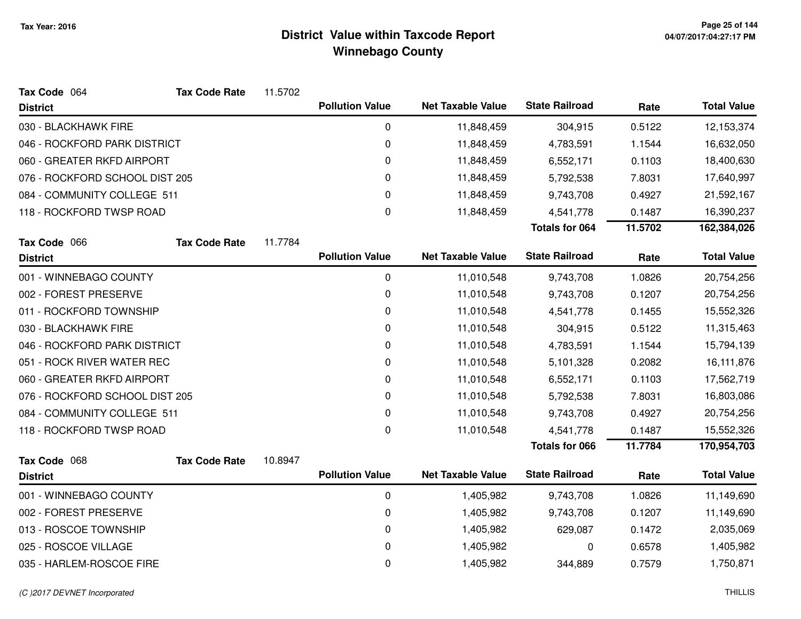| Tax Code 064                   | <b>Tax Code Rate</b> | 11.5702 |                        |                          |                       |         |                    |
|--------------------------------|----------------------|---------|------------------------|--------------------------|-----------------------|---------|--------------------|
| <b>District</b>                |                      |         | <b>Pollution Value</b> | <b>Net Taxable Value</b> | <b>State Railroad</b> | Rate    | <b>Total Value</b> |
| 030 - BLACKHAWK FIRE           |                      |         | $\boldsymbol{0}$       | 11,848,459               | 304,915               | 0.5122  | 12,153,374         |
| 046 - ROCKFORD PARK DISTRICT   |                      |         | 0                      | 11,848,459               | 4,783,591             | 1.1544  | 16,632,050         |
| 060 - GREATER RKFD AIRPORT     |                      |         | 0                      | 11,848,459               | 6,552,171             | 0.1103  | 18,400,630         |
| 076 - ROCKFORD SCHOOL DIST 205 |                      |         | 0                      | 11,848,459               | 5,792,538             | 7.8031  | 17,640,997         |
| 084 - COMMUNITY COLLEGE 511    |                      |         | 0                      | 11,848,459               | 9,743,708             | 0.4927  | 21,592,167         |
| 118 - ROCKFORD TWSP ROAD       |                      |         | 0                      | 11,848,459               | 4,541,778             | 0.1487  | 16,390,237         |
|                                |                      |         |                        |                          | <b>Totals for 064</b> | 11.5702 | 162,384,026        |
| Tax Code 066                   | <b>Tax Code Rate</b> | 11.7784 |                        |                          |                       |         |                    |
| <b>District</b>                |                      |         | <b>Pollution Value</b> | <b>Net Taxable Value</b> | <b>State Railroad</b> | Rate    | <b>Total Value</b> |
| 001 - WINNEBAGO COUNTY         |                      |         | $\mathbf 0$            | 11,010,548               | 9,743,708             | 1.0826  | 20,754,256         |
| 002 - FOREST PRESERVE          |                      |         | 0                      | 11,010,548               | 9,743,708             | 0.1207  | 20,754,256         |
| 011 - ROCKFORD TOWNSHIP        |                      |         | 0                      | 11,010,548               | 4,541,778             | 0.1455  | 15,552,326         |
| 030 - BLACKHAWK FIRE           |                      |         | 0                      | 11,010,548               | 304,915               | 0.5122  | 11,315,463         |
| 046 - ROCKFORD PARK DISTRICT   |                      |         | 0                      | 11,010,548               | 4,783,591             | 1.1544  | 15,794,139         |
| 051 - ROCK RIVER WATER REC     |                      |         | 0                      | 11,010,548               | 5,101,328             | 0.2082  | 16,111,876         |
| 060 - GREATER RKFD AIRPORT     |                      |         | 0                      | 11,010,548               | 6,552,171             | 0.1103  | 17,562,719         |
| 076 - ROCKFORD SCHOOL DIST 205 |                      |         | 0                      | 11,010,548               | 5,792,538             | 7.8031  | 16,803,086         |
| 084 - COMMUNITY COLLEGE 511    |                      |         | 0                      | 11,010,548               | 9,743,708             | 0.4927  | 20,754,256         |
| 118 - ROCKFORD TWSP ROAD       |                      |         | 0                      | 11,010,548               | 4,541,778             | 0.1487  | 15,552,326         |
|                                |                      |         |                        |                          | <b>Totals for 066</b> | 11.7784 | 170,954,703        |
| Tax Code 068                   | <b>Tax Code Rate</b> | 10.8947 |                        |                          |                       |         |                    |
| <b>District</b>                |                      |         | <b>Pollution Value</b> | <b>Net Taxable Value</b> | <b>State Railroad</b> | Rate    | <b>Total Value</b> |
| 001 - WINNEBAGO COUNTY         |                      |         | $\boldsymbol{0}$       | 1,405,982                | 9,743,708             | 1.0826  | 11,149,690         |
| 002 - FOREST PRESERVE          |                      |         | 0                      | 1,405,982                | 9,743,708             | 0.1207  | 11,149,690         |
| 013 - ROSCOE TOWNSHIP          |                      |         | 0                      | 1,405,982                | 629,087               | 0.1472  | 2,035,069          |
| 025 - ROSCOE VILLAGE           |                      |         | 0                      | 1,405,982                | 0                     | 0.6578  | 1,405,982          |
| 035 - HARLEM-ROSCOE FIRE       |                      |         | 0                      | 1,405,982                | 344,889               | 0.7579  | 1,750,871          |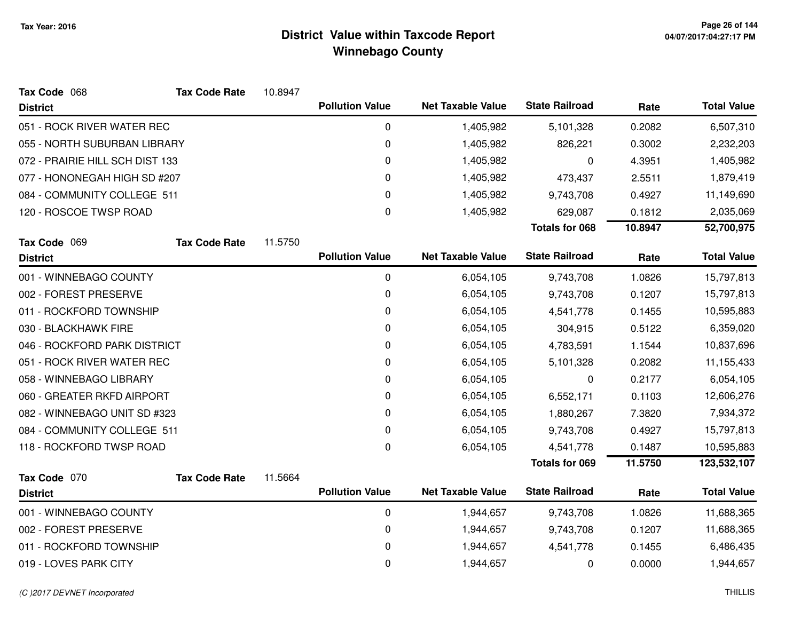| Tax Code 068                    | <b>Tax Code Rate</b> | 10.8947 |                        |                          |                       |         |                    |
|---------------------------------|----------------------|---------|------------------------|--------------------------|-----------------------|---------|--------------------|
| <b>District</b>                 |                      |         | <b>Pollution Value</b> | <b>Net Taxable Value</b> | <b>State Railroad</b> | Rate    | <b>Total Value</b> |
| 051 - ROCK RIVER WATER REC      |                      |         | 0                      | 1,405,982                | 5,101,328             | 0.2082  | 6,507,310          |
| 055 - NORTH SUBURBAN LIBRARY    |                      |         | $\pmb{0}$              | 1,405,982                | 826,221               | 0.3002  | 2,232,203          |
| 072 - PRAIRIE HILL SCH DIST 133 |                      |         | $\pmb{0}$              | 1,405,982                | 0                     | 4.3951  | 1,405,982          |
| 077 - HONONEGAH HIGH SD #207    |                      |         | 0                      | 1,405,982                | 473,437               | 2.5511  | 1,879,419          |
| 084 - COMMUNITY COLLEGE 511     |                      |         | 0                      | 1,405,982                | 9,743,708             | 0.4927  | 11,149,690         |
| 120 - ROSCOE TWSP ROAD          |                      |         | $\Omega$               | 1,405,982                | 629,087               | 0.1812  | 2,035,069          |
|                                 |                      |         |                        |                          | <b>Totals for 068</b> | 10.8947 | 52,700,975         |
| Tax Code 069                    | <b>Tax Code Rate</b> | 11.5750 |                        |                          |                       |         |                    |
| <b>District</b>                 |                      |         | <b>Pollution Value</b> | <b>Net Taxable Value</b> | <b>State Railroad</b> | Rate    | <b>Total Value</b> |
| 001 - WINNEBAGO COUNTY          |                      |         | $\mathbf 0$            | 6,054,105                | 9,743,708             | 1.0826  | 15,797,813         |
| 002 - FOREST PRESERVE           |                      |         | 0                      | 6,054,105                | 9,743,708             | 0.1207  | 15,797,813         |
| 011 - ROCKFORD TOWNSHIP         |                      |         | 0                      | 6,054,105                | 4,541,778             | 0.1455  | 10,595,883         |
| 030 - BLACKHAWK FIRE            |                      |         | 0                      | 6,054,105                | 304,915               | 0.5122  | 6,359,020          |
| 046 - ROCKFORD PARK DISTRICT    |                      |         | $\pmb{0}$              | 6,054,105                | 4,783,591             | 1.1544  | 10,837,696         |
| 051 - ROCK RIVER WATER REC      |                      |         | 0                      | 6,054,105                | 5,101,328             | 0.2082  | 11,155,433         |
| 058 - WINNEBAGO LIBRARY         |                      |         | 0                      | 6,054,105                | 0                     | 0.2177  | 6,054,105          |
| 060 - GREATER RKFD AIRPORT      |                      |         | 0                      | 6,054,105                | 6,552,171             | 0.1103  | 12,606,276         |
| 082 - WINNEBAGO UNIT SD #323    |                      |         | 0                      | 6,054,105                | 1,880,267             | 7.3820  | 7,934,372          |
| 084 - COMMUNITY COLLEGE 511     |                      |         | 0                      | 6,054,105                | 9,743,708             | 0.4927  | 15,797,813         |
| 118 - ROCKFORD TWSP ROAD        |                      |         | 0                      | 6,054,105                | 4,541,778             | 0.1487  | 10,595,883         |
|                                 |                      |         |                        |                          | <b>Totals for 069</b> | 11.5750 | 123,532,107        |
| Tax Code 070                    | <b>Tax Code Rate</b> | 11.5664 |                        |                          |                       |         |                    |
| <b>District</b>                 |                      |         | <b>Pollution Value</b> | <b>Net Taxable Value</b> | <b>State Railroad</b> | Rate    | <b>Total Value</b> |
| 001 - WINNEBAGO COUNTY          |                      |         | $\pmb{0}$              | 1,944,657                | 9,743,708             | 1.0826  | 11,688,365         |
| 002 - FOREST PRESERVE           |                      |         | $\pmb{0}$              | 1,944,657                | 9,743,708             | 0.1207  | 11,688,365         |
| 011 - ROCKFORD TOWNSHIP         |                      |         | 0                      | 1,944,657                | 4,541,778             | 0.1455  | 6,486,435          |
| 019 - LOVES PARK CITY           |                      |         | 0                      | 1,944,657                | 0                     | 0.0000  | 1,944,657          |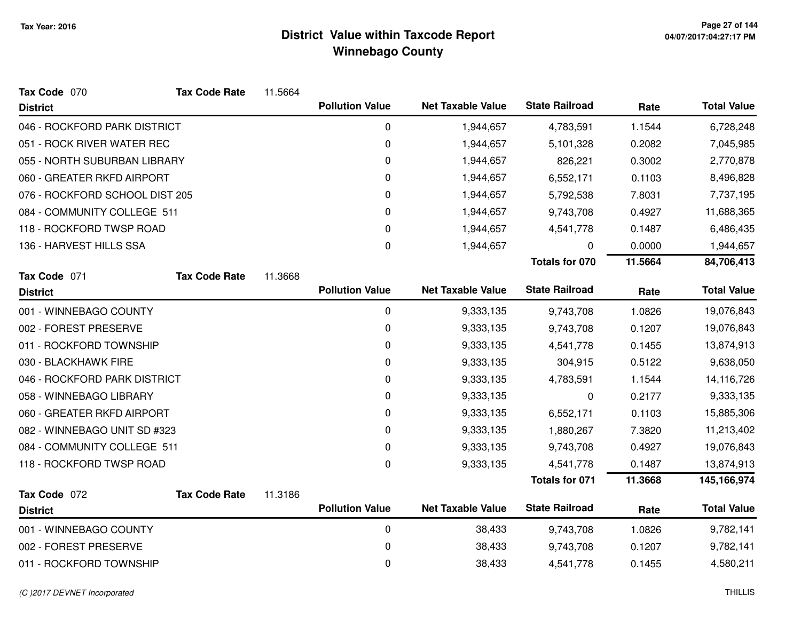| Tax Code 070                   | <b>Tax Code Rate</b> | 11.5664 |                        |                          |                       |         |                    |
|--------------------------------|----------------------|---------|------------------------|--------------------------|-----------------------|---------|--------------------|
| <b>District</b>                |                      |         | <b>Pollution Value</b> | <b>Net Taxable Value</b> | <b>State Railroad</b> | Rate    | <b>Total Value</b> |
| 046 - ROCKFORD PARK DISTRICT   |                      |         | $\mathbf 0$            | 1,944,657                | 4,783,591             | 1.1544  | 6,728,248          |
| 051 - ROCK RIVER WATER REC     |                      |         | 0                      | 1,944,657                | 5,101,328             | 0.2082  | 7,045,985          |
| 055 - NORTH SUBURBAN LIBRARY   |                      |         | 0                      | 1,944,657                | 826,221               | 0.3002  | 2,770,878          |
| 060 - GREATER RKFD AIRPORT     |                      |         | 0                      | 1,944,657                | 6,552,171             | 0.1103  | 8,496,828          |
| 076 - ROCKFORD SCHOOL DIST 205 |                      |         | 0                      | 1,944,657                | 5,792,538             | 7.8031  | 7,737,195          |
| 084 - COMMUNITY COLLEGE 511    |                      |         | 0                      | 1,944,657                | 9,743,708             | 0.4927  | 11,688,365         |
| 118 - ROCKFORD TWSP ROAD       |                      |         | 0                      | 1,944,657                | 4,541,778             | 0.1487  | 6,486,435          |
| 136 - HARVEST HILLS SSA        |                      |         | $\mathbf 0$            | 1,944,657                | 0                     | 0.0000  | 1,944,657          |
|                                |                      |         |                        |                          | Totals for 070        | 11.5664 | 84,706,413         |
| Tax Code 071                   | <b>Tax Code Rate</b> | 11.3668 |                        |                          |                       |         |                    |
| <b>District</b>                |                      |         | <b>Pollution Value</b> | <b>Net Taxable Value</b> | <b>State Railroad</b> | Rate    | <b>Total Value</b> |
| 001 - WINNEBAGO COUNTY         |                      |         | $\mathbf 0$            | 9,333,135                | 9,743,708             | 1.0826  | 19,076,843         |
| 002 - FOREST PRESERVE          |                      |         | 0                      | 9,333,135                | 9,743,708             | 0.1207  | 19,076,843         |
| 011 - ROCKFORD TOWNSHIP        |                      |         | 0                      | 9,333,135                | 4,541,778             | 0.1455  | 13,874,913         |
| 030 - BLACKHAWK FIRE           |                      |         | 0                      | 9,333,135                | 304,915               | 0.5122  | 9,638,050          |
| 046 - ROCKFORD PARK DISTRICT   |                      |         | 0                      | 9,333,135                | 4,783,591             | 1.1544  | 14,116,726         |
| 058 - WINNEBAGO LIBRARY        |                      |         | 0                      | 9,333,135                | 0                     | 0.2177  | 9,333,135          |
| 060 - GREATER RKFD AIRPORT     |                      |         | 0                      | 9,333,135                | 6,552,171             | 0.1103  | 15,885,306         |
| 082 - WINNEBAGO UNIT SD #323   |                      |         | 0                      | 9,333,135                | 1,880,267             | 7.3820  | 11,213,402         |
| 084 - COMMUNITY COLLEGE 511    |                      |         | 0                      | 9,333,135                | 9,743,708             | 0.4927  | 19,076,843         |
| 118 - ROCKFORD TWSP ROAD       |                      |         | 0                      | 9,333,135                | 4,541,778             | 0.1487  | 13,874,913         |
|                                |                      |         |                        |                          | <b>Totals for 071</b> | 11.3668 | 145,166,974        |
| Tax Code 072                   | <b>Tax Code Rate</b> | 11.3186 |                        |                          |                       |         |                    |
| <b>District</b>                |                      |         | <b>Pollution Value</b> | <b>Net Taxable Value</b> | <b>State Railroad</b> | Rate    | <b>Total Value</b> |
| 001 - WINNEBAGO COUNTY         |                      |         | $\pmb{0}$              | 38,433                   | 9,743,708             | 1.0826  | 9,782,141          |
| 002 - FOREST PRESERVE          |                      |         | 0                      | 38,433                   | 9,743,708             | 0.1207  | 9,782,141          |
| 011 - ROCKFORD TOWNSHIP        |                      |         | 0                      | 38,433                   | 4,541,778             | 0.1455  | 4,580,211          |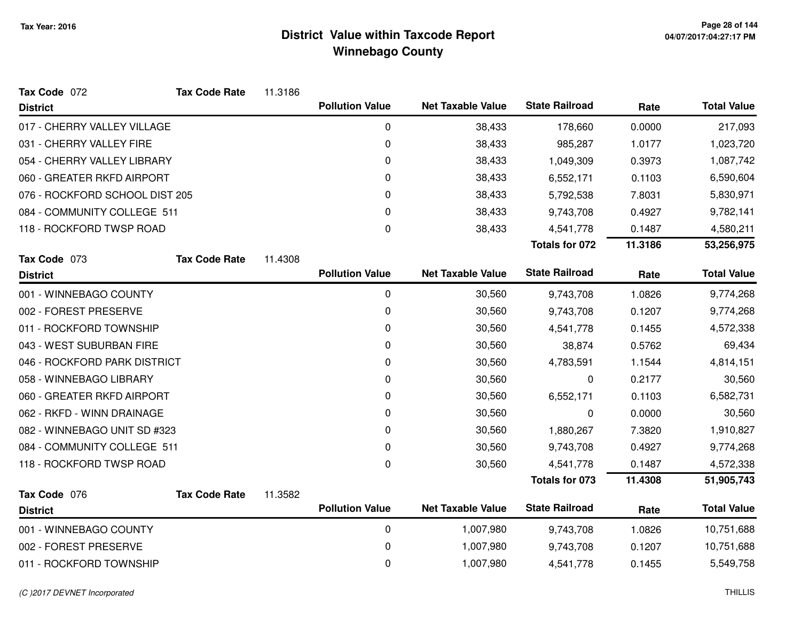| Tax Code 072                   | <b>Tax Code Rate</b> | 11.3186 |                        |                          |                       |         |                    |
|--------------------------------|----------------------|---------|------------------------|--------------------------|-----------------------|---------|--------------------|
| <b>District</b>                |                      |         | <b>Pollution Value</b> | <b>Net Taxable Value</b> | <b>State Railroad</b> | Rate    | <b>Total Value</b> |
| 017 - CHERRY VALLEY VILLAGE    |                      |         | 0                      | 38,433                   | 178,660               | 0.0000  | 217,093            |
| 031 - CHERRY VALLEY FIRE       |                      |         | $\mathbf 0$            | 38,433                   | 985,287               | 1.0177  | 1,023,720          |
| 054 - CHERRY VALLEY LIBRARY    |                      |         | $\mathbf 0$            | 38,433                   | 1,049,309             | 0.3973  | 1,087,742          |
| 060 - GREATER RKFD AIRPORT     |                      |         | $\mathbf 0$            | 38,433                   | 6,552,171             | 0.1103  | 6,590,604          |
| 076 - ROCKFORD SCHOOL DIST 205 |                      |         | 0                      | 38,433                   | 5,792,538             | 7.8031  | 5,830,971          |
| 084 - COMMUNITY COLLEGE 511    |                      |         | $\Omega$               | 38,433                   | 9,743,708             | 0.4927  | 9,782,141          |
| 118 - ROCKFORD TWSP ROAD       |                      |         | $\mathbf 0$            | 38,433                   | 4,541,778             | 0.1487  | 4,580,211          |
|                                |                      |         |                        |                          | <b>Totals for 072</b> | 11.3186 | 53,256,975         |
| Tax Code 073                   | <b>Tax Code Rate</b> | 11.4308 |                        |                          |                       |         |                    |
| <b>District</b>                |                      |         | <b>Pollution Value</b> | <b>Net Taxable Value</b> | <b>State Railroad</b> | Rate    | <b>Total Value</b> |
| 001 - WINNEBAGO COUNTY         |                      |         | $\mathbf 0$            | 30,560                   | 9,743,708             | 1.0826  | 9,774,268          |
| 002 - FOREST PRESERVE          |                      |         | $\mathbf 0$            | 30,560                   | 9,743,708             | 0.1207  | 9,774,268          |
| 011 - ROCKFORD TOWNSHIP        |                      |         | 0                      | 30,560                   | 4,541,778             | 0.1455  | 4,572,338          |
| 043 - WEST SUBURBAN FIRE       |                      |         | 0                      | 30,560                   | 38,874                | 0.5762  | 69,434             |
| 046 - ROCKFORD PARK DISTRICT   |                      |         | 0                      | 30,560                   | 4,783,591             | 1.1544  | 4,814,151          |
| 058 - WINNEBAGO LIBRARY        |                      |         | 0                      | 30,560                   | 0                     | 0.2177  | 30,560             |
| 060 - GREATER RKFD AIRPORT     |                      |         | $\mathbf 0$            | 30,560                   | 6,552,171             | 0.1103  | 6,582,731          |
| 062 - RKFD - WINN DRAINAGE     |                      |         | 0                      | 30,560                   | 0                     | 0.0000  | 30,560             |
| 082 - WINNEBAGO UNIT SD #323   |                      |         | 0                      | 30,560                   | 1,880,267             | 7.3820  | 1,910,827          |
| 084 - COMMUNITY COLLEGE 511    |                      |         | $\Omega$               | 30,560                   | 9,743,708             | 0.4927  | 9,774,268          |
| 118 - ROCKFORD TWSP ROAD       |                      |         | $\boldsymbol{0}$       | 30,560                   | 4,541,778             | 0.1487  | 4,572,338          |
|                                |                      |         |                        |                          | <b>Totals for 073</b> | 11.4308 | 51,905,743         |
| Tax Code 076                   | <b>Tax Code Rate</b> | 11.3582 |                        |                          |                       |         |                    |
| <b>District</b>                |                      |         | <b>Pollution Value</b> | <b>Net Taxable Value</b> | <b>State Railroad</b> | Rate    | <b>Total Value</b> |
| 001 - WINNEBAGO COUNTY         |                      |         | $\mathbf 0$            | 1,007,980                | 9,743,708             | 1.0826  | 10,751,688         |
| 002 - FOREST PRESERVE          |                      |         | 0                      | 1,007,980                | 9,743,708             | 0.1207  | 10,751,688         |
| 011 - ROCKFORD TOWNSHIP        |                      |         | $\mathbf 0$            | 1,007,980                | 4,541,778             | 0.1455  | 5,549,758          |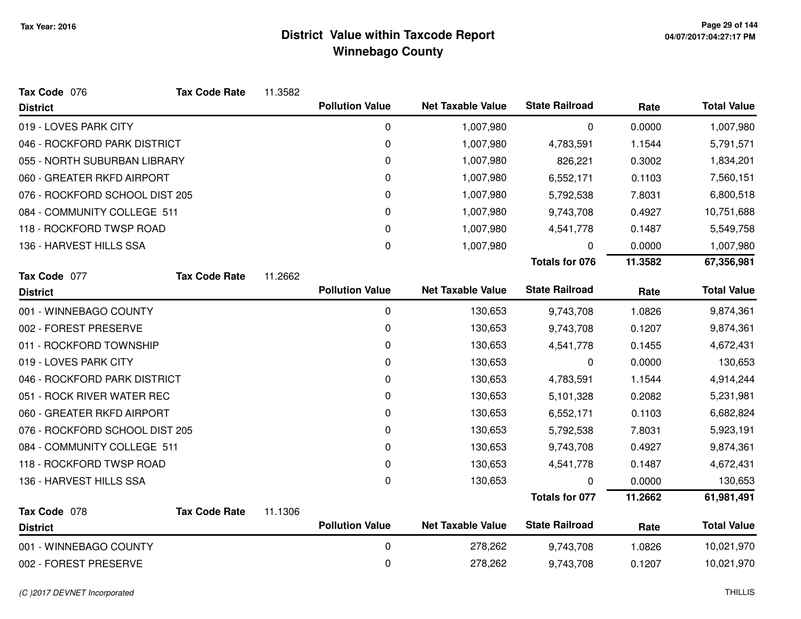| Tax Code 076                    | <b>Tax Code Rate</b> | 11.3582 |                        |                          |                       |         |                    |
|---------------------------------|----------------------|---------|------------------------|--------------------------|-----------------------|---------|--------------------|
| <b>District</b>                 |                      |         | <b>Pollution Value</b> | <b>Net Taxable Value</b> | <b>State Railroad</b> | Rate    | <b>Total Value</b> |
| 019 - LOVES PARK CITY           |                      |         | $\mathbf 0$            | 1,007,980                | 0                     | 0.0000  | 1,007,980          |
| 046 - ROCKFORD PARK DISTRICT    |                      |         | 0                      | 1,007,980                | 4,783,591             | 1.1544  | 5,791,571          |
| 055 - NORTH SUBURBAN LIBRARY    |                      |         | 0                      | 1,007,980                | 826,221               | 0.3002  | 1,834,201          |
| 060 - GREATER RKFD AIRPORT      |                      |         | 0                      | 1,007,980                | 6,552,171             | 0.1103  | 7,560,151          |
| 076 - ROCKFORD SCHOOL DIST 205  |                      |         | 0                      | 1,007,980                | 5,792,538             | 7.8031  | 6,800,518          |
| 084 - COMMUNITY COLLEGE 511     |                      |         | 0                      | 1,007,980                | 9,743,708             | 0.4927  | 10,751,688         |
| 118 - ROCKFORD TWSP ROAD        |                      |         | 0                      | 1,007,980                | 4,541,778             | 0.1487  | 5,549,758          |
| 136 - HARVEST HILLS SSA         |                      |         | 0                      | 1,007,980                | 0                     | 0.0000  | 1,007,980          |
|                                 |                      |         |                        |                          | <b>Totals for 076</b> | 11.3582 | 67,356,981         |
| Tax Code 077                    | <b>Tax Code Rate</b> | 11.2662 |                        |                          |                       |         |                    |
| <b>District</b>                 |                      |         | <b>Pollution Value</b> | <b>Net Taxable Value</b> | <b>State Railroad</b> | Rate    | <b>Total Value</b> |
| 001 - WINNEBAGO COUNTY          |                      |         | $\mathbf 0$            | 130,653                  | 9,743,708             | 1.0826  | 9,874,361          |
| 002 - FOREST PRESERVE           |                      |         | 0                      | 130,653                  | 9,743,708             | 0.1207  | 9,874,361          |
| 011 - ROCKFORD TOWNSHIP         |                      |         | 0                      | 130,653                  | 4,541,778             | 0.1455  | 4,672,431          |
| 019 - LOVES PARK CITY           |                      |         | 0                      | 130,653                  | 0                     | 0.0000  | 130,653            |
| 046 - ROCKFORD PARK DISTRICT    |                      |         | 0                      | 130,653                  | 4,783,591             | 1.1544  | 4,914,244          |
| 051 - ROCK RIVER WATER REC      |                      |         | 0                      | 130,653                  | 5,101,328             | 0.2082  | 5,231,981          |
| 060 - GREATER RKFD AIRPORT      |                      |         | 0                      | 130,653                  | 6,552,171             | 0.1103  | 6,682,824          |
| 076 - ROCKFORD SCHOOL DIST 205  |                      |         | 0                      | 130,653                  | 5,792,538             | 7.8031  | 5,923,191          |
| 084 - COMMUNITY COLLEGE 511     |                      |         | 0                      | 130,653                  | 9,743,708             | 0.4927  | 9,874,361          |
| 118 - ROCKFORD TWSP ROAD        |                      |         | 0                      | 130,653                  | 4,541,778             | 0.1487  | 4,672,431          |
| 136 - HARVEST HILLS SSA         |                      |         | $\Omega$               | 130,653                  | 0                     | 0.0000  | 130,653            |
|                                 |                      |         |                        |                          | Totals for 077        | 11.2662 | 61,981,491         |
| Tax Code 078<br><b>District</b> | <b>Tax Code Rate</b> | 11.1306 | <b>Pollution Value</b> | <b>Net Taxable Value</b> | <b>State Railroad</b> | Rate    | <b>Total Value</b> |
| 001 - WINNEBAGO COUNTY          |                      |         | $\mathbf 0$            | 278,262                  | 9,743,708             | 1.0826  | 10,021,970         |
| 002 - FOREST PRESERVE           |                      |         | 0                      | 278,262                  | 9,743,708             | 0.1207  | 10,021,970         |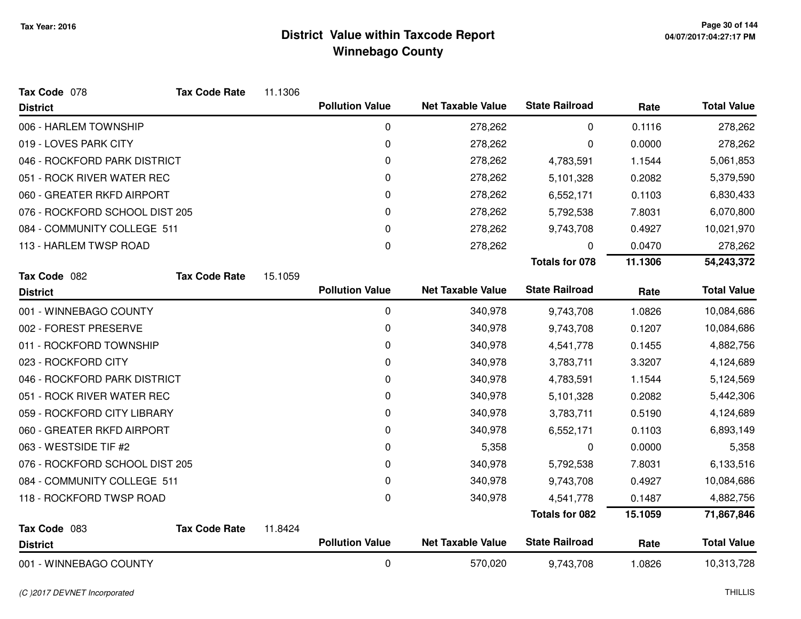| Tax Code 078                   | <b>Tax Code Rate</b> | 11.1306 |                        |                          |                       |         |                    |
|--------------------------------|----------------------|---------|------------------------|--------------------------|-----------------------|---------|--------------------|
| <b>District</b>                |                      |         | <b>Pollution Value</b> | <b>Net Taxable Value</b> | <b>State Railroad</b> | Rate    | <b>Total Value</b> |
| 006 - HARLEM TOWNSHIP          |                      |         | 0                      | 278,262                  | 0                     | 0.1116  | 278,262            |
| 019 - LOVES PARK CITY          |                      |         | 0                      | 278,262                  | 0                     | 0.0000  | 278,262            |
| 046 - ROCKFORD PARK DISTRICT   |                      |         | 0                      | 278,262                  | 4,783,591             | 1.1544  | 5,061,853          |
| 051 - ROCK RIVER WATER REC     |                      |         | 0                      | 278,262                  | 5,101,328             | 0.2082  | 5,379,590          |
| 060 - GREATER RKFD AIRPORT     |                      |         | 0                      | 278,262                  | 6,552,171             | 0.1103  | 6,830,433          |
| 076 - ROCKFORD SCHOOL DIST 205 |                      |         | 0                      | 278,262                  | 5,792,538             | 7.8031  | 6,070,800          |
| 084 - COMMUNITY COLLEGE 511    |                      |         | 0                      | 278,262                  | 9,743,708             | 0.4927  | 10,021,970         |
| 113 - HARLEM TWSP ROAD         |                      |         | 0                      | 278,262                  | 0                     | 0.0470  | 278,262            |
|                                |                      |         |                        |                          | <b>Totals for 078</b> | 11.1306 | 54,243,372         |
| Tax Code 082                   | <b>Tax Code Rate</b> | 15.1059 |                        |                          |                       |         |                    |
| <b>District</b>                |                      |         | <b>Pollution Value</b> | <b>Net Taxable Value</b> | <b>State Railroad</b> | Rate    | <b>Total Value</b> |
| 001 - WINNEBAGO COUNTY         |                      |         | 0                      | 340,978                  | 9,743,708             | 1.0826  | 10,084,686         |
| 002 - FOREST PRESERVE          |                      |         | 0                      | 340,978                  | 9,743,708             | 0.1207  | 10,084,686         |
| 011 - ROCKFORD TOWNSHIP        |                      |         | 0                      | 340,978                  | 4,541,778             | 0.1455  | 4,882,756          |
| 023 - ROCKFORD CITY            |                      |         | 0                      | 340,978                  | 3,783,711             | 3.3207  | 4,124,689          |
| 046 - ROCKFORD PARK DISTRICT   |                      |         | 0                      | 340,978                  | 4,783,591             | 1.1544  | 5,124,569          |
| 051 - ROCK RIVER WATER REC     |                      |         | 0                      | 340,978                  | 5,101,328             | 0.2082  | 5,442,306          |
| 059 - ROCKFORD CITY LIBRARY    |                      |         | 0                      | 340,978                  | 3,783,711             | 0.5190  | 4,124,689          |
| 060 - GREATER RKFD AIRPORT     |                      |         | 0                      | 340,978                  | 6,552,171             | 0.1103  | 6,893,149          |
| 063 - WESTSIDE TIF #2          |                      |         | 0                      | 5,358                    | 0                     | 0.0000  | 5,358              |
| 076 - ROCKFORD SCHOOL DIST 205 |                      |         | 0                      | 340,978                  | 5,792,538             | 7.8031  | 6,133,516          |
| 084 - COMMUNITY COLLEGE 511    |                      |         | 0                      | 340,978                  | 9,743,708             | 0.4927  | 10,084,686         |
| 118 - ROCKFORD TWSP ROAD       |                      |         | 0                      | 340,978                  | 4,541,778             | 0.1487  | 4,882,756          |
|                                |                      |         |                        |                          | <b>Totals for 082</b> | 15.1059 | 71,867,846         |
| Tax Code 083                   | <b>Tax Code Rate</b> | 11.8424 |                        |                          |                       |         |                    |
| <b>District</b>                |                      |         | <b>Pollution Value</b> | <b>Net Taxable Value</b> | <b>State Railroad</b> | Rate    | <b>Total Value</b> |
| 001 - WINNEBAGO COUNTY         |                      |         | 0                      | 570,020                  | 9,743,708             | 1.0826  | 10,313,728         |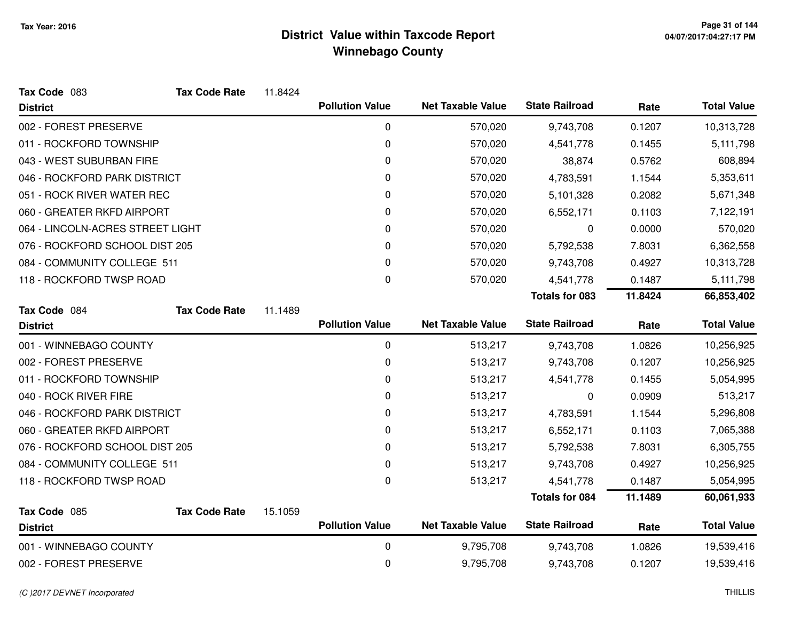| Tax Code 083                     | <b>Tax Code Rate</b> | 11.8424 |                        |                          |                       |         |                    |
|----------------------------------|----------------------|---------|------------------------|--------------------------|-----------------------|---------|--------------------|
| <b>District</b>                  |                      |         | <b>Pollution Value</b> | <b>Net Taxable Value</b> | <b>State Railroad</b> | Rate    | <b>Total Value</b> |
| 002 - FOREST PRESERVE            |                      |         | 0                      | 570,020                  | 9,743,708             | 0.1207  | 10,313,728         |
| 011 - ROCKFORD TOWNSHIP          |                      |         | 0                      | 570,020                  | 4,541,778             | 0.1455  | 5,111,798          |
| 043 - WEST SUBURBAN FIRE         |                      |         | 0                      | 570,020                  | 38,874                | 0.5762  | 608,894            |
| 046 - ROCKFORD PARK DISTRICT     |                      |         | 0                      | 570,020                  | 4,783,591             | 1.1544  | 5,353,611          |
| 051 - ROCK RIVER WATER REC       |                      |         | 0                      | 570,020                  | 5,101,328             | 0.2082  | 5,671,348          |
| 060 - GREATER RKFD AIRPORT       |                      |         | 0                      | 570,020                  | 6,552,171             | 0.1103  | 7,122,191          |
| 064 - LINCOLN-ACRES STREET LIGHT |                      |         | 0                      | 570,020                  | 0                     | 0.0000  | 570,020            |
| 076 - ROCKFORD SCHOOL DIST 205   |                      |         | 0                      | 570,020                  | 5,792,538             | 7.8031  | 6,362,558          |
| 084 - COMMUNITY COLLEGE 511      |                      |         | 0                      | 570,020                  | 9,743,708             | 0.4927  | 10,313,728         |
| 118 - ROCKFORD TWSP ROAD         |                      |         | 0                      | 570,020                  | 4,541,778             | 0.1487  | 5,111,798          |
|                                  |                      |         |                        |                          | <b>Totals for 083</b> | 11.8424 | 66,853,402         |
| Tax Code 084                     | <b>Tax Code Rate</b> | 11.1489 |                        |                          |                       |         |                    |
| <b>District</b>                  |                      |         | <b>Pollution Value</b> | <b>Net Taxable Value</b> | <b>State Railroad</b> | Rate    | <b>Total Value</b> |
| 001 - WINNEBAGO COUNTY           |                      |         | $\mathbf 0$            | 513,217                  | 9,743,708             | 1.0826  | 10,256,925         |
| 002 - FOREST PRESERVE            |                      |         | 0                      | 513,217                  | 9,743,708             | 0.1207  | 10,256,925         |
| 011 - ROCKFORD TOWNSHIP          |                      |         | 0                      | 513,217                  | 4,541,778             | 0.1455  | 5,054,995          |
| 040 - ROCK RIVER FIRE            |                      |         | 0                      | 513,217                  | 0                     | 0.0909  | 513,217            |
| 046 - ROCKFORD PARK DISTRICT     |                      |         | 0                      | 513,217                  | 4,783,591             | 1.1544  | 5,296,808          |
| 060 - GREATER RKFD AIRPORT       |                      |         | 0                      | 513,217                  | 6,552,171             | 0.1103  | 7,065,388          |
| 076 - ROCKFORD SCHOOL DIST 205   |                      |         | 0                      | 513,217                  | 5,792,538             | 7.8031  | 6,305,755          |
| 084 - COMMUNITY COLLEGE 511      |                      |         | 0                      | 513,217                  | 9,743,708             | 0.4927  | 10,256,925         |
| 118 - ROCKFORD TWSP ROAD         |                      |         | 0                      | 513,217                  | 4,541,778             | 0.1487  | 5,054,995          |
|                                  |                      |         |                        |                          | <b>Totals for 084</b> | 11.1489 | 60,061,933         |
| Tax Code 085<br><b>District</b>  | <b>Tax Code Rate</b> | 15.1059 | <b>Pollution Value</b> | <b>Net Taxable Value</b> | <b>State Railroad</b> | Rate    | <b>Total Value</b> |
| 001 - WINNEBAGO COUNTY           |                      |         | 0                      | 9,795,708                | 9,743,708             | 1.0826  | 19,539,416         |
| 002 - FOREST PRESERVE            |                      |         | 0                      | 9,795,708                | 9,743,708             | 0.1207  | 19,539,416         |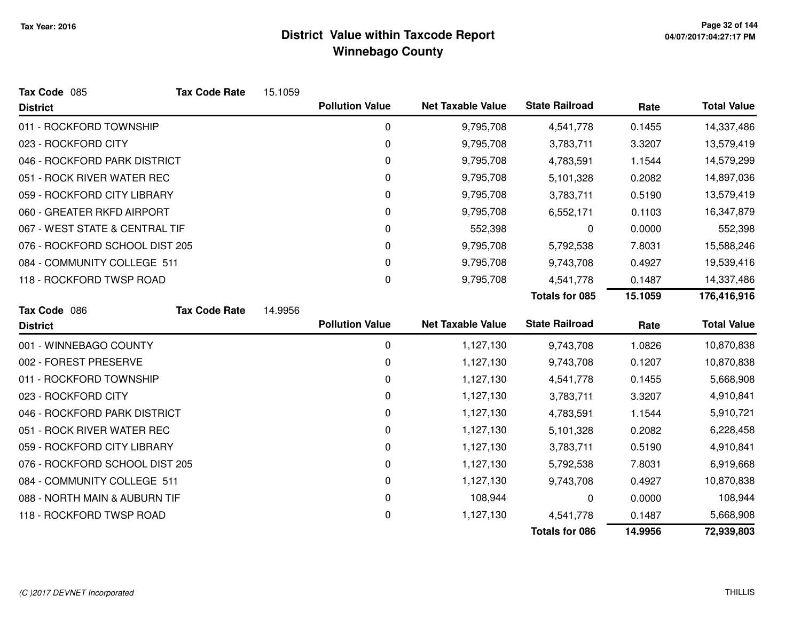| Tax Code 085                   | <b>Tax Code Rate</b> | 15.1059 |                        |                          |                       |         |                    |
|--------------------------------|----------------------|---------|------------------------|--------------------------|-----------------------|---------|--------------------|
| <b>District</b>                |                      |         | <b>Pollution Value</b> | <b>Net Taxable Value</b> | <b>State Railroad</b> | Rate    | <b>Total Value</b> |
| 011 - ROCKFORD TOWNSHIP        |                      |         | $\pmb{0}$              | 9,795,708                | 4,541,778             | 0.1455  | 14,337,486         |
| 023 - ROCKFORD CITY            |                      |         | 0                      | 9,795,708                | 3,783,711             | 3.3207  | 13,579,419         |
| 046 - ROCKFORD PARK DISTRICT   |                      |         | 0                      | 9,795,708                | 4,783,591             | 1.1544  | 14,579,299         |
| 051 - ROCK RIVER WATER REC     |                      |         | 0                      | 9,795,708                | 5,101,328             | 0.2082  | 14,897,036         |
| 059 - ROCKFORD CITY LIBRARY    |                      |         | 0                      | 9,795,708                | 3,783,711             | 0.5190  | 13,579,419         |
| 060 - GREATER RKFD AIRPORT     |                      |         | 0                      | 9,795,708                | 6,552,171             | 0.1103  | 16,347,879         |
| 067 - WEST STATE & CENTRAL TIF |                      |         | 0                      | 552,398                  | 0                     | 0.0000  | 552,398            |
| 076 - ROCKFORD SCHOOL DIST 205 |                      |         | 0                      | 9,795,708                | 5,792,538             | 7.8031  | 15,588,246         |
| 084 - COMMUNITY COLLEGE 511    |                      |         | 0                      | 9,795,708                | 9,743,708             | 0.4927  | 19,539,416         |
| 118 - ROCKFORD TWSP ROAD       |                      |         | 0                      | 9,795,708                | 4,541,778             | 0.1487  | 14,337,486         |
|                                |                      |         |                        |                          | <b>Totals for 085</b> | 15.1059 | 176,416,916        |
| Tax Code 086                   | <b>Tax Code Rate</b> | 14.9956 |                        |                          |                       |         |                    |
| <b>District</b>                |                      |         | <b>Pollution Value</b> | <b>Net Taxable Value</b> | <b>State Railroad</b> | Rate    | <b>Total Value</b> |
| 001 - WINNEBAGO COUNTY         |                      |         | 0                      | 1,127,130                | 9,743,708             | 1.0826  | 10,870,838         |
| 002 - FOREST PRESERVE          |                      |         | $\mathbf 0$            | 1,127,130                | 9,743,708             | 0.1207  | 10,870,838         |
| 011 - ROCKFORD TOWNSHIP        |                      |         | 0                      | 1,127,130                | 4,541,778             | 0.1455  | 5,668,908          |
| 023 - ROCKFORD CITY            |                      |         | 0                      | 1,127,130                | 3,783,711             | 3.3207  | 4,910,841          |
| 046 - ROCKFORD PARK DISTRICT   |                      |         | 0                      | 1,127,130                | 4,783,591             | 1.1544  | 5,910,721          |
| 051 - ROCK RIVER WATER REC     |                      |         | 0                      | 1,127,130                | 5,101,328             | 0.2082  | 6,228,458          |
| 059 - ROCKFORD CITY LIBRARY    |                      |         | 0                      | 1,127,130                | 3,783,711             | 0.5190  | 4,910,841          |
| 076 - ROCKFORD SCHOOL DIST 205 |                      |         | 0                      | 1,127,130                | 5,792,538             | 7.8031  | 6,919,668          |
| 084 - COMMUNITY COLLEGE 511    |                      |         | 0                      | 1,127,130                | 9,743,708             | 0.4927  | 10,870,838         |
| 088 - NORTH MAIN & AUBURN TIF  |                      |         | 0                      | 108,944                  | 0                     | 0.0000  | 108,944            |
| 118 - ROCKFORD TWSP ROAD       |                      |         | 0                      | 1,127,130                | 4,541,778             | 0.1487  | 5,668,908          |
|                                |                      |         |                        |                          | <b>Totals for 086</b> | 14.9956 | 72,939,803         |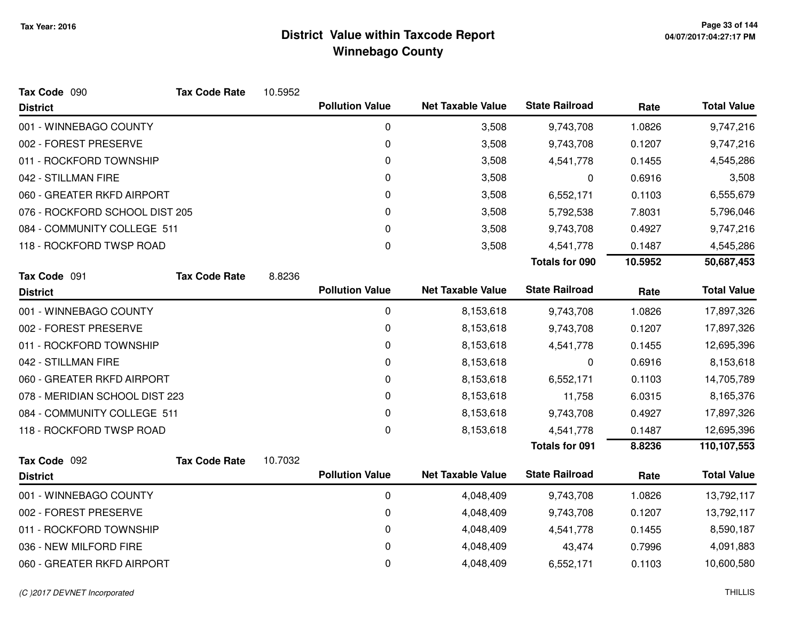| Tax Code 090                   | <b>Tax Code Rate</b> | 10.5952 |                        |                          |                       |         |                    |
|--------------------------------|----------------------|---------|------------------------|--------------------------|-----------------------|---------|--------------------|
| <b>District</b>                |                      |         | <b>Pollution Value</b> | <b>Net Taxable Value</b> | <b>State Railroad</b> | Rate    | <b>Total Value</b> |
| 001 - WINNEBAGO COUNTY         |                      |         | 0                      | 3,508                    | 9,743,708             | 1.0826  | 9,747,216          |
| 002 - FOREST PRESERVE          |                      |         | $\mathbf 0$            | 3,508                    | 9,743,708             | 0.1207  | 9,747,216          |
| 011 - ROCKFORD TOWNSHIP        |                      |         | $\mathbf 0$            | 3,508                    | 4,541,778             | 0.1455  | 4,545,286          |
| 042 - STILLMAN FIRE            |                      |         | 0                      | 3,508                    | 0                     | 0.6916  | 3,508              |
| 060 - GREATER RKFD AIRPORT     |                      |         | $\mathbf 0$            | 3,508                    | 6,552,171             | 0.1103  | 6,555,679          |
| 076 - ROCKFORD SCHOOL DIST 205 |                      |         | 0                      | 3,508                    | 5,792,538             | 7.8031  | 5,796,046          |
| 084 - COMMUNITY COLLEGE 511    |                      |         | 0                      | 3,508                    | 9,743,708             | 0.4927  | 9,747,216          |
| 118 - ROCKFORD TWSP ROAD       |                      |         | 0                      | 3,508                    | 4,541,778             | 0.1487  | 4,545,286          |
|                                |                      |         |                        |                          | <b>Totals for 090</b> | 10.5952 | 50,687,453         |
| Tax Code 091                   | <b>Tax Code Rate</b> | 8.8236  |                        |                          |                       |         |                    |
| <b>District</b>                |                      |         | <b>Pollution Value</b> | <b>Net Taxable Value</b> | <b>State Railroad</b> | Rate    | <b>Total Value</b> |
| 001 - WINNEBAGO COUNTY         |                      |         | 0                      | 8,153,618                | 9,743,708             | 1.0826  | 17,897,326         |
| 002 - FOREST PRESERVE          |                      |         | $\mathbf 0$            | 8,153,618                | 9,743,708             | 0.1207  | 17,897,326         |
| 011 - ROCKFORD TOWNSHIP        |                      |         | $\mathbf 0$            | 8,153,618                | 4,541,778             | 0.1455  | 12,695,396         |
| 042 - STILLMAN FIRE            |                      |         | 0                      | 8,153,618                | 0                     | 0.6916  | 8,153,618          |
| 060 - GREATER RKFD AIRPORT     |                      |         | 0                      | 8,153,618                | 6,552,171             | 0.1103  | 14,705,789         |
| 078 - MERIDIAN SCHOOL DIST 223 |                      |         | 0                      | 8,153,618                | 11,758                | 6.0315  | 8,165,376          |
| 084 - COMMUNITY COLLEGE 511    |                      |         | 0                      | 8,153,618                | 9,743,708             | 0.4927  | 17,897,326         |
| 118 - ROCKFORD TWSP ROAD       |                      |         | 0                      | 8,153,618                | 4,541,778             | 0.1487  | 12,695,396         |
|                                |                      |         |                        |                          | <b>Totals for 091</b> | 8.8236  | 110,107,553        |
| Tax Code 092                   | <b>Tax Code Rate</b> | 10.7032 |                        |                          |                       |         |                    |
| <b>District</b>                |                      |         | <b>Pollution Value</b> | <b>Net Taxable Value</b> | <b>State Railroad</b> | Rate    | <b>Total Value</b> |
| 001 - WINNEBAGO COUNTY         |                      |         | $\mathbf 0$            | 4,048,409                | 9,743,708             | 1.0826  | 13,792,117         |
| 002 - FOREST PRESERVE          |                      |         | 0                      | 4,048,409                | 9,743,708             | 0.1207  | 13,792,117         |
| 011 - ROCKFORD TOWNSHIP        |                      |         | 0                      | 4,048,409                | 4,541,778             | 0.1455  | 8,590,187          |
| 036 - NEW MILFORD FIRE         |                      |         | 0                      | 4,048,409                | 43,474                | 0.7996  | 4,091,883          |
| 060 - GREATER RKFD AIRPORT     |                      |         | 0                      | 4,048,409                | 6,552,171             | 0.1103  | 10,600,580         |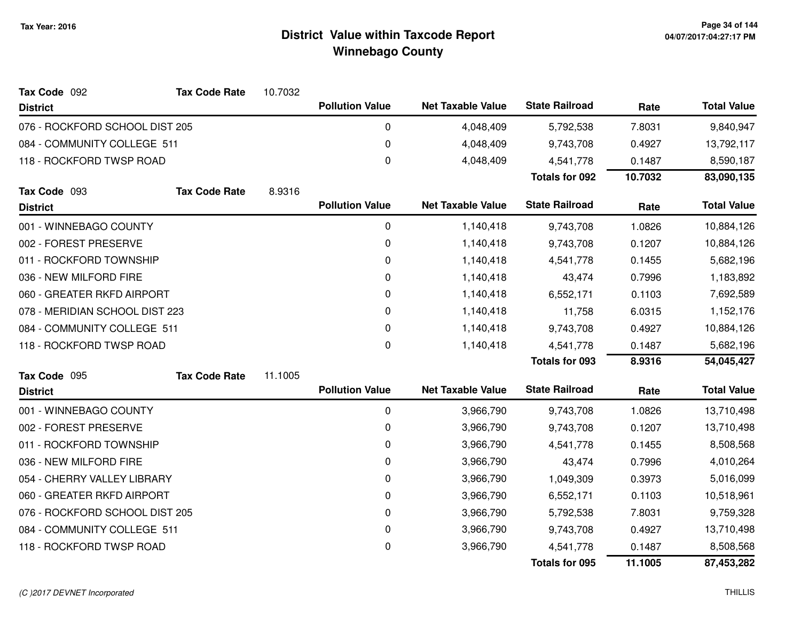| Tax Code 092                   | <b>Tax Code Rate</b> | 10.7032 |                        |                          |                       |         |                    |
|--------------------------------|----------------------|---------|------------------------|--------------------------|-----------------------|---------|--------------------|
| <b>District</b>                |                      |         | <b>Pollution Value</b> | <b>Net Taxable Value</b> | <b>State Railroad</b> | Rate    | <b>Total Value</b> |
| 076 - ROCKFORD SCHOOL DIST 205 |                      |         | 0                      | 4,048,409                | 5,792,538             | 7.8031  | 9,840,947          |
| 084 - COMMUNITY COLLEGE 511    |                      |         | 0                      | 4,048,409                | 9,743,708             | 0.4927  | 13,792,117         |
| 118 - ROCKFORD TWSP ROAD       |                      |         | 0                      | 4,048,409                | 4,541,778             | 0.1487  | 8,590,187          |
|                                |                      |         |                        |                          | <b>Totals for 092</b> | 10.7032 | 83,090,135         |
| Tax Code 093                   | <b>Tax Code Rate</b> | 8.9316  |                        |                          |                       |         |                    |
| <b>District</b>                |                      |         | <b>Pollution Value</b> | <b>Net Taxable Value</b> | <b>State Railroad</b> | Rate    | <b>Total Value</b> |
| 001 - WINNEBAGO COUNTY         |                      |         | 0                      | 1,140,418                | 9,743,708             | 1.0826  | 10,884,126         |
| 002 - FOREST PRESERVE          |                      |         | 0                      | 1,140,418                | 9,743,708             | 0.1207  | 10,884,126         |
| 011 - ROCKFORD TOWNSHIP        |                      |         | 0                      | 1,140,418                | 4,541,778             | 0.1455  | 5,682,196          |
| 036 - NEW MILFORD FIRE         |                      |         | 0                      | 1,140,418                | 43,474                | 0.7996  | 1,183,892          |
| 060 - GREATER RKFD AIRPORT     |                      |         | 0                      | 1,140,418                | 6,552,171             | 0.1103  | 7,692,589          |
| 078 - MERIDIAN SCHOOL DIST 223 |                      |         | 0                      | 1,140,418                | 11,758                | 6.0315  | 1,152,176          |
| 084 - COMMUNITY COLLEGE 511    |                      |         | 0                      | 1,140,418                | 9,743,708             | 0.4927  | 10,884,126         |
| 118 - ROCKFORD TWSP ROAD       |                      |         | $\mathbf 0$            | 1,140,418                | 4,541,778             | 0.1487  | 5,682,196          |
|                                |                      |         |                        |                          | Totals for 093        | 8.9316  | 54,045,427         |
| Tax Code 095                   | <b>Tax Code Rate</b> | 11.1005 |                        |                          |                       |         |                    |
| <b>District</b>                |                      |         | <b>Pollution Value</b> | <b>Net Taxable Value</b> | <b>State Railroad</b> | Rate    | <b>Total Value</b> |
| 001 - WINNEBAGO COUNTY         |                      |         | 0                      | 3,966,790                | 9,743,708             | 1.0826  | 13,710,498         |
| 002 - FOREST PRESERVE          |                      |         | 0                      | 3,966,790                | 9,743,708             | 0.1207  | 13,710,498         |
| 011 - ROCKFORD TOWNSHIP        |                      |         | 0                      | 3,966,790                | 4,541,778             | 0.1455  | 8,508,568          |
| 036 - NEW MILFORD FIRE         |                      |         | 0                      | 3,966,790                | 43,474                | 0.7996  | 4,010,264          |
| 054 - CHERRY VALLEY LIBRARY    |                      |         | 0                      | 3,966,790                | 1,049,309             | 0.3973  | 5,016,099          |
| 060 - GREATER RKFD AIRPORT     |                      |         | 0                      | 3,966,790                | 6,552,171             | 0.1103  | 10,518,961         |
| 076 - ROCKFORD SCHOOL DIST 205 |                      |         | 0                      | 3,966,790                | 5,792,538             | 7.8031  | 9,759,328          |
| 084 - COMMUNITY COLLEGE 511    |                      |         | 0                      | 3,966,790                | 9,743,708             | 0.4927  | 13,710,498         |
| 118 - ROCKFORD TWSP ROAD       |                      |         | 0                      | 3,966,790                | 4,541,778             | 0.1487  | 8,508,568          |
|                                |                      |         |                        |                          | <b>Totals for 095</b> | 11.1005 | 87,453,282         |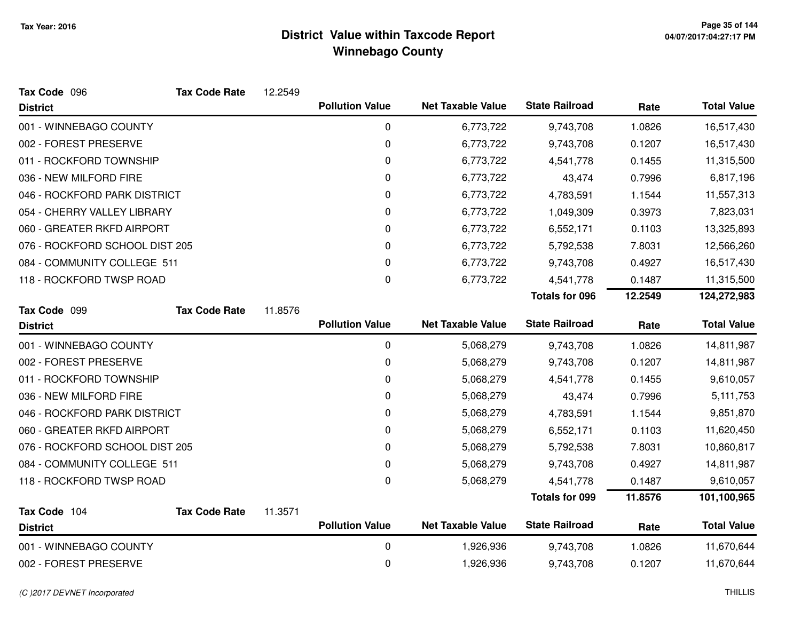| Tax Code 096                    | <b>Tax Code Rate</b> | 12.2549 |                        |                          |                       |         |                    |
|---------------------------------|----------------------|---------|------------------------|--------------------------|-----------------------|---------|--------------------|
| <b>District</b>                 |                      |         | <b>Pollution Value</b> | <b>Net Taxable Value</b> | <b>State Railroad</b> | Rate    | <b>Total Value</b> |
| 001 - WINNEBAGO COUNTY          |                      |         | 0                      | 6,773,722                | 9,743,708             | 1.0826  | 16,517,430         |
| 002 - FOREST PRESERVE           |                      |         | 0                      | 6,773,722                | 9,743,708             | 0.1207  | 16,517,430         |
| 011 - ROCKFORD TOWNSHIP         |                      |         | 0                      | 6,773,722                | 4,541,778             | 0.1455  | 11,315,500         |
| 036 - NEW MILFORD FIRE          |                      |         | 0                      | 6,773,722                | 43,474                | 0.7996  | 6,817,196          |
| 046 - ROCKFORD PARK DISTRICT    |                      |         | 0                      | 6,773,722                | 4,783,591             | 1.1544  | 11,557,313         |
| 054 - CHERRY VALLEY LIBRARY     |                      |         | 0                      | 6,773,722                | 1,049,309             | 0.3973  | 7,823,031          |
| 060 - GREATER RKFD AIRPORT      |                      |         | 0                      | 6,773,722                | 6,552,171             | 0.1103  | 13,325,893         |
| 076 - ROCKFORD SCHOOL DIST 205  |                      |         | 0                      | 6,773,722                | 5,792,538             | 7.8031  | 12,566,260         |
| 084 - COMMUNITY COLLEGE 511     |                      |         | $\Omega$               | 6,773,722                | 9,743,708             | 0.4927  | 16,517,430         |
| 118 - ROCKFORD TWSP ROAD        |                      |         | 0                      | 6,773,722                | 4,541,778             | 0.1487  | 11,315,500         |
|                                 |                      |         |                        |                          | <b>Totals for 096</b> | 12.2549 | 124,272,983        |
| Tax Code 099                    | <b>Tax Code Rate</b> | 11.8576 |                        |                          |                       |         |                    |
| <b>District</b>                 |                      |         | <b>Pollution Value</b> | <b>Net Taxable Value</b> | <b>State Railroad</b> | Rate    | <b>Total Value</b> |
| 001 - WINNEBAGO COUNTY          |                      |         | $\pmb{0}$              | 5,068,279                | 9,743,708             | 1.0826  | 14,811,987         |
| 002 - FOREST PRESERVE           |                      |         | 0                      | 5,068,279                | 9,743,708             | 0.1207  | 14,811,987         |
| 011 - ROCKFORD TOWNSHIP         |                      |         | 0                      | 5,068,279                | 4,541,778             | 0.1455  | 9,610,057          |
| 036 - NEW MILFORD FIRE          |                      |         | 0                      | 5,068,279                | 43,474                | 0.7996  | 5,111,753          |
| 046 - ROCKFORD PARK DISTRICT    |                      |         | 0                      | 5,068,279                | 4,783,591             | 1.1544  | 9,851,870          |
| 060 - GREATER RKFD AIRPORT      |                      |         | 0                      | 5,068,279                | 6,552,171             | 0.1103  | 11,620,450         |
| 076 - ROCKFORD SCHOOL DIST 205  |                      |         | 0                      | 5,068,279                | 5,792,538             | 7.8031  | 10,860,817         |
| 084 - COMMUNITY COLLEGE 511     |                      |         | 0                      | 5,068,279                | 9,743,708             | 0.4927  | 14,811,987         |
| 118 - ROCKFORD TWSP ROAD        |                      |         | 0                      | 5,068,279                | 4,541,778             | 0.1487  | 9,610,057          |
|                                 |                      |         |                        |                          | <b>Totals for 099</b> | 11.8576 | 101,100,965        |
| Tax Code 104<br><b>District</b> | <b>Tax Code Rate</b> | 11.3571 | <b>Pollution Value</b> | <b>Net Taxable Value</b> | <b>State Railroad</b> | Rate    | <b>Total Value</b> |
|                                 |                      |         |                        |                          |                       |         |                    |
| 001 - WINNEBAGO COUNTY          |                      |         | 0                      | 1,926,936                | 9,743,708             | 1.0826  | 11,670,644         |
| 002 - FOREST PRESERVE           |                      |         | 0                      | 1,926,936                | 9,743,708             | 0.1207  | 11,670,644         |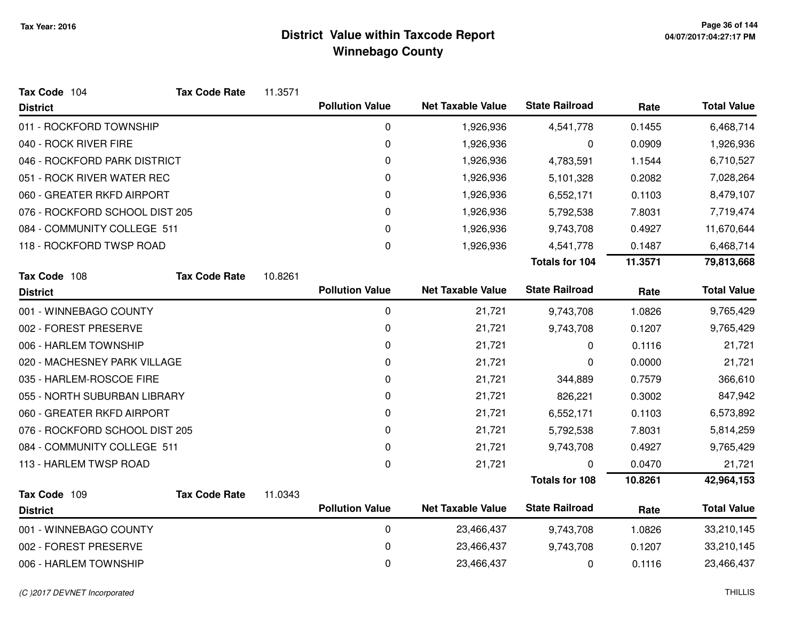| Tax Code 104                   | <b>Tax Code Rate</b> | 11.3571 |                        |                          |                       |         |                    |
|--------------------------------|----------------------|---------|------------------------|--------------------------|-----------------------|---------|--------------------|
| <b>District</b>                |                      |         | <b>Pollution Value</b> | <b>Net Taxable Value</b> | <b>State Railroad</b> | Rate    | <b>Total Value</b> |
| 011 - ROCKFORD TOWNSHIP        |                      |         | 0                      | 1,926,936                | 4,541,778             | 0.1455  | 6,468,714          |
| 040 - ROCK RIVER FIRE          |                      |         | 0                      | 1,926,936                | 0                     | 0.0909  | 1,926,936          |
| 046 - ROCKFORD PARK DISTRICT   |                      |         | 0                      | 1,926,936                | 4,783,591             | 1.1544  | 6,710,527          |
| 051 - ROCK RIVER WATER REC     |                      |         | 0                      | 1,926,936                | 5,101,328             | 0.2082  | 7,028,264          |
| 060 - GREATER RKFD AIRPORT     |                      |         | 0                      | 1,926,936                | 6,552,171             | 0.1103  | 8,479,107          |
| 076 - ROCKFORD SCHOOL DIST 205 |                      |         | 0                      | 1,926,936                | 5,792,538             | 7.8031  | 7,719,474          |
| 084 - COMMUNITY COLLEGE 511    |                      |         | 0                      | 1,926,936                | 9,743,708             | 0.4927  | 11,670,644         |
| 118 - ROCKFORD TWSP ROAD       |                      |         | $\Omega$               | 1,926,936                | 4,541,778             | 0.1487  | 6,468,714          |
|                                |                      |         |                        |                          | Totals for 104        | 11.3571 | 79,813,668         |
| Tax Code 108                   | <b>Tax Code Rate</b> | 10.8261 |                        |                          |                       |         |                    |
| <b>District</b>                |                      |         | <b>Pollution Value</b> | <b>Net Taxable Value</b> | <b>State Railroad</b> | Rate    | <b>Total Value</b> |
| 001 - WINNEBAGO COUNTY         |                      |         | 0                      | 21,721                   | 9,743,708             | 1.0826  | 9,765,429          |
| 002 - FOREST PRESERVE          |                      |         | 0                      | 21,721                   | 9,743,708             | 0.1207  | 9,765,429          |
| 006 - HARLEM TOWNSHIP          |                      |         | 0                      | 21,721                   | 0                     | 0.1116  | 21,721             |
| 020 - MACHESNEY PARK VILLAGE   |                      |         | 0                      | 21,721                   | 0                     | 0.0000  | 21,721             |
| 035 - HARLEM-ROSCOE FIRE       |                      |         | 0                      | 21,721                   | 344,889               | 0.7579  | 366,610            |
| 055 - NORTH SUBURBAN LIBRARY   |                      |         | 0                      | 21,721                   | 826,221               | 0.3002  | 847,942            |
| 060 - GREATER RKFD AIRPORT     |                      |         | 0                      | 21,721                   | 6,552,171             | 0.1103  | 6,573,892          |
| 076 - ROCKFORD SCHOOL DIST 205 |                      |         | 0                      | 21,721                   | 5,792,538             | 7.8031  | 5,814,259          |
| 084 - COMMUNITY COLLEGE 511    |                      |         | 0                      | 21,721                   | 9,743,708             | 0.4927  | 9,765,429          |
| 113 - HARLEM TWSP ROAD         |                      |         | $\pmb{0}$              | 21,721                   | 0                     | 0.0470  | 21,721             |
|                                |                      |         |                        |                          | <b>Totals for 108</b> | 10.8261 | 42,964,153         |
| Tax Code 109                   | <b>Tax Code Rate</b> | 11.0343 |                        |                          |                       |         |                    |
| <b>District</b>                |                      |         | <b>Pollution Value</b> | <b>Net Taxable Value</b> | <b>State Railroad</b> | Rate    | <b>Total Value</b> |
| 001 - WINNEBAGO COUNTY         |                      |         | $\pmb{0}$              | 23,466,437               | 9,743,708             | 1.0826  | 33,210,145         |
| 002 - FOREST PRESERVE          |                      |         | 0                      | 23,466,437               | 9,743,708             | 0.1207  | 33,210,145         |
| 006 - HARLEM TOWNSHIP          |                      |         | 0                      | 23,466,437               | 0                     | 0.1116  | 23,466,437         |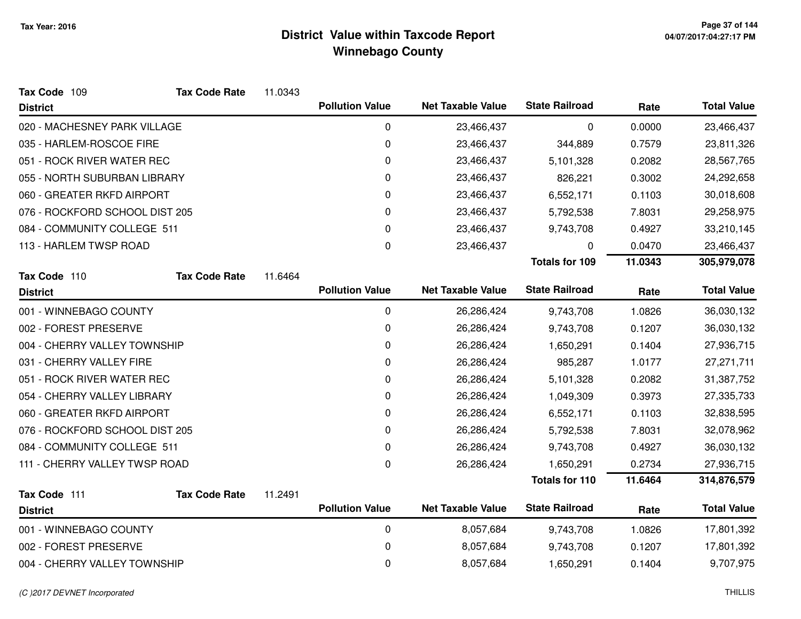| Tax Code 109                   | <b>Tax Code Rate</b> | 11.0343 |                        |                          |                       |         |                    |
|--------------------------------|----------------------|---------|------------------------|--------------------------|-----------------------|---------|--------------------|
| <b>District</b>                |                      |         | <b>Pollution Value</b> | <b>Net Taxable Value</b> | <b>State Railroad</b> | Rate    | <b>Total Value</b> |
| 020 - MACHESNEY PARK VILLAGE   |                      |         | 0                      | 23,466,437               | 0                     | 0.0000  | 23,466,437         |
| 035 - HARLEM-ROSCOE FIRE       |                      |         | 0                      | 23,466,437               | 344,889               | 0.7579  | 23,811,326         |
| 051 - ROCK RIVER WATER REC     |                      |         | 0                      | 23,466,437               | 5,101,328             | 0.2082  | 28,567,765         |
| 055 - NORTH SUBURBAN LIBRARY   |                      |         | 0                      | 23,466,437               | 826,221               | 0.3002  | 24,292,658         |
| 060 - GREATER RKFD AIRPORT     |                      |         | 0                      | 23,466,437               | 6,552,171             | 0.1103  | 30,018,608         |
| 076 - ROCKFORD SCHOOL DIST 205 |                      |         | 0                      | 23,466,437               | 5,792,538             | 7.8031  | 29,258,975         |
| 084 - COMMUNITY COLLEGE 511    |                      |         | 0                      | 23,466,437               | 9,743,708             | 0.4927  | 33,210,145         |
| 113 - HARLEM TWSP ROAD         |                      |         | 0                      | 23,466,437               | 0                     | 0.0470  | 23,466,437         |
|                                |                      |         |                        |                          | <b>Totals for 109</b> | 11.0343 | 305,979,078        |
| Tax Code 110                   | <b>Tax Code Rate</b> | 11.6464 |                        |                          |                       |         |                    |
| <b>District</b>                |                      |         | <b>Pollution Value</b> | <b>Net Taxable Value</b> | <b>State Railroad</b> | Rate    | <b>Total Value</b> |
| 001 - WINNEBAGO COUNTY         |                      |         | 0                      | 26,286,424               | 9,743,708             | 1.0826  | 36,030,132         |
| 002 - FOREST PRESERVE          |                      |         | 0                      | 26,286,424               | 9,743,708             | 0.1207  | 36,030,132         |
| 004 - CHERRY VALLEY TOWNSHIP   |                      |         | $\mathbf 0$            | 26,286,424               | 1,650,291             | 0.1404  | 27,936,715         |
| 031 - CHERRY VALLEY FIRE       |                      |         | 0                      | 26,286,424               | 985,287               | 1.0177  | 27,271,711         |
| 051 - ROCK RIVER WATER REC     |                      |         | 0                      | 26,286,424               | 5,101,328             | 0.2082  | 31,387,752         |
| 054 - CHERRY VALLEY LIBRARY    |                      |         | 0                      | 26,286,424               | 1,049,309             | 0.3973  | 27,335,733         |
| 060 - GREATER RKFD AIRPORT     |                      |         | 0                      | 26,286,424               | 6,552,171             | 0.1103  | 32,838,595         |
| 076 - ROCKFORD SCHOOL DIST 205 |                      |         | 0                      | 26,286,424               | 5,792,538             | 7.8031  | 32,078,962         |
| 084 - COMMUNITY COLLEGE 511    |                      |         | 0                      | 26,286,424               | 9,743,708             | 0.4927  | 36,030,132         |
| 111 - CHERRY VALLEY TWSP ROAD  |                      |         | 0                      | 26,286,424               | 1,650,291             | 0.2734  | 27,936,715         |
|                                |                      |         |                        |                          | <b>Totals for 110</b> | 11.6464 | 314,876,579        |
| Tax Code 111                   | <b>Tax Code Rate</b> | 11.2491 |                        |                          |                       |         |                    |
| <b>District</b>                |                      |         | <b>Pollution Value</b> | <b>Net Taxable Value</b> | <b>State Railroad</b> | Rate    | <b>Total Value</b> |
| 001 - WINNEBAGO COUNTY         |                      |         | 0                      | 8,057,684                | 9,743,708             | 1.0826  | 17,801,392         |
| 002 - FOREST PRESERVE          |                      |         | 0                      | 8,057,684                | 9,743,708             | 0.1207  | 17,801,392         |
| 004 - CHERRY VALLEY TOWNSHIP   |                      |         | 0                      | 8,057,684                | 1,650,291             | 0.1404  | 9,707,975          |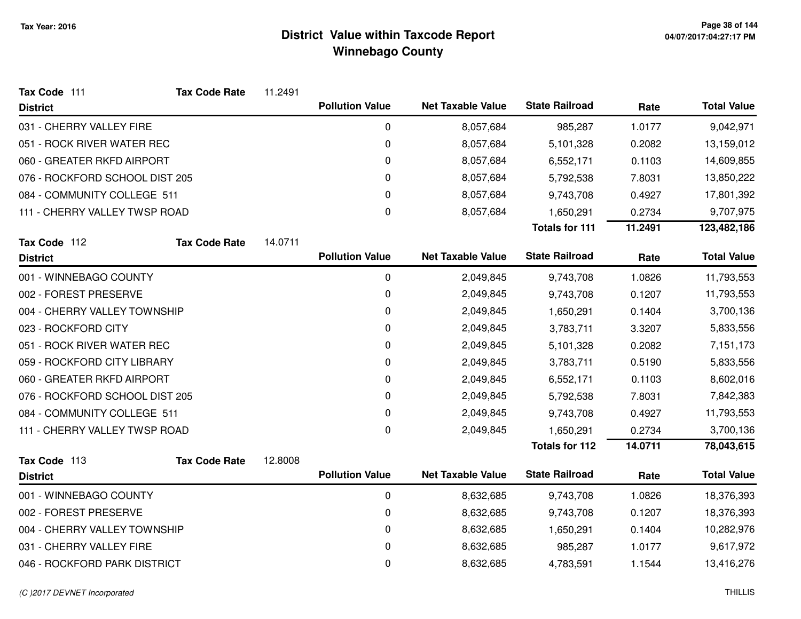| Tax Code 111                   | <b>Tax Code Rate</b> | 11.2491 |                        |                          |                       |         |                    |
|--------------------------------|----------------------|---------|------------------------|--------------------------|-----------------------|---------|--------------------|
| <b>District</b>                |                      |         | <b>Pollution Value</b> | <b>Net Taxable Value</b> | <b>State Railroad</b> | Rate    | <b>Total Value</b> |
| 031 - CHERRY VALLEY FIRE       |                      |         | 0                      | 8,057,684                | 985,287               | 1.0177  | 9,042,971          |
| 051 - ROCK RIVER WATER REC     |                      |         | 0                      | 8,057,684                | 5,101,328             | 0.2082  | 13,159,012         |
| 060 - GREATER RKFD AIRPORT     |                      |         | 0                      | 8,057,684                | 6,552,171             | 0.1103  | 14,609,855         |
| 076 - ROCKFORD SCHOOL DIST 205 |                      |         | 0                      | 8,057,684                | 5,792,538             | 7.8031  | 13,850,222         |
| 084 - COMMUNITY COLLEGE 511    |                      |         | 0                      | 8,057,684                | 9,743,708             | 0.4927  | 17,801,392         |
| 111 - CHERRY VALLEY TWSP ROAD  |                      |         | 0                      | 8,057,684                | 1,650,291             | 0.2734  | 9,707,975          |
|                                |                      |         |                        |                          | <b>Totals for 111</b> | 11.2491 | 123,482,186        |
| Tax Code 112                   | <b>Tax Code Rate</b> | 14.0711 |                        |                          |                       |         |                    |
| <b>District</b>                |                      |         | <b>Pollution Value</b> | <b>Net Taxable Value</b> | <b>State Railroad</b> | Rate    | <b>Total Value</b> |
| 001 - WINNEBAGO COUNTY         |                      |         | 0                      | 2,049,845                | 9,743,708             | 1.0826  | 11,793,553         |
| 002 - FOREST PRESERVE          |                      |         | 0                      | 2,049,845                | 9,743,708             | 0.1207  | 11,793,553         |
| 004 - CHERRY VALLEY TOWNSHIP   |                      |         | 0                      | 2,049,845                | 1,650,291             | 0.1404  | 3,700,136          |
| 023 - ROCKFORD CITY            |                      |         | 0                      | 2,049,845                | 3,783,711             | 3.3207  | 5,833,556          |
| 051 - ROCK RIVER WATER REC     |                      |         | 0                      | 2,049,845                | 5,101,328             | 0.2082  | 7,151,173          |
| 059 - ROCKFORD CITY LIBRARY    |                      |         | 0                      | 2,049,845                | 3,783,711             | 0.5190  | 5,833,556          |
| 060 - GREATER RKFD AIRPORT     |                      |         | 0                      | 2,049,845                | 6,552,171             | 0.1103  | 8,602,016          |
| 076 - ROCKFORD SCHOOL DIST 205 |                      |         | 0                      | 2,049,845                | 5,792,538             | 7.8031  | 7,842,383          |
| 084 - COMMUNITY COLLEGE 511    |                      |         | 0                      | 2,049,845                | 9,743,708             | 0.4927  | 11,793,553         |
| 111 - CHERRY VALLEY TWSP ROAD  |                      |         | 0                      | 2,049,845                | 1,650,291             | 0.2734  | 3,700,136          |
|                                |                      |         |                        |                          | <b>Totals for 112</b> | 14.0711 | 78,043,615         |
| Tax Code 113                   | <b>Tax Code Rate</b> | 12.8008 |                        |                          |                       |         |                    |
| <b>District</b>                |                      |         | <b>Pollution Value</b> | <b>Net Taxable Value</b> | <b>State Railroad</b> | Rate    | <b>Total Value</b> |
| 001 - WINNEBAGO COUNTY         |                      |         | 0                      | 8,632,685                | 9,743,708             | 1.0826  | 18,376,393         |
| 002 - FOREST PRESERVE          |                      |         | 0                      | 8,632,685                | 9,743,708             | 0.1207  | 18,376,393         |
| 004 - CHERRY VALLEY TOWNSHIP   |                      |         | 0                      | 8,632,685                | 1,650,291             | 0.1404  | 10,282,976         |
| 031 - CHERRY VALLEY FIRE       |                      |         | 0                      | 8,632,685                | 985,287               | 1.0177  | 9,617,972          |
| 046 - ROCKFORD PARK DISTRICT   |                      |         | 0                      | 8,632,685                | 4,783,591             | 1.1544  | 13,416,276         |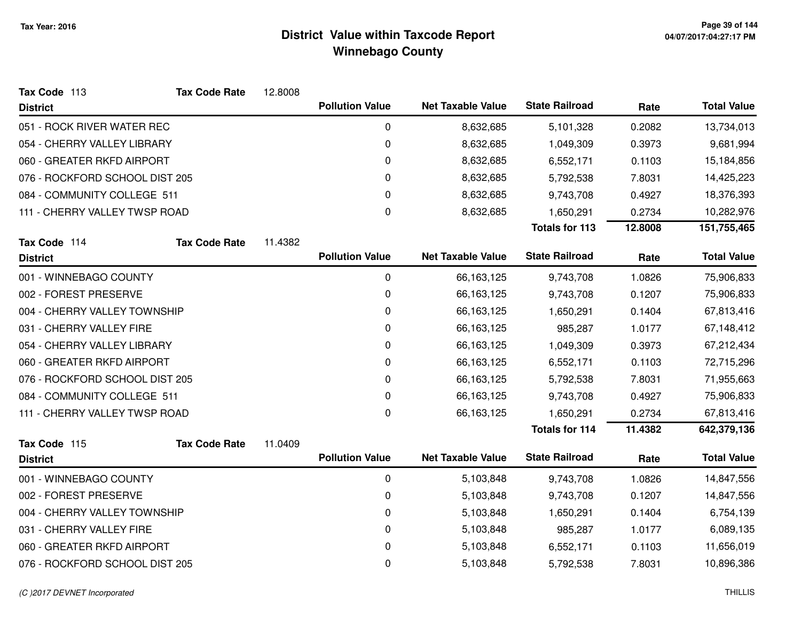| Tax Code 113                   | <b>Tax Code Rate</b>        | 12.8008 |                        |                          |                       |         |                    |
|--------------------------------|-----------------------------|---------|------------------------|--------------------------|-----------------------|---------|--------------------|
| <b>District</b>                |                             |         | <b>Pollution Value</b> | <b>Net Taxable Value</b> | <b>State Railroad</b> | Rate    | <b>Total Value</b> |
| 051 - ROCK RIVER WATER REC     |                             |         | 0                      | 8,632,685                | 5,101,328             | 0.2082  | 13,734,013         |
| 054 - CHERRY VALLEY LIBRARY    |                             |         | 0                      | 8,632,685                | 1,049,309             | 0.3973  | 9,681,994          |
| 060 - GREATER RKFD AIRPORT     |                             |         | 0                      | 8,632,685                | 6,552,171             | 0.1103  | 15,184,856         |
| 076 - ROCKFORD SCHOOL DIST 205 |                             |         | 0                      | 8,632,685                | 5,792,538             | 7.8031  | 14,425,223         |
|                                | 084 - COMMUNITY COLLEGE 511 |         | 0                      | 8,632,685                | 9,743,708             | 0.4927  | 18,376,393         |
| 111 - CHERRY VALLEY TWSP ROAD  |                             |         | 0                      | 8,632,685                | 1,650,291             | 0.2734  | 10,282,976         |
|                                |                             |         |                        |                          | <b>Totals for 113</b> | 12.8008 | 151,755,465        |
| Tax Code 114                   | <b>Tax Code Rate</b>        | 11.4382 |                        |                          |                       |         |                    |
| <b>District</b>                |                             |         | <b>Pollution Value</b> | <b>Net Taxable Value</b> | <b>State Railroad</b> | Rate    | <b>Total Value</b> |
| 001 - WINNEBAGO COUNTY         |                             |         | 0                      | 66,163,125               | 9,743,708             | 1.0826  | 75,906,833         |
| 002 - FOREST PRESERVE          |                             |         | 0                      | 66,163,125               | 9,743,708             | 0.1207  | 75,906,833         |
| 004 - CHERRY VALLEY TOWNSHIP   |                             |         | 0                      | 66,163,125               | 1,650,291             | 0.1404  | 67,813,416         |
| 031 - CHERRY VALLEY FIRE       |                             |         | 0                      | 66,163,125               | 985,287               | 1.0177  | 67,148,412         |
| 054 - CHERRY VALLEY LIBRARY    |                             |         | 0                      | 66,163,125               | 1,049,309             | 0.3973  | 67,212,434         |
| 060 - GREATER RKFD AIRPORT     |                             |         | 0                      | 66,163,125               | 6,552,171             | 0.1103  | 72,715,296         |
| 076 - ROCKFORD SCHOOL DIST 205 |                             |         | 0                      | 66,163,125               | 5,792,538             | 7.8031  | 71,955,663         |
| 084 - COMMUNITY COLLEGE 511    |                             |         | 0                      | 66,163,125               | 9,743,708             | 0.4927  | 75,906,833         |
| 111 - CHERRY VALLEY TWSP ROAD  |                             |         | 0                      | 66,163,125               | 1,650,291             | 0.2734  | 67,813,416         |
|                                |                             |         |                        |                          | <b>Totals for 114</b> | 11.4382 | 642,379,136        |
| Tax Code 115                   | <b>Tax Code Rate</b>        | 11.0409 |                        |                          |                       |         |                    |
| <b>District</b>                |                             |         | <b>Pollution Value</b> | <b>Net Taxable Value</b> | <b>State Railroad</b> | Rate    | <b>Total Value</b> |
| 001 - WINNEBAGO COUNTY         |                             |         | 0                      | 5,103,848                | 9,743,708             | 1.0826  | 14,847,556         |
| 002 - FOREST PRESERVE          |                             |         | 0                      | 5,103,848                | 9,743,708             | 0.1207  | 14,847,556         |
| 004 - CHERRY VALLEY TOWNSHIP   |                             |         | 0                      | 5,103,848                | 1,650,291             | 0.1404  | 6,754,139          |
| 031 - CHERRY VALLEY FIRE       |                             |         | 0                      | 5,103,848                | 985,287               | 1.0177  | 6,089,135          |
| 060 - GREATER RKFD AIRPORT     |                             |         | 0                      | 5,103,848                | 6,552,171             | 0.1103  | 11,656,019         |
| 076 - ROCKFORD SCHOOL DIST 205 |                             |         | 0                      | 5,103,848                | 5,792,538             | 7.8031  | 10,896,386         |

#### (C )2017 DEVNET Incorporated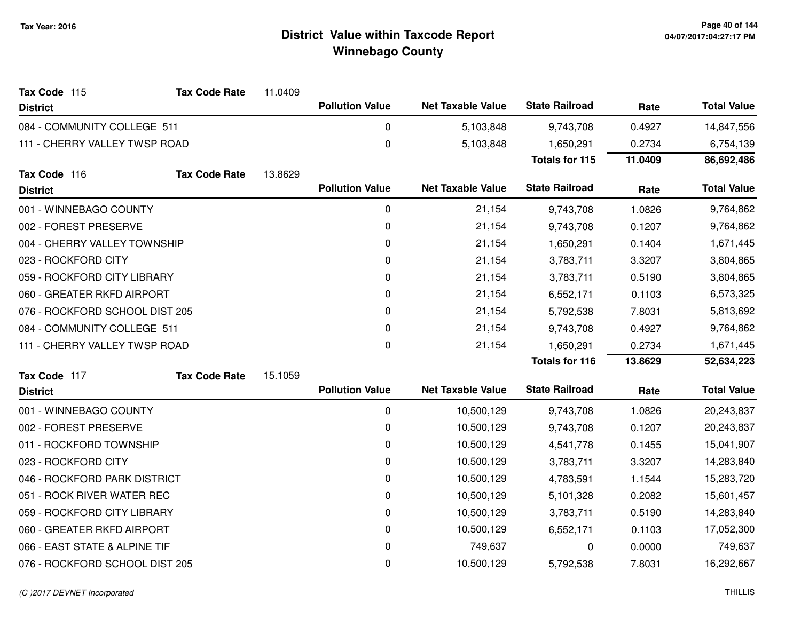| Tax Code 115                   | <b>Tax Code Rate</b> | 11.0409 |                        |                          |                       |         |                    |
|--------------------------------|----------------------|---------|------------------------|--------------------------|-----------------------|---------|--------------------|
| <b>District</b>                |                      |         | <b>Pollution Value</b> | <b>Net Taxable Value</b> | <b>State Railroad</b> | Rate    | <b>Total Value</b> |
| 084 - COMMUNITY COLLEGE 511    |                      |         | 0                      | 5,103,848                | 9,743,708             | 0.4927  | 14,847,556         |
| 111 - CHERRY VALLEY TWSP ROAD  |                      |         | $\mathbf 0$            | 5,103,848                | 1,650,291             | 0.2734  | 6,754,139          |
|                                |                      |         |                        |                          | <b>Totals for 115</b> | 11.0409 | 86,692,486         |
| Tax Code 116                   | <b>Tax Code Rate</b> | 13.8629 |                        |                          |                       |         |                    |
| <b>District</b>                |                      |         | <b>Pollution Value</b> | <b>Net Taxable Value</b> | <b>State Railroad</b> | Rate    | <b>Total Value</b> |
| 001 - WINNEBAGO COUNTY         |                      |         | $\pmb{0}$              | 21,154                   | 9,743,708             | 1.0826  | 9,764,862          |
| 002 - FOREST PRESERVE          |                      |         | 0                      | 21,154                   | 9,743,708             | 0.1207  | 9,764,862          |
| 004 - CHERRY VALLEY TOWNSHIP   |                      |         | 0                      | 21,154                   | 1,650,291             | 0.1404  | 1,671,445          |
| 023 - ROCKFORD CITY            |                      |         | 0                      | 21,154                   | 3,783,711             | 3.3207  | 3,804,865          |
| 059 - ROCKFORD CITY LIBRARY    |                      |         | 0                      | 21,154                   | 3,783,711             | 0.5190  | 3,804,865          |
| 060 - GREATER RKFD AIRPORT     |                      |         | 0                      | 21,154                   | 6,552,171             | 0.1103  | 6,573,325          |
| 076 - ROCKFORD SCHOOL DIST 205 |                      |         | 0                      | 21,154                   | 5,792,538             | 7.8031  | 5,813,692          |
| 084 - COMMUNITY COLLEGE 511    |                      |         | 0                      | 21,154                   | 9,743,708             | 0.4927  | 9,764,862          |
| 111 - CHERRY VALLEY TWSP ROAD  |                      |         | $\mathbf 0$            | 21,154                   | 1,650,291             | 0.2734  | 1,671,445          |
|                                |                      |         |                        |                          | <b>Totals for 116</b> | 13.8629 | 52,634,223         |
| Tax Code 117                   | <b>Tax Code Rate</b> | 15.1059 |                        |                          |                       |         |                    |
| <b>District</b>                |                      |         | <b>Pollution Value</b> | <b>Net Taxable Value</b> | <b>State Railroad</b> | Rate    | <b>Total Value</b> |
| 001 - WINNEBAGO COUNTY         |                      |         | $\pmb{0}$              | 10,500,129               | 9,743,708             | 1.0826  | 20,243,837         |
| 002 - FOREST PRESERVE          |                      |         | 0                      | 10,500,129               | 9,743,708             | 0.1207  | 20,243,837         |
| 011 - ROCKFORD TOWNSHIP        |                      |         | 0                      | 10,500,129               | 4,541,778             | 0.1455  | 15,041,907         |
| 023 - ROCKFORD CITY            |                      |         | 0                      | 10,500,129               | 3,783,711             | 3.3207  | 14,283,840         |
| 046 - ROCKFORD PARK DISTRICT   |                      |         | 0                      | 10,500,129               | 4,783,591             | 1.1544  | 15,283,720         |
| 051 - ROCK RIVER WATER REC     |                      |         | 0                      | 10,500,129               | 5,101,328             | 0.2082  | 15,601,457         |
| 059 - ROCKFORD CITY LIBRARY    |                      |         | 0                      | 10,500,129               | 3,783,711             | 0.5190  | 14,283,840         |
| 060 - GREATER RKFD AIRPORT     |                      |         | 0                      | 10,500,129               | 6,552,171             | 0.1103  | 17,052,300         |
| 066 - EAST STATE & ALPINE TIF  |                      |         | 0                      | 749,637                  | 0                     | 0.0000  | 749,637            |
| 076 - ROCKFORD SCHOOL DIST 205 |                      |         | 0                      | 10,500,129               | 5,792,538             | 7.8031  | 16,292,667         |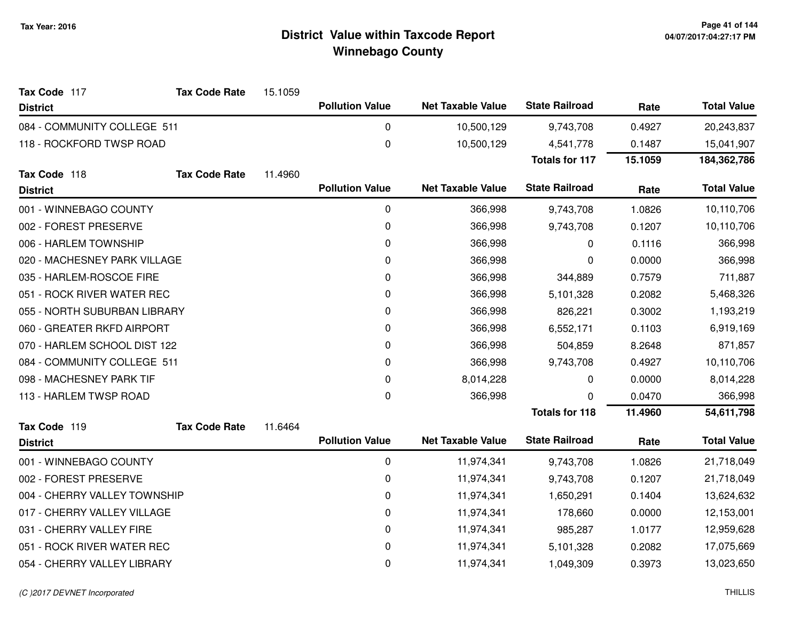| Tax Code 117                 | <b>Tax Code Rate</b> | 15.1059 |                        |                          |                       |         |                    |
|------------------------------|----------------------|---------|------------------------|--------------------------|-----------------------|---------|--------------------|
| <b>District</b>              |                      |         | <b>Pollution Value</b> | <b>Net Taxable Value</b> | <b>State Railroad</b> | Rate    | <b>Total Value</b> |
| 084 - COMMUNITY COLLEGE 511  |                      |         | 0                      | 10,500,129               | 9,743,708             | 0.4927  | 20,243,837         |
| 118 - ROCKFORD TWSP ROAD     |                      |         | $\boldsymbol{0}$       | 10,500,129               | 4,541,778             | 0.1487  | 15,041,907         |
|                              |                      |         |                        |                          | <b>Totals for 117</b> | 15.1059 | 184,362,786        |
| Tax Code 118                 | <b>Tax Code Rate</b> | 11.4960 |                        |                          |                       |         |                    |
| <b>District</b>              |                      |         | <b>Pollution Value</b> | <b>Net Taxable Value</b> | <b>State Railroad</b> | Rate    | <b>Total Value</b> |
| 001 - WINNEBAGO COUNTY       |                      |         | $\pmb{0}$              | 366,998                  | 9,743,708             | 1.0826  | 10,110,706         |
| 002 - FOREST PRESERVE        |                      |         | $\mathbf 0$            | 366,998                  | 9,743,708             | 0.1207  | 10,110,706         |
| 006 - HARLEM TOWNSHIP        |                      |         | 0                      | 366,998                  | 0                     | 0.1116  | 366,998            |
| 020 - MACHESNEY PARK VILLAGE |                      |         | 0                      | 366,998                  | 0                     | 0.0000  | 366,998            |
| 035 - HARLEM-ROSCOE FIRE     |                      |         | 0                      | 366,998                  | 344,889               | 0.7579  | 711,887            |
| 051 - ROCK RIVER WATER REC   |                      |         | $\pmb{0}$              | 366,998                  | 5,101,328             | 0.2082  | 5,468,326          |
| 055 - NORTH SUBURBAN LIBRARY |                      |         | $\mathbf 0$            | 366,998                  | 826,221               | 0.3002  | 1,193,219          |
| 060 - GREATER RKFD AIRPORT   |                      |         | 0                      | 366,998                  | 6,552,171             | 0.1103  | 6,919,169          |
| 070 - HARLEM SCHOOL DIST 122 |                      |         | $\mathbf 0$            | 366,998                  | 504,859               | 8.2648  | 871,857            |
| 084 - COMMUNITY COLLEGE 511  |                      |         | 0                      | 366,998                  | 9,743,708             | 0.4927  | 10,110,706         |
| 098 - MACHESNEY PARK TIF     |                      |         | $\mathbf 0$            | 8,014,228                | 0                     | 0.0000  | 8,014,228          |
| 113 - HARLEM TWSP ROAD       |                      |         | $\mathbf 0$            | 366,998                  | 0                     | 0.0470  | 366,998            |
|                              |                      |         |                        |                          | <b>Totals for 118</b> | 11.4960 | 54,611,798         |
| Tax Code 119                 | <b>Tax Code Rate</b> | 11.6464 |                        |                          |                       |         |                    |
| <b>District</b>              |                      |         | <b>Pollution Value</b> | <b>Net Taxable Value</b> | <b>State Railroad</b> | Rate    | <b>Total Value</b> |
| 001 - WINNEBAGO COUNTY       |                      |         | $\mathbf 0$            | 11,974,341               | 9,743,708             | 1.0826  | 21,718,049         |
| 002 - FOREST PRESERVE        |                      |         | $\mathbf 0$            | 11,974,341               | 9,743,708             | 0.1207  | 21,718,049         |
| 004 - CHERRY VALLEY TOWNSHIP |                      |         | $\pmb{0}$              | 11,974,341               | 1,650,291             | 0.1404  | 13,624,632         |
| 017 - CHERRY VALLEY VILLAGE  |                      |         | $\mathbf 0$            | 11,974,341               | 178,660               | 0.0000  | 12,153,001         |
| 031 - CHERRY VALLEY FIRE     |                      |         | $\pmb{0}$              | 11,974,341               | 985,287               | 1.0177  | 12,959,628         |
| 051 - ROCK RIVER WATER REC   |                      |         | 0                      | 11,974,341               | 5,101,328             | 0.2082  | 17,075,669         |
| 054 - CHERRY VALLEY LIBRARY  |                      |         | $\pmb{0}$              | 11,974,341               | 1,049,309             | 0.3973  | 13,023,650         |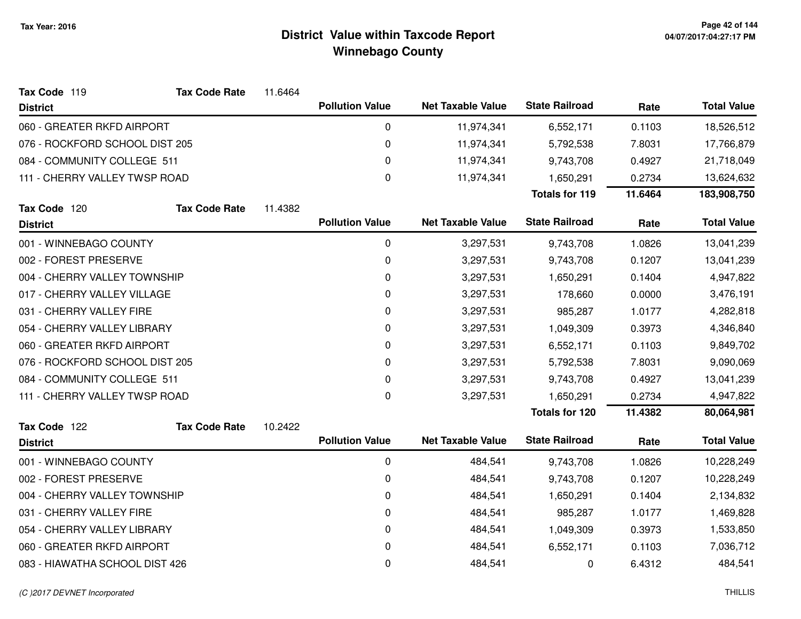| Tax Code 119                   | <b>Tax Code Rate</b> | 11.6464 |                        |                          |                       |         |                    |
|--------------------------------|----------------------|---------|------------------------|--------------------------|-----------------------|---------|--------------------|
| <b>District</b>                |                      |         | <b>Pollution Value</b> | <b>Net Taxable Value</b> | <b>State Railroad</b> | Rate    | <b>Total Value</b> |
| 060 - GREATER RKFD AIRPORT     |                      |         | 0                      | 11,974,341               | 6,552,171             | 0.1103  | 18,526,512         |
| 076 - ROCKFORD SCHOOL DIST 205 |                      |         | 0                      | 11,974,341               | 5,792,538             | 7.8031  | 17,766,879         |
| 084 - COMMUNITY COLLEGE 511    |                      |         | 0                      | 11,974,341               | 9,743,708             | 0.4927  | 21,718,049         |
| 111 - CHERRY VALLEY TWSP ROAD  |                      |         | 0                      | 11,974,341               | 1,650,291             | 0.2734  | 13,624,632         |
|                                |                      |         |                        |                          | <b>Totals for 119</b> | 11.6464 | 183,908,750        |
| Tax Code 120                   | <b>Tax Code Rate</b> | 11.4382 |                        |                          |                       |         |                    |
| <b>District</b>                |                      |         | <b>Pollution Value</b> | <b>Net Taxable Value</b> | <b>State Railroad</b> | Rate    | <b>Total Value</b> |
| 001 - WINNEBAGO COUNTY         |                      |         | 0                      | 3,297,531                | 9,743,708             | 1.0826  | 13,041,239         |
| 002 - FOREST PRESERVE          |                      |         | 0                      | 3,297,531                | 9,743,708             | 0.1207  | 13,041,239         |
| 004 - CHERRY VALLEY TOWNSHIP   |                      |         | 0                      | 3,297,531                | 1,650,291             | 0.1404  | 4,947,822          |
| 017 - CHERRY VALLEY VILLAGE    |                      |         | 0                      | 3,297,531                | 178,660               | 0.0000  | 3,476,191          |
| 031 - CHERRY VALLEY FIRE       |                      |         | 0                      | 3,297,531                | 985,287               | 1.0177  | 4,282,818          |
| 054 - CHERRY VALLEY LIBRARY    |                      |         | 0                      | 3,297,531                | 1,049,309             | 0.3973  | 4,346,840          |
| 060 - GREATER RKFD AIRPORT     |                      |         | 0                      | 3,297,531                | 6,552,171             | 0.1103  | 9,849,702          |
| 076 - ROCKFORD SCHOOL DIST 205 |                      |         | 0                      | 3,297,531                | 5,792,538             | 7.8031  | 9,090,069          |
| 084 - COMMUNITY COLLEGE 511    |                      |         | 0                      | 3,297,531                | 9,743,708             | 0.4927  | 13,041,239         |
| 111 - CHERRY VALLEY TWSP ROAD  |                      |         | 0                      | 3,297,531                | 1,650,291             | 0.2734  | 4,947,822          |
|                                |                      |         |                        |                          | <b>Totals for 120</b> | 11.4382 | 80,064,981         |
| Tax Code 122                   | <b>Tax Code Rate</b> | 10.2422 |                        |                          |                       |         |                    |
| <b>District</b>                |                      |         | <b>Pollution Value</b> | <b>Net Taxable Value</b> | <b>State Railroad</b> | Rate    | <b>Total Value</b> |
| 001 - WINNEBAGO COUNTY         |                      |         | 0                      | 484,541                  | 9,743,708             | 1.0826  | 10,228,249         |
| 002 - FOREST PRESERVE          |                      |         | 0                      | 484,541                  | 9,743,708             | 0.1207  | 10,228,249         |
| 004 - CHERRY VALLEY TOWNSHIP   |                      |         | 0                      | 484,541                  | 1,650,291             | 0.1404  | 2,134,832          |
| 031 - CHERRY VALLEY FIRE       |                      |         | 0                      | 484,541                  | 985,287               | 1.0177  | 1,469,828          |
| 054 - CHERRY VALLEY LIBRARY    |                      |         | 0                      | 484,541                  | 1,049,309             | 0.3973  | 1,533,850          |
| 060 - GREATER RKFD AIRPORT     |                      |         | 0                      | 484,541                  | 6,552,171             | 0.1103  | 7,036,712          |
| 083 - HIAWATHA SCHOOL DIST 426 |                      |         | 0                      | 484,541                  | 0                     | 6.4312  | 484,541            |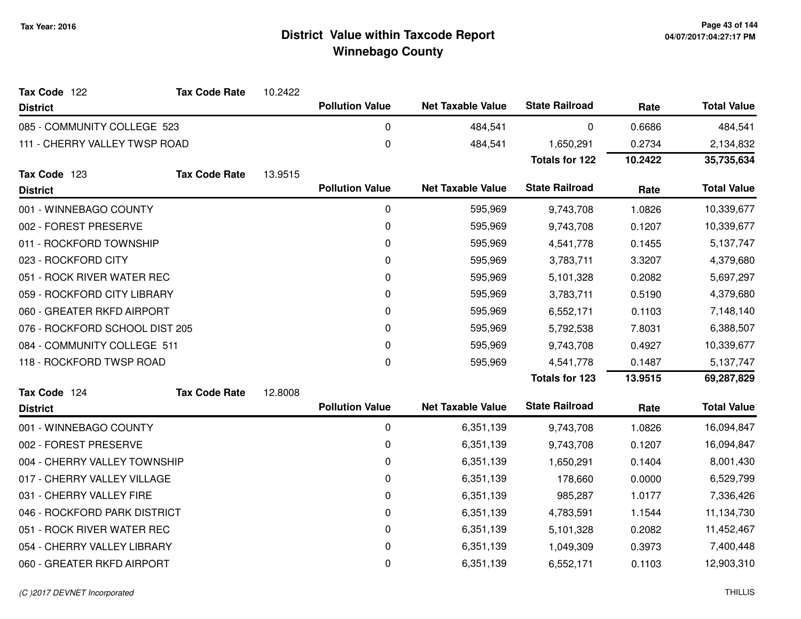| Tax Code 122                   | <b>Tax Code Rate</b> | 10.2422 |                        |                          |                       |         |                    |
|--------------------------------|----------------------|---------|------------------------|--------------------------|-----------------------|---------|--------------------|
| <b>District</b>                |                      |         | <b>Pollution Value</b> | <b>Net Taxable Value</b> | <b>State Railroad</b> | Rate    | <b>Total Value</b> |
| 085 - COMMUNITY COLLEGE 523    |                      |         | 0                      | 484,541                  | 0                     | 0.6686  | 484,541            |
| 111 - CHERRY VALLEY TWSP ROAD  |                      |         | 0                      | 484,541                  | 1,650,291             | 0.2734  | 2,134,832          |
|                                |                      |         |                        |                          | <b>Totals for 122</b> | 10.2422 | 35,735,634         |
| Tax Code 123                   | <b>Tax Code Rate</b> | 13.9515 |                        |                          |                       |         |                    |
| <b>District</b>                |                      |         | <b>Pollution Value</b> | <b>Net Taxable Value</b> | <b>State Railroad</b> | Rate    | <b>Total Value</b> |
| 001 - WINNEBAGO COUNTY         |                      |         | $\pmb{0}$              | 595,969                  | 9,743,708             | 1.0826  | 10,339,677         |
| 002 - FOREST PRESERVE          |                      |         | 0                      | 595,969                  | 9,743,708             | 0.1207  | 10,339,677         |
| 011 - ROCKFORD TOWNSHIP        |                      |         | 0                      | 595,969                  | 4,541,778             | 0.1455  | 5,137,747          |
| 023 - ROCKFORD CITY            |                      |         | 0                      | 595,969                  | 3,783,711             | 3.3207  | 4,379,680          |
| 051 - ROCK RIVER WATER REC     |                      |         | 0                      | 595,969                  | 5,101,328             | 0.2082  | 5,697,297          |
| 059 - ROCKFORD CITY LIBRARY    |                      |         | 0                      | 595,969                  | 3,783,711             | 0.5190  | 4,379,680          |
| 060 - GREATER RKFD AIRPORT     |                      |         | 0                      | 595,969                  | 6,552,171             | 0.1103  | 7,148,140          |
| 076 - ROCKFORD SCHOOL DIST 205 |                      |         | 0                      | 595,969                  | 5,792,538             | 7.8031  | 6,388,507          |
| 084 - COMMUNITY COLLEGE 511    |                      |         | 0                      | 595,969                  | 9,743,708             | 0.4927  | 10,339,677         |
| 118 - ROCKFORD TWSP ROAD       |                      |         | 0                      | 595,969                  | 4,541,778             | 0.1487  | 5,137,747          |
|                                |                      |         |                        |                          | <b>Totals for 123</b> | 13.9515 | 69,287,829         |
| Tax Code 124                   | <b>Tax Code Rate</b> | 12.8008 |                        |                          |                       |         |                    |
| <b>District</b>                |                      |         | <b>Pollution Value</b> | <b>Net Taxable Value</b> | <b>State Railroad</b> | Rate    | <b>Total Value</b> |
| 001 - WINNEBAGO COUNTY         |                      |         | 0                      | 6,351,139                | 9,743,708             | 1.0826  | 16,094,847         |
| 002 - FOREST PRESERVE          |                      |         | 0                      | 6,351,139                | 9,743,708             | 0.1207  | 16,094,847         |
| 004 - CHERRY VALLEY TOWNSHIP   |                      |         | 0                      | 6,351,139                | 1,650,291             | 0.1404  | 8,001,430          |
| 017 - CHERRY VALLEY VILLAGE    |                      |         | 0                      | 6,351,139                | 178,660               | 0.0000  | 6,529,799          |
| 031 - CHERRY VALLEY FIRE       |                      |         | 0                      | 6,351,139                | 985,287               | 1.0177  | 7,336,426          |
| 046 - ROCKFORD PARK DISTRICT   |                      |         | 0                      | 6,351,139                | 4,783,591             | 1.1544  | 11,134,730         |
| 051 - ROCK RIVER WATER REC     |                      |         | 0                      | 6,351,139                | 5,101,328             | 0.2082  | 11,452,467         |
| 054 - CHERRY VALLEY LIBRARY    |                      |         | 0                      | 6,351,139                | 1,049,309             | 0.3973  | 7,400,448          |
| 060 - GREATER RKFD AIRPORT     |                      |         | 0                      | 6,351,139                | 6,552,171             | 0.1103  | 12,903,310         |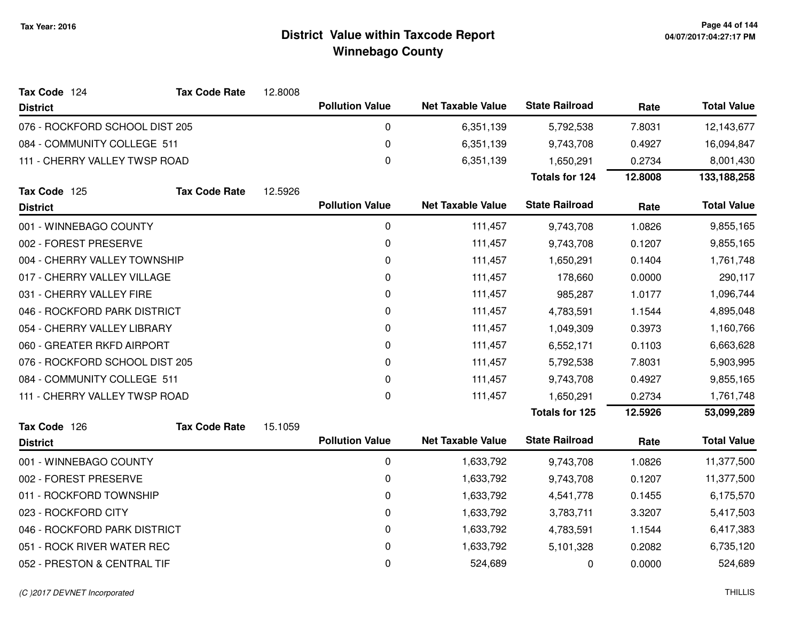| Tax Code 124                   | <b>Tax Code Rate</b> | 12.8008 |                        |                          |                       |         |                    |
|--------------------------------|----------------------|---------|------------------------|--------------------------|-----------------------|---------|--------------------|
| <b>District</b>                |                      |         | <b>Pollution Value</b> | <b>Net Taxable Value</b> | <b>State Railroad</b> | Rate    | <b>Total Value</b> |
| 076 - ROCKFORD SCHOOL DIST 205 |                      |         | 0                      | 6,351,139                | 5,792,538             | 7.8031  | 12,143,677         |
| 084 - COMMUNITY COLLEGE 511    |                      |         | 0                      | 6,351,139                | 9,743,708             | 0.4927  | 16,094,847         |
| 111 - CHERRY VALLEY TWSP ROAD  |                      |         | 0                      | 6,351,139                | 1,650,291             | 0.2734  | 8,001,430          |
|                                |                      |         |                        |                          | <b>Totals for 124</b> | 12.8008 | 133,188,258        |
| Tax Code 125                   | <b>Tax Code Rate</b> | 12.5926 |                        |                          |                       |         |                    |
| <b>District</b>                |                      |         | <b>Pollution Value</b> | <b>Net Taxable Value</b> | <b>State Railroad</b> | Rate    | <b>Total Value</b> |
| 001 - WINNEBAGO COUNTY         |                      |         | $\mathbf 0$            | 111,457                  | 9,743,708             | 1.0826  | 9,855,165          |
| 002 - FOREST PRESERVE          |                      |         | 0                      | 111,457                  | 9,743,708             | 0.1207  | 9,855,165          |
| 004 - CHERRY VALLEY TOWNSHIP   |                      |         | 0                      | 111,457                  | 1,650,291             | 0.1404  | 1,761,748          |
| 017 - CHERRY VALLEY VILLAGE    |                      |         | 0                      | 111,457                  | 178,660               | 0.0000  | 290,117            |
| 031 - CHERRY VALLEY FIRE       |                      |         | 0                      | 111,457                  | 985,287               | 1.0177  | 1,096,744          |
| 046 - ROCKFORD PARK DISTRICT   |                      |         | 0                      | 111,457                  | 4,783,591             | 1.1544  | 4,895,048          |
| 054 - CHERRY VALLEY LIBRARY    |                      |         | 0                      | 111,457                  | 1,049,309             | 0.3973  | 1,160,766          |
| 060 - GREATER RKFD AIRPORT     |                      |         | $\pmb{0}$              | 111,457                  | 6,552,171             | 0.1103  | 6,663,628          |
| 076 - ROCKFORD SCHOOL DIST 205 |                      |         | 0                      | 111,457                  | 5,792,538             | 7.8031  | 5,903,995          |
| 084 - COMMUNITY COLLEGE 511    |                      |         | 0                      | 111,457                  | 9,743,708             | 0.4927  | 9,855,165          |
| 111 - CHERRY VALLEY TWSP ROAD  |                      |         | $\pmb{0}$              | 111,457                  | 1,650,291             | 0.2734  | 1,761,748          |
|                                |                      |         |                        |                          | <b>Totals for 125</b> | 12.5926 | 53,099,289         |
| Tax Code 126                   | <b>Tax Code Rate</b> | 15.1059 |                        |                          |                       |         |                    |
| <b>District</b>                |                      |         | <b>Pollution Value</b> | <b>Net Taxable Value</b> | <b>State Railroad</b> | Rate    | <b>Total Value</b> |
| 001 - WINNEBAGO COUNTY         |                      |         | $\pmb{0}$              | 1,633,792                | 9,743,708             | 1.0826  | 11,377,500         |
| 002 - FOREST PRESERVE          |                      |         | 0                      | 1,633,792                | 9,743,708             | 0.1207  | 11,377,500         |
| 011 - ROCKFORD TOWNSHIP        |                      |         | 0                      | 1,633,792                | 4,541,778             | 0.1455  | 6,175,570          |
| 023 - ROCKFORD CITY            |                      |         | 0                      | 1,633,792                | 3,783,711             | 3.3207  | 5,417,503          |
| 046 - ROCKFORD PARK DISTRICT   |                      |         | 0                      | 1,633,792                | 4,783,591             | 1.1544  | 6,417,383          |
| 051 - ROCK RIVER WATER REC     |                      |         | 0                      | 1,633,792                | 5,101,328             | 0.2082  | 6,735,120          |
| 052 - PRESTON & CENTRAL TIF    |                      |         | 0                      | 524,689                  | 0                     | 0.0000  | 524,689            |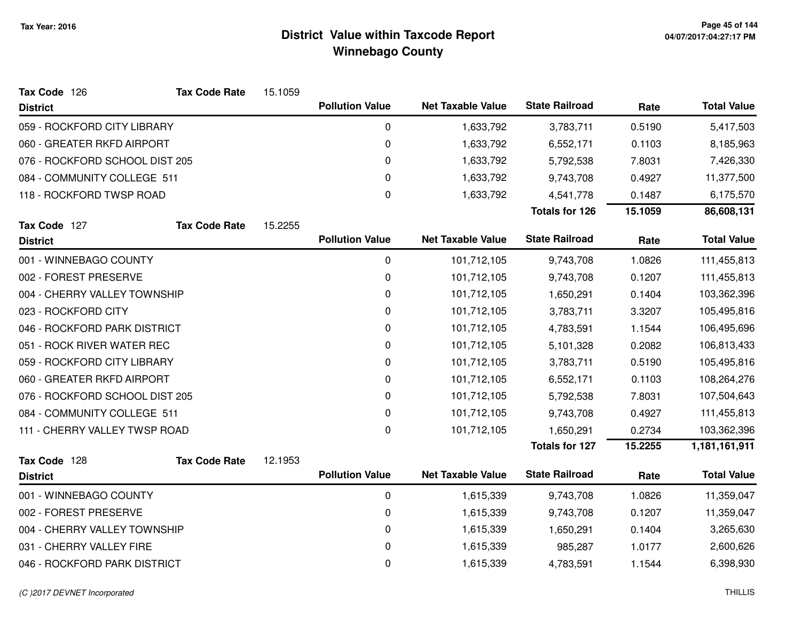| Tax Code 126                   | <b>Tax Code Rate</b> | 15.1059 |                        |                          |                       |         |                    |
|--------------------------------|----------------------|---------|------------------------|--------------------------|-----------------------|---------|--------------------|
| <b>District</b>                |                      |         | <b>Pollution Value</b> | <b>Net Taxable Value</b> | <b>State Railroad</b> | Rate    | <b>Total Value</b> |
| 059 - ROCKFORD CITY LIBRARY    |                      |         | $\pmb{0}$              | 1,633,792                | 3,783,711             | 0.5190  | 5,417,503          |
| 060 - GREATER RKFD AIRPORT     |                      |         | 0                      | 1,633,792                | 6,552,171             | 0.1103  | 8,185,963          |
| 076 - ROCKFORD SCHOOL DIST 205 |                      |         | 0                      | 1,633,792                | 5,792,538             | 7.8031  | 7,426,330          |
| 084 - COMMUNITY COLLEGE 511    |                      |         | 0                      | 1,633,792                | 9,743,708             | 0.4927  | 11,377,500         |
| 118 - ROCKFORD TWSP ROAD       |                      |         | $\pmb{0}$              | 1,633,792                | 4,541,778             | 0.1487  | 6,175,570          |
|                                |                      |         |                        |                          | <b>Totals for 126</b> | 15.1059 | 86,608,131         |
| Tax Code 127                   | <b>Tax Code Rate</b> | 15.2255 |                        |                          |                       |         |                    |
| <b>District</b>                |                      |         | <b>Pollution Value</b> | <b>Net Taxable Value</b> | <b>State Railroad</b> | Rate    | <b>Total Value</b> |
| 001 - WINNEBAGO COUNTY         |                      |         | $\pmb{0}$              | 101,712,105              | 9,743,708             | 1.0826  | 111,455,813        |
| 002 - FOREST PRESERVE          |                      |         | 0                      | 101,712,105              | 9,743,708             | 0.1207  | 111,455,813        |
| 004 - CHERRY VALLEY TOWNSHIP   |                      |         | 0                      | 101,712,105              | 1,650,291             | 0.1404  | 103,362,396        |
| 023 - ROCKFORD CITY            |                      |         | 0                      | 101,712,105              | 3,783,711             | 3.3207  | 105,495,816        |
| 046 - ROCKFORD PARK DISTRICT   |                      |         | 0                      | 101,712,105              | 4,783,591             | 1.1544  | 106,495,696        |
| 051 - ROCK RIVER WATER REC     |                      |         | 0                      | 101,712,105              | 5,101,328             | 0.2082  | 106,813,433        |
| 059 - ROCKFORD CITY LIBRARY    |                      |         | 0                      | 101,712,105              | 3,783,711             | 0.5190  | 105,495,816        |
| 060 - GREATER RKFD AIRPORT     |                      |         | 0                      | 101,712,105              | 6,552,171             | 0.1103  | 108,264,276        |
| 076 - ROCKFORD SCHOOL DIST 205 |                      |         | 0                      | 101,712,105              | 5,792,538             | 7.8031  | 107,504,643        |
| 084 - COMMUNITY COLLEGE 511    |                      |         | 0                      | 101,712,105              | 9,743,708             | 0.4927  | 111,455,813        |
| 111 - CHERRY VALLEY TWSP ROAD  |                      |         | $\pmb{0}$              | 101,712,105              | 1,650,291             | 0.2734  | 103,362,396        |
|                                |                      |         |                        |                          | <b>Totals for 127</b> | 15.2255 | 1,181,161,911      |
| Tax Code 128                   | <b>Tax Code Rate</b> | 12.1953 |                        |                          |                       |         |                    |
| <b>District</b>                |                      |         | <b>Pollution Value</b> | <b>Net Taxable Value</b> | <b>State Railroad</b> | Rate    | <b>Total Value</b> |
| 001 - WINNEBAGO COUNTY         |                      |         | 0                      | 1,615,339                | 9,743,708             | 1.0826  | 11,359,047         |
| 002 - FOREST PRESERVE          |                      |         | 0                      | 1,615,339                | 9,743,708             | 0.1207  | 11,359,047         |
| 004 - CHERRY VALLEY TOWNSHIP   |                      |         | $\pmb{0}$              | 1,615,339                | 1,650,291             | 0.1404  | 3,265,630          |
| 031 - CHERRY VALLEY FIRE       |                      |         | 0                      | 1,615,339                | 985,287               | 1.0177  | 2,600,626          |
| 046 - ROCKFORD PARK DISTRICT   |                      |         | 0                      | 1,615,339                | 4,783,591             | 1.1544  | 6,398,930          |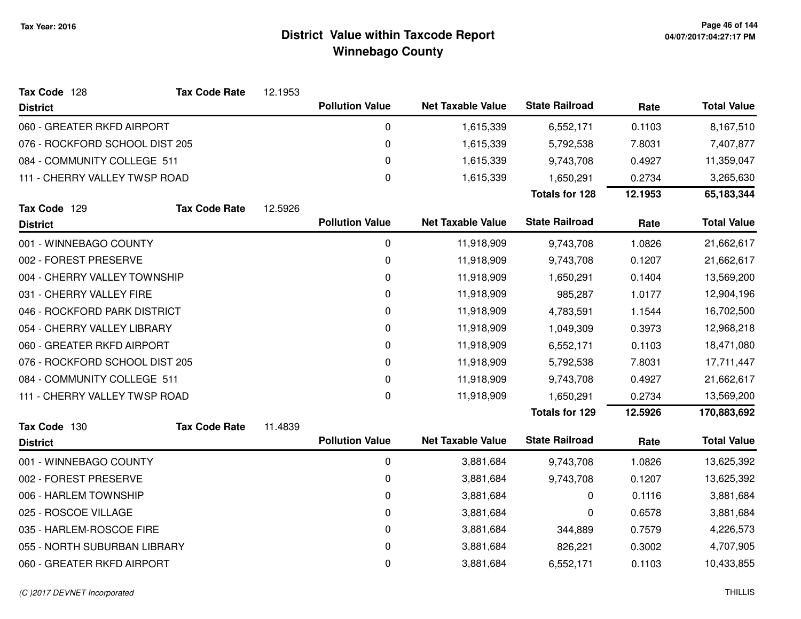| Tax Code 128                   | <b>Tax Code Rate</b> | 12.1953 |                        |                          |                       |         |                    |
|--------------------------------|----------------------|---------|------------------------|--------------------------|-----------------------|---------|--------------------|
| <b>District</b>                |                      |         | <b>Pollution Value</b> | <b>Net Taxable Value</b> | <b>State Railroad</b> | Rate    | <b>Total Value</b> |
| 060 - GREATER RKFD AIRPORT     |                      |         | 0                      | 1,615,339                | 6,552,171             | 0.1103  | 8,167,510          |
| 076 - ROCKFORD SCHOOL DIST 205 |                      |         | 0                      | 1,615,339                | 5,792,538             | 7.8031  | 7,407,877          |
| 084 - COMMUNITY COLLEGE 511    |                      |         | 0                      | 1,615,339                | 9,743,708             | 0.4927  | 11,359,047         |
| 111 - CHERRY VALLEY TWSP ROAD  |                      |         | 0                      | 1,615,339                | 1,650,291             | 0.2734  | 3,265,630          |
|                                |                      |         |                        |                          | <b>Totals for 128</b> | 12.1953 | 65,183,344         |
| Tax Code 129                   | <b>Tax Code Rate</b> | 12.5926 |                        |                          |                       |         |                    |
| <b>District</b>                |                      |         | <b>Pollution Value</b> | <b>Net Taxable Value</b> | <b>State Railroad</b> | Rate    | <b>Total Value</b> |
| 001 - WINNEBAGO COUNTY         |                      |         | 0                      | 11,918,909               | 9,743,708             | 1.0826  | 21,662,617         |
| 002 - FOREST PRESERVE          |                      |         | 0                      | 11,918,909               | 9,743,708             | 0.1207  | 21,662,617         |
| 004 - CHERRY VALLEY TOWNSHIP   |                      |         | 0                      | 11,918,909               | 1,650,291             | 0.1404  | 13,569,200         |
| 031 - CHERRY VALLEY FIRE       |                      |         | $\pmb{0}$              | 11,918,909               | 985,287               | 1.0177  | 12,904,196         |
| 046 - ROCKFORD PARK DISTRICT   |                      |         | 0                      | 11,918,909               | 4,783,591             | 1.1544  | 16,702,500         |
| 054 - CHERRY VALLEY LIBRARY    |                      |         | 0                      | 11,918,909               | 1,049,309             | 0.3973  | 12,968,218         |
| 060 - GREATER RKFD AIRPORT     |                      |         | 0                      | 11,918,909               | 6,552,171             | 0.1103  | 18,471,080         |
| 076 - ROCKFORD SCHOOL DIST 205 |                      |         | 0                      | 11,918,909               | 5,792,538             | 7.8031  | 17,711,447         |
| 084 - COMMUNITY COLLEGE 511    |                      |         | 0                      | 11,918,909               | 9,743,708             | 0.4927  | 21,662,617         |
| 111 - CHERRY VALLEY TWSP ROAD  |                      |         | 0                      | 11,918,909               | 1,650,291             | 0.2734  | 13,569,200         |
|                                |                      |         |                        |                          | <b>Totals for 129</b> | 12.5926 | 170,883,692        |
| Tax Code 130                   | <b>Tax Code Rate</b> | 11.4839 |                        |                          |                       |         |                    |
| <b>District</b>                |                      |         | <b>Pollution Value</b> | <b>Net Taxable Value</b> | <b>State Railroad</b> | Rate    | <b>Total Value</b> |
| 001 - WINNEBAGO COUNTY         |                      |         | $\pmb{0}$              | 3,881,684                | 9,743,708             | 1.0826  | 13,625,392         |
| 002 - FOREST PRESERVE          |                      |         | 0                      | 3,881,684                | 9,743,708             | 0.1207  | 13,625,392         |
| 006 - HARLEM TOWNSHIP          |                      |         | 0                      | 3,881,684                | 0                     | 0.1116  | 3,881,684          |
| 025 - ROSCOE VILLAGE           |                      |         | 0                      | 3,881,684                | 0                     | 0.6578  | 3,881,684          |
| 035 - HARLEM-ROSCOE FIRE       |                      |         | 0                      | 3,881,684                | 344,889               | 0.7579  | 4,226,573          |
| 055 - NORTH SUBURBAN LIBRARY   |                      |         | 0                      | 3,881,684                | 826,221               | 0.3002  | 4,707,905          |
| 060 - GREATER RKFD AIRPORT     |                      |         | 0                      | 3,881,684                | 6,552,171             | 0.1103  | 10,433,855         |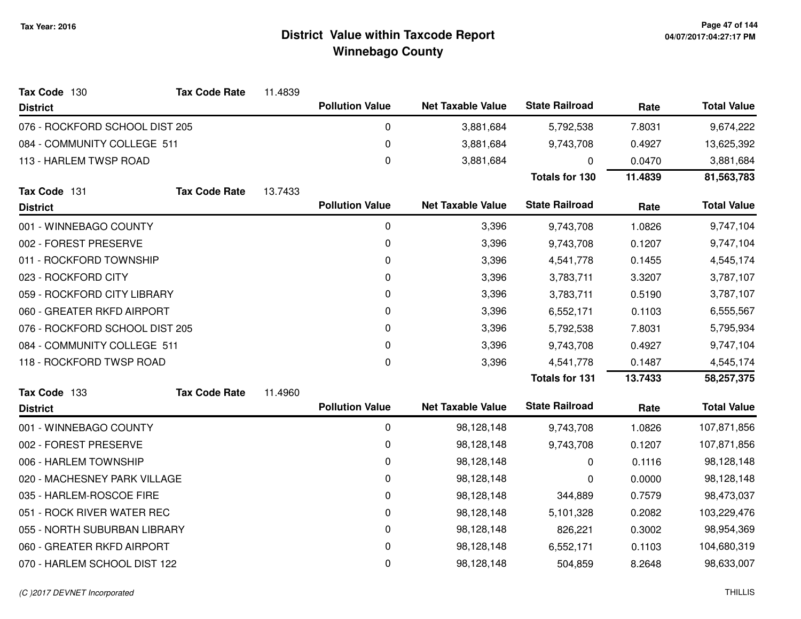| Tax Code 130                   | <b>Tax Code Rate</b> | 11.4839 |                        |                          |                       |         |                    |
|--------------------------------|----------------------|---------|------------------------|--------------------------|-----------------------|---------|--------------------|
| <b>District</b>                |                      |         | <b>Pollution Value</b> | <b>Net Taxable Value</b> | <b>State Railroad</b> | Rate    | <b>Total Value</b> |
| 076 - ROCKFORD SCHOOL DIST 205 |                      |         | 0                      | 3,881,684                | 5,792,538             | 7.8031  | 9,674,222          |
| 084 - COMMUNITY COLLEGE 511    |                      |         | 0                      | 3,881,684                | 9,743,708             | 0.4927  | 13,625,392         |
| 113 - HARLEM TWSP ROAD         |                      |         | 0                      | 3,881,684                | 0                     | 0.0470  | 3,881,684          |
|                                |                      |         |                        |                          | <b>Totals for 130</b> | 11.4839 | 81,563,783         |
| Tax Code 131                   | <b>Tax Code Rate</b> | 13.7433 |                        |                          |                       |         |                    |
| <b>District</b>                |                      |         | <b>Pollution Value</b> | <b>Net Taxable Value</b> | <b>State Railroad</b> | Rate    | <b>Total Value</b> |
| 001 - WINNEBAGO COUNTY         |                      |         | 0                      | 3,396                    | 9,743,708             | 1.0826  | 9,747,104          |
| 002 - FOREST PRESERVE          |                      |         | 0                      | 3,396                    | 9,743,708             | 0.1207  | 9,747,104          |
| 011 - ROCKFORD TOWNSHIP        |                      |         | 0                      | 3,396                    | 4,541,778             | 0.1455  | 4,545,174          |
| 023 - ROCKFORD CITY            |                      |         | 0                      | 3,396                    | 3,783,711             | 3.3207  | 3,787,107          |
| 059 - ROCKFORD CITY LIBRARY    |                      |         | 0                      | 3,396                    | 3,783,711             | 0.5190  | 3,787,107          |
| 060 - GREATER RKFD AIRPORT     |                      |         | 0                      | 3,396                    | 6,552,171             | 0.1103  | 6,555,567          |
| 076 - ROCKFORD SCHOOL DIST 205 |                      |         | 0                      | 3,396                    | 5,792,538             | 7.8031  | 5,795,934          |
| 084 - COMMUNITY COLLEGE 511    |                      |         | 0                      | 3,396                    | 9,743,708             | 0.4927  | 9,747,104          |
| 118 - ROCKFORD TWSP ROAD       |                      |         | 0                      | 3,396                    | 4,541,778             | 0.1487  | 4,545,174          |
|                                |                      |         |                        |                          | <b>Totals for 131</b> | 13.7433 | 58,257,375         |
| Tax Code 133                   | <b>Tax Code Rate</b> | 11.4960 |                        |                          |                       |         |                    |
| <b>District</b>                |                      |         | <b>Pollution Value</b> | <b>Net Taxable Value</b> | <b>State Railroad</b> | Rate    | <b>Total Value</b> |
| 001 - WINNEBAGO COUNTY         |                      |         | 0                      | 98,128,148               | 9,743,708             | 1.0826  | 107,871,856        |
| 002 - FOREST PRESERVE          |                      |         | 0                      | 98,128,148               | 9,743,708             | 0.1207  | 107,871,856        |
| 006 - HARLEM TOWNSHIP          |                      |         | 0                      | 98,128,148               | 0                     | 0.1116  | 98,128,148         |
| 020 - MACHESNEY PARK VILLAGE   |                      |         | 0                      | 98,128,148               | 0                     | 0.0000  | 98,128,148         |
| 035 - HARLEM-ROSCOE FIRE       |                      |         | 0                      | 98,128,148               | 344,889               | 0.7579  | 98,473,037         |
| 051 - ROCK RIVER WATER REC     |                      |         | 0                      | 98,128,148               | 5,101,328             | 0.2082  | 103,229,476        |
| 055 - NORTH SUBURBAN LIBRARY   |                      |         | 0                      | 98,128,148               | 826,221               | 0.3002  | 98,954,369         |
| 060 - GREATER RKFD AIRPORT     |                      |         | 0                      | 98,128,148               | 6,552,171             | 0.1103  | 104,680,319        |
| 070 - HARLEM SCHOOL DIST 122   |                      |         | 0                      | 98,128,148               | 504,859               | 8.2648  | 98,633,007         |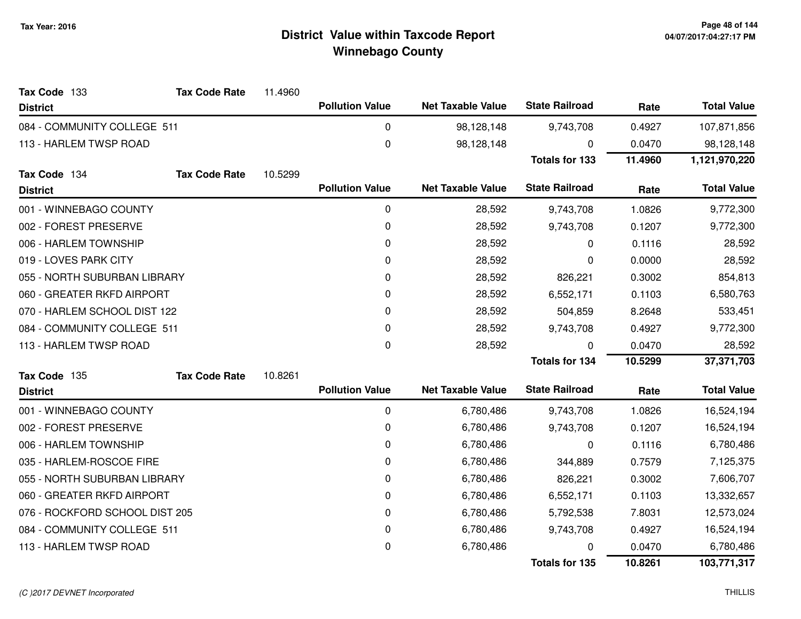| Tax Code 133                   | <b>Tax Code Rate</b> | 11.4960 |                        |                          |                       |           |                    |
|--------------------------------|----------------------|---------|------------------------|--------------------------|-----------------------|-----------|--------------------|
| <b>District</b>                |                      |         | <b>Pollution Value</b> | <b>Net Taxable Value</b> | <b>State Railroad</b> | Rate      | <b>Total Value</b> |
| 084 - COMMUNITY COLLEGE 511    |                      |         | 0                      | 98,128,148               | 9,743,708             | 0.4927    | 107,871,856        |
| 113 - HARLEM TWSP ROAD         |                      |         | $\pmb{0}$              | 98,128,148               | $\Omega$              | 0.0470    | 98,128,148         |
|                                |                      |         |                        |                          | <b>Totals for 133</b> | 11.4960   | 1,121,970,220      |
| Tax Code 134                   | <b>Tax Code Rate</b> | 10.5299 |                        |                          |                       |           |                    |
| <b>District</b>                |                      |         | <b>Pollution Value</b> | <b>Net Taxable Value</b> | <b>State Railroad</b> | Rate      | <b>Total Value</b> |
| 001 - WINNEBAGO COUNTY         |                      |         | 0                      | 28,592                   | 9,743,708             | 1.0826    | 9,772,300          |
| 002 - FOREST PRESERVE          |                      |         | 0                      | 28,592                   | 9,743,708             | 0.1207    | 9,772,300          |
| 006 - HARLEM TOWNSHIP          |                      |         | 0                      | 28,592                   | 0                     | 0.1116    | 28,592             |
| 019 - LOVES PARK CITY          |                      |         | 0                      | 28,592                   | 0                     | 0.0000    | 28,592             |
| 055 - NORTH SUBURBAN LIBRARY   |                      | 0       | 28,592                 | 826,221                  | 0.3002                | 854,813   |                    |
| 060 - GREATER RKFD AIRPORT     |                      |         | 0                      | 28,592                   | 6,552,171             | 0.1103    | 6,580,763          |
| 070 - HARLEM SCHOOL DIST 122   |                      |         | 0                      | 28,592                   | 504,859               | 8.2648    | 533,451            |
| 084 - COMMUNITY COLLEGE 511    |                      | 0       | 28,592                 | 9,743,708                | 0.4927                | 9,772,300 |                    |
| 113 - HARLEM TWSP ROAD         |                      |         | 0                      | 28,592                   | 0                     | 0.0470    | 28,592             |
|                                |                      |         |                        |                          | <b>Totals for 134</b> | 10.5299   | 37,371,703         |
| Tax Code 135                   | <b>Tax Code Rate</b> | 10.8261 |                        |                          |                       |           |                    |
| <b>District</b>                |                      |         | <b>Pollution Value</b> | <b>Net Taxable Value</b> | <b>State Railroad</b> | Rate      | <b>Total Value</b> |
| 001 - WINNEBAGO COUNTY         |                      |         | 0                      | 6,780,486                | 9,743,708             | 1.0826    | 16,524,194         |
| 002 - FOREST PRESERVE          |                      |         | 0                      | 6,780,486                | 9,743,708             | 0.1207    | 16,524,194         |
| 006 - HARLEM TOWNSHIP          |                      |         | 0                      | 6,780,486                | $\Omega$              | 0.1116    | 6,780,486          |
| 035 - HARLEM-ROSCOE FIRE       |                      |         | 0                      | 6,780,486                | 344,889               | 0.7579    | 7,125,375          |
| 055 - NORTH SUBURBAN LIBRARY   |                      |         | 0                      | 6,780,486                | 826,221               | 0.3002    | 7,606,707          |
| 060 - GREATER RKFD AIRPORT     |                      |         | 0                      | 6,780,486                | 6,552,171             | 0.1103    | 13,332,657         |
| 076 - ROCKFORD SCHOOL DIST 205 |                      |         | 0                      | 6,780,486                | 5,792,538             | 7.8031    | 12,573,024         |
| 084 - COMMUNITY COLLEGE 511    |                      |         | 0                      | 6,780,486                | 9,743,708             | 0.4927    | 16,524,194         |
| 113 - HARLEM TWSP ROAD         |                      |         | 0                      | 6,780,486                |                       | 0.0470    | 6,780,486          |
|                                |                      |         |                        |                          | <b>Totals for 135</b> | 10.8261   | 103,771,317        |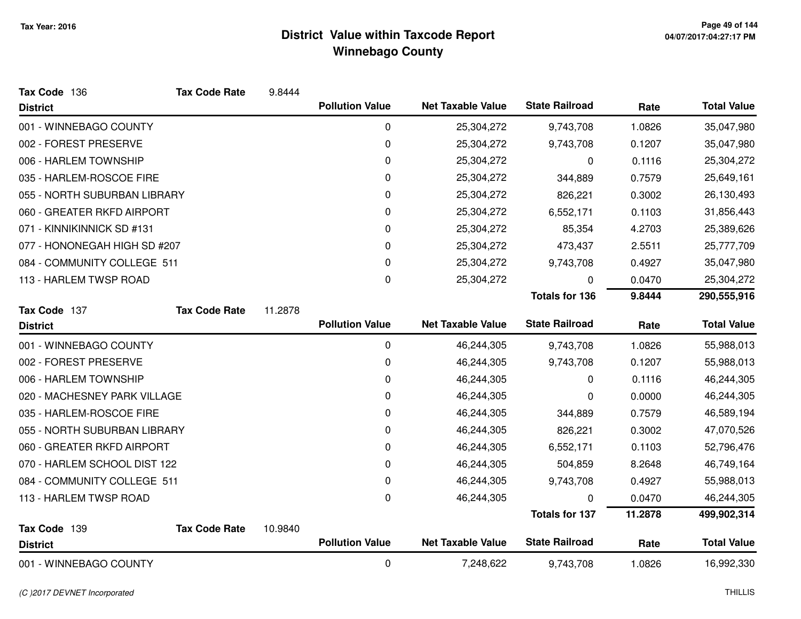| Tax Code 136                 | <b>Tax Code Rate</b> | 9.8444  |                        |                          |                       |         |                    |
|------------------------------|----------------------|---------|------------------------|--------------------------|-----------------------|---------|--------------------|
| <b>District</b>              |                      |         | <b>Pollution Value</b> | <b>Net Taxable Value</b> | <b>State Railroad</b> | Rate    | <b>Total Value</b> |
| 001 - WINNEBAGO COUNTY       |                      |         | 0                      | 25,304,272               | 9,743,708             | 1.0826  | 35,047,980         |
| 002 - FOREST PRESERVE        |                      |         | 0                      | 25,304,272               | 9,743,708             | 0.1207  | 35,047,980         |
| 006 - HARLEM TOWNSHIP        |                      |         | 0                      | 25,304,272               | 0                     | 0.1116  | 25,304,272         |
| 035 - HARLEM-ROSCOE FIRE     |                      |         | 0                      | 25,304,272               | 344,889               | 0.7579  | 25,649,161         |
| 055 - NORTH SUBURBAN LIBRARY |                      |         | $\mathbf 0$            | 25,304,272               | 826,221               | 0.3002  | 26,130,493         |
| 060 - GREATER RKFD AIRPORT   |                      |         | 0                      | 25,304,272               | 6,552,171             | 0.1103  | 31,856,443         |
| 071 - KINNIKINNICK SD #131   |                      |         | 0                      | 25,304,272               | 85,354                | 4.2703  | 25,389,626         |
| 077 - HONONEGAH HIGH SD #207 |                      |         | 0                      | 25,304,272               | 473,437               | 2.5511  | 25,777,709         |
| 084 - COMMUNITY COLLEGE 511  |                      |         | 0                      | 25,304,272               | 9,743,708             | 0.4927  | 35,047,980         |
| 113 - HARLEM TWSP ROAD       |                      |         | 0                      | 25,304,272               | $\mathbf{0}$          | 0.0470  | 25,304,272         |
|                              |                      |         |                        |                          | <b>Totals for 136</b> | 9.8444  | 290,555,916        |
| Tax Code 137                 | <b>Tax Code Rate</b> | 11.2878 |                        |                          |                       |         |                    |
| <b>District</b>              |                      |         | <b>Pollution Value</b> | <b>Net Taxable Value</b> | <b>State Railroad</b> | Rate    | <b>Total Value</b> |
| 001 - WINNEBAGO COUNTY       |                      |         | $\pmb{0}$              | 46,244,305               | 9,743,708             | 1.0826  | 55,988,013         |
| 002 - FOREST PRESERVE        |                      |         | $\mathbf 0$            | 46,244,305               | 9,743,708             | 0.1207  | 55,988,013         |
| 006 - HARLEM TOWNSHIP        |                      |         | 0                      | 46,244,305               | 0                     | 0.1116  | 46,244,305         |
| 020 - MACHESNEY PARK VILLAGE |                      |         | 0                      | 46,244,305               | 0                     | 0.0000  | 46,244,305         |
| 035 - HARLEM-ROSCOE FIRE     |                      |         | 0                      | 46,244,305               | 344,889               | 0.7579  | 46,589,194         |
| 055 - NORTH SUBURBAN LIBRARY |                      |         | 0                      | 46,244,305               | 826,221               | 0.3002  | 47,070,526         |
| 060 - GREATER RKFD AIRPORT   |                      |         | 0                      | 46,244,305               | 6,552,171             | 0.1103  | 52,796,476         |
| 070 - HARLEM SCHOOL DIST 122 |                      |         | 0                      | 46,244,305               | 504,859               | 8.2648  | 46,749,164         |
| 084 - COMMUNITY COLLEGE 511  |                      |         | 0                      | 46,244,305               | 9,743,708             | 0.4927  | 55,988,013         |
| 113 - HARLEM TWSP ROAD       |                      |         | 0                      | 46,244,305               | 0                     | 0.0470  | 46,244,305         |
|                              |                      |         |                        |                          | <b>Totals for 137</b> | 11.2878 | 499,902,314        |
| Tax Code 139                 | <b>Tax Code Rate</b> | 10.9840 |                        |                          |                       |         |                    |
| <b>District</b>              |                      |         | <b>Pollution Value</b> | <b>Net Taxable Value</b> | <b>State Railroad</b> | Rate    | <b>Total Value</b> |
| 001 - WINNEBAGO COUNTY       |                      |         | 0                      | 7,248,622                | 9,743,708             | 1.0826  | 16,992,330         |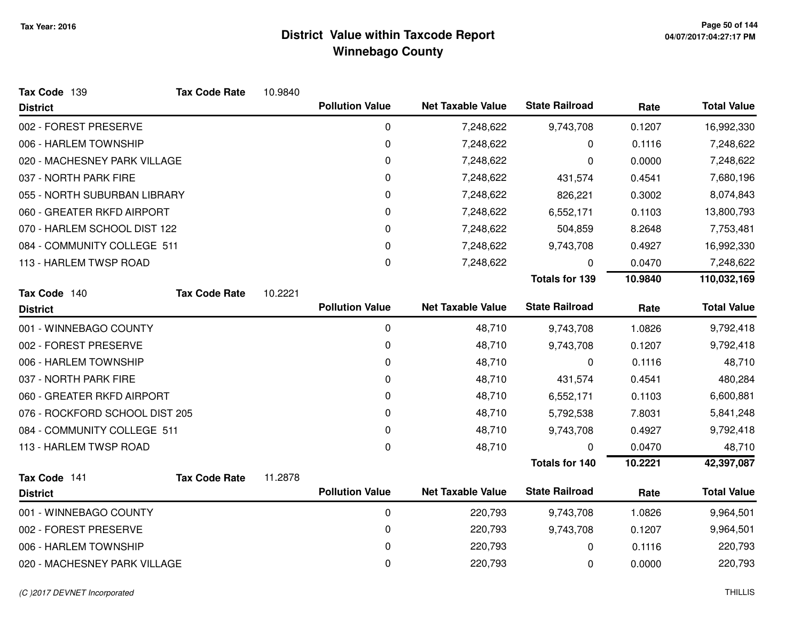| 10.9840 |                        |                          |                          |                                                |                    |
|---------|------------------------|--------------------------|--------------------------|------------------------------------------------|--------------------|
|         | <b>Pollution Value</b> | <b>Net Taxable Value</b> | <b>State Railroad</b>    | Rate                                           | <b>Total Value</b> |
|         | 0                      | 7,248,622                | 9,743,708                | 0.1207                                         | 16,992,330         |
|         | 0                      | 7,248,622                | 0                        | 0.1116                                         | 7,248,622          |
|         | 0                      | 7,248,622                | 0                        | 0.0000                                         | 7,248,622          |
|         | 0                      | 7,248,622                | 431,574                  | 0.4541                                         | 7,680,196          |
|         | 0                      | 7,248,622                | 826,221                  | 0.3002                                         | 8,074,843          |
|         | 0                      | 7,248,622                | 6,552,171                | 0.1103                                         | 13,800,793         |
|         | 0                      | 7,248,622                | 504,859                  | 8.2648                                         | 7,753,481          |
|         | 0                      | 7,248,622                | 9,743,708                | 0.4927                                         | 16,992,330         |
|         | 0                      | 7,248,622                | 0                        | 0.0470                                         | 7,248,622          |
|         |                        |                          | <b>Totals for 139</b>    | 10.9840                                        | 110,032,169        |
| 10.2221 |                        |                          |                          |                                                |                    |
|         |                        |                          |                          | Rate                                           | <b>Total Value</b> |
|         | 0                      | 48,710                   | 9,743,708                | 1.0826                                         | 9,792,418          |
|         | $\mathbf 0$            | 48,710                   | 9,743,708                | 0.1207                                         | 9,792,418          |
|         | 0                      | 48,710                   | 0                        | 0.1116                                         | 48,710             |
|         | 0                      | 48,710                   | 431,574                  | 0.4541                                         | 480,284            |
|         | 0                      | 48,710                   | 6,552,171                | 0.1103                                         | 6,600,881          |
|         | 0                      | 48,710                   | 5,792,538                | 7.8031                                         | 5,841,248          |
|         | 0                      | 48,710                   | 9,743,708                | 0.4927                                         | 9,792,418          |
|         | 0                      | 48,710                   |                          | 0.0470                                         | 48,710             |
|         |                        |                          | <b>Totals for 140</b>    | 10.2221                                        | 42,397,087         |
| 11.2878 |                        |                          |                          |                                                |                    |
|         | <b>Pollution Value</b> | <b>Net Taxable Value</b> |                          | Rate                                           | <b>Total Value</b> |
|         | 0                      | 220,793                  | 9,743,708                | 1.0826                                         | 9,964,501          |
|         | 0                      | 220,793                  | 9,743,708                | 0.1207                                         | 9,964,501          |
|         | 0                      | 220,793                  | 0                        | 0.1116                                         | 220,793            |
|         | 0                      | 220,793                  | 0                        | 0.0000                                         | 220,793            |
|         |                        | <b>Pollution Value</b>   | <b>Net Taxable Value</b> | <b>State Railroad</b><br><b>State Railroad</b> |                    |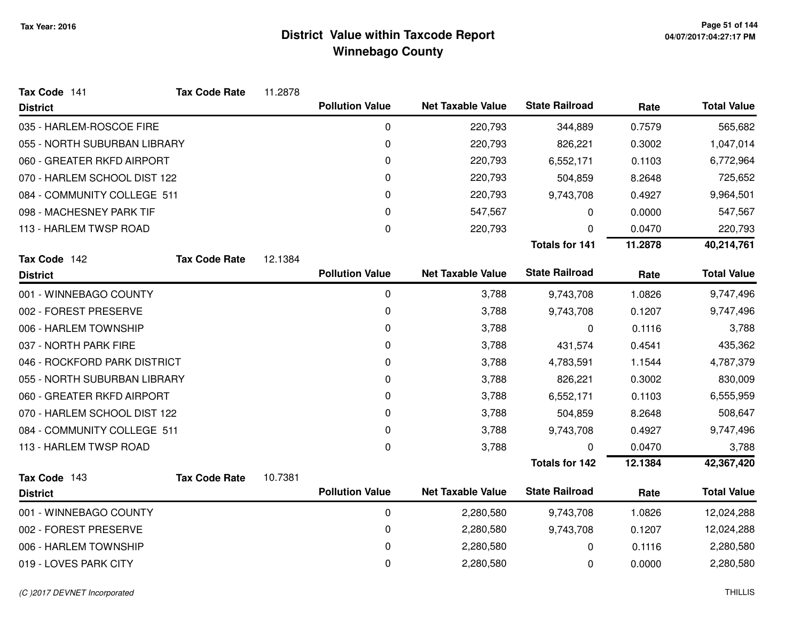| Tax Code 141                 | <b>Tax Code Rate</b> | 11.2878 |                        |                          |                       |         |                    |
|------------------------------|----------------------|---------|------------------------|--------------------------|-----------------------|---------|--------------------|
| <b>District</b>              |                      |         | <b>Pollution Value</b> | <b>Net Taxable Value</b> | <b>State Railroad</b> | Rate    | <b>Total Value</b> |
| 035 - HARLEM-ROSCOE FIRE     |                      |         | 0                      | 220,793                  | 344,889               | 0.7579  | 565,682            |
| 055 - NORTH SUBURBAN LIBRARY |                      |         | 0                      | 220,793                  | 826,221               | 0.3002  | 1,047,014          |
| 060 - GREATER RKFD AIRPORT   |                      |         | 0                      | 220,793                  | 6,552,171             | 0.1103  | 6,772,964          |
| 070 - HARLEM SCHOOL DIST 122 |                      |         | 0                      | 220,793                  | 504,859               | 8.2648  | 725,652            |
| 084 - COMMUNITY COLLEGE 511  |                      |         | 0                      | 220,793                  | 9,743,708             | 0.4927  | 9,964,501          |
| 098 - MACHESNEY PARK TIF     |                      |         | 0                      | 547,567                  | 0                     | 0.0000  | 547,567            |
| 113 - HARLEM TWSP ROAD       |                      |         | $\pmb{0}$              | 220,793                  | 0                     | 0.0470  | 220,793            |
|                              |                      |         |                        |                          | <b>Totals for 141</b> | 11.2878 | 40,214,761         |
| Tax Code 142                 | <b>Tax Code Rate</b> | 12.1384 |                        |                          |                       |         |                    |
| <b>District</b>              |                      |         | <b>Pollution Value</b> | <b>Net Taxable Value</b> | <b>State Railroad</b> | Rate    | <b>Total Value</b> |
| 001 - WINNEBAGO COUNTY       |                      |         | $\pmb{0}$              | 3,788                    | 9,743,708             | 1.0826  | 9,747,496          |
| 002 - FOREST PRESERVE        |                      |         | 0                      | 3,788                    | 9,743,708             | 0.1207  | 9,747,496          |
| 006 - HARLEM TOWNSHIP        |                      |         | 0                      | 3,788                    | 0                     | 0.1116  | 3,788              |
| 037 - NORTH PARK FIRE        |                      |         | 0                      | 3,788                    | 431,574               | 0.4541  | 435,362            |
| 046 - ROCKFORD PARK DISTRICT |                      |         | 0                      | 3,788                    | 4,783,591             | 1.1544  | 4,787,379          |
| 055 - NORTH SUBURBAN LIBRARY |                      |         | 0                      | 3,788                    | 826,221               | 0.3002  | 830,009            |
| 060 - GREATER RKFD AIRPORT   |                      |         | 0                      | 3,788                    | 6,552,171             | 0.1103  | 6,555,959          |
| 070 - HARLEM SCHOOL DIST 122 |                      |         | 0                      | 3,788                    | 504,859               | 8.2648  | 508,647            |
| 084 - COMMUNITY COLLEGE 511  |                      |         | 0                      | 3,788                    | 9,743,708             | 0.4927  | 9,747,496          |
| 113 - HARLEM TWSP ROAD       |                      |         | 0                      | 3,788                    | 0                     | 0.0470  | 3,788              |
|                              |                      |         |                        |                          | <b>Totals for 142</b> | 12.1384 | 42,367,420         |
| Tax Code 143                 | <b>Tax Code Rate</b> | 10.7381 |                        |                          |                       |         |                    |
| <b>District</b>              |                      |         | <b>Pollution Value</b> | <b>Net Taxable Value</b> | <b>State Railroad</b> | Rate    | <b>Total Value</b> |
| 001 - WINNEBAGO COUNTY       |                      |         | 0                      | 2,280,580                | 9,743,708             | 1.0826  | 12,024,288         |
| 002 - FOREST PRESERVE        |                      |         | $\pmb{0}$              | 2,280,580                | 9,743,708             | 0.1207  | 12,024,288         |
| 006 - HARLEM TOWNSHIP        |                      |         | 0                      | 2,280,580                | 0                     | 0.1116  | 2,280,580          |
| 019 - LOVES PARK CITY        |                      |         | 0                      | 2,280,580                | 0                     | 0.0000  | 2,280,580          |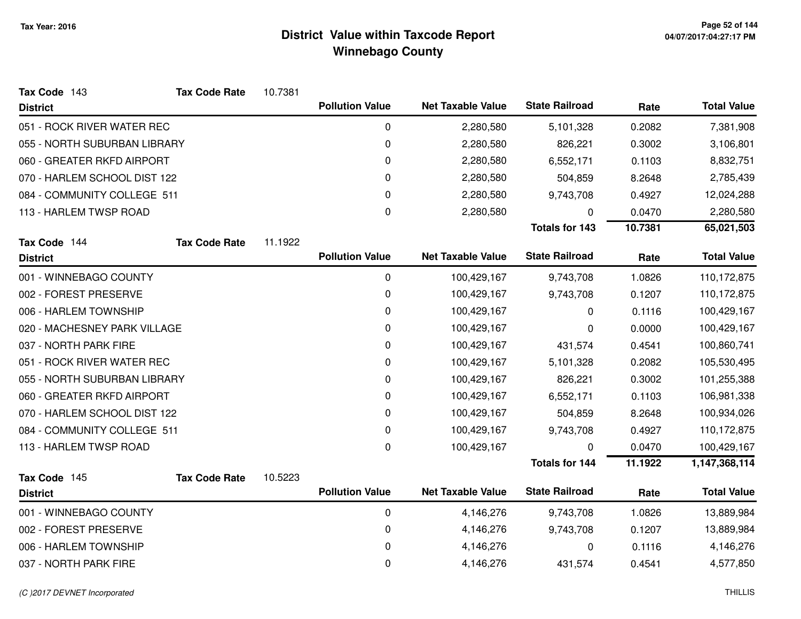| Tax Code 143                 | <b>Tax Code Rate</b> | 10.7381 |                        |                          |                       |         |                    |
|------------------------------|----------------------|---------|------------------------|--------------------------|-----------------------|---------|--------------------|
| <b>District</b>              |                      |         | <b>Pollution Value</b> | <b>Net Taxable Value</b> | <b>State Railroad</b> | Rate    | <b>Total Value</b> |
| 051 - ROCK RIVER WATER REC   |                      |         | 0                      | 2,280,580                | 5,101,328             | 0.2082  | 7,381,908          |
| 055 - NORTH SUBURBAN LIBRARY |                      |         | 0                      | 2,280,580                | 826,221               | 0.3002  | 3,106,801          |
| 060 - GREATER RKFD AIRPORT   |                      |         | 0                      | 2,280,580                | 6,552,171             | 0.1103  | 8,832,751          |
| 070 - HARLEM SCHOOL DIST 122 |                      |         | 0                      | 2,280,580                | 504,859               | 8.2648  | 2,785,439          |
| 084 - COMMUNITY COLLEGE 511  |                      |         | 0                      | 2,280,580                | 9,743,708             | 0.4927  | 12,024,288         |
| 113 - HARLEM TWSP ROAD       |                      |         | 0                      | 2,280,580                | 0                     | 0.0470  | 2,280,580          |
|                              |                      |         |                        |                          | <b>Totals for 143</b> | 10.7381 | 65,021,503         |
| Tax Code 144                 | <b>Tax Code Rate</b> | 11.1922 |                        |                          |                       |         |                    |
| <b>District</b>              |                      |         | <b>Pollution Value</b> | <b>Net Taxable Value</b> | <b>State Railroad</b> | Rate    | <b>Total Value</b> |
| 001 - WINNEBAGO COUNTY       |                      |         | 0                      | 100,429,167              | 9,743,708             | 1.0826  | 110,172,875        |
| 002 - FOREST PRESERVE        |                      |         | 0                      | 100,429,167              | 9,743,708             | 0.1207  | 110,172,875        |
| 006 - HARLEM TOWNSHIP        |                      |         | 0                      | 100,429,167              | 0                     | 0.1116  | 100,429,167        |
| 020 - MACHESNEY PARK VILLAGE |                      |         | 0                      | 100,429,167              | 0                     | 0.0000  | 100,429,167        |
| 037 - NORTH PARK FIRE        |                      |         | $\pmb{0}$              | 100,429,167              | 431,574               | 0.4541  | 100,860,741        |
| 051 - ROCK RIVER WATER REC   |                      |         | 0                      | 100,429,167              | 5,101,328             | 0.2082  | 105,530,495        |
| 055 - NORTH SUBURBAN LIBRARY |                      |         | 0                      | 100,429,167              | 826,221               | 0.3002  | 101,255,388        |
| 060 - GREATER RKFD AIRPORT   |                      |         | 0                      | 100,429,167              | 6,552,171             | 0.1103  | 106,981,338        |
| 070 - HARLEM SCHOOL DIST 122 |                      |         | 0                      | 100,429,167              | 504,859               | 8.2648  | 100,934,026        |
| 084 - COMMUNITY COLLEGE 511  |                      |         | 0                      | 100,429,167              | 9,743,708             | 0.4927  | 110,172,875        |
| 113 - HARLEM TWSP ROAD       |                      |         | 0                      | 100,429,167              | 0                     | 0.0470  | 100,429,167        |
|                              |                      |         |                        |                          | <b>Totals for 144</b> | 11.1922 | 1,147,368,114      |
| Tax Code 145                 | <b>Tax Code Rate</b> | 10.5223 |                        |                          |                       |         |                    |
| <b>District</b>              |                      |         | <b>Pollution Value</b> | <b>Net Taxable Value</b> | <b>State Railroad</b> | Rate    | <b>Total Value</b> |
| 001 - WINNEBAGO COUNTY       |                      |         | 0                      | 4,146,276                | 9,743,708             | 1.0826  | 13,889,984         |
| 002 - FOREST PRESERVE        |                      |         | 0                      | 4,146,276                | 9,743,708             | 0.1207  | 13,889,984         |
| 006 - HARLEM TOWNSHIP        |                      |         | 0                      | 4,146,276                | 0                     | 0.1116  | 4,146,276          |
| 037 - NORTH PARK FIRE        |                      |         | 0                      | 4,146,276                | 431,574               | 0.4541  | 4,577,850          |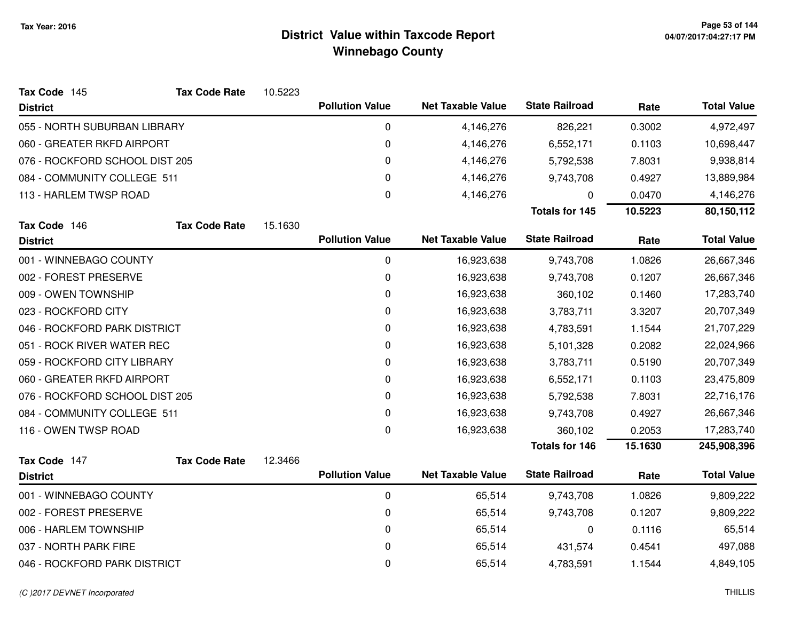| Tax Code 145                   | <b>Tax Code Rate</b> | 10.5223 |                        |                          |                       |         |                    |
|--------------------------------|----------------------|---------|------------------------|--------------------------|-----------------------|---------|--------------------|
| <b>District</b>                |                      |         | <b>Pollution Value</b> | <b>Net Taxable Value</b> | <b>State Railroad</b> | Rate    | <b>Total Value</b> |
| 055 - NORTH SUBURBAN LIBRARY   |                      |         | 0                      | 4,146,276                | 826,221               | 0.3002  | 4,972,497          |
| 060 - GREATER RKFD AIRPORT     |                      |         | 0                      | 4,146,276                | 6,552,171             | 0.1103  | 10,698,447         |
| 076 - ROCKFORD SCHOOL DIST 205 |                      |         | 0                      | 4,146,276                | 5,792,538             | 7.8031  | 9,938,814          |
| 084 - COMMUNITY COLLEGE 511    |                      |         | 0                      | 4,146,276                | 9,743,708             | 0.4927  | 13,889,984         |
| 113 - HARLEM TWSP ROAD         |                      |         | 0                      | 4,146,276                | 0                     | 0.0470  | 4,146,276          |
|                                |                      |         |                        |                          | <b>Totals for 145</b> | 10.5223 | 80,150,112         |
| Tax Code 146                   | <b>Tax Code Rate</b> | 15.1630 |                        |                          |                       |         |                    |
| <b>District</b>                |                      |         | <b>Pollution Value</b> | <b>Net Taxable Value</b> | <b>State Railroad</b> | Rate    | <b>Total Value</b> |
| 001 - WINNEBAGO COUNTY         |                      |         | 0                      | 16,923,638               | 9,743,708             | 1.0826  | 26,667,346         |
| 002 - FOREST PRESERVE          |                      |         | 0                      | 16,923,638               | 9,743,708             | 0.1207  | 26,667,346         |
| 009 - OWEN TOWNSHIP            |                      |         | 0                      | 16,923,638               | 360,102               | 0.1460  | 17,283,740         |
| 023 - ROCKFORD CITY            |                      |         | 0                      | 16,923,638               | 3,783,711             | 3.3207  | 20,707,349         |
| 046 - ROCKFORD PARK DISTRICT   |                      |         | 0                      | 16,923,638               | 4,783,591             | 1.1544  | 21,707,229         |
| 051 - ROCK RIVER WATER REC     |                      |         | 0                      | 16,923,638               | 5,101,328             | 0.2082  | 22,024,966         |
| 059 - ROCKFORD CITY LIBRARY    |                      |         | 0                      | 16,923,638               | 3,783,711             | 0.5190  | 20,707,349         |
| 060 - GREATER RKFD AIRPORT     |                      |         | 0                      | 16,923,638               | 6,552,171             | 0.1103  | 23,475,809         |
| 076 - ROCKFORD SCHOOL DIST 205 |                      |         | 0                      | 16,923,638               | 5,792,538             | 7.8031  | 22,716,176         |
| 084 - COMMUNITY COLLEGE 511    |                      |         | 0                      | 16,923,638               | 9,743,708             | 0.4927  | 26,667,346         |
| 116 - OWEN TWSP ROAD           |                      |         | 0                      | 16,923,638               | 360,102               | 0.2053  | 17,283,740         |
|                                |                      |         |                        |                          | <b>Totals for 146</b> | 15.1630 | 245,908,396        |
| Tax Code 147                   | <b>Tax Code Rate</b> | 12.3466 |                        |                          |                       |         |                    |
| <b>District</b>                |                      |         | <b>Pollution Value</b> | <b>Net Taxable Value</b> | <b>State Railroad</b> | Rate    | <b>Total Value</b> |
| 001 - WINNEBAGO COUNTY         |                      |         | 0                      | 65,514                   | 9,743,708             | 1.0826  | 9,809,222          |
| 002 - FOREST PRESERVE          |                      |         | 0                      | 65,514                   | 9,743,708             | 0.1207  | 9,809,222          |
| 006 - HARLEM TOWNSHIP          |                      |         | 0                      | 65,514                   | 0                     | 0.1116  | 65,514             |
| 037 - NORTH PARK FIRE          |                      |         | 0                      | 65,514                   | 431,574               | 0.4541  | 497,088            |
| 046 - ROCKFORD PARK DISTRICT   |                      |         | 0                      | 65,514                   | 4,783,591             | 1.1544  | 4,849,105          |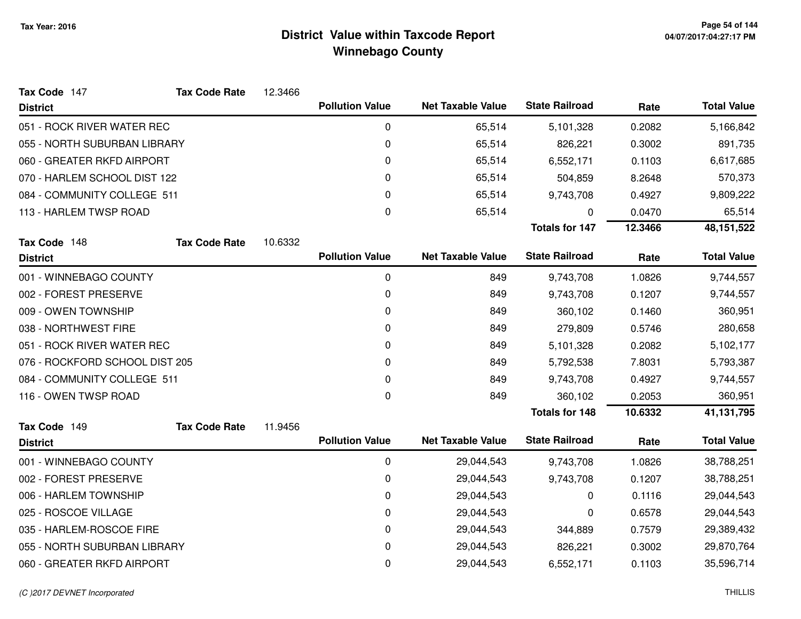| Tax Code 147                   | <b>Tax Code Rate</b> | 12.3466 |                        |                          |                       |         |                    |
|--------------------------------|----------------------|---------|------------------------|--------------------------|-----------------------|---------|--------------------|
| <b>District</b>                |                      |         | <b>Pollution Value</b> | <b>Net Taxable Value</b> | <b>State Railroad</b> | Rate    | <b>Total Value</b> |
| 051 - ROCK RIVER WATER REC     |                      |         | $\mathbf 0$            | 65,514                   | 5,101,328             | 0.2082  | 5,166,842          |
| 055 - NORTH SUBURBAN LIBRARY   |                      |         | 0                      | 65,514                   | 826,221               | 0.3002  | 891,735            |
| 060 - GREATER RKFD AIRPORT     |                      |         | $\pmb{0}$              | 65,514                   | 6,552,171             | 0.1103  | 6,617,685          |
| 070 - HARLEM SCHOOL DIST 122   |                      |         | 0                      | 65,514                   | 504,859               | 8.2648  | 570,373            |
| 084 - COMMUNITY COLLEGE 511    |                      |         | 0                      | 65,514                   | 9,743,708             | 0.4927  | 9,809,222          |
| 113 - HARLEM TWSP ROAD         |                      |         | 0                      | 65,514                   | 0                     | 0.0470  | 65,514             |
|                                |                      |         |                        |                          | <b>Totals for 147</b> | 12.3466 | 48, 151, 522       |
| Tax Code 148                   | <b>Tax Code Rate</b> | 10.6332 |                        |                          |                       |         |                    |
| <b>District</b>                |                      |         | <b>Pollution Value</b> | <b>Net Taxable Value</b> | <b>State Railroad</b> | Rate    | <b>Total Value</b> |
| 001 - WINNEBAGO COUNTY         |                      |         | 0                      | 849                      | 9,743,708             | 1.0826  | 9,744,557          |
| 002 - FOREST PRESERVE          |                      |         | 0                      | 849                      | 9,743,708             | 0.1207  | 9,744,557          |
| 009 - OWEN TOWNSHIP            |                      |         | 0                      | 849                      | 360,102               | 0.1460  | 360,951            |
| 038 - NORTHWEST FIRE           |                      |         | 0                      | 849                      | 279,809               | 0.5746  | 280,658            |
| 051 - ROCK RIVER WATER REC     |                      |         | 0                      | 849                      | 5,101,328             | 0.2082  | 5,102,177          |
| 076 - ROCKFORD SCHOOL DIST 205 |                      |         | 0                      | 849                      | 5,792,538             | 7.8031  | 5,793,387          |
| 084 - COMMUNITY COLLEGE 511    |                      |         | 0                      | 849                      | 9,743,708             | 0.4927  | 9,744,557          |
| 116 - OWEN TWSP ROAD           |                      |         | 0                      | 849                      | 360,102               | 0.2053  | 360,951            |
|                                |                      |         |                        |                          | <b>Totals for 148</b> | 10.6332 | 41,131,795         |
| Tax Code 149                   | <b>Tax Code Rate</b> | 11.9456 |                        |                          |                       |         |                    |
| <b>District</b>                |                      |         | <b>Pollution Value</b> | <b>Net Taxable Value</b> | <b>State Railroad</b> | Rate    | <b>Total Value</b> |
| 001 - WINNEBAGO COUNTY         |                      |         | $\mathbf 0$            | 29,044,543               | 9,743,708             | 1.0826  | 38,788,251         |
| 002 - FOREST PRESERVE          |                      |         | 0                      | 29,044,543               | 9,743,708             | 0.1207  | 38,788,251         |
| 006 - HARLEM TOWNSHIP          |                      |         | 0                      | 29,044,543               | 0                     | 0.1116  | 29,044,543         |
| 025 - ROSCOE VILLAGE           |                      |         | 0                      | 29,044,543               | 0                     | 0.6578  | 29,044,543         |
| 035 - HARLEM-ROSCOE FIRE       |                      |         | 0                      | 29,044,543               | 344,889               | 0.7579  | 29,389,432         |
| 055 - NORTH SUBURBAN LIBRARY   |                      |         | 0                      | 29,044,543               | 826,221               | 0.3002  | 29,870,764         |
| 060 - GREATER RKFD AIRPORT     |                      |         | 0                      | 29,044,543               | 6,552,171             | 0.1103  | 35,596,714         |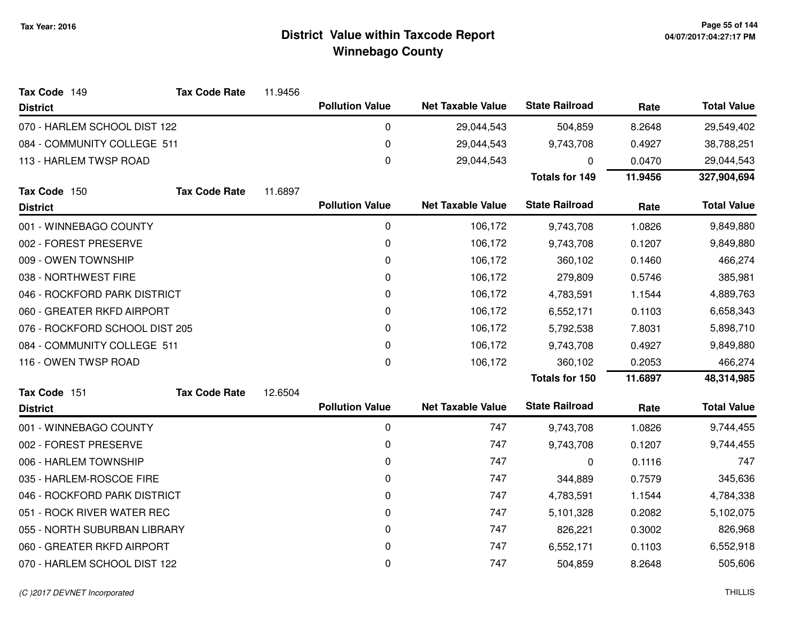| Tax Code 149                   | <b>Tax Code Rate</b> | 11.9456 |                        |                          |                       |         |                    |
|--------------------------------|----------------------|---------|------------------------|--------------------------|-----------------------|---------|--------------------|
| <b>District</b>                |                      |         | <b>Pollution Value</b> | <b>Net Taxable Value</b> | <b>State Railroad</b> | Rate    | <b>Total Value</b> |
| 070 - HARLEM SCHOOL DIST 122   |                      |         | 0                      | 29,044,543               | 504,859               | 8.2648  | 29,549,402         |
| 084 - COMMUNITY COLLEGE 511    |                      |         | 0                      | 29,044,543               | 9,743,708             | 0.4927  | 38,788,251         |
| 113 - HARLEM TWSP ROAD         |                      |         | 0                      | 29,044,543               | 0                     | 0.0470  | 29,044,543         |
|                                |                      |         |                        |                          | <b>Totals for 149</b> | 11.9456 | 327,904,694        |
| Tax Code 150                   | <b>Tax Code Rate</b> | 11.6897 |                        |                          |                       |         |                    |
| <b>District</b>                |                      |         | <b>Pollution Value</b> | <b>Net Taxable Value</b> | <b>State Railroad</b> | Rate    | <b>Total Value</b> |
| 001 - WINNEBAGO COUNTY         |                      |         | 0                      | 106,172                  | 9,743,708             | 1.0826  | 9,849,880          |
| 002 - FOREST PRESERVE          |                      |         | 0                      | 106,172                  | 9,743,708             | 0.1207  | 9,849,880          |
| 009 - OWEN TOWNSHIP            |                      |         | 0                      | 106,172                  | 360,102               | 0.1460  | 466,274            |
| 038 - NORTHWEST FIRE           |                      |         | 0                      | 106,172                  | 279,809               | 0.5746  | 385,981            |
| 046 - ROCKFORD PARK DISTRICT   |                      |         | 0                      | 106,172                  | 4,783,591             | 1.1544  | 4,889,763          |
| 060 - GREATER RKFD AIRPORT     |                      |         | 0                      | 106,172                  | 6,552,171             | 0.1103  | 6,658,343          |
| 076 - ROCKFORD SCHOOL DIST 205 |                      |         | 0                      | 106,172                  | 5,792,538             | 7.8031  | 5,898,710          |
| 084 - COMMUNITY COLLEGE 511    |                      |         | 0                      | 106,172                  | 9,743,708             | 0.4927  | 9,849,880          |
| 116 - OWEN TWSP ROAD           |                      |         | $\Omega$               | 106,172                  | 360,102               | 0.2053  | 466,274            |
|                                |                      |         |                        |                          | <b>Totals for 150</b> | 11.6897 | 48,314,985         |
| Tax Code 151                   | <b>Tax Code Rate</b> | 12.6504 |                        |                          |                       |         |                    |
| <b>District</b>                |                      |         | <b>Pollution Value</b> | <b>Net Taxable Value</b> | <b>State Railroad</b> | Rate    | <b>Total Value</b> |
| 001 - WINNEBAGO COUNTY         |                      |         | 0                      | 747                      | 9,743,708             | 1.0826  | 9,744,455          |
| 002 - FOREST PRESERVE          |                      |         | 0                      | 747                      | 9,743,708             | 0.1207  | 9,744,455          |
| 006 - HARLEM TOWNSHIP          |                      |         | 0                      | 747                      | $\mathbf 0$           | 0.1116  | 747                |
| 035 - HARLEM-ROSCOE FIRE       |                      |         | 0                      | 747                      | 344,889               | 0.7579  | 345,636            |
| 046 - ROCKFORD PARK DISTRICT   |                      |         | 0                      | 747                      | 4,783,591             | 1.1544  | 4,784,338          |
| 051 - ROCK RIVER WATER REC     |                      |         | 0                      | 747                      | 5,101,328             | 0.2082  | 5,102,075          |
| 055 - NORTH SUBURBAN LIBRARY   |                      |         | 0                      | 747                      | 826,221               | 0.3002  | 826,968            |
| 060 - GREATER RKFD AIRPORT     |                      |         | 0                      | 747                      | 6,552,171             | 0.1103  | 6,552,918          |
| 070 - HARLEM SCHOOL DIST 122   |                      |         | 0                      | 747                      | 504,859               | 8.2648  | 505,606            |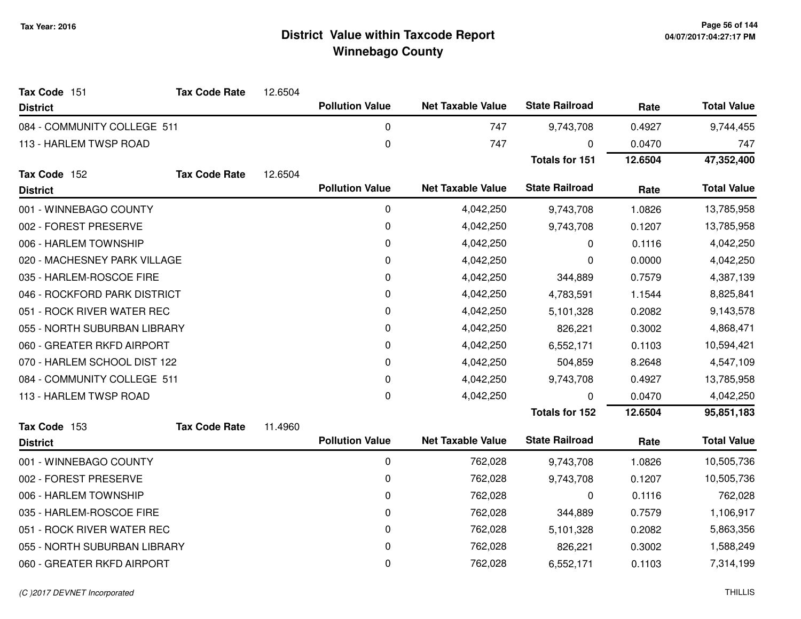| Tax Code 151                 | <b>Tax Code Rate</b> | 12.6504 |                        |                          |                       |         |                    |
|------------------------------|----------------------|---------|------------------------|--------------------------|-----------------------|---------|--------------------|
| <b>District</b>              |                      |         | <b>Pollution Value</b> | <b>Net Taxable Value</b> | <b>State Railroad</b> | Rate    | <b>Total Value</b> |
| 084 - COMMUNITY COLLEGE 511  |                      |         | $\mathbf 0$            | 747                      | 9,743,708             | 0.4927  | 9,744,455          |
| 113 - HARLEM TWSP ROAD       |                      |         | $\boldsymbol{0}$       | 747                      | $\mathbf 0$           | 0.0470  | 747                |
|                              |                      |         |                        |                          | <b>Totals for 151</b> | 12.6504 | 47,352,400         |
| Tax Code 152                 | <b>Tax Code Rate</b> | 12.6504 |                        |                          |                       |         |                    |
| <b>District</b>              |                      |         | <b>Pollution Value</b> | <b>Net Taxable Value</b> | <b>State Railroad</b> | Rate    | <b>Total Value</b> |
| 001 - WINNEBAGO COUNTY       |                      |         | $\mathbf 0$            | 4,042,250                | 9,743,708             | 1.0826  | 13,785,958         |
| 002 - FOREST PRESERVE        |                      |         | 0                      | 4,042,250                | 9,743,708             | 0.1207  | 13,785,958         |
| 006 - HARLEM TOWNSHIP        |                      |         | $\mathbf 0$            | 4,042,250                | 0                     | 0.1116  | 4,042,250          |
| 020 - MACHESNEY PARK VILLAGE |                      |         | 0                      | 4,042,250                | 0                     | 0.0000  | 4,042,250          |
| 035 - HARLEM-ROSCOE FIRE     |                      |         | 0                      | 4,042,250                | 344,889               | 0.7579  | 4,387,139          |
| 046 - ROCKFORD PARK DISTRICT |                      |         | $\mathbf 0$            | 4,042,250                | 4,783,591             | 1.1544  | 8,825,841          |
| 051 - ROCK RIVER WATER REC   |                      |         | 0                      | 4,042,250                | 5,101,328             | 0.2082  | 9,143,578          |
| 055 - NORTH SUBURBAN LIBRARY |                      |         | 0                      | 4,042,250                | 826,221               | 0.3002  | 4,868,471          |
| 060 - GREATER RKFD AIRPORT   |                      |         | 0                      | 4,042,250                | 6,552,171             | 0.1103  | 10,594,421         |
| 070 - HARLEM SCHOOL DIST 122 |                      |         | $\mathbf 0$            | 4,042,250                | 504,859               | 8.2648  | 4,547,109          |
| 084 - COMMUNITY COLLEGE 511  |                      |         | $\mathbf 0$            | 4,042,250                | 9,743,708             | 0.4927  | 13,785,958         |
| 113 - HARLEM TWSP ROAD       |                      |         | $\mathbf 0$            | 4,042,250                | $\mathbf 0$           | 0.0470  | 4,042,250          |
|                              |                      |         |                        |                          | <b>Totals for 152</b> | 12.6504 | 95,851,183         |
| Tax Code 153                 | <b>Tax Code Rate</b> | 11.4960 |                        |                          |                       |         |                    |
| <b>District</b>              |                      |         | <b>Pollution Value</b> | <b>Net Taxable Value</b> | <b>State Railroad</b> | Rate    | <b>Total Value</b> |
| 001 - WINNEBAGO COUNTY       |                      |         | $\mathbf 0$            | 762,028                  | 9,743,708             | 1.0826  | 10,505,736         |
| 002 - FOREST PRESERVE        |                      |         | 0                      | 762,028                  | 9,743,708             | 0.1207  | 10,505,736         |
| 006 - HARLEM TOWNSHIP        |                      |         | 0                      | 762,028                  | $\mathbf 0$           | 0.1116  | 762,028            |
| 035 - HARLEM-ROSCOE FIRE     |                      |         | $\mathbf 0$            | 762,028                  | 344,889               | 0.7579  | 1,106,917          |
| 051 - ROCK RIVER WATER REC   |                      |         | $\mathbf 0$            | 762,028                  | 5,101,328             | 0.2082  | 5,863,356          |
| 055 - NORTH SUBURBAN LIBRARY |                      |         | 0                      | 762,028                  | 826,221               | 0.3002  | 1,588,249          |
| 060 - GREATER RKFD AIRPORT   |                      |         | 0                      | 762,028                  | 6,552,171             | 0.1103  | 7,314,199          |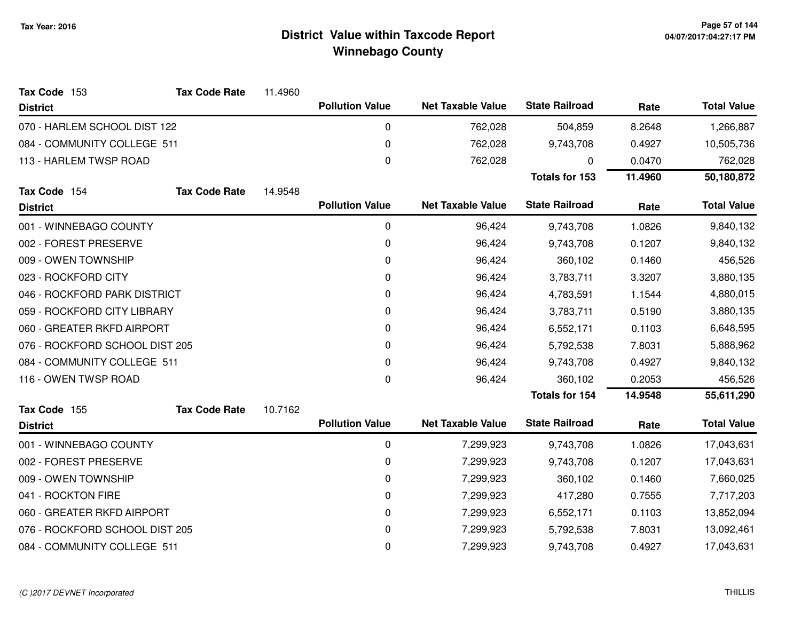| Tax Code 153                   | <b>Tax Code Rate</b> | 11.4960   |                        |                          |                       |         |                    |
|--------------------------------|----------------------|-----------|------------------------|--------------------------|-----------------------|---------|--------------------|
| <b>District</b>                |                      |           | <b>Pollution Value</b> | <b>Net Taxable Value</b> | <b>State Railroad</b> | Rate    | <b>Total Value</b> |
| 070 - HARLEM SCHOOL DIST 122   |                      |           | 0                      | 762,028                  | 504,859               | 8.2648  | 1,266,887          |
| 084 - COMMUNITY COLLEGE 511    |                      |           | 0                      | 762,028                  | 9,743,708             | 0.4927  | 10,505,736         |
| 113 - HARLEM TWSP ROAD         |                      | $\pmb{0}$ | 762,028                | 0                        | 0.0470                | 762,028 |                    |
|                                |                      |           |                        |                          | <b>Totals for 153</b> | 11.4960 | 50,180,872         |
| Tax Code 154                   | <b>Tax Code Rate</b> | 14.9548   |                        |                          |                       |         |                    |
| <b>District</b>                |                      |           | <b>Pollution Value</b> | <b>Net Taxable Value</b> | <b>State Railroad</b> | Rate    | <b>Total Value</b> |
| 001 - WINNEBAGO COUNTY         |                      |           | 0                      | 96,424                   | 9,743,708             | 1.0826  | 9,840,132          |
| 002 - FOREST PRESERVE          |                      |           | 0                      | 96,424                   | 9,743,708             | 0.1207  | 9,840,132          |
| 009 - OWEN TOWNSHIP            |                      |           | 0                      | 96,424                   | 360,102               | 0.1460  | 456,526            |
| 023 - ROCKFORD CITY            |                      |           | 0                      | 96,424                   | 3,783,711             | 3.3207  | 3,880,135          |
| 046 - ROCKFORD PARK DISTRICT   |                      |           | 0                      | 96,424                   | 4,783,591             | 1.1544  | 4,880,015          |
| 059 - ROCKFORD CITY LIBRARY    |                      |           | 0                      | 96,424                   | 3,783,711             | 0.5190  | 3,880,135          |
| 060 - GREATER RKFD AIRPORT     |                      |           | 0                      | 96,424                   | 6,552,171             | 0.1103  | 6,648,595          |
| 076 - ROCKFORD SCHOOL DIST 205 |                      |           | 0                      | 96,424                   | 5,792,538             | 7.8031  | 5,888,962          |
| 084 - COMMUNITY COLLEGE 511    |                      |           | 0                      | 96,424                   | 9,743,708             | 0.4927  | 9,840,132          |
| 116 - OWEN TWSP ROAD           |                      |           | 0                      | 96,424                   | 360,102               | 0.2053  | 456,526            |
|                                |                      |           |                        |                          | <b>Totals for 154</b> | 14.9548 | 55,611,290         |
| Tax Code 155                   | <b>Tax Code Rate</b> | 10.7162   |                        |                          |                       |         |                    |
| <b>District</b>                |                      |           | <b>Pollution Value</b> | <b>Net Taxable Value</b> | <b>State Railroad</b> | Rate    | <b>Total Value</b> |
| 001 - WINNEBAGO COUNTY         |                      |           | 0                      | 7,299,923                | 9,743,708             | 1.0826  | 17,043,631         |
| 002 - FOREST PRESERVE          |                      |           | 0                      | 7,299,923                | 9,743,708             | 0.1207  | 17,043,631         |
| 009 - OWEN TOWNSHIP            |                      |           | 0                      | 7,299,923                | 360,102               | 0.1460  | 7,660,025          |
| 041 - ROCKTON FIRE             |                      |           | 0                      | 7,299,923                | 417,280               | 0.7555  | 7,717,203          |
| 060 - GREATER RKFD AIRPORT     |                      |           | 0                      | 7,299,923                | 6,552,171             | 0.1103  | 13,852,094         |
| 076 - ROCKFORD SCHOOL DIST 205 |                      |           | 0                      | 7,299,923                | 5,792,538             | 7.8031  | 13,092,461         |
| 084 - COMMUNITY COLLEGE 511    |                      |           | 0                      | 7,299,923                | 9,743,708             | 0.4927  | 17,043,631         |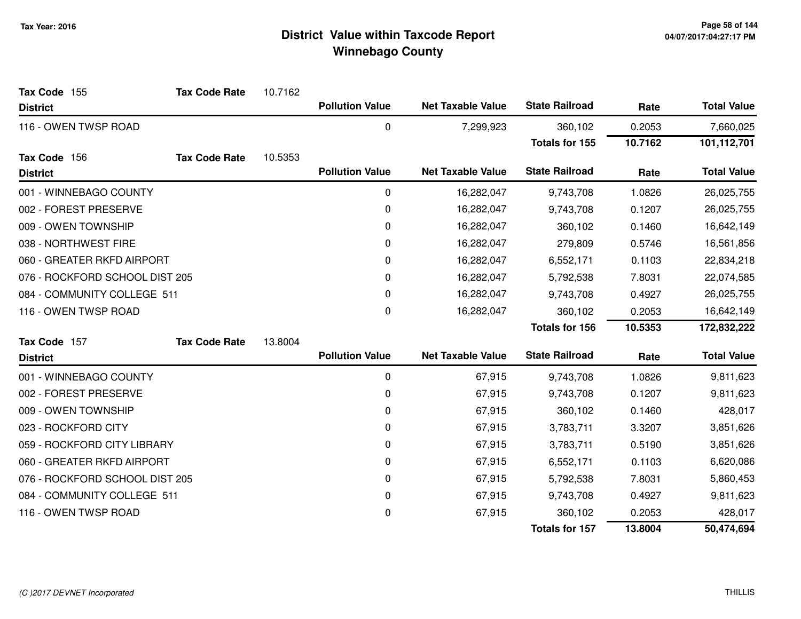| Tax Code 155                   | <b>Tax Code Rate</b> | 10.7162 |                        |                          |                       |         |                    |
|--------------------------------|----------------------|---------|------------------------|--------------------------|-----------------------|---------|--------------------|
| <b>District</b>                |                      |         | <b>Pollution Value</b> | <b>Net Taxable Value</b> | <b>State Railroad</b> | Rate    | <b>Total Value</b> |
| 116 - OWEN TWSP ROAD           |                      |         | 0                      | 7,299,923                | 360,102               | 0.2053  | 7,660,025          |
|                                |                      |         |                        |                          | <b>Totals for 155</b> | 10.7162 | 101,112,701        |
| Tax Code 156                   | <b>Tax Code Rate</b> | 10.5353 |                        |                          |                       |         |                    |
| <b>District</b>                |                      |         | <b>Pollution Value</b> | <b>Net Taxable Value</b> | <b>State Railroad</b> | Rate    | <b>Total Value</b> |
| 001 - WINNEBAGO COUNTY         |                      |         | 0                      | 16,282,047               | 9,743,708             | 1.0826  | 26,025,755         |
| 002 - FOREST PRESERVE          |                      |         | 0                      | 16,282,047               | 9,743,708             | 0.1207  | 26,025,755         |
| 009 - OWEN TOWNSHIP            |                      |         | 0                      | 16,282,047               | 360,102               | 0.1460  | 16,642,149         |
| 038 - NORTHWEST FIRE           |                      |         | 0                      | 16,282,047               | 279,809               | 0.5746  | 16,561,856         |
| 060 - GREATER RKFD AIRPORT     |                      |         | 0                      | 16,282,047               | 6,552,171             | 0.1103  | 22,834,218         |
| 076 - ROCKFORD SCHOOL DIST 205 |                      |         | 0                      | 16,282,047               | 5,792,538             | 7.8031  | 22,074,585         |
| 084 - COMMUNITY COLLEGE 511    |                      |         | 0                      | 16,282,047               | 9,743,708             | 0.4927  | 26,025,755         |
| 116 - OWEN TWSP ROAD           |                      |         | 0                      | 16,282,047               | 360,102               | 0.2053  | 16,642,149         |
|                                |                      |         |                        |                          | <b>Totals for 156</b> | 10.5353 | 172,832,222        |
| Tax Code 157                   | <b>Tax Code Rate</b> | 13.8004 |                        |                          |                       |         |                    |
| <b>District</b>                |                      |         | <b>Pollution Value</b> | <b>Net Taxable Value</b> | <b>State Railroad</b> | Rate    | <b>Total Value</b> |
| 001 - WINNEBAGO COUNTY         |                      |         | 0                      | 67,915                   | 9,743,708             | 1.0826  | 9,811,623          |
| 002 - FOREST PRESERVE          |                      |         | 0                      | 67,915                   | 9,743,708             | 0.1207  | 9,811,623          |
| 009 - OWEN TOWNSHIP            |                      |         | 0                      | 67,915                   | 360,102               | 0.1460  | 428,017            |
| 023 - ROCKFORD CITY            |                      |         | 0                      | 67,915                   | 3,783,711             | 3.3207  | 3,851,626          |
| 059 - ROCKFORD CITY LIBRARY    |                      |         | 0                      | 67,915                   | 3,783,711             | 0.5190  | 3,851,626          |
| 060 - GREATER RKFD AIRPORT     |                      |         | 0                      | 67,915                   | 6,552,171             | 0.1103  | 6,620,086          |
| 076 - ROCKFORD SCHOOL DIST 205 |                      |         | 0                      | 67,915                   | 5,792,538             | 7.8031  | 5,860,453          |
| 084 - COMMUNITY COLLEGE 511    |                      |         | 0                      | 67,915                   | 9,743,708             | 0.4927  | 9,811,623          |
| 116 - OWEN TWSP ROAD           |                      |         | 0                      | 67,915                   | 360,102               | 0.2053  | 428,017            |
|                                |                      |         |                        |                          | Totals for 157        | 13.8004 | 50,474,694         |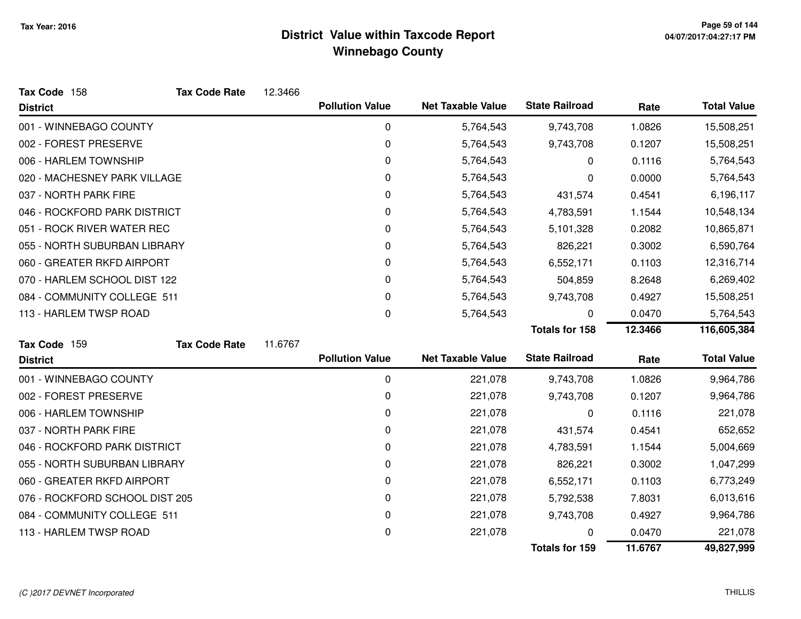| Tax Code 158                   | <b>Tax Code Rate</b> | 12.3466 |                        |                          |                       |         |                    |
|--------------------------------|----------------------|---------|------------------------|--------------------------|-----------------------|---------|--------------------|
| <b>District</b>                |                      |         | <b>Pollution Value</b> | <b>Net Taxable Value</b> | <b>State Railroad</b> | Rate    | <b>Total Value</b> |
| 001 - WINNEBAGO COUNTY         |                      |         | 0                      | 5,764,543                | 9,743,708             | 1.0826  | 15,508,251         |
| 002 - FOREST PRESERVE          |                      |         | 0                      | 5,764,543                | 9,743,708             | 0.1207  | 15,508,251         |
| 006 - HARLEM TOWNSHIP          |                      |         | 0                      | 5,764,543                | 0                     | 0.1116  | 5,764,543          |
| 020 - MACHESNEY PARK VILLAGE   |                      |         | 0                      | 5,764,543                | 0                     | 0.0000  | 5,764,543          |
| 037 - NORTH PARK FIRE          |                      |         | 0                      | 5,764,543                | 431,574               | 0.4541  | 6,196,117          |
| 046 - ROCKFORD PARK DISTRICT   |                      |         | 0                      | 5,764,543                | 4,783,591             | 1.1544  | 10,548,134         |
| 051 - ROCK RIVER WATER REC     |                      |         | 0                      | 5,764,543                | 5,101,328             | 0.2082  | 10,865,871         |
| 055 - NORTH SUBURBAN LIBRARY   |                      |         | 0                      | 5,764,543                | 826,221               | 0.3002  | 6,590,764          |
| 060 - GREATER RKFD AIRPORT     |                      |         | 0                      | 5,764,543                | 6,552,171             | 0.1103  | 12,316,714         |
| 070 - HARLEM SCHOOL DIST 122   |                      |         | 0                      | 5,764,543                | 504,859               | 8.2648  | 6,269,402          |
| 084 - COMMUNITY COLLEGE 511    |                      |         | 0                      | 5,764,543                | 9,743,708             | 0.4927  | 15,508,251         |
| 113 - HARLEM TWSP ROAD         |                      |         | 0                      | 5,764,543                | 0                     | 0.0470  | 5,764,543          |
|                                |                      |         |                        |                          | <b>Totals for 158</b> | 12.3466 | 116,605,384        |
| Tax Code 159                   | <b>Tax Code Rate</b> | 11.6767 |                        |                          |                       |         |                    |
| <b>District</b>                |                      |         | <b>Pollution Value</b> | <b>Net Taxable Value</b> | <b>State Railroad</b> | Rate    | <b>Total Value</b> |
| 001 - WINNEBAGO COUNTY         |                      |         | $\mathbf 0$            | 221,078                  | 9,743,708             | 1.0826  | 9,964,786          |
| 002 - FOREST PRESERVE          |                      |         | 0                      | 221,078                  | 9,743,708             | 0.1207  | 9,964,786          |
| 006 - HARLEM TOWNSHIP          |                      |         | 0                      | 221,078                  | 0                     | 0.1116  | 221,078            |
| 037 - NORTH PARK FIRE          |                      |         | 0                      | 221,078                  | 431,574               | 0.4541  | 652,652            |
| 046 - ROCKFORD PARK DISTRICT   |                      |         | 0                      | 221,078                  | 4,783,591             | 1.1544  | 5,004,669          |
| 055 - NORTH SUBURBAN LIBRARY   |                      |         | 0                      | 221,078                  | 826,221               | 0.3002  | 1,047,299          |
| 060 - GREATER RKFD AIRPORT     |                      |         | 0                      | 221,078                  | 6,552,171             | 0.1103  | 6,773,249          |
| 076 - ROCKFORD SCHOOL DIST 205 |                      |         | 0                      | 221,078                  | 5,792,538             | 7.8031  | 6,013,616          |
| 084 - COMMUNITY COLLEGE 511    |                      |         | 0                      | 221,078                  | 9,743,708             | 0.4927  | 9,964,786          |
| 113 - HARLEM TWSP ROAD         |                      |         | 0                      | 221,078                  |                       | 0.0470  | 221,078            |
|                                |                      |         |                        |                          | <b>Totals for 159</b> | 11.6767 | 49,827,999         |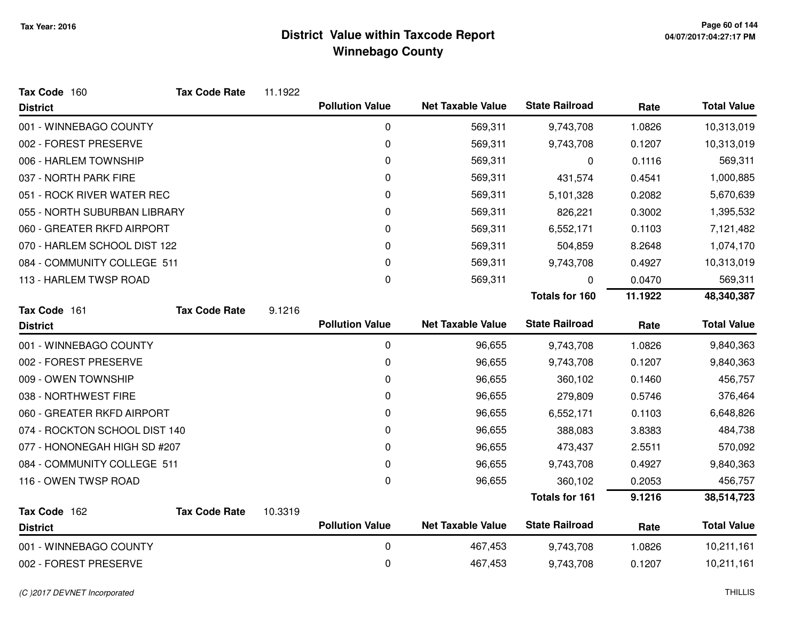| Tax Code 160                  | <b>Tax Code Rate</b> | 11.1922 |                        |                          |                       |         |                    |
|-------------------------------|----------------------|---------|------------------------|--------------------------|-----------------------|---------|--------------------|
| <b>District</b>               |                      |         | <b>Pollution Value</b> | <b>Net Taxable Value</b> | <b>State Railroad</b> | Rate    | <b>Total Value</b> |
| 001 - WINNEBAGO COUNTY        |                      |         | $\mathbf 0$            | 569,311                  | 9,743,708             | 1.0826  | 10,313,019         |
| 002 - FOREST PRESERVE         |                      |         | 0                      | 569,311                  | 9,743,708             | 0.1207  | 10,313,019         |
| 006 - HARLEM TOWNSHIP         |                      |         | 0                      | 569,311                  | 0                     | 0.1116  | 569,311            |
| 037 - NORTH PARK FIRE         |                      |         | 0                      | 569,311                  | 431,574               | 0.4541  | 1,000,885          |
| 051 - ROCK RIVER WATER REC    |                      |         | 0                      | 569,311                  | 5,101,328             | 0.2082  | 5,670,639          |
| 055 - NORTH SUBURBAN LIBRARY  |                      |         | 0                      | 569,311                  | 826,221               | 0.3002  | 1,395,532          |
| 060 - GREATER RKFD AIRPORT    |                      |         | 0                      | 569,311                  | 6,552,171             | 0.1103  | 7,121,482          |
| 070 - HARLEM SCHOOL DIST 122  |                      |         | 0                      | 569,311                  | 504,859               | 8.2648  | 1,074,170          |
| 084 - COMMUNITY COLLEGE 511   |                      |         | 0                      | 569,311                  | 9,743,708             | 0.4927  | 10,313,019         |
| 113 - HARLEM TWSP ROAD        |                      |         | 0                      | 569,311                  | 0                     | 0.0470  | 569,311            |
|                               |                      |         |                        |                          | <b>Totals for 160</b> | 11.1922 | 48,340,387         |
| Tax Code 161                  | <b>Tax Code Rate</b> | 9.1216  |                        |                          |                       |         |                    |
| <b>District</b>               |                      |         | <b>Pollution Value</b> | <b>Net Taxable Value</b> | <b>State Railroad</b> | Rate    | <b>Total Value</b> |
| 001 - WINNEBAGO COUNTY        |                      |         | $\boldsymbol{0}$       | 96,655                   | 9,743,708             | 1.0826  | 9,840,363          |
| 002 - FOREST PRESERVE         |                      |         | 0                      | 96,655                   | 9,743,708             | 0.1207  | 9,840,363          |
| 009 - OWEN TOWNSHIP           |                      |         | 0                      | 96,655                   | 360,102               | 0.1460  | 456,757            |
| 038 - NORTHWEST FIRE          |                      |         | 0                      | 96,655                   | 279,809               | 0.5746  | 376,464            |
| 060 - GREATER RKFD AIRPORT    |                      |         | 0                      | 96,655                   | 6,552,171             | 0.1103  | 6,648,826          |
| 074 - ROCKTON SCHOOL DIST 140 |                      |         | 0                      | 96,655                   | 388,083               | 3.8383  | 484,738            |
| 077 - HONONEGAH HIGH SD #207  |                      |         | 0                      | 96,655                   | 473,437               | 2.5511  | 570,092            |
| 084 - COMMUNITY COLLEGE 511   |                      |         | 0                      | 96,655                   | 9,743,708             | 0.4927  | 9,840,363          |
| 116 - OWEN TWSP ROAD          |                      |         | 0                      | 96,655                   | 360,102               | 0.2053  | 456,757            |
|                               |                      |         |                        |                          | <b>Totals for 161</b> | 9.1216  | 38,514,723         |
| Tax Code 162                  | <b>Tax Code Rate</b> | 10.3319 |                        |                          |                       |         |                    |
| <b>District</b>               |                      |         | <b>Pollution Value</b> | <b>Net Taxable Value</b> | <b>State Railroad</b> | Rate    | <b>Total Value</b> |
| 001 - WINNEBAGO COUNTY        |                      |         | 0                      | 467,453                  | 9,743,708             | 1.0826  | 10,211,161         |
| 002 - FOREST PRESERVE         |                      |         | 0                      | 467,453                  | 9,743,708             | 0.1207  | 10,211,161         |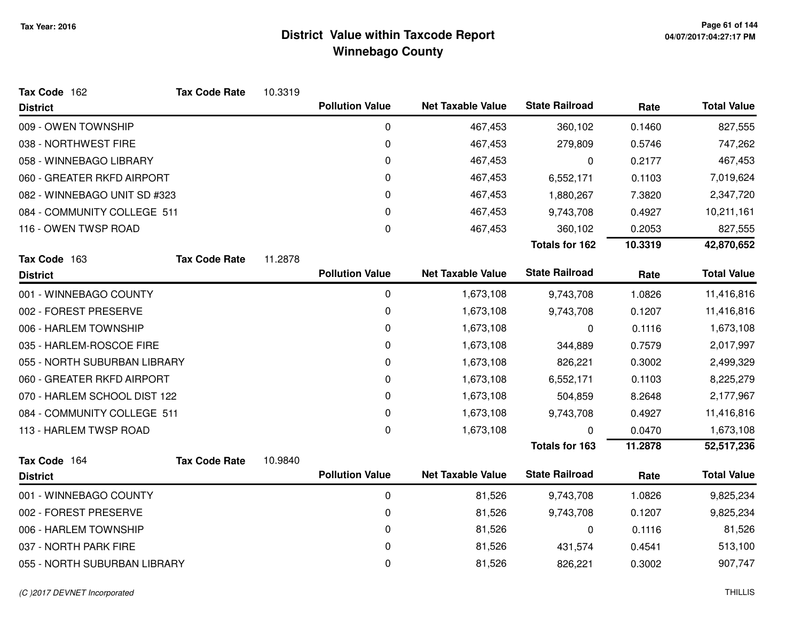| Tax Code 162                 | <b>Tax Code Rate</b> | 10.3319 |                        |                          |                       |         |                    |
|------------------------------|----------------------|---------|------------------------|--------------------------|-----------------------|---------|--------------------|
| <b>District</b>              |                      |         | <b>Pollution Value</b> | <b>Net Taxable Value</b> | <b>State Railroad</b> | Rate    | <b>Total Value</b> |
| 009 - OWEN TOWNSHIP          |                      |         | 0                      | 467,453                  | 360,102               | 0.1460  | 827,555            |
| 038 - NORTHWEST FIRE         |                      |         | 0                      | 467,453                  | 279,809               | 0.5746  | 747,262            |
| 058 - WINNEBAGO LIBRARY      |                      |         | 0                      | 467,453                  | 0                     | 0.2177  | 467,453            |
| 060 - GREATER RKFD AIRPORT   |                      |         | 0                      | 467,453                  | 6,552,171             | 0.1103  | 7,019,624          |
| 082 - WINNEBAGO UNIT SD #323 |                      |         | 0                      | 467,453                  | 1,880,267             | 7.3820  | 2,347,720          |
| 084 - COMMUNITY COLLEGE 511  |                      |         | 0                      | 467,453                  | 9,743,708             | 0.4927  | 10,211,161         |
| 116 - OWEN TWSP ROAD         |                      |         | 0                      | 467,453                  | 360,102               | 0.2053  | 827,555            |
|                              |                      |         |                        |                          | <b>Totals for 162</b> | 10.3319 | 42,870,652         |
| Tax Code 163                 | <b>Tax Code Rate</b> | 11.2878 |                        |                          |                       |         |                    |
| <b>District</b>              |                      |         | <b>Pollution Value</b> | <b>Net Taxable Value</b> | <b>State Railroad</b> | Rate    | <b>Total Value</b> |
| 001 - WINNEBAGO COUNTY       |                      |         | 0                      | 1,673,108                | 9,743,708             | 1.0826  | 11,416,816         |
| 002 - FOREST PRESERVE        |                      |         | 0                      | 1,673,108                | 9,743,708             | 0.1207  | 11,416,816         |
| 006 - HARLEM TOWNSHIP        |                      |         | 0                      | 1,673,108                | 0                     | 0.1116  | 1,673,108          |
| 035 - HARLEM-ROSCOE FIRE     |                      |         | 0                      | 1,673,108                | 344,889               | 0.7579  | 2,017,997          |
| 055 - NORTH SUBURBAN LIBRARY |                      |         | 0                      | 1,673,108                | 826,221               | 0.3002  | 2,499,329          |
| 060 - GREATER RKFD AIRPORT   |                      |         | 0                      | 1,673,108                | 6,552,171             | 0.1103  | 8,225,279          |
| 070 - HARLEM SCHOOL DIST 122 |                      |         | 0                      | 1,673,108                | 504,859               | 8.2648  | 2,177,967          |
| 084 - COMMUNITY COLLEGE 511  |                      |         | 0                      | 1,673,108                | 9,743,708             | 0.4927  | 11,416,816         |
| 113 - HARLEM TWSP ROAD       |                      |         | 0                      | 1,673,108                | 0                     | 0.0470  | 1,673,108          |
|                              |                      |         |                        |                          | <b>Totals for 163</b> | 11.2878 | 52,517,236         |
| Tax Code 164                 | <b>Tax Code Rate</b> | 10.9840 |                        |                          |                       |         |                    |
| <b>District</b>              |                      |         | <b>Pollution Value</b> | <b>Net Taxable Value</b> | <b>State Railroad</b> | Rate    | <b>Total Value</b> |
| 001 - WINNEBAGO COUNTY       |                      |         | 0                      | 81,526                   | 9,743,708             | 1.0826  | 9,825,234          |
| 002 - FOREST PRESERVE        |                      |         | 0                      | 81,526                   | 9,743,708             | 0.1207  | 9,825,234          |
| 006 - HARLEM TOWNSHIP        |                      |         | 0                      | 81,526                   | 0                     | 0.1116  | 81,526             |
| 037 - NORTH PARK FIRE        |                      |         | 0                      | 81,526                   | 431,574               | 0.4541  | 513,100            |
| 055 - NORTH SUBURBAN LIBRARY |                      |         | 0                      | 81,526                   | 826,221               | 0.3002  | 907,747            |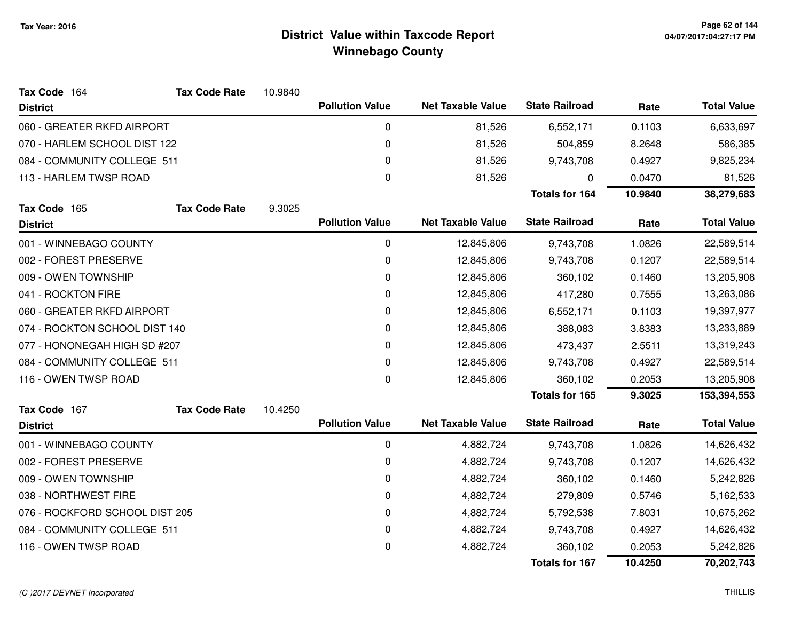| Tax Code 164                   | <b>Tax Code Rate</b> | 10.9840 |                        |                          |                       |            |                    |
|--------------------------------|----------------------|---------|------------------------|--------------------------|-----------------------|------------|--------------------|
| <b>District</b>                |                      |         | <b>Pollution Value</b> | <b>Net Taxable Value</b> | <b>State Railroad</b> | Rate       | <b>Total Value</b> |
| 060 - GREATER RKFD AIRPORT     |                      |         | 0                      | 81,526                   | 6,552,171             | 0.1103     | 6,633,697          |
| 070 - HARLEM SCHOOL DIST 122   |                      |         | $\pmb{0}$              | 81,526                   | 504,859               | 8.2648     | 586,385            |
| 084 - COMMUNITY COLLEGE 511    |                      |         | 0                      | 81,526                   | 9,743,708             | 0.4927     | 9,825,234          |
| 113 - HARLEM TWSP ROAD         |                      |         | 0                      | 81,526                   | 0                     | 0.0470     | 81,526             |
|                                |                      |         |                        |                          | <b>Totals for 164</b> | 10.9840    | 38,279,683         |
| Tax Code 165                   | <b>Tax Code Rate</b> | 9.3025  |                        |                          |                       |            |                    |
| <b>District</b>                |                      |         | <b>Pollution Value</b> | <b>Net Taxable Value</b> | <b>State Railroad</b> | Rate       | <b>Total Value</b> |
| 001 - WINNEBAGO COUNTY         |                      |         | 0                      | 12,845,806               | 9,743,708             | 1.0826     | 22,589,514         |
| 002 - FOREST PRESERVE          |                      |         | 0                      | 12,845,806               | 9,743,708             | 0.1207     | 22,589,514         |
| 009 - OWEN TOWNSHIP            |                      |         | 0                      | 12,845,806               | 360,102               | 0.1460     | 13,205,908         |
| 041 - ROCKTON FIRE             |                      |         | 0                      | 12,845,806               | 417,280               | 0.7555     | 13,263,086         |
| 060 - GREATER RKFD AIRPORT     |                      | 0       | 12,845,806             | 6,552,171                | 0.1103                | 19,397,977 |                    |
| 074 - ROCKTON SCHOOL DIST 140  |                      | 0       | 12,845,806             | 388,083                  | 3.8383                | 13,233,889 |                    |
| 077 - HONONEGAH HIGH SD #207   |                      |         | 0                      | 12,845,806               | 473,437               | 2.5511     | 13,319,243         |
| 084 - COMMUNITY COLLEGE 511    |                      |         | 0                      | 12,845,806               | 9,743,708             | 0.4927     | 22,589,514         |
| 116 - OWEN TWSP ROAD           |                      |         | $\Omega$               | 12,845,806               | 360,102               | 0.2053     | 13,205,908         |
|                                |                      |         |                        |                          | <b>Totals for 165</b> | 9.3025     | 153,394,553        |
| Tax Code 167                   | <b>Tax Code Rate</b> | 10.4250 |                        |                          |                       |            |                    |
| <b>District</b>                |                      |         | <b>Pollution Value</b> | <b>Net Taxable Value</b> | <b>State Railroad</b> | Rate       | <b>Total Value</b> |
| 001 - WINNEBAGO COUNTY         |                      |         | 0                      | 4,882,724                | 9,743,708             | 1.0826     | 14,626,432         |
| 002 - FOREST PRESERVE          |                      |         | 0                      | 4,882,724                | 9,743,708             | 0.1207     | 14,626,432         |
| 009 - OWEN TOWNSHIP            |                      |         | 0                      | 4,882,724                | 360,102               | 0.1460     | 5,242,826          |
| 038 - NORTHWEST FIRE           |                      |         | 0                      | 4,882,724                | 279,809               | 0.5746     | 5,162,533          |
| 076 - ROCKFORD SCHOOL DIST 205 |                      |         | 0                      | 4,882,724                | 5,792,538             | 7.8031     | 10,675,262         |
| 084 - COMMUNITY COLLEGE 511    |                      |         | 0                      | 4,882,724                | 9,743,708             | 0.4927     | 14,626,432         |
| 116 - OWEN TWSP ROAD           |                      |         | 0                      | 4,882,724                | 360,102               | 0.2053     | 5,242,826          |
|                                |                      |         |                        |                          | <b>Totals for 167</b> | 10.4250    | 70,202,743         |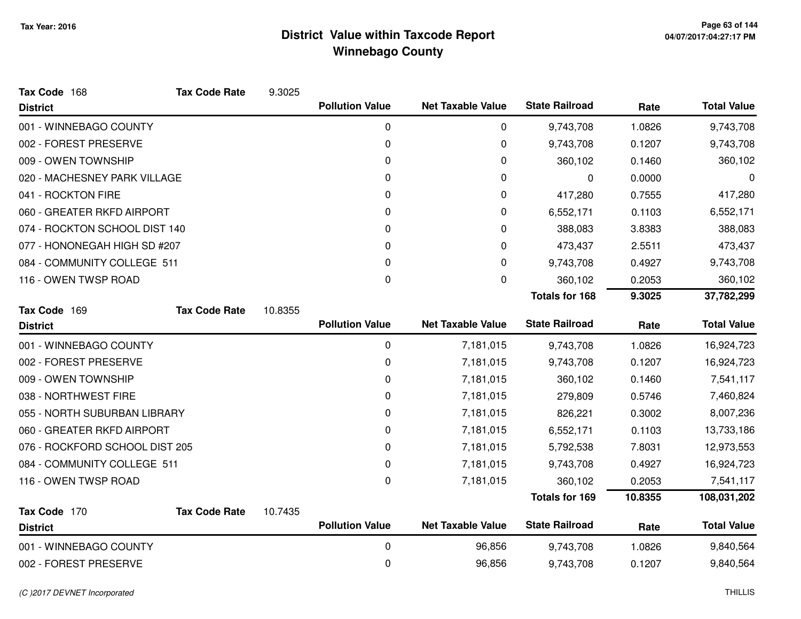| Tax Code 168                   | <b>Tax Code Rate</b> | 9.3025  |                        |                          |                       |         |                    |
|--------------------------------|----------------------|---------|------------------------|--------------------------|-----------------------|---------|--------------------|
| <b>District</b>                |                      |         | <b>Pollution Value</b> | <b>Net Taxable Value</b> | <b>State Railroad</b> | Rate    | <b>Total Value</b> |
| 001 - WINNEBAGO COUNTY         |                      |         | 0                      | 0                        | 9,743,708             | 1.0826  | 9,743,708          |
| 002 - FOREST PRESERVE          |                      |         | 0                      | 0                        | 9,743,708             | 0.1207  | 9,743,708          |
| 009 - OWEN TOWNSHIP            |                      |         | 0                      | 0                        | 360,102               | 0.1460  | 360,102            |
| 020 - MACHESNEY PARK VILLAGE   |                      |         | 0                      | 0                        | 0                     | 0.0000  | 0                  |
| 041 - ROCKTON FIRE             |                      |         | 0                      | 0                        | 417,280               | 0.7555  | 417,280            |
| 060 - GREATER RKFD AIRPORT     |                      |         | 0                      | 0                        | 6,552,171             | 0.1103  | 6,552,171          |
| 074 - ROCKTON SCHOOL DIST 140  |                      |         | 0                      | 0                        | 388,083               | 3.8383  | 388,083            |
| 077 - HONONEGAH HIGH SD #207   |                      |         | 0                      | 0                        | 473,437               | 2.5511  | 473,437            |
| 084 - COMMUNITY COLLEGE 511    |                      |         | 0                      | 0                        | 9,743,708             | 0.4927  | 9,743,708          |
| 116 - OWEN TWSP ROAD           |                      |         | 0                      | $\mathbf 0$              | 360,102               | 0.2053  | 360,102            |
|                                |                      |         |                        |                          | <b>Totals for 168</b> | 9.3025  | 37,782,299         |
| Tax Code 169                   | <b>Tax Code Rate</b> | 10.8355 |                        |                          |                       |         |                    |
| <b>District</b>                |                      |         | <b>Pollution Value</b> | <b>Net Taxable Value</b> | <b>State Railroad</b> | Rate    | <b>Total Value</b> |
| 001 - WINNEBAGO COUNTY         |                      |         | 0                      | 7,181,015                | 9,743,708             | 1.0826  | 16,924,723         |
| 002 - FOREST PRESERVE          |                      |         | 0                      | 7,181,015                | 9,743,708             | 0.1207  | 16,924,723         |
| 009 - OWEN TOWNSHIP            |                      |         | 0                      | 7,181,015                | 360,102               | 0.1460  | 7,541,117          |
| 038 - NORTHWEST FIRE           |                      |         | 0                      | 7,181,015                | 279,809               | 0.5746  | 7,460,824          |
| 055 - NORTH SUBURBAN LIBRARY   |                      |         | 0                      | 7,181,015                | 826,221               | 0.3002  | 8,007,236          |
| 060 - GREATER RKFD AIRPORT     |                      |         | 0                      | 7,181,015                | 6,552,171             | 0.1103  | 13,733,186         |
| 076 - ROCKFORD SCHOOL DIST 205 |                      |         | 0                      | 7,181,015                | 5,792,538             | 7.8031  | 12,973,553         |
| 084 - COMMUNITY COLLEGE 511    |                      |         | 0                      | 7,181,015                | 9,743,708             | 0.4927  | 16,924,723         |
| 116 - OWEN TWSP ROAD           |                      |         | 0                      | 7,181,015                | 360,102               | 0.2053  | 7,541,117          |
|                                |                      |         |                        |                          | Totals for 169        | 10.8355 | 108,031,202        |
| Tax Code 170                   | <b>Tax Code Rate</b> | 10.7435 |                        |                          |                       |         |                    |
| <b>District</b>                |                      |         | <b>Pollution Value</b> | <b>Net Taxable Value</b> | <b>State Railroad</b> | Rate    | <b>Total Value</b> |
| 001 - WINNEBAGO COUNTY         |                      |         | 0                      | 96,856                   | 9,743,708             | 1.0826  | 9,840,564          |
| 002 - FOREST PRESERVE          |                      |         | 0                      | 96,856                   | 9,743,708             | 0.1207  | 9,840,564          |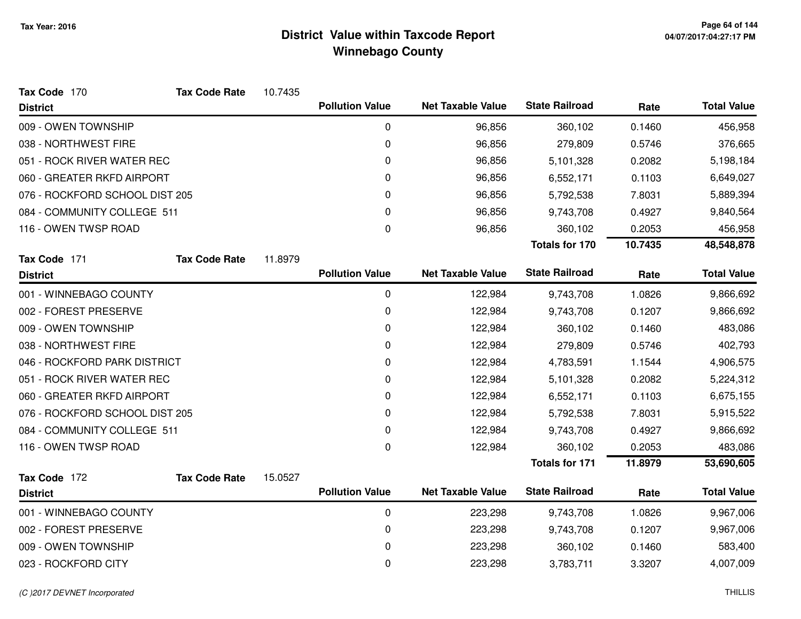| Tax Code 170                   | <b>Tax Code Rate</b> | 10.7435 |                        |                          |                       |         |                    |
|--------------------------------|----------------------|---------|------------------------|--------------------------|-----------------------|---------|--------------------|
| <b>District</b>                |                      |         | <b>Pollution Value</b> | <b>Net Taxable Value</b> | <b>State Railroad</b> | Rate    | <b>Total Value</b> |
| 009 - OWEN TOWNSHIP            |                      |         | 0                      | 96,856                   | 360,102               | 0.1460  | 456,958            |
| 038 - NORTHWEST FIRE           |                      |         | 0                      | 96,856                   | 279,809               | 0.5746  | 376,665            |
| 051 - ROCK RIVER WATER REC     |                      |         | 0                      | 96,856                   | 5,101,328             | 0.2082  | 5,198,184          |
| 060 - GREATER RKFD AIRPORT     |                      |         | 0                      | 96,856                   | 6,552,171             | 0.1103  | 6,649,027          |
| 076 - ROCKFORD SCHOOL DIST 205 |                      |         | 0                      | 96,856                   | 5,792,538             | 7.8031  | 5,889,394          |
| 084 - COMMUNITY COLLEGE 511    |                      |         | 0                      | 96,856                   | 9,743,708             | 0.4927  | 9,840,564          |
| 116 - OWEN TWSP ROAD           |                      |         | 0                      | 96,856                   | 360,102               | 0.2053  | 456,958            |
|                                |                      |         |                        |                          | <b>Totals for 170</b> | 10.7435 | 48,548,878         |
| Tax Code 171                   | <b>Tax Code Rate</b> | 11.8979 |                        |                          |                       |         |                    |
| <b>District</b>                |                      |         | <b>Pollution Value</b> | <b>Net Taxable Value</b> | <b>State Railroad</b> | Rate    | <b>Total Value</b> |
| 001 - WINNEBAGO COUNTY         |                      |         | 0                      | 122,984                  | 9,743,708             | 1.0826  | 9,866,692          |
| 002 - FOREST PRESERVE          |                      |         | 0                      | 122,984                  | 9,743,708             | 0.1207  | 9,866,692          |
| 009 - OWEN TOWNSHIP            |                      |         | 0                      | 122,984                  | 360,102               | 0.1460  | 483,086            |
| 038 - NORTHWEST FIRE           |                      |         | 0                      | 122,984                  | 279,809               | 0.5746  | 402,793            |
| 046 - ROCKFORD PARK DISTRICT   |                      |         | 0                      | 122,984                  | 4,783,591             | 1.1544  | 4,906,575          |
| 051 - ROCK RIVER WATER REC     |                      |         | 0                      | 122,984                  | 5,101,328             | 0.2082  | 5,224,312          |
| 060 - GREATER RKFD AIRPORT     |                      |         | 0                      | 122,984                  | 6,552,171             | 0.1103  | 6,675,155          |
| 076 - ROCKFORD SCHOOL DIST 205 |                      |         | 0                      | 122,984                  | 5,792,538             | 7.8031  | 5,915,522          |
| 084 - COMMUNITY COLLEGE 511    |                      |         | 0                      | 122,984                  | 9,743,708             | 0.4927  | 9,866,692          |
| 116 - OWEN TWSP ROAD           |                      |         | 0                      | 122,984                  | 360,102               | 0.2053  | 483,086            |
|                                |                      |         |                        |                          | <b>Totals for 171</b> | 11.8979 | 53,690,605         |
| Tax Code 172                   | <b>Tax Code Rate</b> | 15.0527 |                        |                          |                       |         |                    |
| <b>District</b>                |                      |         | <b>Pollution Value</b> | <b>Net Taxable Value</b> | <b>State Railroad</b> | Rate    | <b>Total Value</b> |
| 001 - WINNEBAGO COUNTY         |                      |         | 0                      | 223,298                  | 9,743,708             | 1.0826  | 9,967,006          |
| 002 - FOREST PRESERVE          |                      |         | 0                      | 223,298                  | 9,743,708             | 0.1207  | 9,967,006          |
| 009 - OWEN TOWNSHIP            |                      |         | 0                      | 223,298                  | 360,102               | 0.1460  | 583,400            |
| 023 - ROCKFORD CITY            |                      |         | 0                      | 223,298                  | 3,783,711             | 3.3207  | 4,007,009          |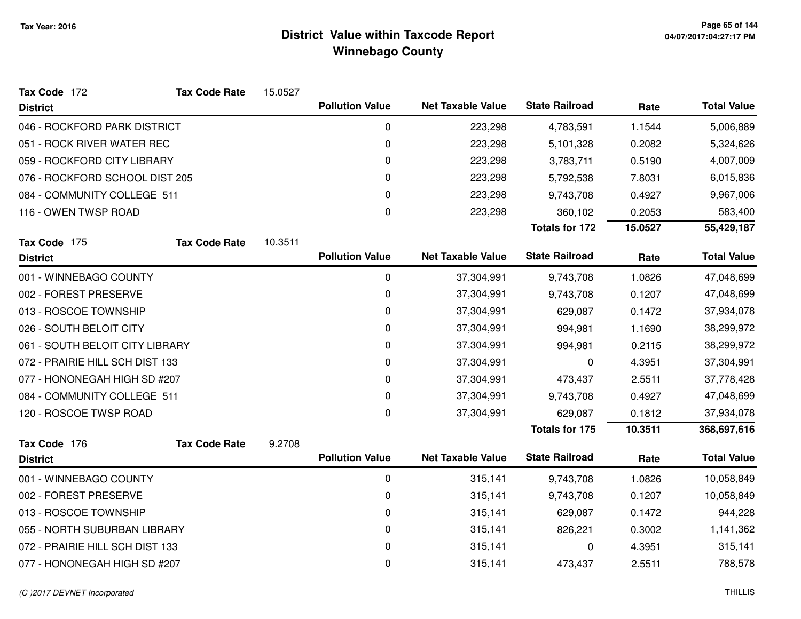| Tax Code 172                    | <b>Tax Code Rate</b> | 15.0527 |                        |                          |                       |         |                    |
|---------------------------------|----------------------|---------|------------------------|--------------------------|-----------------------|---------|--------------------|
| <b>District</b>                 |                      |         | <b>Pollution Value</b> | <b>Net Taxable Value</b> | <b>State Railroad</b> | Rate    | <b>Total Value</b> |
| 046 - ROCKFORD PARK DISTRICT    |                      |         | 0                      | 223,298                  | 4,783,591             | 1.1544  | 5,006,889          |
| 051 - ROCK RIVER WATER REC      |                      |         | 0                      | 223,298                  | 5,101,328             | 0.2082  | 5,324,626          |
| 059 - ROCKFORD CITY LIBRARY     |                      |         | 0                      | 223,298                  | 3,783,711             | 0.5190  | 4,007,009          |
| 076 - ROCKFORD SCHOOL DIST 205  |                      |         | 0                      | 223,298                  | 5,792,538             | 7.8031  | 6,015,836          |
| 084 - COMMUNITY COLLEGE 511     |                      |         | 0                      | 223,298                  | 9,743,708             | 0.4927  | 9,967,006          |
| 116 - OWEN TWSP ROAD            |                      |         | $\Omega$               | 223,298                  | 360,102               | 0.2053  | 583,400            |
|                                 |                      |         |                        |                          | <b>Totals for 172</b> | 15.0527 | 55,429,187         |
| Tax Code 175                    | <b>Tax Code Rate</b> | 10.3511 |                        |                          |                       |         |                    |
| <b>District</b>                 |                      |         | <b>Pollution Value</b> | <b>Net Taxable Value</b> | <b>State Railroad</b> | Rate    | <b>Total Value</b> |
| 001 - WINNEBAGO COUNTY          |                      |         | 0                      | 37,304,991               | 9,743,708             | 1.0826  | 47,048,699         |
| 002 - FOREST PRESERVE           |                      |         | 0                      | 37,304,991               | 9,743,708             | 0.1207  | 47,048,699         |
| 013 - ROSCOE TOWNSHIP           |                      |         | 0                      | 37,304,991               | 629,087               | 0.1472  | 37,934,078         |
| 026 - SOUTH BELOIT CITY         |                      |         | 0                      | 37,304,991               | 994,981               | 1.1690  | 38,299,972         |
| 061 - SOUTH BELOIT CITY LIBRARY |                      |         | $\pmb{0}$              | 37,304,991               | 994,981               | 0.2115  | 38,299,972         |
| 072 - PRAIRIE HILL SCH DIST 133 |                      |         | 0                      | 37,304,991               | 0                     | 4.3951  | 37,304,991         |
| 077 - HONONEGAH HIGH SD #207    |                      |         | 0                      | 37,304,991               | 473,437               | 2.5511  | 37,778,428         |
| 084 - COMMUNITY COLLEGE 511     |                      |         | 0                      | 37,304,991               | 9,743,708             | 0.4927  | 47,048,699         |
| 120 - ROSCOE TWSP ROAD          |                      |         | 0                      | 37,304,991               | 629,087               | 0.1812  | 37,934,078         |
|                                 |                      |         |                        |                          | <b>Totals for 175</b> | 10.3511 | 368,697,616        |
| Tax Code 176                    | <b>Tax Code Rate</b> | 9.2708  |                        |                          |                       |         |                    |
| <b>District</b>                 |                      |         | <b>Pollution Value</b> | <b>Net Taxable Value</b> | <b>State Railroad</b> | Rate    | <b>Total Value</b> |
| 001 - WINNEBAGO COUNTY          |                      |         | $\mathbf 0$            | 315,141                  | 9,743,708             | 1.0826  | 10,058,849         |
| 002 - FOREST PRESERVE           |                      |         | 0                      | 315,141                  | 9,743,708             | 0.1207  | 10,058,849         |
| 013 - ROSCOE TOWNSHIP           |                      |         | 0                      | 315,141                  | 629,087               | 0.1472  | 944,228            |
| 055 - NORTH SUBURBAN LIBRARY    |                      |         | 0                      | 315,141                  | 826,221               | 0.3002  | 1,141,362          |
| 072 - PRAIRIE HILL SCH DIST 133 |                      |         | 0                      | 315,141                  | 0                     | 4.3951  | 315,141            |
| 077 - HONONEGAH HIGH SD #207    |                      |         | 0                      | 315,141                  | 473,437               | 2.5511  | 788,578            |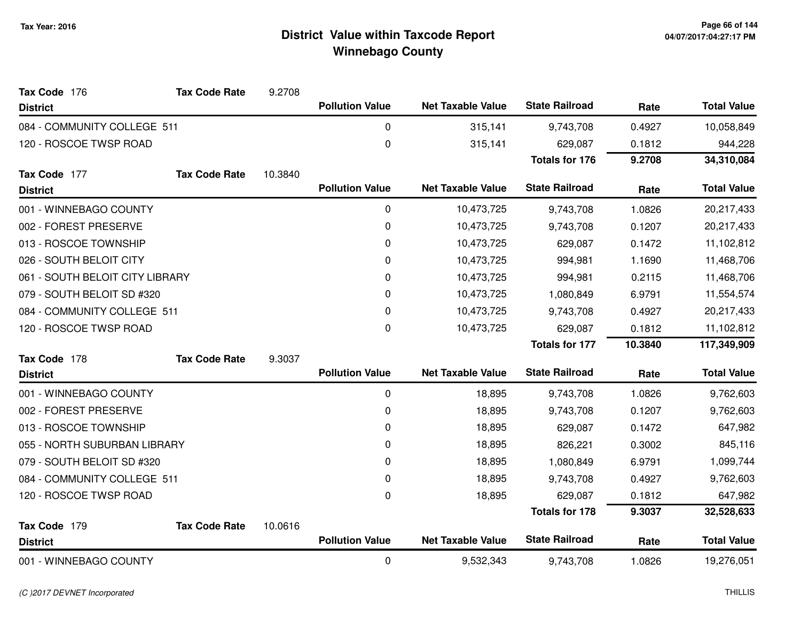| Tax Code 176                    | <b>Tax Code Rate</b> | 9.2708  |                        |                          |                       |            |                    |
|---------------------------------|----------------------|---------|------------------------|--------------------------|-----------------------|------------|--------------------|
| <b>District</b>                 |                      |         | <b>Pollution Value</b> | <b>Net Taxable Value</b> | <b>State Railroad</b> | Rate       | <b>Total Value</b> |
| 084 - COMMUNITY COLLEGE 511     |                      |         | 0                      | 315,141                  | 9,743,708             | 0.4927     | 10,058,849         |
| 120 - ROSCOE TWSP ROAD          |                      |         | 0                      | 315,141                  | 629,087               | 0.1812     | 944,228            |
|                                 |                      |         |                        |                          | <b>Totals for 176</b> | 9.2708     | 34,310,084         |
| Tax Code 177                    | <b>Tax Code Rate</b> | 10.3840 |                        |                          |                       |            |                    |
| <b>District</b>                 |                      |         | <b>Pollution Value</b> | <b>Net Taxable Value</b> | <b>State Railroad</b> | Rate       | <b>Total Value</b> |
| 001 - WINNEBAGO COUNTY          |                      |         | 0                      | 10,473,725               | 9,743,708             | 1.0826     | 20,217,433         |
| 002 - FOREST PRESERVE           |                      |         | 0                      | 10,473,725               | 9,743,708             | 0.1207     | 20,217,433         |
| 013 - ROSCOE TOWNSHIP           |                      |         | 0                      | 10,473,725               | 629,087               | 0.1472     | 11,102,812         |
| 026 - SOUTH BELOIT CITY         |                      |         | 0                      | 10,473,725               | 994,981               | 1.1690     | 11,468,706         |
| 061 - SOUTH BELOIT CITY LIBRARY |                      |         | 0                      | 10,473,725               | 994,981               | 0.2115     | 11,468,706         |
| 079 - SOUTH BELOIT SD #320      |                      |         | 0                      | 10,473,725               | 1,080,849             | 6.9791     | 11,554,574         |
| 084 - COMMUNITY COLLEGE 511     |                      | 0       | 10,473,725             | 9,743,708                | 0.4927                | 20,217,433 |                    |
| 120 - ROSCOE TWSP ROAD          |                      |         | 0                      | 10,473,725               | 629,087               | 0.1812     | 11,102,812         |
|                                 |                      |         |                        |                          | <b>Totals for 177</b> | 10.3840    | 117,349,909        |
| Tax Code 178                    | <b>Tax Code Rate</b> | 9.3037  |                        |                          |                       |            |                    |
| <b>District</b>                 |                      |         | <b>Pollution Value</b> | <b>Net Taxable Value</b> | <b>State Railroad</b> | Rate       | <b>Total Value</b> |
| 001 - WINNEBAGO COUNTY          |                      |         | 0                      | 18,895                   | 9,743,708             | 1.0826     | 9,762,603          |
| 002 - FOREST PRESERVE           |                      |         | 0                      | 18,895                   | 9,743,708             | 0.1207     | 9,762,603          |
| 013 - ROSCOE TOWNSHIP           |                      |         | 0                      | 18,895                   | 629,087               | 0.1472     | 647,982            |
| 055 - NORTH SUBURBAN LIBRARY    |                      |         | 0                      | 18,895                   | 826,221               | 0.3002     | 845,116            |
| 079 - SOUTH BELOIT SD #320      |                      |         | 0                      | 18,895                   | 1,080,849             | 6.9791     | 1,099,744          |
| 084 - COMMUNITY COLLEGE 511     |                      |         | 0                      | 18,895                   | 9,743,708             | 0.4927     | 9,762,603          |
| 120 - ROSCOE TWSP ROAD          |                      |         | 0                      | 18,895                   | 629,087               | 0.1812     | 647,982            |
|                                 |                      |         |                        |                          | <b>Totals for 178</b> | 9.3037     | 32,528,633         |
| Tax Code 179                    | <b>Tax Code Rate</b> | 10.0616 |                        |                          |                       |            |                    |
| <b>District</b>                 |                      |         | <b>Pollution Value</b> | <b>Net Taxable Value</b> | <b>State Railroad</b> | Rate       | <b>Total Value</b> |
| 001 - WINNEBAGO COUNTY          |                      |         | 0                      | 9,532,343                | 9,743,708             | 1.0826     | 19,276,051         |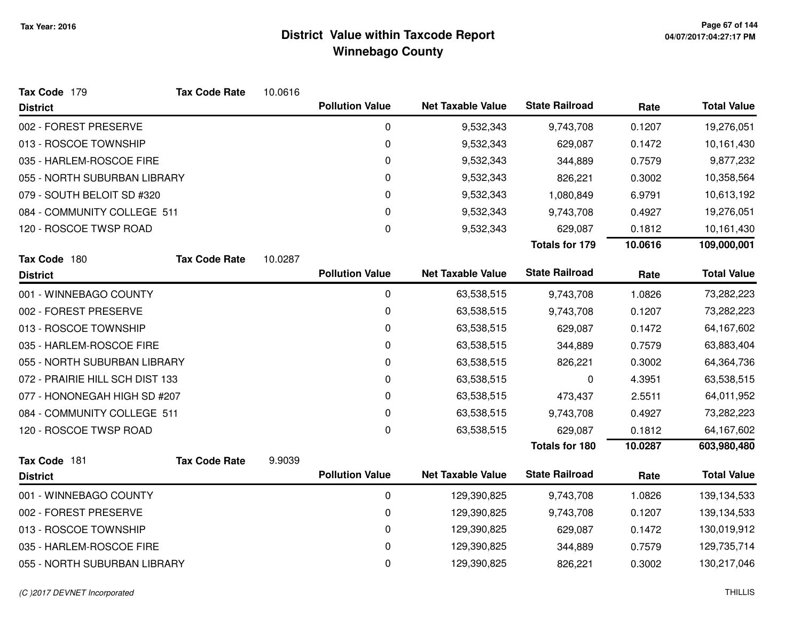| Tax Code 179                    | <b>Tax Code Rate</b> | 10.0616 |                        |                          |                       |         |                    |
|---------------------------------|----------------------|---------|------------------------|--------------------------|-----------------------|---------|--------------------|
| <b>District</b>                 |                      |         | <b>Pollution Value</b> | <b>Net Taxable Value</b> | <b>State Railroad</b> | Rate    | <b>Total Value</b> |
| 002 - FOREST PRESERVE           |                      |         | 0                      | 9,532,343                | 9,743,708             | 0.1207  | 19,276,051         |
| 013 - ROSCOE TOWNSHIP           |                      |         | 0                      | 9,532,343                | 629,087               | 0.1472  | 10,161,430         |
| 035 - HARLEM-ROSCOE FIRE        |                      |         | 0                      | 9,532,343                | 344,889               | 0.7579  | 9,877,232          |
| 055 - NORTH SUBURBAN LIBRARY    |                      |         | 0                      | 9,532,343                | 826,221               | 0.3002  | 10,358,564         |
| 079 - SOUTH BELOIT SD #320      |                      |         | 0                      | 9,532,343                | 1,080,849             | 6.9791  | 10,613,192         |
| 084 - COMMUNITY COLLEGE 511     |                      |         | 0                      | 9,532,343                | 9,743,708             | 0.4927  | 19,276,051         |
| 120 - ROSCOE TWSP ROAD          |                      |         | 0                      | 9,532,343                | 629,087               | 0.1812  | 10,161,430         |
|                                 |                      |         |                        |                          | <b>Totals for 179</b> | 10.0616 | 109,000,001        |
| Tax Code 180                    | <b>Tax Code Rate</b> | 10.0287 |                        |                          |                       |         |                    |
| <b>District</b>                 |                      |         | <b>Pollution Value</b> | <b>Net Taxable Value</b> | <b>State Railroad</b> | Rate    | <b>Total Value</b> |
| 001 - WINNEBAGO COUNTY          |                      |         | 0                      | 63,538,515               | 9,743,708             | 1.0826  | 73,282,223         |
| 002 - FOREST PRESERVE           |                      |         | 0                      | 63,538,515               | 9,743,708             | 0.1207  | 73,282,223         |
| 013 - ROSCOE TOWNSHIP           |                      |         | 0                      | 63,538,515               | 629,087               | 0.1472  | 64,167,602         |
| 035 - HARLEM-ROSCOE FIRE        |                      |         | 0                      | 63,538,515               | 344,889               | 0.7579  | 63,883,404         |
| 055 - NORTH SUBURBAN LIBRARY    |                      |         | 0                      | 63,538,515               | 826,221               | 0.3002  | 64,364,736         |
| 072 - PRAIRIE HILL SCH DIST 133 |                      |         | 0                      | 63,538,515               | 0                     | 4.3951  | 63,538,515         |
| 077 - HONONEGAH HIGH SD #207    |                      |         | 0                      | 63,538,515               | 473,437               | 2.5511  | 64,011,952         |
| 084 - COMMUNITY COLLEGE 511     |                      |         | 0                      | 63,538,515               | 9,743,708             | 0.4927  | 73,282,223         |
| 120 - ROSCOE TWSP ROAD          |                      |         | 0                      | 63,538,515               | 629,087               | 0.1812  | 64,167,602         |
|                                 |                      |         |                        |                          | <b>Totals for 180</b> | 10.0287 | 603,980,480        |
| Tax Code 181                    | <b>Tax Code Rate</b> | 9.9039  |                        |                          | <b>State Railroad</b> |         |                    |
| <b>District</b>                 |                      |         | <b>Pollution Value</b> | <b>Net Taxable Value</b> |                       | Rate    | <b>Total Value</b> |
| 001 - WINNEBAGO COUNTY          |                      |         | 0                      | 129,390,825              | 9,743,708             | 1.0826  | 139,134,533        |
| 002 - FOREST PRESERVE           |                      |         | 0                      | 129,390,825              | 9,743,708             | 0.1207  | 139,134,533        |
| 013 - ROSCOE TOWNSHIP           |                      |         | 0                      | 129,390,825              | 629,087               | 0.1472  | 130,019,912        |
| 035 - HARLEM-ROSCOE FIRE        |                      |         | 0                      | 129,390,825              | 344,889               | 0.7579  | 129,735,714        |
| 055 - NORTH SUBURBAN LIBRARY    |                      |         | 0                      | 129,390,825              | 826,221               | 0.3002  | 130,217,046        |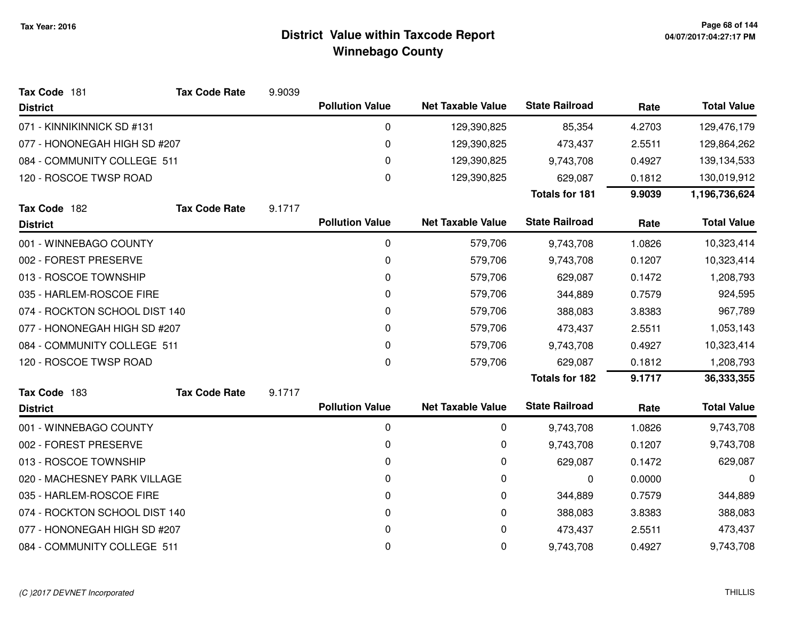| Tax Code 181                  | <b>Tax Code Rate</b> | 9.9039 |                        |                          |                       |        |                    |
|-------------------------------|----------------------|--------|------------------------|--------------------------|-----------------------|--------|--------------------|
| <b>District</b>               |                      |        | <b>Pollution Value</b> | <b>Net Taxable Value</b> | <b>State Railroad</b> | Rate   | <b>Total Value</b> |
| 071 - KINNIKINNICK SD #131    |                      |        | 0                      | 129,390,825              | 85,354                | 4.2703 | 129,476,179        |
| 077 - HONONEGAH HIGH SD #207  |                      |        | 0                      | 129,390,825              | 473,437               | 2.5511 | 129,864,262        |
| 084 - COMMUNITY COLLEGE 511   |                      |        | 0                      | 129,390,825              | 9,743,708             | 0.4927 | 139,134,533        |
| 120 - ROSCOE TWSP ROAD        |                      |        | 0                      | 129,390,825              | 629,087               | 0.1812 | 130,019,912        |
|                               |                      |        |                        |                          | <b>Totals for 181</b> | 9.9039 | 1,196,736,624      |
| Tax Code 182                  | <b>Tax Code Rate</b> | 9.1717 |                        |                          |                       |        |                    |
| <b>District</b>               |                      |        | <b>Pollution Value</b> | <b>Net Taxable Value</b> | <b>State Railroad</b> | Rate   | <b>Total Value</b> |
| 001 - WINNEBAGO COUNTY        |                      |        | 0                      | 579,706                  | 9,743,708             | 1.0826 | 10,323,414         |
| 002 - FOREST PRESERVE         |                      |        | 0                      | 579,706                  | 9,743,708             | 0.1207 | 10,323,414         |
| 013 - ROSCOE TOWNSHIP         |                      |        | 0                      | 579,706                  | 629,087               | 0.1472 | 1,208,793          |
| 035 - HARLEM-ROSCOE FIRE      |                      |        | 0                      | 579,706                  | 344,889               | 0.7579 | 924,595            |
| 074 - ROCKTON SCHOOL DIST 140 |                      |        | 0                      | 579,706                  | 388,083               | 3.8383 | 967,789            |
| 077 - HONONEGAH HIGH SD #207  |                      |        | 0                      | 579,706                  | 473,437               | 2.5511 | 1,053,143          |
| 084 - COMMUNITY COLLEGE 511   |                      |        | 0                      | 579,706                  | 9,743,708             | 0.4927 | 10,323,414         |
| 120 - ROSCOE TWSP ROAD        |                      |        | $\pmb{0}$              | 579,706                  | 629,087               | 0.1812 | 1,208,793          |
|                               |                      |        |                        |                          | <b>Totals for 182</b> | 9.1717 | 36,333,355         |
| Tax Code 183                  | <b>Tax Code Rate</b> | 9.1717 |                        |                          |                       |        |                    |
| <b>District</b>               |                      |        | <b>Pollution Value</b> | <b>Net Taxable Value</b> | <b>State Railroad</b> | Rate   | <b>Total Value</b> |
| 001 - WINNEBAGO COUNTY        |                      |        | 0                      | 0                        | 9,743,708             | 1.0826 | 9,743,708          |
| 002 - FOREST PRESERVE         |                      |        | 0                      | 0                        | 9,743,708             | 0.1207 | 9,743,708          |
| 013 - ROSCOE TOWNSHIP         |                      |        | 0                      | 0                        | 629,087               | 0.1472 | 629,087            |
| 020 - MACHESNEY PARK VILLAGE  |                      |        | 0                      | 0                        | 0                     | 0.0000 | 0                  |
| 035 - HARLEM-ROSCOE FIRE      |                      |        | 0                      | 0                        | 344,889               | 0.7579 | 344,889            |
| 074 - ROCKTON SCHOOL DIST 140 |                      |        | 0                      | 0                        | 388,083               | 3.8383 | 388,083            |
| 077 - HONONEGAH HIGH SD #207  |                      |        | 0                      | 0                        | 473,437               | 2.5511 | 473,437            |
| 084 - COMMUNITY COLLEGE 511   |                      |        | 0                      | 0                        | 9,743,708             | 0.4927 | 9,743,708          |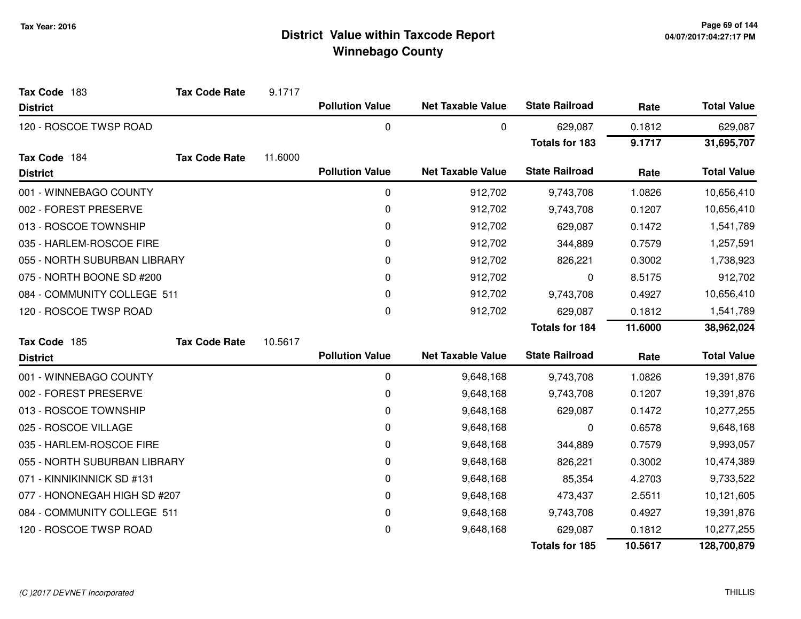| Tax Code 183                 | <b>Tax Code Rate</b> | 9.1717  |                        |                          |                       |         |                    |
|------------------------------|----------------------|---------|------------------------|--------------------------|-----------------------|---------|--------------------|
| <b>District</b>              |                      |         | <b>Pollution Value</b> | <b>Net Taxable Value</b> | <b>State Railroad</b> | Rate    | <b>Total Value</b> |
| 120 - ROSCOE TWSP ROAD       |                      |         | 0                      | 0                        | 629,087               | 0.1812  | 629,087            |
|                              |                      |         |                        |                          | <b>Totals for 183</b> | 9.1717  | 31,695,707         |
| Tax Code 184                 | <b>Tax Code Rate</b> | 11.6000 |                        |                          |                       |         |                    |
| <b>District</b>              |                      |         | <b>Pollution Value</b> | <b>Net Taxable Value</b> | <b>State Railroad</b> | Rate    | <b>Total Value</b> |
| 001 - WINNEBAGO COUNTY       |                      |         | 0                      | 912,702                  | 9,743,708             | 1.0826  | 10,656,410         |
| 002 - FOREST PRESERVE        |                      |         | 0                      | 912,702                  | 9,743,708             | 0.1207  | 10,656,410         |
| 013 - ROSCOE TOWNSHIP        |                      |         | 0                      | 912,702                  | 629,087               | 0.1472  | 1,541,789          |
| 035 - HARLEM-ROSCOE FIRE     |                      |         | 0                      | 912,702                  | 344,889               | 0.7579  | 1,257,591          |
| 055 - NORTH SUBURBAN LIBRARY |                      |         | 0                      | 912,702                  | 826,221               | 0.3002  | 1,738,923          |
| 075 - NORTH BOONE SD #200    |                      |         | 0                      | 912,702                  | 0                     | 8.5175  | 912,702            |
| 084 - COMMUNITY COLLEGE 511  |                      |         | 0                      | 912,702                  | 9,743,708             | 0.4927  | 10,656,410         |
| 120 - ROSCOE TWSP ROAD       |                      |         | 0                      | 912,702                  | 629,087               | 0.1812  | 1,541,789          |
|                              |                      |         |                        |                          | <b>Totals for 184</b> | 11.6000 | 38,962,024         |
| Tax Code 185                 | <b>Tax Code Rate</b> | 10.5617 |                        |                          |                       |         |                    |
| <b>District</b>              |                      |         | <b>Pollution Value</b> | <b>Net Taxable Value</b> | <b>State Railroad</b> | Rate    | <b>Total Value</b> |
| 001 - WINNEBAGO COUNTY       |                      |         | 0                      | 9,648,168                | 9,743,708             | 1.0826  | 19,391,876         |
| 002 - FOREST PRESERVE        |                      |         | 0                      | 9,648,168                | 9,743,708             | 0.1207  | 19,391,876         |
| 013 - ROSCOE TOWNSHIP        |                      |         | 0                      | 9,648,168                | 629,087               | 0.1472  | 10,277,255         |
| 025 - ROSCOE VILLAGE         |                      |         | 0                      | 9,648,168                | 0                     | 0.6578  | 9,648,168          |
| 035 - HARLEM-ROSCOE FIRE     |                      |         | 0                      | 9,648,168                | 344,889               | 0.7579  | 9,993,057          |
| 055 - NORTH SUBURBAN LIBRARY |                      |         | 0                      | 9,648,168                | 826,221               | 0.3002  | 10,474,389         |
| 071 - KINNIKINNICK SD #131   |                      |         | 0                      | 9,648,168                | 85,354                | 4.2703  | 9,733,522          |
| 077 - HONONEGAH HIGH SD #207 |                      |         | 0                      | 9,648,168                | 473,437               | 2.5511  | 10,121,605         |
| 084 - COMMUNITY COLLEGE 511  |                      |         | 0                      | 9,648,168                | 9,743,708             | 0.4927  | 19,391,876         |
| 120 - ROSCOE TWSP ROAD       |                      |         | 0                      | 9,648,168                | 629,087               | 0.1812  | 10,277,255         |
|                              |                      |         |                        |                          | <b>Totals for 185</b> | 10.5617 | 128,700,879        |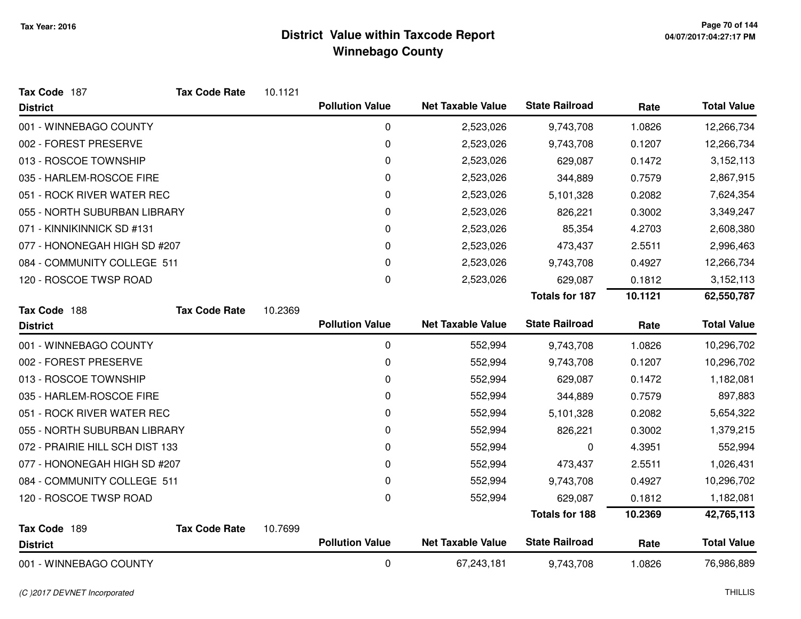| Tax Code 187                    | <b>Tax Code Rate</b> | 10.1121 |                        |                          |                       |         |                    |
|---------------------------------|----------------------|---------|------------------------|--------------------------|-----------------------|---------|--------------------|
| <b>District</b>                 |                      |         | <b>Pollution Value</b> | <b>Net Taxable Value</b> | <b>State Railroad</b> | Rate    | <b>Total Value</b> |
| 001 - WINNEBAGO COUNTY          |                      |         | 0                      | 2,523,026                | 9,743,708             | 1.0826  | 12,266,734         |
| 002 - FOREST PRESERVE           |                      |         | 0                      | 2,523,026                | 9,743,708             | 0.1207  | 12,266,734         |
| 013 - ROSCOE TOWNSHIP           |                      |         | 0                      | 2,523,026                | 629,087               | 0.1472  | 3,152,113          |
| 035 - HARLEM-ROSCOE FIRE        |                      |         | 0                      | 2,523,026                | 344,889               | 0.7579  | 2,867,915          |
| 051 - ROCK RIVER WATER REC      |                      |         | 0                      | 2,523,026                | 5,101,328             | 0.2082  | 7,624,354          |
| 055 - NORTH SUBURBAN LIBRARY    |                      |         | 0                      | 2,523,026                | 826,221               | 0.3002  | 3,349,247          |
| 071 - KINNIKINNICK SD #131      |                      |         | 0                      | 2,523,026                | 85,354                | 4.2703  | 2,608,380          |
| 077 - HONONEGAH HIGH SD #207    |                      |         | 0                      | 2,523,026                | 473,437               | 2.5511  | 2,996,463          |
| 084 - COMMUNITY COLLEGE 511     |                      |         | 0                      | 2,523,026                | 9,743,708             | 0.4927  | 12,266,734         |
| 120 - ROSCOE TWSP ROAD          |                      |         | 0                      | 2,523,026                | 629,087               | 0.1812  | 3,152,113          |
|                                 |                      |         |                        |                          | <b>Totals for 187</b> | 10.1121 | 62,550,787         |
| Tax Code 188                    | <b>Tax Code Rate</b> | 10.2369 |                        |                          |                       |         |                    |
| <b>District</b>                 |                      |         | <b>Pollution Value</b> | <b>Net Taxable Value</b> | <b>State Railroad</b> | Rate    | <b>Total Value</b> |
| 001 - WINNEBAGO COUNTY          |                      |         | $\mathbf 0$            | 552,994                  | 9,743,708             | 1.0826  | 10,296,702         |
| 002 - FOREST PRESERVE           |                      |         | 0                      | 552,994                  | 9,743,708             | 0.1207  | 10,296,702         |
| 013 - ROSCOE TOWNSHIP           |                      |         | 0                      | 552,994                  | 629,087               | 0.1472  | 1,182,081          |
| 035 - HARLEM-ROSCOE FIRE        |                      |         | 0                      | 552,994                  | 344,889               | 0.7579  | 897,883            |
| 051 - ROCK RIVER WATER REC      |                      |         | 0                      | 552,994                  | 5,101,328             | 0.2082  | 5,654,322          |
| 055 - NORTH SUBURBAN LIBRARY    |                      |         | 0                      | 552,994                  | 826,221               | 0.3002  | 1,379,215          |
| 072 - PRAIRIE HILL SCH DIST 133 |                      |         | 0                      | 552,994                  | 0                     | 4.3951  | 552,994            |
| 077 - HONONEGAH HIGH SD #207    |                      |         | 0                      | 552,994                  | 473,437               | 2.5511  | 1,026,431          |
| 084 - COMMUNITY COLLEGE 511     |                      |         | 0                      | 552,994                  | 9,743,708             | 0.4927  | 10,296,702         |
| 120 - ROSCOE TWSP ROAD          |                      |         | 0                      | 552,994                  | 629,087               | 0.1812  | 1,182,081          |
|                                 |                      |         |                        |                          | <b>Totals for 188</b> | 10.2369 | 42,765,113         |
| Tax Code 189                    | <b>Tax Code Rate</b> | 10.7699 |                        |                          |                       |         |                    |
| <b>District</b>                 |                      |         | <b>Pollution Value</b> | <b>Net Taxable Value</b> | <b>State Railroad</b> | Rate    | <b>Total Value</b> |
| 001 - WINNEBAGO COUNTY          |                      |         | $\mathbf 0$            | 67,243,181               | 9,743,708             | 1.0826  | 76,986,889         |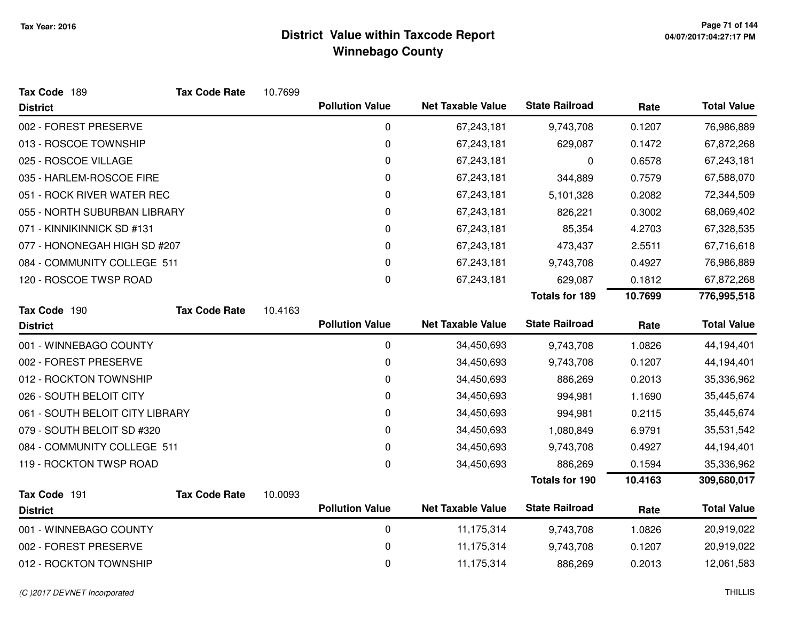| Tax Code 189                    | <b>Tax Code Rate</b> | 10.7699 |                        |                          |                       |         |                    |
|---------------------------------|----------------------|---------|------------------------|--------------------------|-----------------------|---------|--------------------|
| <b>District</b>                 |                      |         | <b>Pollution Value</b> | <b>Net Taxable Value</b> | <b>State Railroad</b> | Rate    | <b>Total Value</b> |
| 002 - FOREST PRESERVE           |                      |         | $\pmb{0}$              | 67,243,181               | 9,743,708             | 0.1207  | 76,986,889         |
| 013 - ROSCOE TOWNSHIP           |                      |         | $\mathbf 0$            | 67,243,181               | 629,087               | 0.1472  | 67,872,268         |
| 025 - ROSCOE VILLAGE            |                      |         | 0                      | 67,243,181               | 0                     | 0.6578  | 67,243,181         |
| 035 - HARLEM-ROSCOE FIRE        |                      |         | 0                      | 67,243,181               | 344,889               | 0.7579  | 67,588,070         |
| 051 - ROCK RIVER WATER REC      |                      |         | $\mathbf 0$            | 67,243,181               | 5,101,328             | 0.2082  | 72,344,509         |
| 055 - NORTH SUBURBAN LIBRARY    |                      |         | $\mathbf 0$            | 67,243,181               | 826,221               | 0.3002  | 68,069,402         |
| 071 - KINNIKINNICK SD #131      |                      |         | 0                      | 67,243,181               | 85,354                | 4.2703  | 67,328,535         |
| 077 - HONONEGAH HIGH SD #207    |                      |         | 0                      | 67,243,181               | 473,437               | 2.5511  | 67,716,618         |
| 084 - COMMUNITY COLLEGE 511     |                      |         | $\pmb{0}$              | 67,243,181               | 9,743,708             | 0.4927  | 76,986,889         |
| 120 - ROSCOE TWSP ROAD          |                      |         | $\pmb{0}$              | 67,243,181               | 629,087               | 0.1812  | 67,872,268         |
|                                 |                      |         |                        |                          | <b>Totals for 189</b> | 10.7699 | 776,995,518        |
| Tax Code 190                    | <b>Tax Code Rate</b> | 10.4163 |                        |                          |                       |         |                    |
| <b>District</b>                 |                      |         | <b>Pollution Value</b> | <b>Net Taxable Value</b> | <b>State Railroad</b> | Rate    | <b>Total Value</b> |
| 001 - WINNEBAGO COUNTY          |                      |         | $\mathbf 0$            | 34,450,693               | 9,743,708             | 1.0826  | 44,194,401         |
| 002 - FOREST PRESERVE           |                      |         | 0                      | 34,450,693               | 9,743,708             | 0.1207  | 44,194,401         |
| 012 - ROCKTON TOWNSHIP          |                      |         | $\mathbf 0$            | 34,450,693               | 886,269               | 0.2013  | 35,336,962         |
| 026 - SOUTH BELOIT CITY         |                      |         | 0                      | 34,450,693               | 994,981               | 1.1690  | 35,445,674         |
| 061 - SOUTH BELOIT CITY LIBRARY |                      |         | 0                      | 34,450,693               | 994,981               | 0.2115  | 35,445,674         |
| 079 - SOUTH BELOIT SD #320      |                      |         | $\mathbf 0$            | 34,450,693               | 1,080,849             | 6.9791  | 35,531,542         |
| 084 - COMMUNITY COLLEGE 511     |                      |         | 0                      | 34,450,693               | 9,743,708             | 0.4927  | 44,194,401         |
| 119 - ROCKTON TWSP ROAD         |                      |         | $\pmb{0}$              | 34,450,693               | 886,269               | 0.1594  | 35,336,962         |
|                                 |                      |         |                        |                          | <b>Totals for 190</b> | 10.4163 | 309,680,017        |
| Tax Code 191                    | <b>Tax Code Rate</b> | 10.0093 |                        |                          |                       |         |                    |
| <b>District</b>                 |                      |         | <b>Pollution Value</b> | <b>Net Taxable Value</b> | <b>State Railroad</b> | Rate    | <b>Total Value</b> |
| 001 - WINNEBAGO COUNTY          |                      |         | $\mathbf 0$            | 11,175,314               | 9,743,708             | 1.0826  | 20,919,022         |
| 002 - FOREST PRESERVE           |                      |         | $\mathbf 0$            | 11,175,314               | 9,743,708             | 0.1207  | 20,919,022         |
| 012 - ROCKTON TOWNSHIP          |                      |         | $\mathbf 0$            | 11,175,314               | 886,269               | 0.2013  | 12,061,583         |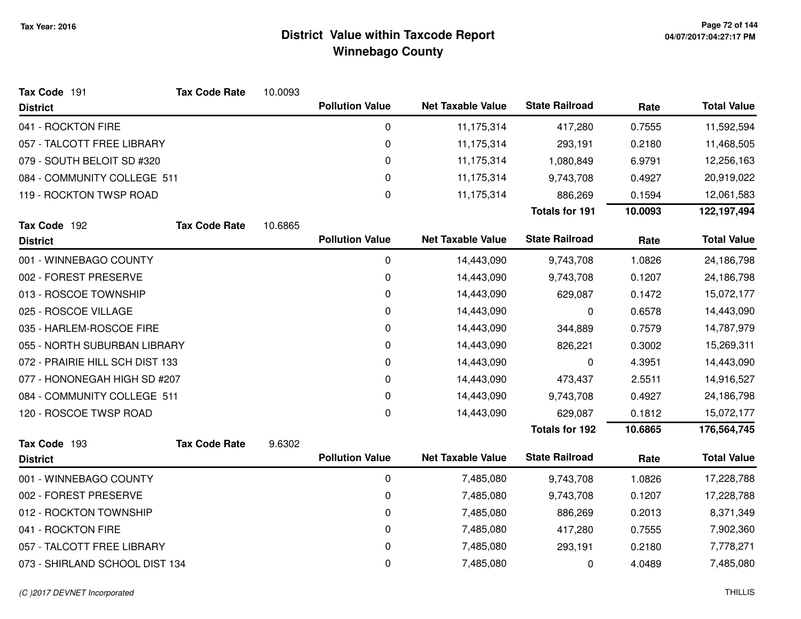| Tax Code 191                    | <b>Tax Code Rate</b> | 10.0093 |                        |                          |                       |         |                    |
|---------------------------------|----------------------|---------|------------------------|--------------------------|-----------------------|---------|--------------------|
| <b>District</b>                 |                      |         | <b>Pollution Value</b> | <b>Net Taxable Value</b> | <b>State Railroad</b> | Rate    | <b>Total Value</b> |
| 041 - ROCKTON FIRE              |                      |         | 0                      | 11,175,314               | 417,280               | 0.7555  | 11,592,594         |
| 057 - TALCOTT FREE LIBRARY      |                      |         | 0                      | 11,175,314               | 293,191               | 0.2180  | 11,468,505         |
| 079 - SOUTH BELOIT SD #320      |                      |         | 0                      | 11,175,314               | 1,080,849             | 6.9791  | 12,256,163         |
| 084 - COMMUNITY COLLEGE 511     |                      |         | 0                      | 11,175,314               | 9,743,708             | 0.4927  | 20,919,022         |
| 119 - ROCKTON TWSP ROAD         |                      |         | 0                      | 11,175,314               | 886,269               | 0.1594  | 12,061,583         |
|                                 |                      |         |                        |                          | <b>Totals for 191</b> | 10.0093 | 122,197,494        |
| Tax Code 192                    | <b>Tax Code Rate</b> | 10.6865 |                        |                          |                       |         |                    |
| <b>District</b>                 |                      |         | <b>Pollution Value</b> | <b>Net Taxable Value</b> | <b>State Railroad</b> | Rate    | <b>Total Value</b> |
| 001 - WINNEBAGO COUNTY          |                      |         | $\mathbf 0$            | 14,443,090               | 9,743,708             | 1.0826  | 24,186,798         |
| 002 - FOREST PRESERVE           |                      |         | $\mathbf 0$            | 14,443,090               | 9,743,708             | 0.1207  | 24,186,798         |
| 013 - ROSCOE TOWNSHIP           |                      |         | 0                      | 14,443,090               | 629,087               | 0.1472  | 15,072,177         |
| 025 - ROSCOE VILLAGE            |                      |         | 0                      | 14,443,090               | 0                     | 0.6578  | 14,443,090         |
| 035 - HARLEM-ROSCOE FIRE        |                      |         | 0                      | 14,443,090               | 344,889               | 0.7579  | 14,787,979         |
| 055 - NORTH SUBURBAN LIBRARY    |                      |         | 0                      | 14,443,090               | 826,221               | 0.3002  | 15,269,311         |
| 072 - PRAIRIE HILL SCH DIST 133 |                      |         | 0                      | 14,443,090               | 0                     | 4.3951  | 14,443,090         |
| 077 - HONONEGAH HIGH SD #207    |                      |         | 0                      | 14,443,090               | 473,437               | 2.5511  | 14,916,527         |
| 084 - COMMUNITY COLLEGE 511     |                      |         | 0                      | 14,443,090               | 9,743,708             | 0.4927  | 24,186,798         |
| 120 - ROSCOE TWSP ROAD          |                      |         | 0                      | 14,443,090               | 629,087               | 0.1812  | 15,072,177         |
|                                 |                      |         |                        |                          | <b>Totals for 192</b> | 10.6865 | 176,564,745        |
| Tax Code 193                    | <b>Tax Code Rate</b> | 9.6302  |                        |                          |                       |         |                    |
| <b>District</b>                 |                      |         | <b>Pollution Value</b> | <b>Net Taxable Value</b> | <b>State Railroad</b> | Rate    | <b>Total Value</b> |
| 001 - WINNEBAGO COUNTY          |                      |         | 0                      | 7,485,080                | 9,743,708             | 1.0826  | 17,228,788         |
| 002 - FOREST PRESERVE           |                      |         | 0                      | 7,485,080                | 9,743,708             | 0.1207  | 17,228,788         |
| 012 - ROCKTON TOWNSHIP          |                      |         | 0                      | 7,485,080                | 886,269               | 0.2013  | 8,371,349          |
| 041 - ROCKTON FIRE              |                      |         | 0                      | 7,485,080                | 417,280               | 0.7555  | 7,902,360          |
| 057 - TALCOTT FREE LIBRARY      |                      |         | 0                      | 7,485,080                | 293,191               | 0.2180  | 7,778,271          |
| 073 - SHIRLAND SCHOOL DIST 134  |                      |         | 0                      | 7,485,080                | 0                     | 4.0489  | 7,485,080          |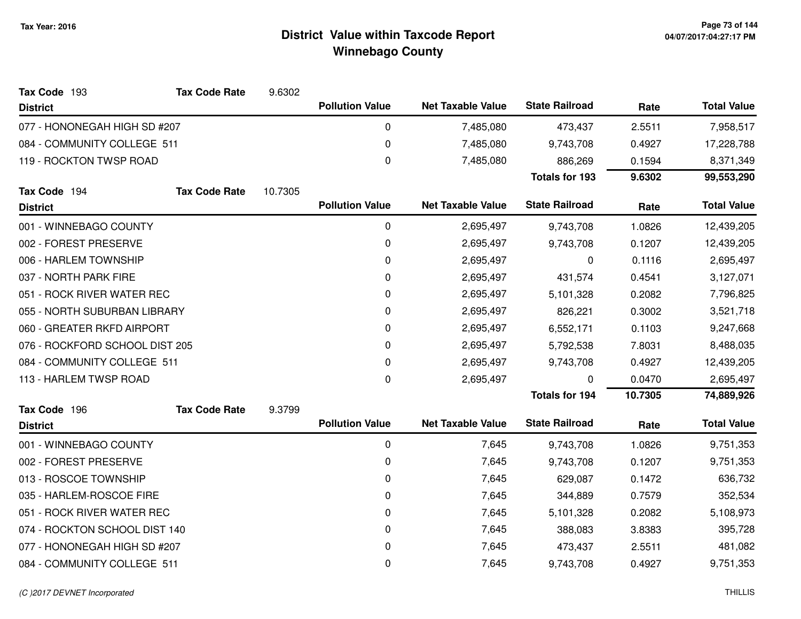| Tax Code 193                   | <b>Tax Code Rate</b> | 9.6302  |                        |                          |                       |         |                    |
|--------------------------------|----------------------|---------|------------------------|--------------------------|-----------------------|---------|--------------------|
| <b>District</b>                |                      |         | <b>Pollution Value</b> | <b>Net Taxable Value</b> | <b>State Railroad</b> | Rate    | <b>Total Value</b> |
| 077 - HONONEGAH HIGH SD #207   |                      |         | $\mathbf 0$            | 7,485,080                | 473,437               | 2.5511  | 7,958,517          |
| 084 - COMMUNITY COLLEGE 511    |                      |         | 0                      | 7,485,080                | 9,743,708             | 0.4927  | 17,228,788         |
| 119 - ROCKTON TWSP ROAD        |                      |         | 0                      | 7,485,080                | 886,269               | 0.1594  | 8,371,349          |
|                                |                      |         |                        |                          | <b>Totals for 193</b> | 9.6302  | 99,553,290         |
| Tax Code 194                   | <b>Tax Code Rate</b> | 10.7305 |                        |                          |                       |         |                    |
| <b>District</b>                |                      |         | <b>Pollution Value</b> | <b>Net Taxable Value</b> | <b>State Railroad</b> | Rate    | <b>Total Value</b> |
| 001 - WINNEBAGO COUNTY         |                      |         | $\mathbf 0$            | 2,695,497                | 9,743,708             | 1.0826  | 12,439,205         |
| 002 - FOREST PRESERVE          |                      |         | 0                      | 2,695,497                | 9,743,708             | 0.1207  | 12,439,205         |
| 006 - HARLEM TOWNSHIP          |                      |         | 0                      | 2,695,497                | 0                     | 0.1116  | 2,695,497          |
| 037 - NORTH PARK FIRE          |                      |         | 0                      | 2,695,497                | 431,574               | 0.4541  | 3,127,071          |
| 051 - ROCK RIVER WATER REC     |                      |         | 0                      | 2,695,497                | 5,101,328             | 0.2082  | 7,796,825          |
| 055 - NORTH SUBURBAN LIBRARY   |                      |         | 0                      | 2,695,497                | 826,221               | 0.3002  | 3,521,718          |
| 060 - GREATER RKFD AIRPORT     |                      |         | 0                      | 2,695,497                | 6,552,171             | 0.1103  | 9,247,668          |
| 076 - ROCKFORD SCHOOL DIST 205 |                      |         | 0                      | 2,695,497                | 5,792,538             | 7.8031  | 8,488,035          |
| 084 - COMMUNITY COLLEGE 511    |                      |         | 0                      | 2,695,497                | 9,743,708             | 0.4927  | 12,439,205         |
| 113 - HARLEM TWSP ROAD         |                      |         | 0                      | 2,695,497                | 0                     | 0.0470  | 2,695,497          |
|                                |                      |         |                        |                          | <b>Totals for 194</b> | 10.7305 | 74,889,926         |
| Tax Code 196                   | <b>Tax Code Rate</b> | 9.3799  |                        |                          |                       |         |                    |
| <b>District</b>                |                      |         | <b>Pollution Value</b> | <b>Net Taxable Value</b> | <b>State Railroad</b> | Rate    | <b>Total Value</b> |
| 001 - WINNEBAGO COUNTY         |                      |         | 0                      | 7,645                    | 9,743,708             | 1.0826  | 9,751,353          |
| 002 - FOREST PRESERVE          |                      |         | 0                      | 7,645                    | 9,743,708             | 0.1207  | 9,751,353          |
| 013 - ROSCOE TOWNSHIP          |                      |         | 0                      | 7,645                    | 629,087               | 0.1472  | 636,732            |
| 035 - HARLEM-ROSCOE FIRE       |                      |         | 0                      | 7,645                    | 344,889               | 0.7579  | 352,534            |
| 051 - ROCK RIVER WATER REC     |                      |         | 0                      | 7,645                    | 5,101,328             | 0.2082  | 5,108,973          |
| 074 - ROCKTON SCHOOL DIST 140  |                      |         | 0                      | 7,645                    | 388,083               | 3.8383  | 395,728            |
| 077 - HONONEGAH HIGH SD #207   |                      |         | 0                      | 7,645                    | 473,437               | 2.5511  | 481,082            |
| 084 - COMMUNITY COLLEGE 511    |                      |         | 0                      | 7,645                    | 9,743,708             | 0.4927  | 9,751,353          |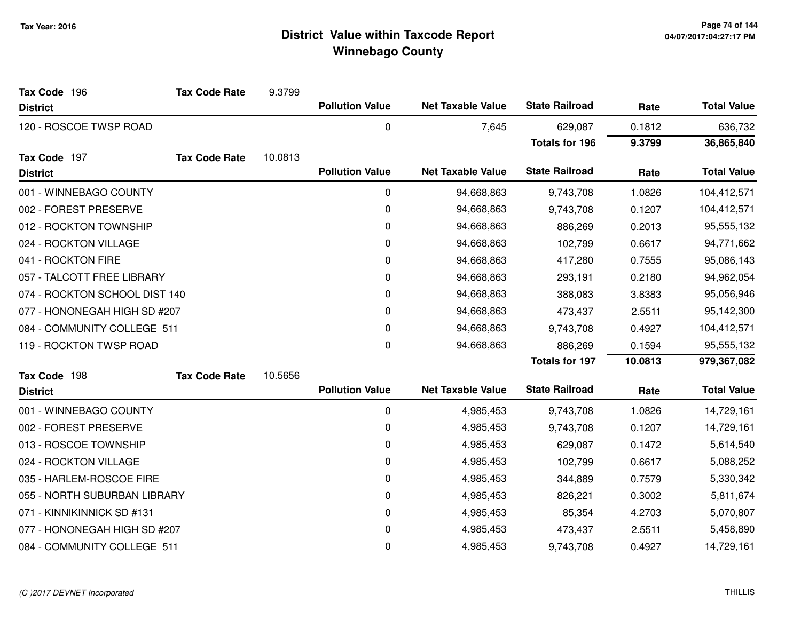| Tax Code 196                  | <b>Tax Code Rate</b> | 9.3799  |                        |                          |                       |         |                    |
|-------------------------------|----------------------|---------|------------------------|--------------------------|-----------------------|---------|--------------------|
| <b>District</b>               |                      |         | <b>Pollution Value</b> | <b>Net Taxable Value</b> | <b>State Railroad</b> | Rate    | <b>Total Value</b> |
| 120 - ROSCOE TWSP ROAD        |                      |         | 0                      | 7,645                    | 629,087               | 0.1812  | 636,732            |
|                               |                      |         |                        |                          | <b>Totals for 196</b> | 9.3799  | 36,865,840         |
| Tax Code 197                  | <b>Tax Code Rate</b> | 10.0813 |                        |                          |                       |         |                    |
| <b>District</b>               |                      |         | <b>Pollution Value</b> | <b>Net Taxable Value</b> | <b>State Railroad</b> | Rate    | <b>Total Value</b> |
| 001 - WINNEBAGO COUNTY        |                      |         | 0                      | 94,668,863               | 9,743,708             | 1.0826  | 104,412,571        |
| 002 - FOREST PRESERVE         |                      |         | 0                      | 94,668,863               | 9,743,708             | 0.1207  | 104,412,571        |
| 012 - ROCKTON TOWNSHIP        |                      |         | 0                      | 94,668,863               | 886,269               | 0.2013  | 95,555,132         |
| 024 - ROCKTON VILLAGE         |                      |         | 0                      | 94,668,863               | 102,799               | 0.6617  | 94,771,662         |
| 041 - ROCKTON FIRE            |                      |         | $\pmb{0}$              | 94,668,863               | 417,280               | 0.7555  | 95,086,143         |
| 057 - TALCOTT FREE LIBRARY    |                      |         | 0                      | 94,668,863               | 293,191               | 0.2180  | 94,962,054         |
| 074 - ROCKTON SCHOOL DIST 140 |                      |         | 0                      | 94,668,863               | 388,083               | 3.8383  | 95,056,946         |
| 077 - HONONEGAH HIGH SD #207  |                      |         | $\pmb{0}$              | 94,668,863               | 473,437               | 2.5511  | 95,142,300         |
| 084 - COMMUNITY COLLEGE 511   |                      |         | 0                      | 94,668,863               | 9,743,708             | 0.4927  | 104,412,571        |
| 119 - ROCKTON TWSP ROAD       |                      |         | 0                      | 94,668,863               | 886,269               | 0.1594  | 95,555,132         |
|                               |                      |         |                        |                          | <b>Totals for 197</b> | 10.0813 | 979,367,082        |
| Tax Code 198                  | <b>Tax Code Rate</b> | 10.5656 |                        |                          |                       |         |                    |
| <b>District</b>               |                      |         | <b>Pollution Value</b> | <b>Net Taxable Value</b> | <b>State Railroad</b> | Rate    | <b>Total Value</b> |
| 001 - WINNEBAGO COUNTY        |                      |         | $\pmb{0}$              | 4,985,453                | 9,743,708             | 1.0826  | 14,729,161         |
| 002 - FOREST PRESERVE         |                      |         | 0                      | 4,985,453                | 9,743,708             | 0.1207  | 14,729,161         |
| 013 - ROSCOE TOWNSHIP         |                      |         | 0                      | 4,985,453                | 629,087               | 0.1472  | 5,614,540          |
| 024 - ROCKTON VILLAGE         |                      |         | 0                      | 4,985,453                | 102,799               | 0.6617  | 5,088,252          |
| 035 - HARLEM-ROSCOE FIRE      |                      |         | 0                      | 4,985,453                | 344,889               | 0.7579  | 5,330,342          |
| 055 - NORTH SUBURBAN LIBRARY  |                      |         | 0                      | 4,985,453                | 826,221               | 0.3002  | 5,811,674          |
| 071 - KINNIKINNICK SD #131    |                      |         | 0                      | 4,985,453                | 85,354                | 4.2703  | 5,070,807          |
| 077 - HONONEGAH HIGH SD #207  |                      |         | 0                      | 4,985,453                | 473,437               | 2.5511  | 5,458,890          |
| 084 - COMMUNITY COLLEGE 511   |                      |         | 0                      | 4,985,453                | 9,743,708             | 0.4927  | 14,729,161         |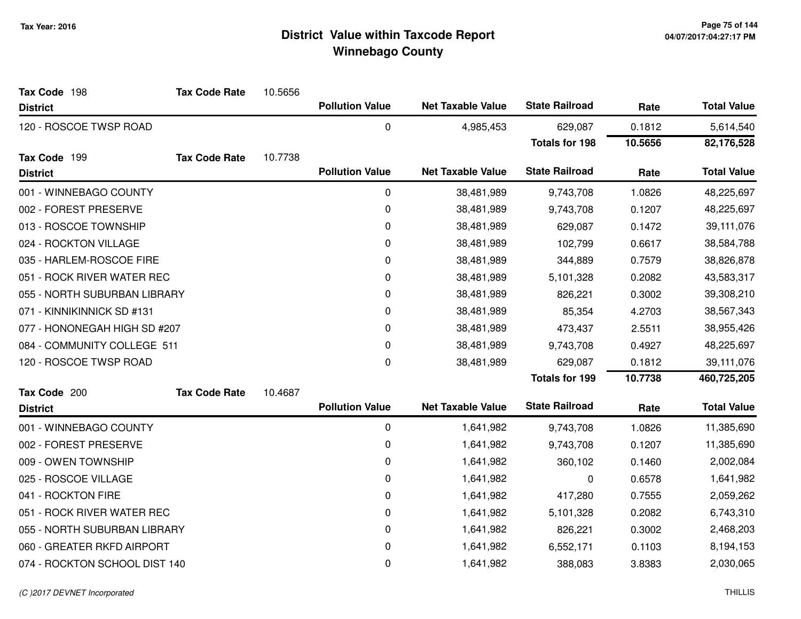| Tax Code 198                  | <b>Tax Code Rate</b> | 10.5656 |                        |                          |                       |         |                    |
|-------------------------------|----------------------|---------|------------------------|--------------------------|-----------------------|---------|--------------------|
| <b>District</b>               |                      |         | <b>Pollution Value</b> | <b>Net Taxable Value</b> | <b>State Railroad</b> | Rate    | <b>Total Value</b> |
| 120 - ROSCOE TWSP ROAD        |                      |         | 0                      | 4,985,453                | 629,087               | 0.1812  | 5,614,540          |
|                               |                      |         |                        |                          | <b>Totals for 198</b> | 10.5656 | 82,176,528         |
| Tax Code 199                  | <b>Tax Code Rate</b> | 10.7738 |                        |                          |                       |         |                    |
| <b>District</b>               |                      |         | <b>Pollution Value</b> | <b>Net Taxable Value</b> | <b>State Railroad</b> | Rate    | <b>Total Value</b> |
| 001 - WINNEBAGO COUNTY        |                      |         | 0                      | 38,481,989               | 9,743,708             | 1.0826  | 48,225,697         |
| 002 - FOREST PRESERVE         |                      |         | 0                      | 38,481,989               | 9,743,708             | 0.1207  | 48,225,697         |
| 013 - ROSCOE TOWNSHIP         |                      |         | 0                      | 38,481,989               | 629,087               | 0.1472  | 39,111,076         |
| 024 - ROCKTON VILLAGE         |                      |         | 0                      | 38,481,989               | 102,799               | 0.6617  | 38,584,788         |
| 035 - HARLEM-ROSCOE FIRE      |                      |         | 0                      | 38,481,989               | 344,889               | 0.7579  | 38,826,878         |
| 051 - ROCK RIVER WATER REC    |                      |         | 0                      | 38,481,989               | 5,101,328             | 0.2082  | 43,583,317         |
| 055 - NORTH SUBURBAN LIBRARY  |                      |         | 0                      | 38,481,989               | 826,221               | 0.3002  | 39,308,210         |
| 071 - KINNIKINNICK SD #131    |                      |         | 0                      | 38,481,989               | 85,354                | 4.2703  | 38,567,343         |
| 077 - HONONEGAH HIGH SD #207  |                      |         | 0                      | 38,481,989               | 473,437               | 2.5511  | 38,955,426         |
| 084 - COMMUNITY COLLEGE 511   |                      |         | 0                      | 38,481,989               | 9,743,708             | 0.4927  | 48,225,697         |
| 120 - ROSCOE TWSP ROAD        |                      |         | 0                      | 38,481,989               | 629,087               | 0.1812  | 39,111,076         |
|                               |                      |         |                        |                          | <b>Totals for 199</b> | 10.7738 | 460,725,205        |
| Tax Code 200                  | <b>Tax Code Rate</b> | 10.4687 |                        |                          |                       |         |                    |
| <b>District</b>               |                      |         | <b>Pollution Value</b> | <b>Net Taxable Value</b> | <b>State Railroad</b> | Rate    | <b>Total Value</b> |
| 001 - WINNEBAGO COUNTY        |                      |         | 0                      | 1,641,982                | 9,743,708             | 1.0826  | 11,385,690         |
| 002 - FOREST PRESERVE         |                      |         | 0                      | 1,641,982                | 9,743,708             | 0.1207  | 11,385,690         |
| 009 - OWEN TOWNSHIP           |                      |         | 0                      | 1,641,982                | 360,102               | 0.1460  | 2,002,084          |
| 025 - ROSCOE VILLAGE          |                      |         | 0                      | 1,641,982                | 0                     | 0.6578  | 1,641,982          |
| 041 - ROCKTON FIRE            |                      |         | 0                      | 1,641,982                | 417,280               | 0.7555  | 2,059,262          |
| 051 - ROCK RIVER WATER REC    |                      |         | 0                      | 1,641,982                | 5,101,328             | 0.2082  | 6,743,310          |
| 055 - NORTH SUBURBAN LIBRARY  |                      |         | 0                      | 1,641,982                | 826,221               | 0.3002  | 2,468,203          |
| 060 - GREATER RKFD AIRPORT    |                      |         | 0                      | 1,641,982                | 6,552,171             | 0.1103  | 8,194,153          |
| 074 - ROCKTON SCHOOL DIST 140 |                      |         | 0                      | 1,641,982                | 388,083               | 3.8383  | 2,030,065          |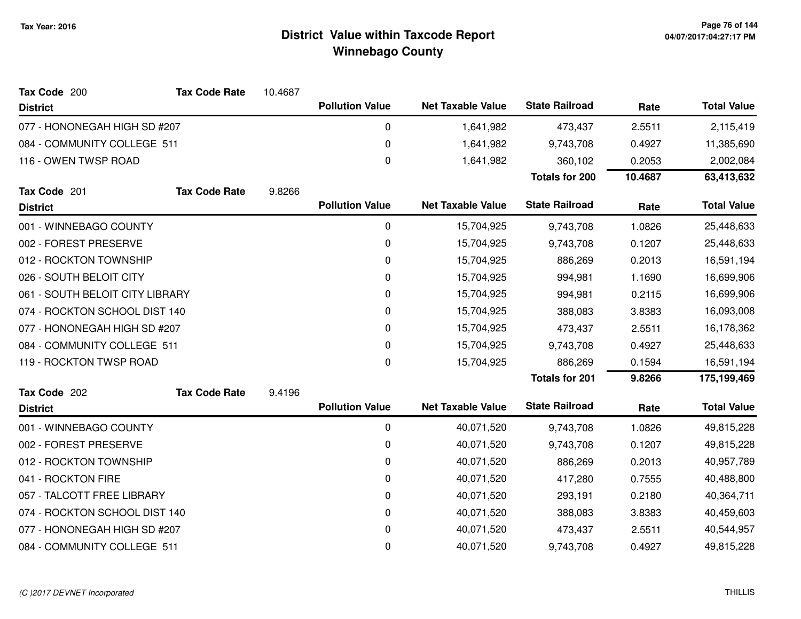| Tax Code 200                    | <b>Tax Code Rate</b> | 10.4687 |                        |                          |                       |            |                    |
|---------------------------------|----------------------|---------|------------------------|--------------------------|-----------------------|------------|--------------------|
| <b>District</b>                 |                      |         | <b>Pollution Value</b> | <b>Net Taxable Value</b> | <b>State Railroad</b> | Rate       | <b>Total Value</b> |
| 077 - HONONEGAH HIGH SD #207    |                      |         | 0                      | 1,641,982                | 473,437               | 2.5511     | 2,115,419          |
| 084 - COMMUNITY COLLEGE 511     |                      |         | 0                      | 1,641,982                | 9,743,708             | 0.4927     | 11,385,690         |
| 116 - OWEN TWSP ROAD            |                      |         | $\pmb{0}$              | 1,641,982                | 360,102               | 0.2053     | 2,002,084          |
|                                 |                      |         |                        |                          | <b>Totals for 200</b> | 10.4687    | 63,413,632         |
| Tax Code 201                    | <b>Tax Code Rate</b> | 9.8266  |                        |                          |                       |            |                    |
| <b>District</b>                 |                      |         | <b>Pollution Value</b> | <b>Net Taxable Value</b> | <b>State Railroad</b> | Rate       | <b>Total Value</b> |
| 001 - WINNEBAGO COUNTY          |                      |         | 0                      | 15,704,925               | 9,743,708             | 1.0826     | 25,448,633         |
| 002 - FOREST PRESERVE           |                      |         | 0                      | 15,704,925               | 9,743,708             | 0.1207     | 25,448,633         |
| 012 - ROCKTON TOWNSHIP          |                      |         | 0                      | 15,704,925               | 886,269               | 0.2013     | 16,591,194         |
| 026 - SOUTH BELOIT CITY         |                      |         | 0                      | 15,704,925               | 994,981               | 1.1690     | 16,699,906         |
| 061 - SOUTH BELOIT CITY LIBRARY |                      | 0       | 15,704,925             | 994,981                  | 0.2115                | 16,699,906 |                    |
| 074 - ROCKTON SCHOOL DIST 140   |                      | 0       | 15,704,925             | 388,083                  | 3.8383                | 16,093,008 |                    |
| 077 - HONONEGAH HIGH SD #207    |                      |         | 0                      | 15,704,925               | 473,437               | 2.5511     | 16,178,362         |
| 084 - COMMUNITY COLLEGE 511     |                      |         | 0                      | 15,704,925               | 9,743,708             | 0.4927     | 25,448,633         |
| 119 - ROCKTON TWSP ROAD         |                      |         | $\pmb{0}$              | 15,704,925               | 886,269               | 0.1594     | 16,591,194         |
|                                 |                      |         |                        |                          | <b>Totals for 201</b> | 9.8266     | 175,199,469        |
| Tax Code 202                    | <b>Tax Code Rate</b> | 9.4196  |                        |                          |                       |            |                    |
| <b>District</b>                 |                      |         | <b>Pollution Value</b> | <b>Net Taxable Value</b> | <b>State Railroad</b> | Rate       | <b>Total Value</b> |
| 001 - WINNEBAGO COUNTY          |                      |         | 0                      | 40,071,520               | 9,743,708             | 1.0826     | 49,815,228         |
| 002 - FOREST PRESERVE           |                      |         | 0                      | 40,071,520               | 9,743,708             | 0.1207     | 49,815,228         |
| 012 - ROCKTON TOWNSHIP          |                      |         | 0                      | 40,071,520               | 886,269               | 0.2013     | 40,957,789         |
| 041 - ROCKTON FIRE              |                      |         | 0                      | 40,071,520               | 417,280               | 0.7555     | 40,488,800         |
| 057 - TALCOTT FREE LIBRARY      |                      |         | 0                      | 40,071,520               | 293,191               | 0.2180     | 40,364,711         |
| 074 - ROCKTON SCHOOL DIST 140   |                      |         | 0                      | 40,071,520               | 388,083               | 3.8383     | 40,459,603         |
| 077 - HONONEGAH HIGH SD #207    |                      |         | 0                      | 40,071,520               | 473,437               | 2.5511     | 40,544,957         |
| 084 - COMMUNITY COLLEGE 511     |                      |         | 0                      | 40,071,520               | 9,743,708             | 0.4927     | 49,815,228         |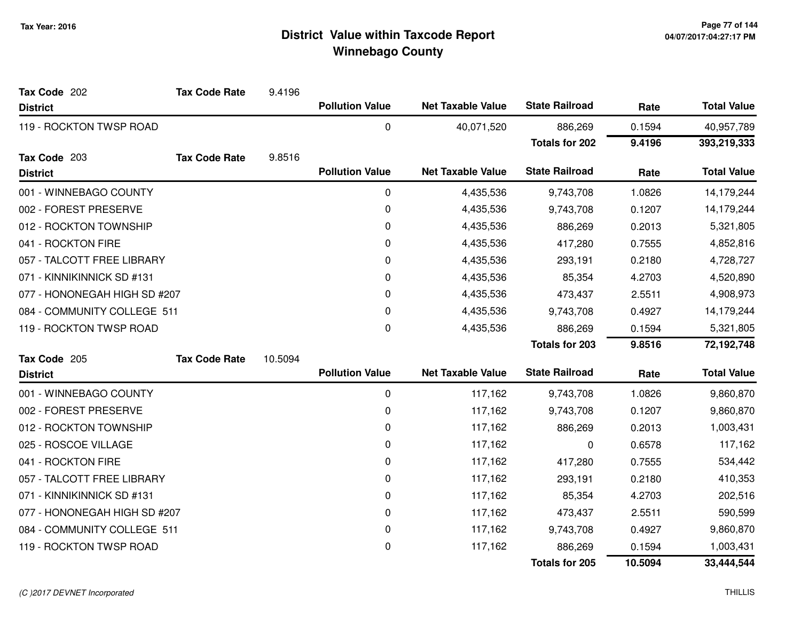| Tax Code 202                 | <b>Tax Code Rate</b> | 9.4196  |                        |                          |                       |         |                    |
|------------------------------|----------------------|---------|------------------------|--------------------------|-----------------------|---------|--------------------|
| <b>District</b>              |                      |         | <b>Pollution Value</b> | <b>Net Taxable Value</b> | <b>State Railroad</b> | Rate    | <b>Total Value</b> |
| 119 - ROCKTON TWSP ROAD      |                      |         | 0                      | 40,071,520               | 886,269               | 0.1594  | 40,957,789         |
|                              |                      |         |                        |                          | <b>Totals for 202</b> | 9.4196  | 393,219,333        |
| Tax Code 203                 | <b>Tax Code Rate</b> | 9.8516  |                        |                          |                       |         |                    |
| <b>District</b>              |                      |         | <b>Pollution Value</b> | <b>Net Taxable Value</b> | <b>State Railroad</b> | Rate    | <b>Total Value</b> |
| 001 - WINNEBAGO COUNTY       |                      |         | 0                      | 4,435,536                | 9,743,708             | 1.0826  | 14,179,244         |
| 002 - FOREST PRESERVE        |                      |         | 0                      | 4,435,536                | 9,743,708             | 0.1207  | 14,179,244         |
| 012 - ROCKTON TOWNSHIP       |                      |         | 0                      | 4,435,536                | 886,269               | 0.2013  | 5,321,805          |
| 041 - ROCKTON FIRE           |                      |         | 0                      | 4,435,536                | 417,280               | 0.7555  | 4,852,816          |
| 057 - TALCOTT FREE LIBRARY   |                      |         | 0                      | 4,435,536                | 293,191               | 0.2180  | 4,728,727          |
| 071 - KINNIKINNICK SD #131   |                      |         | 0                      | 4,435,536                | 85,354                | 4.2703  | 4,520,890          |
| 077 - HONONEGAH HIGH SD #207 |                      |         | 0                      | 4,435,536                | 473,437               | 2.5511  | 4,908,973          |
| 084 - COMMUNITY COLLEGE 511  |                      |         | 0                      | 4,435,536                | 9,743,708             | 0.4927  | 14,179,244         |
| 119 - ROCKTON TWSP ROAD      |                      |         | 0                      | 4,435,536                | 886,269               | 0.1594  | 5,321,805          |
|                              |                      |         |                        |                          | <b>Totals for 203</b> | 9.8516  | 72,192,748         |
| Tax Code 205                 | <b>Tax Code Rate</b> | 10.5094 |                        |                          |                       |         |                    |
| <b>District</b>              |                      |         | <b>Pollution Value</b> | <b>Net Taxable Value</b> | <b>State Railroad</b> | Rate    | <b>Total Value</b> |
| 001 - WINNEBAGO COUNTY       |                      |         | $\pmb{0}$              | 117,162                  | 9,743,708             | 1.0826  | 9,860,870          |
| 002 - FOREST PRESERVE        |                      |         | 0                      | 117,162                  | 9,743,708             | 0.1207  | 9,860,870          |
| 012 - ROCKTON TOWNSHIP       |                      |         | 0                      | 117,162                  | 886,269               | 0.2013  | 1,003,431          |
| 025 - ROSCOE VILLAGE         |                      |         | 0                      | 117,162                  | 0                     | 0.6578  | 117,162            |
| 041 - ROCKTON FIRE           |                      |         | 0                      | 117,162                  | 417,280               | 0.7555  | 534,442            |
| 057 - TALCOTT FREE LIBRARY   |                      |         | 0                      | 117,162                  | 293,191               | 0.2180  | 410,353            |
| 071 - KINNIKINNICK SD #131   |                      |         | 0                      | 117,162                  | 85,354                | 4.2703  | 202,516            |
| 077 - HONONEGAH HIGH SD #207 |                      |         | 0                      | 117,162                  | 473,437               | 2.5511  | 590,599            |
| 084 - COMMUNITY COLLEGE 511  |                      |         | 0                      | 117,162                  | 9,743,708             | 0.4927  | 9,860,870          |
| 119 - ROCKTON TWSP ROAD      |                      |         | 0                      | 117,162                  | 886,269               | 0.1594  | 1,003,431          |
|                              |                      |         |                        |                          | <b>Totals for 205</b> | 10.5094 | 33,444,544         |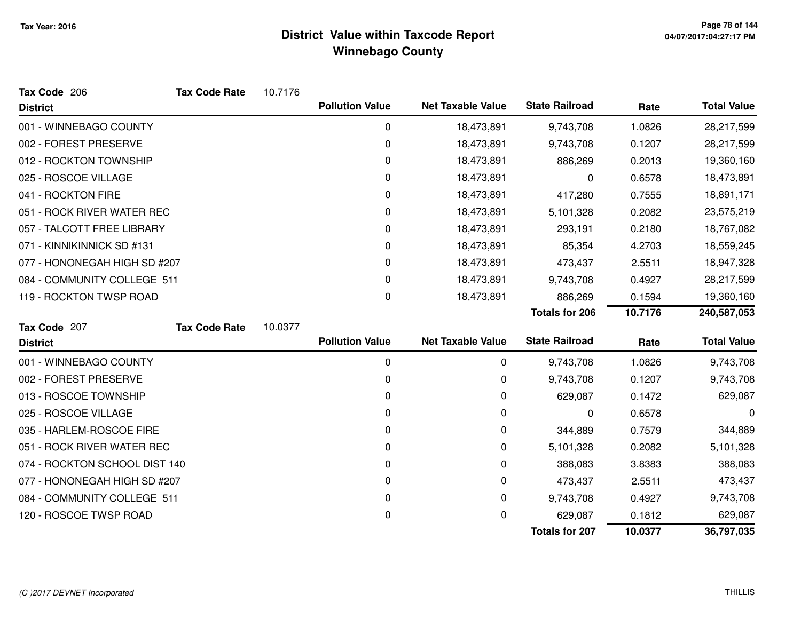| Tax Code 206                  | <b>Tax Code Rate</b> | 10.7176 |                        |                          |                       |         |                    |
|-------------------------------|----------------------|---------|------------------------|--------------------------|-----------------------|---------|--------------------|
| <b>District</b>               |                      |         | <b>Pollution Value</b> | <b>Net Taxable Value</b> | <b>State Railroad</b> | Rate    | <b>Total Value</b> |
| 001 - WINNEBAGO COUNTY        |                      |         | 0                      | 18,473,891               | 9,743,708             | 1.0826  | 28,217,599         |
| 002 - FOREST PRESERVE         |                      |         | 0                      | 18,473,891               | 9,743,708             | 0.1207  | 28,217,599         |
| 012 - ROCKTON TOWNSHIP        |                      |         | 0                      | 18,473,891               | 886,269               | 0.2013  | 19,360,160         |
| 025 - ROSCOE VILLAGE          |                      |         | 0                      | 18,473,891               | 0                     | 0.6578  | 18,473,891         |
| 041 - ROCKTON FIRE            |                      |         | 0                      | 18,473,891               | 417,280               | 0.7555  | 18,891,171         |
| 051 - ROCK RIVER WATER REC    |                      |         | 0                      | 18,473,891               | 5,101,328             | 0.2082  | 23,575,219         |
| 057 - TALCOTT FREE LIBRARY    |                      |         | 0                      | 18,473,891               | 293,191               | 0.2180  | 18,767,082         |
| 071 - KINNIKINNICK SD #131    |                      |         | 0                      | 18,473,891               | 85,354                | 4.2703  | 18,559,245         |
| 077 - HONONEGAH HIGH SD #207  |                      |         | 0                      | 18,473,891               | 473,437               | 2.5511  | 18,947,328         |
| 084 - COMMUNITY COLLEGE 511   |                      |         | 0                      | 18,473,891               | 9,743,708             | 0.4927  | 28,217,599         |
| 119 - ROCKTON TWSP ROAD       |                      |         | 0                      | 18,473,891               | 886,269               | 0.1594  | 19,360,160         |
|                               |                      |         |                        |                          | <b>Totals for 206</b> | 10.7176 | 240,587,053        |
| Tax Code 207                  | <b>Tax Code Rate</b> | 10.0377 |                        |                          |                       |         |                    |
| <b>District</b>               |                      |         | <b>Pollution Value</b> | <b>Net Taxable Value</b> | <b>State Railroad</b> | Rate    | <b>Total Value</b> |
| 001 - WINNEBAGO COUNTY        |                      |         | 0                      | 0                        | 9,743,708             | 1.0826  | 9,743,708          |
| 002 - FOREST PRESERVE         |                      |         | 0                      | 0                        | 9,743,708             | 0.1207  | 9,743,708          |
| 013 - ROSCOE TOWNSHIP         |                      |         | 0                      | 0                        | 629,087               | 0.1472  | 629,087            |
| 025 - ROSCOE VILLAGE          |                      |         | 0                      | 0                        | 0                     | 0.6578  | 0                  |
| 035 - HARLEM-ROSCOE FIRE      |                      |         | 0                      | 0                        | 344,889               | 0.7579  | 344,889            |
| 051 - ROCK RIVER WATER REC    |                      |         | 0                      | 0                        | 5,101,328             | 0.2082  | 5,101,328          |
| 074 - ROCKTON SCHOOL DIST 140 |                      |         | 0                      | 0                        | 388,083               | 3.8383  | 388,083            |
| 077 - HONONEGAH HIGH SD #207  |                      |         | 0                      | 0                        | 473,437               | 2.5511  | 473,437            |
| 084 - COMMUNITY COLLEGE 511   |                      |         | 0                      | 0                        | 9,743,708             | 0.4927  | 9,743,708          |
| 120 - ROSCOE TWSP ROAD        |                      |         | 0                      | 0                        | 629,087               | 0.1812  | 629,087            |
|                               |                      |         |                        |                          | <b>Totals for 207</b> | 10.0377 | 36,797,035         |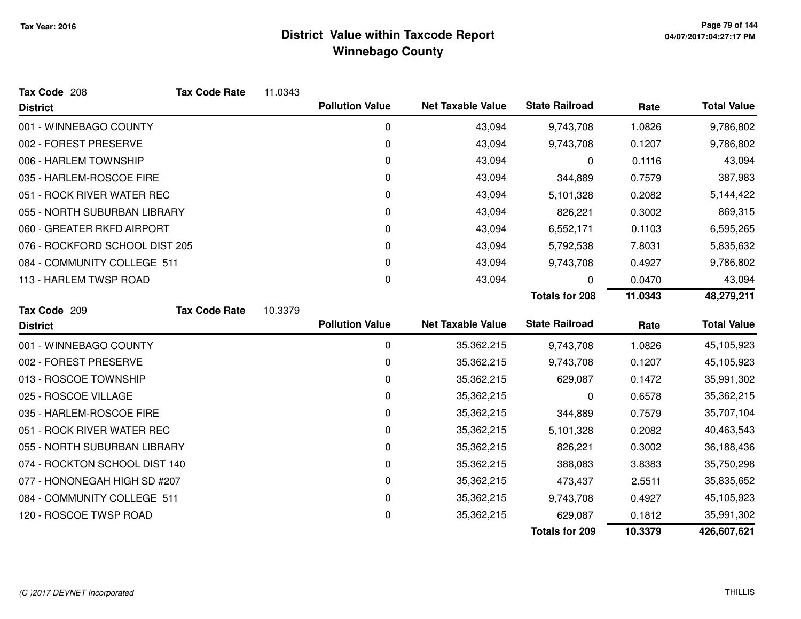| Tax Code 208                   | <b>Tax Code Rate</b> | 11.0343 |                        |                          |                       |         |                    |
|--------------------------------|----------------------|---------|------------------------|--------------------------|-----------------------|---------|--------------------|
| <b>District</b>                |                      |         | <b>Pollution Value</b> | <b>Net Taxable Value</b> | <b>State Railroad</b> | Rate    | <b>Total Value</b> |
| 001 - WINNEBAGO COUNTY         |                      |         | 0                      | 43,094                   | 9,743,708             | 1.0826  | 9,786,802          |
| 002 - FOREST PRESERVE          |                      |         | 0                      | 43,094                   | 9,743,708             | 0.1207  | 9,786,802          |
| 006 - HARLEM TOWNSHIP          |                      |         | 0                      | 43,094                   | 0                     | 0.1116  | 43,094             |
| 035 - HARLEM-ROSCOE FIRE       |                      |         | 0                      | 43,094                   | 344,889               | 0.7579  | 387,983            |
| 051 - ROCK RIVER WATER REC     |                      |         | 0                      | 43,094                   | 5,101,328             | 0.2082  | 5,144,422          |
| 055 - NORTH SUBURBAN LIBRARY   |                      |         | 0                      | 43,094                   | 826,221               | 0.3002  | 869,315            |
| 060 - GREATER RKFD AIRPORT     |                      |         | 0                      | 43,094                   | 6,552,171             | 0.1103  | 6,595,265          |
| 076 - ROCKFORD SCHOOL DIST 205 |                      |         | 0                      | 43,094                   | 5,792,538             | 7.8031  | 5,835,632          |
| 084 - COMMUNITY COLLEGE 511    |                      |         | 0                      | 43,094                   | 9,743,708             | 0.4927  | 9,786,802          |
| 113 - HARLEM TWSP ROAD         |                      |         | 0                      | 43,094                   | 0                     | 0.0470  | 43,094             |
|                                |                      |         |                        |                          | <b>Totals for 208</b> | 11.0343 | 48,279,211         |
| Tax Code 209                   | <b>Tax Code Rate</b> | 10.3379 |                        |                          |                       |         |                    |
| <b>District</b>                |                      |         | <b>Pollution Value</b> | <b>Net Taxable Value</b> | <b>State Railroad</b> | Rate    | <b>Total Value</b> |
| 001 - WINNEBAGO COUNTY         |                      |         | 0                      | 35,362,215               | 9,743,708             | 1.0826  | 45,105,923         |
| 002 - FOREST PRESERVE          |                      |         | 0                      | 35,362,215               | 9,743,708             | 0.1207  | 45,105,923         |
| 013 - ROSCOE TOWNSHIP          |                      |         | 0                      | 35,362,215               | 629,087               | 0.1472  | 35,991,302         |
| 025 - ROSCOE VILLAGE           |                      |         | 0                      | 35,362,215               | 0                     | 0.6578  | 35,362,215         |
| 035 - HARLEM-ROSCOE FIRE       |                      |         | 0                      | 35,362,215               | 344,889               | 0.7579  | 35,707,104         |
| 051 - ROCK RIVER WATER REC     |                      |         | 0                      | 35,362,215               | 5,101,328             | 0.2082  | 40,463,543         |
| 055 - NORTH SUBURBAN LIBRARY   |                      |         | 0                      | 35,362,215               | 826,221               | 0.3002  | 36,188,436         |
| 074 - ROCKTON SCHOOL DIST 140  |                      |         | 0                      | 35,362,215               | 388,083               | 3.8383  | 35,750,298         |
| 077 - HONONEGAH HIGH SD #207   |                      |         | 0                      | 35,362,215               | 473,437               | 2.5511  | 35,835,652         |
| 084 - COMMUNITY COLLEGE 511    |                      |         | 0                      | 35,362,215               | 9,743,708             | 0.4927  | 45,105,923         |
| 120 - ROSCOE TWSP ROAD         |                      |         | 0                      | 35,362,215               | 629,087               | 0.1812  | 35,991,302         |
|                                |                      |         |                        |                          | <b>Totals for 209</b> | 10.3379 | 426,607,621        |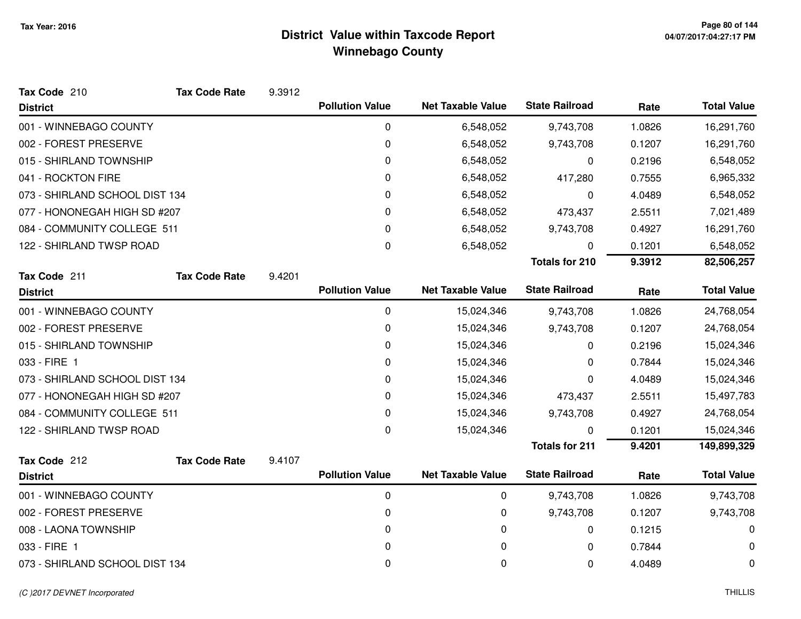| Tax Code 210                   | <b>Tax Code Rate</b> | 9.3912 |                        |                          |                       |        |                    |
|--------------------------------|----------------------|--------|------------------------|--------------------------|-----------------------|--------|--------------------|
| <b>District</b>                |                      |        | <b>Pollution Value</b> | <b>Net Taxable Value</b> | <b>State Railroad</b> | Rate   | <b>Total Value</b> |
| 001 - WINNEBAGO COUNTY         |                      |        | 0                      | 6,548,052                | 9,743,708             | 1.0826 | 16,291,760         |
| 002 - FOREST PRESERVE          |                      |        | 0                      | 6,548,052                | 9,743,708             | 0.1207 | 16,291,760         |
| 015 - SHIRLAND TOWNSHIP        |                      |        | 0                      | 6,548,052                | 0                     | 0.2196 | 6,548,052          |
| 041 - ROCKTON FIRE             |                      |        | 0                      | 6,548,052                | 417,280               | 0.7555 | 6,965,332          |
| 073 - SHIRLAND SCHOOL DIST 134 |                      |        | 0                      | 6,548,052                | 0                     | 4.0489 | 6,548,052          |
| 077 - HONONEGAH HIGH SD #207   |                      |        | 0                      | 6,548,052                | 473,437               | 2.5511 | 7,021,489          |
| 084 - COMMUNITY COLLEGE 511    |                      |        | 0                      | 6,548,052                | 9,743,708             | 0.4927 | 16,291,760         |
| 122 - SHIRLAND TWSP ROAD       |                      |        | 0                      | 6,548,052                | 0                     | 0.1201 | 6,548,052          |
|                                |                      |        |                        |                          | <b>Totals for 210</b> | 9.3912 | 82,506,257         |
| Tax Code 211                   | <b>Tax Code Rate</b> | 9.4201 |                        |                          |                       |        |                    |
| <b>District</b>                |                      |        | <b>Pollution Value</b> | <b>Net Taxable Value</b> | <b>State Railroad</b> | Rate   | <b>Total Value</b> |
| 001 - WINNEBAGO COUNTY         |                      |        | 0                      | 15,024,346               | 9,743,708             | 1.0826 | 24,768,054         |
| 002 - FOREST PRESERVE          |                      |        | 0                      | 15,024,346               | 9,743,708             | 0.1207 | 24,768,054         |
| 015 - SHIRLAND TOWNSHIP        |                      |        | 0                      | 15,024,346               | 0                     | 0.2196 | 15,024,346         |
| 033 - FIRE 1                   |                      |        | 0                      | 15,024,346               | 0                     | 0.7844 | 15,024,346         |
| 073 - SHIRLAND SCHOOL DIST 134 |                      |        | 0                      | 15,024,346               | 0                     | 4.0489 | 15,024,346         |
| 077 - HONONEGAH HIGH SD #207   |                      |        | 0                      | 15,024,346               | 473,437               | 2.5511 | 15,497,783         |
| 084 - COMMUNITY COLLEGE 511    |                      |        | 0                      | 15,024,346               | 9,743,708             | 0.4927 | 24,768,054         |
| 122 - SHIRLAND TWSP ROAD       |                      |        | 0                      | 15,024,346               | $\Omega$              | 0.1201 | 15,024,346         |
|                                |                      |        |                        |                          | <b>Totals for 211</b> | 9.4201 | 149,899,329        |
| Tax Code 212                   | <b>Tax Code Rate</b> | 9.4107 |                        |                          |                       |        |                    |
| <b>District</b>                |                      |        | <b>Pollution Value</b> | <b>Net Taxable Value</b> | <b>State Railroad</b> | Rate   | <b>Total Value</b> |
| 001 - WINNEBAGO COUNTY         |                      |        | 0                      | 0                        | 9,743,708             | 1.0826 | 9,743,708          |
| 002 - FOREST PRESERVE          |                      |        | 0                      | 0                        | 9,743,708             | 0.1207 | 9,743,708          |
| 008 - LAONA TOWNSHIP           |                      |        | 0                      | 0                        | 0                     | 0.1215 | 0                  |
| 033 - FIRE 1                   |                      |        | 0                      | 0                        | 0                     | 0.7844 | 0                  |
| 073 - SHIRLAND SCHOOL DIST 134 |                      |        | 0                      | 0                        | 0                     | 4.0489 | 0                  |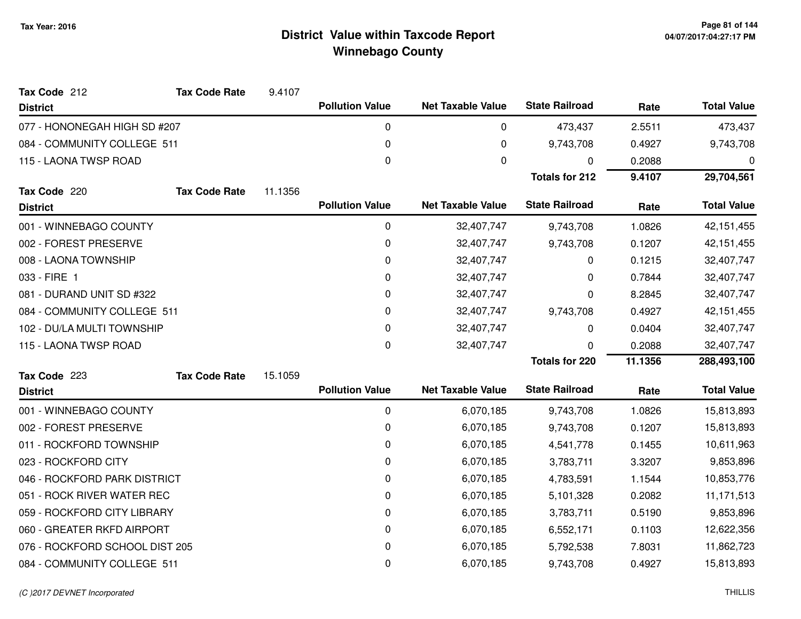| Tax Code 212                   | <b>Tax Code Rate</b> | 9.4107  |                        |                          |                       |         |                    |
|--------------------------------|----------------------|---------|------------------------|--------------------------|-----------------------|---------|--------------------|
| <b>District</b>                |                      |         | <b>Pollution Value</b> | <b>Net Taxable Value</b> | <b>State Railroad</b> | Rate    | <b>Total Value</b> |
| 077 - HONONEGAH HIGH SD #207   |                      |         | 0                      | 0                        | 473,437               | 2.5511  | 473,437            |
| 084 - COMMUNITY COLLEGE 511    |                      |         | 0                      | 0                        | 9,743,708             | 0.4927  | 9,743,708          |
| 115 - LAONA TWSP ROAD          |                      |         | 0                      | $\mathbf{0}$             | 0                     | 0.2088  | 0                  |
|                                |                      |         |                        |                          | <b>Totals for 212</b> | 9.4107  | 29,704,561         |
| Tax Code 220                   | <b>Tax Code Rate</b> | 11.1356 |                        |                          |                       |         |                    |
| <b>District</b>                |                      |         | <b>Pollution Value</b> | <b>Net Taxable Value</b> | <b>State Railroad</b> | Rate    | <b>Total Value</b> |
| 001 - WINNEBAGO COUNTY         |                      |         | 0                      | 32,407,747               | 9,743,708             | 1.0826  | 42, 151, 455       |
| 002 - FOREST PRESERVE          |                      |         | 0                      | 32,407,747               | 9,743,708             | 0.1207  | 42, 151, 455       |
| 008 - LAONA TOWNSHIP           |                      |         | 0                      | 32,407,747               | 0                     | 0.1215  | 32,407,747         |
| 033 - FIRE 1                   |                      |         | 0                      | 32,407,747               | 0                     | 0.7844  | 32,407,747         |
| 081 - DURAND UNIT SD #322      |                      |         | 0                      | 32,407,747               | 0                     | 8.2845  | 32,407,747         |
| 084 - COMMUNITY COLLEGE 511    |                      |         | 0                      | 32,407,747               | 9,743,708             | 0.4927  | 42, 151, 455       |
| 102 - DU/LA MULTI TOWNSHIP     |                      |         | 0                      | 32,407,747               | 0                     | 0.0404  | 32,407,747         |
| 115 - LAONA TWSP ROAD          |                      |         | 0                      | 32,407,747               | 0                     | 0.2088  | 32,407,747         |
|                                |                      |         |                        |                          | <b>Totals for 220</b> | 11.1356 | 288,493,100        |
| Tax Code 223                   | <b>Tax Code Rate</b> | 15.1059 |                        |                          |                       |         |                    |
| <b>District</b>                |                      |         | <b>Pollution Value</b> | <b>Net Taxable Value</b> | <b>State Railroad</b> | Rate    | <b>Total Value</b> |
| 001 - WINNEBAGO COUNTY         |                      |         | $\mathbf 0$            | 6,070,185                | 9,743,708             | 1.0826  | 15,813,893         |
| 002 - FOREST PRESERVE          |                      |         | 0                      | 6,070,185                | 9,743,708             | 0.1207  | 15,813,893         |
| 011 - ROCKFORD TOWNSHIP        |                      |         | 0                      | 6,070,185                | 4,541,778             | 0.1455  | 10,611,963         |
| 023 - ROCKFORD CITY            |                      |         | 0                      | 6,070,185                | 3,783,711             | 3.3207  | 9,853,896          |
| 046 - ROCKFORD PARK DISTRICT   |                      |         | 0                      | 6,070,185                | 4,783,591             | 1.1544  | 10,853,776         |
| 051 - ROCK RIVER WATER REC     |                      |         | 0                      | 6,070,185                | 5,101,328             | 0.2082  | 11, 171, 513       |
| 059 - ROCKFORD CITY LIBRARY    |                      |         | 0                      | 6,070,185                | 3,783,711             | 0.5190  | 9,853,896          |
| 060 - GREATER RKFD AIRPORT     |                      |         | 0                      | 6,070,185                | 6,552,171             | 0.1103  | 12,622,356         |
| 076 - ROCKFORD SCHOOL DIST 205 |                      |         | 0                      | 6,070,185                | 5,792,538             | 7.8031  | 11,862,723         |
| 084 - COMMUNITY COLLEGE 511    |                      |         | 0                      | 6,070,185                | 9,743,708             | 0.4927  | 15,813,893         |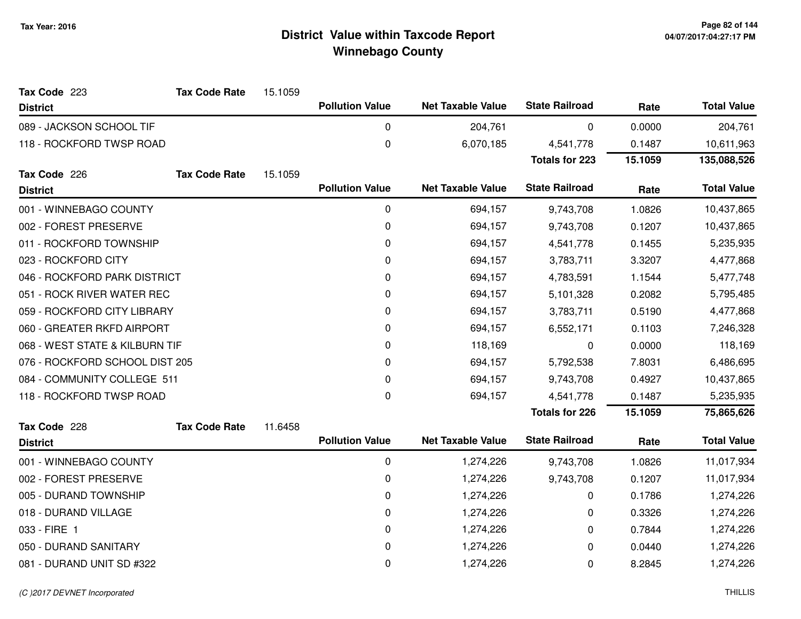| Tax Code 223                   | <b>Tax Code Rate</b> | 15.1059 |                        |                          |                       |         |                    |
|--------------------------------|----------------------|---------|------------------------|--------------------------|-----------------------|---------|--------------------|
| <b>District</b>                |                      |         | <b>Pollution Value</b> | <b>Net Taxable Value</b> | <b>State Railroad</b> | Rate    | <b>Total Value</b> |
| 089 - JACKSON SCHOOL TIF       |                      |         | 0                      | 204,761                  | 0                     | 0.0000  | 204,761            |
| 118 - ROCKFORD TWSP ROAD       |                      |         | $\pmb{0}$              | 6,070,185                | 4,541,778             | 0.1487  | 10,611,963         |
|                                |                      |         |                        |                          | <b>Totals for 223</b> | 15.1059 | 135,088,526        |
| Tax Code 226                   | <b>Tax Code Rate</b> | 15.1059 |                        |                          |                       |         |                    |
| <b>District</b>                |                      |         | <b>Pollution Value</b> | <b>Net Taxable Value</b> | <b>State Railroad</b> | Rate    | <b>Total Value</b> |
| 001 - WINNEBAGO COUNTY         |                      |         | $\pmb{0}$              | 694,157                  | 9,743,708             | 1.0826  | 10,437,865         |
| 002 - FOREST PRESERVE          |                      |         | 0                      | 694,157                  | 9,743,708             | 0.1207  | 10,437,865         |
| 011 - ROCKFORD TOWNSHIP        |                      |         | 0                      | 694,157                  | 4,541,778             | 0.1455  | 5,235,935          |
| 023 - ROCKFORD CITY            |                      |         | 0                      | 694,157                  | 3,783,711             | 3.3207  | 4,477,868          |
| 046 - ROCKFORD PARK DISTRICT   |                      |         | 0                      | 694,157                  | 4,783,591             | 1.1544  | 5,477,748          |
| 051 - ROCK RIVER WATER REC     |                      |         | 0                      | 694,157                  | 5,101,328             | 0.2082  | 5,795,485          |
| 059 - ROCKFORD CITY LIBRARY    |                      |         | 0                      | 694,157                  | 3,783,711             | 0.5190  | 4,477,868          |
| 060 - GREATER RKFD AIRPORT     |                      |         | 0                      | 694,157                  | 6,552,171             | 0.1103  | 7,246,328          |
| 068 - WEST STATE & KILBURN TIF |                      |         | 0                      | 118,169                  | 0                     | 0.0000  | 118,169            |
| 076 - ROCKFORD SCHOOL DIST 205 |                      |         | 0                      | 694,157                  | 5,792,538             | 7.8031  | 6,486,695          |
| 084 - COMMUNITY COLLEGE 511    |                      |         | 0                      | 694,157                  | 9,743,708             | 0.4927  | 10,437,865         |
| 118 - ROCKFORD TWSP ROAD       |                      |         | 0                      | 694,157                  | 4,541,778             | 0.1487  | 5,235,935          |
|                                |                      |         |                        |                          | <b>Totals for 226</b> | 15.1059 | 75,865,626         |
| Tax Code 228                   | <b>Tax Code Rate</b> | 11.6458 |                        |                          |                       |         |                    |
| <b>District</b>                |                      |         | <b>Pollution Value</b> | <b>Net Taxable Value</b> | <b>State Railroad</b> | Rate    | <b>Total Value</b> |
| 001 - WINNEBAGO COUNTY         |                      |         | 0                      | 1,274,226                | 9,743,708             | 1.0826  | 11,017,934         |
| 002 - FOREST PRESERVE          |                      |         | 0                      | 1,274,226                | 9,743,708             | 0.1207  | 11,017,934         |
| 005 - DURAND TOWNSHIP          |                      |         | 0                      | 1,274,226                | 0                     | 0.1786  | 1,274,226          |
| 018 - DURAND VILLAGE           |                      |         | 0                      | 1,274,226                | 0                     | 0.3326  | 1,274,226          |
| 033 - FIRE 1                   |                      |         | $\pmb{0}$              | 1,274,226                | 0                     | 0.7844  | 1,274,226          |
| 050 - DURAND SANITARY          |                      |         | 0                      | 1,274,226                | 0                     | 0.0440  | 1,274,226          |
| 081 - DURAND UNIT SD #322      |                      |         | 0                      | 1,274,226                | 0                     | 8.2845  | 1,274,226          |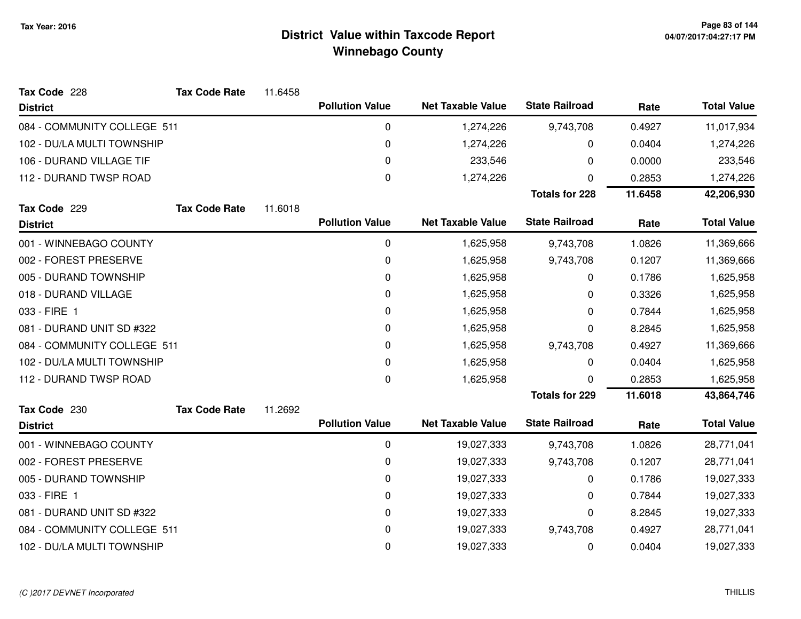| Tax Code 228                | <b>Tax Code Rate</b> | 11.6458 |                        |                          |                       |         |                    |
|-----------------------------|----------------------|---------|------------------------|--------------------------|-----------------------|---------|--------------------|
| <b>District</b>             |                      |         | <b>Pollution Value</b> | <b>Net Taxable Value</b> | <b>State Railroad</b> | Rate    | <b>Total Value</b> |
| 084 - COMMUNITY COLLEGE 511 |                      |         | 0                      | 1,274,226                | 9,743,708             | 0.4927  | 11,017,934         |
| 102 - DU/LA MULTI TOWNSHIP  |                      |         | 0                      | 1,274,226                | 0                     | 0.0404  | 1,274,226          |
| 106 - DURAND VILLAGE TIF    |                      |         | 0                      | 233,546                  | 0                     | 0.0000  | 233,546            |
| 112 - DURAND TWSP ROAD      |                      |         | 0                      | 1,274,226                | 0                     | 0.2853  | 1,274,226          |
|                             |                      |         |                        |                          | <b>Totals for 228</b> | 11.6458 | 42,206,930         |
| Tax Code 229                | <b>Tax Code Rate</b> | 11.6018 |                        |                          |                       |         |                    |
| <b>District</b>             |                      |         | <b>Pollution Value</b> | <b>Net Taxable Value</b> | <b>State Railroad</b> | Rate    | <b>Total Value</b> |
| 001 - WINNEBAGO COUNTY      |                      |         | 0                      | 1,625,958                | 9,743,708             | 1.0826  | 11,369,666         |
| 002 - FOREST PRESERVE       |                      |         | 0                      | 1,625,958                | 9,743,708             | 0.1207  | 11,369,666         |
| 005 - DURAND TOWNSHIP       |                      |         | 0                      | 1,625,958                | 0                     | 0.1786  | 1,625,958          |
| 018 - DURAND VILLAGE        |                      |         | 0                      | 1,625,958                | 0                     | 0.3326  | 1,625,958          |
| 033 - FIRE 1                |                      |         | 0                      | 1,625,958                | 0                     | 0.7844  | 1,625,958          |
| 081 - DURAND UNIT SD #322   |                      |         | 0                      | 1,625,958                | 0                     | 8.2845  | 1,625,958          |
| 084 - COMMUNITY COLLEGE 511 |                      |         | 0                      | 1,625,958                | 9,743,708             | 0.4927  | 11,369,666         |
| 102 - DU/LA MULTI TOWNSHIP  |                      |         | 0                      | 1,625,958                | 0                     | 0.0404  | 1,625,958          |
| 112 - DURAND TWSP ROAD      |                      |         | 0                      | 1,625,958                | 0                     | 0.2853  | 1,625,958          |
|                             |                      |         |                        |                          | <b>Totals for 229</b> | 11.6018 | 43,864,746         |
| Tax Code 230                | <b>Tax Code Rate</b> | 11.2692 |                        |                          |                       |         |                    |
| <b>District</b>             |                      |         | <b>Pollution Value</b> | <b>Net Taxable Value</b> | <b>State Railroad</b> | Rate    | <b>Total Value</b> |
| 001 - WINNEBAGO COUNTY      |                      |         | 0                      | 19,027,333               | 9,743,708             | 1.0826  | 28,771,041         |
| 002 - FOREST PRESERVE       |                      |         | 0                      | 19,027,333               | 9,743,708             | 0.1207  | 28,771,041         |
| 005 - DURAND TOWNSHIP       |                      |         | 0                      | 19,027,333               | 0                     | 0.1786  | 19,027,333         |
| 033 - FIRE 1                |                      |         | 0                      | 19,027,333               | 0                     | 0.7844  | 19,027,333         |
| 081 - DURAND UNIT SD #322   |                      |         | 0                      | 19,027,333               | 0                     | 8.2845  | 19,027,333         |
| 084 - COMMUNITY COLLEGE 511 |                      |         | 0                      | 19,027,333               | 9,743,708             | 0.4927  | 28,771,041         |
| 102 - DU/LA MULTI TOWNSHIP  |                      |         | 0                      | 19,027,333               | 0                     | 0.0404  | 19,027,333         |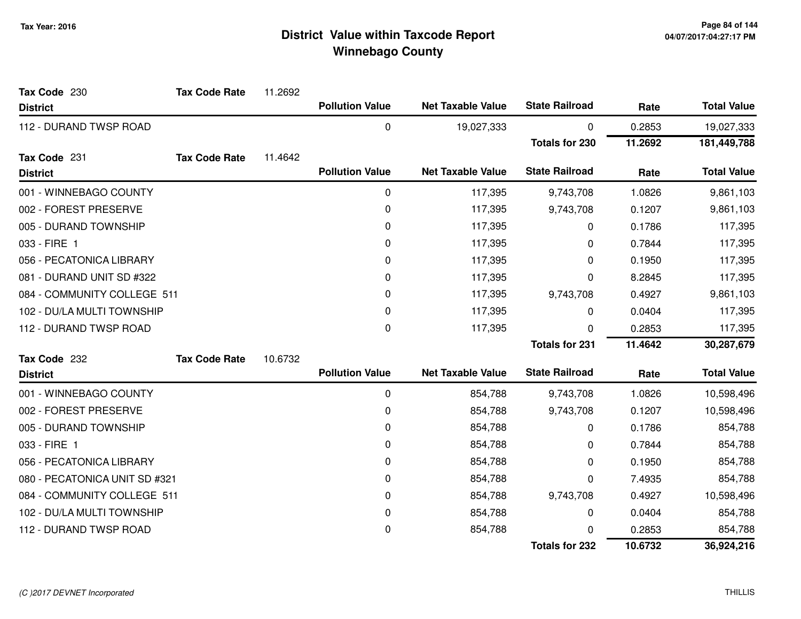| Tax Code 230                  | <b>Tax Code Rate</b> | 11.2692 |                        |                          |                       |         |                    |
|-------------------------------|----------------------|---------|------------------------|--------------------------|-----------------------|---------|--------------------|
| <b>District</b>               |                      |         | <b>Pollution Value</b> | <b>Net Taxable Value</b> | <b>State Railroad</b> | Rate    | <b>Total Value</b> |
| 112 - DURAND TWSP ROAD        |                      |         | $\pmb{0}$              | 19,027,333               | 0                     | 0.2853  | 19,027,333         |
|                               |                      |         |                        |                          | <b>Totals for 230</b> | 11.2692 | 181,449,788        |
| Tax Code 231                  | <b>Tax Code Rate</b> | 11.4642 |                        |                          |                       |         |                    |
| <b>District</b>               |                      |         | <b>Pollution Value</b> | <b>Net Taxable Value</b> | <b>State Railroad</b> | Rate    | <b>Total Value</b> |
| 001 - WINNEBAGO COUNTY        |                      |         | 0                      | 117,395                  | 9,743,708             | 1.0826  | 9,861,103          |
| 002 - FOREST PRESERVE         |                      |         | $\pmb{0}$              | 117,395                  | 9,743,708             | 0.1207  | 9,861,103          |
| 005 - DURAND TOWNSHIP         |                      |         | 0                      | 117,395                  | 0                     | 0.1786  | 117,395            |
| 033 - FIRE 1                  |                      |         | $\Omega$               | 117,395                  | 0                     | 0.7844  | 117,395            |
| 056 - PECATONICA LIBRARY      |                      |         | 0                      | 117,395                  | 0                     | 0.1950  | 117,395            |
| 081 - DURAND UNIT SD #322     |                      |         | 0                      | 117,395                  | 0                     | 8.2845  | 117,395            |
| 084 - COMMUNITY COLLEGE 511   |                      |         | 0                      | 117,395                  | 9,743,708             | 0.4927  | 9,861,103          |
| 102 - DU/LA MULTI TOWNSHIP    |                      |         | 0                      | 117,395                  | 0                     | 0.0404  | 117,395            |
| 112 - DURAND TWSP ROAD        |                      |         | 0                      | 117,395                  | 0                     | 0.2853  | 117,395            |
|                               |                      |         |                        |                          | <b>Totals for 231</b> | 11.4642 | 30,287,679         |
| Tax Code 232                  | <b>Tax Code Rate</b> | 10.6732 |                        |                          |                       |         |                    |
| <b>District</b>               |                      |         | <b>Pollution Value</b> | <b>Net Taxable Value</b> | <b>State Railroad</b> | Rate    | <b>Total Value</b> |
| 001 - WINNEBAGO COUNTY        |                      |         | 0                      | 854,788                  | 9,743,708             | 1.0826  | 10,598,496         |
| 002 - FOREST PRESERVE         |                      |         | 0                      | 854,788                  | 9,743,708             | 0.1207  | 10,598,496         |
| 005 - DURAND TOWNSHIP         |                      |         | 0                      | 854,788                  | 0                     | 0.1786  | 854,788            |
| 033 - FIRE 1                  |                      |         | 0                      | 854,788                  | 0                     | 0.7844  | 854,788            |
| 056 - PECATONICA LIBRARY      |                      |         | 0                      | 854,788                  | 0                     | 0.1950  | 854,788            |
| 080 - PECATONICA UNIT SD #321 |                      |         | 0                      | 854,788                  | 0                     | 7.4935  | 854,788            |
| 084 - COMMUNITY COLLEGE 511   |                      |         | 0                      | 854,788                  | 9,743,708             | 0.4927  | 10,598,496         |
| 102 - DU/LA MULTI TOWNSHIP    |                      |         | 0                      | 854,788                  | 0                     | 0.0404  | 854,788            |
| 112 - DURAND TWSP ROAD        |                      |         | 0                      | 854,788                  | U                     | 0.2853  | 854,788            |
|                               |                      |         |                        |                          | <b>Totals for 232</b> | 10.6732 | 36,924,216         |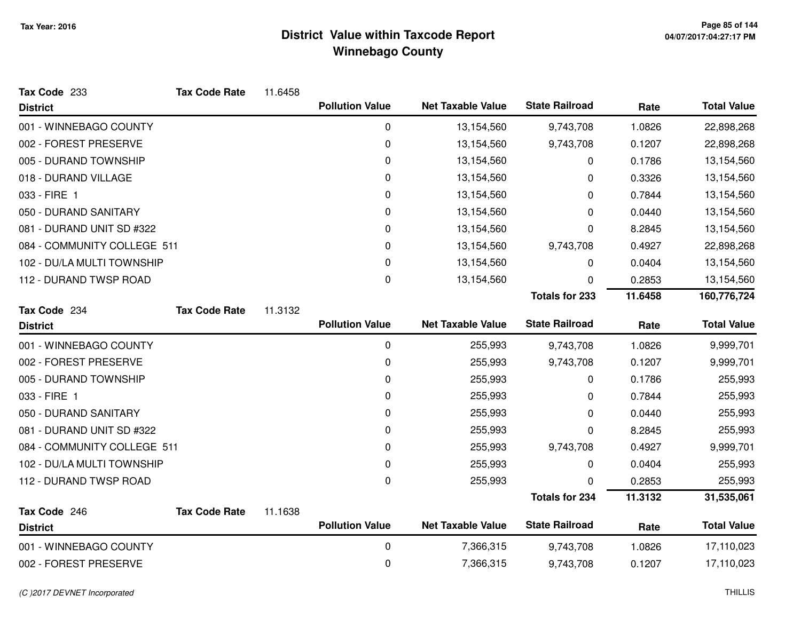| Tax Code 233                    | <b>Tax Code Rate</b> | 11.6458 |                        |                          |                       |         |                    |
|---------------------------------|----------------------|---------|------------------------|--------------------------|-----------------------|---------|--------------------|
| <b>District</b>                 |                      |         | <b>Pollution Value</b> | <b>Net Taxable Value</b> | <b>State Railroad</b> | Rate    | <b>Total Value</b> |
| 001 - WINNEBAGO COUNTY          |                      |         | 0                      | 13,154,560               | 9,743,708             | 1.0826  | 22,898,268         |
| 002 - FOREST PRESERVE           |                      |         | $\pmb{0}$              | 13,154,560               | 9,743,708             | 0.1207  | 22,898,268         |
| 005 - DURAND TOWNSHIP           |                      |         | 0                      | 13,154,560               | 0                     | 0.1786  | 13,154,560         |
| 018 - DURAND VILLAGE            |                      |         | 0                      | 13,154,560               | 0                     | 0.3326  | 13,154,560         |
| 033 - FIRE 1                    |                      |         | $\pmb{0}$              | 13,154,560               | 0                     | 0.7844  | 13,154,560         |
| 050 - DURAND SANITARY           |                      |         | 0                      | 13,154,560               | 0                     | 0.0440  | 13,154,560         |
| 081 - DURAND UNIT SD #322       |                      |         | $\pmb{0}$              | 13,154,560               | 0                     | 8.2845  | 13,154,560         |
| 084 - COMMUNITY COLLEGE 511     |                      |         | 0                      | 13,154,560               | 9,743,708             | 0.4927  | 22,898,268         |
| 102 - DU/LA MULTI TOWNSHIP      |                      |         | 0                      | 13,154,560               | 0                     | 0.0404  | 13,154,560         |
| 112 - DURAND TWSP ROAD          |                      |         | 0                      | 13,154,560               | 0                     | 0.2853  | 13,154,560         |
|                                 |                      |         |                        |                          | <b>Totals for 233</b> | 11.6458 | 160,776,724        |
| Tax Code 234                    | <b>Tax Code Rate</b> | 11.3132 |                        |                          |                       |         |                    |
| <b>District</b>                 |                      |         | <b>Pollution Value</b> | <b>Net Taxable Value</b> | <b>State Railroad</b> | Rate    | <b>Total Value</b> |
| 001 - WINNEBAGO COUNTY          |                      |         | $\pmb{0}$              | 255,993                  | 9,743,708             | 1.0826  | 9,999,701          |
| 002 - FOREST PRESERVE           |                      |         | 0                      | 255,993                  | 9,743,708             | 0.1207  | 9,999,701          |
| 005 - DURAND TOWNSHIP           |                      |         | 0                      | 255,993                  | 0                     | 0.1786  | 255,993            |
| 033 - FIRE 1                    |                      |         | 0                      | 255,993                  | 0                     | 0.7844  | 255,993            |
| 050 - DURAND SANITARY           |                      |         | 0                      | 255,993                  | 0                     | 0.0440  | 255,993            |
| 081 - DURAND UNIT SD #322       |                      |         | 0                      | 255,993                  | 0                     | 8.2845  | 255,993            |
| 084 - COMMUNITY COLLEGE 511     |                      |         | 0                      | 255,993                  | 9,743,708             | 0.4927  | 9,999,701          |
| 102 - DU/LA MULTI TOWNSHIP      |                      |         | 0                      | 255,993                  | 0                     | 0.0404  | 255,993            |
| 112 - DURAND TWSP ROAD          |                      |         | 0                      | 255,993                  | 0                     | 0.2853  | 255,993            |
|                                 |                      |         |                        |                          | <b>Totals for 234</b> | 11.3132 | 31,535,061         |
| Tax Code 246<br><b>District</b> | <b>Tax Code Rate</b> | 11.1638 | <b>Pollution Value</b> | <b>Net Taxable Value</b> | <b>State Railroad</b> | Rate    | <b>Total Value</b> |
| 001 - WINNEBAGO COUNTY          |                      |         | 0                      | 7,366,315                | 9,743,708             | 1.0826  | 17,110,023         |
| 002 - FOREST PRESERVE           |                      |         | 0                      | 7,366,315                | 9,743,708             | 0.1207  | 17,110,023         |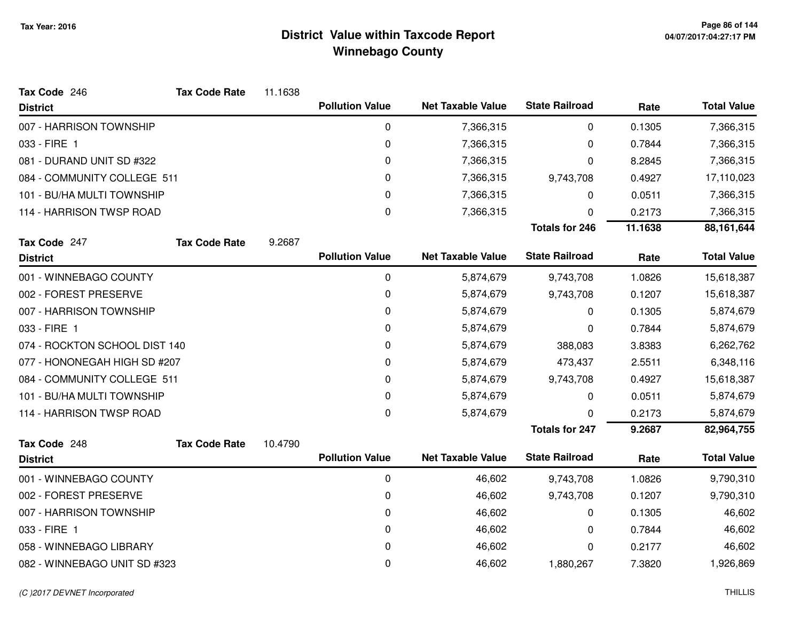| Tax Code 246                  | <b>Tax Code Rate</b> | 11.1638 |                        |                          |                       |            |                    |
|-------------------------------|----------------------|---------|------------------------|--------------------------|-----------------------|------------|--------------------|
| <b>District</b>               |                      |         | <b>Pollution Value</b> | <b>Net Taxable Value</b> | <b>State Railroad</b> | Rate       | <b>Total Value</b> |
| 007 - HARRISON TOWNSHIP       |                      |         | 0                      | 7,366,315                | 0                     | 0.1305     | 7,366,315          |
| 033 - FIRE 1                  |                      |         | $\pmb{0}$              | 7,366,315                | 0                     | 0.7844     | 7,366,315          |
| 081 - DURAND UNIT SD #322     |                      |         | 0                      | 7,366,315                | 0                     | 8.2845     | 7,366,315          |
| 084 - COMMUNITY COLLEGE 511   |                      | 0       | 7,366,315              | 9,743,708                | 0.4927                | 17,110,023 |                    |
| 101 - BU/HA MULTI TOWNSHIP    |                      |         | 0                      | 7,366,315                | 0                     | 0.0511     | 7,366,315          |
| 114 - HARRISON TWSP ROAD      |                      |         | 0                      | 7,366,315                | 0                     | 0.2173     | 7,366,315          |
|                               |                      |         |                        |                          | <b>Totals for 246</b> | 11.1638    | 88,161,644         |
| Tax Code 247                  | <b>Tax Code Rate</b> | 9.2687  |                        |                          |                       |            |                    |
| <b>District</b>               |                      |         | <b>Pollution Value</b> | <b>Net Taxable Value</b> | <b>State Railroad</b> | Rate       | <b>Total Value</b> |
| 001 - WINNEBAGO COUNTY        |                      |         | 0                      | 5,874,679                | 9,743,708             | 1.0826     | 15,618,387         |
| 002 - FOREST PRESERVE         |                      |         | 0                      | 5,874,679                | 9,743,708             | 0.1207     | 15,618,387         |
| 007 - HARRISON TOWNSHIP       |                      |         | 0                      | 5,874,679                | 0                     | 0.1305     | 5,874,679          |
| 033 - FIRE 1                  |                      |         | 0                      | 5,874,679                | 0                     | 0.7844     | 5,874,679          |
| 074 - ROCKTON SCHOOL DIST 140 |                      |         | 0                      | 5,874,679                | 388,083               | 3.8383     | 6,262,762          |
| 077 - HONONEGAH HIGH SD #207  |                      |         | 0                      | 5,874,679                | 473,437               | 2.5511     | 6,348,116          |
| 084 - COMMUNITY COLLEGE 511   |                      |         | 0                      | 5,874,679                | 9,743,708             | 0.4927     | 15,618,387         |
| 101 - BU/HA MULTI TOWNSHIP    |                      |         | 0                      | 5,874,679                | 0                     | 0.0511     | 5,874,679          |
| 114 - HARRISON TWSP ROAD      |                      |         | $\Omega$               | 5,874,679                | 0                     | 0.2173     | 5,874,679          |
|                               |                      |         |                        |                          | <b>Totals for 247</b> | 9.2687     | 82,964,755         |
| Tax Code 248                  | <b>Tax Code Rate</b> | 10.4790 |                        |                          |                       |            |                    |
| <b>District</b>               |                      |         | <b>Pollution Value</b> | <b>Net Taxable Value</b> | <b>State Railroad</b> | Rate       | <b>Total Value</b> |
| 001 - WINNEBAGO COUNTY        |                      |         | 0                      | 46,602                   | 9,743,708             | 1.0826     | 9,790,310          |
| 002 - FOREST PRESERVE         |                      |         | 0                      | 46,602                   | 9,743,708             | 0.1207     | 9,790,310          |
| 007 - HARRISON TOWNSHIP       |                      |         | 0                      | 46,602                   | 0                     | 0.1305     | 46,602             |
| 033 - FIRE 1                  |                      |         | 0                      | 46,602                   | 0                     | 0.7844     | 46,602             |
| 058 - WINNEBAGO LIBRARY       |                      |         | 0                      | 46,602                   | 0                     | 0.2177     | 46,602             |
| 082 - WINNEBAGO UNIT SD #323  |                      |         | 0                      | 46,602                   | 1,880,267             | 7.3820     | 1,926,869          |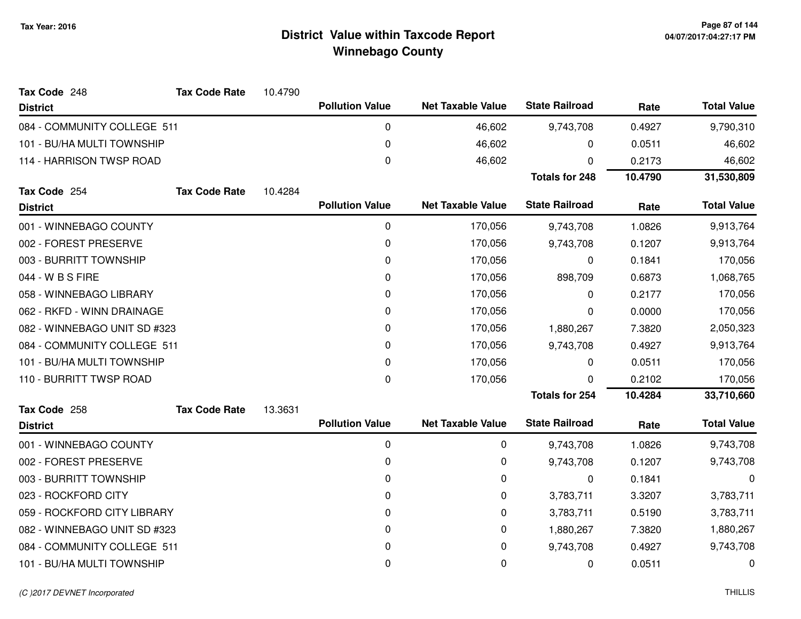| Tax Code 248                 | <b>Tax Code Rate</b> | 10.4790 |                        |                          |                       |         |                    |
|------------------------------|----------------------|---------|------------------------|--------------------------|-----------------------|---------|--------------------|
| <b>District</b>              |                      |         | <b>Pollution Value</b> | <b>Net Taxable Value</b> | <b>State Railroad</b> | Rate    | <b>Total Value</b> |
| 084 - COMMUNITY COLLEGE 511  |                      |         | 0                      | 46,602                   | 9,743,708             | 0.4927  | 9,790,310          |
| 101 - BU/HA MULTI TOWNSHIP   |                      |         | 0                      | 46,602                   | 0                     | 0.0511  | 46,602             |
| 114 - HARRISON TWSP ROAD     |                      |         | 0                      | 46,602                   | 0                     | 0.2173  | 46,602             |
|                              |                      |         |                        |                          | <b>Totals for 248</b> | 10.4790 | 31,530,809         |
| Tax Code 254                 | <b>Tax Code Rate</b> | 10.4284 |                        |                          |                       |         |                    |
| <b>District</b>              |                      |         | <b>Pollution Value</b> | <b>Net Taxable Value</b> | <b>State Railroad</b> | Rate    | <b>Total Value</b> |
| 001 - WINNEBAGO COUNTY       |                      |         | 0                      | 170,056                  | 9,743,708             | 1.0826  | 9,913,764          |
| 002 - FOREST PRESERVE        |                      |         | 0                      | 170,056                  | 9,743,708             | 0.1207  | 9,913,764          |
| 003 - BURRITT TOWNSHIP       |                      |         | 0                      | 170,056                  | 0                     | 0.1841  | 170,056            |
| 044 - W B S FIRE             |                      |         | $\Omega$               | 170,056                  | 898,709               | 0.6873  | 1,068,765          |
| 058 - WINNEBAGO LIBRARY      |                      |         | 0                      | 170,056                  | 0                     | 0.2177  | 170,056            |
| 062 - RKFD - WINN DRAINAGE   |                      |         | 0                      | 170,056                  | 0                     | 0.0000  | 170,056            |
| 082 - WINNEBAGO UNIT SD #323 |                      |         | 0                      | 170,056                  | 1,880,267             | 7.3820  | 2,050,323          |
| 084 - COMMUNITY COLLEGE 511  |                      |         | $\pmb{0}$              | 170,056                  | 9,743,708             | 0.4927  | 9,913,764          |
| 101 - BU/HA MULTI TOWNSHIP   |                      |         | 0                      | 170,056                  | 0                     | 0.0511  | 170,056            |
| 110 - BURRITT TWSP ROAD      |                      |         | 0                      | 170,056                  | 0                     | 0.2102  | 170,056            |
|                              |                      |         |                        |                          | <b>Totals for 254</b> | 10.4284 | 33,710,660         |
| Tax Code 258                 | <b>Tax Code Rate</b> | 13.3631 |                        |                          |                       |         |                    |
| <b>District</b>              |                      |         | <b>Pollution Value</b> | <b>Net Taxable Value</b> | <b>State Railroad</b> | Rate    | <b>Total Value</b> |
| 001 - WINNEBAGO COUNTY       |                      |         | 0                      | 0                        | 9,743,708             | 1.0826  | 9,743,708          |
| 002 - FOREST PRESERVE        |                      |         | 0                      | 0                        | 9,743,708             | 0.1207  | 9,743,708          |
| 003 - BURRITT TOWNSHIP       |                      |         | 0                      | 0                        | $\mathbf{0}$          | 0.1841  | 0                  |
| 023 - ROCKFORD CITY          |                      |         | 0                      | 0                        | 3,783,711             | 3.3207  | 3,783,711          |
| 059 - ROCKFORD CITY LIBRARY  |                      |         | 0                      | 0                        | 3,783,711             | 0.5190  | 3,783,711          |
| 082 - WINNEBAGO UNIT SD #323 |                      |         | 0                      | 0                        | 1,880,267             | 7.3820  | 1,880,267          |
| 084 - COMMUNITY COLLEGE 511  |                      |         | 0                      | 0                        | 9,743,708             | 0.4927  | 9,743,708          |
| 101 - BU/HA MULTI TOWNSHIP   |                      |         | 0                      | 0                        | 0                     | 0.0511  | 0                  |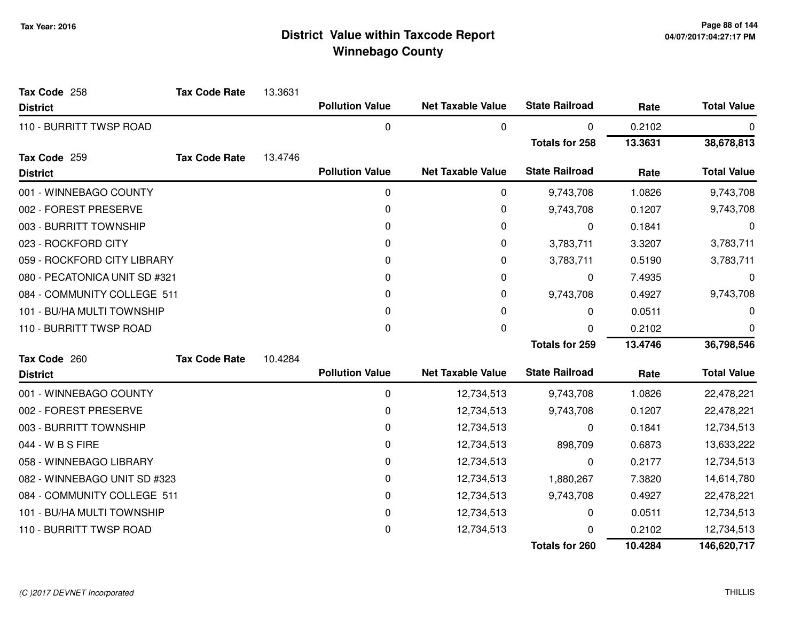| Tax Code 258                  | <b>Tax Code Rate</b> | 13.3631 |                        |                          |                       |         |                    |
|-------------------------------|----------------------|---------|------------------------|--------------------------|-----------------------|---------|--------------------|
| <b>District</b>               |                      |         | <b>Pollution Value</b> | <b>Net Taxable Value</b> | <b>State Railroad</b> | Rate    | <b>Total Value</b> |
| 110 - BURRITT TWSP ROAD       |                      |         | $\mathbf 0$            | 0                        | 0                     | 0.2102  | 0                  |
|                               |                      |         |                        |                          | <b>Totals for 258</b> | 13.3631 | 38,678,813         |
| Tax Code 259                  | <b>Tax Code Rate</b> | 13.4746 |                        |                          |                       |         |                    |
| <b>District</b>               |                      |         | <b>Pollution Value</b> | <b>Net Taxable Value</b> | <b>State Railroad</b> | Rate    | <b>Total Value</b> |
| 001 - WINNEBAGO COUNTY        |                      |         | 0                      | 0                        | 9,743,708             | 1.0826  | 9,743,708          |
| 002 - FOREST PRESERVE         |                      |         | $\mathbf 0$            | 0                        | 9,743,708             | 0.1207  | 9,743,708          |
| 003 - BURRITT TOWNSHIP        |                      |         | $\mathbf 0$            | 0                        | 0                     | 0.1841  | 0                  |
| 023 - ROCKFORD CITY           |                      |         | $\Omega$               | 0                        | 3,783,711             | 3.3207  | 3,783,711          |
| 059 - ROCKFORD CITY LIBRARY   |                      |         | 0                      | 0                        | 3,783,711             | 0.5190  | 3,783,711          |
| 080 - PECATONICA UNIT SD #321 |                      |         | $\Omega$               | 0                        | 0                     | 7.4935  | 0                  |
| 084 - COMMUNITY COLLEGE 511   |                      |         | 0                      | 0                        | 9,743,708             | 0.4927  | 9,743,708          |
| 101 - BU/HA MULTI TOWNSHIP    |                      |         | 0                      | 0                        | 0                     | 0.0511  | 0                  |
| 110 - BURRITT TWSP ROAD       |                      |         | 0                      | 0                        | 0                     | 0.2102  | 0                  |
|                               |                      |         |                        |                          | <b>Totals for 259</b> | 13.4746 | 36,798,546         |
| Tax Code 260                  | <b>Tax Code Rate</b> | 10.4284 |                        |                          |                       |         |                    |
| <b>District</b>               |                      |         | <b>Pollution Value</b> | <b>Net Taxable Value</b> | <b>State Railroad</b> | Rate    | <b>Total Value</b> |
| 001 - WINNEBAGO COUNTY        |                      |         | 0                      | 12,734,513               | 9,743,708             | 1.0826  | 22,478,221         |
| 002 - FOREST PRESERVE         |                      |         | 0                      | 12,734,513               | 9,743,708             | 0.1207  | 22,478,221         |
| 003 - BURRITT TOWNSHIP        |                      |         | 0                      | 12,734,513               | 0                     | 0.1841  | 12,734,513         |
| 044 - W B S FIRE              |                      |         | 0                      | 12,734,513               | 898,709               | 0.6873  | 13,633,222         |
| 058 - WINNEBAGO LIBRARY       |                      |         | 0                      | 12,734,513               | 0                     | 0.2177  | 12,734,513         |
| 082 - WINNEBAGO UNIT SD #323  |                      |         | 0                      | 12,734,513               | 1,880,267             | 7.3820  | 14,614,780         |
| 084 - COMMUNITY COLLEGE 511   |                      |         | $\pmb{0}$              | 12,734,513               | 9,743,708             | 0.4927  | 22,478,221         |
| 101 - BU/HA MULTI TOWNSHIP    |                      |         | 0                      | 12,734,513               | 0                     | 0.0511  | 12,734,513         |
| 110 - BURRITT TWSP ROAD       |                      |         | 0                      | 12,734,513               | n                     | 0.2102  | 12,734,513         |
|                               |                      |         |                        |                          | <b>Totals for 260</b> | 10.4284 | 146,620,717        |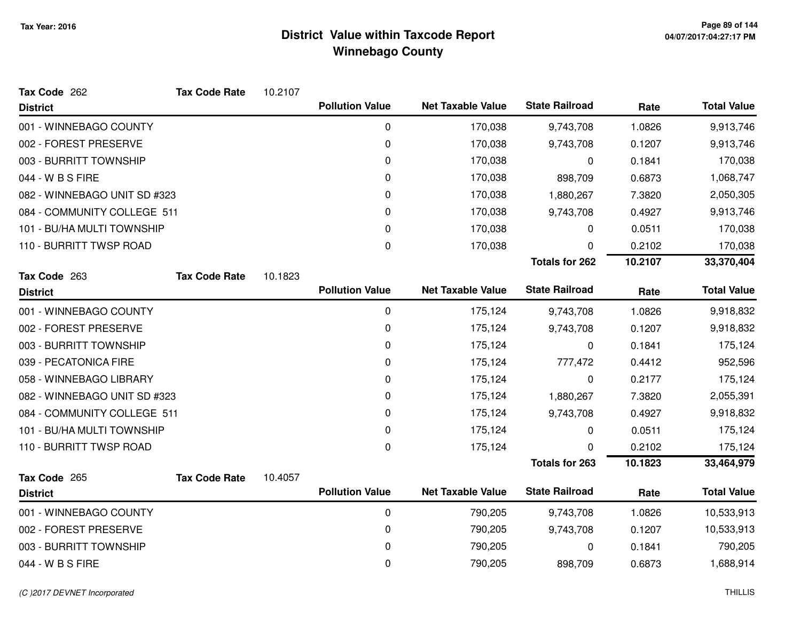| Tax Code 262                 | <b>Tax Code Rate</b> | 10.2107 |                        |                          |                       |         |                    |
|------------------------------|----------------------|---------|------------------------|--------------------------|-----------------------|---------|--------------------|
| <b>District</b>              |                      |         | <b>Pollution Value</b> | <b>Net Taxable Value</b> | <b>State Railroad</b> | Rate    | <b>Total Value</b> |
| 001 - WINNEBAGO COUNTY       |                      |         | $\mathbf 0$            | 170,038                  | 9,743,708             | 1.0826  | 9,913,746          |
| 002 - FOREST PRESERVE        |                      |         | 0                      | 170,038                  | 9,743,708             | 0.1207  | 9,913,746          |
| 003 - BURRITT TOWNSHIP       |                      |         | 0                      | 170,038                  | 0                     | 0.1841  | 170,038            |
| 044 - W B S FIRE             |                      |         | 0                      | 170,038                  | 898,709               | 0.6873  | 1,068,747          |
| 082 - WINNEBAGO UNIT SD #323 |                      |         | 0                      | 170,038                  | 1,880,267             | 7.3820  | 2,050,305          |
| 084 - COMMUNITY COLLEGE 511  |                      |         | 0                      | 170,038                  | 9,743,708             | 0.4927  | 9,913,746          |
| 101 - BU/HA MULTI TOWNSHIP   |                      |         | 0                      | 170,038                  | 0                     | 0.0511  | 170,038            |
| 110 - BURRITT TWSP ROAD      |                      |         | 0                      | 170,038                  | 0                     | 0.2102  | 170,038            |
|                              |                      |         |                        |                          | <b>Totals for 262</b> | 10.2107 | 33,370,404         |
| Tax Code 263                 | <b>Tax Code Rate</b> | 10.1823 |                        |                          |                       |         |                    |
| <b>District</b>              |                      |         | <b>Pollution Value</b> | <b>Net Taxable Value</b> | <b>State Railroad</b> | Rate    | <b>Total Value</b> |
| 001 - WINNEBAGO COUNTY       |                      |         | $\mathbf 0$            | 175,124                  | 9,743,708             | 1.0826  | 9,918,832          |
| 002 - FOREST PRESERVE        |                      |         | 0                      | 175,124                  | 9,743,708             | 0.1207  | 9,918,832          |
| 003 - BURRITT TOWNSHIP       |                      |         | 0                      | 175,124                  | 0                     | 0.1841  | 175,124            |
| 039 - PECATONICA FIRE        |                      |         | 0                      | 175,124                  | 777,472               | 0.4412  | 952,596            |
| 058 - WINNEBAGO LIBRARY      |                      |         | 0                      | 175,124                  | 0                     | 0.2177  | 175,124            |
| 082 - WINNEBAGO UNIT SD #323 |                      |         | 0                      | 175,124                  | 1,880,267             | 7.3820  | 2,055,391          |
| 084 - COMMUNITY COLLEGE 511  |                      |         | 0                      | 175,124                  | 9,743,708             | 0.4927  | 9,918,832          |
| 101 - BU/HA MULTI TOWNSHIP   |                      |         | 0                      | 175,124                  | 0                     | 0.0511  | 175,124            |
| 110 - BURRITT TWSP ROAD      |                      |         | 0                      | 175,124                  | 0                     | 0.2102  | 175,124            |
|                              |                      |         |                        |                          | <b>Totals for 263</b> | 10.1823 | 33,464,979         |
| Tax Code 265                 | <b>Tax Code Rate</b> | 10.4057 |                        |                          |                       |         |                    |
| <b>District</b>              |                      |         | <b>Pollution Value</b> | <b>Net Taxable Value</b> | <b>State Railroad</b> | Rate    | <b>Total Value</b> |
| 001 - WINNEBAGO COUNTY       |                      |         | $\mathbf 0$            | 790,205                  | 9,743,708             | 1.0826  | 10,533,913         |
| 002 - FOREST PRESERVE        |                      |         | 0                      | 790,205                  | 9,743,708             | 0.1207  | 10,533,913         |
| 003 - BURRITT TOWNSHIP       |                      |         | 0                      | 790,205                  | 0                     | 0.1841  | 790,205            |
| 044 - W B S FIRE             |                      |         | 0                      | 790,205                  | 898,709               | 0.6873  | 1,688,914          |
|                              |                      |         |                        |                          |                       |         |                    |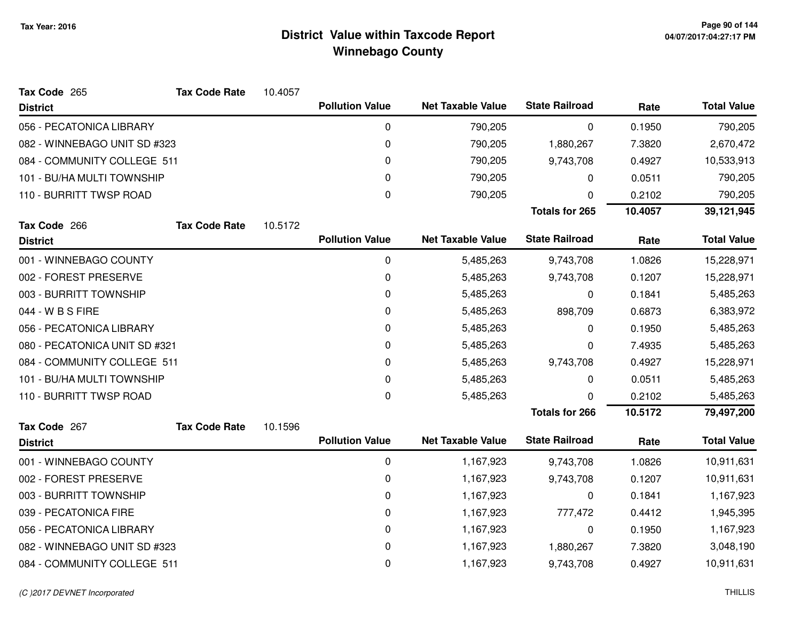| Tax Code 265                  | <b>Tax Code Rate</b> | 10.4057 |                        |                          |                       |         |                    |
|-------------------------------|----------------------|---------|------------------------|--------------------------|-----------------------|---------|--------------------|
| <b>District</b>               |                      |         | <b>Pollution Value</b> | <b>Net Taxable Value</b> | <b>State Railroad</b> | Rate    | <b>Total Value</b> |
| 056 - PECATONICA LIBRARY      |                      |         | 0                      | 790,205                  | 0                     | 0.1950  | 790,205            |
| 082 - WINNEBAGO UNIT SD #323  |                      |         | 0                      | 790,205                  | 1,880,267             | 7.3820  | 2,670,472          |
| 084 - COMMUNITY COLLEGE 511   |                      |         | 0                      | 790,205                  | 9,743,708             | 0.4927  | 10,533,913         |
| 101 - BU/HA MULTI TOWNSHIP    |                      |         | 0                      | 790,205                  | 0                     | 0.0511  | 790,205            |
| 110 - BURRITT TWSP ROAD       |                      |         | $\pmb{0}$              | 790,205                  | 0                     | 0.2102  | 790,205            |
|                               |                      |         |                        |                          | <b>Totals for 265</b> | 10.4057 | 39,121,945         |
| Tax Code 266                  | <b>Tax Code Rate</b> | 10.5172 |                        |                          |                       |         |                    |
| <b>District</b>               |                      |         | <b>Pollution Value</b> | <b>Net Taxable Value</b> | <b>State Railroad</b> | Rate    | <b>Total Value</b> |
| 001 - WINNEBAGO COUNTY        |                      |         | 0                      | 5,485,263                | 9,743,708             | 1.0826  | 15,228,971         |
| 002 - FOREST PRESERVE         |                      |         | 0                      | 5,485,263                | 9,743,708             | 0.1207  | 15,228,971         |
| 003 - BURRITT TOWNSHIP        |                      |         | 0                      | 5,485,263                | 0                     | 0.1841  | 5,485,263          |
| 044 - W B S FIRE              |                      |         | 0                      | 5,485,263                | 898,709               | 0.6873  | 6,383,972          |
| 056 - PECATONICA LIBRARY      |                      |         | 0                      | 5,485,263                | 0                     | 0.1950  | 5,485,263          |
| 080 - PECATONICA UNIT SD #321 |                      |         | 0                      | 5,485,263                | 0                     | 7.4935  | 5,485,263          |
| 084 - COMMUNITY COLLEGE 511   |                      |         | 0                      | 5,485,263                | 9,743,708             | 0.4927  | 15,228,971         |
| 101 - BU/HA MULTI TOWNSHIP    |                      |         | 0                      | 5,485,263                | 0                     | 0.0511  | 5,485,263          |
| 110 - BURRITT TWSP ROAD       |                      |         | $\pmb{0}$              | 5,485,263                | 0                     | 0.2102  | 5,485,263          |
|                               |                      |         |                        |                          | <b>Totals for 266</b> | 10.5172 | 79,497,200         |
| Tax Code 267                  | <b>Tax Code Rate</b> | 10.1596 |                        |                          |                       |         |                    |
| <b>District</b>               |                      |         | <b>Pollution Value</b> | <b>Net Taxable Value</b> | <b>State Railroad</b> | Rate    | <b>Total Value</b> |
| 001 - WINNEBAGO COUNTY        |                      |         | $\pmb{0}$              | 1,167,923                | 9,743,708             | 1.0826  | 10,911,631         |
| 002 - FOREST PRESERVE         |                      |         | 0                      | 1,167,923                | 9,743,708             | 0.1207  | 10,911,631         |
| 003 - BURRITT TOWNSHIP        |                      |         | 0                      | 1,167,923                | 0                     | 0.1841  | 1,167,923          |
| 039 - PECATONICA FIRE         |                      |         | 0                      | 1,167,923                | 777,472               | 0.4412  | 1,945,395          |
| 056 - PECATONICA LIBRARY      |                      |         | 0                      | 1,167,923                | 0                     | 0.1950  | 1,167,923          |
| 082 - WINNEBAGO UNIT SD #323  |                      |         | 0                      | 1,167,923                | 1,880,267             | 7.3820  | 3,048,190          |
| 084 - COMMUNITY COLLEGE 511   |                      |         | 0                      | 1,167,923                | 9,743,708             | 0.4927  | 10,911,631         |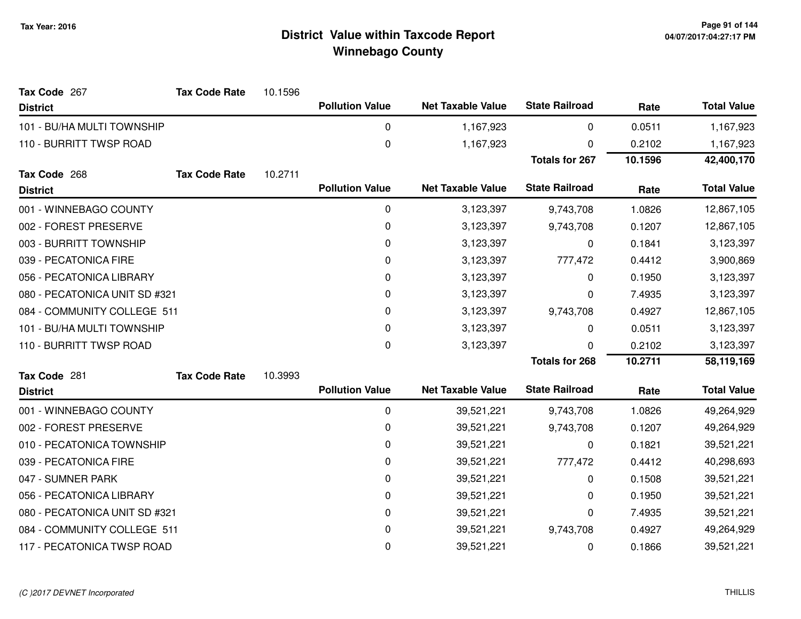| <b>District</b>               |                      |         | <b>Pollution Value</b> | <b>Net Taxable Value</b> | <b>State Railroad</b> | Rate      | <b>Total Value</b> |
|-------------------------------|----------------------|---------|------------------------|--------------------------|-----------------------|-----------|--------------------|
| 101 - BU/HA MULTI TOWNSHIP    |                      |         | $\mathbf 0$            | 1,167,923                | 0                     | 0.0511    | 1,167,923          |
| 110 - BURRITT TWSP ROAD       |                      |         | 0                      | 1,167,923                | 0                     | 0.2102    | 1,167,923          |
|                               |                      |         |                        |                          | <b>Totals for 267</b> | 10.1596   | 42,400,170         |
| Tax Code 268                  | <b>Tax Code Rate</b> | 10.2711 |                        |                          |                       |           |                    |
| <b>District</b>               |                      |         | <b>Pollution Value</b> | <b>Net Taxable Value</b> | <b>State Railroad</b> | Rate      | <b>Total Value</b> |
| 001 - WINNEBAGO COUNTY        |                      |         | 0                      | 3,123,397                | 9,743,708             | 1.0826    | 12,867,105         |
| 002 - FOREST PRESERVE         |                      |         | 0                      | 3,123,397                | 9,743,708             | 0.1207    | 12,867,105         |
| 003 - BURRITT TOWNSHIP        |                      |         | 0                      | 3,123,397                | 0                     | 0.1841    | 3,123,397          |
| 039 - PECATONICA FIRE         |                      |         | 0                      | 3,123,397                | 777,472               | 0.4412    | 3,900,869          |
| 056 - PECATONICA LIBRARY      |                      |         | 0                      | 3,123,397                | 0                     | 0.1950    | 3,123,397          |
| 080 - PECATONICA UNIT SD #321 |                      | 0       | 3,123,397              | 0                        | 7.4935                | 3,123,397 |                    |
| 084 - COMMUNITY COLLEGE 511   |                      |         | 0                      | 3,123,397                | 9,743,708             | 0.4927    | 12,867,105         |
| 101 - BU/HA MULTI TOWNSHIP    |                      |         | 0                      | 3,123,397                | 0                     | 0.0511    | 3,123,397          |
| 110 - BURRITT TWSP ROAD       |                      |         | 0                      | 3,123,397                | U                     | 0.2102    | 3,123,397          |
|                               |                      |         |                        |                          | <b>Totals for 268</b> | 10.2711   | 58,119,169         |
| Tax Code 281                  | <b>Tax Code Rate</b> | 10.3993 |                        |                          |                       |           |                    |
| <b>District</b>               |                      |         | <b>Pollution Value</b> | <b>Net Taxable Value</b> | <b>State Railroad</b> | Rate      | <b>Total Value</b> |
| 001 - WINNEBAGO COUNTY        |                      |         | 0                      | 39,521,221               | 9,743,708             | 1.0826    | 49,264,929         |
| 002 - FOREST PRESERVE         |                      |         | 0                      | 39,521,221               | 9,743,708             | 0.1207    | 49,264,929         |
| 010 - PECATONICA TOWNSHIP     |                      |         | 0                      | 39,521,221               | 0                     | 0.1821    | 39,521,221         |
| 039 - PECATONICA FIRE         |                      |         | 0                      | 39,521,221               | 777,472               | 0.4412    | 40,298,693         |
| 047 - SUMNER PARK             |                      |         | 0                      | 39,521,221               | 0                     | 0.1508    | 39,521,221         |
| 056 - PECATONICA LIBRARY      |                      |         | 0                      | 39,521,221               | 0                     | 0.1950    | 39,521,221         |
| 080 - PECATONICA UNIT SD #321 |                      |         | $\pmb{0}$              | 39,521,221               | 0                     | 7.4935    | 39,521,221         |
| 084 - COMMUNITY COLLEGE 511   |                      |         | 0                      | 39,521,221               | 9,743,708             | 0.4927    | 49,264,929         |
| 117 - PECATONICA TWSP ROAD    |                      |         | $\pmb{0}$              | 39,521,221               | 0                     | 0.1866    | 39,521,221         |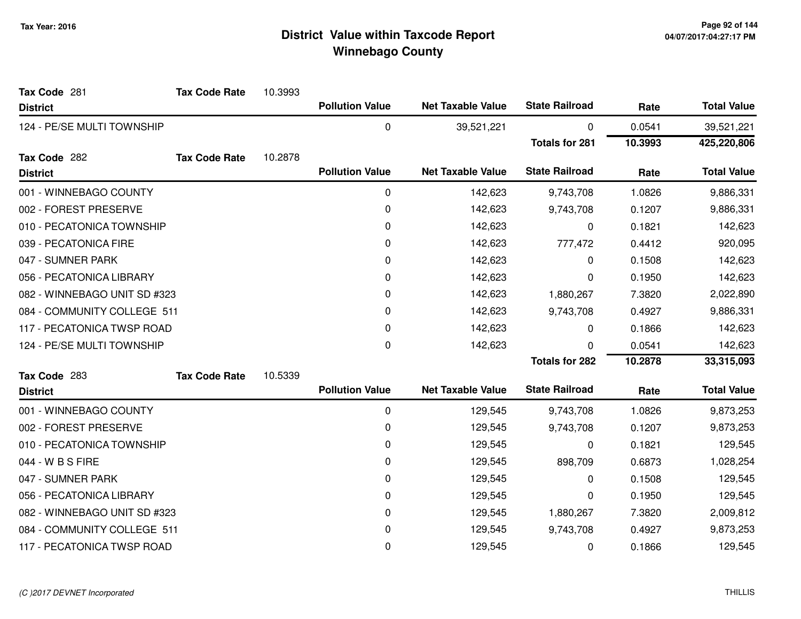| Tax Code 281                 | <b>Tax Code Rate</b> | 10.3993 |                        |                          |                       |         |                    |
|------------------------------|----------------------|---------|------------------------|--------------------------|-----------------------|---------|--------------------|
| <b>District</b>              |                      |         | <b>Pollution Value</b> | <b>Net Taxable Value</b> | <b>State Railroad</b> | Rate    | <b>Total Value</b> |
| 124 - PE/SE MULTI TOWNSHIP   |                      |         | $\mathbf 0$            | 39,521,221               | 0                     | 0.0541  | 39,521,221         |
|                              |                      |         |                        |                          | <b>Totals for 281</b> | 10.3993 | 425,220,806        |
| Tax Code 282                 | <b>Tax Code Rate</b> | 10.2878 |                        |                          |                       |         |                    |
| <b>District</b>              |                      |         | <b>Pollution Value</b> | <b>Net Taxable Value</b> | <b>State Railroad</b> | Rate    | <b>Total Value</b> |
| 001 - WINNEBAGO COUNTY       |                      |         | 0                      | 142,623                  | 9,743,708             | 1.0826  | 9,886,331          |
| 002 - FOREST PRESERVE        |                      |         | 0                      | 142,623                  | 9,743,708             | 0.1207  | 9,886,331          |
| 010 - PECATONICA TOWNSHIP    |                      |         | 0                      | 142,623                  | 0                     | 0.1821  | 142,623            |
| 039 - PECATONICA FIRE        |                      |         | 0                      | 142,623                  | 777,472               | 0.4412  | 920,095            |
| 047 - SUMNER PARK            |                      |         | 0                      | 142,623                  | 0                     | 0.1508  | 142,623            |
| 056 - PECATONICA LIBRARY     |                      |         | 0                      | 142,623                  | 0                     | 0.1950  | 142,623            |
| 082 - WINNEBAGO UNIT SD #323 |                      |         | 0                      | 142,623                  | 1,880,267             | 7.3820  | 2,022,890          |
| 084 - COMMUNITY COLLEGE 511  |                      |         | 0                      | 142,623                  | 9,743,708             | 0.4927  | 9,886,331          |
| 117 - PECATONICA TWSP ROAD   |                      |         | 0                      | 142,623                  | 0                     | 0.1866  | 142,623            |
| 124 - PE/SE MULTI TOWNSHIP   |                      |         | 0                      | 142,623                  | 0                     | 0.0541  | 142,623            |
|                              |                      |         |                        |                          | <b>Totals for 282</b> | 10.2878 | 33,315,093         |
| Tax Code 283                 | <b>Tax Code Rate</b> | 10.5339 |                        |                          |                       |         |                    |
| <b>District</b>              |                      |         | <b>Pollution Value</b> | <b>Net Taxable Value</b> | <b>State Railroad</b> | Rate    | <b>Total Value</b> |
| 001 - WINNEBAGO COUNTY       |                      |         | 0                      | 129,545                  | 9,743,708             | 1.0826  | 9,873,253          |
| 002 - FOREST PRESERVE        |                      |         | 0                      | 129,545                  | 9,743,708             | 0.1207  | 9,873,253          |
| 010 - PECATONICA TOWNSHIP    |                      |         | 0                      | 129,545                  | 0                     | 0.1821  | 129,545            |
| 044 - W B S FIRE             |                      |         | 0                      | 129,545                  | 898,709               | 0.6873  | 1,028,254          |
| 047 - SUMNER PARK            |                      |         | 0                      | 129,545                  | 0                     | 0.1508  | 129,545            |
| 056 - PECATONICA LIBRARY     |                      |         | 0                      | 129,545                  | 0                     | 0.1950  | 129,545            |
| 082 - WINNEBAGO UNIT SD #323 |                      |         | 0                      | 129,545                  | 1,880,267             | 7.3820  | 2,009,812          |
| 084 - COMMUNITY COLLEGE 511  |                      |         | 0                      | 129,545                  | 9,743,708             | 0.4927  | 9,873,253          |
| 117 - PECATONICA TWSP ROAD   |                      |         | 0                      | 129,545                  | 0                     | 0.1866  | 129,545            |
|                              |                      |         |                        |                          |                       |         |                    |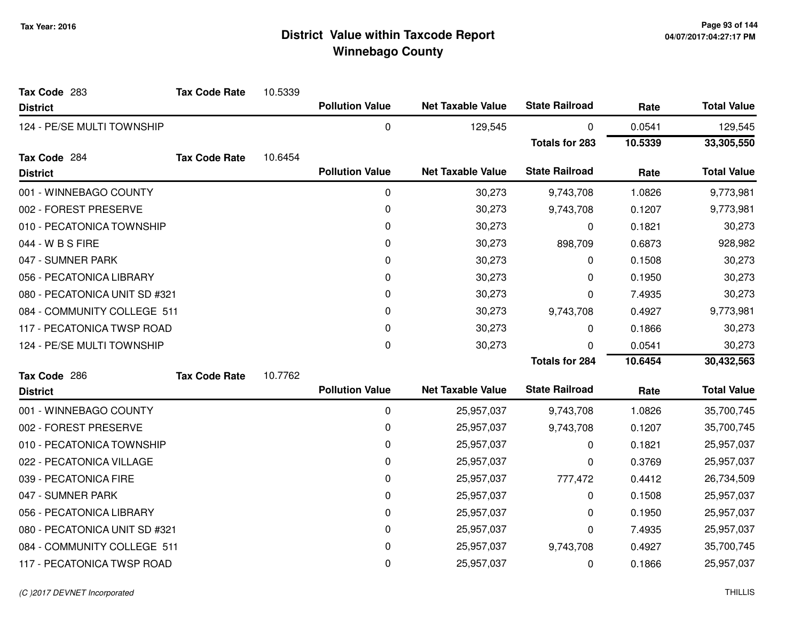| Tax Code 283                  | <b>Tax Code Rate</b> | 10.5339 |                        |                          |                       |         |                    |
|-------------------------------|----------------------|---------|------------------------|--------------------------|-----------------------|---------|--------------------|
| <b>District</b>               |                      |         | <b>Pollution Value</b> | <b>Net Taxable Value</b> | <b>State Railroad</b> | Rate    | <b>Total Value</b> |
| 124 - PE/SE MULTI TOWNSHIP    |                      |         | 0                      | 129,545                  | 0                     | 0.0541  | 129,545            |
|                               |                      |         |                        |                          | <b>Totals for 283</b> | 10.5339 | 33,305,550         |
| Tax Code 284                  | <b>Tax Code Rate</b> | 10.6454 |                        |                          |                       |         |                    |
| <b>District</b>               |                      |         | <b>Pollution Value</b> | <b>Net Taxable Value</b> | <b>State Railroad</b> | Rate    | <b>Total Value</b> |
| 001 - WINNEBAGO COUNTY        |                      |         | 0                      | 30,273                   | 9,743,708             | 1.0826  | 9,773,981          |
| 002 - FOREST PRESERVE         |                      |         | 0                      | 30,273                   | 9,743,708             | 0.1207  | 9,773,981          |
| 010 - PECATONICA TOWNSHIP     |                      |         | 0                      | 30,273                   | 0                     | 0.1821  | 30,273             |
| 044 - W B S FIRE              |                      |         | 0                      | 30,273                   | 898,709               | 0.6873  | 928,982            |
| 047 - SUMNER PARK             |                      |         | 0                      | 30,273                   | 0                     | 0.1508  | 30,273             |
| 056 - PECATONICA LIBRARY      |                      |         | 0                      | 30,273                   | 0                     | 0.1950  | 30,273             |
| 080 - PECATONICA UNIT SD #321 |                      |         | 0                      | 30,273                   | 0                     | 7.4935  | 30,273             |
| 084 - COMMUNITY COLLEGE 511   |                      |         | 0                      | 30,273                   | 9,743,708             | 0.4927  | 9,773,981          |
| 117 - PECATONICA TWSP ROAD    |                      |         | 0                      | 30,273                   | 0                     | 0.1866  | 30,273             |
| 124 - PE/SE MULTI TOWNSHIP    |                      |         | 0                      | 30,273                   | 0                     | 0.0541  | 30,273             |
|                               |                      |         |                        |                          | <b>Totals for 284</b> | 10.6454 | 30,432,563         |
| Tax Code 286                  | <b>Tax Code Rate</b> | 10.7762 |                        |                          |                       |         |                    |
| <b>District</b>               |                      |         | <b>Pollution Value</b> | <b>Net Taxable Value</b> | <b>State Railroad</b> | Rate    | <b>Total Value</b> |
| 001 - WINNEBAGO COUNTY        |                      |         | $\pmb{0}$              | 25,957,037               | 9,743,708             | 1.0826  | 35,700,745         |
| 002 - FOREST PRESERVE         |                      |         | 0                      | 25,957,037               | 9,743,708             | 0.1207  | 35,700,745         |
| 010 - PECATONICA TOWNSHIP     |                      |         | 0                      | 25,957,037               | 0                     | 0.1821  | 25,957,037         |
| 022 - PECATONICA VILLAGE      |                      |         | 0                      | 25,957,037               | 0                     | 0.3769  | 25,957,037         |
| 039 - PECATONICA FIRE         |                      |         | 0                      | 25,957,037               | 777,472               | 0.4412  | 26,734,509         |
| 047 - SUMNER PARK             |                      |         | 0                      | 25,957,037               | 0                     | 0.1508  | 25,957,037         |
| 056 - PECATONICA LIBRARY      |                      |         | 0                      | 25,957,037               | 0                     | 0.1950  | 25,957,037         |
| 080 - PECATONICA UNIT SD #321 |                      |         | 0                      | 25,957,037               | 0                     | 7.4935  | 25,957,037         |
| 084 - COMMUNITY COLLEGE 511   |                      |         | 0                      | 25,957,037               | 9,743,708             | 0.4927  | 35,700,745         |
| 117 - PECATONICA TWSP ROAD    |                      |         | 0                      | 25,957,037               | 0                     | 0.1866  | 25,957,037         |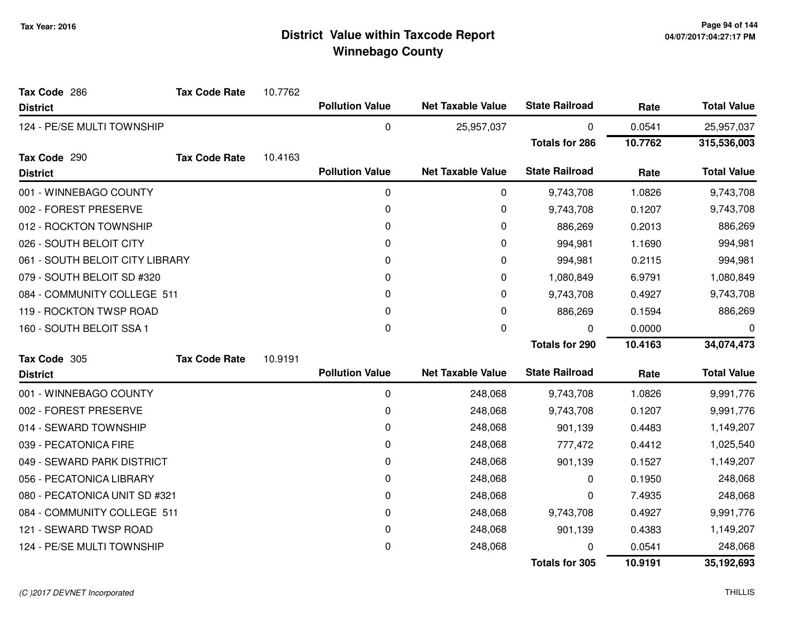| Tax Code 286                    | <b>Tax Code Rate</b> | 10.7762 |                        |                          |                       |         |                    |
|---------------------------------|----------------------|---------|------------------------|--------------------------|-----------------------|---------|--------------------|
| <b>District</b>                 |                      |         | <b>Pollution Value</b> | <b>Net Taxable Value</b> | <b>State Railroad</b> | Rate    | <b>Total Value</b> |
| 124 - PE/SE MULTI TOWNSHIP      |                      |         | 0                      | 25,957,037               | 0                     | 0.0541  | 25,957,037         |
|                                 |                      |         |                        |                          | <b>Totals for 286</b> | 10.7762 | 315,536,003        |
| Tax Code 290                    | <b>Tax Code Rate</b> | 10.4163 |                        |                          |                       |         |                    |
| <b>District</b>                 |                      |         | <b>Pollution Value</b> | <b>Net Taxable Value</b> | <b>State Railroad</b> | Rate    | <b>Total Value</b> |
| 001 - WINNEBAGO COUNTY          |                      |         | 0                      | 0                        | 9,743,708             | 1.0826  | 9,743,708          |
| 002 - FOREST PRESERVE           |                      |         | 0                      | 0                        | 9,743,708             | 0.1207  | 9,743,708          |
| 012 - ROCKTON TOWNSHIP          |                      |         | 0                      | 0                        | 886,269               | 0.2013  | 886,269            |
| 026 - SOUTH BELOIT CITY         |                      |         | 0                      | 0                        | 994,981               | 1.1690  | 994,981            |
| 061 - SOUTH BELOIT CITY LIBRARY |                      |         | 0                      | 0                        | 994,981               | 0.2115  | 994,981            |
| 079 - SOUTH BELOIT SD #320      |                      |         | 0                      | 0                        | 1,080,849             | 6.9791  | 1,080,849          |
| 084 - COMMUNITY COLLEGE 511     |                      |         | 0                      | 0                        | 9,743,708             | 0.4927  | 9,743,708          |
| 119 - ROCKTON TWSP ROAD         |                      |         | 0                      | 0                        | 886,269               | 0.1594  | 886,269            |
| 160 - SOUTH BELOIT SSA 1        |                      |         | 0                      | 0                        | 0                     | 0.0000  | 0                  |
|                                 |                      |         |                        |                          | <b>Totals for 290</b> | 10.4163 | 34,074,473         |
| Tax Code 305                    | <b>Tax Code Rate</b> | 10.9191 |                        |                          |                       |         |                    |
| <b>District</b>                 |                      |         | <b>Pollution Value</b> | <b>Net Taxable Value</b> | <b>State Railroad</b> | Rate    | <b>Total Value</b> |
| 001 - WINNEBAGO COUNTY          |                      |         | 0                      | 248,068                  | 9,743,708             | 1.0826  | 9,991,776          |
| 002 - FOREST PRESERVE           |                      |         | 0                      | 248,068                  | 9,743,708             | 0.1207  | 9,991,776          |
| 014 - SEWARD TOWNSHIP           |                      |         | 0                      | 248,068                  | 901,139               | 0.4483  | 1,149,207          |
| 039 - PECATONICA FIRE           |                      |         | 0                      | 248,068                  | 777,472               | 0.4412  | 1,025,540          |
| 049 - SEWARD PARK DISTRICT      |                      |         | 0                      | 248,068                  | 901,139               | 0.1527  | 1,149,207          |
| 056 - PECATONICA LIBRARY        |                      |         | 0                      | 248,068                  | 0                     | 0.1950  | 248,068            |
| 080 - PECATONICA UNIT SD #321   |                      |         | 0                      | 248,068                  | 0                     | 7.4935  | 248,068            |
| 084 - COMMUNITY COLLEGE 511     |                      |         | 0                      | 248,068                  | 9,743,708             | 0.4927  | 9,991,776          |
| 121 - SEWARD TWSP ROAD          |                      |         | 0                      | 248,068                  | 901,139               | 0.4383  | 1,149,207          |
| 124 - PE/SE MULTI TOWNSHIP      |                      |         | 0                      | 248,068                  | 0                     | 0.0541  | 248,068            |
|                                 |                      |         |                        |                          | <b>Totals for 305</b> | 10.9191 | 35,192,693         |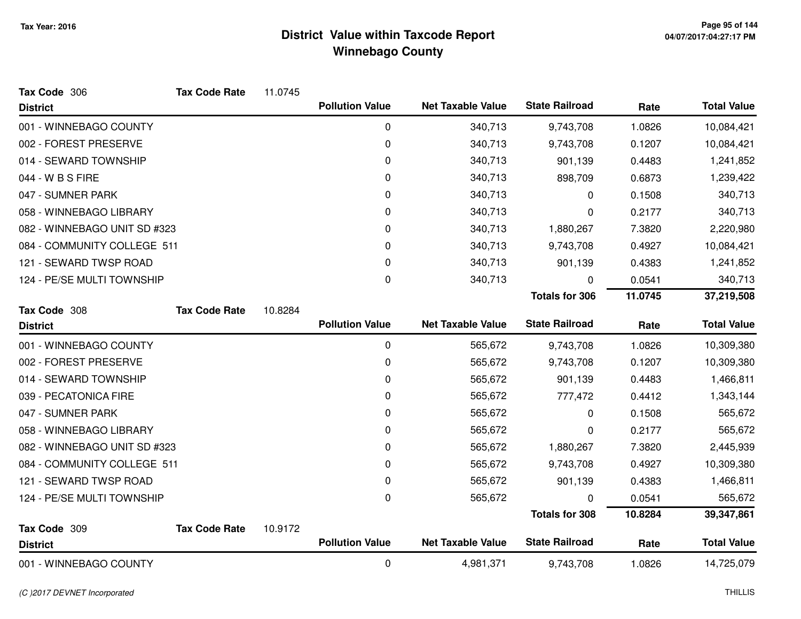| Tax Code 306                 | <b>Tax Code Rate</b> | 11.0745 |                        |                          |                       |         |                    |
|------------------------------|----------------------|---------|------------------------|--------------------------|-----------------------|---------|--------------------|
| <b>District</b>              |                      |         | <b>Pollution Value</b> | <b>Net Taxable Value</b> | <b>State Railroad</b> | Rate    | <b>Total Value</b> |
| 001 - WINNEBAGO COUNTY       |                      |         | $\mathbf 0$            | 340,713                  | 9,743,708             | 1.0826  | 10,084,421         |
| 002 - FOREST PRESERVE        |                      |         | 0                      | 340,713                  | 9,743,708             | 0.1207  | 10,084,421         |
| 014 - SEWARD TOWNSHIP        |                      |         | 0                      | 340,713                  | 901,139               | 0.4483  | 1,241,852          |
| 044 - W B S FIRE             |                      |         | 0                      | 340,713                  | 898,709               | 0.6873  | 1,239,422          |
| 047 - SUMNER PARK            |                      |         | 0                      | 340,713                  | 0                     | 0.1508  | 340,713            |
| 058 - WINNEBAGO LIBRARY      |                      |         | 0                      | 340,713                  | 0                     | 0.2177  | 340,713            |
| 082 - WINNEBAGO UNIT SD #323 |                      |         | 0                      | 340,713                  | 1,880,267             | 7.3820  | 2,220,980          |
| 084 - COMMUNITY COLLEGE 511  |                      |         | 0                      | 340,713                  | 9,743,708             | 0.4927  | 10,084,421         |
| 121 - SEWARD TWSP ROAD       |                      |         | 0                      | 340,713                  | 901,139               | 0.4383  | 1,241,852          |
| 124 - PE/SE MULTI TOWNSHIP   |                      |         | $\pmb{0}$              | 340,713                  | 0                     | 0.0541  | 340,713            |
|                              |                      |         |                        |                          | <b>Totals for 306</b> | 11.0745 | 37,219,508         |
| Tax Code 308                 | <b>Tax Code Rate</b> | 10.8284 |                        |                          |                       |         |                    |
| <b>District</b>              |                      |         | <b>Pollution Value</b> | <b>Net Taxable Value</b> | <b>State Railroad</b> | Rate    | <b>Total Value</b> |
| 001 - WINNEBAGO COUNTY       |                      |         | $\mathbf 0$            | 565,672                  | 9,743,708             | 1.0826  | 10,309,380         |
| 002 - FOREST PRESERVE        |                      |         | $\pmb{0}$              | 565,672                  | 9,743,708             | 0.1207  | 10,309,380         |
| 014 - SEWARD TOWNSHIP        |                      |         | 0                      | 565,672                  | 901,139               | 0.4483  | 1,466,811          |
| 039 - PECATONICA FIRE        |                      |         | 0                      | 565,672                  | 777,472               | 0.4412  | 1,343,144          |
| 047 - SUMNER PARK            |                      |         | 0                      | 565,672                  | 0                     | 0.1508  | 565,672            |
| 058 - WINNEBAGO LIBRARY      |                      |         | 0                      | 565,672                  | 0                     | 0.2177  | 565,672            |
| 082 - WINNEBAGO UNIT SD #323 |                      |         | 0                      | 565,672                  | 1,880,267             | 7.3820  | 2,445,939          |
| 084 - COMMUNITY COLLEGE 511  |                      |         | 0                      | 565,672                  | 9,743,708             | 0.4927  | 10,309,380         |
| 121 - SEWARD TWSP ROAD       |                      |         | 0                      | 565,672                  | 901,139               | 0.4383  | 1,466,811          |
| 124 - PE/SE MULTI TOWNSHIP   |                      |         | 0                      | 565,672                  | 0                     | 0.0541  | 565,672            |
|                              |                      |         |                        |                          | <b>Totals for 308</b> | 10.8284 | 39,347,861         |
| Tax Code 309                 | <b>Tax Code Rate</b> | 10.9172 |                        |                          |                       |         |                    |
| <b>District</b>              |                      |         | <b>Pollution Value</b> | <b>Net Taxable Value</b> | <b>State Railroad</b> | Rate    | <b>Total Value</b> |
| 001 - WINNEBAGO COUNTY       |                      |         | 0                      | 4,981,371                | 9,743,708             | 1.0826  | 14,725,079         |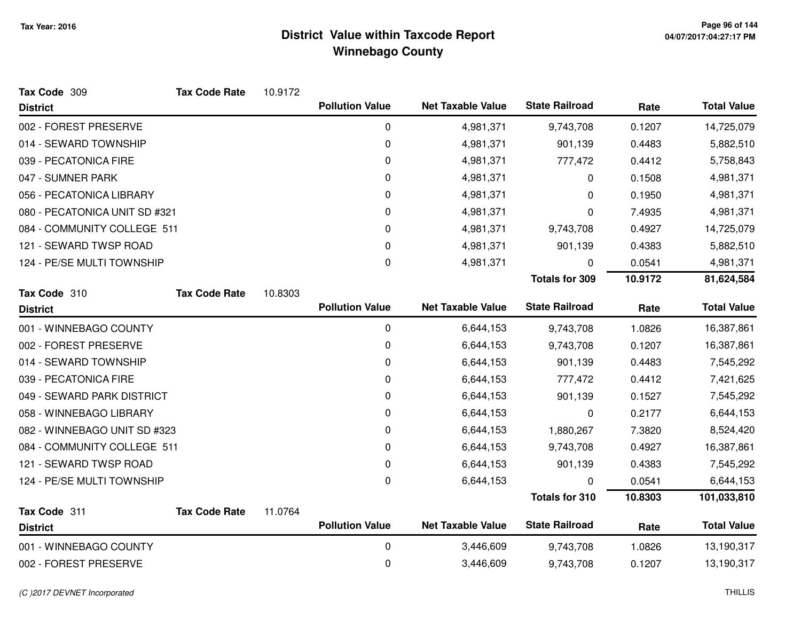| Tax Code 309                  | <b>Tax Code Rate</b> | 10.9172 |                        |                          |                       |         |                    |
|-------------------------------|----------------------|---------|------------------------|--------------------------|-----------------------|---------|--------------------|
| <b>District</b>               |                      |         | <b>Pollution Value</b> | <b>Net Taxable Value</b> | <b>State Railroad</b> | Rate    | <b>Total Value</b> |
| 002 - FOREST PRESERVE         |                      |         | 0                      | 4,981,371                | 9,743,708             | 0.1207  | 14,725,079         |
| 014 - SEWARD TOWNSHIP         |                      |         | 0                      | 4,981,371                | 901,139               | 0.4483  | 5,882,510          |
| 039 - PECATONICA FIRE         |                      |         | 0                      | 4,981,371                | 777,472               | 0.4412  | 5,758,843          |
| 047 - SUMNER PARK             |                      |         | 0                      | 4,981,371                | 0                     | 0.1508  | 4,981,371          |
| 056 - PECATONICA LIBRARY      |                      |         | 0                      | 4,981,371                | 0                     | 0.1950  | 4,981,371          |
| 080 - PECATONICA UNIT SD #321 |                      |         | 0                      | 4,981,371                | 0                     | 7.4935  | 4,981,371          |
| 084 - COMMUNITY COLLEGE 511   |                      |         | 0                      | 4,981,371                | 9,743,708             | 0.4927  | 14,725,079         |
| 121 - SEWARD TWSP ROAD        |                      |         | 0                      | 4,981,371                | 901,139               | 0.4383  | 5,882,510          |
| 124 - PE/SE MULTI TOWNSHIP    |                      |         | $\mathbf{0}$           | 4,981,371                | 0                     | 0.0541  | 4,981,371          |
|                               |                      |         |                        |                          | <b>Totals for 309</b> | 10.9172 | 81,624,584         |
| Tax Code 310                  | <b>Tax Code Rate</b> | 10.8303 |                        |                          |                       |         |                    |
| <b>District</b>               |                      |         | <b>Pollution Value</b> | <b>Net Taxable Value</b> | <b>State Railroad</b> | Rate    | <b>Total Value</b> |
| 001 - WINNEBAGO COUNTY        |                      |         | 0                      | 6,644,153                | 9,743,708             | 1.0826  | 16,387,861         |
| 002 - FOREST PRESERVE         |                      |         | 0                      | 6,644,153                | 9,743,708             | 0.1207  | 16,387,861         |
| 014 - SEWARD TOWNSHIP         |                      |         | 0                      | 6,644,153                | 901,139               | 0.4483  | 7,545,292          |
| 039 - PECATONICA FIRE         |                      |         | 0                      | 6,644,153                | 777,472               | 0.4412  | 7,421,625          |
| 049 - SEWARD PARK DISTRICT    |                      |         | 0                      | 6,644,153                | 901,139               | 0.1527  | 7,545,292          |
| 058 - WINNEBAGO LIBRARY       |                      |         | 0                      | 6,644,153                | 0                     | 0.2177  | 6,644,153          |
| 082 - WINNEBAGO UNIT SD #323  |                      |         | 0                      | 6,644,153                | 1,880,267             | 7.3820  | 8,524,420          |
| 084 - COMMUNITY COLLEGE 511   |                      |         | 0                      | 6,644,153                | 9,743,708             | 0.4927  | 16,387,861         |
| 121 - SEWARD TWSP ROAD        |                      |         | 0                      | 6,644,153                | 901,139               | 0.4383  | 7,545,292          |
| 124 - PE/SE MULTI TOWNSHIP    |                      |         | 0                      | 6,644,153                | 0                     | 0.0541  | 6,644,153          |
|                               |                      |         |                        |                          | <b>Totals for 310</b> | 10.8303 | 101,033,810        |
| Tax Code 311                  | <b>Tax Code Rate</b> | 11.0764 | <b>Pollution Value</b> | <b>Net Taxable Value</b> | <b>State Railroad</b> |         | <b>Total Value</b> |
| <b>District</b>               |                      |         |                        |                          |                       | Rate    |                    |
| 001 - WINNEBAGO COUNTY        |                      |         | $\pmb{0}$              | 3,446,609                | 9,743,708             | 1.0826  | 13,190,317         |
| 002 - FOREST PRESERVE         |                      |         | 0                      | 3,446,609                | 9,743,708             | 0.1207  | 13,190,317         |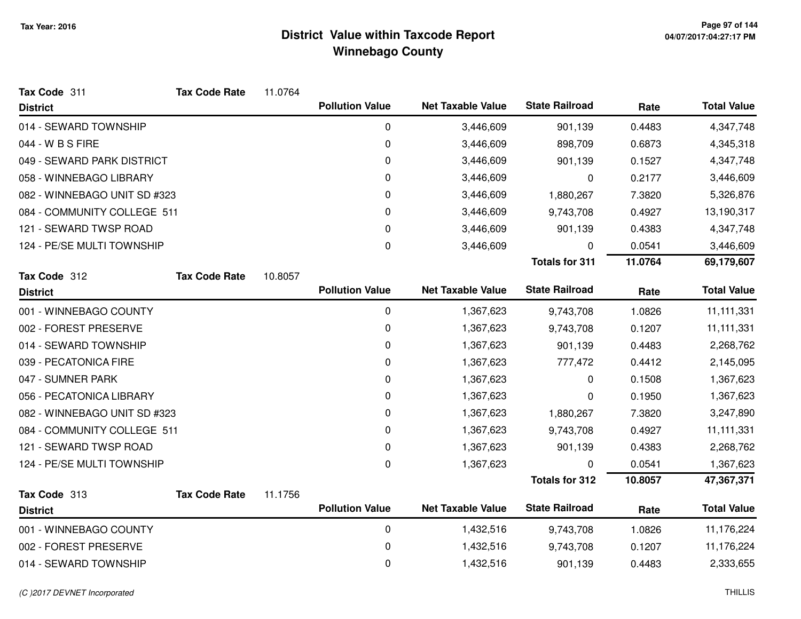| Tax Code 311                 | <b>Tax Code Rate</b> | 11.0764 |                        |                          |                       |         |                    |
|------------------------------|----------------------|---------|------------------------|--------------------------|-----------------------|---------|--------------------|
| <b>District</b>              |                      |         | <b>Pollution Value</b> | <b>Net Taxable Value</b> | <b>State Railroad</b> | Rate    | <b>Total Value</b> |
| 014 - SEWARD TOWNSHIP        |                      |         | 0                      | 3,446,609                | 901,139               | 0.4483  | 4,347,748          |
| 044 - W B S FIRE             |                      |         | 0                      | 3,446,609                | 898,709               | 0.6873  | 4,345,318          |
| 049 - SEWARD PARK DISTRICT   |                      |         | 0                      | 3,446,609                | 901,139               | 0.1527  | 4,347,748          |
| 058 - WINNEBAGO LIBRARY      |                      |         | 0                      | 3,446,609                | 0                     | 0.2177  | 3,446,609          |
| 082 - WINNEBAGO UNIT SD #323 |                      |         | 0                      | 3,446,609                | 1,880,267             | 7.3820  | 5,326,876          |
| 084 - COMMUNITY COLLEGE 511  |                      |         | 0                      | 3,446,609                | 9,743,708             | 0.4927  | 13,190,317         |
| 121 - SEWARD TWSP ROAD       |                      |         | 0                      | 3,446,609                | 901,139               | 0.4383  | 4,347,748          |
| 124 - PE/SE MULTI TOWNSHIP   |                      |         | 0                      | 3,446,609                | 0                     | 0.0541  | 3,446,609          |
|                              |                      |         |                        |                          | <b>Totals for 311</b> | 11.0764 | 69,179,607         |
| Tax Code 312                 | <b>Tax Code Rate</b> | 10.8057 |                        |                          |                       |         |                    |
| <b>District</b>              |                      |         | <b>Pollution Value</b> | <b>Net Taxable Value</b> | <b>State Railroad</b> | Rate    | <b>Total Value</b> |
| 001 - WINNEBAGO COUNTY       |                      |         | 0                      | 1,367,623                | 9,743,708             | 1.0826  | 11, 111, 331       |
| 002 - FOREST PRESERVE        |                      |         | 0                      | 1,367,623                | 9,743,708             | 0.1207  | 11, 111, 331       |
| 014 - SEWARD TOWNSHIP        |                      |         | 0                      | 1,367,623                | 901,139               | 0.4483  | 2,268,762          |
| 039 - PECATONICA FIRE        |                      |         | 0                      | 1,367,623                | 777,472               | 0.4412  | 2,145,095          |
| 047 - SUMNER PARK            |                      |         | 0                      | 1,367,623                | 0                     | 0.1508  | 1,367,623          |
| 056 - PECATONICA LIBRARY     |                      |         | 0                      | 1,367,623                | 0                     | 0.1950  | 1,367,623          |
| 082 - WINNEBAGO UNIT SD #323 |                      |         | 0                      | 1,367,623                | 1,880,267             | 7.3820  | 3,247,890          |
| 084 - COMMUNITY COLLEGE 511  |                      |         | 0                      | 1,367,623                | 9,743,708             | 0.4927  | 11, 111, 331       |
| 121 - SEWARD TWSP ROAD       |                      |         | 0                      | 1,367,623                | 901,139               | 0.4383  | 2,268,762          |
| 124 - PE/SE MULTI TOWNSHIP   |                      |         | 0                      | 1,367,623                | 0                     | 0.0541  | 1,367,623          |
|                              |                      |         |                        |                          | <b>Totals for 312</b> | 10.8057 | 47,367,371         |
| Tax Code 313                 | <b>Tax Code Rate</b> | 11.1756 |                        |                          |                       |         |                    |
| <b>District</b>              |                      |         | <b>Pollution Value</b> | <b>Net Taxable Value</b> | <b>State Railroad</b> | Rate    | <b>Total Value</b> |
| 001 - WINNEBAGO COUNTY       |                      |         | $\pmb{0}$              | 1,432,516                | 9,743,708             | 1.0826  | 11,176,224         |
| 002 - FOREST PRESERVE        |                      |         | 0                      | 1,432,516                | 9,743,708             | 0.1207  | 11,176,224         |
| 014 - SEWARD TOWNSHIP        |                      |         | 0                      | 1,432,516                | 901,139               | 0.4483  | 2,333,655          |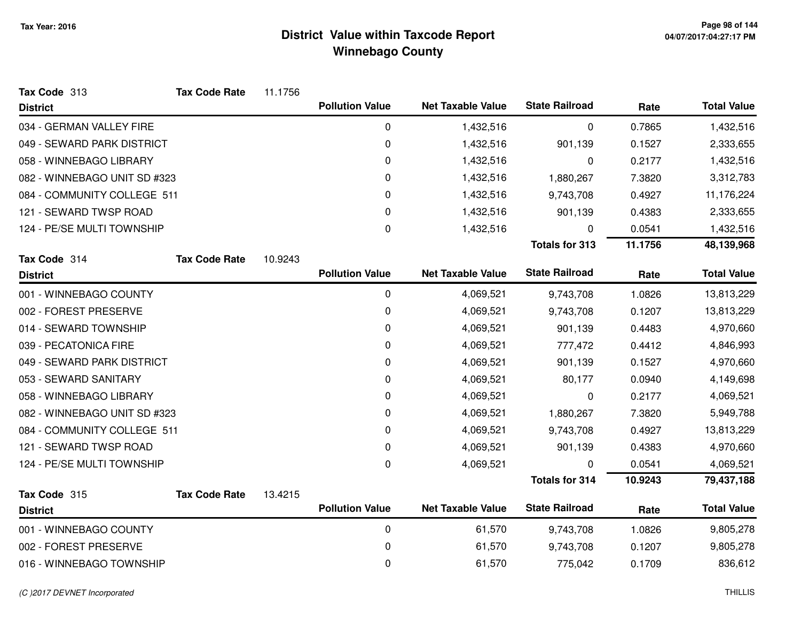| Tax Code 313                 | <b>Tax Code Rate</b> | 11.1756 |                        |                          |                       |         |                    |
|------------------------------|----------------------|---------|------------------------|--------------------------|-----------------------|---------|--------------------|
| <b>District</b>              |                      |         | <b>Pollution Value</b> | <b>Net Taxable Value</b> | <b>State Railroad</b> | Rate    | <b>Total Value</b> |
| 034 - GERMAN VALLEY FIRE     |                      |         | 0                      | 1,432,516                | 0                     | 0.7865  | 1,432,516          |
| 049 - SEWARD PARK DISTRICT   |                      |         | 0                      | 1,432,516                | 901,139               | 0.1527  | 2,333,655          |
| 058 - WINNEBAGO LIBRARY      |                      |         | 0                      | 1,432,516                | 0                     | 0.2177  | 1,432,516          |
| 082 - WINNEBAGO UNIT SD #323 |                      |         | 0                      | 1,432,516                | 1,880,267             | 7.3820  | 3,312,783          |
| 084 - COMMUNITY COLLEGE 511  |                      |         | 0                      | 1,432,516                | 9,743,708             | 0.4927  | 11,176,224         |
| 121 - SEWARD TWSP ROAD       |                      |         | 0                      | 1,432,516                | 901,139               | 0.4383  | 2,333,655          |
| 124 - PE/SE MULTI TOWNSHIP   |                      |         | 0                      | 1,432,516                | 0                     | 0.0541  | 1,432,516          |
|                              |                      |         |                        |                          | <b>Totals for 313</b> | 11.1756 | 48,139,968         |
| Tax Code 314                 | <b>Tax Code Rate</b> | 10.9243 |                        |                          |                       |         |                    |
| <b>District</b>              |                      |         | <b>Pollution Value</b> | <b>Net Taxable Value</b> | <b>State Railroad</b> | Rate    | <b>Total Value</b> |
| 001 - WINNEBAGO COUNTY       |                      |         | 0                      | 4,069,521                | 9,743,708             | 1.0826  | 13,813,229         |
| 002 - FOREST PRESERVE        |                      |         | 0                      | 4,069,521                | 9,743,708             | 0.1207  | 13,813,229         |
| 014 - SEWARD TOWNSHIP        |                      |         | 0                      | 4,069,521                | 901,139               | 0.4483  | 4,970,660          |
| 039 - PECATONICA FIRE        |                      |         | 0                      | 4,069,521                | 777,472               | 0.4412  | 4,846,993          |
| 049 - SEWARD PARK DISTRICT   |                      |         | 0                      | 4,069,521                | 901,139               | 0.1527  | 4,970,660          |
| 053 - SEWARD SANITARY        |                      |         | 0                      | 4,069,521                | 80,177                | 0.0940  | 4,149,698          |
| 058 - WINNEBAGO LIBRARY      |                      |         | 0                      | 4,069,521                | 0                     | 0.2177  | 4,069,521          |
| 082 - WINNEBAGO UNIT SD #323 |                      |         | 0                      | 4,069,521                | 1,880,267             | 7.3820  | 5,949,788          |
| 084 - COMMUNITY COLLEGE 511  |                      |         | 0                      | 4,069,521                | 9,743,708             | 0.4927  | 13,813,229         |
| 121 - SEWARD TWSP ROAD       |                      |         | 0                      | 4,069,521                | 901,139               | 0.4383  | 4,970,660          |
| 124 - PE/SE MULTI TOWNSHIP   |                      |         | 0                      | 4,069,521                | 0                     | 0.0541  | 4,069,521          |
|                              |                      |         |                        |                          | <b>Totals for 314</b> | 10.9243 | 79,437,188         |
| Tax Code 315                 | <b>Tax Code Rate</b> | 13.4215 |                        |                          |                       |         |                    |
| <b>District</b>              |                      |         | <b>Pollution Value</b> | <b>Net Taxable Value</b> | <b>State Railroad</b> | Rate    | <b>Total Value</b> |
| 001 - WINNEBAGO COUNTY       |                      |         | 0                      | 61,570                   | 9,743,708             | 1.0826  | 9,805,278          |
| 002 - FOREST PRESERVE        |                      |         | 0                      | 61,570                   | 9,743,708             | 0.1207  | 9,805,278          |
| 016 - WINNEBAGO TOWNSHIP     |                      |         | 0                      | 61,570                   | 775,042               | 0.1709  | 836,612            |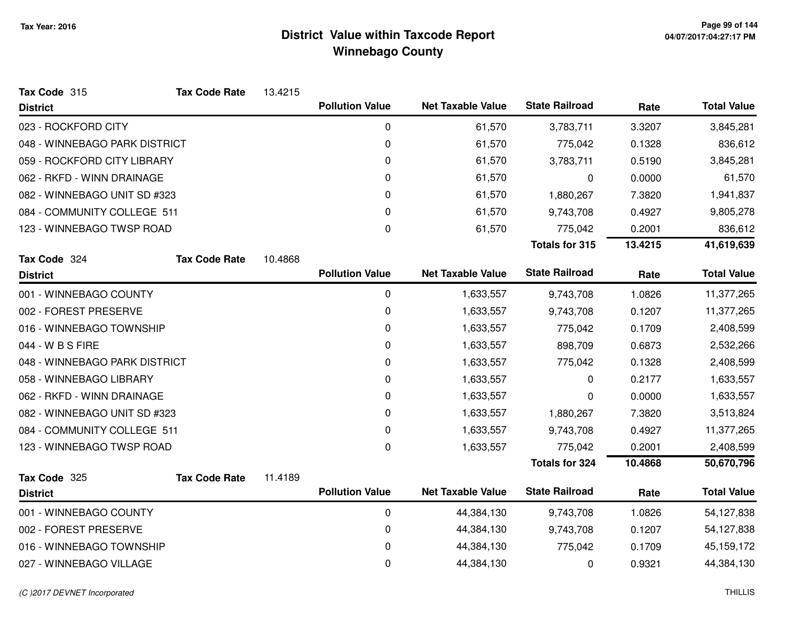| Tax Code 315                  | <b>Tax Code Rate</b> | 13.4215 |                        |                          |                       |         |                    |
|-------------------------------|----------------------|---------|------------------------|--------------------------|-----------------------|---------|--------------------|
| <b>District</b>               |                      |         | <b>Pollution Value</b> | <b>Net Taxable Value</b> | <b>State Railroad</b> | Rate    | <b>Total Value</b> |
| 023 - ROCKFORD CITY           |                      |         | 0                      | 61,570                   | 3,783,711             | 3.3207  | 3,845,281          |
| 048 - WINNEBAGO PARK DISTRICT |                      |         | $\pmb{0}$              | 61,570                   | 775,042               | 0.1328  | 836,612            |
| 059 - ROCKFORD CITY LIBRARY   |                      |         | 0                      | 61,570                   | 3,783,711             | 0.5190  | 3,845,281          |
| 062 - RKFD - WINN DRAINAGE    |                      |         | 0                      | 61,570                   | 0                     | 0.0000  | 61,570             |
| 082 - WINNEBAGO UNIT SD #323  |                      |         | 0                      | 61,570                   | 1,880,267             | 7.3820  | 1,941,837          |
| 084 - COMMUNITY COLLEGE 511   |                      |         | $\Omega$               | 61,570                   | 9,743,708             | 0.4927  | 9,805,278          |
| 123 - WINNEBAGO TWSP ROAD     |                      |         | $\pmb{0}$              | 61,570                   | 775,042               | 0.2001  | 836,612            |
|                               |                      |         |                        |                          | <b>Totals for 315</b> | 13.4215 | 41,619,639         |
| Tax Code 324                  | <b>Tax Code Rate</b> | 10.4868 |                        |                          |                       |         |                    |
| <b>District</b>               |                      |         | <b>Pollution Value</b> | <b>Net Taxable Value</b> | <b>State Railroad</b> | Rate    | <b>Total Value</b> |
| 001 - WINNEBAGO COUNTY        |                      |         | 0                      | 1,633,557                | 9,743,708             | 1.0826  | 11,377,265         |
| 002 - FOREST PRESERVE         |                      |         | 0                      | 1,633,557                | 9,743,708             | 0.1207  | 11,377,265         |
| 016 - WINNEBAGO TOWNSHIP      |                      |         | 0                      | 1,633,557                | 775,042               | 0.1709  | 2,408,599          |
| 044 - W B S FIRE              |                      |         | $\pmb{0}$              | 1,633,557                | 898,709               | 0.6873  | 2,532,266          |
| 048 - WINNEBAGO PARK DISTRICT |                      |         | 0                      | 1,633,557                | 775,042               | 0.1328  | 2,408,599          |
| 058 - WINNEBAGO LIBRARY       |                      |         | 0                      | 1,633,557                | 0                     | 0.2177  | 1,633,557          |
| 062 - RKFD - WINN DRAINAGE    |                      |         | 0                      | 1,633,557                | 0                     | 0.0000  | 1,633,557          |
| 082 - WINNEBAGO UNIT SD #323  |                      |         | 0                      | 1,633,557                | 1,880,267             | 7.3820  | 3,513,824          |
| 084 - COMMUNITY COLLEGE 511   |                      |         | 0                      | 1,633,557                | 9,743,708             | 0.4927  | 11,377,265         |
| 123 - WINNEBAGO TWSP ROAD     |                      |         | 0                      | 1,633,557                | 775,042               | 0.2001  | 2,408,599          |
|                               |                      |         |                        |                          | <b>Totals for 324</b> | 10.4868 | 50,670,796         |
| Tax Code 325                  | <b>Tax Code Rate</b> | 11.4189 |                        |                          |                       |         |                    |
| <b>District</b>               |                      |         | <b>Pollution Value</b> | <b>Net Taxable Value</b> | <b>State Railroad</b> | Rate    | <b>Total Value</b> |
| 001 - WINNEBAGO COUNTY        |                      |         | $\pmb{0}$              | 44,384,130               | 9,743,708             | 1.0826  | 54,127,838         |
| 002 - FOREST PRESERVE         |                      |         | $\pmb{0}$              | 44,384,130               | 9,743,708             | 0.1207  | 54,127,838         |
| 016 - WINNEBAGO TOWNSHIP      |                      |         | 0                      | 44,384,130               | 775,042               | 0.1709  | 45, 159, 172       |
| 027 - WINNEBAGO VILLAGE       |                      |         | 0                      | 44,384,130               | 0                     | 0.9321  | 44,384,130         |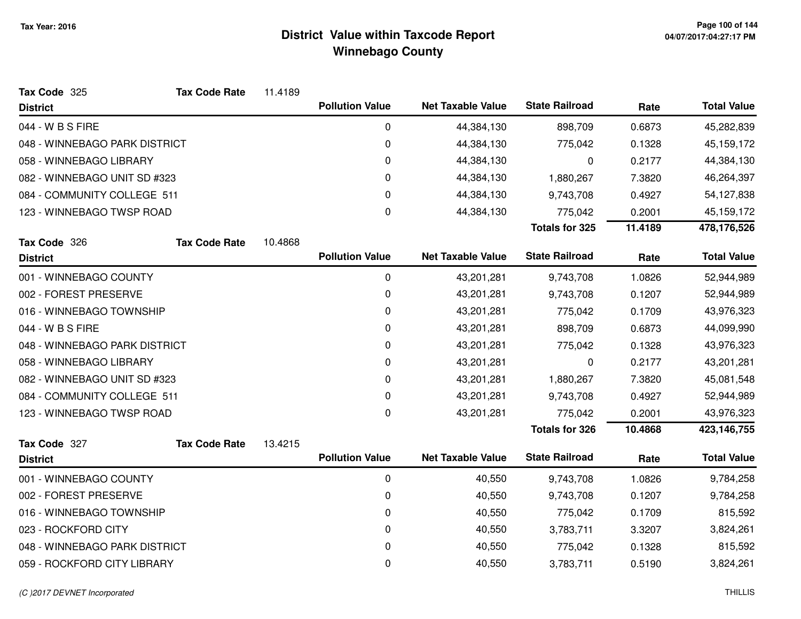| Tax Code 325                  | <b>Tax Code Rate</b> | 11.4189 |                        |                          |                       |         |                    |
|-------------------------------|----------------------|---------|------------------------|--------------------------|-----------------------|---------|--------------------|
| <b>District</b>               |                      |         | <b>Pollution Value</b> | <b>Net Taxable Value</b> | <b>State Railroad</b> | Rate    | <b>Total Value</b> |
| 044 - W B S FIRE              |                      |         | 0                      | 44,384,130               | 898,709               | 0.6873  | 45,282,839         |
| 048 - WINNEBAGO PARK DISTRICT |                      |         | 0                      | 44,384,130               | 775,042               | 0.1328  | 45, 159, 172       |
| 058 - WINNEBAGO LIBRARY       |                      |         | 0                      | 44,384,130               | 0                     | 0.2177  | 44,384,130         |
| 082 - WINNEBAGO UNIT SD #323  |                      |         | 0                      | 44,384,130               | 1,880,267             | 7.3820  | 46,264,397         |
| 084 - COMMUNITY COLLEGE 511   |                      |         | 0                      | 44,384,130               | 9,743,708             | 0.4927  | 54,127,838         |
| 123 - WINNEBAGO TWSP ROAD     |                      |         | 0                      | 44,384,130               | 775,042               | 0.2001  | 45, 159, 172       |
|                               |                      |         |                        |                          | <b>Totals for 325</b> | 11.4189 | 478,176,526        |
| Tax Code 326                  | <b>Tax Code Rate</b> | 10.4868 |                        |                          |                       |         |                    |
| <b>District</b>               |                      |         | <b>Pollution Value</b> | <b>Net Taxable Value</b> | <b>State Railroad</b> | Rate    | <b>Total Value</b> |
| 001 - WINNEBAGO COUNTY        |                      |         | 0                      | 43,201,281               | 9,743,708             | 1.0826  | 52,944,989         |
| 002 - FOREST PRESERVE         |                      |         | 0                      | 43,201,281               | 9,743,708             | 0.1207  | 52,944,989         |
| 016 - WINNEBAGO TOWNSHIP      |                      |         | 0                      | 43,201,281               | 775,042               | 0.1709  | 43,976,323         |
| 044 - W B S FIRE              |                      |         | 0                      | 43,201,281               | 898,709               | 0.6873  | 44,099,990         |
| 048 - WINNEBAGO PARK DISTRICT |                      |         | 0                      | 43,201,281               | 775,042               | 0.1328  | 43,976,323         |
| 058 - WINNEBAGO LIBRARY       |                      |         | 0                      | 43,201,281               | 0                     | 0.2177  | 43,201,281         |
| 082 - WINNEBAGO UNIT SD #323  |                      |         | 0                      | 43,201,281               | 1,880,267             | 7.3820  | 45,081,548         |
| 084 - COMMUNITY COLLEGE 511   |                      |         | 0                      | 43,201,281               | 9,743,708             | 0.4927  | 52,944,989         |
| 123 - WINNEBAGO TWSP ROAD     |                      |         | 0                      | 43,201,281               | 775,042               | 0.2001  | 43,976,323         |
|                               |                      |         |                        |                          | <b>Totals for 326</b> | 10.4868 | 423,146,755        |
| Tax Code 327                  | <b>Tax Code Rate</b> | 13.4215 |                        |                          |                       |         |                    |
| <b>District</b>               |                      |         | <b>Pollution Value</b> | <b>Net Taxable Value</b> | <b>State Railroad</b> | Rate    | <b>Total Value</b> |
| 001 - WINNEBAGO COUNTY        |                      |         | 0                      | 40,550                   | 9,743,708             | 1.0826  | 9,784,258          |
| 002 - FOREST PRESERVE         |                      |         | 0                      | 40,550                   | 9,743,708             | 0.1207  | 9,784,258          |
| 016 - WINNEBAGO TOWNSHIP      |                      |         | 0                      | 40,550                   | 775,042               | 0.1709  | 815,592            |
| 023 - ROCKFORD CITY           |                      |         | 0                      | 40,550                   | 3,783,711             | 3.3207  | 3,824,261          |
| 048 - WINNEBAGO PARK DISTRICT |                      |         | 0                      | 40,550                   | 775,042               | 0.1328  | 815,592            |
| 059 - ROCKFORD CITY LIBRARY   |                      |         | 0                      | 40,550                   | 3,783,711             | 0.5190  | 3,824,261          |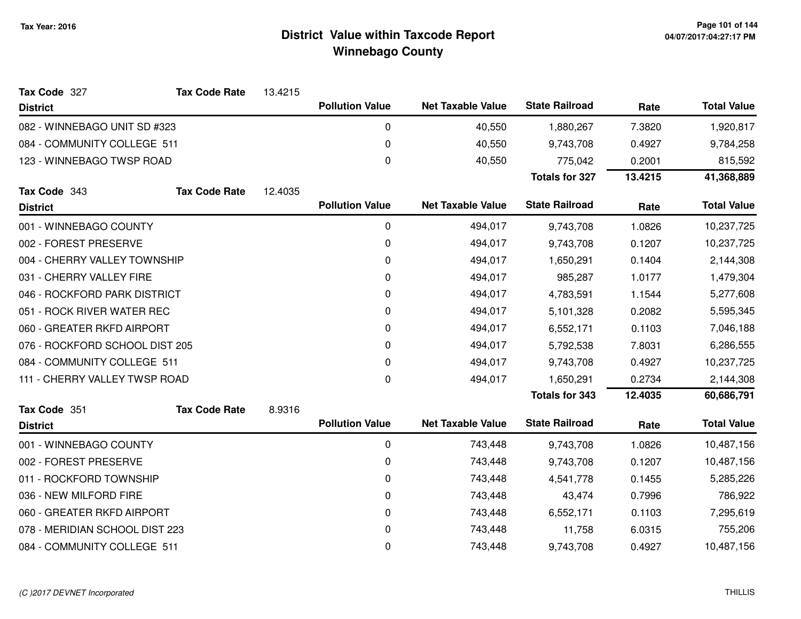| Tax Code 327                   | <b>Tax Code Rate</b> | 13.4215 |                        |                          |                       |         |                    |
|--------------------------------|----------------------|---------|------------------------|--------------------------|-----------------------|---------|--------------------|
| <b>District</b>                |                      |         | <b>Pollution Value</b> | <b>Net Taxable Value</b> | <b>State Railroad</b> | Rate    | <b>Total Value</b> |
| 082 - WINNEBAGO UNIT SD #323   |                      |         | 0                      | 40,550                   | 1,880,267             | 7.3820  | 1,920,817          |
| 084 - COMMUNITY COLLEGE 511    |                      |         | 0                      | 40,550                   | 9,743,708             | 0.4927  | 9,784,258          |
| 123 - WINNEBAGO TWSP ROAD      |                      |         | 0                      | 40,550                   | 775,042               | 0.2001  | 815,592            |
|                                |                      |         |                        |                          | <b>Totals for 327</b> | 13.4215 | 41,368,889         |
| Tax Code 343                   | <b>Tax Code Rate</b> | 12.4035 |                        |                          |                       |         |                    |
| <b>District</b>                |                      |         | <b>Pollution Value</b> | <b>Net Taxable Value</b> | <b>State Railroad</b> | Rate    | <b>Total Value</b> |
| 001 - WINNEBAGO COUNTY         |                      |         | 0                      | 494,017                  | 9,743,708             | 1.0826  | 10,237,725         |
| 002 - FOREST PRESERVE          |                      |         | 0                      | 494,017                  | 9,743,708             | 0.1207  | 10,237,725         |
| 004 - CHERRY VALLEY TOWNSHIP   |                      |         | 0                      | 494,017                  | 1,650,291             | 0.1404  | 2,144,308          |
| 031 - CHERRY VALLEY FIRE       |                      |         | 0                      | 494,017                  | 985,287               | 1.0177  | 1,479,304          |
| 046 - ROCKFORD PARK DISTRICT   |                      |         | 0                      | 494,017                  | 4,783,591             | 1.1544  | 5,277,608          |
| 051 - ROCK RIVER WATER REC     |                      |         | 0                      | 494,017                  | 5,101,328             | 0.2082  | 5,595,345          |
| 060 - GREATER RKFD AIRPORT     |                      |         | 0                      | 494,017                  | 6,552,171             | 0.1103  | 7,046,188          |
| 076 - ROCKFORD SCHOOL DIST 205 |                      |         | 0                      | 494,017                  | 5,792,538             | 7.8031  | 6,286,555          |
| 084 - COMMUNITY COLLEGE 511    |                      |         | 0                      | 494,017                  | 9,743,708             | 0.4927  | 10,237,725         |
| 111 - CHERRY VALLEY TWSP ROAD  |                      |         | 0                      | 494,017                  | 1,650,291             | 0.2734  | 2,144,308          |
|                                |                      |         |                        |                          | <b>Totals for 343</b> | 12.4035 | 60,686,791         |
| Tax Code 351                   | <b>Tax Code Rate</b> | 8.9316  |                        |                          |                       |         |                    |
| <b>District</b>                |                      |         | <b>Pollution Value</b> | <b>Net Taxable Value</b> | <b>State Railroad</b> | Rate    | <b>Total Value</b> |
| 001 - WINNEBAGO COUNTY         |                      |         | 0                      | 743,448                  | 9,743,708             | 1.0826  | 10,487,156         |
| 002 - FOREST PRESERVE          |                      |         | 0                      | 743,448                  | 9,743,708             | 0.1207  | 10,487,156         |
| 011 - ROCKFORD TOWNSHIP        |                      |         | $\Omega$               | 743,448                  | 4,541,778             | 0.1455  | 5,285,226          |
| 036 - NEW MILFORD FIRE         |                      |         | 0                      | 743,448                  | 43,474                | 0.7996  | 786,922            |
| 060 - GREATER RKFD AIRPORT     |                      |         | 0                      | 743,448                  | 6,552,171             | 0.1103  | 7,295,619          |
| 078 - MERIDIAN SCHOOL DIST 223 |                      |         | 0                      | 743,448                  | 11,758                | 6.0315  | 755,206            |
| 084 - COMMUNITY COLLEGE 511    |                      |         | 0                      | 743,448                  | 9,743,708             | 0.4927  | 10,487,156         |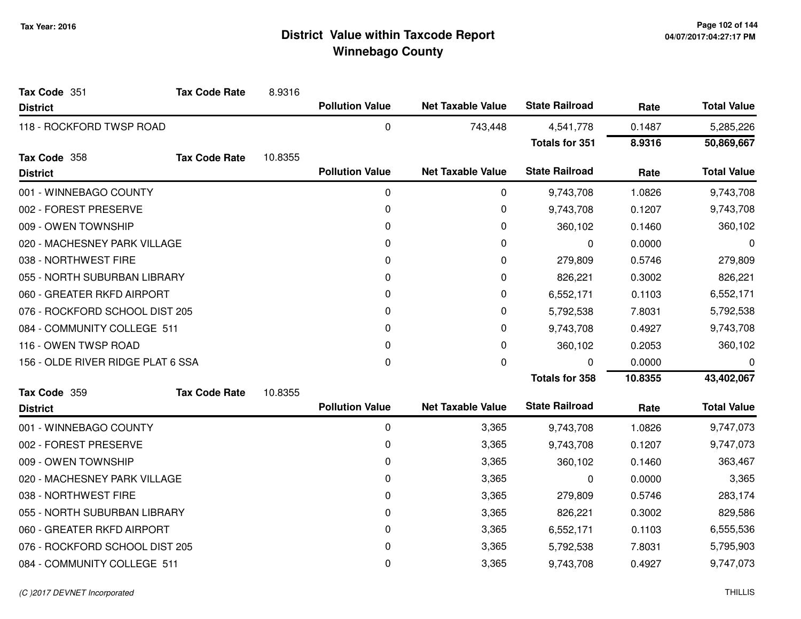| Tax Code 351                      | <b>Tax Code Rate</b> | 8.9316  |                        |                          |                       |         |                    |
|-----------------------------------|----------------------|---------|------------------------|--------------------------|-----------------------|---------|--------------------|
| <b>District</b>                   |                      |         | <b>Pollution Value</b> | <b>Net Taxable Value</b> | <b>State Railroad</b> | Rate    | <b>Total Value</b> |
| 118 - ROCKFORD TWSP ROAD          |                      |         | 0                      | 743,448                  | 4,541,778             | 0.1487  | 5,285,226          |
|                                   |                      |         |                        |                          | <b>Totals for 351</b> | 8.9316  | 50,869,667         |
| Tax Code 358                      | <b>Tax Code Rate</b> | 10.8355 |                        |                          |                       |         |                    |
| <b>District</b>                   |                      |         | <b>Pollution Value</b> | <b>Net Taxable Value</b> | <b>State Railroad</b> | Rate    | <b>Total Value</b> |
| 001 - WINNEBAGO COUNTY            |                      |         | $\pmb{0}$              | 0                        | 9,743,708             | 1.0826  | 9,743,708          |
| 002 - FOREST PRESERVE             |                      |         | 0                      | 0                        | 9,743,708             | 0.1207  | 9,743,708          |
| 009 - OWEN TOWNSHIP               |                      |         | 0                      | 0                        | 360,102               | 0.1460  | 360,102            |
| 020 - MACHESNEY PARK VILLAGE      |                      |         | 0                      | 0                        | 0                     | 0.0000  | 0                  |
| 038 - NORTHWEST FIRE              |                      |         | 0                      | 0                        | 279,809               | 0.5746  | 279,809            |
| 055 - NORTH SUBURBAN LIBRARY      |                      |         | 0                      | 0                        | 826,221               | 0.3002  | 826,221            |
| 060 - GREATER RKFD AIRPORT        |                      |         | 0                      | 0                        | 6,552,171             | 0.1103  | 6,552,171          |
| 076 - ROCKFORD SCHOOL DIST 205    |                      |         | 0                      | 0                        | 5,792,538             | 7.8031  | 5,792,538          |
| 084 - COMMUNITY COLLEGE 511       |                      |         | 0                      | 0                        | 9,743,708             | 0.4927  | 9,743,708          |
| 116 - OWEN TWSP ROAD              |                      |         | 0                      | 0                        | 360,102               | 0.2053  | 360,102            |
| 156 - OLDE RIVER RIDGE PLAT 6 SSA |                      |         | 0                      | 0                        | $\Omega$              | 0.0000  | 0                  |
|                                   |                      |         |                        |                          | <b>Totals for 358</b> | 10.8355 | 43,402,067         |
| Tax Code 359                      | <b>Tax Code Rate</b> | 10.8355 |                        |                          |                       |         |                    |
| <b>District</b>                   |                      |         | <b>Pollution Value</b> | <b>Net Taxable Value</b> | <b>State Railroad</b> | Rate    | <b>Total Value</b> |
| 001 - WINNEBAGO COUNTY            |                      |         | 0                      | 3,365                    | 9,743,708             | 1.0826  | 9,747,073          |
| 002 - FOREST PRESERVE             |                      |         | 0                      | 3,365                    | 9,743,708             | 0.1207  | 9,747,073          |
| 009 - OWEN TOWNSHIP               |                      |         | 0                      | 3,365                    | 360,102               | 0.1460  | 363,467            |
| 020 - MACHESNEY PARK VILLAGE      |                      |         | 0                      | 3,365                    | 0                     | 0.0000  | 3,365              |
| 038 - NORTHWEST FIRE              |                      |         | 0                      | 3,365                    | 279,809               | 0.5746  | 283,174            |
| 055 - NORTH SUBURBAN LIBRARY      |                      |         | 0                      | 3,365                    | 826,221               | 0.3002  | 829,586            |
| 060 - GREATER RKFD AIRPORT        |                      |         | 0                      | 3,365                    | 6,552,171             | 0.1103  | 6,555,536          |
| 076 - ROCKFORD SCHOOL DIST 205    |                      |         | 0                      | 3,365                    | 5,792,538             | 7.8031  | 5,795,903          |
| 084 - COMMUNITY COLLEGE 511       |                      |         | 0                      | 3,365                    | 9,743,708             | 0.4927  | 9,747,073          |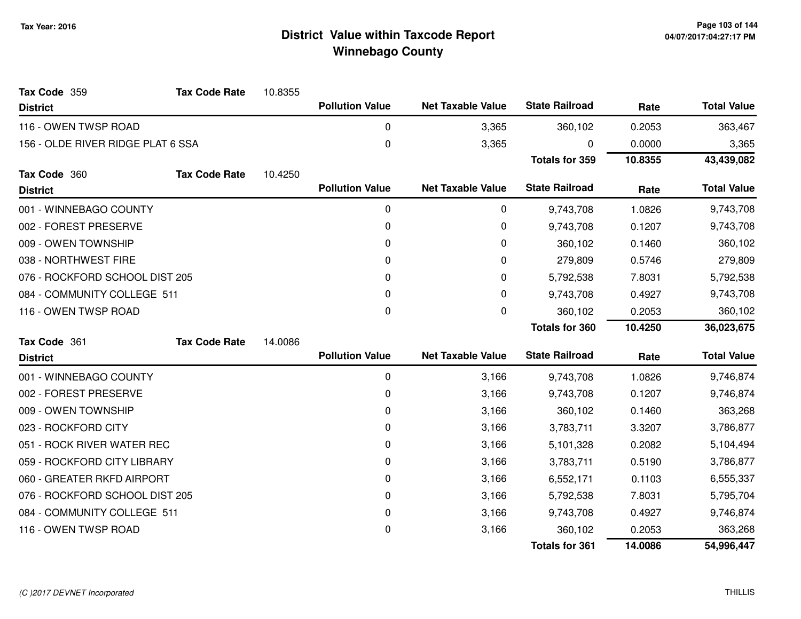| Tax Code 359                      | <b>Tax Code Rate</b> | 10.8355 |                        |                          |                       |         |                    |
|-----------------------------------|----------------------|---------|------------------------|--------------------------|-----------------------|---------|--------------------|
| <b>District</b>                   |                      |         | <b>Pollution Value</b> | <b>Net Taxable Value</b> | <b>State Railroad</b> | Rate    | <b>Total Value</b> |
| 116 - OWEN TWSP ROAD              |                      |         | 0                      | 3,365                    | 360,102               | 0.2053  | 363,467            |
| 156 - OLDE RIVER RIDGE PLAT 6 SSA |                      |         | 0                      | 3,365                    | O                     | 0.0000  | 3,365              |
|                                   |                      |         |                        |                          | <b>Totals for 359</b> | 10.8355 | 43,439,082         |
| Tax Code 360                      | <b>Tax Code Rate</b> | 10.4250 |                        |                          |                       |         |                    |
| <b>District</b>                   |                      |         | <b>Pollution Value</b> | <b>Net Taxable Value</b> | <b>State Railroad</b> | Rate    | <b>Total Value</b> |
| 001 - WINNEBAGO COUNTY            |                      |         | $\pmb{0}$              | 0                        | 9,743,708             | 1.0826  | 9,743,708          |
| 002 - FOREST PRESERVE             |                      |         | 0                      | 0                        | 9,743,708             | 0.1207  | 9,743,708          |
| 009 - OWEN TOWNSHIP               |                      |         | 0                      | 0                        | 360,102               | 0.1460  | 360,102            |
| 038 - NORTHWEST FIRE              |                      |         | 0                      | 0                        | 279,809               | 0.5746  | 279,809            |
| 076 - ROCKFORD SCHOOL DIST 205    |                      |         | $\Omega$               | 0                        | 5,792,538             | 7.8031  | 5,792,538          |
| 084 - COMMUNITY COLLEGE 511       |                      |         | 0                      | 0                        | 9,743,708             | 0.4927  | 9,743,708          |
| 116 - OWEN TWSP ROAD              |                      |         | 0                      | 0                        | 360,102               | 0.2053  | 360,102            |
|                                   |                      |         |                        |                          | <b>Totals for 360</b> | 10.4250 | 36,023,675         |
| Tax Code 361                      | <b>Tax Code Rate</b> | 14.0086 |                        |                          |                       |         |                    |
| <b>District</b>                   |                      |         | <b>Pollution Value</b> | <b>Net Taxable Value</b> | <b>State Railroad</b> | Rate    | <b>Total Value</b> |
| 001 - WINNEBAGO COUNTY            |                      |         | 0                      | 3,166                    | 9,743,708             | 1.0826  | 9,746,874          |
| 002 - FOREST PRESERVE             |                      |         | 0                      | 3,166                    | 9,743,708             | 0.1207  | 9,746,874          |
| 009 - OWEN TOWNSHIP               |                      |         | 0                      | 3,166                    | 360,102               | 0.1460  | 363,268            |
| 023 - ROCKFORD CITY               |                      |         | 0                      | 3,166                    | 3,783,711             | 3.3207  | 3,786,877          |
| 051 - ROCK RIVER WATER REC        |                      |         | 0                      | 3,166                    | 5,101,328             | 0.2082  | 5,104,494          |
| 059 - ROCKFORD CITY LIBRARY       |                      |         | 0                      | 3,166                    | 3,783,711             | 0.5190  | 3,786,877          |
| 060 - GREATER RKFD AIRPORT        |                      |         | 0                      | 3,166                    | 6,552,171             | 0.1103  | 6,555,337          |
| 076 - ROCKFORD SCHOOL DIST 205    |                      |         | 0                      | 3,166                    | 5,792,538             | 7.8031  | 5,795,704          |
| 084 - COMMUNITY COLLEGE 511       |                      |         | 0                      | 3,166                    | 9,743,708             | 0.4927  | 9,746,874          |
| 116 - OWEN TWSP ROAD              |                      |         | 0                      | 3,166                    | 360,102               | 0.2053  | 363,268            |
|                                   |                      |         |                        |                          | <b>Totals for 361</b> | 14.0086 | 54,996,447         |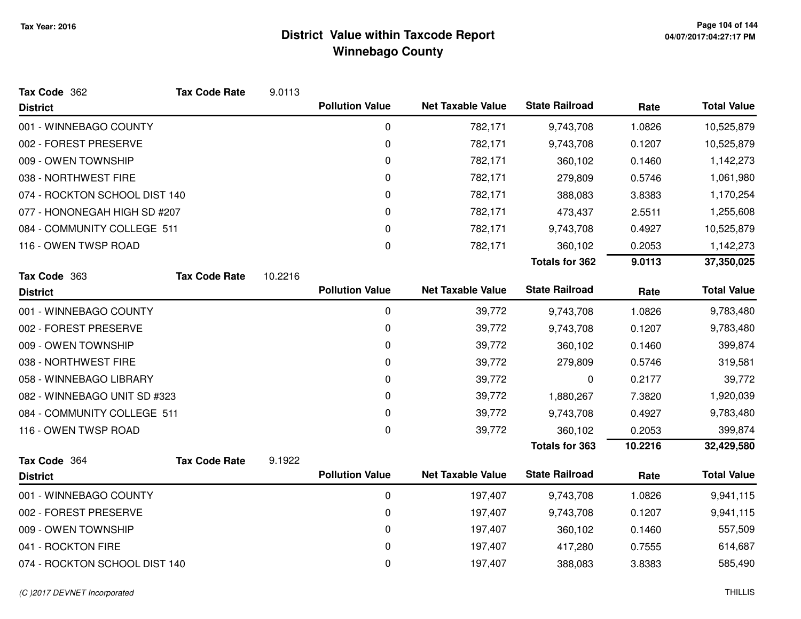| Tax Code 362                  | <b>Tax Code Rate</b> | 9.0113  |                        |                          |                       |         |                    |
|-------------------------------|----------------------|---------|------------------------|--------------------------|-----------------------|---------|--------------------|
| <b>District</b>               |                      |         | <b>Pollution Value</b> | <b>Net Taxable Value</b> | <b>State Railroad</b> | Rate    | <b>Total Value</b> |
| 001 - WINNEBAGO COUNTY        |                      |         | 0                      | 782,171                  | 9,743,708             | 1.0826  | 10,525,879         |
| 002 - FOREST PRESERVE         |                      |         | 0                      | 782,171                  | 9,743,708             | 0.1207  | 10,525,879         |
| 009 - OWEN TOWNSHIP           |                      |         | 0                      | 782,171                  | 360,102               | 0.1460  | 1,142,273          |
| 038 - NORTHWEST FIRE          |                      |         | 0                      | 782,171                  | 279,809               | 0.5746  | 1,061,980          |
| 074 - ROCKTON SCHOOL DIST 140 |                      |         | 0                      | 782,171                  | 388,083               | 3.8383  | 1,170,254          |
| 077 - HONONEGAH HIGH SD #207  |                      |         | 0                      | 782,171                  | 473,437               | 2.5511  | 1,255,608          |
| 084 - COMMUNITY COLLEGE 511   |                      |         | 0                      | 782,171                  | 9,743,708             | 0.4927  | 10,525,879         |
| 116 - OWEN TWSP ROAD          |                      |         | 0                      | 782,171                  | 360,102               | 0.2053  | 1,142,273          |
|                               |                      |         |                        |                          | <b>Totals for 362</b> | 9.0113  | 37,350,025         |
| Tax Code 363                  | <b>Tax Code Rate</b> | 10.2216 |                        |                          |                       |         |                    |
| <b>District</b>               |                      |         | <b>Pollution Value</b> | <b>Net Taxable Value</b> | <b>State Railroad</b> | Rate    | <b>Total Value</b> |
| 001 - WINNEBAGO COUNTY        |                      |         | 0                      | 39,772                   | 9,743,708             | 1.0826  | 9,783,480          |
| 002 - FOREST PRESERVE         |                      |         | 0                      | 39,772                   | 9,743,708             | 0.1207  | 9,783,480          |
| 009 - OWEN TOWNSHIP           |                      |         | 0                      | 39,772                   | 360,102               | 0.1460  | 399,874            |
| 038 - NORTHWEST FIRE          |                      |         | 0                      | 39,772                   | 279,809               | 0.5746  | 319,581            |
| 058 - WINNEBAGO LIBRARY       |                      |         | 0                      | 39,772                   | 0                     | 0.2177  | 39,772             |
| 082 - WINNEBAGO UNIT SD #323  |                      |         | 0                      | 39,772                   | 1,880,267             | 7.3820  | 1,920,039          |
| 084 - COMMUNITY COLLEGE 511   |                      |         | 0                      | 39,772                   | 9,743,708             | 0.4927  | 9,783,480          |
| 116 - OWEN TWSP ROAD          |                      |         | 0                      | 39,772                   | 360,102               | 0.2053  | 399,874            |
|                               |                      |         |                        |                          | <b>Totals for 363</b> | 10.2216 | 32,429,580         |
| Tax Code 364                  | <b>Tax Code Rate</b> | 9.1922  |                        |                          |                       |         |                    |
| <b>District</b>               |                      |         | <b>Pollution Value</b> | <b>Net Taxable Value</b> | <b>State Railroad</b> | Rate    | <b>Total Value</b> |
| 001 - WINNEBAGO COUNTY        |                      |         | 0                      | 197,407                  | 9,743,708             | 1.0826  | 9,941,115          |
| 002 - FOREST PRESERVE         |                      |         | 0                      | 197,407                  | 9,743,708             | 0.1207  | 9,941,115          |
| 009 - OWEN TOWNSHIP           |                      |         | 0                      | 197,407                  | 360,102               | 0.1460  | 557,509            |
| 041 - ROCKTON FIRE            |                      |         | 0                      | 197,407                  | 417,280               | 0.7555  | 614,687            |
| 074 - ROCKTON SCHOOL DIST 140 |                      |         | 0                      | 197,407                  | 388,083               | 3.8383  | 585,490            |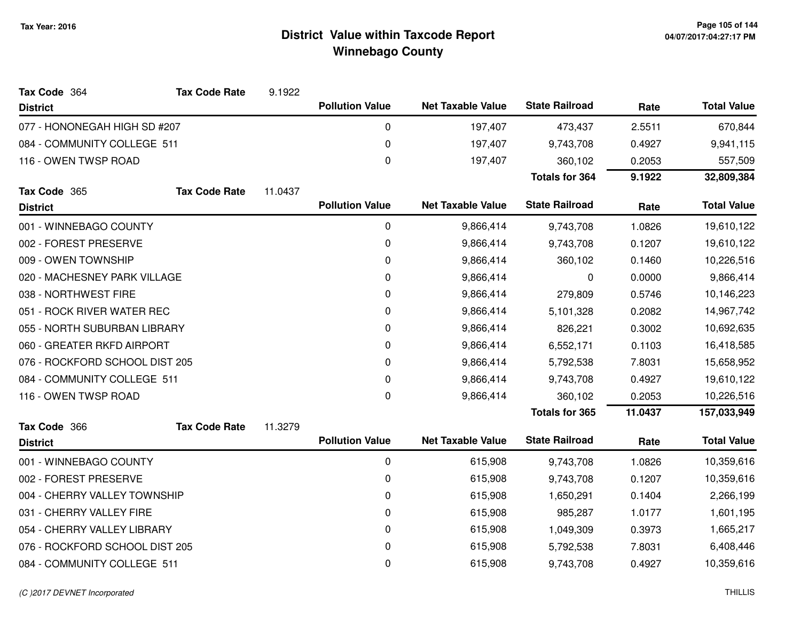| Tax Code 364                   | <b>Tax Code Rate</b> | 9.1922  |                        |                          |                       |         |                    |
|--------------------------------|----------------------|---------|------------------------|--------------------------|-----------------------|---------|--------------------|
| <b>District</b>                |                      |         | <b>Pollution Value</b> | <b>Net Taxable Value</b> | <b>State Railroad</b> | Rate    | <b>Total Value</b> |
| 077 - HONONEGAH HIGH SD #207   |                      |         | 0                      | 197,407                  | 473,437               | 2.5511  | 670,844            |
| 084 - COMMUNITY COLLEGE 511    |                      |         | 0                      | 197,407                  | 9,743,708             | 0.4927  | 9,941,115          |
| 116 - OWEN TWSP ROAD           |                      |         | 0                      | 197,407                  | 360,102               | 0.2053  | 557,509            |
|                                |                      |         |                        |                          | <b>Totals for 364</b> | 9.1922  | 32,809,384         |
| Tax Code 365                   | <b>Tax Code Rate</b> | 11.0437 |                        |                          |                       |         |                    |
| <b>District</b>                |                      |         | <b>Pollution Value</b> | <b>Net Taxable Value</b> | <b>State Railroad</b> | Rate    | <b>Total Value</b> |
| 001 - WINNEBAGO COUNTY         |                      |         | 0                      | 9,866,414                | 9,743,708             | 1.0826  | 19,610,122         |
| 002 - FOREST PRESERVE          |                      |         | 0                      | 9,866,414                | 9,743,708             | 0.1207  | 19,610,122         |
| 009 - OWEN TOWNSHIP            |                      |         | 0                      | 9,866,414                | 360,102               | 0.1460  | 10,226,516         |
| 020 - MACHESNEY PARK VILLAGE   |                      |         | 0                      | 9,866,414                | 0                     | 0.0000  | 9,866,414          |
| 038 - NORTHWEST FIRE           |                      |         | 0                      | 9,866,414                | 279,809               | 0.5746  | 10,146,223         |
| 051 - ROCK RIVER WATER REC     |                      |         | 0                      | 9,866,414                | 5,101,328             | 0.2082  | 14,967,742         |
| 055 - NORTH SUBURBAN LIBRARY   |                      |         | 0                      | 9,866,414                | 826,221               | 0.3002  | 10,692,635         |
| 060 - GREATER RKFD AIRPORT     |                      |         | 0                      | 9,866,414                | 6,552,171             | 0.1103  | 16,418,585         |
| 076 - ROCKFORD SCHOOL DIST 205 |                      |         | 0                      | 9,866,414                | 5,792,538             | 7.8031  | 15,658,952         |
| 084 - COMMUNITY COLLEGE 511    |                      |         | 0                      | 9,866,414                | 9,743,708             | 0.4927  | 19,610,122         |
| 116 - OWEN TWSP ROAD           |                      |         | 0                      | 9,866,414                | 360,102               | 0.2053  | 10,226,516         |
|                                |                      |         |                        |                          | <b>Totals for 365</b> | 11.0437 | 157,033,949        |
| Tax Code 366                   | <b>Tax Code Rate</b> | 11.3279 |                        |                          |                       |         |                    |
| <b>District</b>                |                      |         | <b>Pollution Value</b> | <b>Net Taxable Value</b> | <b>State Railroad</b> | Rate    | <b>Total Value</b> |
| 001 - WINNEBAGO COUNTY         |                      |         | 0                      | 615,908                  | 9,743,708             | 1.0826  | 10,359,616         |
| 002 - FOREST PRESERVE          |                      |         | 0                      | 615,908                  | 9,743,708             | 0.1207  | 10,359,616         |
| 004 - CHERRY VALLEY TOWNSHIP   |                      |         | 0                      | 615,908                  | 1,650,291             | 0.1404  | 2,266,199          |
| 031 - CHERRY VALLEY FIRE       |                      |         | 0                      | 615,908                  | 985,287               | 1.0177  | 1,601,195          |
| 054 - CHERRY VALLEY LIBRARY    |                      |         | 0                      | 615,908                  | 1,049,309             | 0.3973  | 1,665,217          |
| 076 - ROCKFORD SCHOOL DIST 205 |                      |         | 0                      | 615,908                  | 5,792,538             | 7.8031  | 6,408,446          |
| 084 - COMMUNITY COLLEGE 511    |                      |         | 0                      | 615,908                  | 9,743,708             | 0.4927  | 10,359,616         |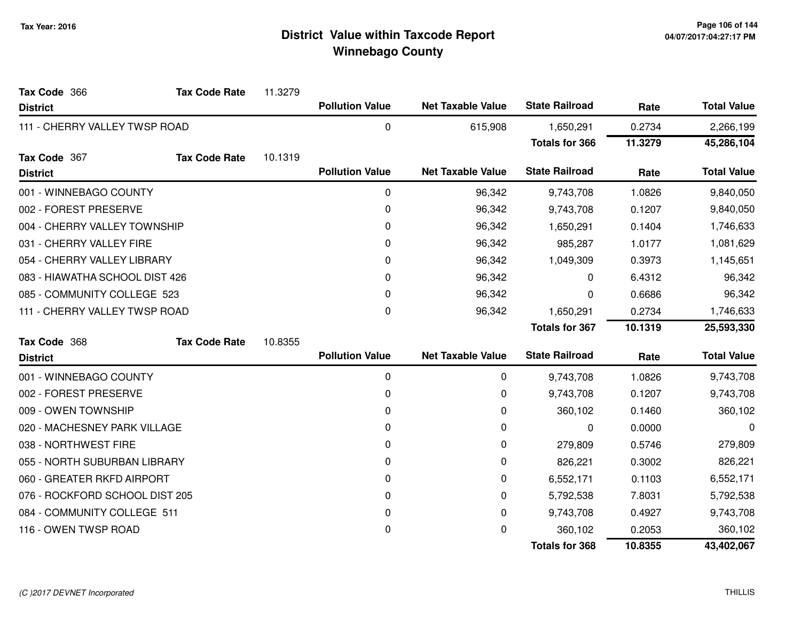| Tax Code 366                   | <b>Tax Code Rate</b> | 11.3279 |                        |                          |                       |         |                    |
|--------------------------------|----------------------|---------|------------------------|--------------------------|-----------------------|---------|--------------------|
| <b>District</b>                |                      |         | <b>Pollution Value</b> | <b>Net Taxable Value</b> | <b>State Railroad</b> | Rate    | <b>Total Value</b> |
| 111 - CHERRY VALLEY TWSP ROAD  |                      |         | 0                      | 615,908                  | 1,650,291             | 0.2734  | 2,266,199          |
|                                |                      |         |                        |                          | <b>Totals for 366</b> | 11.3279 | 45,286,104         |
| Tax Code 367                   | <b>Tax Code Rate</b> | 10.1319 |                        |                          |                       |         |                    |
| <b>District</b>                |                      |         | <b>Pollution Value</b> | <b>Net Taxable Value</b> | <b>State Railroad</b> | Rate    | <b>Total Value</b> |
| 001 - WINNEBAGO COUNTY         |                      |         | $\pmb{0}$              | 96,342                   | 9,743,708             | 1.0826  | 9,840,050          |
| 002 - FOREST PRESERVE          |                      |         | $\pmb{0}$              | 96,342                   | 9,743,708             | 0.1207  | 9,840,050          |
| 004 - CHERRY VALLEY TOWNSHIP   |                      |         | 0                      | 96,342                   | 1,650,291             | 0.1404  | 1,746,633          |
| 031 - CHERRY VALLEY FIRE       |                      |         | 0                      | 96,342                   | 985,287               | 1.0177  | 1,081,629          |
| 054 - CHERRY VALLEY LIBRARY    |                      |         | 0                      | 96,342                   | 1,049,309             | 0.3973  | 1,145,651          |
| 083 - HIAWATHA SCHOOL DIST 426 |                      |         | 0                      | 96,342                   | 0                     | 6.4312  | 96,342             |
| 085 - COMMUNITY COLLEGE 523    |                      |         | 0                      | 96,342                   | 0                     | 0.6686  | 96,342             |
| 111 - CHERRY VALLEY TWSP ROAD  |                      |         | 0                      | 96,342                   | 1,650,291             | 0.2734  | 1,746,633          |
|                                |                      |         |                        |                          | <b>Totals for 367</b> | 10.1319 | 25,593,330         |
| Tax Code 368                   | <b>Tax Code Rate</b> | 10.8355 |                        |                          |                       |         |                    |
| <b>District</b>                |                      |         | <b>Pollution Value</b> | <b>Net Taxable Value</b> | <b>State Railroad</b> | Rate    | <b>Total Value</b> |
| 001 - WINNEBAGO COUNTY         |                      |         | 0                      | 0                        | 9,743,708             | 1.0826  | 9,743,708          |
| 002 - FOREST PRESERVE          |                      |         | 0                      | 0                        | 9,743,708             | 0.1207  | 9,743,708          |
| 009 - OWEN TOWNSHIP            |                      |         | 0                      | 0                        | 360,102               | 0.1460  | 360,102            |
| 020 - MACHESNEY PARK VILLAGE   |                      |         | 0                      | 0                        | 0                     | 0.0000  | 0                  |
| 038 - NORTHWEST FIRE           |                      |         | 0                      | 0                        | 279,809               | 0.5746  | 279,809            |
| 055 - NORTH SUBURBAN LIBRARY   |                      |         | 0                      | 0                        | 826,221               | 0.3002  | 826,221            |
| 060 - GREATER RKFD AIRPORT     |                      |         | 0                      | 0                        | 6,552,171             | 0.1103  | 6,552,171          |
| 076 - ROCKFORD SCHOOL DIST 205 |                      |         | 0                      | 0                        | 5,792,538             | 7.8031  | 5,792,538          |
| 084 - COMMUNITY COLLEGE 511    |                      |         | 0                      | 0                        | 9,743,708             | 0.4927  | 9,743,708          |
| 116 - OWEN TWSP ROAD           |                      |         | 0                      | 0                        | 360,102               | 0.2053  | 360,102            |
|                                |                      |         |                        |                          | <b>Totals for 368</b> | 10.8355 | 43,402,067         |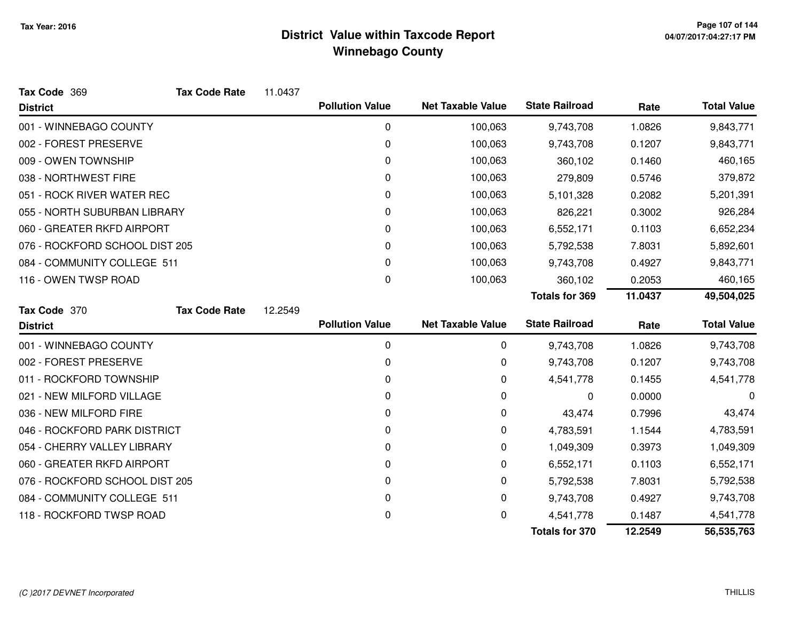| Tax Code 369                   | <b>Tax Code Rate</b> | 11.0437 |                        |                          |                       |         |                    |
|--------------------------------|----------------------|---------|------------------------|--------------------------|-----------------------|---------|--------------------|
| <b>District</b>                |                      |         | <b>Pollution Value</b> | <b>Net Taxable Value</b> | <b>State Railroad</b> | Rate    | <b>Total Value</b> |
| 001 - WINNEBAGO COUNTY         |                      |         | $\pmb{0}$              | 100,063                  | 9,743,708             | 1.0826  | 9,843,771          |
| 002 - FOREST PRESERVE          |                      |         | 0                      | 100,063                  | 9,743,708             | 0.1207  | 9,843,771          |
| 009 - OWEN TOWNSHIP            |                      |         | 0                      | 100,063                  | 360,102               | 0.1460  | 460,165            |
| 038 - NORTHWEST FIRE           |                      |         | 0                      | 100,063                  | 279,809               | 0.5746  | 379,872            |
| 051 - ROCK RIVER WATER REC     |                      |         | 0                      | 100,063                  | 5,101,328             | 0.2082  | 5,201,391          |
| 055 - NORTH SUBURBAN LIBRARY   |                      |         | 0                      | 100,063                  | 826,221               | 0.3002  | 926,284            |
| 060 - GREATER RKFD AIRPORT     |                      |         | 0                      | 100,063                  | 6,552,171             | 0.1103  | 6,652,234          |
| 076 - ROCKFORD SCHOOL DIST 205 |                      |         | 0                      | 100,063                  | 5,792,538             | 7.8031  | 5,892,601          |
| 084 - COMMUNITY COLLEGE 511    |                      |         | 0                      | 100,063                  | 9,743,708             | 0.4927  | 9,843,771          |
| 116 - OWEN TWSP ROAD           |                      |         | 0                      | 100,063                  | 360,102               | 0.2053  | 460,165            |
|                                |                      |         |                        |                          | <b>Totals for 369</b> | 11.0437 | 49,504,025         |
| Tax Code 370                   | <b>Tax Code Rate</b> | 12.2549 |                        |                          |                       |         |                    |
| <b>District</b>                |                      |         | <b>Pollution Value</b> | <b>Net Taxable Value</b> | <b>State Railroad</b> | Rate    | <b>Total Value</b> |
| 001 - WINNEBAGO COUNTY         |                      |         | 0                      | 0                        | 9,743,708             | 1.0826  | 9,743,708          |
| 002 - FOREST PRESERVE          |                      |         | 0                      | 0                        | 9,743,708             | 0.1207  | 9,743,708          |
| 011 - ROCKFORD TOWNSHIP        |                      |         | 0                      | 0                        | 4,541,778             | 0.1455  | 4,541,778          |
| 021 - NEW MILFORD VILLAGE      |                      |         | 0                      | 0                        | 0                     | 0.0000  | 0                  |
| 036 - NEW MILFORD FIRE         |                      |         | 0                      | 0                        | 43,474                | 0.7996  | 43,474             |
| 046 - ROCKFORD PARK DISTRICT   |                      |         | 0                      | 0                        | 4,783,591             | 1.1544  | 4,783,591          |
| 054 - CHERRY VALLEY LIBRARY    |                      |         | 0                      | 0                        | 1,049,309             | 0.3973  | 1,049,309          |
| 060 - GREATER RKFD AIRPORT     |                      |         | 0                      | 0                        | 6,552,171             | 0.1103  | 6,552,171          |
| 076 - ROCKFORD SCHOOL DIST 205 |                      |         | 0                      | 0                        | 5,792,538             | 7.8031  | 5,792,538          |
| 084 - COMMUNITY COLLEGE 511    |                      |         | 0                      | 0                        | 9,743,708             | 0.4927  | 9,743,708          |
| 118 - ROCKFORD TWSP ROAD       |                      |         | 0                      | 0                        | 4,541,778             | 0.1487  | 4,541,778          |
|                                |                      |         |                        |                          | <b>Totals for 370</b> | 12.2549 | 56,535,763         |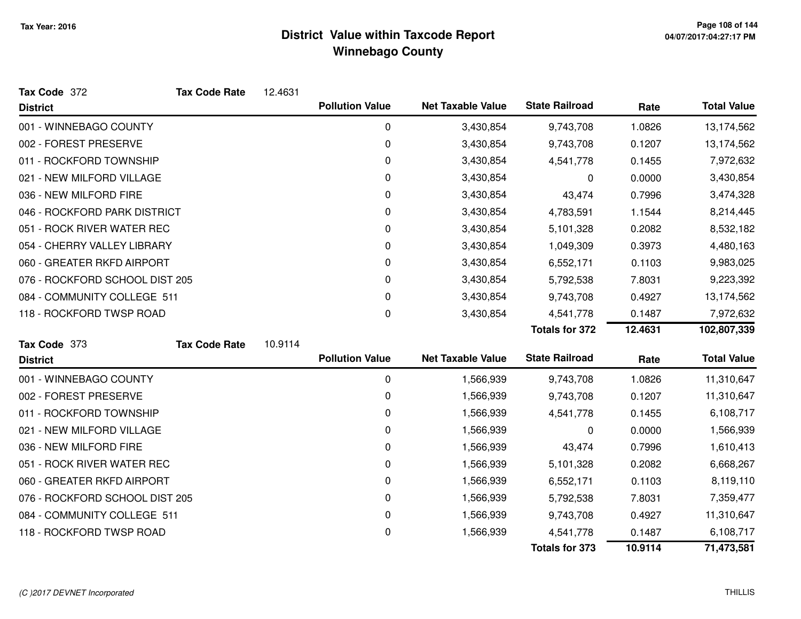| Tax Code 372                   | <b>Tax Code Rate</b> | 12.4631 |                        |                          |                       |         |                    |
|--------------------------------|----------------------|---------|------------------------|--------------------------|-----------------------|---------|--------------------|
| <b>District</b>                |                      |         | <b>Pollution Value</b> | <b>Net Taxable Value</b> | <b>State Railroad</b> | Rate    | <b>Total Value</b> |
| 001 - WINNEBAGO COUNTY         |                      |         | $\mathbf 0$            | 3,430,854                | 9,743,708             | 1.0826  | 13,174,562         |
| 002 - FOREST PRESERVE          |                      |         | 0                      | 3,430,854                | 9,743,708             | 0.1207  | 13,174,562         |
| 011 - ROCKFORD TOWNSHIP        |                      |         | 0                      | 3,430,854                | 4,541,778             | 0.1455  | 7,972,632          |
| 021 - NEW MILFORD VILLAGE      |                      |         | 0                      | 3,430,854                | 0                     | 0.0000  | 3,430,854          |
| 036 - NEW MILFORD FIRE         |                      |         | 0                      | 3,430,854                | 43,474                | 0.7996  | 3,474,328          |
| 046 - ROCKFORD PARK DISTRICT   |                      |         | 0                      | 3,430,854                | 4,783,591             | 1.1544  | 8,214,445          |
| 051 - ROCK RIVER WATER REC     |                      |         | 0                      | 3,430,854                | 5,101,328             | 0.2082  | 8,532,182          |
| 054 - CHERRY VALLEY LIBRARY    |                      |         | 0                      | 3,430,854                | 1,049,309             | 0.3973  | 4,480,163          |
| 060 - GREATER RKFD AIRPORT     |                      |         | 0                      | 3,430,854                | 6,552,171             | 0.1103  | 9,983,025          |
| 076 - ROCKFORD SCHOOL DIST 205 |                      |         | 0                      | 3,430,854                | 5,792,538             | 7.8031  | 9,223,392          |
| 084 - COMMUNITY COLLEGE 511    |                      |         | 0                      | 3,430,854                | 9,743,708             | 0.4927  | 13,174,562         |
| 118 - ROCKFORD TWSP ROAD       |                      |         | 0                      | 3,430,854                | 4,541,778             | 0.1487  | 7,972,632          |
|                                |                      |         |                        |                          | Totals for 372        | 12.4631 | 102,807,339        |
| Tax Code 373                   | <b>Tax Code Rate</b> | 10.9114 |                        |                          |                       |         |                    |
| <b>District</b>                |                      |         | <b>Pollution Value</b> | <b>Net Taxable Value</b> | <b>State Railroad</b> | Rate    | <b>Total Value</b> |
| 001 - WINNEBAGO COUNTY         |                      |         | $\mathbf 0$            | 1,566,939                | 9,743,708             | 1.0826  | 11,310,647         |
| 002 - FOREST PRESERVE          |                      |         | 0                      | 1,566,939                | 9,743,708             | 0.1207  | 11,310,647         |
| 011 - ROCKFORD TOWNSHIP        |                      |         | 0                      | 1,566,939                | 4,541,778             | 0.1455  | 6,108,717          |
| 021 - NEW MILFORD VILLAGE      |                      |         | 0                      | 1,566,939                | 0                     | 0.0000  | 1,566,939          |
| 036 - NEW MILFORD FIRE         |                      |         | 0                      | 1,566,939                | 43,474                | 0.7996  | 1,610,413          |
| 051 - ROCK RIVER WATER REC     |                      |         | 0                      | 1,566,939                | 5,101,328             | 0.2082  | 6,668,267          |
| 060 - GREATER RKFD AIRPORT     |                      |         | 0                      | 1,566,939                | 6,552,171             | 0.1103  | 8,119,110          |
| 076 - ROCKFORD SCHOOL DIST 205 |                      |         | $\mathbf 0$            | 1,566,939                | 5,792,538             | 7.8031  | 7,359,477          |
| 084 - COMMUNITY COLLEGE 511    |                      |         | 0                      | 1,566,939                | 9,743,708             | 0.4927  | 11,310,647         |
| 118 - ROCKFORD TWSP ROAD       |                      |         | 0                      | 1,566,939                | 4,541,778             | 0.1487  | 6,108,717          |
|                                |                      |         |                        |                          | <b>Totals for 373</b> | 10.9114 | 71,473,581         |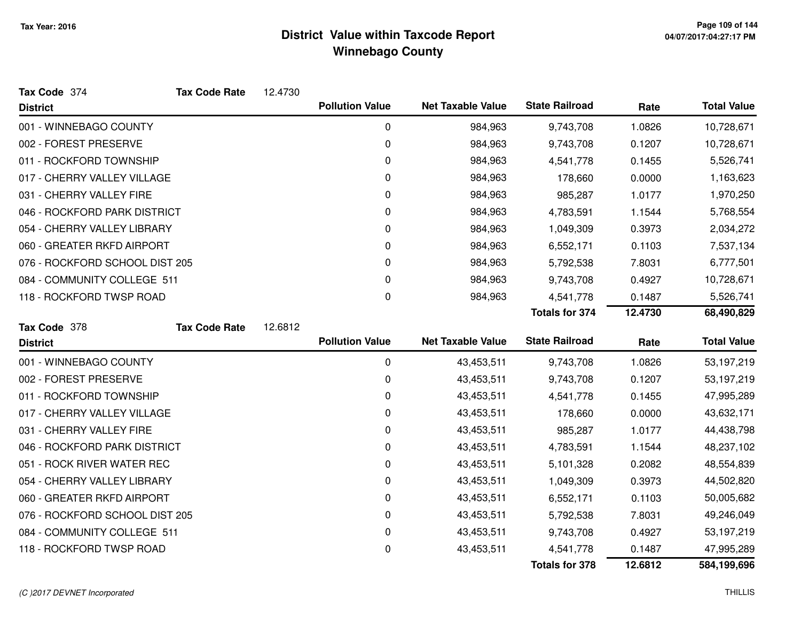| Tax Code 374                   | <b>Tax Code Rate</b> | 12.4730 |                        |                          |                       |         |                    |
|--------------------------------|----------------------|---------|------------------------|--------------------------|-----------------------|---------|--------------------|
| <b>District</b>                |                      |         | <b>Pollution Value</b> | <b>Net Taxable Value</b> | <b>State Railroad</b> | Rate    | <b>Total Value</b> |
| 001 - WINNEBAGO COUNTY         |                      |         | 0                      | 984,963                  | 9,743,708             | 1.0826  | 10,728,671         |
| 002 - FOREST PRESERVE          |                      |         | 0                      | 984,963                  | 9,743,708             | 0.1207  | 10,728,671         |
| 011 - ROCKFORD TOWNSHIP        |                      |         | 0                      | 984,963                  | 4,541,778             | 0.1455  | 5,526,741          |
| 017 - CHERRY VALLEY VILLAGE    |                      |         | 0                      | 984,963                  | 178,660               | 0.0000  | 1,163,623          |
| 031 - CHERRY VALLEY FIRE       |                      |         | 0                      | 984,963                  | 985,287               | 1.0177  | 1,970,250          |
| 046 - ROCKFORD PARK DISTRICT   |                      |         | 0                      | 984,963                  | 4,783,591             | 1.1544  | 5,768,554          |
| 054 - CHERRY VALLEY LIBRARY    |                      |         | 0                      | 984,963                  | 1,049,309             | 0.3973  | 2,034,272          |
| 060 - GREATER RKFD AIRPORT     |                      |         | 0                      | 984,963                  | 6,552,171             | 0.1103  | 7,537,134          |
| 076 - ROCKFORD SCHOOL DIST 205 |                      |         | 0                      | 984,963                  | 5,792,538             | 7.8031  | 6,777,501          |
| 084 - COMMUNITY COLLEGE 511    |                      |         | 0                      | 984,963                  | 9,743,708             | 0.4927  | 10,728,671         |
| 118 - ROCKFORD TWSP ROAD       |                      |         | 0                      | 984,963                  | 4,541,778             | 0.1487  | 5,526,741          |
|                                |                      |         |                        |                          | <b>Totals for 374</b> | 12.4730 | 68,490,829         |
| Tax Code 378                   | <b>Tax Code Rate</b> | 12.6812 |                        |                          |                       |         |                    |
|                                |                      |         |                        |                          |                       |         |                    |
| <b>District</b>                |                      |         | <b>Pollution Value</b> | <b>Net Taxable Value</b> | <b>State Railroad</b> | Rate    | <b>Total Value</b> |
| 001 - WINNEBAGO COUNTY         |                      |         | $\mathbf 0$            | 43,453,511               | 9,743,708             | 1.0826  | 53,197,219         |
| 002 - FOREST PRESERVE          |                      |         | 0                      | 43,453,511               | 9,743,708             | 0.1207  | 53,197,219         |
| 011 - ROCKFORD TOWNSHIP        |                      |         | 0                      | 43,453,511               | 4,541,778             | 0.1455  | 47,995,289         |
| 017 - CHERRY VALLEY VILLAGE    |                      |         | 0                      | 43,453,511               | 178,660               | 0.0000  | 43,632,171         |
| 031 - CHERRY VALLEY FIRE       |                      |         | 0                      | 43,453,511               | 985,287               | 1.0177  | 44,438,798         |
| 046 - ROCKFORD PARK DISTRICT   |                      |         | 0                      | 43,453,511               | 4,783,591             | 1.1544  | 48,237,102         |
| 051 - ROCK RIVER WATER REC     |                      |         | 0                      | 43,453,511               | 5,101,328             | 0.2082  | 48,554,839         |
| 054 - CHERRY VALLEY LIBRARY    |                      |         | 0                      | 43,453,511               | 1,049,309             | 0.3973  | 44,502,820         |
| 060 - GREATER RKFD AIRPORT     |                      |         | 0                      | 43,453,511               | 6,552,171             | 0.1103  | 50,005,682         |
| 076 - ROCKFORD SCHOOL DIST 205 |                      |         | 0                      | 43,453,511               | 5,792,538             | 7.8031  | 49,246,049         |
| 084 - COMMUNITY COLLEGE 511    |                      |         | $\mathbf 0$            | 43,453,511               | 9,743,708             | 0.4927  | 53,197,219         |
| 118 - ROCKFORD TWSP ROAD       |                      |         | 0                      | 43,453,511               | 4,541,778             | 0.1487  | 47,995,289         |

#### (C )2017 DEVNET Incorporated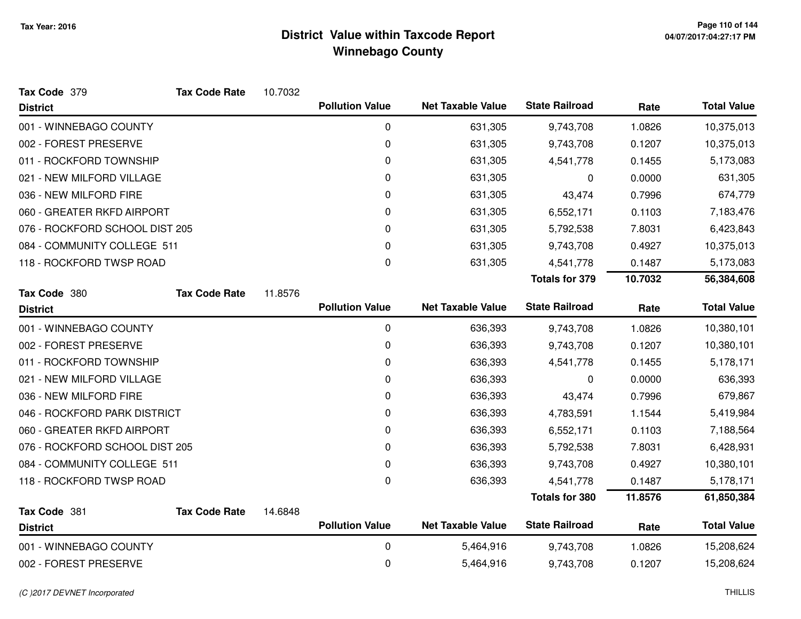| Tax Code 379                    | <b>Tax Code Rate</b> | 10.7032 |                        |                          |                       |         |                    |
|---------------------------------|----------------------|---------|------------------------|--------------------------|-----------------------|---------|--------------------|
| <b>District</b>                 |                      |         | <b>Pollution Value</b> | <b>Net Taxable Value</b> | <b>State Railroad</b> | Rate    | <b>Total Value</b> |
| 001 - WINNEBAGO COUNTY          |                      |         | 0                      | 631,305                  | 9,743,708             | 1.0826  | 10,375,013         |
| 002 - FOREST PRESERVE           |                      |         | 0                      | 631,305                  | 9,743,708             | 0.1207  | 10,375,013         |
| 011 - ROCKFORD TOWNSHIP         |                      |         | 0                      | 631,305                  | 4,541,778             | 0.1455  | 5,173,083          |
| 021 - NEW MILFORD VILLAGE       |                      |         | 0                      | 631,305                  | 0                     | 0.0000  | 631,305            |
| 036 - NEW MILFORD FIRE          |                      |         | 0                      | 631,305                  | 43,474                | 0.7996  | 674,779            |
| 060 - GREATER RKFD AIRPORT      |                      |         | 0                      | 631,305                  | 6,552,171             | 0.1103  | 7,183,476          |
| 076 - ROCKFORD SCHOOL DIST 205  |                      |         | 0                      | 631,305                  | 5,792,538             | 7.8031  | 6,423,843          |
| 084 - COMMUNITY COLLEGE 511     |                      |         | 0                      | 631,305                  | 9,743,708             | 0.4927  | 10,375,013         |
| 118 - ROCKFORD TWSP ROAD        |                      |         | 0                      | 631,305                  | 4,541,778             | 0.1487  | 5,173,083          |
|                                 |                      |         |                        |                          | <b>Totals for 379</b> | 10.7032 | 56,384,608         |
| Tax Code 380                    | <b>Tax Code Rate</b> | 11.8576 |                        |                          |                       |         |                    |
| <b>District</b>                 |                      |         | <b>Pollution Value</b> | <b>Net Taxable Value</b> | <b>State Railroad</b> | Rate    | <b>Total Value</b> |
| 001 - WINNEBAGO COUNTY          |                      |         | 0                      | 636,393                  | 9,743,708             | 1.0826  | 10,380,101         |
| 002 - FOREST PRESERVE           |                      |         | 0                      | 636,393                  | 9,743,708             | 0.1207  | 10,380,101         |
| 011 - ROCKFORD TOWNSHIP         |                      |         | 0                      | 636,393                  | 4,541,778             | 0.1455  | 5,178,171          |
| 021 - NEW MILFORD VILLAGE       |                      |         | 0                      | 636,393                  | 0                     | 0.0000  | 636,393            |
| 036 - NEW MILFORD FIRE          |                      |         | 0                      | 636,393                  | 43,474                | 0.7996  | 679,867            |
| 046 - ROCKFORD PARK DISTRICT    |                      |         | 0                      | 636,393                  | 4,783,591             | 1.1544  | 5,419,984          |
| 060 - GREATER RKFD AIRPORT      |                      |         | 0                      | 636,393                  | 6,552,171             | 0.1103  | 7,188,564          |
| 076 - ROCKFORD SCHOOL DIST 205  |                      |         | 0                      | 636,393                  | 5,792,538             | 7.8031  | 6,428,931          |
| 084 - COMMUNITY COLLEGE 511     |                      |         | 0                      | 636,393                  | 9,743,708             | 0.4927  | 10,380,101         |
| 118 - ROCKFORD TWSP ROAD        |                      |         | 0                      | 636,393                  | 4,541,778             | 0.1487  | 5,178,171          |
|                                 |                      |         |                        |                          | <b>Totals for 380</b> | 11.8576 | 61,850,384         |
| Tax Code 381<br><b>District</b> | <b>Tax Code Rate</b> | 14.6848 | <b>Pollution Value</b> | <b>Net Taxable Value</b> | <b>State Railroad</b> | Rate    | <b>Total Value</b> |
| 001 - WINNEBAGO COUNTY          |                      |         | 0                      | 5,464,916                | 9,743,708             | 1.0826  | 15,208,624         |
| 002 - FOREST PRESERVE           |                      |         | 0                      | 5,464,916                |                       |         | 15,208,624         |
|                                 |                      |         |                        |                          | 9,743,708             | 0.1207  |                    |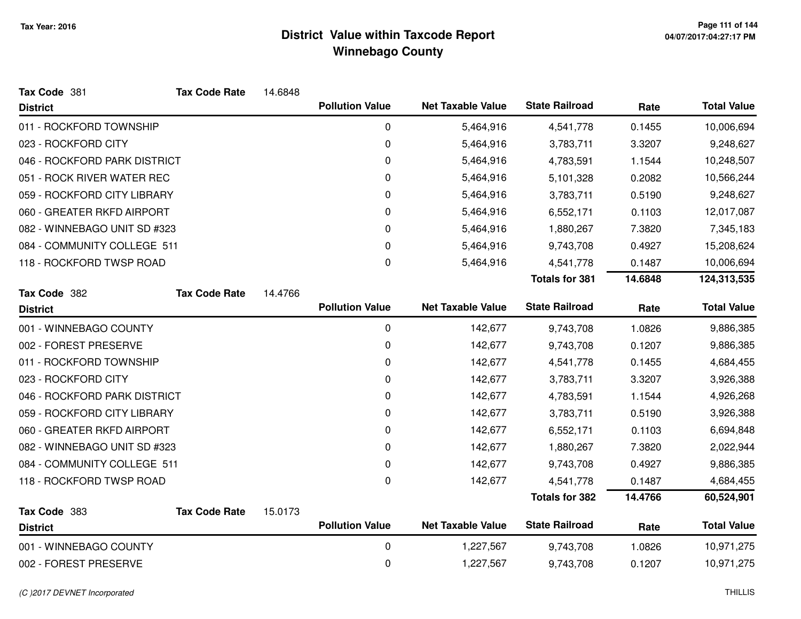| Tax Code 381                 | <b>Tax Code Rate</b> | 14.6848 |                        |                          |                       |         |                    |
|------------------------------|----------------------|---------|------------------------|--------------------------|-----------------------|---------|--------------------|
| <b>District</b>              |                      |         | <b>Pollution Value</b> | <b>Net Taxable Value</b> | <b>State Railroad</b> | Rate    | <b>Total Value</b> |
| 011 - ROCKFORD TOWNSHIP      |                      |         | 0                      | 5,464,916                | 4,541,778             | 0.1455  | 10,006,694         |
| 023 - ROCKFORD CITY          |                      |         | $\pmb{0}$              | 5,464,916                | 3,783,711             | 3.3207  | 9,248,627          |
| 046 - ROCKFORD PARK DISTRICT |                      |         | 0                      | 5,464,916                | 4,783,591             | 1.1544  | 10,248,507         |
| 051 - ROCK RIVER WATER REC   |                      |         | 0                      | 5,464,916                | 5,101,328             | 0.2082  | 10,566,244         |
| 059 - ROCKFORD CITY LIBRARY  |                      |         | 0                      | 5,464,916                | 3,783,711             | 0.5190  | 9,248,627          |
| 060 - GREATER RKFD AIRPORT   |                      |         | 0                      | 5,464,916                | 6,552,171             | 0.1103  | 12,017,087         |
| 082 - WINNEBAGO UNIT SD #323 |                      |         | 0                      | 5,464,916                | 1,880,267             | 7.3820  | 7,345,183          |
| 084 - COMMUNITY COLLEGE 511  |                      |         | 0                      | 5,464,916                | 9,743,708             | 0.4927  | 15,208,624         |
| 118 - ROCKFORD TWSP ROAD     |                      |         | 0                      | 5,464,916                | 4,541,778             | 0.1487  | 10,006,694         |
|                              |                      |         |                        |                          | <b>Totals for 381</b> | 14.6848 | 124,313,535        |
| Tax Code 382                 | <b>Tax Code Rate</b> | 14.4766 |                        |                          |                       |         |                    |
| <b>District</b>              |                      |         | <b>Pollution Value</b> | <b>Net Taxable Value</b> | <b>State Railroad</b> | Rate    | <b>Total Value</b> |
| 001 - WINNEBAGO COUNTY       |                      |         | $\mathbf 0$            | 142,677                  | 9,743,708             | 1.0826  | 9,886,385          |
| 002 - FOREST PRESERVE        |                      |         | $\pmb{0}$              | 142,677                  | 9,743,708             | 0.1207  | 9,886,385          |
| 011 - ROCKFORD TOWNSHIP      |                      |         | 0                      | 142,677                  | 4,541,778             | 0.1455  | 4,684,455          |
| 023 - ROCKFORD CITY          |                      |         | 0                      | 142,677                  | 3,783,711             | 3.3207  | 3,926,388          |
| 046 - ROCKFORD PARK DISTRICT |                      |         | 0                      | 142,677                  | 4,783,591             | 1.1544  | 4,926,268          |
| 059 - ROCKFORD CITY LIBRARY  |                      |         | $\pmb{0}$              | 142,677                  | 3,783,711             | 0.5190  | 3,926,388          |
| 060 - GREATER RKFD AIRPORT   |                      |         | 0                      | 142,677                  | 6,552,171             | 0.1103  | 6,694,848          |
| 082 - WINNEBAGO UNIT SD #323 |                      |         | 0                      | 142,677                  | 1,880,267             | 7.3820  | 2,022,944          |
| 084 - COMMUNITY COLLEGE 511  |                      |         | 0                      | 142,677                  | 9,743,708             | 0.4927  | 9,886,385          |
| 118 - ROCKFORD TWSP ROAD     |                      |         | $\pmb{0}$              | 142,677                  | 4,541,778             | 0.1487  | 4,684,455          |
|                              |                      |         |                        |                          | <b>Totals for 382</b> | 14.4766 | 60,524,901         |
| Tax Code 383                 | <b>Tax Code Rate</b> | 15.0173 | <b>Pollution Value</b> | <b>Net Taxable Value</b> | <b>State Railroad</b> |         | <b>Total Value</b> |
| <b>District</b>              |                      |         |                        |                          |                       | Rate    |                    |
| 001 - WINNEBAGO COUNTY       |                      |         | 0                      | 1,227,567                | 9,743,708             | 1.0826  | 10,971,275         |
| 002 - FOREST PRESERVE        |                      |         | 0                      | 1,227,567                | 9,743,708             | 0.1207  | 10,971,275         |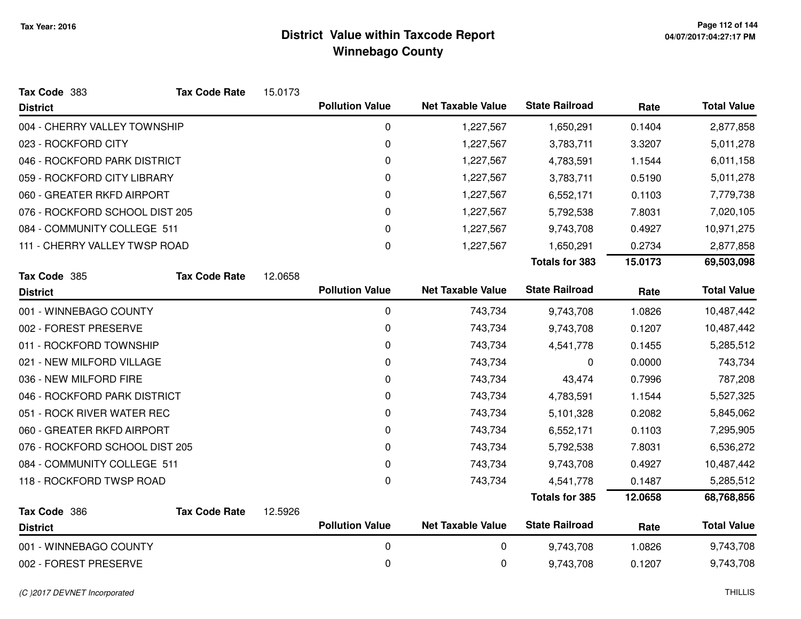| Tax Code 383                    | <b>Tax Code Rate</b> | 15.0173 |                        |                          |                       |         |                    |
|---------------------------------|----------------------|---------|------------------------|--------------------------|-----------------------|---------|--------------------|
| <b>District</b>                 |                      |         | <b>Pollution Value</b> | <b>Net Taxable Value</b> | <b>State Railroad</b> | Rate    | <b>Total Value</b> |
| 004 - CHERRY VALLEY TOWNSHIP    |                      |         | 0                      | 1,227,567                | 1,650,291             | 0.1404  | 2,877,858          |
| 023 - ROCKFORD CITY             |                      |         | 0                      | 1,227,567                | 3,783,711             | 3.3207  | 5,011,278          |
| 046 - ROCKFORD PARK DISTRICT    |                      |         | 0                      | 1,227,567                | 4,783,591             | 1.1544  | 6,011,158          |
| 059 - ROCKFORD CITY LIBRARY     |                      |         | 0                      | 1,227,567                | 3,783,711             | 0.5190  | 5,011,278          |
| 060 - GREATER RKFD AIRPORT      |                      |         | 0                      | 1,227,567                | 6,552,171             | 0.1103  | 7,779,738          |
| 076 - ROCKFORD SCHOOL DIST 205  |                      |         | 0                      | 1,227,567                | 5,792,538             | 7.8031  | 7,020,105          |
| 084 - COMMUNITY COLLEGE 511     |                      |         | 0                      | 1,227,567                | 9,743,708             | 0.4927  | 10,971,275         |
| 111 - CHERRY VALLEY TWSP ROAD   |                      |         | 0                      | 1,227,567                | 1,650,291             | 0.2734  | 2,877,858          |
|                                 |                      |         |                        |                          | <b>Totals for 383</b> | 15.0173 | 69,503,098         |
| Tax Code 385                    | <b>Tax Code Rate</b> | 12.0658 |                        |                          |                       |         |                    |
| <b>District</b>                 |                      |         | <b>Pollution Value</b> | <b>Net Taxable Value</b> | <b>State Railroad</b> | Rate    | <b>Total Value</b> |
| 001 - WINNEBAGO COUNTY          |                      |         | 0                      | 743,734                  | 9,743,708             | 1.0826  | 10,487,442         |
| 002 - FOREST PRESERVE           |                      |         | 0                      | 743,734                  | 9,743,708             | 0.1207  | 10,487,442         |
| 011 - ROCKFORD TOWNSHIP         |                      |         | 0                      | 743,734                  | 4,541,778             | 0.1455  | 5,285,512          |
| 021 - NEW MILFORD VILLAGE       |                      |         | 0                      | 743,734                  | 0                     | 0.0000  | 743,734            |
| 036 - NEW MILFORD FIRE          |                      |         | 0                      | 743,734                  | 43,474                | 0.7996  | 787,208            |
| 046 - ROCKFORD PARK DISTRICT    |                      |         | 0                      | 743,734                  | 4,783,591             | 1.1544  | 5,527,325          |
| 051 - ROCK RIVER WATER REC      |                      |         | 0                      | 743,734                  | 5,101,328             | 0.2082  | 5,845,062          |
| 060 - GREATER RKFD AIRPORT      |                      |         | 0                      | 743,734                  | 6,552,171             | 0.1103  | 7,295,905          |
| 076 - ROCKFORD SCHOOL DIST 205  |                      |         | 0                      | 743,734                  | 5,792,538             | 7.8031  | 6,536,272          |
| 084 - COMMUNITY COLLEGE 511     |                      |         | 0                      | 743,734                  | 9,743,708             | 0.4927  | 10,487,442         |
| 118 - ROCKFORD TWSP ROAD        |                      |         | 0                      | 743,734                  | 4,541,778             | 0.1487  | 5,285,512          |
|                                 |                      |         |                        |                          | <b>Totals for 385</b> | 12.0658 | 68,768,856         |
| Tax Code 386<br><b>District</b> | <b>Tax Code Rate</b> | 12.5926 | <b>Pollution Value</b> | <b>Net Taxable Value</b> | <b>State Railroad</b> | Rate    | <b>Total Value</b> |
| 001 - WINNEBAGO COUNTY          |                      |         | 0                      | 0                        | 9,743,708             | 1.0826  | 9,743,708          |
| 002 - FOREST PRESERVE           |                      |         | 0                      | 0                        | 9,743,708             | 0.1207  | 9,743,708          |
|                                 |                      |         |                        |                          |                       |         |                    |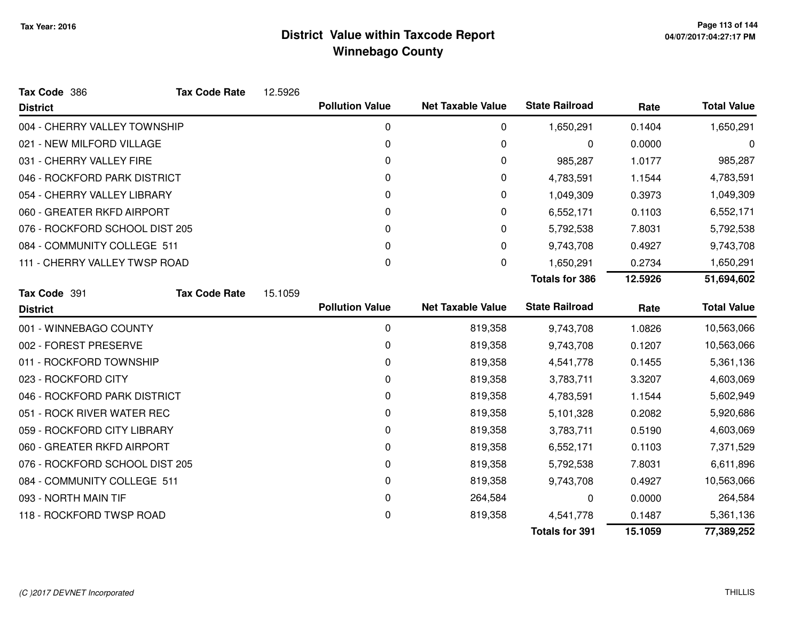| Tax Code 386                   | <b>Tax Code Rate</b> | 12.5926 |                        |                          |                       |         |                    |
|--------------------------------|----------------------|---------|------------------------|--------------------------|-----------------------|---------|--------------------|
| <b>District</b>                |                      |         | <b>Pollution Value</b> | <b>Net Taxable Value</b> | <b>State Railroad</b> | Rate    | <b>Total Value</b> |
| 004 - CHERRY VALLEY TOWNSHIP   |                      |         | $\mathbf 0$            | 0                        | 1,650,291             | 0.1404  | 1,650,291          |
| 021 - NEW MILFORD VILLAGE      |                      |         | $\Omega$               | 0                        | 0                     | 0.0000  | 0                  |
| 031 - CHERRY VALLEY FIRE       |                      |         | 0                      | 0                        | 985,287               | 1.0177  | 985,287            |
| 046 - ROCKFORD PARK DISTRICT   |                      |         | 0                      | 0                        | 4,783,591             | 1.1544  | 4,783,591          |
| 054 - CHERRY VALLEY LIBRARY    |                      |         | 0                      | 0                        | 1,049,309             | 0.3973  | 1,049,309          |
| 060 - GREATER RKFD AIRPORT     |                      |         | 0                      | 0                        | 6,552,171             | 0.1103  | 6,552,171          |
| 076 - ROCKFORD SCHOOL DIST 205 |                      |         | 0                      | 0                        | 5,792,538             | 7.8031  | 5,792,538          |
| 084 - COMMUNITY COLLEGE 511    |                      |         | 0                      | 0                        | 9,743,708             | 0.4927  | 9,743,708          |
| 111 - CHERRY VALLEY TWSP ROAD  |                      |         | $\Omega$               | 0                        | 1,650,291             | 0.2734  | 1,650,291          |
|                                |                      |         |                        |                          | <b>Totals for 386</b> | 12.5926 | 51,694,602         |
| Tax Code 391                   | <b>Tax Code Rate</b> | 15.1059 |                        |                          |                       |         |                    |
| <b>District</b>                |                      |         | <b>Pollution Value</b> | <b>Net Taxable Value</b> | <b>State Railroad</b> | Rate    | <b>Total Value</b> |
| 001 - WINNEBAGO COUNTY         |                      |         | 0                      | 819,358                  | 9,743,708             | 1.0826  | 10,563,066         |
| 002 - FOREST PRESERVE          |                      |         | 0                      | 819,358                  | 9,743,708             | 0.1207  | 10,563,066         |
| 011 - ROCKFORD TOWNSHIP        |                      |         | 0                      | 819,358                  | 4,541,778             | 0.1455  | 5,361,136          |
| 023 - ROCKFORD CITY            |                      |         | $\Omega$               | 819,358                  | 3,783,711             | 3.3207  | 4,603,069          |
| 046 - ROCKFORD PARK DISTRICT   |                      |         | 0                      | 819,358                  | 4,783,591             | 1.1544  | 5,602,949          |
| 051 - ROCK RIVER WATER REC     |                      |         | 0                      | 819,358                  | 5,101,328             | 0.2082  | 5,920,686          |
| 059 - ROCKFORD CITY LIBRARY    |                      |         | $\mathbf 0$            | 819,358                  | 3,783,711             | 0.5190  | 4,603,069          |
| 060 - GREATER RKFD AIRPORT     |                      |         | 0                      | 819,358                  | 6,552,171             | 0.1103  | 7,371,529          |
| 076 - ROCKFORD SCHOOL DIST 205 |                      |         | 0                      | 819,358                  | 5,792,538             | 7.8031  | 6,611,896          |
| 084 - COMMUNITY COLLEGE 511    |                      |         | 0                      | 819,358                  | 9,743,708             | 0.4927  | 10,563,066         |
| 093 - NORTH MAIN TIF           |                      |         | 0                      | 264,584                  | 0                     | 0.0000  | 264,584            |
| 118 - ROCKFORD TWSP ROAD       |                      |         | 0                      | 819,358                  | 4,541,778             | 0.1487  | 5,361,136          |
|                                |                      |         |                        |                          | <b>Totals for 391</b> | 15.1059 | 77,389,252         |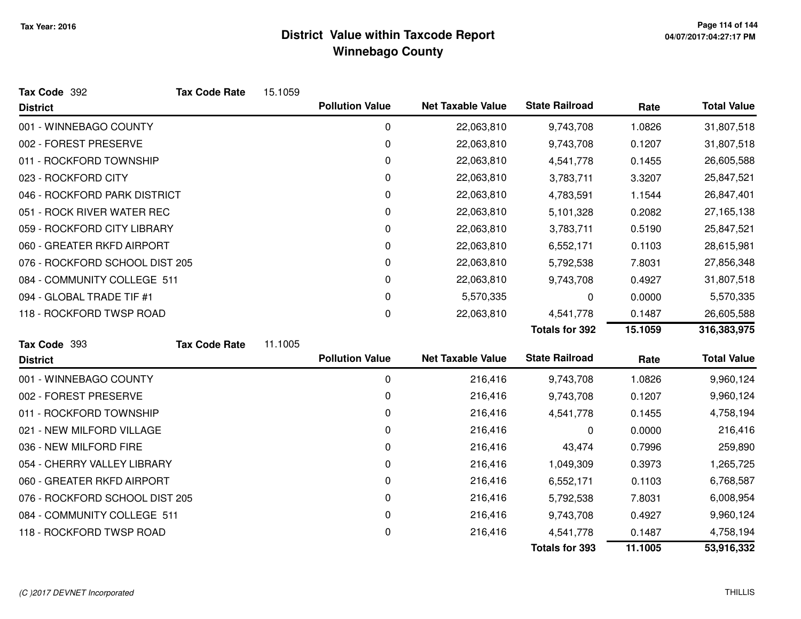| Tax Code 392                   | <b>Tax Code Rate</b> | 15.1059 |                        |                          |                       |         |                    |
|--------------------------------|----------------------|---------|------------------------|--------------------------|-----------------------|---------|--------------------|
| <b>District</b>                |                      |         | <b>Pollution Value</b> | <b>Net Taxable Value</b> | <b>State Railroad</b> | Rate    | <b>Total Value</b> |
| 001 - WINNEBAGO COUNTY         |                      |         | $\mathbf 0$            | 22,063,810               | 9,743,708             | 1.0826  | 31,807,518         |
| 002 - FOREST PRESERVE          |                      |         | 0                      | 22,063,810               | 9,743,708             | 0.1207  | 31,807,518         |
| 011 - ROCKFORD TOWNSHIP        |                      |         | 0                      | 22,063,810               | 4,541,778             | 0.1455  | 26,605,588         |
| 023 - ROCKFORD CITY            |                      |         | 0                      | 22,063,810               | 3,783,711             | 3.3207  | 25,847,521         |
| 046 - ROCKFORD PARK DISTRICT   |                      |         | 0                      | 22,063,810               | 4,783,591             | 1.1544  | 26,847,401         |
| 051 - ROCK RIVER WATER REC     |                      |         | 0                      | 22,063,810               | 5,101,328             | 0.2082  | 27,165,138         |
| 059 - ROCKFORD CITY LIBRARY    |                      |         | 0                      | 22,063,810               | 3,783,711             | 0.5190  | 25,847,521         |
| 060 - GREATER RKFD AIRPORT     |                      |         | 0                      | 22,063,810               | 6,552,171             | 0.1103  | 28,615,981         |
| 076 - ROCKFORD SCHOOL DIST 205 |                      |         | 0                      | 22,063,810               | 5,792,538             | 7.8031  | 27,856,348         |
| 084 - COMMUNITY COLLEGE 511    |                      |         | 0                      | 22,063,810               | 9,743,708             | 0.4927  | 31,807,518         |
| 094 - GLOBAL TRADE TIF #1      |                      |         | 0                      | 5,570,335                | 0                     | 0.0000  | 5,570,335          |
| 118 - ROCKFORD TWSP ROAD       |                      |         | 0                      | 22,063,810               | 4,541,778             | 0.1487  | 26,605,588         |
|                                |                      |         |                        |                          | <b>Totals for 392</b> | 15.1059 | 316,383,975        |
| Tax Code 393                   | <b>Tax Code Rate</b> | 11.1005 |                        |                          |                       |         |                    |
| <b>District</b>                |                      |         | <b>Pollution Value</b> | <b>Net Taxable Value</b> | <b>State Railroad</b> | Rate    | <b>Total Value</b> |
| 001 - WINNEBAGO COUNTY         |                      |         | $\mathbf 0$            | 216,416                  | 9,743,708             | 1.0826  | 9,960,124          |
| 002 - FOREST PRESERVE          |                      |         | 0                      | 216,416                  | 9,743,708             | 0.1207  | 9,960,124          |
| 011 - ROCKFORD TOWNSHIP        |                      |         | 0                      | 216,416                  | 4,541,778             | 0.1455  | 4,758,194          |
| 021 - NEW MILFORD VILLAGE      |                      |         | 0                      | 216,416                  | 0                     | 0.0000  | 216,416            |
| 036 - NEW MILFORD FIRE         |                      |         | 0                      | 216,416                  | 43,474                | 0.7996  | 259,890            |
| 054 - CHERRY VALLEY LIBRARY    |                      |         | 0                      | 216,416                  | 1,049,309             | 0.3973  | 1,265,725          |
| 060 - GREATER RKFD AIRPORT     |                      |         | 0                      | 216,416                  | 6,552,171             | 0.1103  | 6,768,587          |
| 076 - ROCKFORD SCHOOL DIST 205 |                      |         | $\mathbf 0$            | 216,416                  | 5,792,538             | 7.8031  | 6,008,954          |
| 084 - COMMUNITY COLLEGE 511    |                      |         | 0                      | 216,416                  | 9,743,708             | 0.4927  | 9,960,124          |
| 118 - ROCKFORD TWSP ROAD       |                      |         | 0                      | 216,416                  | 4,541,778             | 0.1487  | 4,758,194          |
|                                |                      |         |                        |                          | <b>Totals for 393</b> | 11.1005 | 53,916,332         |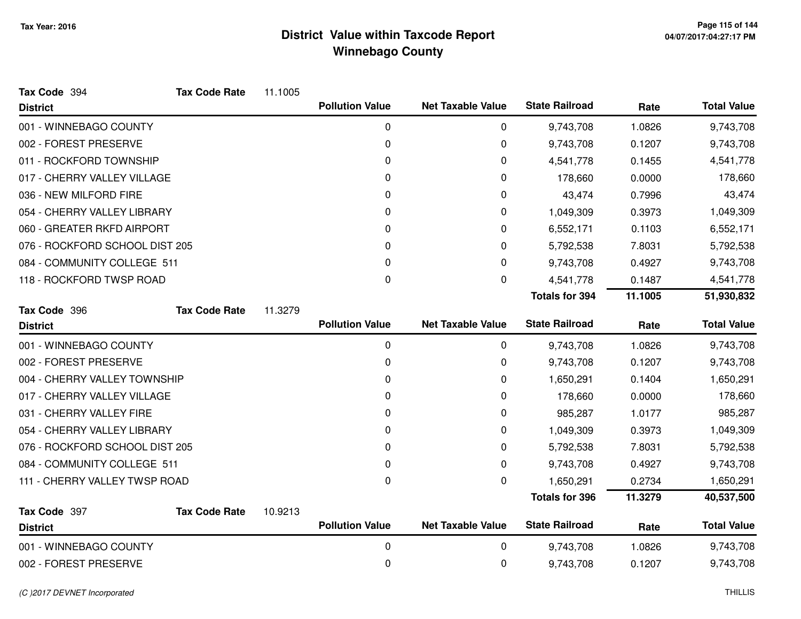| Tax Code 394                   | <b>Tax Code Rate</b> | 11.1005 |                        |                          |                       |         |                    |
|--------------------------------|----------------------|---------|------------------------|--------------------------|-----------------------|---------|--------------------|
| <b>District</b>                |                      |         | <b>Pollution Value</b> | <b>Net Taxable Value</b> | <b>State Railroad</b> | Rate    | <b>Total Value</b> |
| 001 - WINNEBAGO COUNTY         |                      |         | 0                      | 0                        | 9,743,708             | 1.0826  | 9,743,708          |
| 002 - FOREST PRESERVE          |                      |         | 0                      | 0                        | 9,743,708             | 0.1207  | 9,743,708          |
| 011 - ROCKFORD TOWNSHIP        |                      |         | 0                      | 0                        | 4,541,778             | 0.1455  | 4,541,778          |
| 017 - CHERRY VALLEY VILLAGE    |                      |         | 0                      | 0                        | 178,660               | 0.0000  | 178,660            |
| 036 - NEW MILFORD FIRE         |                      |         | 0                      | 0                        | 43,474                | 0.7996  | 43,474             |
| 054 - CHERRY VALLEY LIBRARY    |                      |         | 0                      | 0                        | 1,049,309             | 0.3973  | 1,049,309          |
| 060 - GREATER RKFD AIRPORT     |                      |         | 0                      | 0                        | 6,552,171             | 0.1103  | 6,552,171          |
| 076 - ROCKFORD SCHOOL DIST 205 |                      |         | 0                      | 0                        | 5,792,538             | 7.8031  | 5,792,538          |
| 084 - COMMUNITY COLLEGE 511    |                      |         | 0                      | $\Omega$                 | 9,743,708             | 0.4927  | 9,743,708          |
| 118 - ROCKFORD TWSP ROAD       |                      |         | 0                      | 0                        | 4,541,778             | 0.1487  | 4,541,778          |
|                                |                      |         |                        |                          | <b>Totals for 394</b> | 11.1005 | 51,930,832         |
| Tax Code 396                   | <b>Tax Code Rate</b> | 11.3279 |                        |                          |                       |         |                    |
| <b>District</b>                |                      |         | <b>Pollution Value</b> | <b>Net Taxable Value</b> | <b>State Railroad</b> | Rate    | <b>Total Value</b> |
| 001 - WINNEBAGO COUNTY         |                      |         | 0                      | 0                        | 9,743,708             | 1.0826  | 9,743,708          |
| 002 - FOREST PRESERVE          |                      |         | 0                      | 0                        | 9,743,708             | 0.1207  | 9,743,708          |
| 004 - CHERRY VALLEY TOWNSHIP   |                      |         | 0                      | 0                        | 1,650,291             | 0.1404  | 1,650,291          |
| 017 - CHERRY VALLEY VILLAGE    |                      |         | 0                      | 0                        | 178,660               | 0.0000  | 178,660            |
| 031 - CHERRY VALLEY FIRE       |                      |         | 0                      | 0                        | 985,287               | 1.0177  | 985,287            |
| 054 - CHERRY VALLEY LIBRARY    |                      |         | 0                      | 0                        | 1,049,309             | 0.3973  | 1,049,309          |
| 076 - ROCKFORD SCHOOL DIST 205 |                      |         | 0                      | 0                        | 5,792,538             | 7.8031  | 5,792,538          |
| 084 - COMMUNITY COLLEGE 511    |                      |         | 0                      | 0                        | 9,743,708             | 0.4927  | 9,743,708          |
| 111 - CHERRY VALLEY TWSP ROAD  |                      |         | $\Omega$               | 0                        | 1,650,291             | 0.2734  | 1,650,291          |
|                                |                      |         |                        |                          | <b>Totals for 396</b> | 11.3279 | 40,537,500         |
| Tax Code 397                   | <b>Tax Code Rate</b> | 10.9213 |                        |                          |                       |         |                    |
| <b>District</b>                |                      |         | <b>Pollution Value</b> | <b>Net Taxable Value</b> | <b>State Railroad</b> | Rate    | <b>Total Value</b> |
| 001 - WINNEBAGO COUNTY         |                      |         | 0                      | 0                        | 9,743,708             | 1.0826  | 9,743,708          |
| 002 - FOREST PRESERVE          |                      |         | 0                      | 0                        | 9,743,708             | 0.1207  | 9,743,708          |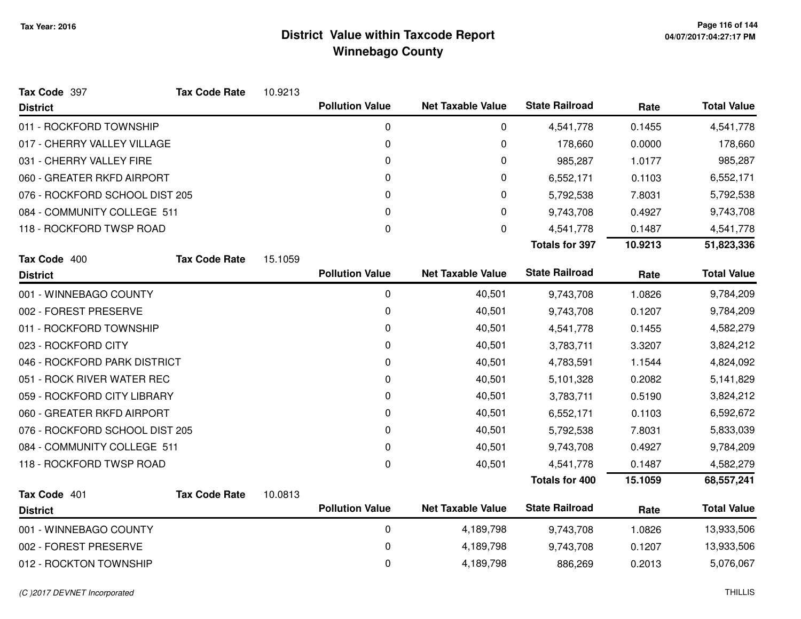| Tax Code 397                   | <b>Tax Code Rate</b> | 10.9213 |                        |                          |                       |         |                    |
|--------------------------------|----------------------|---------|------------------------|--------------------------|-----------------------|---------|--------------------|
| <b>District</b>                |                      |         | <b>Pollution Value</b> | <b>Net Taxable Value</b> | <b>State Railroad</b> | Rate    | <b>Total Value</b> |
| 011 - ROCKFORD TOWNSHIP        |                      |         | 0                      | 0                        | 4,541,778             | 0.1455  | 4,541,778          |
| 017 - CHERRY VALLEY VILLAGE    |                      |         | $\mathbf 0$            | 0                        | 178,660               | 0.0000  | 178,660            |
| 031 - CHERRY VALLEY FIRE       |                      |         | 0                      | 0                        | 985,287               | 1.0177  | 985,287            |
| 060 - GREATER RKFD AIRPORT     |                      |         | $\mathbf 0$            | 0                        | 6,552,171             | 0.1103  | 6,552,171          |
| 076 - ROCKFORD SCHOOL DIST 205 |                      |         | 0                      | 0                        | 5,792,538             | 7.8031  | 5,792,538          |
| 084 - COMMUNITY COLLEGE 511    |                      |         | 0                      | 0                        | 9,743,708             | 0.4927  | 9,743,708          |
| 118 - ROCKFORD TWSP ROAD       |                      |         | $\boldsymbol{0}$       | 0                        | 4,541,778             | 0.1487  | 4,541,778          |
|                                |                      |         |                        |                          | <b>Totals for 397</b> | 10.9213 | 51,823,336         |
| Tax Code 400                   | <b>Tax Code Rate</b> | 15.1059 |                        |                          |                       |         |                    |
| <b>District</b>                |                      |         | <b>Pollution Value</b> | <b>Net Taxable Value</b> | <b>State Railroad</b> | Rate    | <b>Total Value</b> |
| 001 - WINNEBAGO COUNTY         |                      |         | $\pmb{0}$              | 40,501                   | 9,743,708             | 1.0826  | 9,784,209          |
| 002 - FOREST PRESERVE          |                      |         | 0                      | 40,501                   | 9,743,708             | 0.1207  | 9,784,209          |
| 011 - ROCKFORD TOWNSHIP        |                      |         | 0                      | 40,501                   | 4,541,778             | 0.1455  | 4,582,279          |
| 023 - ROCKFORD CITY            |                      |         | 0                      | 40,501                   | 3,783,711             | 3.3207  | 3,824,212          |
| 046 - ROCKFORD PARK DISTRICT   |                      |         | 0                      | 40,501                   | 4,783,591             | 1.1544  | 4,824,092          |
| 051 - ROCK RIVER WATER REC     |                      |         | $\mathbf 0$            | 40,501                   | 5,101,328             | 0.2082  | 5,141,829          |
| 059 - ROCKFORD CITY LIBRARY    |                      |         | 0                      | 40,501                   | 3,783,711             | 0.5190  | 3,824,212          |
| 060 - GREATER RKFD AIRPORT     |                      |         | $\mathbf 0$            | 40,501                   | 6,552,171             | 0.1103  | 6,592,672          |
| 076 - ROCKFORD SCHOOL DIST 205 |                      |         | 0                      | 40,501                   | 5,792,538             | 7.8031  | 5,833,039          |
| 084 - COMMUNITY COLLEGE 511    |                      |         | $\Omega$               | 40,501                   | 9,743,708             | 0.4927  | 9,784,209          |
| 118 - ROCKFORD TWSP ROAD       |                      |         | $\mathbf 0$            | 40,501                   | 4,541,778             | 0.1487  | 4,582,279          |
|                                |                      |         |                        |                          | <b>Totals for 400</b> | 15.1059 | 68,557,241         |
| Tax Code 401                   | <b>Tax Code Rate</b> | 10.0813 |                        |                          |                       |         |                    |
| <b>District</b>                |                      |         | <b>Pollution Value</b> | <b>Net Taxable Value</b> | <b>State Railroad</b> | Rate    | <b>Total Value</b> |
| 001 - WINNEBAGO COUNTY         |                      |         | $\pmb{0}$              | 4,189,798                | 9,743,708             | 1.0826  | 13,933,506         |
| 002 - FOREST PRESERVE          |                      |         | 0                      | 4,189,798                | 9,743,708             | 0.1207  | 13,933,506         |
| 012 - ROCKTON TOWNSHIP         |                      |         | 0                      | 4,189,798                | 886,269               | 0.2013  | 5,076,067          |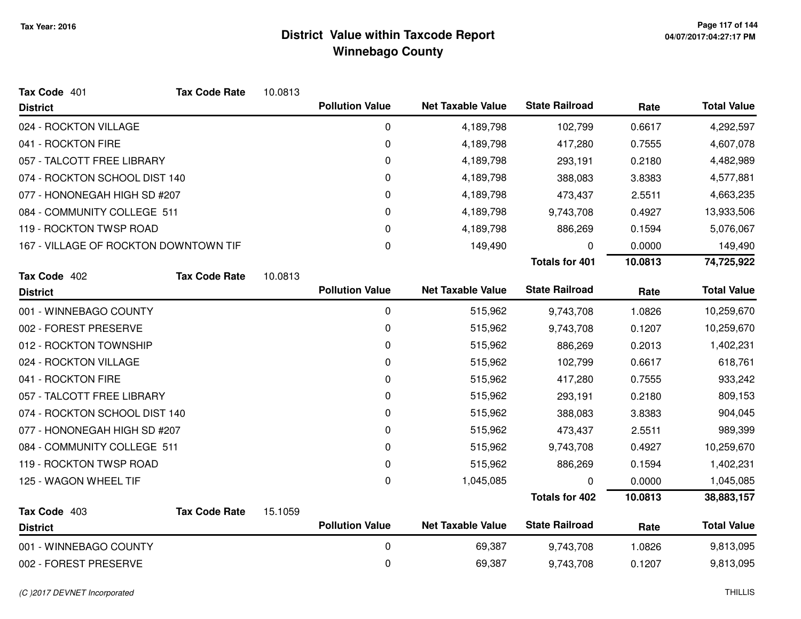| Tax Code 401                          | <b>Tax Code Rate</b> | 10.0813 |                        |                          |                       |         |                    |
|---------------------------------------|----------------------|---------|------------------------|--------------------------|-----------------------|---------|--------------------|
| <b>District</b>                       |                      |         | <b>Pollution Value</b> | <b>Net Taxable Value</b> | <b>State Railroad</b> | Rate    | <b>Total Value</b> |
| 024 - ROCKTON VILLAGE                 |                      |         | 0                      | 4,189,798                | 102,799               | 0.6617  | 4,292,597          |
| 041 - ROCKTON FIRE                    |                      |         | 0                      | 4,189,798                | 417,280               | 0.7555  | 4,607,078          |
| 057 - TALCOTT FREE LIBRARY            |                      |         | 0                      | 4,189,798                | 293,191               | 0.2180  | 4,482,989          |
| 074 - ROCKTON SCHOOL DIST 140         |                      |         | 0                      | 4,189,798                | 388,083               | 3.8383  | 4,577,881          |
| 077 - HONONEGAH HIGH SD #207          |                      |         | 0                      | 4,189,798                | 473,437               | 2.5511  | 4,663,235          |
| 084 - COMMUNITY COLLEGE 511           |                      |         | 0                      | 4,189,798                | 9,743,708             | 0.4927  | 13,933,506         |
| 119 - ROCKTON TWSP ROAD               |                      |         | 0                      | 4,189,798                | 886,269               | 0.1594  | 5,076,067          |
| 167 - VILLAGE OF ROCKTON DOWNTOWN TIF |                      |         | 0                      | 149,490                  | 0                     | 0.0000  | 149,490            |
|                                       |                      |         |                        |                          | <b>Totals for 401</b> | 10.0813 | 74,725,922         |
| Tax Code 402                          | <b>Tax Code Rate</b> | 10.0813 |                        |                          |                       |         |                    |
| <b>District</b>                       |                      |         | <b>Pollution Value</b> | <b>Net Taxable Value</b> | <b>State Railroad</b> | Rate    | <b>Total Value</b> |
| 001 - WINNEBAGO COUNTY                |                      |         | 0                      | 515,962                  | 9,743,708             | 1.0826  | 10,259,670         |
| 002 - FOREST PRESERVE                 |                      |         | 0                      | 515,962                  | 9,743,708             | 0.1207  | 10,259,670         |
| 012 - ROCKTON TOWNSHIP                |                      |         | 0                      | 515,962                  | 886,269               | 0.2013  | 1,402,231          |
| 024 - ROCKTON VILLAGE                 |                      |         | 0                      | 515,962                  | 102,799               | 0.6617  | 618,761            |
| 041 - ROCKTON FIRE                    |                      |         | 0                      | 515,962                  | 417,280               | 0.7555  | 933,242            |
| 057 - TALCOTT FREE LIBRARY            |                      |         | 0                      | 515,962                  | 293,191               | 0.2180  | 809,153            |
| 074 - ROCKTON SCHOOL DIST 140         |                      |         | 0                      | 515,962                  | 388,083               | 3.8383  | 904,045            |
| 077 - HONONEGAH HIGH SD #207          |                      |         | 0                      | 515,962                  | 473,437               | 2.5511  | 989,399            |
| 084 - COMMUNITY COLLEGE 511           |                      |         | 0                      | 515,962                  | 9,743,708             | 0.4927  | 10,259,670         |
| 119 - ROCKTON TWSP ROAD               |                      |         | 0                      | 515,962                  | 886,269               | 0.1594  | 1,402,231          |
| 125 - WAGON WHEEL TIF                 |                      |         | 0                      | 1,045,085                | 0                     | 0.0000  | 1,045,085          |
|                                       |                      |         |                        |                          | <b>Totals for 402</b> | 10.0813 | 38,883,157         |
| Tax Code 403<br><b>District</b>       | <b>Tax Code Rate</b> | 15.1059 | <b>Pollution Value</b> | <b>Net Taxable Value</b> | <b>State Railroad</b> | Rate    | <b>Total Value</b> |
| 001 - WINNEBAGO COUNTY                |                      |         |                        | 69,387                   |                       |         |                    |
|                                       |                      |         | 0<br>0                 |                          | 9,743,708             | 1.0826  | 9,813,095          |
| 002 - FOREST PRESERVE                 |                      |         |                        | 69,387                   | 9,743,708             | 0.1207  | 9,813,095          |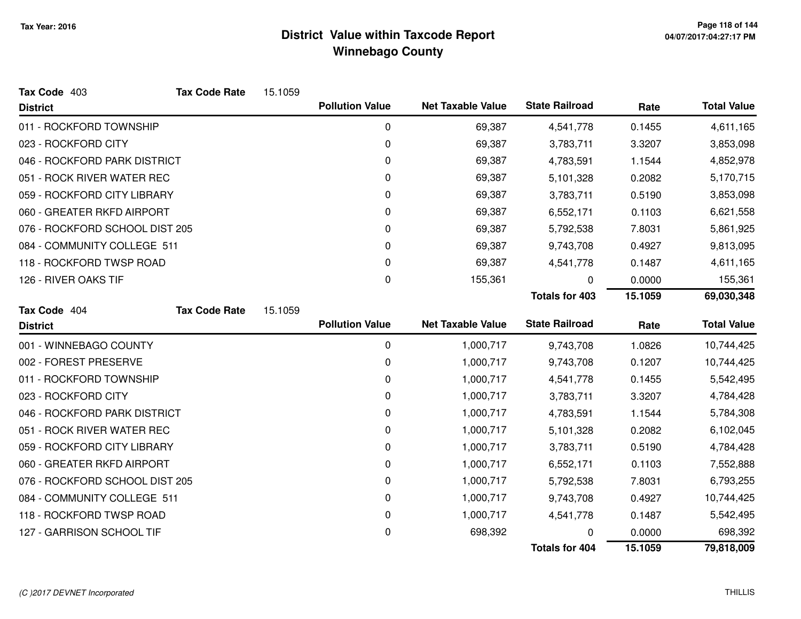| Tax Code 403                   | <b>Tax Code Rate</b> | 15.1059 |                        |                          |                       |         |                    |
|--------------------------------|----------------------|---------|------------------------|--------------------------|-----------------------|---------|--------------------|
| <b>District</b>                |                      |         | <b>Pollution Value</b> | <b>Net Taxable Value</b> | <b>State Railroad</b> | Rate    | <b>Total Value</b> |
| 011 - ROCKFORD TOWNSHIP        |                      |         | $\pmb{0}$              | 69,387                   | 4,541,778             | 0.1455  | 4,611,165          |
| 023 - ROCKFORD CITY            |                      |         | 0                      | 69,387                   | 3,783,711             | 3.3207  | 3,853,098          |
| 046 - ROCKFORD PARK DISTRICT   |                      |         | 0                      | 69,387                   | 4,783,591             | 1.1544  | 4,852,978          |
| 051 - ROCK RIVER WATER REC     |                      |         | 0                      | 69,387                   | 5,101,328             | 0.2082  | 5,170,715          |
| 059 - ROCKFORD CITY LIBRARY    |                      |         | 0                      | 69,387                   | 3,783,711             | 0.5190  | 3,853,098          |
| 060 - GREATER RKFD AIRPORT     |                      |         | 0                      | 69,387                   | 6,552,171             | 0.1103  | 6,621,558          |
| 076 - ROCKFORD SCHOOL DIST 205 |                      |         | 0                      | 69,387                   | 5,792,538             | 7.8031  | 5,861,925          |
| 084 - COMMUNITY COLLEGE 511    |                      |         | 0                      | 69,387                   | 9,743,708             | 0.4927  | 9,813,095          |
| 118 - ROCKFORD TWSP ROAD       |                      |         | 0                      | 69,387                   | 4,541,778             | 0.1487  | 4,611,165          |
| 126 - RIVER OAKS TIF           |                      |         | $\pmb{0}$              | 155,361                  | 0                     | 0.0000  | 155,361            |
|                                |                      |         |                        |                          | <b>Totals for 403</b> | 15.1059 | 69,030,348         |
| Tax Code 404                   | <b>Tax Code Rate</b> | 15.1059 |                        |                          |                       |         |                    |
| <b>District</b>                |                      |         | <b>Pollution Value</b> | <b>Net Taxable Value</b> | <b>State Railroad</b> | Rate    | <b>Total Value</b> |
| 001 - WINNEBAGO COUNTY         |                      |         | 0                      | 1,000,717                | 9,743,708             | 1.0826  | 10,744,425         |
| 002 - FOREST PRESERVE          |                      |         | $\pmb{0}$              | 1,000,717                | 9,743,708             | 0.1207  | 10,744,425         |
| 011 - ROCKFORD TOWNSHIP        |                      |         | 0                      | 1,000,717                | 4,541,778             | 0.1455  | 5,542,495          |
| 023 - ROCKFORD CITY            |                      |         | 0                      | 1,000,717                | 3,783,711             | 3.3207  | 4,784,428          |
| 046 - ROCKFORD PARK DISTRICT   |                      |         | 0                      | 1,000,717                | 4,783,591             | 1.1544  | 5,784,308          |
| 051 - ROCK RIVER WATER REC     |                      |         | 0                      | 1,000,717                | 5,101,328             | 0.2082  | 6,102,045          |
| 059 - ROCKFORD CITY LIBRARY    |                      |         | 0                      | 1,000,717                | 3,783,711             | 0.5190  | 4,784,428          |
| 060 - GREATER RKFD AIRPORT     |                      |         | 0                      | 1,000,717                | 6,552,171             | 0.1103  | 7,552,888          |
| 076 - ROCKFORD SCHOOL DIST 205 |                      |         | 0                      | 1,000,717                | 5,792,538             | 7.8031  | 6,793,255          |
| 084 - COMMUNITY COLLEGE 511    |                      |         | 0                      | 1,000,717                | 9,743,708             | 0.4927  | 10,744,425         |
| 118 - ROCKFORD TWSP ROAD       |                      |         | 0                      | 1,000,717                | 4,541,778             | 0.1487  | 5,542,495          |
| 127 - GARRISON SCHOOL TIF      |                      |         | $\pmb{0}$              | 698,392                  |                       | 0.0000  | 698,392            |
|                                |                      |         |                        |                          | <b>Totals for 404</b> | 15.1059 | 79,818,009         |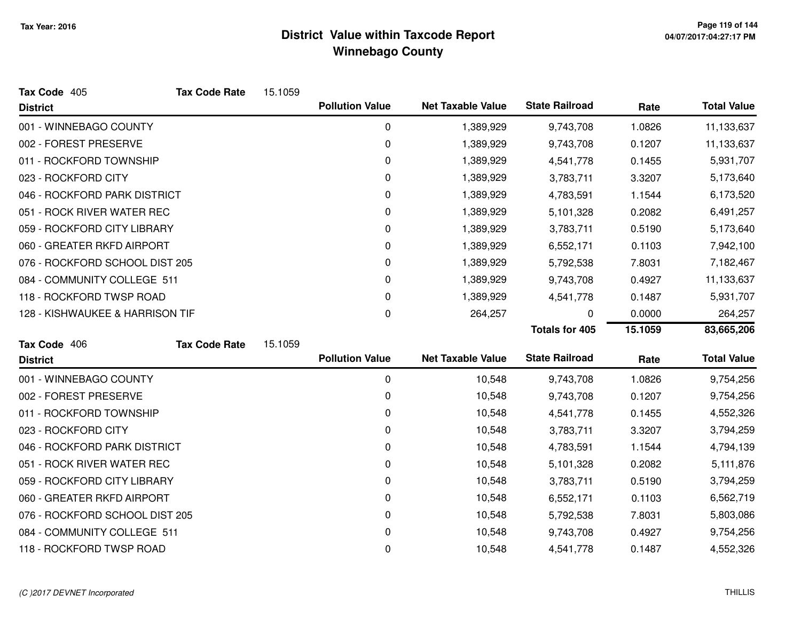| Tax Code 405                    | <b>Tax Code Rate</b> | 15.1059 |                        |                          |                       |         |                    |
|---------------------------------|----------------------|---------|------------------------|--------------------------|-----------------------|---------|--------------------|
| <b>District</b>                 |                      |         | <b>Pollution Value</b> | <b>Net Taxable Value</b> | <b>State Railroad</b> | Rate    | <b>Total Value</b> |
| 001 - WINNEBAGO COUNTY          |                      |         | 0                      | 1,389,929                | 9,743,708             | 1.0826  | 11,133,637         |
| 002 - FOREST PRESERVE           |                      |         | 0                      | 1,389,929                | 9,743,708             | 0.1207  | 11,133,637         |
| 011 - ROCKFORD TOWNSHIP         |                      |         | 0                      | 1,389,929                | 4,541,778             | 0.1455  | 5,931,707          |
| 023 - ROCKFORD CITY             |                      |         | 0                      | 1,389,929                | 3,783,711             | 3.3207  | 5,173,640          |
| 046 - ROCKFORD PARK DISTRICT    |                      |         | 0                      | 1,389,929                | 4,783,591             | 1.1544  | 6,173,520          |
| 051 - ROCK RIVER WATER REC      |                      |         | 0                      | 1,389,929                | 5,101,328             | 0.2082  | 6,491,257          |
| 059 - ROCKFORD CITY LIBRARY     |                      |         | 0                      | 1,389,929                | 3,783,711             | 0.5190  | 5,173,640          |
| 060 - GREATER RKFD AIRPORT      |                      |         | 0                      | 1,389,929                | 6,552,171             | 0.1103  | 7,942,100          |
| 076 - ROCKFORD SCHOOL DIST 205  |                      |         | 0                      | 1,389,929                | 5,792,538             | 7.8031  | 7,182,467          |
| 084 - COMMUNITY COLLEGE 511     |                      |         | 0                      | 1,389,929                | 9,743,708             | 0.4927  | 11,133,637         |
| 118 - ROCKFORD TWSP ROAD        |                      |         | 0                      | 1,389,929                | 4,541,778             | 0.1487  | 5,931,707          |
| 128 - KISHWAUKEE & HARRISON TIF |                      |         | 0                      | 264,257                  | 0                     | 0.0000  | 264,257            |
|                                 |                      |         |                        |                          | <b>Totals for 405</b> | 15.1059 | 83,665,206         |
| Tax Code 406                    | <b>Tax Code Rate</b> | 15.1059 |                        |                          |                       |         |                    |
| <b>District</b>                 |                      |         | <b>Pollution Value</b> | <b>Net Taxable Value</b> | <b>State Railroad</b> | Rate    | <b>Total Value</b> |
| 001 - WINNEBAGO COUNTY          |                      |         | 0                      | 10,548                   | 9,743,708             | 1.0826  | 9,754,256          |
| 002 - FOREST PRESERVE           |                      |         | 0                      | 10,548                   | 9,743,708             | 0.1207  | 9,754,256          |
| 011 - ROCKFORD TOWNSHIP         |                      |         | 0                      | 10,548                   | 4,541,778             | 0.1455  | 4,552,326          |
| 023 - ROCKFORD CITY             |                      |         | 0                      | 10,548                   | 3,783,711             | 3.3207  | 3,794,259          |
| 046 - ROCKFORD PARK DISTRICT    |                      |         | 0                      | 10,548                   | 4,783,591             | 1.1544  | 4,794,139          |
| 051 - ROCK RIVER WATER REC      |                      |         | 0                      | 10,548                   | 5,101,328             | 0.2082  | 5,111,876          |
| 059 - ROCKFORD CITY LIBRARY     |                      |         | 0                      | 10,548                   | 3,783,711             | 0.5190  | 3,794,259          |
| 060 - GREATER RKFD AIRPORT      |                      |         | 0                      | 10,548                   | 6,552,171             | 0.1103  | 6,562,719          |
| 076 - ROCKFORD SCHOOL DIST 205  |                      |         | 0                      | 10,548                   | 5,792,538             | 7.8031  | 5,803,086          |
|                                 |                      |         |                        |                          |                       |         |                    |
| 084 - COMMUNITY COLLEGE 511     |                      |         | 0                      | 10,548                   | 9,743,708             | 0.4927  | 9,754,256          |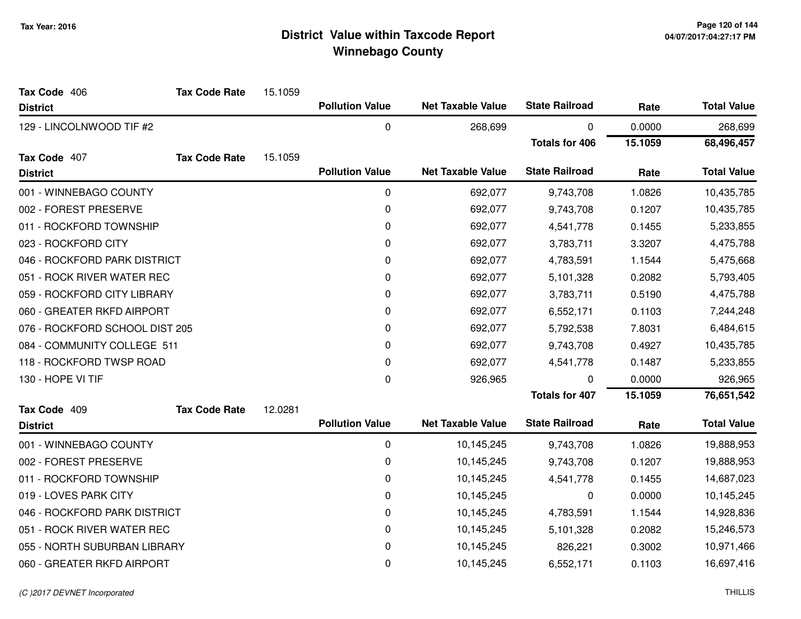| Tax Code 406                   | <b>Tax Code Rate</b> | 15.1059 |                        |                          |                       |         |                    |
|--------------------------------|----------------------|---------|------------------------|--------------------------|-----------------------|---------|--------------------|
| <b>District</b>                |                      |         | <b>Pollution Value</b> | <b>Net Taxable Value</b> | <b>State Railroad</b> | Rate    | <b>Total Value</b> |
| 129 - LINCOLNWOOD TIF #2       |                      |         | 0                      | 268,699                  | 0                     | 0.0000  | 268,699            |
|                                |                      |         |                        |                          | <b>Totals for 406</b> | 15.1059 | 68,496,457         |
| Tax Code 407                   | <b>Tax Code Rate</b> | 15.1059 |                        |                          |                       |         |                    |
| <b>District</b>                |                      |         | <b>Pollution Value</b> | <b>Net Taxable Value</b> | <b>State Railroad</b> | Rate    | <b>Total Value</b> |
| 001 - WINNEBAGO COUNTY         |                      |         | $\mathbf 0$            | 692,077                  | 9,743,708             | 1.0826  | 10,435,785         |
| 002 - FOREST PRESERVE          |                      |         | $\mathbf 0$            | 692,077                  | 9,743,708             | 0.1207  | 10,435,785         |
| 011 - ROCKFORD TOWNSHIP        |                      |         | 0                      | 692,077                  | 4,541,778             | 0.1455  | 5,233,855          |
| 023 - ROCKFORD CITY            |                      |         | 0                      | 692,077                  | 3,783,711             | 3.3207  | 4,475,788          |
| 046 - ROCKFORD PARK DISTRICT   |                      |         | $\mathbf 0$            | 692,077                  | 4,783,591             | 1.1544  | 5,475,668          |
| 051 - ROCK RIVER WATER REC     |                      |         | 0                      | 692,077                  | 5,101,328             | 0.2082  | 5,793,405          |
| 059 - ROCKFORD CITY LIBRARY    |                      |         | $\mathbf 0$            | 692,077                  | 3,783,711             | 0.5190  | 4,475,788          |
| 060 - GREATER RKFD AIRPORT     |                      |         | 0                      | 692,077                  | 6,552,171             | 0.1103  | 7,244,248          |
| 076 - ROCKFORD SCHOOL DIST 205 |                      |         | $\mathbf 0$            | 692,077                  | 5,792,538             | 7.8031  | 6,484,615          |
| 084 - COMMUNITY COLLEGE 511    |                      |         | $\pmb{0}$              | 692,077                  | 9,743,708             | 0.4927  | 10,435,785         |
| 118 - ROCKFORD TWSP ROAD       |                      |         | 0                      | 692,077                  | 4,541,778             | 0.1487  | 5,233,855          |
| 130 - HOPE VI TIF              |                      |         | 0                      | 926,965                  | 0                     | 0.0000  | 926,965            |
|                                |                      |         |                        |                          | <b>Totals for 407</b> | 15.1059 | 76,651,542         |
| Tax Code 409                   | <b>Tax Code Rate</b> | 12.0281 |                        |                          |                       |         |                    |
| <b>District</b>                |                      |         | <b>Pollution Value</b> | <b>Net Taxable Value</b> | <b>State Railroad</b> | Rate    | <b>Total Value</b> |
| 001 - WINNEBAGO COUNTY         |                      |         | $\mathbf 0$            | 10,145,245               | 9,743,708             | 1.0826  | 19,888,953         |
| 002 - FOREST PRESERVE          |                      |         | 0                      | 10,145,245               | 9,743,708             | 0.1207  | 19,888,953         |
| 011 - ROCKFORD TOWNSHIP        |                      |         | 0                      | 10,145,245               | 4,541,778             | 0.1455  | 14,687,023         |
| 019 - LOVES PARK CITY          |                      |         | $\pmb{0}$              | 10,145,245               | 0                     | 0.0000  | 10,145,245         |
| 046 - ROCKFORD PARK DISTRICT   |                      |         | $\mathbf 0$            | 10,145,245               | 4,783,591             | 1.1544  | 14,928,836         |
| 051 - ROCK RIVER WATER REC     |                      |         | $\mathbf 0$            | 10,145,245               | 5,101,328             | 0.2082  | 15,246,573         |
| 055 - NORTH SUBURBAN LIBRARY   |                      |         | 0                      | 10,145,245               | 826,221               | 0.3002  | 10,971,466         |
| 060 - GREATER RKFD AIRPORT     |                      |         | 0                      | 10,145,245               | 6,552,171             | 0.1103  | 16,697,416         |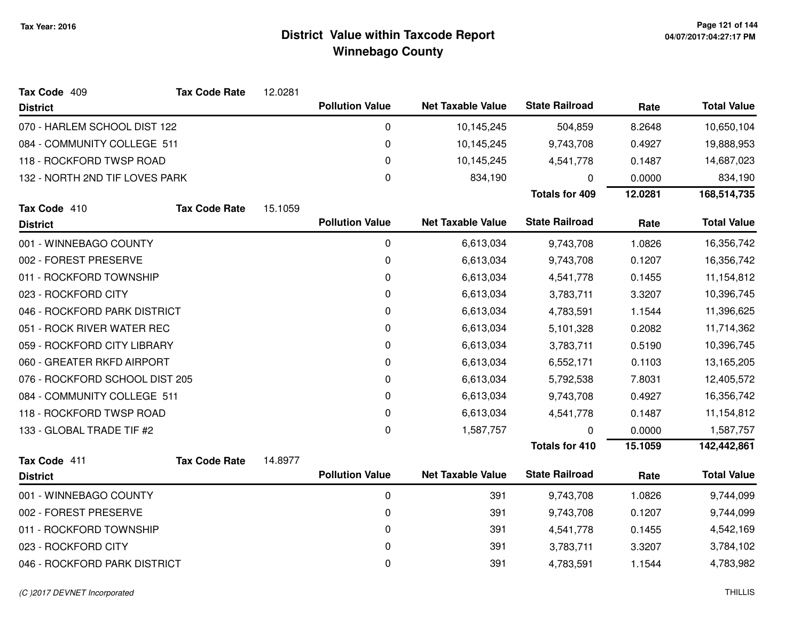| Tax Code 409                   | <b>Tax Code Rate</b> | 12.0281 |                        |                          |                       |         |                    |
|--------------------------------|----------------------|---------|------------------------|--------------------------|-----------------------|---------|--------------------|
| <b>District</b>                |                      |         | <b>Pollution Value</b> | <b>Net Taxable Value</b> | <b>State Railroad</b> | Rate    | <b>Total Value</b> |
| 070 - HARLEM SCHOOL DIST 122   |                      |         | 0                      | 10,145,245               | 504,859               | 8.2648  | 10,650,104         |
| 084 - COMMUNITY COLLEGE 511    |                      |         | 0                      | 10,145,245               | 9,743,708             | 0.4927  | 19,888,953         |
| 118 - ROCKFORD TWSP ROAD       |                      |         | 0                      | 10,145,245               | 4,541,778             | 0.1487  | 14,687,023         |
| 132 - NORTH 2ND TIF LOVES PARK |                      |         | 0                      | 834,190                  | 0                     | 0.0000  | 834,190            |
|                                |                      |         |                        |                          | <b>Totals for 409</b> | 12.0281 | 168,514,735        |
| Tax Code 410                   | <b>Tax Code Rate</b> | 15.1059 |                        |                          |                       |         |                    |
| <b>District</b>                |                      |         | <b>Pollution Value</b> | <b>Net Taxable Value</b> | <b>State Railroad</b> | Rate    | <b>Total Value</b> |
| 001 - WINNEBAGO COUNTY         |                      |         | 0                      | 6,613,034                | 9,743,708             | 1.0826  | 16,356,742         |
| 002 - FOREST PRESERVE          |                      |         | 0                      | 6,613,034                | 9,743,708             | 0.1207  | 16,356,742         |
| 011 - ROCKFORD TOWNSHIP        |                      |         | 0                      | 6,613,034                | 4,541,778             | 0.1455  | 11,154,812         |
| 023 - ROCKFORD CITY            |                      |         | 0                      | 6,613,034                | 3,783,711             | 3.3207  | 10,396,745         |
| 046 - ROCKFORD PARK DISTRICT   |                      |         | 0                      | 6,613,034                | 4,783,591             | 1.1544  | 11,396,625         |
| 051 - ROCK RIVER WATER REC     |                      |         | 0                      | 6,613,034                | 5,101,328             | 0.2082  | 11,714,362         |
| 059 - ROCKFORD CITY LIBRARY    |                      |         | 0                      | 6,613,034                | 3,783,711             | 0.5190  | 10,396,745         |
| 060 - GREATER RKFD AIRPORT     |                      |         | 0                      | 6,613,034                | 6,552,171             | 0.1103  | 13,165,205         |
| 076 - ROCKFORD SCHOOL DIST 205 |                      |         | 0                      | 6,613,034                | 5,792,538             | 7.8031  | 12,405,572         |
| 084 - COMMUNITY COLLEGE 511    |                      |         | 0                      | 6,613,034                | 9,743,708             | 0.4927  | 16,356,742         |
| 118 - ROCKFORD TWSP ROAD       |                      |         | 0                      | 6,613,034                | 4,541,778             | 0.1487  | 11,154,812         |
| 133 - GLOBAL TRADE TIF #2      |                      |         | $\pmb{0}$              | 1,587,757                | $\mathbf 0$           | 0.0000  | 1,587,757          |
|                                |                      |         |                        |                          | <b>Totals for 410</b> | 15.1059 | 142,442,861        |
| Tax Code 411                   | <b>Tax Code Rate</b> | 14.8977 |                        |                          |                       |         |                    |
| <b>District</b>                |                      |         | <b>Pollution Value</b> | <b>Net Taxable Value</b> | <b>State Railroad</b> | Rate    | <b>Total Value</b> |
| 001 - WINNEBAGO COUNTY         |                      |         | $\pmb{0}$              | 391                      | 9,743,708             | 1.0826  | 9,744,099          |
| 002 - FOREST PRESERVE          |                      |         | 0                      | 391                      | 9,743,708             | 0.1207  | 9,744,099          |
| 011 - ROCKFORD TOWNSHIP        |                      |         | 0                      | 391                      | 4,541,778             | 0.1455  | 4,542,169          |
| 023 - ROCKFORD CITY            |                      |         | 0                      | 391                      | 3,783,711             | 3.3207  | 3,784,102          |
| 046 - ROCKFORD PARK DISTRICT   |                      |         | 0                      | 391                      | 4,783,591             | 1.1544  | 4,783,982          |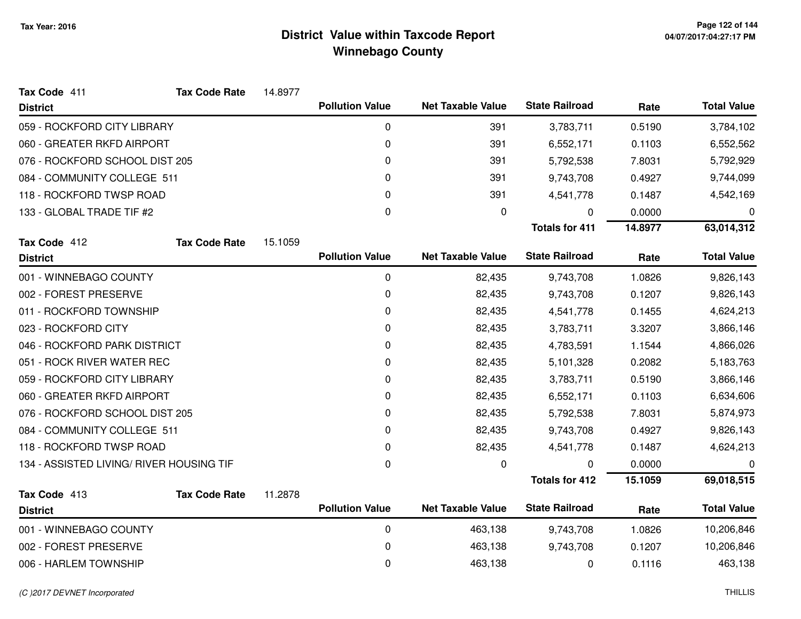| Tax Code 411                             | <b>Tax Code Rate</b> | 14.8977 |                        |                          |                       |         |                    |
|------------------------------------------|----------------------|---------|------------------------|--------------------------|-----------------------|---------|--------------------|
| <b>District</b>                          |                      |         | <b>Pollution Value</b> | <b>Net Taxable Value</b> | <b>State Railroad</b> | Rate    | <b>Total Value</b> |
| 059 - ROCKFORD CITY LIBRARY              |                      |         | 0                      | 391                      | 3,783,711             | 0.5190  | 3,784,102          |
| 060 - GREATER RKFD AIRPORT               |                      |         | $\pmb{0}$              | 391                      | 6,552,171             | 0.1103  | 6,552,562          |
| 076 - ROCKFORD SCHOOL DIST 205           |                      |         | 0                      | 391                      | 5,792,538             | 7.8031  | 5,792,929          |
| 084 - COMMUNITY COLLEGE 511              |                      |         | 0                      | 391                      | 9,743,708             | 0.4927  | 9,744,099          |
| 118 - ROCKFORD TWSP ROAD                 |                      |         | 0                      | 391                      | 4,541,778             | 0.1487  | 4,542,169          |
| 133 - GLOBAL TRADE TIF #2                |                      |         | 0                      | 0                        | 0                     | 0.0000  | 0                  |
|                                          |                      |         |                        |                          | <b>Totals for 411</b> | 14.8977 | 63,014,312         |
| Tax Code 412                             | <b>Tax Code Rate</b> | 15.1059 |                        |                          |                       |         |                    |
| <b>District</b>                          |                      |         | <b>Pollution Value</b> | <b>Net Taxable Value</b> | <b>State Railroad</b> | Rate    | <b>Total Value</b> |
| 001 - WINNEBAGO COUNTY                   |                      |         | 0                      | 82,435                   | 9,743,708             | 1.0826  | 9,826,143          |
| 002 - FOREST PRESERVE                    |                      |         | 0                      | 82,435                   | 9,743,708             | 0.1207  | 9,826,143          |
| 011 - ROCKFORD TOWNSHIP                  |                      |         | 0                      | 82,435                   | 4,541,778             | 0.1455  | 4,624,213          |
| 023 - ROCKFORD CITY                      |                      |         | 0                      | 82,435                   | 3,783,711             | 3.3207  | 3,866,146          |
| 046 - ROCKFORD PARK DISTRICT             |                      |         | $\pmb{0}$              | 82,435                   | 4,783,591             | 1.1544  | 4,866,026          |
| 051 - ROCK RIVER WATER REC               |                      |         | 0                      | 82,435                   | 5,101,328             | 0.2082  | 5,183,763          |
| 059 - ROCKFORD CITY LIBRARY              |                      |         | 0                      | 82,435                   | 3,783,711             | 0.5190  | 3,866,146          |
| 060 - GREATER RKFD AIRPORT               |                      |         | 0                      | 82,435                   | 6,552,171             | 0.1103  | 6,634,606          |
| 076 - ROCKFORD SCHOOL DIST 205           |                      |         | 0                      | 82,435                   | 5,792,538             | 7.8031  | 5,874,973          |
| 084 - COMMUNITY COLLEGE 511              |                      |         | 0                      | 82,435                   | 9,743,708             | 0.4927  | 9,826,143          |
| 118 - ROCKFORD TWSP ROAD                 |                      |         | 0                      | 82,435                   | 4,541,778             | 0.1487  | 4,624,213          |
| 134 - ASSISTED LIVING/ RIVER HOUSING TIF |                      |         | $\pmb{0}$              | 0                        | 0                     | 0.0000  | 0                  |
|                                          |                      |         |                        |                          | <b>Totals for 412</b> | 15.1059 | 69,018,515         |
| Tax Code 413                             | <b>Tax Code Rate</b> | 11.2878 |                        |                          |                       |         |                    |
| <b>District</b>                          |                      |         | <b>Pollution Value</b> | <b>Net Taxable Value</b> | <b>State Railroad</b> | Rate    | <b>Total Value</b> |
| 001 - WINNEBAGO COUNTY                   |                      |         | $\mathbf 0$            | 463,138                  | 9,743,708             | 1.0826  | 10,206,846         |
| 002 - FOREST PRESERVE                    |                      |         | 0                      | 463,138                  | 9,743,708             | 0.1207  | 10,206,846         |
| 006 - HARLEM TOWNSHIP                    |                      |         | 0                      | 463,138                  | 0                     | 0.1116  | 463,138            |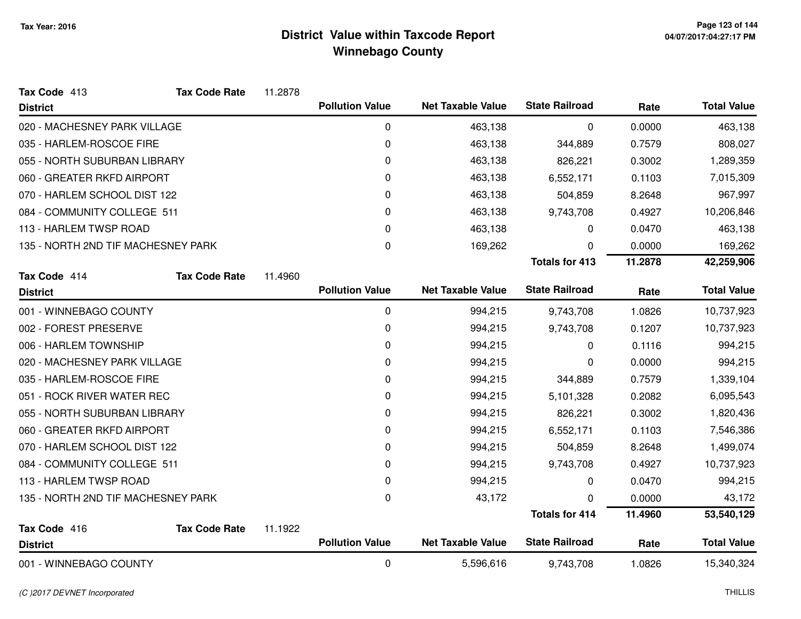| Tax Code 413                       | <b>Tax Code Rate</b> | 11.2878 |                        |                          |                       |         |                    |
|------------------------------------|----------------------|---------|------------------------|--------------------------|-----------------------|---------|--------------------|
| <b>District</b>                    |                      |         | <b>Pollution Value</b> | <b>Net Taxable Value</b> | <b>State Railroad</b> | Rate    | <b>Total Value</b> |
| 020 - MACHESNEY PARK VILLAGE       |                      |         | 0                      | 463,138                  | 0                     | 0.0000  | 463,138            |
| 035 - HARLEM-ROSCOE FIRE           |                      |         | 0                      | 463,138                  | 344,889               | 0.7579  | 808,027            |
| 055 - NORTH SUBURBAN LIBRARY       |                      |         | 0                      | 463,138                  | 826,221               | 0.3002  | 1,289,359          |
| 060 - GREATER RKFD AIRPORT         |                      |         | 0                      | 463,138                  | 6,552,171             | 0.1103  | 7,015,309          |
| 070 - HARLEM SCHOOL DIST 122       |                      |         | 0                      | 463,138                  | 504,859               | 8.2648  | 967,997            |
| 084 - COMMUNITY COLLEGE 511        |                      |         | 0                      | 463,138                  | 9,743,708             | 0.4927  | 10,206,846         |
| 113 - HARLEM TWSP ROAD             |                      |         | 0                      | 463,138                  | 0                     | 0.0470  | 463,138            |
| 135 - NORTH 2ND TIF MACHESNEY PARK |                      |         | $\mathbf 0$            | 169,262                  | 0                     | 0.0000  | 169,262            |
|                                    |                      |         |                        |                          | <b>Totals for 413</b> | 11.2878 | 42,259,906         |
| Tax Code 414                       | <b>Tax Code Rate</b> | 11.4960 |                        |                          |                       |         |                    |
| <b>District</b>                    |                      |         | <b>Pollution Value</b> | <b>Net Taxable Value</b> | <b>State Railroad</b> | Rate    | <b>Total Value</b> |
| 001 - WINNEBAGO COUNTY             |                      |         | 0                      | 994,215                  | 9,743,708             | 1.0826  | 10,737,923         |
| 002 - FOREST PRESERVE              |                      |         | 0                      | 994,215                  | 9,743,708             | 0.1207  | 10,737,923         |
| 006 - HARLEM TOWNSHIP              |                      |         | 0                      | 994,215                  | 0                     | 0.1116  | 994,215            |
| 020 - MACHESNEY PARK VILLAGE       |                      |         | 0                      | 994,215                  | 0                     | 0.0000  | 994,215            |
| 035 - HARLEM-ROSCOE FIRE           |                      |         | 0                      | 994,215                  | 344,889               | 0.7579  | 1,339,104          |
| 051 - ROCK RIVER WATER REC         |                      |         | 0                      | 994,215                  | 5,101,328             | 0.2082  | 6,095,543          |
| 055 - NORTH SUBURBAN LIBRARY       |                      |         | 0                      | 994,215                  | 826,221               | 0.3002  | 1,820,436          |
| 060 - GREATER RKFD AIRPORT         |                      |         | 0                      | 994,215                  | 6,552,171             | 0.1103  | 7,546,386          |
| 070 - HARLEM SCHOOL DIST 122       |                      |         | 0                      | 994,215                  | 504,859               | 8.2648  | 1,499,074          |
| 084 - COMMUNITY COLLEGE 511        |                      |         | 0                      | 994,215                  | 9,743,708             | 0.4927  | 10,737,923         |
| 113 - HARLEM TWSP ROAD             |                      |         | 0                      | 994,215                  | 0                     | 0.0470  | 994,215            |
| 135 - NORTH 2ND TIF MACHESNEY PARK |                      |         | $\mathbf 0$            | 43,172                   | 0                     | 0.0000  | 43,172             |
|                                    |                      |         |                        |                          | <b>Totals for 414</b> | 11.4960 | 53,540,129         |
| Tax Code 416                       | <b>Tax Code Rate</b> | 11.1922 |                        |                          |                       |         |                    |
| <b>District</b>                    |                      |         | <b>Pollution Value</b> | <b>Net Taxable Value</b> | <b>State Railroad</b> | Rate    | <b>Total Value</b> |
| 001 - WINNEBAGO COUNTY             |                      |         | 0                      | 5,596,616                | 9,743,708             | 1.0826  | 15,340,324         |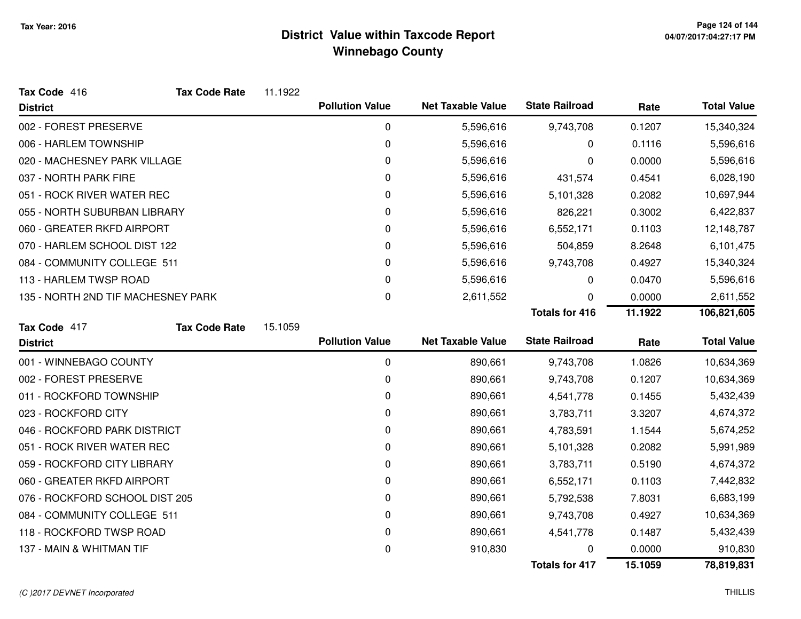| Tax Code 416                       | <b>Tax Code Rate</b> | 11.1922 |                        |                          |                       |         |                    |
|------------------------------------|----------------------|---------|------------------------|--------------------------|-----------------------|---------|--------------------|
| <b>District</b>                    |                      |         | <b>Pollution Value</b> | <b>Net Taxable Value</b> | <b>State Railroad</b> | Rate    | <b>Total Value</b> |
| 002 - FOREST PRESERVE              |                      |         | $\mathbf 0$            | 5,596,616                | 9,743,708             | 0.1207  | 15,340,324         |
| 006 - HARLEM TOWNSHIP              |                      |         | 0                      | 5,596,616                | 0                     | 0.1116  | 5,596,616          |
| 020 - MACHESNEY PARK VILLAGE       |                      |         | 0                      | 5,596,616                | 0                     | 0.0000  | 5,596,616          |
| 037 - NORTH PARK FIRE              |                      |         | 0                      | 5,596,616                | 431,574               | 0.4541  | 6,028,190          |
| 051 - ROCK RIVER WATER REC         |                      |         | 0                      | 5,596,616                | 5,101,328             | 0.2082  | 10,697,944         |
| 055 - NORTH SUBURBAN LIBRARY       |                      |         | 0                      | 5,596,616                | 826,221               | 0.3002  | 6,422,837          |
| 060 - GREATER RKFD AIRPORT         |                      |         | 0                      | 5,596,616                | 6,552,171             | 0.1103  | 12,148,787         |
| 070 - HARLEM SCHOOL DIST 122       |                      |         | 0                      | 5,596,616                | 504,859               | 8.2648  | 6,101,475          |
| 084 - COMMUNITY COLLEGE 511        |                      |         | 0                      | 5,596,616                | 9,743,708             | 0.4927  | 15,340,324         |
| 113 - HARLEM TWSP ROAD             |                      |         | 0                      | 5,596,616                | 0                     | 0.0470  | 5,596,616          |
| 135 - NORTH 2ND TIF MACHESNEY PARK |                      |         | $\Omega$               | 2,611,552                | 0                     | 0.0000  | 2,611,552          |
|                                    |                      |         |                        |                          | <b>Totals for 416</b> | 11.1922 | 106,821,605        |
| Tax Code 417                       | <b>Tax Code Rate</b> | 15.1059 |                        |                          |                       |         |                    |
| <b>District</b>                    |                      |         | <b>Pollution Value</b> | <b>Net Taxable Value</b> | <b>State Railroad</b> | Rate    | <b>Total Value</b> |
| 001 - WINNEBAGO COUNTY             |                      |         | $\mathbf 0$            | 890,661                  | 9,743,708             | 1.0826  | 10,634,369         |
| 002 - FOREST PRESERVE              |                      |         | 0                      | 890,661                  | 9,743,708             | 0.1207  | 10,634,369         |
| 011 - ROCKFORD TOWNSHIP            |                      |         | 0                      | 890,661                  | 4,541,778             | 0.1455  | 5,432,439          |
| 023 - ROCKFORD CITY                |                      |         | 0                      | 890,661                  | 3,783,711             | 3.3207  | 4,674,372          |
| 046 - ROCKFORD PARK DISTRICT       |                      |         | 0                      | 890,661                  | 4,783,591             | 1.1544  | 5,674,252          |
| 051 - ROCK RIVER WATER REC         |                      |         | 0                      | 890,661                  | 5,101,328             | 0.2082  | 5,991,989          |
| 059 - ROCKFORD CITY LIBRARY        |                      |         | 0                      | 890,661                  | 3,783,711             | 0.5190  | 4,674,372          |
| 060 - GREATER RKFD AIRPORT         |                      |         | 0                      | 890,661                  | 6,552,171             | 0.1103  | 7,442,832          |
| 076 - ROCKFORD SCHOOL DIST 205     |                      |         | 0                      | 890,661                  | 5,792,538             | 7.8031  | 6,683,199          |
| 084 - COMMUNITY COLLEGE 511        |                      |         | 0                      | 890,661                  | 9,743,708             | 0.4927  | 10,634,369         |
| 118 - ROCKFORD TWSP ROAD           |                      |         | 0                      | 890,661                  | 4,541,778             | 0.1487  | 5,432,439          |
| 137 - MAIN & WHITMAN TIF           |                      |         |                        |                          |                       |         |                    |
|                                    |                      |         | 0                      | 910,830                  |                       | 0.0000  | 910,830            |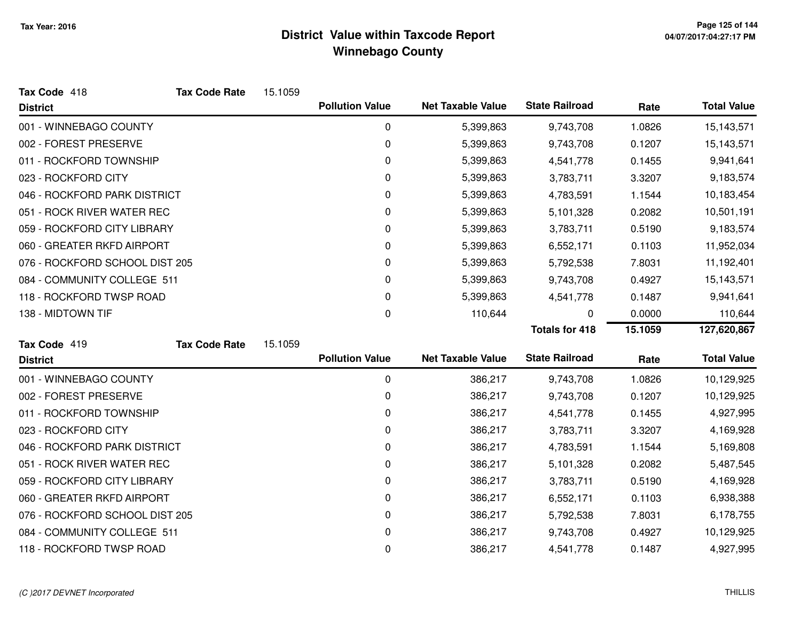| Tax Code 418                   | <b>Tax Code Rate</b> | 15.1059 |                        |                          |                       |         |                    |
|--------------------------------|----------------------|---------|------------------------|--------------------------|-----------------------|---------|--------------------|
| <b>District</b>                |                      |         | <b>Pollution Value</b> | <b>Net Taxable Value</b> | <b>State Railroad</b> | Rate    | <b>Total Value</b> |
| 001 - WINNEBAGO COUNTY         |                      |         | $\mathbf 0$            | 5,399,863                | 9,743,708             | 1.0826  | 15,143,571         |
| 002 - FOREST PRESERVE          |                      |         | 0                      | 5,399,863                | 9,743,708             | 0.1207  | 15,143,571         |
| 011 - ROCKFORD TOWNSHIP        |                      |         | 0                      | 5,399,863                | 4,541,778             | 0.1455  | 9,941,641          |
| 023 - ROCKFORD CITY            |                      |         | 0                      | 5,399,863                | 3,783,711             | 3.3207  | 9,183,574          |
| 046 - ROCKFORD PARK DISTRICT   |                      |         | 0                      | 5,399,863                | 4,783,591             | 1.1544  | 10,183,454         |
| 051 - ROCK RIVER WATER REC     |                      |         | 0                      | 5,399,863                | 5,101,328             | 0.2082  | 10,501,191         |
| 059 - ROCKFORD CITY LIBRARY    |                      |         | 0                      | 5,399,863                | 3,783,711             | 0.5190  | 9,183,574          |
| 060 - GREATER RKFD AIRPORT     |                      |         | 0                      | 5,399,863                | 6,552,171             | 0.1103  | 11,952,034         |
| 076 - ROCKFORD SCHOOL DIST 205 |                      |         | 0                      | 5,399,863                | 5,792,538             | 7.8031  | 11,192,401         |
| 084 - COMMUNITY COLLEGE 511    |                      |         | 0                      | 5,399,863                | 9,743,708             | 0.4927  | 15,143,571         |
| 118 - ROCKFORD TWSP ROAD       |                      |         | 0                      | 5,399,863                | 4,541,778             | 0.1487  | 9,941,641          |
| 138 - MIDTOWN TIF              |                      |         | 0                      | 110,644                  | 0                     | 0.0000  | 110,644            |
|                                |                      |         |                        |                          | <b>Totals for 418</b> | 15.1059 | 127,620,867        |
| Tax Code 419                   | <b>Tax Code Rate</b> | 15.1059 |                        |                          |                       |         |                    |
| <b>District</b>                |                      |         | <b>Pollution Value</b> | <b>Net Taxable Value</b> | <b>State Railroad</b> | Rate    | <b>Total Value</b> |
| 001 - WINNEBAGO COUNTY         |                      |         | 0                      | 386,217                  | 9,743,708             | 1.0826  | 10,129,925         |
| 002 - FOREST PRESERVE          |                      |         | 0                      | 386,217                  | 9,743,708             | 0.1207  | 10,129,925         |
| 011 - ROCKFORD TOWNSHIP        |                      |         | 0                      | 386,217                  | 4,541,778             | 0.1455  | 4,927,995          |
| 023 - ROCKFORD CITY            |                      |         | 0                      | 386,217                  | 3,783,711             | 3.3207  | 4,169,928          |
| 046 - ROCKFORD PARK DISTRICT   |                      |         | 0                      | 386,217                  | 4,783,591             | 1.1544  | 5,169,808          |
| 051 - ROCK RIVER WATER REC     |                      |         |                        |                          |                       |         |                    |
|                                |                      |         | 0                      | 386,217                  | 5,101,328             | 0.2082  | 5,487,545          |
| 059 - ROCKFORD CITY LIBRARY    |                      |         | 0                      | 386,217                  | 3,783,711             | 0.5190  | 4,169,928          |
| 060 - GREATER RKFD AIRPORT     |                      |         | 0                      | 386,217                  | 6,552,171             | 0.1103  | 6,938,388          |
| 076 - ROCKFORD SCHOOL DIST 205 |                      |         | 0                      | 386,217                  | 5,792,538             | 7.8031  | 6,178,755          |
| 084 - COMMUNITY COLLEGE 511    |                      |         | 0                      | 386,217                  | 9,743,708             | 0.4927  | 10,129,925         |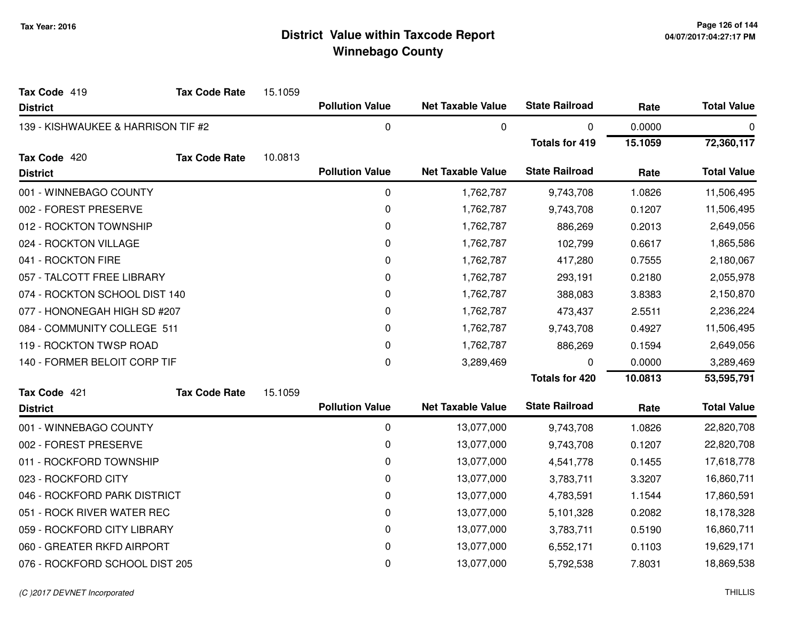| Tax Code 419                       | <b>Tax Code Rate</b> | 15.1059 |                        |                          |                       |         |                    |
|------------------------------------|----------------------|---------|------------------------|--------------------------|-----------------------|---------|--------------------|
| <b>District</b>                    |                      |         | <b>Pollution Value</b> | <b>Net Taxable Value</b> | <b>State Railroad</b> | Rate    | <b>Total Value</b> |
| 139 - KISHWAUKEE & HARRISON TIF #2 |                      |         | 0                      | 0                        | 0                     | 0.0000  | 0                  |
|                                    |                      |         |                        |                          | <b>Totals for 419</b> | 15.1059 | 72,360,117         |
| Tax Code 420                       | <b>Tax Code Rate</b> | 10.0813 |                        |                          |                       |         |                    |
| <b>District</b>                    |                      |         | <b>Pollution Value</b> | <b>Net Taxable Value</b> | <b>State Railroad</b> | Rate    | <b>Total Value</b> |
| 001 - WINNEBAGO COUNTY             |                      |         | 0                      | 1,762,787                | 9,743,708             | 1.0826  | 11,506,495         |
| 002 - FOREST PRESERVE              |                      |         | $\pmb{0}$              | 1,762,787                | 9,743,708             | 0.1207  | 11,506,495         |
| 012 - ROCKTON TOWNSHIP             |                      |         | $\pmb{0}$              | 1,762,787                | 886,269               | 0.2013  | 2,649,056          |
| 024 - ROCKTON VILLAGE              |                      |         | 0                      | 1,762,787                | 102,799               | 0.6617  | 1,865,586          |
| 041 - ROCKTON FIRE                 |                      |         | 0                      | 1,762,787                | 417,280               | 0.7555  | 2,180,067          |
| 057 - TALCOTT FREE LIBRARY         |                      |         | 0                      | 1,762,787                | 293,191               | 0.2180  | 2,055,978          |
| 074 - ROCKTON SCHOOL DIST 140      |                      |         | 0                      | 1,762,787                | 388,083               | 3.8383  | 2,150,870          |
| 077 - HONONEGAH HIGH SD #207       |                      |         | $\pmb{0}$              | 1,762,787                | 473,437               | 2.5511  | 2,236,224          |
| 084 - COMMUNITY COLLEGE 511        |                      |         | 0                      | 1,762,787                | 9,743,708             | 0.4927  | 11,506,495         |
| 119 - ROCKTON TWSP ROAD            |                      |         | 0                      | 1,762,787                | 886,269               | 0.1594  | 2,649,056          |
| 140 - FORMER BELOIT CORP TIF       |                      |         | 0                      | 3,289,469                | 0                     | 0.0000  | 3,289,469          |
|                                    |                      |         |                        |                          | <b>Totals for 420</b> | 10.0813 | 53,595,791         |
| Tax Code 421                       | <b>Tax Code Rate</b> | 15.1059 |                        |                          |                       |         |                    |
| <b>District</b>                    |                      |         | <b>Pollution Value</b> | <b>Net Taxable Value</b> | <b>State Railroad</b> | Rate    | <b>Total Value</b> |
| 001 - WINNEBAGO COUNTY             |                      |         | $\mathbf 0$            | 13,077,000               | 9,743,708             | 1.0826  | 22,820,708         |
| 002 - FOREST PRESERVE              |                      |         | $\pmb{0}$              | 13,077,000               | 9,743,708             | 0.1207  | 22,820,708         |
| 011 - ROCKFORD TOWNSHIP            |                      |         | $\pmb{0}$              | 13,077,000               | 4,541,778             | 0.1455  | 17,618,778         |
| 023 - ROCKFORD CITY                |                      |         | 0                      | 13,077,000               | 3,783,711             | 3.3207  | 16,860,711         |
| 046 - ROCKFORD PARK DISTRICT       |                      |         | 0                      | 13,077,000               | 4,783,591             | 1.1544  | 17,860,591         |
| 051 - ROCK RIVER WATER REC         |                      |         | 0                      | 13,077,000               | 5,101,328             | 0.2082  | 18,178,328         |
| 059 - ROCKFORD CITY LIBRARY        |                      |         | 0                      | 13,077,000               | 3,783,711             | 0.5190  | 16,860,711         |
| 060 - GREATER RKFD AIRPORT         |                      |         | 0                      | 13,077,000               | 6,552,171             | 0.1103  | 19,629,171         |
| 076 - ROCKFORD SCHOOL DIST 205     |                      |         | 0                      | 13,077,000               | 5,792,538             | 7.8031  | 18,869,538         |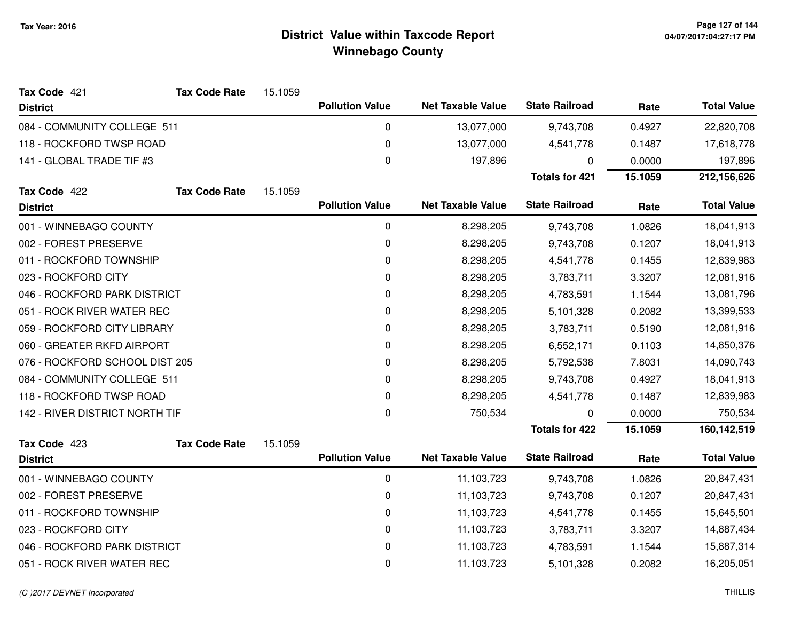| Tax Code 421                   | <b>Tax Code Rate</b> | 15.1059 |                        |                          |                       |            |                    |
|--------------------------------|----------------------|---------|------------------------|--------------------------|-----------------------|------------|--------------------|
| <b>District</b>                |                      |         | <b>Pollution Value</b> | <b>Net Taxable Value</b> | <b>State Railroad</b> | Rate       | <b>Total Value</b> |
| 084 - COMMUNITY COLLEGE 511    |                      |         | 0                      | 13,077,000               | 9,743,708             | 0.4927     | 22,820,708         |
| 118 - ROCKFORD TWSP ROAD       |                      |         | 0                      | 13,077,000               | 4,541,778             | 0.1487     | 17,618,778         |
| 141 - GLOBAL TRADE TIF #3      |                      |         | 0                      | 197,896                  | 0                     | 0.0000     | 197,896            |
|                                |                      |         |                        |                          | <b>Totals for 421</b> | 15.1059    | 212,156,626        |
| Tax Code 422                   | <b>Tax Code Rate</b> | 15.1059 |                        |                          |                       |            |                    |
| <b>District</b>                |                      |         | <b>Pollution Value</b> | <b>Net Taxable Value</b> | <b>State Railroad</b> | Rate       | <b>Total Value</b> |
| 001 - WINNEBAGO COUNTY         |                      |         | 0                      | 8,298,205                | 9,743,708             | 1.0826     | 18,041,913         |
| 002 - FOREST PRESERVE          |                      |         | 0                      | 8,298,205                | 9,743,708             | 0.1207     | 18,041,913         |
| 011 - ROCKFORD TOWNSHIP        |                      |         | 0                      | 8,298,205                | 4,541,778             | 0.1455     | 12,839,983         |
| 023 - ROCKFORD CITY            |                      |         | 0                      | 8,298,205                | 3,783,711             | 3.3207     | 12,081,916         |
| 046 - ROCKFORD PARK DISTRICT   |                      |         | 0                      | 8,298,205                | 4,783,591             | 1.1544     | 13,081,796         |
| 051 - ROCK RIVER WATER REC     |                      | 0       | 8,298,205              | 5,101,328                | 0.2082                | 13,399,533 |                    |
| 059 - ROCKFORD CITY LIBRARY    |                      |         | 0                      | 8,298,205                | 3,783,711             | 0.5190     | 12,081,916         |
| 060 - GREATER RKFD AIRPORT     |                      |         | 0                      | 8,298,205                | 6,552,171             | 0.1103     | 14,850,376         |
| 076 - ROCKFORD SCHOOL DIST 205 |                      |         | 0                      | 8,298,205                | 5,792,538             | 7.8031     | 14,090,743         |
| 084 - COMMUNITY COLLEGE 511    |                      |         | 0                      | 8,298,205                | 9,743,708             | 0.4927     | 18,041,913         |
| 118 - ROCKFORD TWSP ROAD       |                      |         | 0                      | 8,298,205                | 4,541,778             | 0.1487     | 12,839,983         |
| 142 - RIVER DISTRICT NORTH TIF |                      |         | $\pmb{0}$              | 750,534                  | 0                     | 0.0000     | 750,534            |
|                                |                      |         |                        |                          | <b>Totals for 422</b> | 15.1059    | 160,142,519        |
| Tax Code 423                   | <b>Tax Code Rate</b> | 15.1059 |                        |                          |                       |            |                    |
| <b>District</b>                |                      |         | <b>Pollution Value</b> | <b>Net Taxable Value</b> | <b>State Railroad</b> | Rate       | <b>Total Value</b> |
| 001 - WINNEBAGO COUNTY         |                      |         | 0                      | 11,103,723               | 9,743,708             | 1.0826     | 20,847,431         |
| 002 - FOREST PRESERVE          |                      |         | 0                      | 11,103,723               | 9,743,708             | 0.1207     | 20,847,431         |
| 011 - ROCKFORD TOWNSHIP        |                      |         | 0                      | 11,103,723               | 4,541,778             | 0.1455     | 15,645,501         |
| 023 - ROCKFORD CITY            |                      |         | $\pmb{0}$              | 11,103,723               | 3,783,711             | 3.3207     | 14,887,434         |
| 046 - ROCKFORD PARK DISTRICT   |                      |         | 0                      | 11,103,723               | 4,783,591             | 1.1544     | 15,887,314         |
| 051 - ROCK RIVER WATER REC     |                      |         | 0                      | 11,103,723               | 5,101,328             | 0.2082     | 16,205,051         |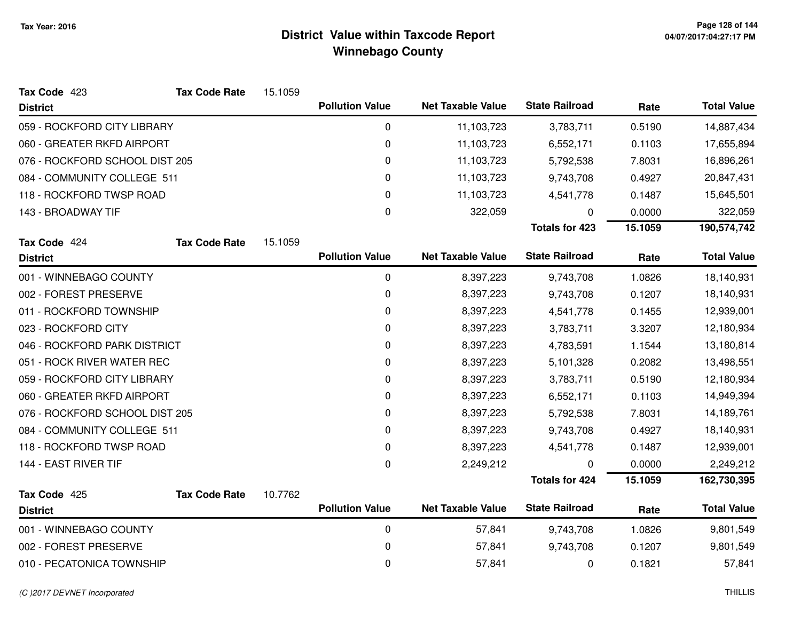| Tax Code 423                   | <b>Tax Code Rate</b> | 15.1059 |                        |                          |                       |         |                    |
|--------------------------------|----------------------|---------|------------------------|--------------------------|-----------------------|---------|--------------------|
| <b>District</b>                |                      |         | <b>Pollution Value</b> | <b>Net Taxable Value</b> | <b>State Railroad</b> | Rate    | <b>Total Value</b> |
| 059 - ROCKFORD CITY LIBRARY    |                      |         | 0                      | 11,103,723               | 3,783,711             | 0.5190  | 14,887,434         |
| 060 - GREATER RKFD AIRPORT     |                      |         | $\pmb{0}$              | 11,103,723               | 6,552,171             | 0.1103  | 17,655,894         |
| 076 - ROCKFORD SCHOOL DIST 205 |                      |         | $\pmb{0}$              | 11,103,723               | 5,792,538             | 7.8031  | 16,896,261         |
| 084 - COMMUNITY COLLEGE 511    |                      |         | 0                      | 11,103,723               | 9,743,708             | 0.4927  | 20,847,431         |
| 118 - ROCKFORD TWSP ROAD       |                      |         | 0                      | 11,103,723               | 4,541,778             | 0.1487  | 15,645,501         |
| 143 - BROADWAY TIF             |                      |         | $\Omega$               | 322,059                  | 0                     | 0.0000  | 322,059            |
|                                |                      |         |                        |                          | <b>Totals for 423</b> | 15.1059 | 190,574,742        |
| Tax Code 424                   | <b>Tax Code Rate</b> | 15.1059 |                        |                          |                       |         |                    |
| <b>District</b>                |                      |         | <b>Pollution Value</b> | <b>Net Taxable Value</b> | <b>State Railroad</b> | Rate    | <b>Total Value</b> |
| 001 - WINNEBAGO COUNTY         |                      |         | $\mathbf 0$            | 8,397,223                | 9,743,708             | 1.0826  | 18,140,931         |
| 002 - FOREST PRESERVE          |                      |         | 0                      | 8,397,223                | 9,743,708             | 0.1207  | 18,140,931         |
| 011 - ROCKFORD TOWNSHIP        |                      |         | 0                      | 8,397,223                | 4,541,778             | 0.1455  | 12,939,001         |
| 023 - ROCKFORD CITY            |                      |         | 0                      | 8,397,223                | 3,783,711             | 3.3207  | 12,180,934         |
| 046 - ROCKFORD PARK DISTRICT   |                      |         | 0                      | 8,397,223                | 4,783,591             | 1.1544  | 13,180,814         |
| 051 - ROCK RIVER WATER REC     |                      |         | 0                      | 8,397,223                | 5,101,328             | 0.2082  | 13,498,551         |
| 059 - ROCKFORD CITY LIBRARY    |                      |         | 0                      | 8,397,223                | 3,783,711             | 0.5190  | 12,180,934         |
| 060 - GREATER RKFD AIRPORT     |                      |         | 0                      | 8,397,223                | 6,552,171             | 0.1103  | 14,949,394         |
| 076 - ROCKFORD SCHOOL DIST 205 |                      |         | $\pmb{0}$              | 8,397,223                | 5,792,538             | 7.8031  | 14,189,761         |
| 084 - COMMUNITY COLLEGE 511    |                      |         | $\pmb{0}$              | 8,397,223                | 9,743,708             | 0.4927  | 18,140,931         |
| 118 - ROCKFORD TWSP ROAD       |                      |         | 0                      | 8,397,223                | 4,541,778             | 0.1487  | 12,939,001         |
| 144 - EAST RIVER TIF           |                      |         | $\mathbf 0$            | 2,249,212                | 0                     | 0.0000  | 2,249,212          |
|                                |                      |         |                        |                          | <b>Totals for 424</b> | 15.1059 | 162,730,395        |
| Tax Code 425                   | <b>Tax Code Rate</b> | 10.7762 |                        |                          |                       |         |                    |
| <b>District</b>                |                      |         | <b>Pollution Value</b> | <b>Net Taxable Value</b> | <b>State Railroad</b> | Rate    | <b>Total Value</b> |
| 001 - WINNEBAGO COUNTY         |                      |         | $\pmb{0}$              | 57,841                   | 9,743,708             | 1.0826  | 9,801,549          |
| 002 - FOREST PRESERVE          |                      |         | 0                      | 57,841                   | 9,743,708             | 0.1207  | 9,801,549          |
| 010 - PECATONICA TOWNSHIP      |                      |         | 0                      | 57,841                   | 0                     | 0.1821  | 57,841             |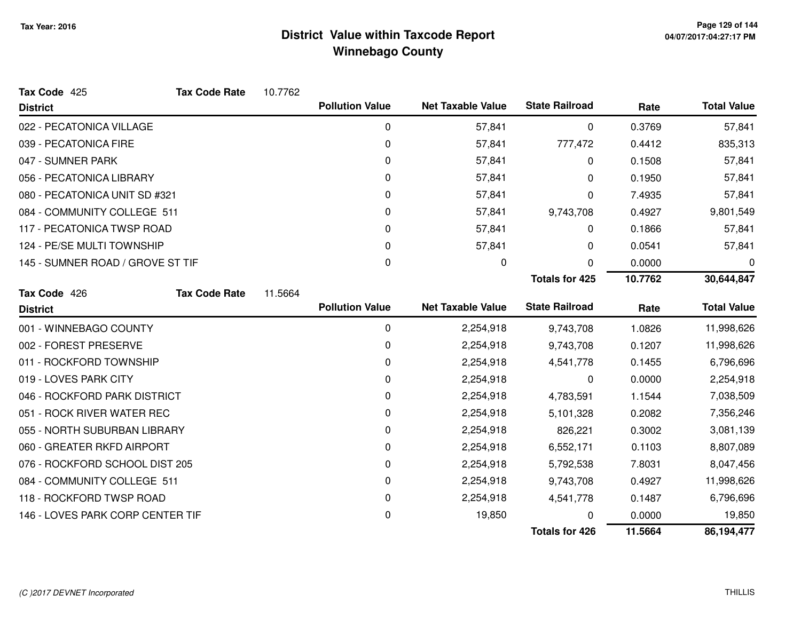| Tax Code 425                     | <b>Tax Code Rate</b> | 10.7762 |                        |                          |                       |         |                    |
|----------------------------------|----------------------|---------|------------------------|--------------------------|-----------------------|---------|--------------------|
| <b>District</b>                  |                      |         | <b>Pollution Value</b> | <b>Net Taxable Value</b> | <b>State Railroad</b> | Rate    | <b>Total Value</b> |
| 022 - PECATONICA VILLAGE         |                      |         | $\mathbf 0$            | 57,841                   | 0                     | 0.3769  | 57,841             |
| 039 - PECATONICA FIRE            |                      |         | 0                      | 57,841                   | 777,472               | 0.4412  | 835,313            |
| 047 - SUMNER PARK                |                      |         | $\Omega$               | 57,841                   | 0                     | 0.1508  | 57,841             |
| 056 - PECATONICA LIBRARY         |                      |         | 0                      | 57,841                   | 0                     | 0.1950  | 57,841             |
| 080 - PECATONICA UNIT SD #321    |                      |         | 0                      | 57,841                   | 0                     | 7.4935  | 57,841             |
| 084 - COMMUNITY COLLEGE 511      |                      |         | 0                      | 57,841                   | 9,743,708             | 0.4927  | 9,801,549          |
| 117 - PECATONICA TWSP ROAD       |                      |         | 0                      | 57,841                   | 0                     | 0.1866  | 57,841             |
| 124 - PE/SE MULTI TOWNSHIP       |                      |         | 0                      | 57,841                   | 0                     | 0.0541  | 57,841             |
| 145 - SUMNER ROAD / GROVE ST TIF |                      |         | 0                      | 0                        | $\Omega$              | 0.0000  | 0                  |
|                                  |                      |         |                        |                          | <b>Totals for 425</b> | 10.7762 | 30,644,847         |
| Tax Code 426                     | <b>Tax Code Rate</b> | 11.5664 |                        |                          |                       |         |                    |
| <b>District</b>                  |                      |         | <b>Pollution Value</b> | <b>Net Taxable Value</b> | <b>State Railroad</b> | Rate    | <b>Total Value</b> |
| 001 - WINNEBAGO COUNTY           |                      |         | 0                      | 2,254,918                | 9,743,708             | 1.0826  | 11,998,626         |
| 002 - FOREST PRESERVE            |                      |         | 0                      | 2,254,918                | 9,743,708             | 0.1207  | 11,998,626         |
| 011 - ROCKFORD TOWNSHIP          |                      |         | 0                      | 2,254,918                | 4,541,778             | 0.1455  | 6,796,696          |
| 019 - LOVES PARK CITY            |                      |         | 0                      | 2,254,918                | 0                     | 0.0000  | 2,254,918          |
| 046 - ROCKFORD PARK DISTRICT     |                      |         | 0                      | 2,254,918                | 4,783,591             | 1.1544  | 7,038,509          |
| 051 - ROCK RIVER WATER REC       |                      |         | 0                      | 2,254,918                | 5,101,328             | 0.2082  | 7,356,246          |
| 055 - NORTH SUBURBAN LIBRARY     |                      |         | 0                      | 2,254,918                | 826,221               | 0.3002  | 3,081,139          |
| 060 - GREATER RKFD AIRPORT       |                      |         | 0                      | 2,254,918                | 6,552,171             | 0.1103  | 8,807,089          |
| 076 - ROCKFORD SCHOOL DIST 205   |                      |         | 0                      | 2,254,918                | 5,792,538             | 7.8031  | 8,047,456          |
| 084 - COMMUNITY COLLEGE 511      |                      |         | 0                      | 2,254,918                | 9,743,708             | 0.4927  | 11,998,626         |
| 118 - ROCKFORD TWSP ROAD         |                      |         | 0                      | 2,254,918                | 4,541,778             | 0.1487  | 6,796,696          |
| 146 - LOVES PARK CORP CENTER TIF |                      |         | 0                      | 19,850                   |                       | 0.0000  | 19,850             |
|                                  |                      |         |                        |                          | <b>Totals for 426</b> | 11.5664 | 86,194,477         |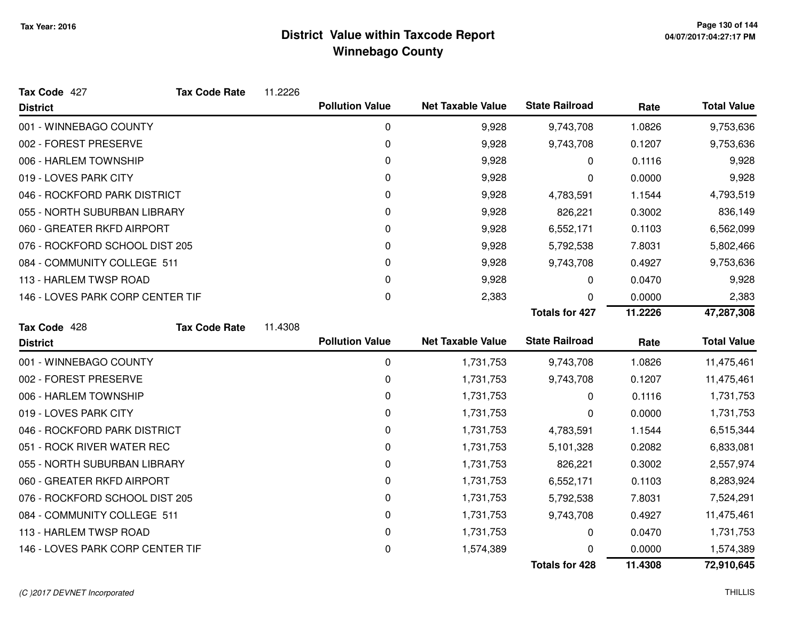| Tax Code 427                     | <b>Tax Code Rate</b> | 11.2226 |                        |                          |                       |         |                    |
|----------------------------------|----------------------|---------|------------------------|--------------------------|-----------------------|---------|--------------------|
| <b>District</b>                  |                      |         | <b>Pollution Value</b> | <b>Net Taxable Value</b> | <b>State Railroad</b> | Rate    | <b>Total Value</b> |
| 001 - WINNEBAGO COUNTY           |                      |         | $\mathbf 0$            | 9,928                    | 9,743,708             | 1.0826  | 9,753,636          |
| 002 - FOREST PRESERVE            |                      |         | 0                      | 9,928                    | 9,743,708             | 0.1207  | 9,753,636          |
| 006 - HARLEM TOWNSHIP            |                      |         | 0                      | 9,928                    | 0                     | 0.1116  | 9,928              |
| 019 - LOVES PARK CITY            |                      |         | 0                      | 9,928                    | 0                     | 0.0000  | 9,928              |
| 046 - ROCKFORD PARK DISTRICT     |                      |         | $\Omega$               | 9,928                    | 4,783,591             | 1.1544  | 4,793,519          |
| 055 - NORTH SUBURBAN LIBRARY     |                      |         | 0                      | 9,928                    | 826,221               | 0.3002  | 836,149            |
| 060 - GREATER RKFD AIRPORT       |                      |         | 0                      | 9,928                    | 6,552,171             | 0.1103  | 6,562,099          |
| 076 - ROCKFORD SCHOOL DIST 205   |                      |         | 0                      | 9,928                    | 5,792,538             | 7.8031  | 5,802,466          |
| 084 - COMMUNITY COLLEGE 511      |                      |         | 0                      | 9,928                    | 9,743,708             | 0.4927  | 9,753,636          |
| 113 - HARLEM TWSP ROAD           |                      |         | 0                      | 9,928                    | 0                     | 0.0470  | 9,928              |
| 146 - LOVES PARK CORP CENTER TIF |                      |         | 0                      | 2,383                    | 0                     | 0.0000  | 2,383              |
|                                  |                      |         |                        |                          | <b>Totals for 427</b> | 11.2226 | 47,287,308         |
| Tax Code 428                     | <b>Tax Code Rate</b> | 11.4308 |                        |                          |                       |         |                    |
| <b>District</b>                  |                      |         | <b>Pollution Value</b> | <b>Net Taxable Value</b> | <b>State Railroad</b> | Rate    | <b>Total Value</b> |
| 001 - WINNEBAGO COUNTY           |                      |         | $\mathbf 0$            | 1,731,753                | 9,743,708             | 1.0826  | 11,475,461         |
| 002 - FOREST PRESERVE            |                      |         | 0                      | 1,731,753                | 9,743,708             | 0.1207  | 11,475,461         |
| 006 - HARLEM TOWNSHIP            |                      |         | 0                      | 1,731,753                | 0                     | 0.1116  | 1,731,753          |
| 019 - LOVES PARK CITY            |                      |         | 0                      |                          |                       |         | 1,731,753          |
| 046 - ROCKFORD PARK DISTRICT     |                      |         |                        | 1,731,753                | 0                     | 0.0000  |                    |
|                                  |                      |         | 0                      | 1,731,753                | 4,783,591             | 1.1544  | 6,515,344          |
| 051 - ROCK RIVER WATER REC       |                      |         | 0                      | 1,731,753                | 5,101,328             | 0.2082  | 6,833,081          |
| 055 - NORTH SUBURBAN LIBRARY     |                      |         | 0                      | 1,731,753                | 826,221               | 0.3002  | 2,557,974          |
| 060 - GREATER RKFD AIRPORT       |                      |         | 0                      | 1,731,753                | 6,552,171             | 0.1103  | 8,283,924          |
| 076 - ROCKFORD SCHOOL DIST 205   |                      |         | 0                      | 1,731,753                | 5,792,538             | 7.8031  | 7,524,291          |
| 084 - COMMUNITY COLLEGE 511      |                      |         | 0                      | 1,731,753                | 9,743,708             | 0.4927  | 11,475,461         |
| 113 - HARLEM TWSP ROAD           |                      |         | 0                      | 1,731,753                | 0                     | 0.0470  | 1,731,753          |
| 146 - LOVES PARK CORP CENTER TIF |                      |         | 0                      | 1,574,389                |                       | 0.0000  | 1,574,389          |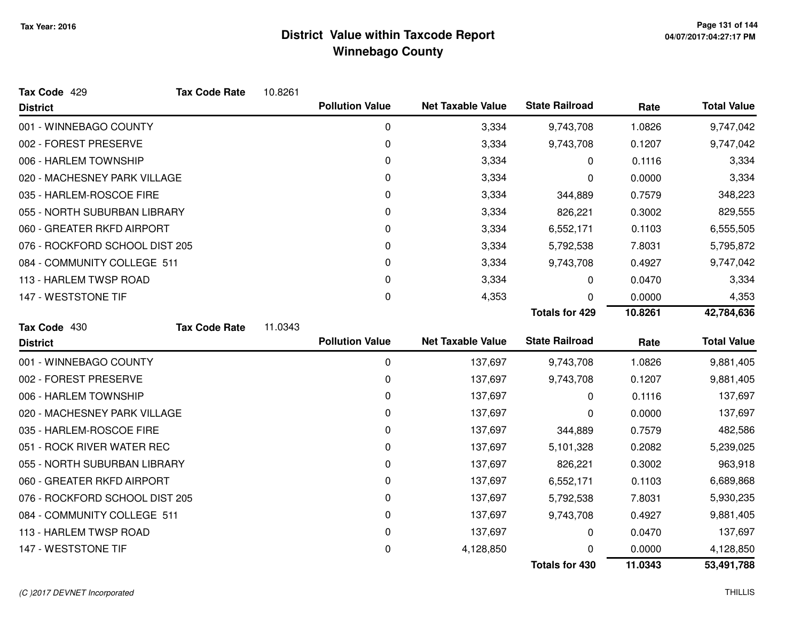| Tax Code 429                   | <b>Tax Code Rate</b> | 10.8261 |                        |                          |                       |         |                    |
|--------------------------------|----------------------|---------|------------------------|--------------------------|-----------------------|---------|--------------------|
| <b>District</b>                |                      |         | <b>Pollution Value</b> | <b>Net Taxable Value</b> | <b>State Railroad</b> | Rate    | <b>Total Value</b> |
| 001 - WINNEBAGO COUNTY         |                      |         | 0                      | 3,334                    | 9,743,708             | 1.0826  | 9,747,042          |
| 002 - FOREST PRESERVE          |                      |         | 0                      | 3,334                    | 9,743,708             | 0.1207  | 9,747,042          |
| 006 - HARLEM TOWNSHIP          |                      |         | 0                      | 3,334                    | 0                     | 0.1116  | 3,334              |
| 020 - MACHESNEY PARK VILLAGE   |                      |         | 0                      | 3,334                    | 0                     | 0.0000  | 3,334              |
| 035 - HARLEM-ROSCOE FIRE       |                      |         | 0                      | 3,334                    | 344,889               | 0.7579  | 348,223            |
| 055 - NORTH SUBURBAN LIBRARY   |                      |         | 0                      | 3,334                    | 826,221               | 0.3002  | 829,555            |
| 060 - GREATER RKFD AIRPORT     |                      |         | 0                      | 3,334                    | 6,552,171             | 0.1103  | 6,555,505          |
| 076 - ROCKFORD SCHOOL DIST 205 |                      |         | 0                      | 3,334                    | 5,792,538             | 7.8031  | 5,795,872          |
| 084 - COMMUNITY COLLEGE 511    |                      |         | 0                      | 3,334                    | 9,743,708             | 0.4927  | 9,747,042          |
| 113 - HARLEM TWSP ROAD         |                      |         | 0                      | 3,334                    | 0                     | 0.0470  | 3,334              |
| 147 - WESTSTONE TIF            |                      |         | 0                      | 4,353                    | 0                     | 0.0000  | 4,353              |
|                                |                      |         |                        |                          | <b>Totals for 429</b> | 10.8261 | 42,784,636         |
| Tax Code 430                   | <b>Tax Code Rate</b> | 11.0343 |                        |                          |                       |         |                    |
| <b>District</b>                |                      |         | <b>Pollution Value</b> | <b>Net Taxable Value</b> | <b>State Railroad</b> | Rate    | <b>Total Value</b> |
|                                |                      |         |                        |                          |                       |         |                    |
| 001 - WINNEBAGO COUNTY         |                      |         | 0                      | 137,697                  | 9,743,708             | 1.0826  | 9,881,405          |
| 002 - FOREST PRESERVE          |                      |         | 0                      | 137,697                  | 9,743,708             | 0.1207  | 9,881,405          |
| 006 - HARLEM TOWNSHIP          |                      |         | 0                      | 137,697                  | 0                     | 0.1116  | 137,697            |
| 020 - MACHESNEY PARK VILLAGE   |                      |         | 0                      | 137,697                  | 0                     | 0.0000  | 137,697            |
| 035 - HARLEM-ROSCOE FIRE       |                      |         | 0                      | 137,697                  | 344,889               | 0.7579  | 482,586            |
| 051 - ROCK RIVER WATER REC     |                      |         | 0                      | 137,697                  | 5,101,328             | 0.2082  | 5,239,025          |
| 055 - NORTH SUBURBAN LIBRARY   |                      |         | 0                      | 137,697                  | 826,221               | 0.3002  | 963,918            |
| 060 - GREATER RKFD AIRPORT     |                      |         | 0                      | 137,697                  | 6,552,171             | 0.1103  | 6,689,868          |
| 076 - ROCKFORD SCHOOL DIST 205 |                      |         | 0                      | 137,697                  | 5,792,538             | 7.8031  | 5,930,235          |
| 084 - COMMUNITY COLLEGE 511    |                      |         | 0                      | 137,697                  | 9,743,708             | 0.4927  | 9,881,405          |
| 113 - HARLEM TWSP ROAD         |                      |         | 0                      | 137,697                  | 0                     | 0.0470  | 137,697            |
| 147 - WESTSTONE TIF            |                      |         | 0                      | 4,128,850                | 0                     | 0.0000  | 4,128,850          |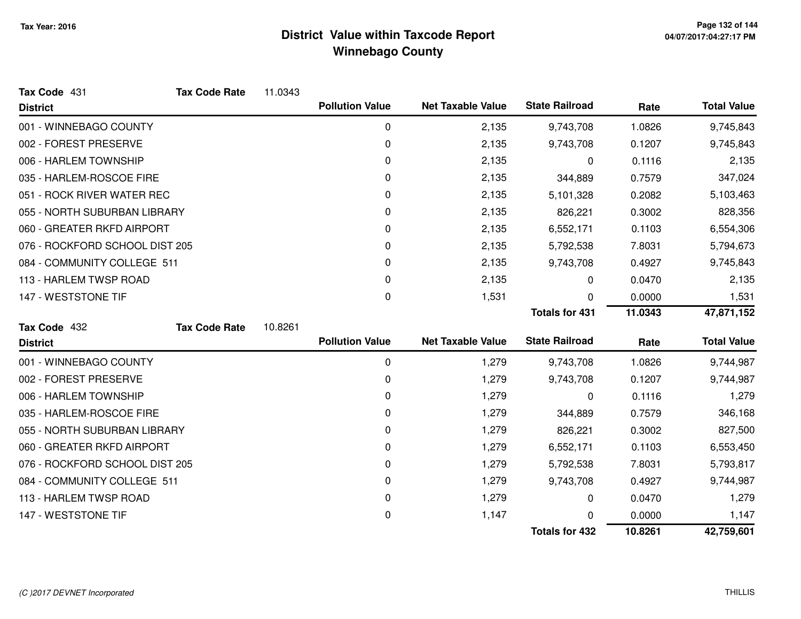| Tax Code 431                   | <b>Tax Code Rate</b> | 11.0343 |                        |                          |                       |         |                    |
|--------------------------------|----------------------|---------|------------------------|--------------------------|-----------------------|---------|--------------------|
| <b>District</b>                |                      |         | <b>Pollution Value</b> | <b>Net Taxable Value</b> | <b>State Railroad</b> | Rate    | <b>Total Value</b> |
| 001 - WINNEBAGO COUNTY         |                      |         | 0                      | 2,135                    | 9,743,708             | 1.0826  | 9,745,843          |
| 002 - FOREST PRESERVE          |                      |         | $\mathbf 0$            | 2,135                    | 9,743,708             | 0.1207  | 9,745,843          |
| 006 - HARLEM TOWNSHIP          |                      |         | 0                      | 2,135                    | 0                     | 0.1116  | 2,135              |
| 035 - HARLEM-ROSCOE FIRE       |                      |         | 0                      | 2,135                    | 344,889               | 0.7579  | 347,024            |
| 051 - ROCK RIVER WATER REC     |                      |         | 0                      | 2,135                    | 5,101,328             | 0.2082  | 5,103,463          |
| 055 - NORTH SUBURBAN LIBRARY   |                      |         | 0                      | 2,135                    | 826,221               | 0.3002  | 828,356            |
| 060 - GREATER RKFD AIRPORT     |                      |         | 0                      | 2,135                    | 6,552,171             | 0.1103  | 6,554,306          |
| 076 - ROCKFORD SCHOOL DIST 205 |                      |         | 0                      | 2,135                    | 5,792,538             | 7.8031  | 5,794,673          |
| 084 - COMMUNITY COLLEGE 511    |                      |         | 0                      | 2,135                    | 9,743,708             | 0.4927  | 9,745,843          |
| 113 - HARLEM TWSP ROAD         |                      |         | 0                      | 2,135                    | 0                     | 0.0470  | 2,135              |
| 147 - WESTSTONE TIF            |                      |         | 0                      | 1,531                    | 0                     | 0.0000  | 1,531              |
|                                |                      |         |                        |                          | <b>Totals for 431</b> | 11.0343 | 47,871,152         |
| Tax Code 432                   | <b>Tax Code Rate</b> | 10.8261 |                        |                          |                       |         |                    |
| <b>District</b>                |                      |         | <b>Pollution Value</b> | <b>Net Taxable Value</b> | <b>State Railroad</b> | Rate    | <b>Total Value</b> |
| 001 - WINNEBAGO COUNTY         |                      |         | $\mathbf 0$            | 1,279                    | 9,743,708             | 1.0826  | 9,744,987          |
| 002 - FOREST PRESERVE          |                      |         | 0                      | 1,279                    | 9,743,708             | 0.1207  | 9,744,987          |
| 006 - HARLEM TOWNSHIP          |                      |         | 0                      | 1,279                    | 0                     | 0.1116  | 1,279              |
| 035 - HARLEM-ROSCOE FIRE       |                      |         | 0                      | 1,279                    | 344,889               | 0.7579  | 346,168            |
| 055 - NORTH SUBURBAN LIBRARY   |                      |         | 0                      | 1,279                    | 826,221               | 0.3002  | 827,500            |
| 060 - GREATER RKFD AIRPORT     |                      |         | 0                      | 1,279                    | 6,552,171             | 0.1103  | 6,553,450          |
| 076 - ROCKFORD SCHOOL DIST 205 |                      |         | 0                      | 1,279                    | 5,792,538             | 7.8031  | 5,793,817          |
| 084 - COMMUNITY COLLEGE 511    |                      |         | 0                      | 1,279                    | 9,743,708             | 0.4927  | 9,744,987          |
| 113 - HARLEM TWSP ROAD         |                      |         | 0                      | 1,279                    | 0                     | 0.0470  | 1,279              |
| 147 - WESTSTONE TIF            |                      |         | 0                      | 1,147                    | 0                     | 0.0000  | 1,147              |
|                                |                      |         |                        |                          | <b>Totals for 432</b> | 10.8261 | 42,759,601         |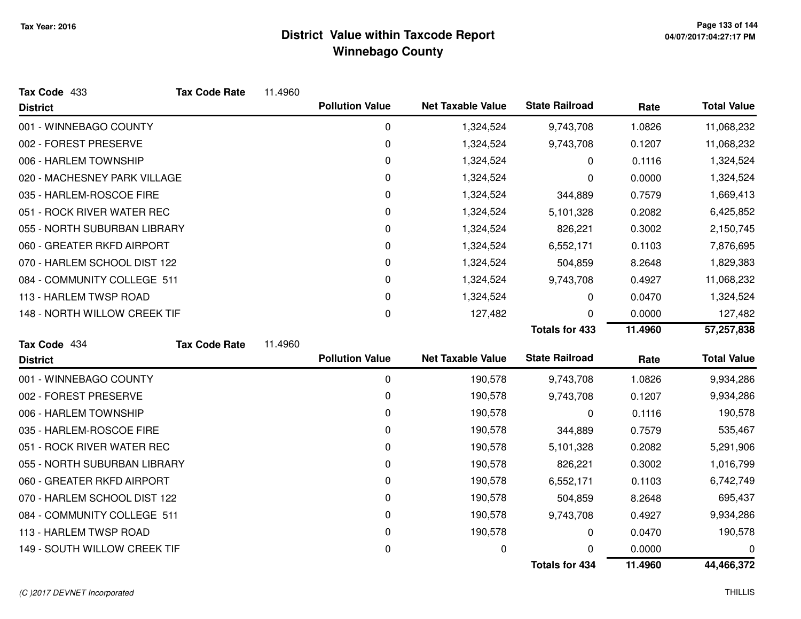| Tax Code 433                 | <b>Tax Code Rate</b> | 11.4960 |                        |                          |                       |         |                    |
|------------------------------|----------------------|---------|------------------------|--------------------------|-----------------------|---------|--------------------|
| <b>District</b>              |                      |         | <b>Pollution Value</b> | <b>Net Taxable Value</b> | <b>State Railroad</b> | Rate    | <b>Total Value</b> |
| 001 - WINNEBAGO COUNTY       |                      |         | 0                      | 1,324,524                | 9,743,708             | 1.0826  | 11,068,232         |
| 002 - FOREST PRESERVE        |                      |         | 0                      | 1,324,524                | 9,743,708             | 0.1207  | 11,068,232         |
| 006 - HARLEM TOWNSHIP        |                      |         | 0                      | 1,324,524                | 0                     | 0.1116  | 1,324,524          |
| 020 - MACHESNEY PARK VILLAGE |                      |         | 0                      | 1,324,524                | 0                     | 0.0000  | 1,324,524          |
| 035 - HARLEM-ROSCOE FIRE     |                      |         | 0                      | 1,324,524                | 344,889               | 0.7579  | 1,669,413          |
| 051 - ROCK RIVER WATER REC   |                      |         | 0                      | 1,324,524                | 5,101,328             | 0.2082  | 6,425,852          |
| 055 - NORTH SUBURBAN LIBRARY |                      |         | 0                      | 1,324,524                | 826,221               | 0.3002  | 2,150,745          |
| 060 - GREATER RKFD AIRPORT   |                      |         | 0                      | 1,324,524                | 6,552,171             | 0.1103  | 7,876,695          |
| 070 - HARLEM SCHOOL DIST 122 |                      |         | 0                      | 1,324,524                | 504,859               | 8.2648  | 1,829,383          |
| 084 - COMMUNITY COLLEGE 511  |                      |         | 0                      | 1,324,524                | 9,743,708             | 0.4927  | 11,068,232         |
| 113 - HARLEM TWSP ROAD       |                      |         | 0                      | 1,324,524                | 0                     | 0.0470  | 1,324,524          |
| 148 - NORTH WILLOW CREEK TIF |                      |         | 0                      | 127,482                  | $\Omega$              | 0.0000  | 127,482            |
|                              |                      |         |                        |                          | <b>Totals for 433</b> | 11.4960 | 57,257,838         |
| Tax Code 434                 | <b>Tax Code Rate</b> | 11.4960 |                        |                          |                       |         |                    |
| <b>District</b>              |                      |         | <b>Pollution Value</b> | <b>Net Taxable Value</b> | <b>State Railroad</b> | Rate    | <b>Total Value</b> |
| 001 - WINNEBAGO COUNTY       |                      |         | 0                      | 190,578                  | 9,743,708             | 1.0826  | 9,934,286          |
| 002 - FOREST PRESERVE        |                      |         | 0                      | 190,578                  | 9,743,708             | 0.1207  | 9,934,286          |
| 006 - HARLEM TOWNSHIP        |                      |         | 0                      | 190,578                  | 0                     | 0.1116  | 190,578            |
| 035 - HARLEM-ROSCOE FIRE     |                      |         | 0                      | 190,578                  | 344,889               | 0.7579  | 535,467            |
| 051 - ROCK RIVER WATER REC   |                      |         | 0                      | 190,578                  | 5,101,328             | 0.2082  | 5,291,906          |
| 055 - NORTH SUBURBAN LIBRARY |                      |         | 0                      | 190,578                  | 826,221               | 0.3002  | 1,016,799          |
| 060 - GREATER RKFD AIRPORT   |                      |         | 0                      | 190,578                  | 6,552,171             | 0.1103  | 6,742,749          |
| 070 - HARLEM SCHOOL DIST 122 |                      |         | 0                      | 190,578                  | 504,859               | 8.2648  | 695,437            |
| 084 - COMMUNITY COLLEGE 511  |                      |         | 0                      | 190,578                  | 9,743,708             | 0.4927  | 9,934,286          |
| 113 - HARLEM TWSP ROAD       |                      |         | 0                      | 190,578                  | 0                     | 0.0470  | 190,578            |
| 149 - SOUTH WILLOW CREEK TIF |                      |         | 0                      | 0                        | 0                     | 0.0000  | 0                  |
|                              |                      |         |                        |                          | <b>Totals for 434</b> | 11.4960 | 44,466,372         |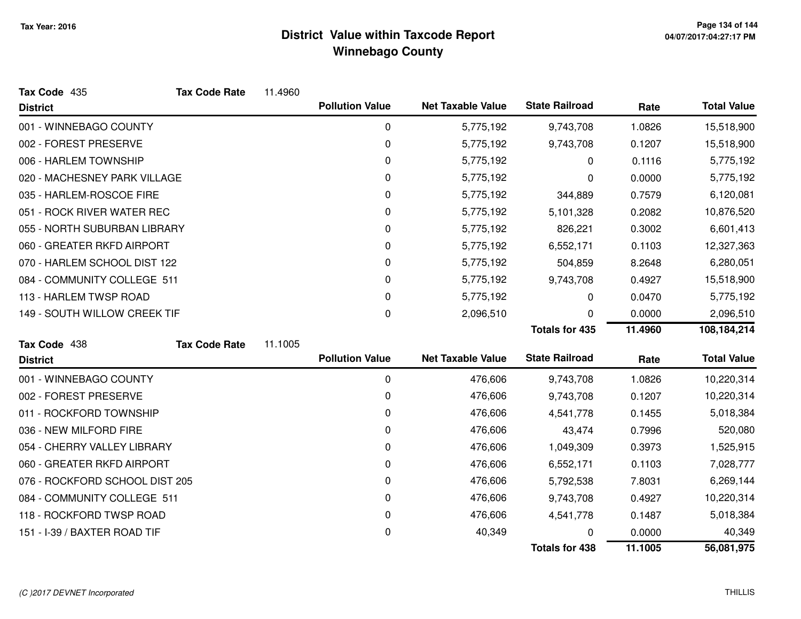| Tax Code 435                   | <b>Tax Code Rate</b> | 11.4960 |                        |                          |                       |         |                    |
|--------------------------------|----------------------|---------|------------------------|--------------------------|-----------------------|---------|--------------------|
| <b>District</b>                |                      |         | <b>Pollution Value</b> | <b>Net Taxable Value</b> | <b>State Railroad</b> | Rate    | <b>Total Value</b> |
| 001 - WINNEBAGO COUNTY         |                      |         | 0                      | 5,775,192                | 9,743,708             | 1.0826  | 15,518,900         |
| 002 - FOREST PRESERVE          |                      |         | 0                      | 5,775,192                | 9,743,708             | 0.1207  | 15,518,900         |
| 006 - HARLEM TOWNSHIP          |                      |         | 0                      | 5,775,192                | 0                     | 0.1116  | 5,775,192          |
| 020 - MACHESNEY PARK VILLAGE   |                      |         | 0                      | 5,775,192                | 0                     | 0.0000  | 5,775,192          |
| 035 - HARLEM-ROSCOE FIRE       |                      |         | 0                      | 5,775,192                | 344,889               | 0.7579  | 6,120,081          |
| 051 - ROCK RIVER WATER REC     |                      |         | 0                      | 5,775,192                | 5,101,328             | 0.2082  | 10,876,520         |
| 055 - NORTH SUBURBAN LIBRARY   |                      |         | 0                      | 5,775,192                | 826,221               | 0.3002  | 6,601,413          |
| 060 - GREATER RKFD AIRPORT     |                      |         | 0                      | 5,775,192                | 6,552,171             | 0.1103  | 12,327,363         |
| 070 - HARLEM SCHOOL DIST 122   |                      |         | 0                      | 5,775,192                | 504,859               | 8.2648  | 6,280,051          |
| 084 - COMMUNITY COLLEGE 511    |                      |         | 0                      | 5,775,192                | 9,743,708             | 0.4927  | 15,518,900         |
| 113 - HARLEM TWSP ROAD         |                      |         | 0                      | 5,775,192                | 0                     | 0.0470  | 5,775,192          |
| 149 - SOUTH WILLOW CREEK TIF   |                      |         | 0                      | 2,096,510                | 0                     | 0.0000  | 2,096,510          |
|                                |                      |         |                        |                          | <b>Totals for 435</b> | 11.4960 | 108,184,214        |
| Tax Code 438                   | <b>Tax Code Rate</b> | 11.1005 |                        |                          |                       |         |                    |
| <b>District</b>                |                      |         | <b>Pollution Value</b> | <b>Net Taxable Value</b> | <b>State Railroad</b> | Rate    | <b>Total Value</b> |
| 001 - WINNEBAGO COUNTY         |                      |         | $\mathbf 0$            | 476,606                  | 9,743,708             | 1.0826  | 10,220,314         |
| 002 - FOREST PRESERVE          |                      |         | 0                      | 476,606                  | 9,743,708             | 0.1207  | 10,220,314         |
| 011 - ROCKFORD TOWNSHIP        |                      |         | 0                      | 476,606                  | 4,541,778             | 0.1455  | 5,018,384          |
| 036 - NEW MILFORD FIRE         |                      |         | 0                      | 476,606                  | 43,474                | 0.7996  | 520,080            |
| 054 - CHERRY VALLEY LIBRARY    |                      |         | 0                      | 476,606                  | 1,049,309             | 0.3973  | 1,525,915          |
| 060 - GREATER RKFD AIRPORT     |                      |         | 0                      | 476,606                  | 6,552,171             | 0.1103  | 7,028,777          |
| 076 - ROCKFORD SCHOOL DIST 205 |                      |         | 0                      | 476,606                  | 5,792,538             | 7.8031  | 6,269,144          |
| 084 - COMMUNITY COLLEGE 511    |                      |         | 0                      | 476,606                  | 9,743,708             | 0.4927  | 10,220,314         |
| 118 - ROCKFORD TWSP ROAD       |                      |         | 0                      | 476,606                  | 4,541,778             | 0.1487  | 5,018,384          |
| 151 - I-39 / BAXTER ROAD TIF   |                      |         | 0                      | 40,349                   | ∩                     | 0.0000  | 40,349             |
|                                |                      |         |                        |                          | <b>Totals for 438</b> | 11.1005 | 56,081,975         |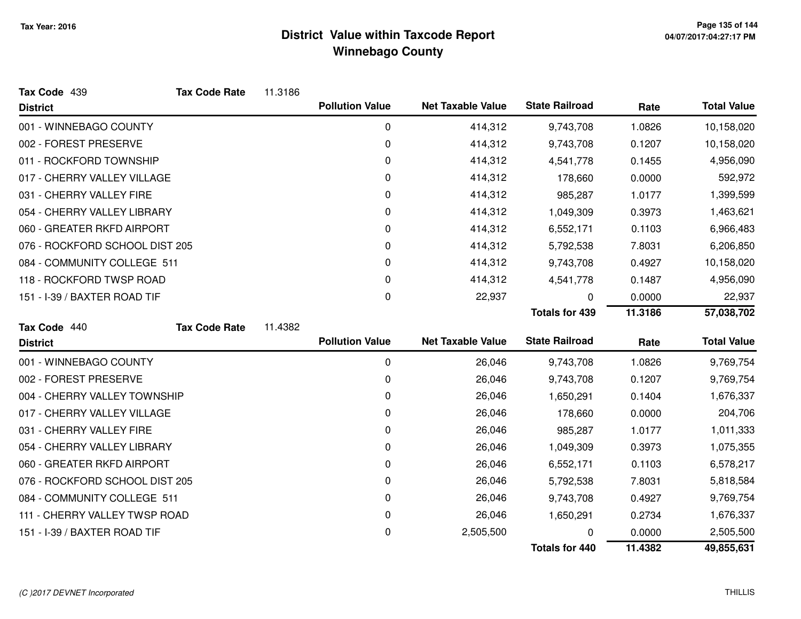| Tax Code 439                   | <b>Tax Code Rate</b> | 11.3186 |                        |                          |                       |         |                    |
|--------------------------------|----------------------|---------|------------------------|--------------------------|-----------------------|---------|--------------------|
| <b>District</b>                |                      |         | <b>Pollution Value</b> | <b>Net Taxable Value</b> | <b>State Railroad</b> | Rate    | <b>Total Value</b> |
| 001 - WINNEBAGO COUNTY         |                      |         | 0                      | 414,312                  | 9,743,708             | 1.0826  | 10,158,020         |
| 002 - FOREST PRESERVE          |                      |         | 0                      | 414,312                  | 9,743,708             | 0.1207  | 10,158,020         |
| 011 - ROCKFORD TOWNSHIP        |                      |         | 0                      | 414,312                  | 4,541,778             | 0.1455  | 4,956,090          |
| 017 - CHERRY VALLEY VILLAGE    |                      |         | 0                      | 414,312                  | 178,660               | 0.0000  | 592,972            |
| 031 - CHERRY VALLEY FIRE       |                      |         | 0                      | 414,312                  | 985,287               | 1.0177  | 1,399,599          |
| 054 - CHERRY VALLEY LIBRARY    |                      |         | 0                      | 414,312                  | 1,049,309             | 0.3973  | 1,463,621          |
| 060 - GREATER RKFD AIRPORT     |                      |         | 0                      | 414,312                  | 6,552,171             | 0.1103  | 6,966,483          |
| 076 - ROCKFORD SCHOOL DIST 205 |                      |         | 0                      | 414,312                  | 5,792,538             | 7.8031  | 6,206,850          |
| 084 - COMMUNITY COLLEGE 511    |                      |         | 0                      | 414,312                  | 9,743,708             | 0.4927  | 10,158,020         |
| 118 - ROCKFORD TWSP ROAD       |                      |         | 0                      | 414,312                  | 4,541,778             | 0.1487  | 4,956,090          |
| 151 - I-39 / BAXTER ROAD TIF   |                      |         | 0                      | 22,937                   | 0                     | 0.0000  | 22,937             |
|                                |                      |         |                        |                          | <b>Totals for 439</b> | 11.3186 | 57,038,702         |
| Tax Code 440                   | <b>Tax Code Rate</b> | 11.4382 |                        |                          |                       |         |                    |
| <b>District</b>                |                      |         | <b>Pollution Value</b> | <b>Net Taxable Value</b> | <b>State Railroad</b> | Rate    | <b>Total Value</b> |
| 001 - WINNEBAGO COUNTY         |                      |         | 0                      | 26,046                   | 9,743,708             | 1.0826  | 9,769,754          |
| 002 - FOREST PRESERVE          |                      |         | 0                      | 26,046                   | 9,743,708             | 0.1207  | 9,769,754          |
| 004 - CHERRY VALLEY TOWNSHIP   |                      |         | 0                      | 26,046                   | 1,650,291             | 0.1404  | 1,676,337          |
| 017 - CHERRY VALLEY VILLAGE    |                      |         | 0                      | 26,046                   | 178,660               | 0.0000  | 204,706            |
| 031 - CHERRY VALLEY FIRE       |                      |         | 0                      | 26,046                   | 985,287               | 1.0177  | 1,011,333          |
| 054 - CHERRY VALLEY LIBRARY    |                      |         | 0                      | 26,046                   | 1,049,309             | 0.3973  | 1,075,355          |
| 060 - GREATER RKFD AIRPORT     |                      |         | 0                      | 26,046                   | 6,552,171             | 0.1103  | 6,578,217          |
| 076 - ROCKFORD SCHOOL DIST 205 |                      |         | 0                      | 26,046                   | 5,792,538             | 7.8031  | 5,818,584          |
| 084 - COMMUNITY COLLEGE 511    |                      |         | 0                      | 26,046                   | 9,743,708             | 0.4927  | 9,769,754          |
| 111 - CHERRY VALLEY TWSP ROAD  |                      |         | 0                      | 26,046                   | 1,650,291             | 0.2734  | 1,676,337          |
| 151 - I-39 / BAXTER ROAD TIF   |                      |         | 0                      | 2,505,500                |                       | 0.0000  | 2,505,500          |
|                                |                      |         |                        |                          | <b>Totals for 440</b> | 11.4382 | 49,855,631         |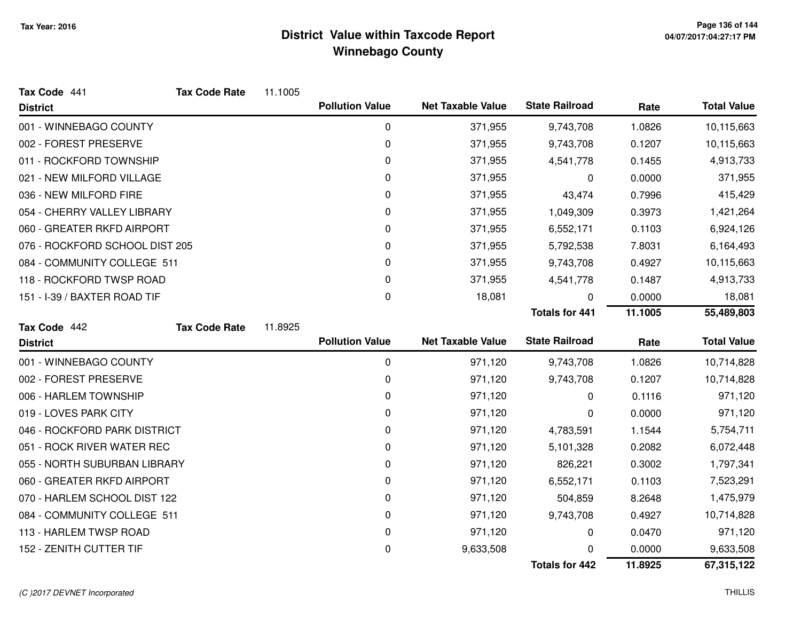| Tax Code 441                   | <b>Tax Code Rate</b> | 11.1005 |                        |                          |                       |         |                    |
|--------------------------------|----------------------|---------|------------------------|--------------------------|-----------------------|---------|--------------------|
| <b>District</b>                |                      |         | <b>Pollution Value</b> | <b>Net Taxable Value</b> | <b>State Railroad</b> | Rate    | <b>Total Value</b> |
| 001 - WINNEBAGO COUNTY         |                      |         | $\mathbf 0$            | 371,955                  | 9,743,708             | 1.0826  | 10,115,663         |
| 002 - FOREST PRESERVE          |                      |         | 0                      | 371,955                  | 9,743,708             | 0.1207  | 10,115,663         |
| 011 - ROCKFORD TOWNSHIP        |                      |         | 0                      | 371,955                  | 4,541,778             | 0.1455  | 4,913,733          |
| 021 - NEW MILFORD VILLAGE      |                      |         | 0                      | 371,955                  | 0                     | 0.0000  | 371,955            |
| 036 - NEW MILFORD FIRE         |                      |         | 0                      | 371,955                  | 43,474                | 0.7996  | 415,429            |
| 054 - CHERRY VALLEY LIBRARY    |                      |         | 0                      | 371,955                  | 1,049,309             | 0.3973  | 1,421,264          |
| 060 - GREATER RKFD AIRPORT     |                      |         | 0                      | 371,955                  | 6,552,171             | 0.1103  | 6,924,126          |
| 076 - ROCKFORD SCHOOL DIST 205 |                      |         | 0                      | 371,955                  | 5,792,538             | 7.8031  | 6,164,493          |
| 084 - COMMUNITY COLLEGE 511    |                      |         | 0                      | 371,955                  | 9,743,708             | 0.4927  | 10,115,663         |
| 118 - ROCKFORD TWSP ROAD       |                      |         | 0                      | 371,955                  | 4,541,778             | 0.1487  | 4,913,733          |
| 151 - I-39 / BAXTER ROAD TIF   |                      |         | 0                      | 18,081                   | 0                     | 0.0000  | 18,081             |
|                                |                      |         |                        |                          | <b>Totals for 441</b> | 11.1005 | 55,489,803         |
| Tax Code 442                   | <b>Tax Code Rate</b> | 11.8925 |                        |                          |                       |         |                    |
| <b>District</b>                |                      |         | <b>Pollution Value</b> | <b>Net Taxable Value</b> | <b>State Railroad</b> | Rate    | <b>Total Value</b> |
|                                |                      |         |                        |                          |                       |         |                    |
| 001 - WINNEBAGO COUNTY         |                      |         | $\mathbf 0$            | 971,120                  | 9,743,708             | 1.0826  | 10,714,828         |
| 002 - FOREST PRESERVE          |                      |         | 0                      | 971,120                  | 9,743,708             | 0.1207  | 10,714,828         |
| 006 - HARLEM TOWNSHIP          |                      |         | 0                      | 971,120                  | 0                     | 0.1116  | 971,120            |
| 019 - LOVES PARK CITY          |                      |         | 0                      | 971,120                  | 0                     | 0.0000  | 971,120            |
| 046 - ROCKFORD PARK DISTRICT   |                      |         | 0                      | 971,120                  | 4,783,591             | 1.1544  | 5,754,711          |
| 051 - ROCK RIVER WATER REC     |                      |         | 0                      | 971,120                  | 5,101,328             | 0.2082  | 6,072,448          |
| 055 - NORTH SUBURBAN LIBRARY   |                      |         | 0                      | 971,120                  | 826,221               | 0.3002  | 1,797,341          |
| 060 - GREATER RKFD AIRPORT     |                      |         | 0                      | 971,120                  | 6,552,171             | 0.1103  | 7,523,291          |
| 070 - HARLEM SCHOOL DIST 122   |                      |         | 0                      | 971,120                  | 504,859               | 8.2648  | 1,475,979          |
| 084 - COMMUNITY COLLEGE 511    |                      |         | 0                      | 971,120                  | 9,743,708             | 0.4927  | 10,714,828         |
| 113 - HARLEM TWSP ROAD         |                      |         | 0                      | 971,120                  | 0                     | 0.0470  | 971,120            |
| 152 - ZENITH CUTTER TIF        |                      |         | 0                      | 9,633,508                | O                     | 0.0000  | 9,633,508          |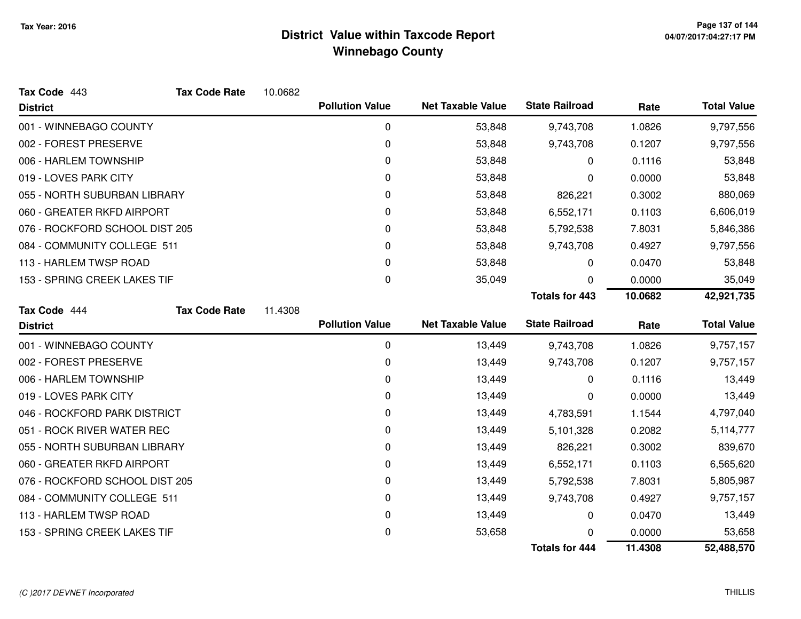| Tax Code 443                   | <b>Tax Code Rate</b> | 10.0682 |                        |                          |                       |         |                    |
|--------------------------------|----------------------|---------|------------------------|--------------------------|-----------------------|---------|--------------------|
| <b>District</b>                |                      |         | <b>Pollution Value</b> | <b>Net Taxable Value</b> | <b>State Railroad</b> | Rate    | <b>Total Value</b> |
| 001 - WINNEBAGO COUNTY         |                      |         | 0                      | 53,848                   | 9,743,708             | 1.0826  | 9,797,556          |
| 002 - FOREST PRESERVE          |                      |         | $\mathbf 0$            | 53,848                   | 9,743,708             | 0.1207  | 9,797,556          |
| 006 - HARLEM TOWNSHIP          |                      |         | 0                      | 53,848                   | 0                     | 0.1116  | 53,848             |
| 019 - LOVES PARK CITY          |                      |         | $\Omega$               | 53,848                   | 0                     | 0.0000  | 53,848             |
| 055 - NORTH SUBURBAN LIBRARY   |                      |         | 0                      | 53,848                   | 826,221               | 0.3002  | 880,069            |
| 060 - GREATER RKFD AIRPORT     |                      |         | 0                      | 53,848                   | 6,552,171             | 0.1103  | 6,606,019          |
| 076 - ROCKFORD SCHOOL DIST 205 |                      |         | 0                      | 53,848                   | 5,792,538             | 7.8031  | 5,846,386          |
| 084 - COMMUNITY COLLEGE 511    |                      |         | $\mathbf 0$            | 53,848                   | 9,743,708             | 0.4927  | 9,797,556          |
| 113 - HARLEM TWSP ROAD         |                      |         | 0                      | 53,848                   | 0                     | 0.0470  | 53,848             |
| 153 - SPRING CREEK LAKES TIF   |                      |         | $\mathbf 0$            | 35,049                   | 0                     | 0.0000  | 35,049             |
|                                |                      |         |                        |                          | <b>Totals for 443</b> | 10.0682 | 42,921,735         |
| Tax Code 444                   | <b>Tax Code Rate</b> | 11.4308 |                        |                          |                       |         |                    |
| <b>District</b>                |                      |         | <b>Pollution Value</b> | <b>Net Taxable Value</b> | <b>State Railroad</b> | Rate    | <b>Total Value</b> |
| 001 - WINNEBAGO COUNTY         |                      |         | 0                      | 13,449                   | 9,743,708             | 1.0826  | 9,757,157          |
| 002 - FOREST PRESERVE          |                      |         | $\mathbf 0$            | 13,449                   | 9,743,708             | 0.1207  | 9,757,157          |
| 006 - HARLEM TOWNSHIP          |                      |         | 0                      | 13,449                   | 0                     | 0.1116  | 13,449             |
| 019 - LOVES PARK CITY          |                      |         | $\mathbf 0$            | 13,449                   | 0                     | 0.0000  | 13,449             |
| 046 - ROCKFORD PARK DISTRICT   |                      |         | 0                      | 13,449                   | 4,783,591             | 1.1544  | 4,797,040          |
| 051 - ROCK RIVER WATER REC     |                      |         | 0                      | 13,449                   | 5,101,328             | 0.2082  | 5,114,777          |
| 055 - NORTH SUBURBAN LIBRARY   |                      |         | $\mathbf 0$            | 13,449                   | 826,221               | 0.3002  | 839,670            |
| 060 - GREATER RKFD AIRPORT     |                      |         | 0                      | 13,449                   | 6,552,171             | 0.1103  | 6,565,620          |
| 076 - ROCKFORD SCHOOL DIST 205 |                      |         | 0                      | 13,449                   | 5,792,538             | 7.8031  | 5,805,987          |
| 084 - COMMUNITY COLLEGE 511    |                      |         | $\mathbf 0$            | 13,449                   | 9,743,708             | 0.4927  | 9,757,157          |
| 113 - HARLEM TWSP ROAD         |                      |         | 0                      | 13,449                   | 0                     | 0.0470  | 13,449             |
| 153 - SPRING CREEK LAKES TIF   |                      |         | $\mathbf 0$            | 53,658                   | ∩                     | 0.0000  | 53,658             |
|                                |                      |         |                        |                          | <b>Totals for 444</b> | 11.4308 | 52,488,570         |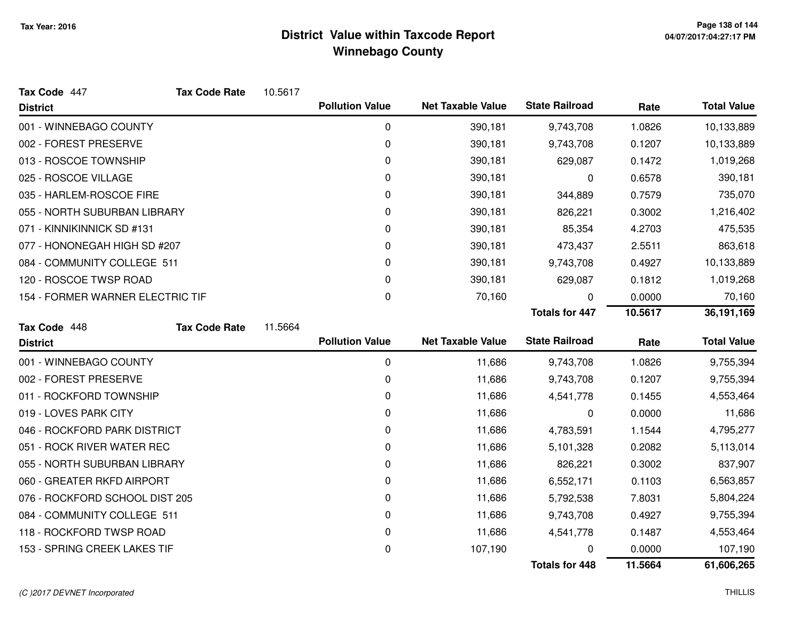| Tax Code 447                     | <b>Tax Code Rate</b> | 10.5617 |                        |                          |                       |         |                    |
|----------------------------------|----------------------|---------|------------------------|--------------------------|-----------------------|---------|--------------------|
| <b>District</b>                  |                      |         | <b>Pollution Value</b> | <b>Net Taxable Value</b> | <b>State Railroad</b> | Rate    | <b>Total Value</b> |
| 001 - WINNEBAGO COUNTY           |                      |         | 0                      | 390,181                  | 9,743,708             | 1.0826  | 10,133,889         |
| 002 - FOREST PRESERVE            |                      |         | 0                      | 390,181                  | 9,743,708             | 0.1207  | 10,133,889         |
| 013 - ROSCOE TOWNSHIP            |                      |         | 0                      | 390,181                  | 629,087               | 0.1472  | 1,019,268          |
| 025 - ROSCOE VILLAGE             |                      |         | 0                      | 390,181                  | 0                     | 0.6578  | 390,181            |
| 035 - HARLEM-ROSCOE FIRE         |                      |         | 0                      | 390,181                  | 344,889               | 0.7579  | 735,070            |
| 055 - NORTH SUBURBAN LIBRARY     |                      |         | 0                      | 390,181                  | 826,221               | 0.3002  | 1,216,402          |
| 071 - KINNIKINNICK SD #131       |                      |         | 0                      | 390,181                  | 85,354                | 4.2703  | 475,535            |
| 077 - HONONEGAH HIGH SD #207     |                      |         | 0                      | 390,181                  | 473,437               | 2.5511  | 863,618            |
| 084 - COMMUNITY COLLEGE 511      |                      |         | 0                      | 390,181                  | 9,743,708             | 0.4927  | 10,133,889         |
| 120 - ROSCOE TWSP ROAD           |                      |         | 0                      | 390,181                  | 629,087               | 0.1812  | 1,019,268          |
| 154 - FORMER WARNER ELECTRIC TIF |                      |         | 0                      | 70,160                   | 0                     | 0.0000  | 70,160             |
|                                  |                      |         |                        |                          | <b>Totals for 447</b> | 10.5617 | 36,191,169         |
| Tax Code 448                     | <b>Tax Code Rate</b> | 11.5664 |                        |                          |                       |         |                    |
| <b>District</b>                  |                      |         | <b>Pollution Value</b> | <b>Net Taxable Value</b> | <b>State Railroad</b> | Rate    | <b>Total Value</b> |
| 001 - WINNEBAGO COUNTY           |                      |         | $\mathbf 0$            | 11,686                   | 9,743,708             | 1.0826  | 9,755,394          |
| 002 - FOREST PRESERVE            |                      |         | 0                      | 11,686                   | 9,743,708             | 0.1207  | 9,755,394          |
| 011 - ROCKFORD TOWNSHIP          |                      |         | 0                      | 11,686                   | 4,541,778             | 0.1455  | 4,553,464          |
| 019 - LOVES PARK CITY            |                      |         | 0                      | 11,686                   | 0                     | 0.0000  | 11,686             |
| 046 - ROCKFORD PARK DISTRICT     |                      |         | 0                      | 11,686                   | 4,783,591             | 1.1544  | 4,795,277          |
| 051 - ROCK RIVER WATER REC       |                      |         | 0                      | 11,686                   | 5,101,328             | 0.2082  | 5,113,014          |
| 055 - NORTH SUBURBAN LIBRARY     |                      |         | 0                      | 11,686                   | 826,221               | 0.3002  | 837,907            |
|                                  |                      |         |                        |                          |                       |         |                    |
| 060 - GREATER RKFD AIRPORT       |                      |         | 0                      | 11,686                   | 6,552,171             | 0.1103  | 6,563,857          |
| 076 - ROCKFORD SCHOOL DIST 205   |                      |         | 0                      | 11,686                   | 5,792,538             | 7.8031  | 5,804,224          |
| 084 - COMMUNITY COLLEGE 511      |                      |         | 0                      | 11,686                   | 9,743,708             | 0.4927  | 9,755,394          |
| 118 - ROCKFORD TWSP ROAD         |                      |         | 0                      | 11,686                   | 4,541,778             | 0.1487  | 4,553,464          |
| 153 - SPRING CREEK LAKES TIF     |                      |         | 0                      | 107,190                  |                       | 0.0000  | 107,190            |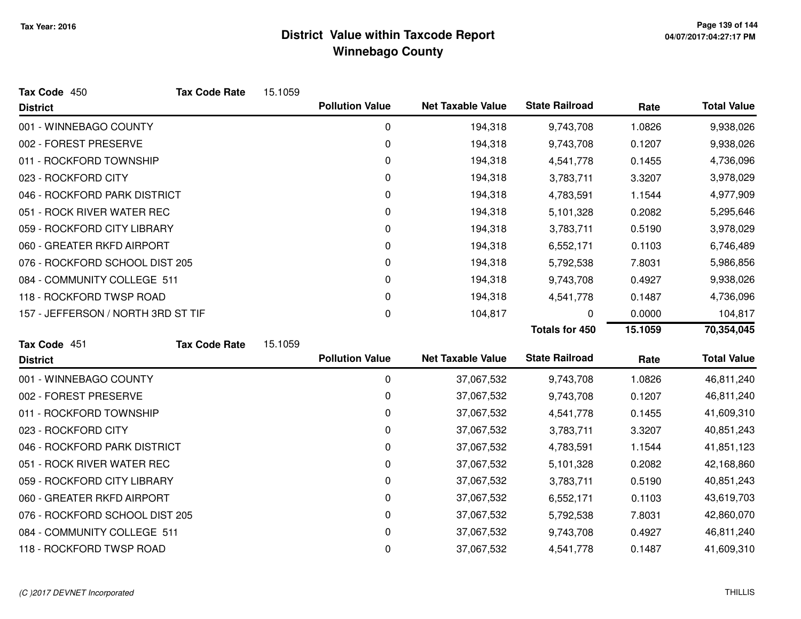| Tax Code 450                       | <b>Tax Code Rate</b> | 15.1059 |                        |                          |                       |         |                    |
|------------------------------------|----------------------|---------|------------------------|--------------------------|-----------------------|---------|--------------------|
| <b>District</b>                    |                      |         | <b>Pollution Value</b> | <b>Net Taxable Value</b> | <b>State Railroad</b> | Rate    | <b>Total Value</b> |
| 001 - WINNEBAGO COUNTY             |                      |         | 0                      | 194,318                  | 9,743,708             | 1.0826  | 9,938,026          |
| 002 - FOREST PRESERVE              |                      |         | 0                      | 194,318                  | 9,743,708             | 0.1207  | 9,938,026          |
| 011 - ROCKFORD TOWNSHIP            |                      |         | 0                      | 194,318                  | 4,541,778             | 0.1455  | 4,736,096          |
| 023 - ROCKFORD CITY                |                      |         | 0                      | 194,318                  | 3,783,711             | 3.3207  | 3,978,029          |
| 046 - ROCKFORD PARK DISTRICT       |                      |         | 0                      | 194,318                  | 4,783,591             | 1.1544  | 4,977,909          |
| 051 - ROCK RIVER WATER REC         |                      |         | 0                      | 194,318                  | 5,101,328             | 0.2082  | 5,295,646          |
| 059 - ROCKFORD CITY LIBRARY        |                      |         | 0                      | 194,318                  | 3,783,711             | 0.5190  | 3,978,029          |
| 060 - GREATER RKFD AIRPORT         |                      |         | 0                      | 194,318                  | 6,552,171             | 0.1103  | 6,746,489          |
| 076 - ROCKFORD SCHOOL DIST 205     |                      |         | 0                      | 194,318                  | 5,792,538             | 7.8031  | 5,986,856          |
| 084 - COMMUNITY COLLEGE 511        |                      |         | 0                      | 194,318                  | 9,743,708             | 0.4927  | 9,938,026          |
| 118 - ROCKFORD TWSP ROAD           |                      |         | 0                      | 194,318                  | 4,541,778             | 0.1487  | 4,736,096          |
| 157 - JEFFERSON / NORTH 3RD ST TIF |                      |         | 0                      | 104,817                  | 0                     | 0.0000  | 104,817            |
|                                    |                      |         |                        |                          | <b>Totals for 450</b> | 15.1059 | 70,354,045         |
| Tax Code 451                       | <b>Tax Code Rate</b> | 15.1059 |                        |                          |                       |         |                    |
| <b>District</b>                    |                      |         | <b>Pollution Value</b> | <b>Net Taxable Value</b> | <b>State Railroad</b> | Rate    | <b>Total Value</b> |
| 001 - WINNEBAGO COUNTY             |                      |         | 0                      | 37,067,532               | 9,743,708             | 1.0826  | 46,811,240         |
| 002 - FOREST PRESERVE              |                      |         | 0                      | 37,067,532               | 9,743,708             | 0.1207  | 46,811,240         |
| 011 - ROCKFORD TOWNSHIP            |                      |         | 0                      | 37,067,532               | 4,541,778             | 0.1455  | 41,609,310         |
| 023 - ROCKFORD CITY                |                      |         | 0                      | 37,067,532               | 3,783,711             | 3.3207  | 40,851,243         |
| 046 - ROCKFORD PARK DISTRICT       |                      |         | 0                      | 37,067,532               | 4,783,591             | 1.1544  | 41,851,123         |
| 051 - ROCK RIVER WATER REC         |                      |         | 0                      | 37,067,532               | 5,101,328             | 0.2082  | 42,168,860         |
| 059 - ROCKFORD CITY LIBRARY        |                      |         | 0                      | 37,067,532               | 3,783,711             | 0.5190  | 40,851,243         |
| 060 - GREATER RKFD AIRPORT         |                      |         | 0                      | 37,067,532               | 6,552,171             | 0.1103  | 43,619,703         |
| 076 - ROCKFORD SCHOOL DIST 205     |                      |         | 0                      | 37,067,532               | 5,792,538             | 7.8031  | 42,860,070         |
| 084 - COMMUNITY COLLEGE 511        |                      |         | 0                      | 37,067,532               | 9,743,708             | 0.4927  | 46,811,240         |
| 118 - ROCKFORD TWSP ROAD           |                      |         | 0                      | 37,067,532               | 4,541,778             | 0.1487  | 41,609,310         |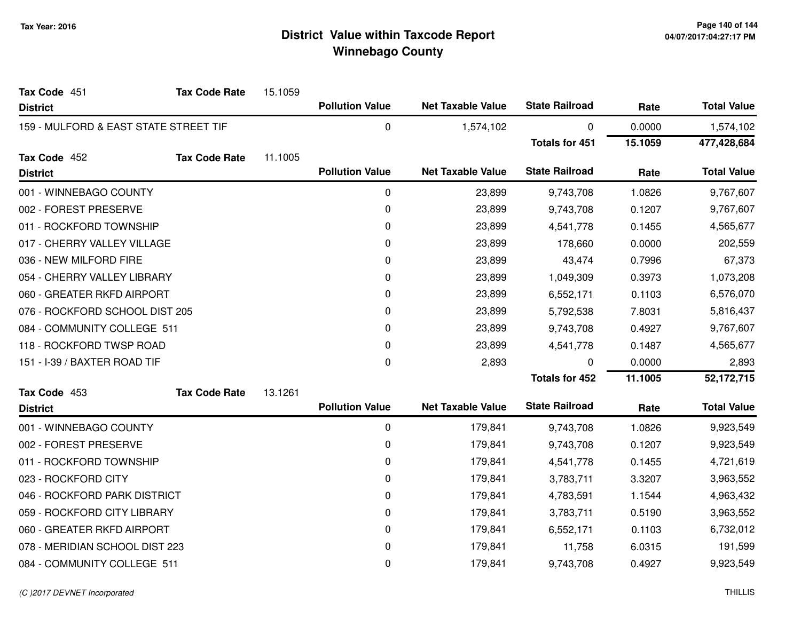| Tax Code 451                          | <b>Tax Code Rate</b> | 15.1059 |                        |                          |                       |         |                    |
|---------------------------------------|----------------------|---------|------------------------|--------------------------|-----------------------|---------|--------------------|
| <b>District</b>                       |                      |         | <b>Pollution Value</b> | <b>Net Taxable Value</b> | <b>State Railroad</b> | Rate    | <b>Total Value</b> |
| 159 - MULFORD & EAST STATE STREET TIF |                      |         | 0                      | 1,574,102                | $\pmb{0}$             | 0.0000  | 1,574,102          |
|                                       |                      |         |                        |                          | <b>Totals for 451</b> | 15.1059 | 477,428,684        |
| Tax Code 452                          | <b>Tax Code Rate</b> | 11.1005 |                        |                          |                       |         |                    |
| <b>District</b>                       |                      |         | <b>Pollution Value</b> | <b>Net Taxable Value</b> | <b>State Railroad</b> | Rate    | <b>Total Value</b> |
| 001 - WINNEBAGO COUNTY                |                      |         | $\pmb{0}$              | 23,899                   | 9,743,708             | 1.0826  | 9,767,607          |
| 002 - FOREST PRESERVE                 |                      |         | 0                      | 23,899                   | 9,743,708             | 0.1207  | 9,767,607          |
| 011 - ROCKFORD TOWNSHIP               |                      |         | 0                      | 23,899                   | 4,541,778             | 0.1455  | 4,565,677          |
| 017 - CHERRY VALLEY VILLAGE           |                      |         | 0                      | 23,899                   | 178,660               | 0.0000  | 202,559            |
| 036 - NEW MILFORD FIRE                |                      |         | 0                      | 23,899                   | 43,474                | 0.7996  | 67,373             |
| 054 - CHERRY VALLEY LIBRARY           |                      |         | 0                      | 23,899                   | 1,049,309             | 0.3973  | 1,073,208          |
| 060 - GREATER RKFD AIRPORT            |                      |         | 0                      | 23,899                   | 6,552,171             | 0.1103  | 6,576,070          |
| 076 - ROCKFORD SCHOOL DIST 205        |                      |         | 0                      | 23,899                   | 5,792,538             | 7.8031  | 5,816,437          |
| 084 - COMMUNITY COLLEGE 511           |                      |         | 0                      | 23,899                   | 9,743,708             | 0.4927  | 9,767,607          |
| 118 - ROCKFORD TWSP ROAD              |                      |         | 0                      | 23,899                   | 4,541,778             | 0.1487  | 4,565,677          |
| 151 - I-39 / BAXTER ROAD TIF          |                      |         | 0                      | 2,893                    | 0                     | 0.0000  | 2,893              |
|                                       |                      |         |                        |                          | <b>Totals for 452</b> | 11.1005 | 52,172,715         |
| Tax Code 453                          | <b>Tax Code Rate</b> | 13.1261 |                        |                          |                       |         |                    |
| <b>District</b>                       |                      |         | <b>Pollution Value</b> | <b>Net Taxable Value</b> | <b>State Railroad</b> | Rate    | <b>Total Value</b> |
| 001 - WINNEBAGO COUNTY                |                      |         | 0                      | 179,841                  | 9,743,708             | 1.0826  | 9,923,549          |
| 002 - FOREST PRESERVE                 |                      |         | 0                      | 179,841                  | 9,743,708             | 0.1207  | 9,923,549          |
| 011 - ROCKFORD TOWNSHIP               |                      |         | 0                      | 179,841                  | 4,541,778             | 0.1455  | 4,721,619          |
| 023 - ROCKFORD CITY                   |                      |         | 0                      | 179,841                  | 3,783,711             | 3.3207  | 3,963,552          |
| 046 - ROCKFORD PARK DISTRICT          |                      |         | 0                      | 179,841                  | 4,783,591             | 1.1544  | 4,963,432          |
| 059 - ROCKFORD CITY LIBRARY           |                      |         | 0                      | 179,841                  | 3,783,711             | 0.5190  | 3,963,552          |
| 060 - GREATER RKFD AIRPORT            |                      |         | 0                      | 179,841                  | 6,552,171             | 0.1103  | 6,732,012          |
| 078 - MERIDIAN SCHOOL DIST 223        |                      |         | 0                      | 179,841                  | 11,758                | 6.0315  | 191,599            |
| 084 - COMMUNITY COLLEGE 511           |                      |         | 0                      | 179,841                  | 9,743,708             | 0.4927  | 9,923,549          |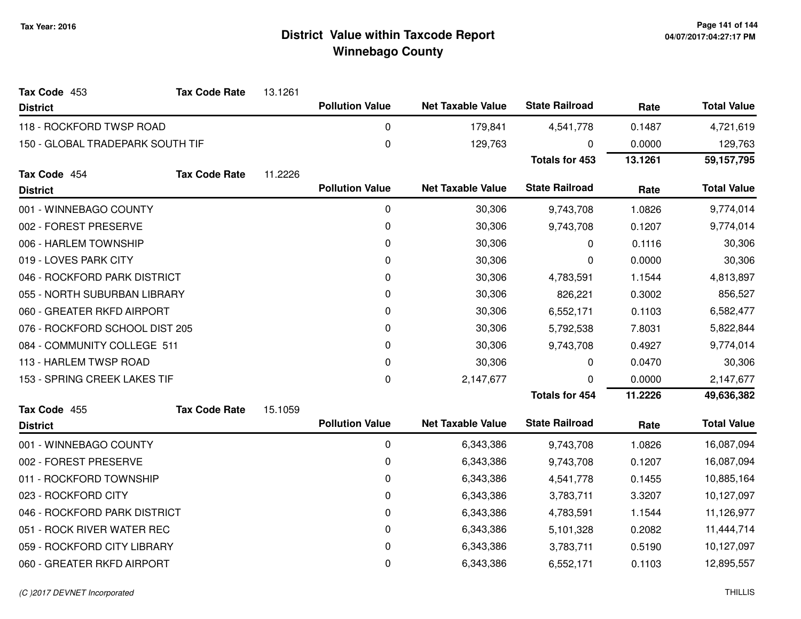| Tax Code 453                     | <b>Tax Code Rate</b> | 13.1261 |                        |                          |                       |         |                    |
|----------------------------------|----------------------|---------|------------------------|--------------------------|-----------------------|---------|--------------------|
| <b>District</b>                  |                      |         | <b>Pollution Value</b> | <b>Net Taxable Value</b> | <b>State Railroad</b> | Rate    | <b>Total Value</b> |
| 118 - ROCKFORD TWSP ROAD         |                      |         | 0                      | 179,841                  | 4,541,778             | 0.1487  | 4,721,619          |
| 150 - GLOBAL TRADEPARK SOUTH TIF |                      |         | $\pmb{0}$              | 129,763                  | 0                     | 0.0000  | 129,763            |
|                                  |                      |         |                        |                          | <b>Totals for 453</b> | 13.1261 | 59, 157, 795       |
| Tax Code 454                     | <b>Tax Code Rate</b> | 11.2226 |                        |                          |                       |         |                    |
| <b>District</b>                  |                      |         | <b>Pollution Value</b> | <b>Net Taxable Value</b> | <b>State Railroad</b> | Rate    | <b>Total Value</b> |
| 001 - WINNEBAGO COUNTY           |                      |         | 0                      | 30,306                   | 9,743,708             | 1.0826  | 9,774,014          |
| 002 - FOREST PRESERVE            |                      |         | 0                      | 30,306                   | 9,743,708             | 0.1207  | 9,774,014          |
| 006 - HARLEM TOWNSHIP            |                      |         | 0                      | 30,306                   | 0                     | 0.1116  | 30,306             |
| 019 - LOVES PARK CITY            |                      |         | 0                      | 30,306                   | 0                     | 0.0000  | 30,306             |
| 046 - ROCKFORD PARK DISTRICT     |                      |         | 0                      | 30,306                   | 4,783,591             | 1.1544  | 4,813,897          |
| 055 - NORTH SUBURBAN LIBRARY     |                      |         | 0                      | 30,306                   | 826,221               | 0.3002  | 856,527            |
| 060 - GREATER RKFD AIRPORT       |                      |         | 0                      | 30,306                   | 6,552,171             | 0.1103  | 6,582,477          |
| 076 - ROCKFORD SCHOOL DIST 205   |                      |         | 0                      | 30,306                   | 5,792,538             | 7.8031  | 5,822,844          |
| 084 - COMMUNITY COLLEGE 511      |                      |         | 0                      | 30,306                   | 9,743,708             | 0.4927  | 9,774,014          |
| 113 - HARLEM TWSP ROAD           |                      |         | 0                      | 30,306                   | 0                     | 0.0470  | 30,306             |
| 153 - SPRING CREEK LAKES TIF     |                      |         | 0                      | 2,147,677                | O                     | 0.0000  | 2,147,677          |
|                                  |                      |         |                        |                          | <b>Totals for 454</b> | 11.2226 | 49,636,382         |
| Tax Code 455                     | <b>Tax Code Rate</b> | 15.1059 |                        |                          |                       |         |                    |
| <b>District</b>                  |                      |         | <b>Pollution Value</b> | <b>Net Taxable Value</b> | <b>State Railroad</b> | Rate    | <b>Total Value</b> |
| 001 - WINNEBAGO COUNTY           |                      |         | 0                      | 6,343,386                | 9,743,708             | 1.0826  | 16,087,094         |
| 002 - FOREST PRESERVE            |                      |         | 0                      | 6,343,386                | 9,743,708             | 0.1207  | 16,087,094         |
| 011 - ROCKFORD TOWNSHIP          |                      |         | 0                      | 6,343,386                | 4,541,778             | 0.1455  | 10,885,164         |
| 023 - ROCKFORD CITY              |                      |         | 0                      | 6,343,386                | 3,783,711             | 3.3207  | 10,127,097         |
| 046 - ROCKFORD PARK DISTRICT     |                      |         | 0                      | 6,343,386                | 4,783,591             | 1.1544  | 11,126,977         |
| 051 - ROCK RIVER WATER REC       |                      |         | 0                      | 6,343,386                | 5,101,328             | 0.2082  | 11,444,714         |
| 059 - ROCKFORD CITY LIBRARY      |                      |         | 0                      | 6,343,386                | 3,783,711             | 0.5190  | 10,127,097         |
| 060 - GREATER RKFD AIRPORT       |                      |         | 0                      | 6,343,386                | 6,552,171             | 0.1103  | 12,895,557         |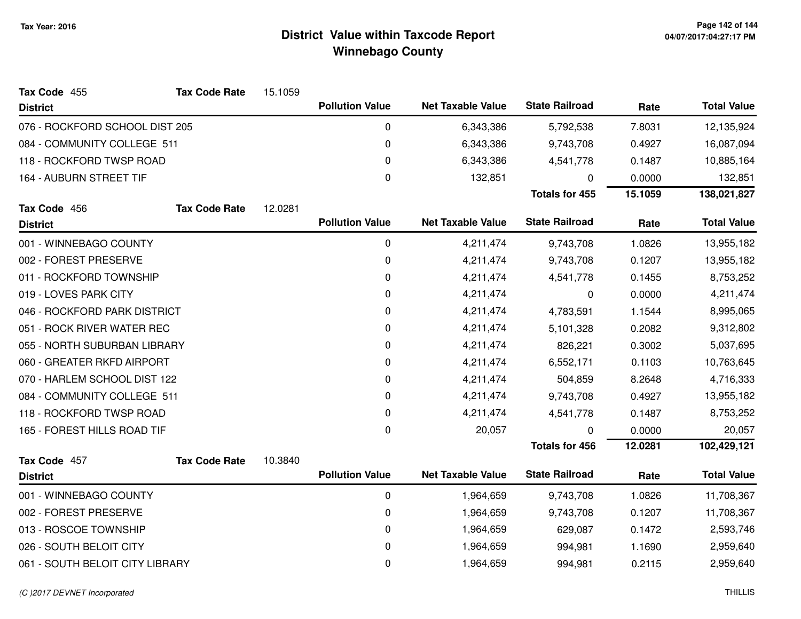| Tax Code 455                    | <b>Tax Code Rate</b> | 15.1059 |                        |                          |                       |         |                    |
|---------------------------------|----------------------|---------|------------------------|--------------------------|-----------------------|---------|--------------------|
| <b>District</b>                 |                      |         | <b>Pollution Value</b> | <b>Net Taxable Value</b> | <b>State Railroad</b> | Rate    | <b>Total Value</b> |
| 076 - ROCKFORD SCHOOL DIST 205  |                      |         | 0                      | 6,343,386                | 5,792,538             | 7.8031  | 12,135,924         |
| 084 - COMMUNITY COLLEGE 511     |                      |         | 0                      | 6,343,386                | 9,743,708             | 0.4927  | 16,087,094         |
| 118 - ROCKFORD TWSP ROAD        |                      |         | 0                      | 6,343,386                | 4,541,778             | 0.1487  | 10,885,164         |
| 164 - AUBURN STREET TIF         |                      |         | 0                      | 132,851                  | 0                     | 0.0000  | 132,851            |
|                                 |                      |         |                        |                          | <b>Totals for 455</b> | 15.1059 | 138,021,827        |
| Tax Code 456                    | <b>Tax Code Rate</b> | 12.0281 |                        |                          |                       |         |                    |
| <b>District</b>                 |                      |         | <b>Pollution Value</b> | <b>Net Taxable Value</b> | <b>State Railroad</b> | Rate    | <b>Total Value</b> |
| 001 - WINNEBAGO COUNTY          |                      |         | 0                      | 4,211,474                | 9,743,708             | 1.0826  | 13,955,182         |
| 002 - FOREST PRESERVE           |                      |         | 0                      | 4,211,474                | 9,743,708             | 0.1207  | 13,955,182         |
| 011 - ROCKFORD TOWNSHIP         |                      |         | 0                      | 4,211,474                | 4,541,778             | 0.1455  | 8,753,252          |
| 019 - LOVES PARK CITY           |                      |         | 0                      | 4,211,474                | 0                     | 0.0000  | 4,211,474          |
| 046 - ROCKFORD PARK DISTRICT    |                      |         | 0                      | 4,211,474                | 4,783,591             | 1.1544  | 8,995,065          |
| 051 - ROCK RIVER WATER REC      |                      |         | 0                      | 4,211,474                | 5,101,328             | 0.2082  | 9,312,802          |
| 055 - NORTH SUBURBAN LIBRARY    |                      |         | 0                      | 4,211,474                | 826,221               | 0.3002  | 5,037,695          |
| 060 - GREATER RKFD AIRPORT      |                      |         | 0                      | 4,211,474                | 6,552,171             | 0.1103  | 10,763,645         |
| 070 - HARLEM SCHOOL DIST 122    |                      |         | 0                      | 4,211,474                | 504,859               | 8.2648  | 4,716,333          |
| 084 - COMMUNITY COLLEGE 511     |                      |         | 0                      | 4,211,474                | 9,743,708             | 0.4927  | 13,955,182         |
| 118 - ROCKFORD TWSP ROAD        |                      |         | 0                      | 4,211,474                | 4,541,778             | 0.1487  | 8,753,252          |
| 165 - FOREST HILLS ROAD TIF     |                      |         | 0                      | 20,057                   | $\mathbf 0$           | 0.0000  | 20,057             |
|                                 |                      |         |                        |                          | <b>Totals for 456</b> | 12.0281 | 102,429,121        |
| Tax Code 457                    | <b>Tax Code Rate</b> | 10.3840 | <b>Pollution Value</b> |                          | <b>State Railroad</b> |         |                    |
| <b>District</b>                 |                      |         |                        | <b>Net Taxable Value</b> |                       | Rate    | <b>Total Value</b> |
| 001 - WINNEBAGO COUNTY          |                      |         | 0                      | 1,964,659                | 9,743,708             | 1.0826  | 11,708,367         |
| 002 - FOREST PRESERVE           |                      |         | 0                      | 1,964,659                | 9,743,708             | 0.1207  | 11,708,367         |
| 013 - ROSCOE TOWNSHIP           |                      |         | 0                      | 1,964,659                | 629,087               | 0.1472  | 2,593,746          |
| 026 - SOUTH BELOIT CITY         |                      |         | 0                      | 1,964,659                | 994,981               | 1.1690  | 2,959,640          |
| 061 - SOUTH BELOIT CITY LIBRARY |                      |         | 0                      | 1,964,659                | 994,981               | 0.2115  | 2,959,640          |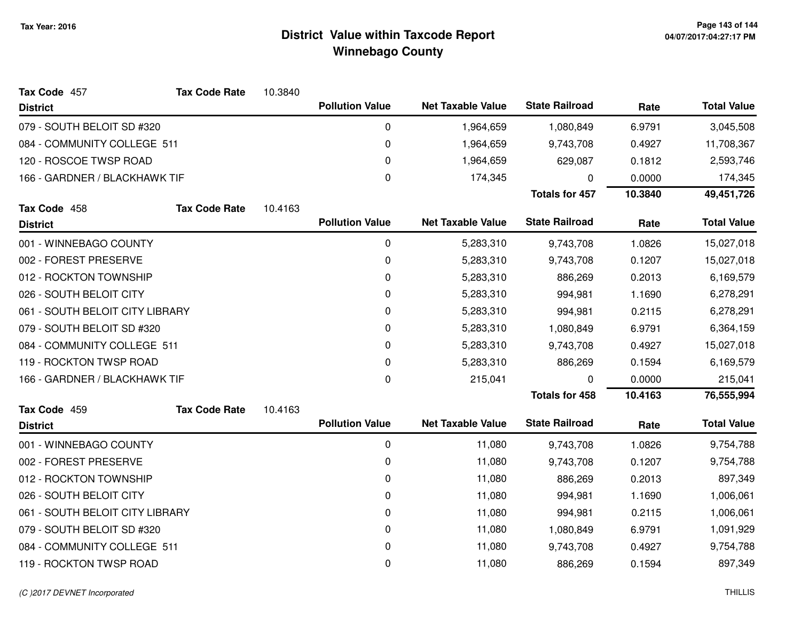| Tax Code 457                    | <b>Tax Code Rate</b> | 10.3840 |                        |                          |                       |         |                    |
|---------------------------------|----------------------|---------|------------------------|--------------------------|-----------------------|---------|--------------------|
| <b>District</b>                 |                      |         | <b>Pollution Value</b> | <b>Net Taxable Value</b> | <b>State Railroad</b> | Rate    | <b>Total Value</b> |
| 079 - SOUTH BELOIT SD #320      |                      |         | 0                      | 1,964,659                | 1,080,849             | 6.9791  | 3,045,508          |
| 084 - COMMUNITY COLLEGE 511     |                      |         | 0                      | 1,964,659                | 9,743,708             | 0.4927  | 11,708,367         |
| 120 - ROSCOE TWSP ROAD          |                      |         | 0                      | 1,964,659                | 629,087               | 0.1812  | 2,593,746          |
| 166 - GARDNER / BLACKHAWK TIF   |                      |         | 0                      | 174,345                  | 0                     | 0.0000  | 174,345            |
|                                 |                      |         |                        |                          | <b>Totals for 457</b> | 10.3840 | 49,451,726         |
| Tax Code 458                    | <b>Tax Code Rate</b> | 10.4163 |                        |                          |                       |         |                    |
| <b>District</b>                 |                      |         | <b>Pollution Value</b> | <b>Net Taxable Value</b> | <b>State Railroad</b> | Rate    | <b>Total Value</b> |
| 001 - WINNEBAGO COUNTY          |                      |         | 0                      | 5,283,310                | 9,743,708             | 1.0826  | 15,027,018         |
| 002 - FOREST PRESERVE           |                      |         | 0                      | 5,283,310                | 9,743,708             | 0.1207  | 15,027,018         |
| 012 - ROCKTON TOWNSHIP          |                      |         | 0                      | 5,283,310                | 886,269               | 0.2013  | 6,169,579          |
| 026 - SOUTH BELOIT CITY         |                      |         | 0                      | 5,283,310                | 994,981               | 1.1690  | 6,278,291          |
| 061 - SOUTH BELOIT CITY LIBRARY |                      |         | 0                      | 5,283,310                | 994,981               | 0.2115  | 6,278,291          |
| 079 - SOUTH BELOIT SD #320      |                      |         | 0                      | 5,283,310                | 1,080,849             | 6.9791  | 6,364,159          |
| 084 - COMMUNITY COLLEGE 511     |                      |         | 0                      | 5,283,310                | 9,743,708             | 0.4927  | 15,027,018         |
| 119 - ROCKTON TWSP ROAD         |                      |         | 0                      | 5,283,310                | 886,269               | 0.1594  | 6,169,579          |
| 166 - GARDNER / BLACKHAWK TIF   |                      |         | $\mathbf 0$            | 215,041                  | 0                     | 0.0000  | 215,041            |
|                                 |                      |         |                        |                          | <b>Totals for 458</b> | 10.4163 | 76,555,994         |
| Tax Code 459                    | <b>Tax Code Rate</b> | 10.4163 |                        |                          |                       |         |                    |
| <b>District</b>                 |                      |         | <b>Pollution Value</b> | <b>Net Taxable Value</b> | <b>State Railroad</b> | Rate    | <b>Total Value</b> |
| 001 - WINNEBAGO COUNTY          |                      |         | 0                      | 11,080                   | 9,743,708             | 1.0826  | 9,754,788          |
| 002 - FOREST PRESERVE           |                      |         | 0                      | 11,080                   | 9,743,708             | 0.1207  | 9,754,788          |
| 012 - ROCKTON TOWNSHIP          |                      |         | 0                      | 11,080                   | 886,269               | 0.2013  | 897,349            |
| 026 - SOUTH BELOIT CITY         |                      |         | 0                      | 11,080                   | 994,981               | 1.1690  | 1,006,061          |
| 061 - SOUTH BELOIT CITY LIBRARY |                      |         | 0                      | 11,080                   | 994,981               | 0.2115  | 1,006,061          |
| 079 - SOUTH BELOIT SD #320      |                      |         | 0                      | 11,080                   | 1,080,849             | 6.9791  | 1,091,929          |
| 084 - COMMUNITY COLLEGE 511     |                      |         | 0                      | 11,080                   | 9,743,708             | 0.4927  | 9,754,788          |
| 119 - ROCKTON TWSP ROAD         |                      |         | 0                      | 11,080                   | 886,269               | 0.1594  | 897,349            |